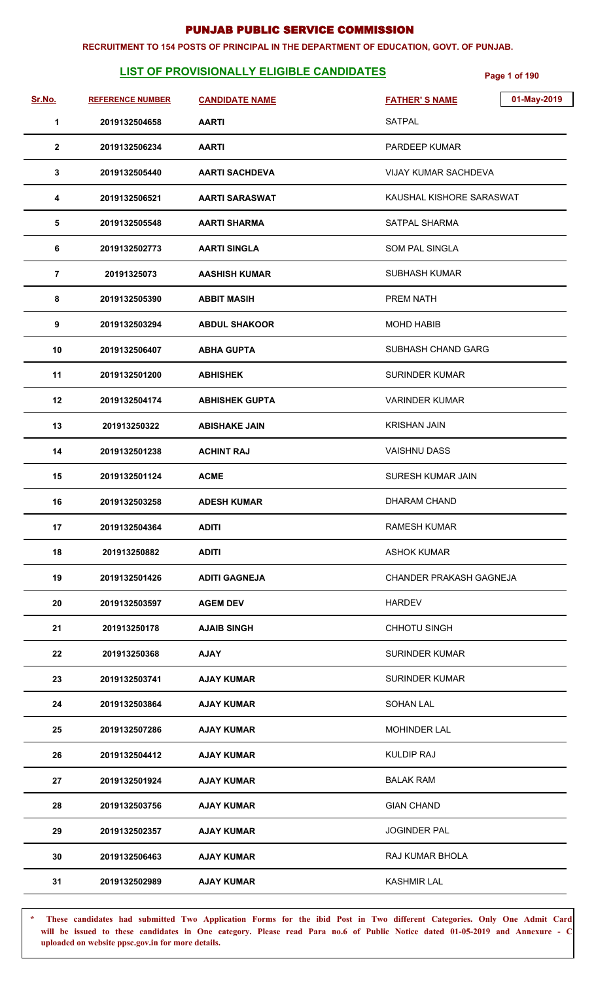#### **RECRUITMENT TO 154 POSTS OF PRINCIPAL IN THE DEPARTMENT OF EDUCATION, GOVT. OF PUNJAB.**

## **LIST OF PROVISIONALLY ELIGIBLE CANDIDATES Page 1 of 190**

| Sr.No.         | <b>REFERENCE NUMBER</b> | <b>CANDIDATE NAME</b> | 01-May-2019<br><b>FATHER'S NAME</b> |
|----------------|-------------------------|-----------------------|-------------------------------------|
| 1              | 2019132504658           | <b>AARTI</b>          | <b>SATPAL</b>                       |
| $\overline{2}$ | 2019132506234           | <b>AARTI</b>          | PARDEEP KUMAR                       |
| 3              | 2019132505440           | <b>AARTI SACHDEVA</b> | <b>VIJAY KUMAR SACHDEVA</b>         |
| 4              | 2019132506521           | <b>AARTI SARASWAT</b> | KAUSHAL KISHORE SARASWAT            |
| 5              | 2019132505548           | <b>AARTI SHARMA</b>   | SATPAL SHARMA                       |
| 6              | 2019132502773           | <b>AARTI SINGLA</b>   | <b>SOM PAL SINGLA</b>               |
| $\overline{7}$ | 20191325073             | <b>AASHISH KUMAR</b>  | <b>SUBHASH KUMAR</b>                |
| 8              | 2019132505390           | <b>ABBIT MASIH</b>    | PREM NATH                           |
| 9              | 2019132503294           | <b>ABDUL SHAKOOR</b>  | <b>MOHD HABIB</b>                   |
| 10             | 2019132506407           | <b>ABHA GUPTA</b>     | SUBHASH CHAND GARG                  |
| 11             | 2019132501200           | <b>ABHISHEK</b>       | <b>SURINDER KUMAR</b>               |
| 12             | 2019132504174           | <b>ABHISHEK GUPTA</b> | <b>VARINDER KUMAR</b>               |
| 13             | 201913250322            | <b>ABISHAKE JAIN</b>  | <b>KRISHAN JAIN</b>                 |
| 14             | 2019132501238           | <b>ACHINT RAJ</b>     | <b>VAISHNU DASS</b>                 |
| 15             | 2019132501124           | <b>ACME</b>           | <b>SURESH KUMAR JAIN</b>            |
| 16             | 2019132503258           | <b>ADESH KUMAR</b>    | DHARAM CHAND                        |
| 17             | 2019132504364           | <b>ADITI</b>          | RAMESH KUMAR                        |
| 18             | 201913250882            | <b>ADITI</b>          | <b>ASHOK KUMAR</b>                  |
| 19             | 2019132501426           | <b>ADITI GAGNEJA</b>  | CHANDER PRAKASH GAGNEJA             |
| 20             | 2019132503597           | <b>AGEM DEV</b>       | <b>HARDEV</b>                       |
| 21             | 201913250178            | <b>AJAIB SINGH</b>    | CHHOTU SINGH                        |
| 22             | 201913250368            | <b>AJAY</b>           | <b>SURINDER KUMAR</b>               |
| 23             | 2019132503741           | <b>AJAY KUMAR</b>     | <b>SURINDER KUMAR</b>               |
| 24             | 2019132503864           | <b>AJAY KUMAR</b>     | <b>SOHAN LAL</b>                    |
| 25             | 2019132507286           | <b>AJAY KUMAR</b>     | <b>MOHINDER LAL</b>                 |
| 26             | 2019132504412           | <b>AJAY KUMAR</b>     | <b>KULDIP RAJ</b>                   |
| 27             | 2019132501924           | <b>AJAY KUMAR</b>     | <b>BALAK RAM</b>                    |
| 28             | 2019132503756           | <b>AJAY KUMAR</b>     | <b>GIAN CHAND</b>                   |
| 29             | 2019132502357           | <b>AJAY KUMAR</b>     | <b>JOGINDER PAL</b>                 |
| 30             | 2019132506463           | <b>AJAY KUMAR</b>     | RAJ KUMAR BHOLA                     |
| 31             | 2019132502989           | <b>AJAY KUMAR</b>     | <b>KASHMIR LAL</b>                  |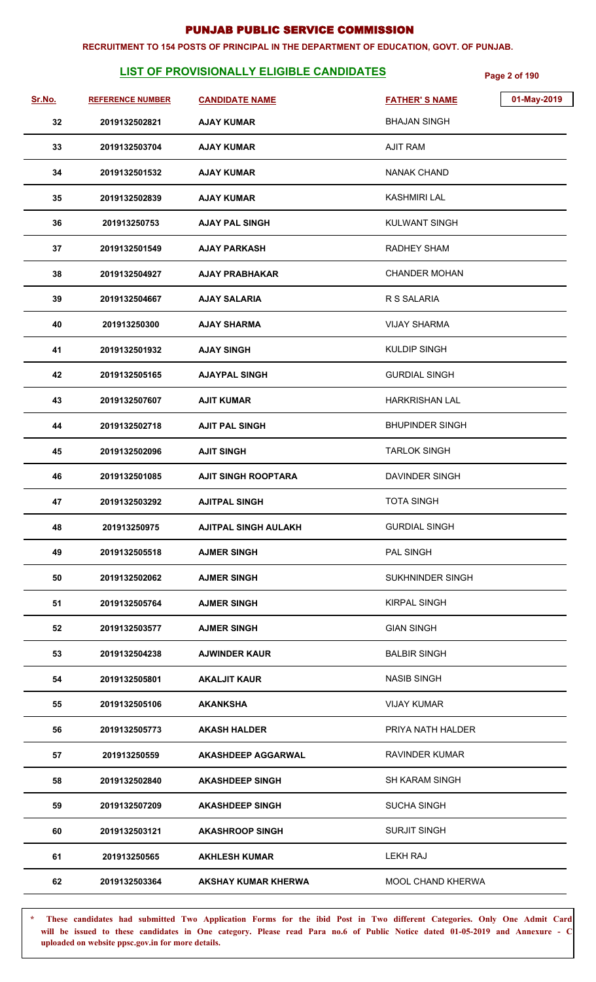#### **RECRUITMENT TO 154 POSTS OF PRINCIPAL IN THE DEPARTMENT OF EDUCATION, GOVT. OF PUNJAB.**

## **LIST OF PROVISIONALLY ELIGIBLE CANDIDATES Page 2 of 190**

| Sr.No. | <b>REFERENCE NUMBER</b> | <b>CANDIDATE NAME</b>       | <b>FATHER'S NAME</b>    | 01-May-2019 |
|--------|-------------------------|-----------------------------|-------------------------|-------------|
| 32     | 2019132502821           | <b>AJAY KUMAR</b>           | <b>BHAJAN SINGH</b>     |             |
| 33     | 2019132503704           | <b>AJAY KUMAR</b>           | <b>AJIT RAM</b>         |             |
| 34     | 2019132501532           | <b>AJAY KUMAR</b>           | <b>NANAK CHAND</b>      |             |
| 35     | 2019132502839           | <b>AJAY KUMAR</b>           | KASHMIRI LAL            |             |
| 36     | 201913250753            | <b>AJAY PAL SINGH</b>       | <b>KULWANT SINGH</b>    |             |
| 37     | 2019132501549           | <b>AJAY PARKASH</b>         | <b>RADHEY SHAM</b>      |             |
| 38     | 2019132504927           | <b>AJAY PRABHAKAR</b>       | <b>CHANDER MOHAN</b>    |             |
| 39     | 2019132504667           | <b>AJAY SALARIA</b>         | R S SALARIA             |             |
| 40     | 201913250300            | <b>AJAY SHARMA</b>          | <b>VIJAY SHARMA</b>     |             |
| 41     | 2019132501932           | <b>AJAY SINGH</b>           | <b>KULDIP SINGH</b>     |             |
| 42     | 2019132505165           | <b>AJAYPAL SINGH</b>        | <b>GURDIAL SINGH</b>    |             |
| 43     | 2019132507607           | <b>AJIT KUMAR</b>           | <b>HARKRISHAN LAL</b>   |             |
| 44     | 2019132502718           | <b>AJIT PAL SINGH</b>       | <b>BHUPINDER SINGH</b>  |             |
| 45     | 2019132502096           | <b>AJIT SINGH</b>           | <b>TARLOK SINGH</b>     |             |
| 46     | 2019132501085           | <b>AJIT SINGH ROOPTARA</b>  | DAVINDER SINGH          |             |
| 47     | 2019132503292           | <b>AJITPAL SINGH</b>        | <b>TOTA SINGH</b>       |             |
| 48     | 201913250975            | <b>AJITPAL SINGH AULAKH</b> | <b>GURDIAL SINGH</b>    |             |
| 49     | 2019132505518           | <b>AJMER SINGH</b>          | PAL SINGH               |             |
| 50     | 2019132502062           | <b>AJMER SINGH</b>          | <b>SUKHNINDER SINGH</b> |             |
| 51     | 2019132505764           | <b>AJMER SINGH</b>          | <b>KIRPAL SINGH</b>     |             |
| 52     | 2019132503577           | <b>AJMER SINGH</b>          | <b>GIAN SINGH</b>       |             |
| 53     | 2019132504238           | <b>AJWINDER KAUR</b>        | <b>BALBIR SINGH</b>     |             |
| 54     | 2019132505801           | <b>AKALJIT KAUR</b>         | <b>NASIB SINGH</b>      |             |
| 55     | 2019132505106           | <b>AKANKSHA</b>             | <b>VIJAY KUMAR</b>      |             |
| 56     | 2019132505773           | <b>AKASH HALDER</b>         | PRIYA NATH HALDER       |             |
| 57     | 201913250559            | <b>AKASHDEEP AGGARWAL</b>   | RAVINDER KUMAR          |             |
| 58     | 2019132502840           | <b>AKASHDEEP SINGH</b>      | <b>SH KARAM SINGH</b>   |             |
| 59     | 2019132507209           | <b>AKASHDEEP SINGH</b>      | <b>SUCHA SINGH</b>      |             |
| 60     | 2019132503121           | <b>AKASHROOP SINGH</b>      | <b>SURJIT SINGH</b>     |             |
| 61     | 201913250565            | <b>AKHLESH KUMAR</b>        | LEKH RAJ                |             |
| 62     | 2019132503364           | <b>AKSHAY KUMAR KHERWA</b>  | MOOL CHAND KHERWA       |             |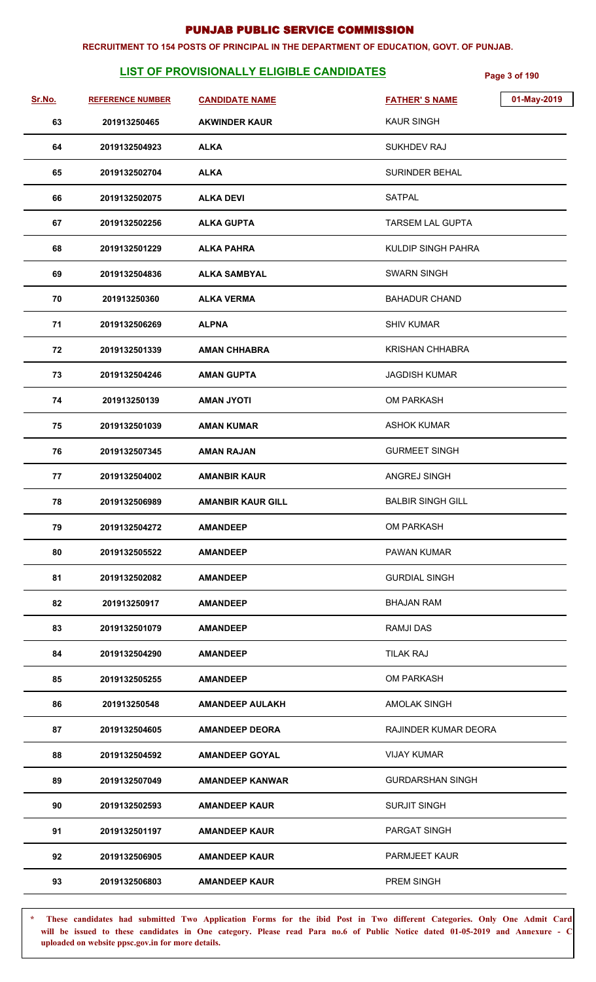#### **RECRUITMENT TO 154 POSTS OF PRINCIPAL IN THE DEPARTMENT OF EDUCATION, GOVT. OF PUNJAB.**

## **LIST OF PROVISIONALLY ELIGIBLE CANDIDATES Page 3 of 190**

| Sr.No. | <b>REFERENCE NUMBER</b> | <b>CANDIDATE NAME</b>    | 01-May-2019<br><b>FATHER'S NAME</b> |
|--------|-------------------------|--------------------------|-------------------------------------|
| 63     | 201913250465            | <b>AKWINDER KAUR</b>     | <b>KAUR SINGH</b>                   |
| 64     | 2019132504923           | <b>ALKA</b>              | <b>SUKHDEV RAJ</b>                  |
| 65     | 2019132502704           | <b>ALKA</b>              | <b>SURINDER BEHAL</b>               |
| 66     | 2019132502075           | <b>ALKA DEVI</b>         | <b>SATPAL</b>                       |
| 67     | 2019132502256           | <b>ALKA GUPTA</b>        | <b>TARSEM LAL GUPTA</b>             |
| 68     | 2019132501229           | <b>ALKA PAHRA</b>        | <b>KULDIP SINGH PAHRA</b>           |
| 69     | 2019132504836           | <b>ALKA SAMBYAL</b>      | <b>SWARN SINGH</b>                  |
| 70     | 201913250360            | <b>ALKA VERMA</b>        | <b>BAHADUR CHAND</b>                |
| 71     | 2019132506269           | <b>ALPNA</b>             | <b>SHIV KUMAR</b>                   |
| 72     | 2019132501339           | <b>AMAN CHHABRA</b>      | <b>KRISHAN CHHABRA</b>              |
| 73     | 2019132504246           | <b>AMAN GUPTA</b>        | <b>JAGDISH KUMAR</b>                |
| 74     | 201913250139            | <b>ITOYU MAMA</b>        | <b>OM PARKASH</b>                   |
| 75     | 2019132501039           | <b>AMAN KUMAR</b>        | <b>ASHOK KUMAR</b>                  |
| 76     | 2019132507345           | <b>AMAN RAJAN</b>        | <b>GURMEET SINGH</b>                |
| 77     | 2019132504002           | <b>AMANBIR KAUR</b>      | ANGREJ SINGH                        |
| 78     | 2019132506989           | <b>AMANBIR KAUR GILL</b> | <b>BALBIR SINGH GILL</b>            |
| 79     | 2019132504272           | <b>AMANDEEP</b>          | OM PARKASH                          |
| 80     | 2019132505522           | <b>AMANDEEP</b>          | <b>PAWAN KUMAR</b>                  |
| 81     | 2019132502082           | <b>AMANDEEP</b>          | <b>GURDIAL SINGH</b>                |
| 82     | 201913250917            | <b>AMANDEEP</b>          | <b>BHAJAN RAM</b>                   |
| 83     | 2019132501079           | <b>AMANDEEP</b>          | <b>RAMJI DAS</b>                    |
| 84     | 2019132504290           | <b>AMANDEEP</b>          | <b>TILAK RAJ</b>                    |
| 85     | 2019132505255           | <b>AMANDEEP</b>          | <b>OM PARKASH</b>                   |
| 86     | 201913250548            | <b>AMANDEEP AULAKH</b>   | <b>AMOLAK SINGH</b>                 |
| 87     | 2019132504605           | <b>AMANDEEP DEORA</b>    | RAJINDER KUMAR DEORA                |
| 88     | 2019132504592           | <b>AMANDEEP GOYAL</b>    | <b>VIJAY KUMAR</b>                  |
| 89     | 2019132507049           | <b>AMANDEEP KANWAR</b>   | <b>GURDARSHAN SINGH</b>             |
| 90     | 2019132502593           | <b>AMANDEEP KAUR</b>     | <b>SURJIT SINGH</b>                 |
| 91     | 2019132501197           | <b>AMANDEEP KAUR</b>     | PARGAT SINGH                        |
| 92     | 2019132506905           | <b>AMANDEEP KAUR</b>     | <b>PARMJEET KAUR</b>                |
| 93     | 2019132506803           | <b>AMANDEEP KAUR</b>     | <b>PREM SINGH</b>                   |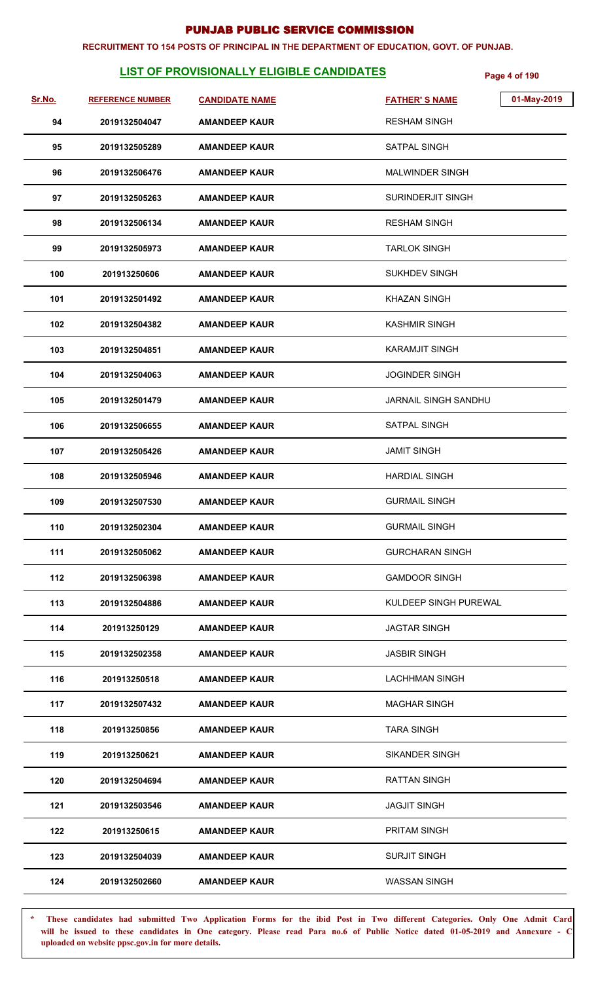#### **RECRUITMENT TO 154 POSTS OF PRINCIPAL IN THE DEPARTMENT OF EDUCATION, GOVT. OF PUNJAB.**

## **LIST OF PROVISIONALLY ELIGIBLE CANDIDATES Page 4 of 190**

| Sr.No. | <b>REFERENCE NUMBER</b> | <b>CANDIDATE NAME</b> | 01-May-2019<br><b>FATHER'S NAME</b> |
|--------|-------------------------|-----------------------|-------------------------------------|
| 94     | 2019132504047           | <b>AMANDEEP KAUR</b>  | <b>RESHAM SINGH</b>                 |
| 95     | 2019132505289           | <b>AMANDEEP KAUR</b>  | <b>SATPAL SINGH</b>                 |
| 96     | 2019132506476           | <b>AMANDEEP KAUR</b>  | MALWINDER SINGH                     |
| 97     | 2019132505263           | <b>AMANDEEP KAUR</b>  | SURINDERJIT SINGH                   |
| 98     | 2019132506134           | <b>AMANDEEP KAUR</b>  | RESHAM SINGH                        |
| 99     | 2019132505973           | <b>AMANDEEP KAUR</b>  | <b>TARLOK SINGH</b>                 |
| 100    | 201913250606            | <b>AMANDEEP KAUR</b>  | SUKHDEV SINGH                       |
| 101    | 2019132501492           | <b>AMANDEEP KAUR</b>  | KHAZAN SINGH                        |
| 102    | 2019132504382           | <b>AMANDEEP KAUR</b>  | KASHMIR SINGH                       |
| 103    | 2019132504851           | <b>AMANDEEP KAUR</b>  | KARAMJIT SINGH                      |
| 104    | 2019132504063           | <b>AMANDEEP KAUR</b>  | <b>JOGINDER SINGH</b>               |
| 105    | 2019132501479           | <b>AMANDEEP KAUR</b>  | <b>JARNAIL SINGH SANDHU</b>         |
| 106    | 2019132506655           | <b>AMANDEEP KAUR</b>  | <b>SATPAL SINGH</b>                 |
| 107    | 2019132505426           | <b>AMANDEEP KAUR</b>  | <b>JAMIT SINGH</b>                  |
| 108    | 2019132505946           | <b>AMANDEEP KAUR</b>  | <b>HARDIAL SINGH</b>                |
| 109    | 2019132507530           | <b>AMANDEEP KAUR</b>  | <b>GURMAIL SINGH</b>                |
| 110    | 2019132502304           | <b>AMANDEEP KAUR</b>  | <b>GURMAIL SINGH</b>                |
| 111    | 2019132505062           | <b>AMANDEEP KAUR</b>  | <b>GURCHARAN SINGH</b>              |
| 112    | 2019132506398           | <b>AMANDEEP KAUR</b>  | <b>GAMDOOR SINGH</b>                |
| 113    | 2019132504886           | <b>AMANDEEP KAUR</b>  | KULDEEP SINGH PUREWAL               |
| 114    | 201913250129            | <b>AMANDEEP KAUR</b>  | <b>JAGTAR SINGH</b>                 |
| 115    | 2019132502358           | <b>AMANDEEP KAUR</b>  | JASBIR SINGH                        |
| 116    | 201913250518            | <b>AMANDEEP KAUR</b>  | <b>LACHHMAN SINGH</b>               |
| 117    | 2019132507432           | <b>AMANDEEP KAUR</b>  | <b>MAGHAR SINGH</b>                 |
| 118    | 201913250856            | <b>AMANDEEP KAUR</b>  | <b>TARA SINGH</b>                   |
| 119    | 201913250621            | <b>AMANDEEP KAUR</b>  | SIKANDER SINGH                      |
| 120    | 2019132504694           | <b>AMANDEEP KAUR</b>  | <b>RATTAN SINGH</b>                 |
| 121    | 2019132503546           | <b>AMANDEEP KAUR</b>  | <b>JAGJIT SINGH</b>                 |
| 122    | 201913250615            | <b>AMANDEEP KAUR</b>  | <b>PRITAM SINGH</b>                 |
| 123    | 2019132504039           | <b>AMANDEEP KAUR</b>  | <b>SURJIT SINGH</b>                 |
| 124    | 2019132502660           | <b>AMANDEEP KAUR</b>  | <b>WASSAN SINGH</b>                 |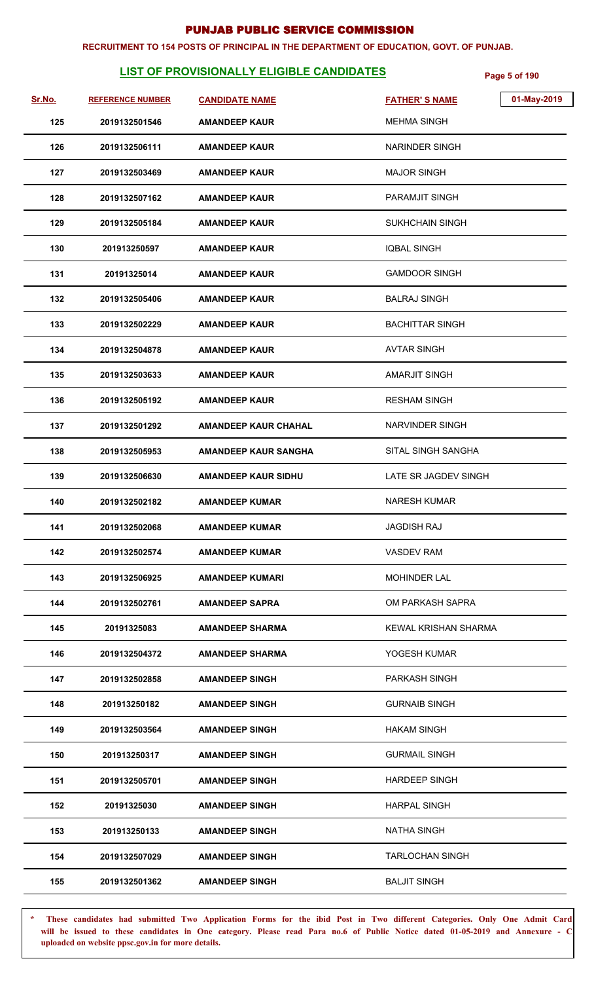#### **RECRUITMENT TO 154 POSTS OF PRINCIPAL IN THE DEPARTMENT OF EDUCATION, GOVT. OF PUNJAB.**

## **LIST OF PROVISIONALLY ELIGIBLE CANDIDATES Page 5 of 190**

| Sr.No. | <b>REFERENCE NUMBER</b> | <b>CANDIDATE NAME</b>       | 01-May-2019<br><b>FATHER'S NAME</b> |
|--------|-------------------------|-----------------------------|-------------------------------------|
| 125    | 2019132501546           | <b>AMANDEEP KAUR</b>        | <b>MEHMA SINGH</b>                  |
| 126    | 2019132506111           | <b>AMANDEEP KAUR</b>        | <b>NARINDER SINGH</b>               |
| 127    | 2019132503469           | <b>AMANDEEP KAUR</b>        | <b>MAJOR SINGH</b>                  |
| 128    | 2019132507162           | <b>AMANDEEP KAUR</b>        | <b>PARAMJIT SINGH</b>               |
| 129    | 2019132505184           | <b>AMANDEEP KAUR</b>        | <b>SUKHCHAIN SINGH</b>              |
| 130    | 201913250597            | <b>AMANDEEP KAUR</b>        | <b>IQBAL SINGH</b>                  |
| 131    | 20191325014             | <b>AMANDEEP KAUR</b>        | <b>GAMDOOR SINGH</b>                |
| 132    | 2019132505406           | <b>AMANDEEP KAUR</b>        | <b>BALRAJ SINGH</b>                 |
| 133    | 2019132502229           | <b>AMANDEEP KAUR</b>        | <b>BACHITTAR SINGH</b>              |
| 134    | 2019132504878           | <b>AMANDEEP KAUR</b>        | <b>AVTAR SINGH</b>                  |
| 135    | 2019132503633           | <b>AMANDEEP KAUR</b>        | <b>AMARJIT SINGH</b>                |
| 136    | 2019132505192           | <b>AMANDEEP KAUR</b>        | <b>RESHAM SINGH</b>                 |
| 137    | 2019132501292           | <b>AMANDEEP KAUR CHAHAL</b> | NARVINDER SINGH                     |
| 138    | 2019132505953           | <b>AMANDEEP KAUR SANGHA</b> | SITAL SINGH SANGHA                  |
| 139    | 2019132506630           | <b>AMANDEEP KAUR SIDHU</b>  | LATE SR JAGDEV SINGH                |
| 140    | 2019132502182           | <b>AMANDEEP KUMAR</b>       | <b>NARESH KUMAR</b>                 |
| 141    | 2019132502068           | <b>AMANDEEP KUMAR</b>       | <b>JAGDISH RAJ</b>                  |
| 142    | 2019132502574           | <b>AMANDEEP KUMAR</b>       | <b>VASDEV RAM</b>                   |
| 143    | 2019132506925           | <b>AMANDEEP KUMARI</b>      | <b>MOHINDER LAL</b>                 |
| 144    | 2019132502761           | <b>AMANDEEP SAPRA</b>       | OM PARKASH SAPRA                    |
| 145    | 20191325083             | <b>AMANDEEP SHARMA</b>      | KEWAL KRISHAN SHARMA                |
| 146    | 2019132504372           | <b>AMANDEEP SHARMA</b>      | YOGESH KUMAR                        |
| 147    | 2019132502858           | <b>AMANDEEP SINGH</b>       | PARKASH SINGH                       |
| 148    | 201913250182            | <b>AMANDEEP SINGH</b>       | <b>GURNAIB SINGH</b>                |
| 149    | 2019132503564           | <b>AMANDEEP SINGH</b>       | <b>HAKAM SINGH</b>                  |
| 150    | 201913250317            | <b>AMANDEEP SINGH</b>       | <b>GURMAIL SINGH</b>                |
| 151    | 2019132505701           | <b>AMANDEEP SINGH</b>       | <b>HARDEEP SINGH</b>                |
| 152    | 20191325030             | <b>AMANDEEP SINGH</b>       | <b>HARPAL SINGH</b>                 |
| 153    | 201913250133            | <b>AMANDEEP SINGH</b>       | <b>NATHA SINGH</b>                  |
| 154    | 2019132507029           | <b>AMANDEEP SINGH</b>       | <b>TARLOCHAN SINGH</b>              |
| 155    | 2019132501362           | <b>AMANDEEP SINGH</b>       | <b>BALJIT SINGH</b>                 |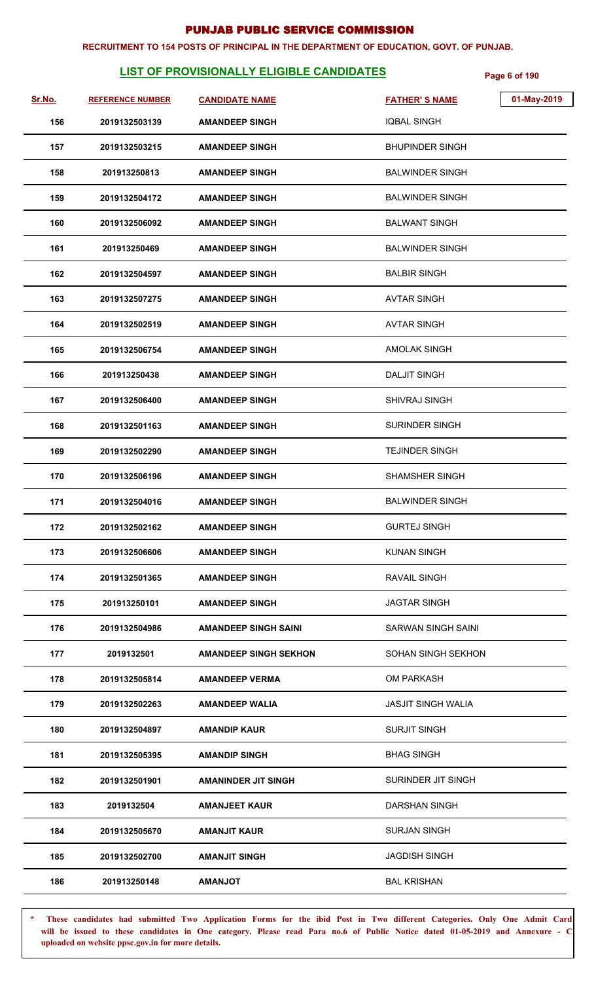#### **RECRUITMENT TO 154 POSTS OF PRINCIPAL IN THE DEPARTMENT OF EDUCATION, GOVT. OF PUNJAB.**

## **LIST OF PROVISIONALLY ELIGIBLE CANDIDATES Page 6 of 190**

| Sr.No. | <b>REFERENCE NUMBER</b> | <b>CANDIDATE NAME</b>        | 01-May-2019<br><b>FATHER'S NAME</b> |
|--------|-------------------------|------------------------------|-------------------------------------|
| 156    | 2019132503139           | <b>AMANDEEP SINGH</b>        | <b>IQBAL SINGH</b>                  |
| 157    | 2019132503215           | <b>AMANDEEP SINGH</b>        | <b>BHUPINDER SINGH</b>              |
| 158    | 201913250813            | <b>AMANDEEP SINGH</b>        | <b>BALWINDER SINGH</b>              |
| 159    | 2019132504172           | <b>AMANDEEP SINGH</b>        | <b>BALWINDER SINGH</b>              |
| 160    | 2019132506092           | <b>AMANDEEP SINGH</b>        | <b>BALWANT SINGH</b>                |
| 161    | 201913250469            | <b>AMANDEEP SINGH</b>        | <b>BALWINDER SINGH</b>              |
| 162    | 2019132504597           | <b>AMANDEEP SINGH</b>        | <b>BALBIR SINGH</b>                 |
| 163    | 2019132507275           | <b>AMANDEEP SINGH</b>        | <b>AVTAR SINGH</b>                  |
| 164    | 2019132502519           | <b>AMANDEEP SINGH</b>        | AVTAR SINGH                         |
| 165    | 2019132506754           | <b>AMANDEEP SINGH</b>        | <b>AMOLAK SINGH</b>                 |
| 166    | 201913250438            | <b>AMANDEEP SINGH</b>        | <b>DALJIT SINGH</b>                 |
| 167    | 2019132506400           | <b>AMANDEEP SINGH</b>        | <b>SHIVRAJ SINGH</b>                |
| 168    | 2019132501163           | <b>AMANDEEP SINGH</b>        | <b>SURINDER SINGH</b>               |
| 169    | 2019132502290           | <b>AMANDEEP SINGH</b>        | <b>TEJINDER SINGH</b>               |
| 170    | 2019132506196           | <b>AMANDEEP SINGH</b>        | <b>SHAMSHER SINGH</b>               |
| 171    | 2019132504016           | <b>AMANDEEP SINGH</b>        | <b>BALWINDER SINGH</b>              |
| 172    | 2019132502162           | <b>AMANDEEP SINGH</b>        | <b>GURTEJ SINGH</b>                 |
| 173    | 2019132506606           | <b>AMANDEEP SINGH</b>        | <b>KUNAN SINGH</b>                  |
| 174    | 2019132501365           | <b>AMANDEEP SINGH</b>        | <b>RAVAIL SINGH</b>                 |
| 175    | 201913250101            | <b>AMANDEEP SINGH</b>        | <b>JAGTAR SINGH</b>                 |
| 176    | 2019132504986           | <b>AMANDEEP SINGH SAINI</b>  | SARWAN SINGH SAINI                  |
| 177    | 2019132501              | <b>AMANDEEP SINGH SEKHON</b> | SOHAN SINGH SEKHON                  |
| 178    | 2019132505814           | <b>AMANDEEP VERMA</b>        | <b>OM PARKASH</b>                   |
| 179    | 2019132502263           | <b>AMANDEEP WALIA</b>        | <b>JASJIT SINGH WALIA</b>           |
| 180    | 2019132504897           | <b>AMANDIP KAUR</b>          | <b>SURJIT SINGH</b>                 |
| 181    | 2019132505395           | <b>AMANDIP SINGH</b>         | <b>BHAG SINGH</b>                   |
| 182    | 2019132501901           | <b>AMANINDER JIT SINGH</b>   | SURINDER JIT SINGH                  |
| 183    | 2019132504              | <b>AMANJEET KAUR</b>         | <b>DARSHAN SINGH</b>                |
| 184    | 2019132505670           | <b>AMANJIT KAUR</b>          | <b>SURJAN SINGH</b>                 |
| 185    | 2019132502700           | <b>AMANJIT SINGH</b>         | <b>JAGDISH SINGH</b>                |
| 186    | 201913250148            | <b>TOURAMA</b>               | <b>BAL KRISHAN</b>                  |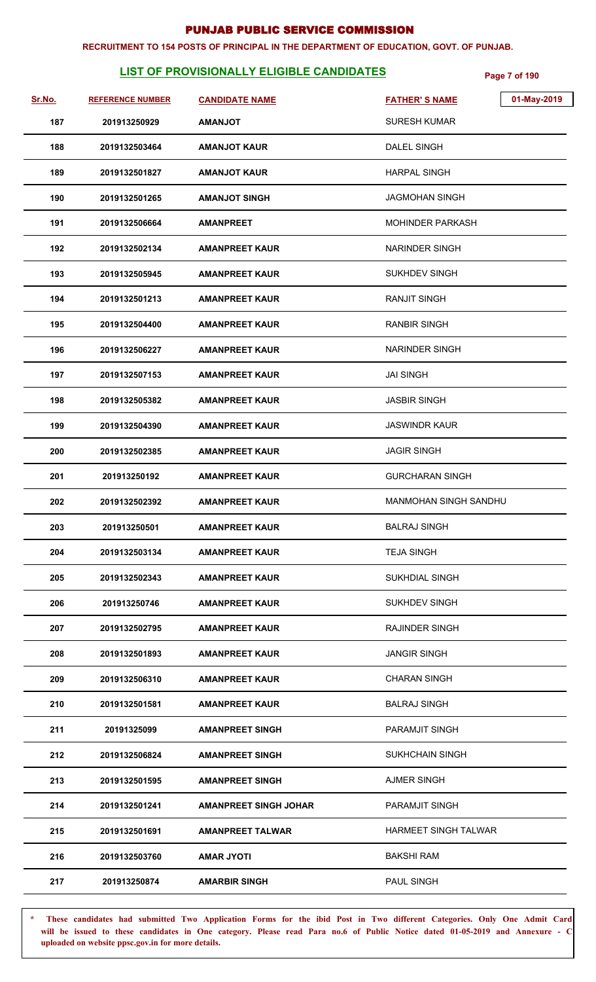#### **RECRUITMENT TO 154 POSTS OF PRINCIPAL IN THE DEPARTMENT OF EDUCATION, GOVT. OF PUNJAB.**

## **LIST OF PROVISIONALLY ELIGIBLE CANDIDATES Page 7 of 190**

| Sr.No. | <b>REFERENCE NUMBER</b> | <b>CANDIDATE NAME</b>        | 01-May-2019<br><b>FATHER'S NAME</b> |
|--------|-------------------------|------------------------------|-------------------------------------|
| 187    | 201913250929            | <b>TOLIANAMA</b>             | <b>SURESH KUMAR</b>                 |
| 188    | 2019132503464           | <b>AMANJOT KAUR</b>          | <b>DALEL SINGH</b>                  |
| 189    | 2019132501827           | <b>AMANJOT KAUR</b>          | <b>HARPAL SINGH</b>                 |
| 190    | 2019132501265           | <b>AMANJOT SINGH</b>         | JAGMOHAN SINGH                      |
| 191    | 2019132506664           | <b>AMANPREET</b>             | <b>MOHINDER PARKASH</b>             |
| 192    | 2019132502134           | <b>AMANPREET KAUR</b>        | <b>NARINDER SINGH</b>               |
| 193    | 2019132505945           | <b>AMANPREET KAUR</b>        | SUKHDEV SINGH                       |
| 194    | 2019132501213           | <b>AMANPREET KAUR</b>        | <b>RANJIT SINGH</b>                 |
| 195    | 2019132504400           | <b>AMANPREET KAUR</b>        | <b>RANBIR SINGH</b>                 |
| 196    | 2019132506227           | <b>AMANPREET KAUR</b>        | <b>NARINDER SINGH</b>               |
| 197    | 2019132507153           | <b>AMANPREET KAUR</b>        | <b>JAI SINGH</b>                    |
| 198    | 2019132505382           | <b>AMANPREET KAUR</b>        | <b>JASBIR SINGH</b>                 |
| 199    | 2019132504390           | <b>AMANPREET KAUR</b>        | <b>JASWINDR KAUR</b>                |
| 200    | 2019132502385           | <b>AMANPREET KAUR</b>        | <b>JAGIR SINGH</b>                  |
| 201    | 201913250192            | <b>AMANPREET KAUR</b>        | <b>GURCHARAN SINGH</b>              |
| 202    | 2019132502392           | <b>AMANPREET KAUR</b>        | <b>MANMOHAN SINGH SANDHU</b>        |
| 203    | 201913250501            | <b>AMANPREET KAUR</b>        | <b>BALRAJ SINGH</b>                 |
| 204    | 2019132503134           | <b>AMANPREET KAUR</b>        | <b>TEJA SINGH</b>                   |
| 205    | 2019132502343           | <b>AMANPREET KAUR</b>        | <b>SUKHDIAL SINGH</b>               |
| 206    | 201913250746            | <b>AMANPREET KAUR</b>        | <b>SUKHDEV SINGH</b>                |
| 207    | 2019132502795           | <b>AMANPREET KAUR</b>        | <b>RAJINDER SINGH</b>               |
| 208    | 2019132501893           | <b>AMANPREET KAUR</b>        | <b>JANGIR SINGH</b>                 |
| 209    | 2019132506310           | <b>AMANPREET KAUR</b>        | <b>CHARAN SINGH</b>                 |
| 210    | 2019132501581           | <b>AMANPREET KAUR</b>        | <b>BALRAJ SINGH</b>                 |
| 211    | 20191325099             | <b>AMANPREET SINGH</b>       | PARAMJIT SINGH                      |
| 212    | 2019132506824           | <b>AMANPREET SINGH</b>       | <b>SUKHCHAIN SINGH</b>              |
| 213    | 2019132501595           | <b>AMANPREET SINGH</b>       | <b>AJMER SINGH</b>                  |
| 214    | 2019132501241           | <b>AMANPREET SINGH JOHAR</b> | PARAMJIT SINGH                      |
| 215    | 2019132501691           | <b>AMANPREET TALWAR</b>      | <b>HARMEET SINGH TALWAR</b>         |
| 216    | 2019132503760           | <b>AMAR JYOTI</b>            | <b>BAKSHI RAM</b>                   |
| 217    | 201913250874            | <b>AMARBIR SINGH</b>         | <b>PAUL SINGH</b>                   |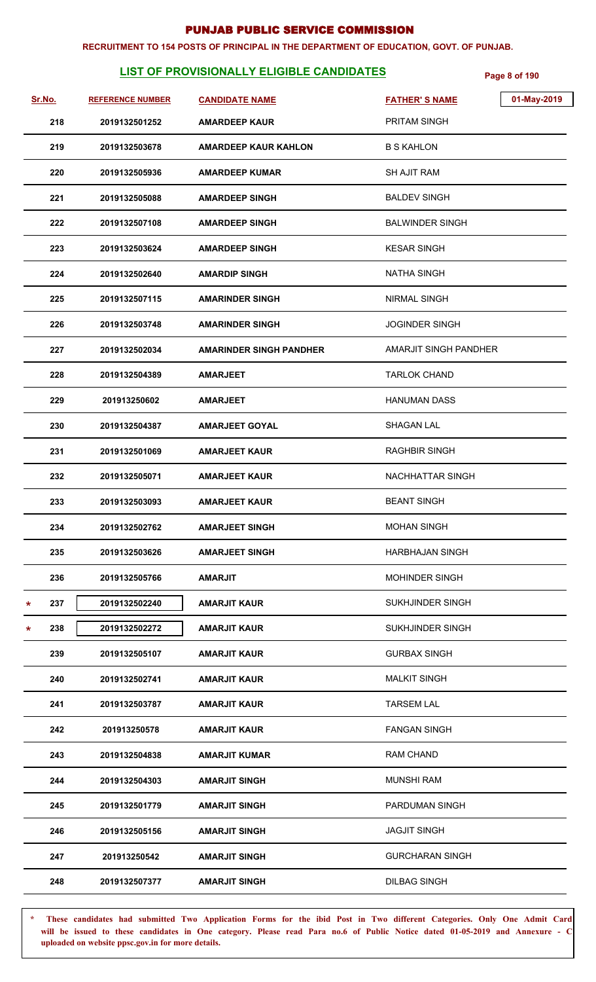#### **RECRUITMENT TO 154 POSTS OF PRINCIPAL IN THE DEPARTMENT OF EDUCATION, GOVT. OF PUNJAB.**

## **LIST OF PROVISIONALLY ELIGIBLE CANDIDATES Page 8 of 190**

| Sr.No. | <b>REFERENCE NUMBER</b> | <b>CANDIDATE NAME</b>          | <b>FATHER'S NAME</b>    | 01-May-2019 |
|--------|-------------------------|--------------------------------|-------------------------|-------------|
|        | 218<br>2019132501252    | <b>AMARDEEP KAUR</b>           | PRITAM SINGH            |             |
|        | 219<br>2019132503678    | <b>AMARDEEP KAUR KAHLON</b>    | <b>B S KAHLON</b>       |             |
|        | 220<br>2019132505936    | <b>AMARDEEP KUMAR</b>          | <b>SH AJIT RAM</b>      |             |
|        | 221<br>2019132505088    | <b>AMARDEEP SINGH</b>          | <b>BALDEV SINGH</b>     |             |
|        | 222<br>2019132507108    | <b>AMARDEEP SINGH</b>          | <b>BALWINDER SINGH</b>  |             |
|        | 223<br>2019132503624    | <b>AMARDEEP SINGH</b>          | <b>KESAR SINGH</b>      |             |
|        | 224<br>2019132502640    | <b>AMARDIP SINGH</b>           | <b>NATHA SINGH</b>      |             |
|        | 225<br>2019132507115    | <b>AMARINDER SINGH</b>         | <b>NIRMAL SINGH</b>     |             |
|        | 226<br>2019132503748    | <b>AMARINDER SINGH</b>         | <b>JOGINDER SINGH</b>   |             |
|        | 227<br>2019132502034    | <b>AMARINDER SINGH PANDHER</b> | AMARJIT SINGH PANDHER   |             |
|        | 228<br>2019132504389    | <b>AMARJEET</b>                | <b>TARLOK CHAND</b>     |             |
|        | 229<br>201913250602     | <b>AMARJEET</b>                | <b>HANUMAN DASS</b>     |             |
|        | 230<br>2019132504387    | <b>AMARJEET GOYAL</b>          | <b>SHAGAN LAL</b>       |             |
|        | 231<br>2019132501069    | <b>AMARJEET KAUR</b>           | <b>RAGHBIR SINGH</b>    |             |
|        | 232<br>2019132505071    | <b>AMARJEET KAUR</b>           | NACHHATTAR SINGH        |             |
|        | 233<br>2019132503093    | <b>AMARJEET KAUR</b>           | <b>BEANT SINGH</b>      |             |
|        | 234<br>2019132502762    | <b>AMARJEET SINGH</b>          | <b>MOHAN SINGH</b>      |             |
|        | 235<br>2019132503626    | <b>AMARJEET SINGH</b>          | <b>HARBHAJAN SINGH</b>  |             |
|        | 236<br>2019132505766    | <b>AMARJIT</b>                 | <b>MOHINDER SINGH</b>   |             |
| *      | 237<br>2019132502240    | <b>AMARJIT KAUR</b>            | <b>SUKHJINDER SINGH</b> |             |
| *      | 238<br>2019132502272    | <b>AMARJIT KAUR</b>            | SUKHJINDER SINGH        |             |
|        | 239<br>2019132505107    | <b>AMARJIT KAUR</b>            | <b>GURBAX SINGH</b>     |             |
|        | 240<br>2019132502741    | <b>AMARJIT KAUR</b>            | <b>MALKIT SINGH</b>     |             |
|        | 241<br>2019132503787    | <b>AMARJIT KAUR</b>            | <b>TARSEM LAL</b>       |             |
|        | 242<br>201913250578     | <b>AMARJIT KAUR</b>            | <b>FANGAN SINGH</b>     |             |
|        | 243<br>2019132504838    | <b>AMARJIT KUMAR</b>           | <b>RAM CHAND</b>        |             |
|        | 244<br>2019132504303    | <b>AMARJIT SINGH</b>           | <b>MUNSHI RAM</b>       |             |
|        | 245<br>2019132501779    | <b>AMARJIT SINGH</b>           | PARDUMAN SINGH          |             |
|        | 246<br>2019132505156    | <b>AMARJIT SINGH</b>           | <b>JAGJIT SINGH</b>     |             |
|        | 247<br>201913250542     | <b>AMARJIT SINGH</b>           | <b>GURCHARAN SINGH</b>  |             |
|        | 248<br>2019132507377    | <b>AMARJIT SINGH</b>           | <b>DILBAG SINGH</b>     |             |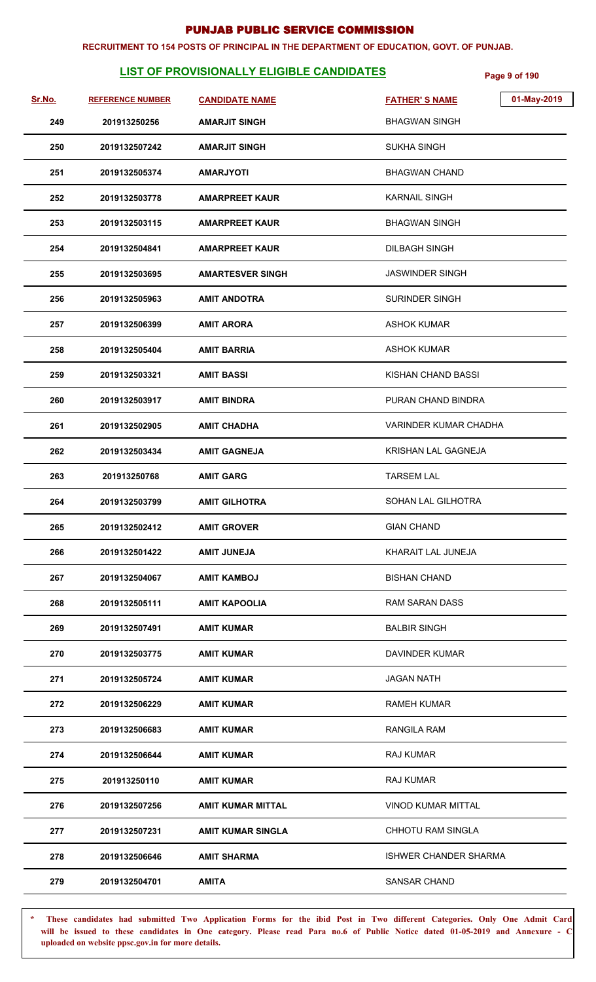#### **RECRUITMENT TO 154 POSTS OF PRINCIPAL IN THE DEPARTMENT OF EDUCATION, GOVT. OF PUNJAB.**

## **LIST OF PROVISIONALLY ELIGIBLE CANDIDATES Page 9 of 190**

| Sr.No. | <b>REFERENCE NUMBER</b> | <b>CANDIDATE NAME</b>    | 01-May-2019<br><b>FATHER'S NAME</b> |  |
|--------|-------------------------|--------------------------|-------------------------------------|--|
| 249    | 201913250256            | <b>AMARJIT SINGH</b>     | <b>BHAGWAN SINGH</b>                |  |
| 250    | 2019132507242           | <b>AMARJIT SINGH</b>     | <b>SUKHA SINGH</b>                  |  |
| 251    | 2019132505374           | <b>AMARJYOTI</b>         | <b>BHAGWAN CHAND</b>                |  |
| 252    | 2019132503778           | <b>AMARPREET KAUR</b>    | <b>KARNAIL SINGH</b>                |  |
| 253    | 2019132503115           | <b>AMARPREET KAUR</b>    | <b>BHAGWAN SINGH</b>                |  |
| 254    | 2019132504841           | <b>AMARPREET KAUR</b>    | <b>DILBAGH SINGH</b>                |  |
| 255    | 2019132503695           | <b>AMARTESVER SINGH</b>  | <b>JASWINDER SINGH</b>              |  |
| 256    | 2019132505963           | <b>AMIT ANDOTRA</b>      | <b>SURINDER SINGH</b>               |  |
| 257    | 2019132506399           | <b>AMIT ARORA</b>        | <b>ASHOK KUMAR</b>                  |  |
| 258    | 2019132505404           | <b>AMIT BARRIA</b>       | <b>ASHOK KUMAR</b>                  |  |
| 259    | 2019132503321           | <b>AMIT BASSI</b>        | KISHAN CHAND BASSI                  |  |
| 260    | 2019132503917           | <b>AMIT BINDRA</b>       | PURAN CHAND BINDRA                  |  |
| 261    | 2019132502905           | <b>AMIT CHADHA</b>       | <b>VARINDER KUMAR CHADHA</b>        |  |
| 262    | 2019132503434           | <b>AMIT GAGNEJA</b>      | KRISHAN LAL GAGNEJA                 |  |
| 263    | 201913250768            | <b>AMIT GARG</b>         | <b>TARSEM LAL</b>                   |  |
| 264    | 2019132503799           | <b>AMIT GILHOTRA</b>     | SOHAN LAL GILHOTRA                  |  |
| 265    | 2019132502412           | <b>AMIT GROVER</b>       | <b>GIAN CHAND</b>                   |  |
| 266    | 2019132501422           | <b>AMIT JUNEJA</b>       | KHARAIT LAL JUNEJA                  |  |
| 267    | 2019132504067           | <b>AMIT KAMBOJ</b>       | <b>BISHAN CHAND</b>                 |  |
| 268    | 2019132505111           | <b>AMIT KAPOOLIA</b>     | <b>RAM SARAN DASS</b>               |  |
| 269    | 2019132507491           | <b>AMIT KUMAR</b>        | <b>BALBIR SINGH</b>                 |  |
| 270    | 2019132503775           | <b>AMIT KUMAR</b>        | DAVINDER KUMAR                      |  |
| 271    | 2019132505724           | <b>AMIT KUMAR</b>        | <b>JAGAN NATH</b>                   |  |
| 272    | 2019132506229           | <b>AMIT KUMAR</b>        | <b>RAMEH KUMAR</b>                  |  |
| 273    | 2019132506683           | AMIT KUMAR               | <b>RANGILA RAM</b>                  |  |
| 274    | 2019132506644           | <b>AMIT KUMAR</b>        | <b>RAJ KUMAR</b>                    |  |
| 275    | 201913250110            | <b>AMIT KUMAR</b>        | <b>RAJ KUMAR</b>                    |  |
| 276    | 2019132507256           | <b>AMIT KUMAR MITTAL</b> | VINOD KUMAR MITTAL                  |  |
| 277    | 2019132507231           | <b>AMIT KUMAR SINGLA</b> | CHHOTU RAM SINGLA                   |  |
| 278    | 2019132506646           | <b>AMIT SHARMA</b>       | <b>ISHWER CHANDER SHARMA</b>        |  |
| 279    | 2019132504701           | <b>AMITA</b>             | SANSAR CHAND                        |  |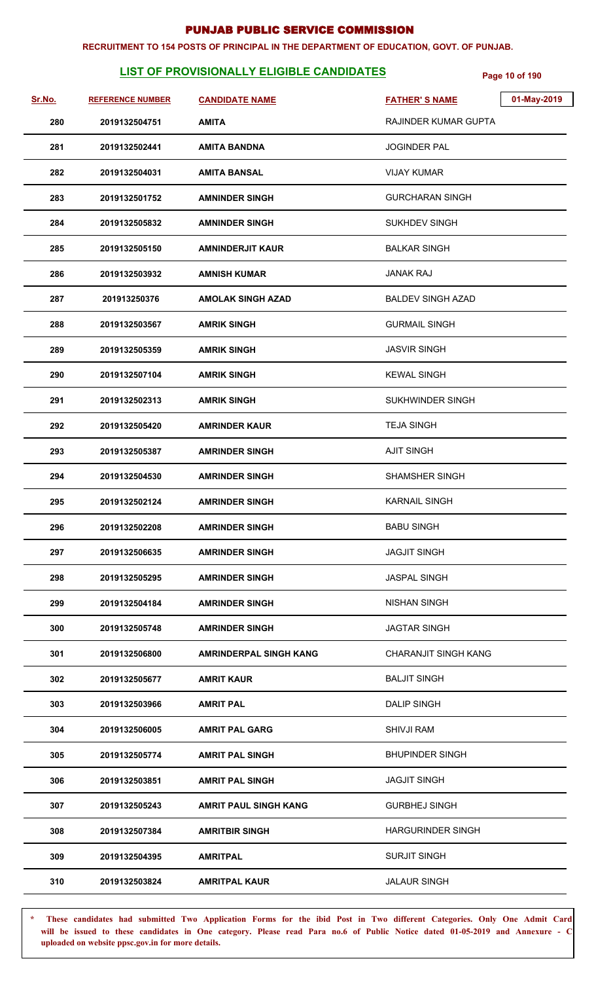#### **RECRUITMENT TO 154 POSTS OF PRINCIPAL IN THE DEPARTMENT OF EDUCATION, GOVT. OF PUNJAB.**

## **LIST OF PROVISIONALLY ELIGIBLE CANDIDATES** Page 10 of 190

| Sr.No. | <b>REFERENCE NUMBER</b> | <b>CANDIDATE NAME</b>         | <b>FATHER'S NAME</b>     | 01-May-2019 |
|--------|-------------------------|-------------------------------|--------------------------|-------------|
| 280    | 2019132504751           | <b>AMITA</b>                  | RAJINDER KUMAR GUPTA     |             |
| 281    | 2019132502441           | <b>AMITA BANDNA</b>           | <b>JOGINDER PAL</b>      |             |
| 282    | 2019132504031           | <b>AMITA BANSAL</b>           | <b>VIJAY KUMAR</b>       |             |
| 283    | 2019132501752           | <b>AMNINDER SINGH</b>         | <b>GURCHARAN SINGH</b>   |             |
| 284    | 2019132505832           | <b>AMNINDER SINGH</b>         | <b>SUKHDEV SINGH</b>     |             |
| 285    | 2019132505150           | <b>AMNINDERJIT KAUR</b>       | <b>BALKAR SINGH</b>      |             |
| 286    | 2019132503932           | <b>AMNISH KUMAR</b>           | <b>JANAK RAJ</b>         |             |
| 287    | 201913250376            | <b>AMOLAK SINGH AZAD</b>      | <b>BALDEV SINGH AZAD</b> |             |
| 288    | 2019132503567           | <b>AMRIK SINGH</b>            | <b>GURMAIL SINGH</b>     |             |
| 289    | 2019132505359           | <b>AMRIK SINGH</b>            | <b>JASVIR SINGH</b>      |             |
| 290    | 2019132507104           | <b>AMRIK SINGH</b>            | <b>KEWAL SINGH</b>       |             |
| 291    | 2019132502313           | <b>AMRIK SINGH</b>            | SUKHWINDER SINGH         |             |
| 292    | 2019132505420           | <b>AMRINDER KAUR</b>          | <b>TEJA SINGH</b>        |             |
| 293    | 2019132505387           | <b>AMRINDER SINGH</b>         | <b>AJIT SINGH</b>        |             |
| 294    | 2019132504530           | <b>AMRINDER SINGH</b>         | <b>SHAMSHER SINGH</b>    |             |
| 295    | 2019132502124           | <b>AMRINDER SINGH</b>         | <b>KARNAIL SINGH</b>     |             |
| 296    | 2019132502208           | <b>AMRINDER SINGH</b>         | <b>BABU SINGH</b>        |             |
| 297    | 2019132506635           | <b>AMRINDER SINGH</b>         | <b>JAGJIT SINGH</b>      |             |
| 298    | 2019132505295           | <b>AMRINDER SINGH</b>         | <b>JASPAL SINGH</b>      |             |
| 299    | 2019132504184           | <b>AMRINDER SINGH</b>         | <b>NISHAN SINGH</b>      |             |
| 300    | 2019132505748           | <b>AMRINDER SINGH</b>         | <b>JAGTAR SINGH</b>      |             |
| 301    | 2019132506800           | <b>AMRINDERPAL SINGH KANG</b> | CHARANJIT SINGH KANG     |             |
| 302    | 2019132505677           | <b>AMRIT KAUR</b>             | <b>BALJIT SINGH</b>      |             |
| 303    | 2019132503966           | <b>AMRIT PAL</b>              | <b>DALIP SINGH</b>       |             |
| 304    | 2019132506005           | <b>AMRIT PAL GARG</b>         | <b>SHIVJI RAM</b>        |             |
| 305    | 2019132505774           | <b>AMRIT PAL SINGH</b>        | <b>BHUPINDER SINGH</b>   |             |
| 306    | 2019132503851           | <b>AMRIT PAL SINGH</b>        | <b>JAGJIT SINGH</b>      |             |
| 307    | 2019132505243           | <b>AMRIT PAUL SINGH KANG</b>  | <b>GURBHEJ SINGH</b>     |             |
| 308    | 2019132507384           | <b>AMRITBIR SINGH</b>         | <b>HARGURINDER SINGH</b> |             |
| 309    | 2019132504395           | <b>AMRITPAL</b>               | <b>SURJIT SINGH</b>      |             |
| 310    | 2019132503824           | <b>AMRITPAL KAUR</b>          | <b>JALAUR SINGH</b>      |             |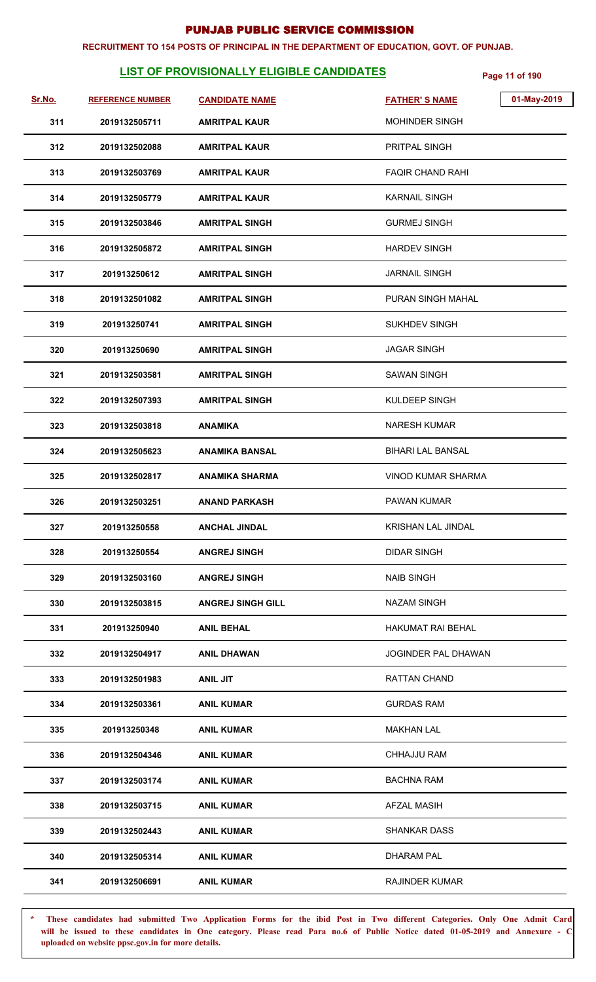#### **RECRUITMENT TO 154 POSTS OF PRINCIPAL IN THE DEPARTMENT OF EDUCATION, GOVT. OF PUNJAB.**

## **LIST OF PROVISIONALLY ELIGIBLE CANDIDATES** Page 11 of 190

| Sr.No. | <b>REFERENCE NUMBER</b> | <b>CANDIDATE NAME</b>    | 01-May-2019<br><b>FATHER'S NAME</b> |
|--------|-------------------------|--------------------------|-------------------------------------|
| 311    | 2019132505711           | <b>AMRITPAL KAUR</b>     | <b>MOHINDER SINGH</b>               |
| 312    | 2019132502088           | <b>AMRITPAL KAUR</b>     | PRITPAL SINGH                       |
| 313    | 2019132503769           | <b>AMRITPAL KAUR</b>     | <b>FAQIR CHAND RAHI</b>             |
| 314    | 2019132505779           | <b>AMRITPAL KAUR</b>     | <b>KARNAIL SINGH</b>                |
| 315    | 2019132503846           | <b>AMRITPAL SINGH</b>    | <b>GURMEJ SINGH</b>                 |
| 316    | 2019132505872           | <b>AMRITPAL SINGH</b>    | <b>HARDEV SINGH</b>                 |
| 317    | 201913250612            | <b>AMRITPAL SINGH</b>    | <b>JARNAIL SINGH</b>                |
| 318    | 2019132501082           | <b>AMRITPAL SINGH</b>    | PURAN SINGH MAHAL                   |
| 319    | 201913250741            | <b>AMRITPAL SINGH</b>    | <b>SUKHDEV SINGH</b>                |
| 320    | 201913250690            | <b>AMRITPAL SINGH</b>    | <b>JAGAR SINGH</b>                  |
| 321    | 2019132503581           | <b>AMRITPAL SINGH</b>    | <b>SAWAN SINGH</b>                  |
| 322    | 2019132507393           | <b>AMRITPAL SINGH</b>    | KULDEEP SINGH                       |
| 323    | 2019132503818           | <b>ANAMIKA</b>           | <b>NARESH KUMAR</b>                 |
| 324    | 2019132505623           | <b>ANAMIKA BANSAL</b>    | <b>BIHARI LAL BANSAL</b>            |
| 325    | 2019132502817           | <b>ANAMIKA SHARMA</b>    | <b>VINOD KUMAR SHARMA</b>           |
| 326    | 2019132503251           | <b>ANAND PARKASH</b>     | <b>PAWAN KUMAR</b>                  |
| 327    | 201913250558            | <b>ANCHAL JINDAL</b>     | KRISHAN LAL JINDAL                  |
| 328    | 201913250554            | <b>ANGREJ SINGH</b>      | <b>DIDAR SINGH</b>                  |
| 329    | 2019132503160           | <b>ANGREJ SINGH</b>      | <b>NAIB SINGH</b>                   |
| 330    | 2019132503815           | <b>ANGREJ SINGH GILL</b> | <b>NAZAM SINGH</b>                  |
| 331    | 201913250940            | <b>ANIL BEHAL</b>        | <b>HAKUMAT RAI BEHAL</b>            |
| 332    | 2019132504917           | <b>ANIL DHAWAN</b>       | <b>JOGINDER PAL DHAWAN</b>          |
| 333    | 2019132501983           | <b>ANIL JIT</b>          | RATTAN CHAND                        |
| 334    | 2019132503361           | <b>ANIL KUMAR</b>        | <b>GURDAS RAM</b>                   |
| 335    | 201913250348            | <b>ANIL KUMAR</b>        | <b>MAKHAN LAL</b>                   |
| 336    | 2019132504346           | <b>ANIL KUMAR</b>        | <b>CHHAJJU RAM</b>                  |
| 337    | 2019132503174           | <b>ANIL KUMAR</b>        | <b>BACHNA RAM</b>                   |
| 338    | 2019132503715           | <b>ANIL KUMAR</b>        | <b>AFZAL MASIH</b>                  |
| 339    | 2019132502443           | <b>ANIL KUMAR</b>        | <b>SHANKAR DASS</b>                 |
| 340    | 2019132505314           | <b>ANIL KUMAR</b>        | <b>DHARAM PAL</b>                   |
| 341    | 2019132506691           | <b>ANIL KUMAR</b>        | <b>RAJINDER KUMAR</b>               |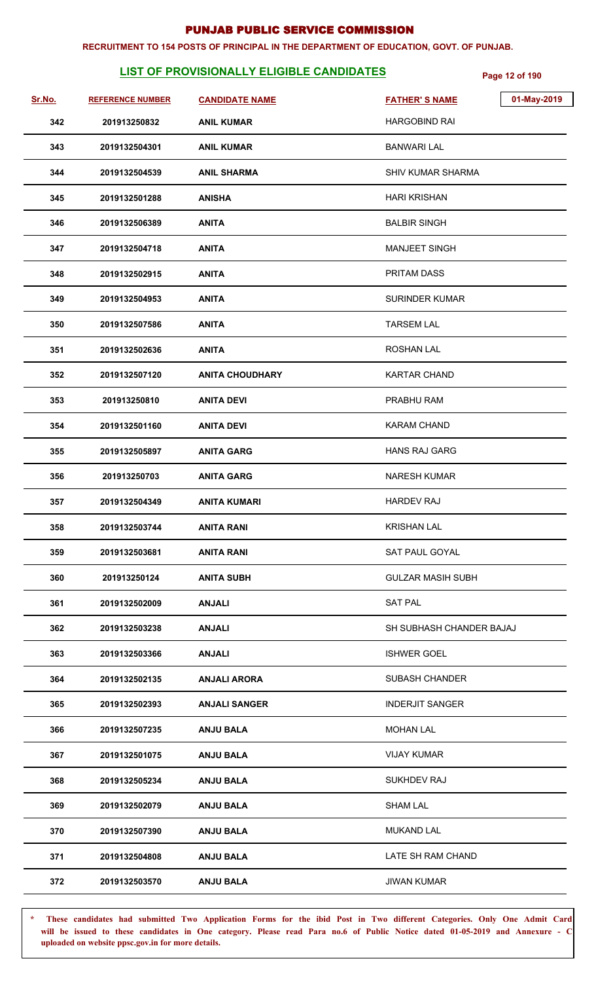#### **RECRUITMENT TO 154 POSTS OF PRINCIPAL IN THE DEPARTMENT OF EDUCATION, GOVT. OF PUNJAB.**

## **LIST OF PROVISIONALLY ELIGIBLE CANDIDATES** Page 12 of 190

| Sr.No. | <b>REFERENCE NUMBER</b> | <b>CANDIDATE NAME</b>  | 01-May-2019<br><b>FATHER'S NAME</b> |
|--------|-------------------------|------------------------|-------------------------------------|
| 342    | 201913250832            | <b>ANIL KUMAR</b>      | <b>HARGOBIND RAI</b>                |
| 343    | 2019132504301           | <b>ANIL KUMAR</b>      | <b>BANWARI LAL</b>                  |
| 344    | 2019132504539           | <b>ANIL SHARMA</b>     | <b>SHIV KUMAR SHARMA</b>            |
| 345    | 2019132501288           | <b>ANISHA</b>          | <b>HARI KRISHAN</b>                 |
| 346    | 2019132506389           | <b>ANITA</b>           | <b>BALBIR SINGH</b>                 |
| 347    | 2019132504718           | <b>ANITA</b>           | <b>MANJEET SINGH</b>                |
| 348    | 2019132502915           | <b>ANITA</b>           | PRITAM DASS                         |
| 349    | 2019132504953           | <b>ANITA</b>           | <b>SURINDER KUMAR</b>               |
| 350    | 2019132507586           | <b>ANITA</b>           | <b>TARSEM LAL</b>                   |
| 351    | 2019132502636           | <b>ANITA</b>           | <b>ROSHAN LAL</b>                   |
| 352    | 2019132507120           | <b>ANITA CHOUDHARY</b> | <b>KARTAR CHAND</b>                 |
| 353    | 201913250810            | <b>ANITA DEVI</b>      | PRABHU RAM                          |
| 354    | 2019132501160           | <b>ANITA DEVI</b>      | <b>KARAM CHAND</b>                  |
| 355    | 2019132505897           | <b>ANITA GARG</b>      | <b>HANS RAJ GARG</b>                |
| 356    | 201913250703            | <b>ANITA GARG</b>      | <b>NARESH KUMAR</b>                 |
| 357    | 2019132504349           | <b>ANITA KUMARI</b>    | <b>HARDEV RAJ</b>                   |
| 358    | 2019132503744           | <b>ANITA RANI</b>      | <b>KRISHAN LAL</b>                  |
| 359    | 2019132503681           | <b>ANITA RANI</b>      | SAT PAUL GOYAL                      |
| 360    | 201913250124            | <b>ANITA SUBH</b>      | <b>GULZAR MASIH SUBH</b>            |
| 361    | 2019132502009           | <b>ANJALI</b>          | <b>SAT PAL</b>                      |
| 362    | 2019132503238           | <b>ANJALI</b>          | SH SUBHASH CHANDER BAJAJ            |
| 363    | 2019132503366           | <b>ANJALI</b>          | <b>ISHWER GOEL</b>                  |
| 364    | 2019132502135           | <b>ANJALI ARORA</b>    | <b>SUBASH CHANDER</b>               |
| 365    | 2019132502393           | <b>ANJALI SANGER</b>   | <b>INDERJIT SANGER</b>              |
| 366    | 2019132507235           | <b>ANJU BALA</b>       | <b>MOHAN LAL</b>                    |
| 367    | 2019132501075           | <b>ANJU BALA</b>       | <b>VIJAY KUMAR</b>                  |
| 368    | 2019132505234           | <b>ANJU BALA</b>       | SUKHDEV RAJ                         |
| 369    | 2019132502079           | <b>ANJU BALA</b>       | <b>SHAM LAL</b>                     |
| 370    | 2019132507390           | <b>ANJU BALA</b>       | <b>MUKAND LAL</b>                   |
| 371    | 2019132504808           | <b>ANJU BALA</b>       | LATE SH RAM CHAND                   |
| 372    | 2019132503570           | <b>ANJU BALA</b>       | <b>JIWAN KUMAR</b>                  |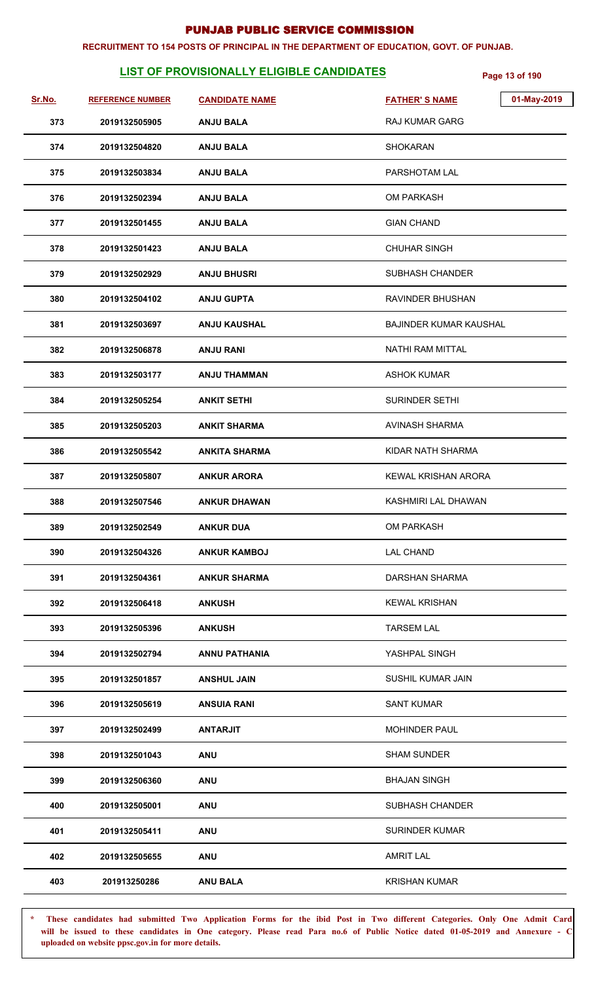#### **RECRUITMENT TO 154 POSTS OF PRINCIPAL IN THE DEPARTMENT OF EDUCATION, GOVT. OF PUNJAB.**

## **LIST OF PROVISIONALLY ELIGIBLE CANDIDATES** Page 13 of 190

| Sr.No. | <b>REFERENCE NUMBER</b> | <b>CANDIDATE NAME</b> | 01-May-2019<br><b>FATHER'S NAME</b> |
|--------|-------------------------|-----------------------|-------------------------------------|
| 373    | 2019132505905           | <b>ANJU BALA</b>      | <b>RAJ KUMAR GARG</b>               |
| 374    | 2019132504820           | <b>ANJU BALA</b>      | <b>SHOKARAN</b>                     |
| 375    | 2019132503834           | <b>ANJU BALA</b>      | PARSHOTAM LAL                       |
| 376    | 2019132502394           | <b>ANJU BALA</b>      | <b>OM PARKASH</b>                   |
| 377    | 2019132501455           | <b>ANJU BALA</b>      | <b>GIAN CHAND</b>                   |
| 378    | 2019132501423           | <b>ANJU BALA</b>      | <b>CHUHAR SINGH</b>                 |
| 379    | 2019132502929           | <b>ANJU BHUSRI</b>    | <b>SUBHASH CHANDER</b>              |
| 380    | 2019132504102           | <b>ANJU GUPTA</b>     | RAVINDER BHUSHAN                    |
| 381    | 2019132503697           | <b>ANJU KAUSHAL</b>   | <b>BAJINDER KUMAR KAUSHAL</b>       |
| 382    | 2019132506878           | <b>ANJU RANI</b>      | NATHI RAM MITTAL                    |
| 383    | 2019132503177           | <b>ANJU THAMMAN</b>   | <b>ASHOK KUMAR</b>                  |
| 384    | 2019132505254           | <b>ANKIT SETHI</b>    | <b>SURINDER SETHI</b>               |
| 385    | 2019132505203           | <b>ANKIT SHARMA</b>   | AVINASH SHARMA                      |
| 386    | 2019132505542           | <b>ANKITA SHARMA</b>  | KIDAR NATH SHARMA                   |
| 387    | 2019132505807           | <b>ANKUR ARORA</b>    | KEWAL KRISHAN ARORA                 |
| 388    | 2019132507546           | <b>ANKUR DHAWAN</b>   | KASHMIRI LAL DHAWAN                 |
| 389    | 2019132502549           | <b>ANKUR DUA</b>      | OM PARKASH                          |
| 390    | 2019132504326           | <b>ANKUR KAMBOJ</b>   | <b>LAL CHAND</b>                    |
| 391    | 2019132504361           | <b>ANKUR SHARMA</b>   | DARSHAN SHARMA                      |
| 392    | 2019132506418           | <b>ANKUSH</b>         | <b>KEWAL KRISHAN</b>                |
| 393    | 2019132505396           | <b>ANKUSH</b>         | <b>TARSEM LAL</b>                   |
| 394    | 2019132502794           | <b>ANNU PATHANIA</b>  | YASHPAL SINGH                       |
| 395    | 2019132501857           | <b>ANSHUL JAIN</b>    | SUSHIL KUMAR JAIN                   |
| 396    | 2019132505619           | <b>ANSUIA RANI</b>    | <b>SANT KUMAR</b>                   |
| 397    | 2019132502499           | <b>ANTARJIT</b>       | <b>MOHINDER PAUL</b>                |
| 398    | 2019132501043           | <b>ANU</b>            | <b>SHAM SUNDER</b>                  |
| 399    | 2019132506360           | <b>ANU</b>            | <b>BHAJAN SINGH</b>                 |
| 400    | 2019132505001           | <b>ANU</b>            | <b>SUBHASH CHANDER</b>              |
| 401    | 2019132505411           | <b>ANU</b>            | <b>SURINDER KUMAR</b>               |
| 402    | 2019132505655           | <b>ANU</b>            | <b>AMRIT LAL</b>                    |
| 403    | 201913250286            | <b>ANU BALA</b>       | <b>KRISHAN KUMAR</b>                |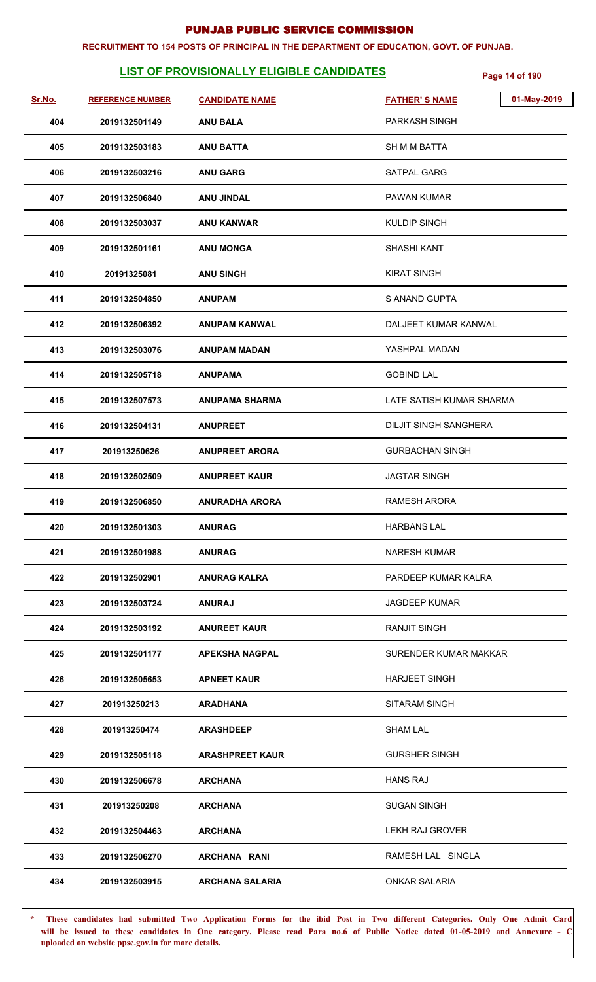#### **RECRUITMENT TO 154 POSTS OF PRINCIPAL IN THE DEPARTMENT OF EDUCATION, GOVT. OF PUNJAB.**

## **LIST OF PROVISIONALLY ELIGIBLE CANDIDATES** Page 14 of 190

| Sr.No. | <b>REFERENCE NUMBER</b> | <b>CANDIDATE NAME</b>  | 01-May-2019<br><b>FATHER'S NAME</b> |
|--------|-------------------------|------------------------|-------------------------------------|
| 404    | 2019132501149           | <b>ANU BALA</b>        | <b>PARKASH SINGH</b>                |
| 405    | 2019132503183           | <b>ANU BATTA</b>       | <b>SH M M BATTA</b>                 |
| 406    | 2019132503216           | <b>ANU GARG</b>        | SATPAL GARG                         |
| 407    | 2019132506840           | <b>ANU JINDAL</b>      | PAWAN KUMAR                         |
| 408    | 2019132503037           | <b>ANU KANWAR</b>      | <b>KULDIP SINGH</b>                 |
| 409    | 2019132501161           | <b>ANU MONGA</b>       | <b>SHASHI KANT</b>                  |
| 410    | 20191325081             | <b>ANU SINGH</b>       | <b>KIRAT SINGH</b>                  |
| 411    | 2019132504850           | <b>ANUPAM</b>          | S ANAND GUPTA                       |
| 412    | 2019132506392           | <b>ANUPAM KANWAL</b>   | DALJEET KUMAR KANWAL                |
| 413    | 2019132503076           | <b>ANUPAM MADAN</b>    | YASHPAL MADAN                       |
| 414    | 2019132505718           | <b>ANUPAMA</b>         | <b>GOBIND LAL</b>                   |
| 415    | 2019132507573           | <b>ANUPAMA SHARMA</b>  | LATE SATISH KUMAR SHARMA            |
| 416    | 2019132504131           | <b>ANUPREET</b>        | <b>DILJIT SINGH SANGHERA</b>        |
| 417    | 201913250626            | <b>ANUPREET ARORA</b>  | <b>GURBACHAN SINGH</b>              |
| 418    | 2019132502509           | <b>ANUPREET KAUR</b>   | <b>JAGTAR SINGH</b>                 |
| 419    | 2019132506850           | <b>ANURADHA ARORA</b>  | RAMESH ARORA                        |
| 420    | 2019132501303           | <b>ANURAG</b>          | <b>HARBANS LAL</b>                  |
| 421    | 2019132501988           | <b>ANURAG</b>          | <b>NARESH KUMAR</b>                 |
| 422    | 2019132502901           | <b>ANURAG KALRA</b>    | PARDEEP KUMAR KALRA                 |
| 423    | 2019132503724           | <b>ANURAJ</b>          | <b>JAGDEEP KUMAR</b>                |
| 424    | 2019132503192           | <b>ANUREET KAUR</b>    | <b>RANJIT SINGH</b>                 |
| 425    | 2019132501177           | <b>APEKSHA NAGPAL</b>  | SURENDER KUMAR MAKKAR               |
| 426    | 2019132505653           | <b>APNEET KAUR</b>     | <b>HARJEET SINGH</b>                |
| 427    | 201913250213            | <b>ARADHANA</b>        | SITARAM SINGH                       |
| 428    | 201913250474            | <b>ARASHDEEP</b>       | <b>SHAM LAL</b>                     |
| 429    | 2019132505118           | <b>ARASHPREET KAUR</b> | <b>GURSHER SINGH</b>                |
| 430    | 2019132506678           | <b>ARCHANA</b>         | <b>HANS RAJ</b>                     |
| 431    | 201913250208            | <b>ARCHANA</b>         | <b>SUGAN SINGH</b>                  |
| 432    | 2019132504463           | <b>ARCHANA</b>         | LEKH RAJ GROVER                     |
| 433    | 2019132506270           | <b>ARCHANA RANI</b>    | RAMESH LAL SINGLA                   |
| 434    | 2019132503915           | <b>ARCHANA SALARIA</b> | <b>ONKAR SALARIA</b>                |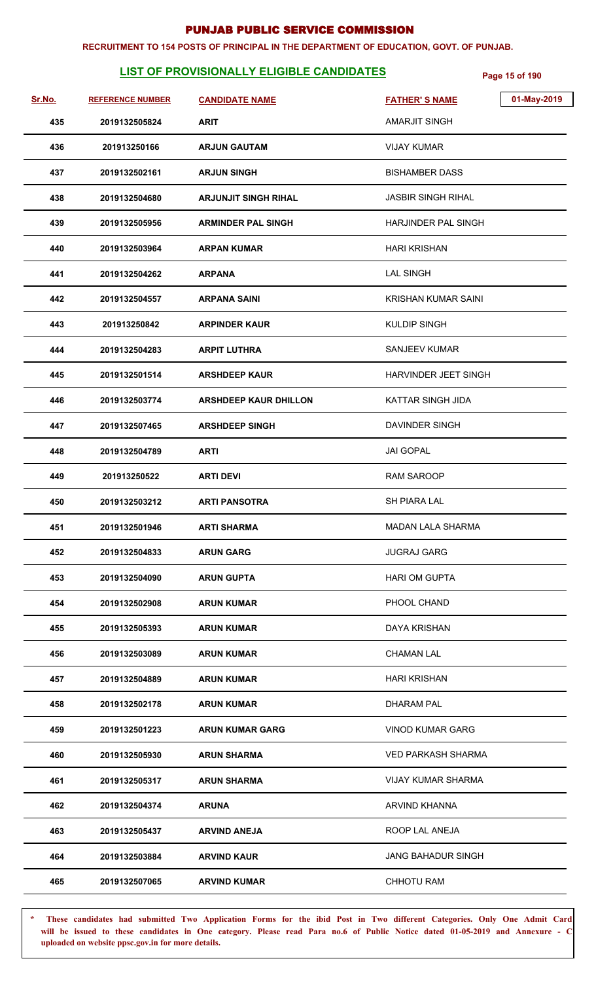#### **RECRUITMENT TO 154 POSTS OF PRINCIPAL IN THE DEPARTMENT OF EDUCATION, GOVT. OF PUNJAB.**

## **LIST OF PROVISIONALLY ELIGIBLE CANDIDATES** Page 15 of 190

| Sr.No. | <b>REFERENCE NUMBER</b> | <b>CANDIDATE NAME</b>        | 01-May-2019<br><b>FATHER'S NAME</b> |
|--------|-------------------------|------------------------------|-------------------------------------|
| 435    | 2019132505824           | <b>ARIT</b>                  | <b>AMARJIT SINGH</b>                |
| 436    | 201913250166            | <b>ARJUN GAUTAM</b>          | <b>VIJAY KUMAR</b>                  |
| 437    | 2019132502161           | <b>ARJUN SINGH</b>           | <b>BISHAMBER DASS</b>               |
| 438    | 2019132504680           | <b>ARJUNJIT SINGH RIHAL</b>  | JASBIR SINGH RIHAL                  |
| 439    | 2019132505956           | <b>ARMINDER PAL SINGH</b>    | HARJINDER PAL SINGH                 |
| 440    | 2019132503964           | <b>ARPAN KUMAR</b>           | <b>HARI KRISHAN</b>                 |
| 441    | 2019132504262           | <b>ARPANA</b>                | <b>LAL SINGH</b>                    |
| 442    | 2019132504557           | <b>ARPANA SAINI</b>          | <b>KRISHAN KUMAR SAINI</b>          |
| 443    | 201913250842            | <b>ARPINDER KAUR</b>         | <b>KULDIP SINGH</b>                 |
| 444    | 2019132504283           | <b>ARPIT LUTHRA</b>          | <b>SANJEEV KUMAR</b>                |
| 445    | 2019132501514           | <b>ARSHDEEP KAUR</b>         | HARVINDER JEET SINGH                |
| 446    | 2019132503774           | <b>ARSHDEEP KAUR DHILLON</b> | <b>KATTAR SINGH JIDA</b>            |
| 447    | 2019132507465           | <b>ARSHDEEP SINGH</b>        | DAVINDER SINGH                      |
| 448    | 2019132504789           | <b>ARTI</b>                  | JAI GOPAL                           |
| 449    | 201913250522            | <b>ARTI DEVI</b>             | <b>RAM SAROOP</b>                   |
| 450    | 2019132503212           | <b>ARTI PANSOTRA</b>         | SH PIARA LAL                        |
| 451    | 2019132501946           | <b>ARTI SHARMA</b>           | <b>MADAN LALA SHARMA</b>            |
| 452    | 2019132504833           | <b>ARUN GARG</b>             | <b>JUGRAJ GARG</b>                  |
| 453    | 2019132504090           | <b>ARUN GUPTA</b>            | <b>HARI OM GUPTA</b>                |
| 454    | 2019132502908           | <b>ARUN KUMAR</b>            | PHOOL CHAND                         |
| 455    | 2019132505393           | <b>ARUN KUMAR</b>            | <b>DAYA KRISHAN</b>                 |
| 456    | 2019132503089           | <b>ARUN KUMAR</b>            | <b>CHAMAN LAL</b>                   |
| 457    | 2019132504889           | <b>ARUN KUMAR</b>            | <b>HARI KRISHAN</b>                 |
| 458    | 2019132502178           | <b>ARUN KUMAR</b>            | DHARAM PAL                          |
| 459    | 2019132501223           | <b>ARUN KUMAR GARG</b>       | <b>VINOD KUMAR GARG</b>             |
| 460    | 2019132505930           | <b>ARUN SHARMA</b>           | VED PARKASH SHARMA                  |
| 461    | 2019132505317           | <b>ARUN SHARMA</b>           | VIJAY KUMAR SHARMA                  |
| 462    | 2019132504374           | <b>ARUNA</b>                 | <b>ARVIND KHANNA</b>                |
| 463    | 2019132505437           | <b>ARVIND ANEJA</b>          | ROOP LAL ANEJA                      |
| 464    | 2019132503884           | <b>ARVIND KAUR</b>           | <b>JANG BAHADUR SINGH</b>           |
| 465    | 2019132507065           | <b>ARVIND KUMAR</b>          | CHHOTU RAM                          |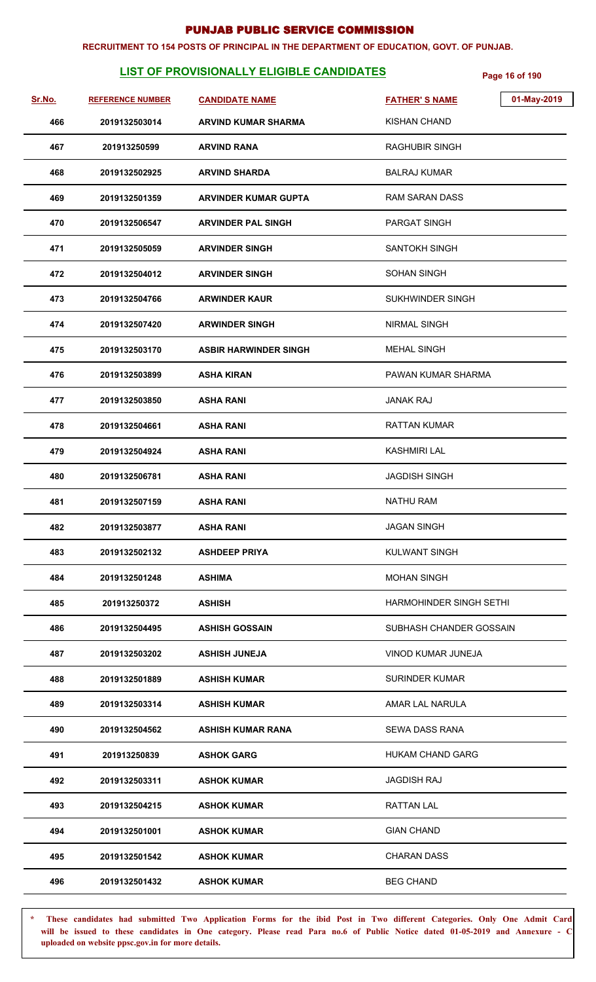#### **RECRUITMENT TO 154 POSTS OF PRINCIPAL IN THE DEPARTMENT OF EDUCATION, GOVT. OF PUNJAB.**

# **LIST OF PROVISIONALLY ELIGIBLE CANDIDATES** Page 16 of 190

| Page 16 of 190 |  |
|----------------|--|

| Sr.No. | <b>REFERENCE NUMBER</b> | <b>CANDIDATE NAME</b>        | 01-May-2019<br><b>FATHER'S NAME</b> |
|--------|-------------------------|------------------------------|-------------------------------------|
| 466    | 2019132503014           | <b>ARVIND KUMAR SHARMA</b>   | <b>KISHAN CHAND</b>                 |
| 467    | 201913250599            | <b>ARVIND RANA</b>           | RAGHUBIR SINGH                      |
| 468    | 2019132502925           | <b>ARVIND SHARDA</b>         | <b>BALRAJ KUMAR</b>                 |
| 469    | 2019132501359           | <b>ARVINDER KUMAR GUPTA</b>  | <b>RAM SARAN DASS</b>               |
| 470    | 2019132506547           | <b>ARVINDER PAL SINGH</b>    | <b>PARGAT SINGH</b>                 |
| 471    | 2019132505059           | <b>ARVINDER SINGH</b>        | SANTOKH SINGH                       |
| 472    | 2019132504012           | <b>ARVINDER SINGH</b>        | <b>SOHAN SINGH</b>                  |
| 473    | 2019132504766           | <b>ARWINDER KAUR</b>         | SUKHWINDER SINGH                    |
| 474    | 2019132507420           | <b>ARWINDER SINGH</b>        | <b>NIRMAL SINGH</b>                 |
| 475    | 2019132503170           | <b>ASBIR HARWINDER SINGH</b> | <b>MEHAL SINGH</b>                  |
| 476    | 2019132503899           | <b>ASHA KIRAN</b>            | PAWAN KUMAR SHARMA                  |
| 477    | 2019132503850           | <b>ASHA RANI</b>             | <b>JANAK RAJ</b>                    |
| 478    | 2019132504661           | <b>ASHA RANI</b>             | <b>RATTAN KUMAR</b>                 |
| 479    | 2019132504924           | <b>ASHA RANI</b>             | KASHMIRI LAL                        |
| 480    | 2019132506781           | <b>ASHA RANI</b>             | <b>JAGDISH SINGH</b>                |
| 481    | 2019132507159           | <b>ASHA RANI</b>             | <b>NATHU RAM</b>                    |
| 482    | 2019132503877           | <b>ASHA RANI</b>             | <b>JAGAN SINGH</b>                  |
| 483    | 2019132502132           | <b>ASHDEEP PRIYA</b>         | <b>KULWANT SINGH</b>                |
| 484    | 2019132501248           | <b>ASHIMA</b>                | <b>MOHAN SINGH</b>                  |
| 485    | 201913250372            | <b>ASHISH</b>                | <b>HARMOHINDER SINGH SETHI</b>      |
| 486    | 2019132504495           | <b>ASHISH GOSSAIN</b>        | SUBHASH CHANDER GOSSAIN             |
| 487    | 2019132503202           | <b>ASHISH JUNEJA</b>         | VINOD KUMAR JUNEJA                  |
| 488    | 2019132501889           | <b>ASHISH KUMAR</b>          | <b>SURINDER KUMAR</b>               |
| 489    | 2019132503314           | <b>ASHISH KUMAR</b>          | AMAR LAL NARULA                     |
| 490    | 2019132504562           | ASHISH KUMAR RANA            | <b>SEWA DASS RANA</b>               |
| 491    | 201913250839            | <b>ASHOK GARG</b>            | <b>HUKAM CHAND GARG</b>             |
| 492    | 2019132503311           | <b>ASHOK KUMAR</b>           | <b>JAGDISH RAJ</b>                  |
| 493    | 2019132504215           | <b>ASHOK KUMAR</b>           | <b>RATTAN LAL</b>                   |
| 494    | 2019132501001           | <b>ASHOK KUMAR</b>           | <b>GIAN CHAND</b>                   |
| 495    | 2019132501542           | <b>ASHOK KUMAR</b>           | <b>CHARAN DASS</b>                  |
| 496    | 2019132501432           | <b>ASHOK KUMAR</b>           | <b>BEG CHAND</b>                    |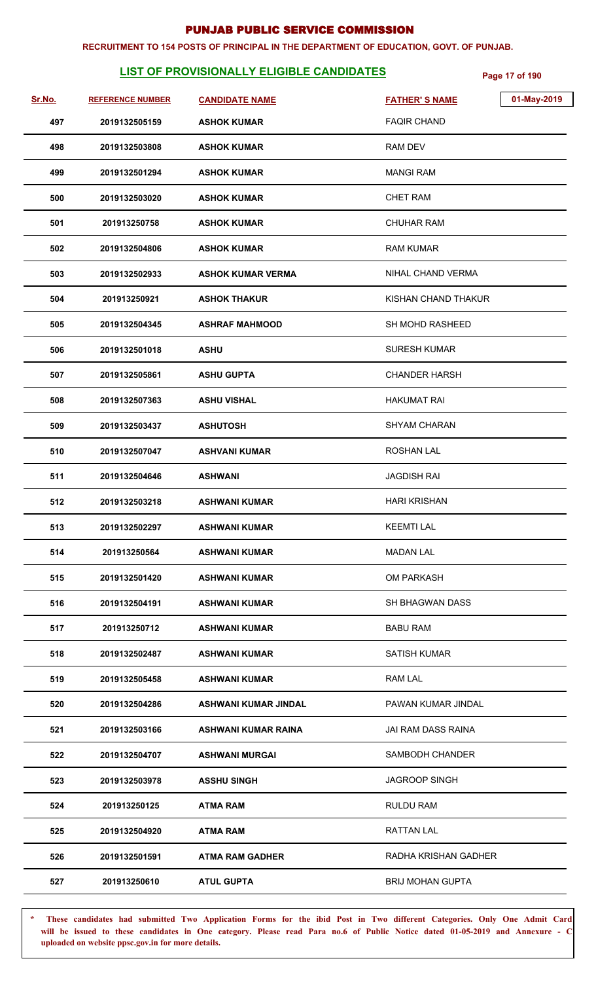#### **RECRUITMENT TO 154 POSTS OF PRINCIPAL IN THE DEPARTMENT OF EDUCATION, GOVT. OF PUNJAB.**

## **LIST OF PROVISIONALLY ELIGIBLE CANDIDATES** Page 17 of 190

| Sr.No. | <b>REFERENCE NUMBER</b> | <b>CANDIDATE NAME</b>       | <b>FATHER'S NAME</b>    | 01-May-2019 |
|--------|-------------------------|-----------------------------|-------------------------|-------------|
| 497    | 2019132505159           | <b>ASHOK KUMAR</b>          | <b>FAQIR CHAND</b>      |             |
| 498    | 2019132503808           | <b>ASHOK KUMAR</b>          | <b>RAM DEV</b>          |             |
| 499    | 2019132501294           | <b>ASHOK KUMAR</b>          | <b>MANGI RAM</b>        |             |
| 500    | 2019132503020           | <b>ASHOK KUMAR</b>          | <b>CHET RAM</b>         |             |
| 501    | 201913250758            | <b>ASHOK KUMAR</b>          | <b>CHUHAR RAM</b>       |             |
| 502    | 2019132504806           | <b>ASHOK KUMAR</b>          | <b>RAM KUMAR</b>        |             |
| 503    | 2019132502933           | <b>ASHOK KUMAR VERMA</b>    | NIHAL CHAND VERMA       |             |
| 504    | 201913250921            | <b>ASHOK THAKUR</b>         | KISHAN CHAND THAKUR     |             |
| 505    | 2019132504345           | <b>ASHRAF MAHMOOD</b>       | SH MOHD RASHEED         |             |
| 506    | 2019132501018           | <b>ASHU</b>                 | <b>SURESH KUMAR</b>     |             |
| 507    | 2019132505861           | <b>ASHU GUPTA</b>           | <b>CHANDER HARSH</b>    |             |
| 508    | 2019132507363           | <b>ASHU VISHAL</b>          | <b>HAKUMAT RAI</b>      |             |
| 509    | 2019132503437           | <b>ASHUTOSH</b>             | <b>SHYAM CHARAN</b>     |             |
| 510    | 2019132507047           | <b>ASHVANI KUMAR</b>        | <b>ROSHAN LAL</b>       |             |
| 511    | 2019132504646           | <b>ASHWANI</b>              | <b>JAGDISH RAI</b>      |             |
| 512    | 2019132503218           | <b>ASHWANI KUMAR</b>        | <b>HARI KRISHAN</b>     |             |
| 513    | 2019132502297           | <b>ASHWANI KUMAR</b>        | <b>KEEMTI LAL</b>       |             |
| 514    | 201913250564            | <b>ASHWANI KUMAR</b>        | <b>MADAN LAL</b>        |             |
| 515    | 2019132501420           | <b>ASHWANI KUMAR</b>        | <b>OM PARKASH</b>       |             |
| 516    | 2019132504191           | <b>ASHWANI KUMAR</b>        | <b>SH BHAGWAN DASS</b>  |             |
| 517    | 201913250712            | <b>ASHWANI KUMAR</b>        | <b>BABU RAM</b>         |             |
| 518    | 2019132502487           | <b>ASHWANI KUMAR</b>        | <b>SATISH KUMAR</b>     |             |
| 519    | 2019132505458           | <b>ASHWANI KUMAR</b>        | RAM LAL                 |             |
| 520    | 2019132504286           | <b>ASHWANI KUMAR JINDAL</b> | PAWAN KUMAR JINDAL      |             |
| 521    | 2019132503166           | <b>ASHWANI KUMAR RAINA</b>  | JAI RAM DASS RAINA      |             |
| 522    | 2019132504707           | <b>ASHWANI MURGAI</b>       | SAMBODH CHANDER         |             |
| 523    | 2019132503978           | <b>ASSHU SINGH</b>          | <b>JAGROOP SINGH</b>    |             |
| 524    | 201913250125            | <b>ATMA RAM</b>             | <b>RULDU RAM</b>        |             |
| 525    | 2019132504920           | <b>ATMA RAM</b>             | <b>RATTAN LAL</b>       |             |
| 526    | 2019132501591           | <b>ATMA RAM GADHER</b>      | RADHA KRISHAN GADHER    |             |
| 527    | 201913250610            | <b>ATUL GUPTA</b>           | <b>BRIJ MOHAN GUPTA</b> |             |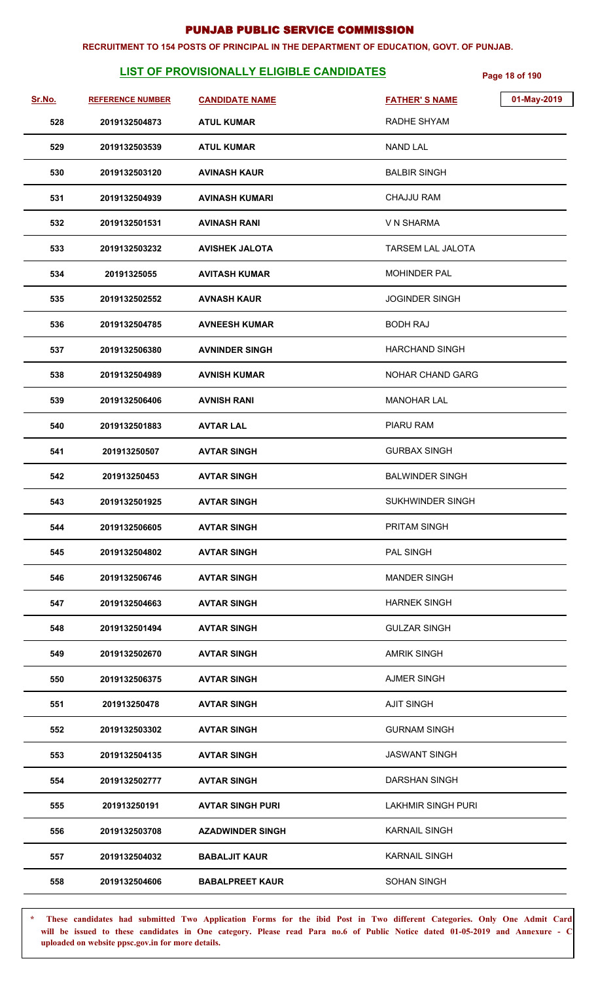#### **RECRUITMENT TO 154 POSTS OF PRINCIPAL IN THE DEPARTMENT OF EDUCATION, GOVT. OF PUNJAB.**

## **LIST OF PROVISIONALLY ELIGIBLE CANDIDATES** Page 18 of 190

| Sr.No. | <b>REFERENCE NUMBER</b> | <b>CANDIDATE NAME</b>   | 01-May-2019<br><b>FATHER'S NAME</b> |
|--------|-------------------------|-------------------------|-------------------------------------|
| 528    | 2019132504873           | <b>ATUL KUMAR</b>       | RADHE SHYAM                         |
| 529    | 2019132503539           | <b>ATUL KUMAR</b>       | <b>NAND LAL</b>                     |
| 530    | 2019132503120           | <b>AVINASH KAUR</b>     | <b>BALBIR SINGH</b>                 |
| 531    | 2019132504939           | <b>AVINASH KUMARI</b>   | <b>CHAJJU RAM</b>                   |
| 532    | 2019132501531           | <b>AVINASH RANI</b>     | V N SHARMA                          |
| 533    | 2019132503232           | <b>AVISHEK JALOTA</b>   | <b>TARSEM LAL JALOTA</b>            |
| 534    | 20191325055             | <b>AVITASH KUMAR</b>    | <b>MOHINDER PAL</b>                 |
| 535    | 2019132502552           | <b>AVNASH KAUR</b>      | <b>JOGINDER SINGH</b>               |
| 536    | 2019132504785           | <b>AVNEESH KUMAR</b>    | <b>BODH RAJ</b>                     |
| 537    | 2019132506380           | <b>AVNINDER SINGH</b>   | <b>HARCHAND SINGH</b>               |
| 538    | 2019132504989           | <b>AVNISH KUMAR</b>     | <b>NOHAR CHAND GARG</b>             |
| 539    | 2019132506406           | <b>AVNISH RANI</b>      | <b>MANOHAR LAL</b>                  |
| 540    | 2019132501883           | <b>AVTAR LAL</b>        | PIARU RAM                           |
| 541    | 201913250507            | <b>AVTAR SINGH</b>      | <b>GURBAX SINGH</b>                 |
| 542    | 201913250453            | <b>AVTAR SINGH</b>      | <b>BALWINDER SINGH</b>              |
| 543    | 2019132501925           | <b>AVTAR SINGH</b>      | <b>SUKHWINDER SINGH</b>             |
| 544    | 2019132506605           | <b>AVTAR SINGH</b>      | PRITAM SINGH                        |
| 545    | 2019132504802           | <b>AVTAR SINGH</b>      | <b>PAL SINGH</b>                    |
| 546    | 2019132506746           | <b>AVTAR SINGH</b>      | <b>MANDER SINGH</b>                 |
| 547    | 2019132504663           | <b>AVTAR SINGH</b>      | <b>HARNEK SINGH</b>                 |
| 548    | 2019132501494           | <b>AVTAR SINGH</b>      | <b>GULZAR SINGH</b>                 |
| 549    | 2019132502670           | <b>AVTAR SINGH</b>      | <b>AMRIK SINGH</b>                  |
| 550    | 2019132506375           | <b>AVTAR SINGH</b>      | <b>AJMER SINGH</b>                  |
| 551    | 201913250478            | <b>AVTAR SINGH</b>      | <b>AJIT SINGH</b>                   |
| 552    | 2019132503302           | <b>AVTAR SINGH</b>      | <b>GURNAM SINGH</b>                 |
| 553    | 2019132504135           | <b>AVTAR SINGH</b>      | <b>JASWANT SINGH</b>                |
| 554    | 2019132502777           | <b>AVTAR SINGH</b>      | DARSHAN SINGH                       |
| 555    | 201913250191            | <b>AVTAR SINGH PURI</b> | <b>LAKHMIR SINGH PURI</b>           |
| 556    | 2019132503708           | <b>AZADWINDER SINGH</b> | <b>KARNAIL SINGH</b>                |
| 557    | 2019132504032           | <b>BABALJIT KAUR</b>    | <b>KARNAIL SINGH</b>                |
| 558    | 2019132504606           | <b>BABALPREET KAUR</b>  | SOHAN SINGH                         |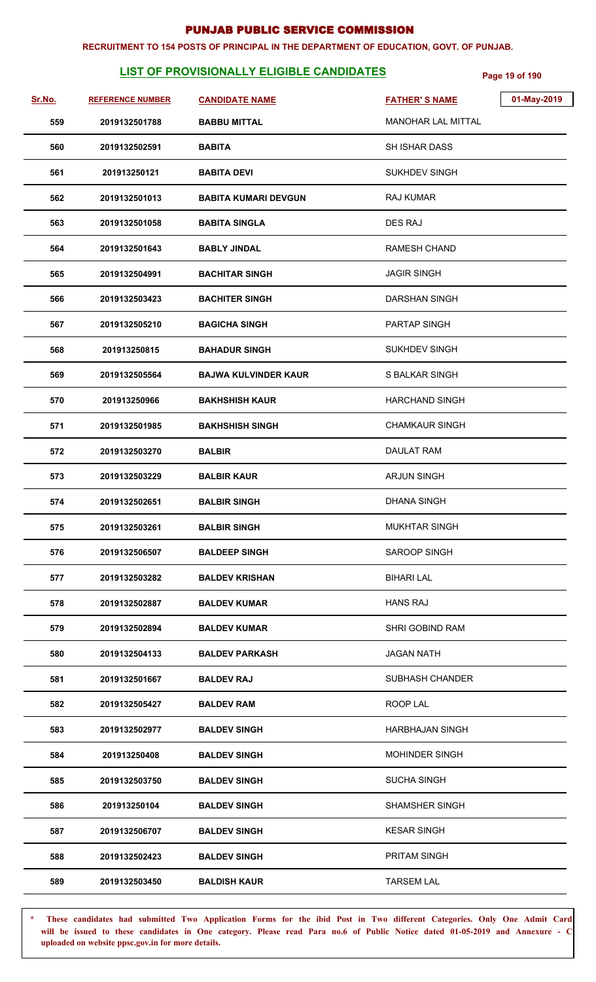#### **RECRUITMENT TO 154 POSTS OF PRINCIPAL IN THE DEPARTMENT OF EDUCATION, GOVT. OF PUNJAB.**

## **LIST OF PROVISIONALLY ELIGIBLE CANDIDATES** Page 19 of 190

| Sr.No. | <b>REFERENCE NUMBER</b> | <b>CANDIDATE NAME</b>       | <b>FATHER'S NAME</b>      | 01-May-2019 |
|--------|-------------------------|-----------------------------|---------------------------|-------------|
| 559    | 2019132501788           | <b>BABBU MITTAL</b>         | <b>MANOHAR LAL MITTAL</b> |             |
| 560    | 2019132502591           | <b>BABITA</b>               | <b>SH ISHAR DASS</b>      |             |
| 561    | 201913250121            | <b>BABITA DEVI</b>          | <b>SUKHDEV SINGH</b>      |             |
| 562    | 2019132501013           | <b>BABITA KUMARI DEVGUN</b> | <b>RAJ KUMAR</b>          |             |
| 563    | 2019132501058           | <b>BABITA SINGLA</b>        | <b>DES RAJ</b>            |             |
| 564    | 2019132501643           | <b>BABLY JINDAL</b>         | <b>RAMESH CHAND</b>       |             |
| 565    | 2019132504991           | <b>BACHITAR SINGH</b>       | <b>JAGIR SINGH</b>        |             |
| 566    | 2019132503423           | <b>BACHITER SINGH</b>       | <b>DARSHAN SINGH</b>      |             |
| 567    | 2019132505210           | <b>BAGICHA SINGH</b>        | PARTAP SINGH              |             |
| 568    | 201913250815            | <b>BAHADUR SINGH</b>        | <b>SUKHDEV SINGH</b>      |             |
| 569    | 2019132505564           | <b>BAJWA KULVINDER KAUR</b> | S BALKAR SINGH            |             |
| 570    | 201913250966            | <b>BAKHSHISH KAUR</b>       | <b>HARCHAND SINGH</b>     |             |
| 571    | 2019132501985           | <b>BAKHSHISH SINGH</b>      | <b>CHAMKAUR SINGH</b>     |             |
| 572    | 2019132503270           | <b>BALBIR</b>               | <b>DAULAT RAM</b>         |             |
| 573    | 2019132503229           | <b>BALBIR KAUR</b>          | <b>ARJUN SINGH</b>        |             |
| 574    | 2019132502651           | <b>BALBIR SINGH</b>         | <b>DHANA SINGH</b>        |             |
| 575    | 2019132503261           | <b>BALBIR SINGH</b>         | <b>MUKHTAR SINGH</b>      |             |
| 576    | 2019132506507           | <b>BALDEEP SINGH</b>        | SAROOP SINGH              |             |
| 577    | 2019132503282           | <b>BALDEV KRISHAN</b>       | <b>BIHARI LAL</b>         |             |
| 578    | 2019132502887           | <b>BALDEV KUMAR</b>         | <b>HANS RAJ</b>           |             |
| 579    | 2019132502894           | <b>BALDEV KUMAR</b>         | SHRI GOBIND RAM           |             |
| 580    | 2019132504133           | <b>BALDEV PARKASH</b>       | <b>JAGAN NATH</b>         |             |
| 581    | 2019132501667           | <b>BALDEV RAJ</b>           | <b>SUBHASH CHANDER</b>    |             |
| 582    | 2019132505427           | <b>BALDEV RAM</b>           | ROOP LAL                  |             |
| 583    | 2019132502977           | <b>BALDEV SINGH</b>         | <b>HARBHAJAN SINGH</b>    |             |
| 584    | 201913250408            | <b>BALDEV SINGH</b>         | <b>MOHINDER SINGH</b>     |             |
| 585    | 2019132503750           | <b>BALDEV SINGH</b>         | <b>SUCHA SINGH</b>        |             |
| 586    | 201913250104            | <b>BALDEV SINGH</b>         | SHAMSHER SINGH            |             |
| 587    | 2019132506707           | <b>BALDEV SINGH</b>         | <b>KESAR SINGH</b>        |             |
| 588    | 2019132502423           | <b>BALDEV SINGH</b>         | <b>PRITAM SINGH</b>       |             |
| 589    | 2019132503450           | <b>BALDISH KAUR</b>         | <b>TARSEM LAL</b>         |             |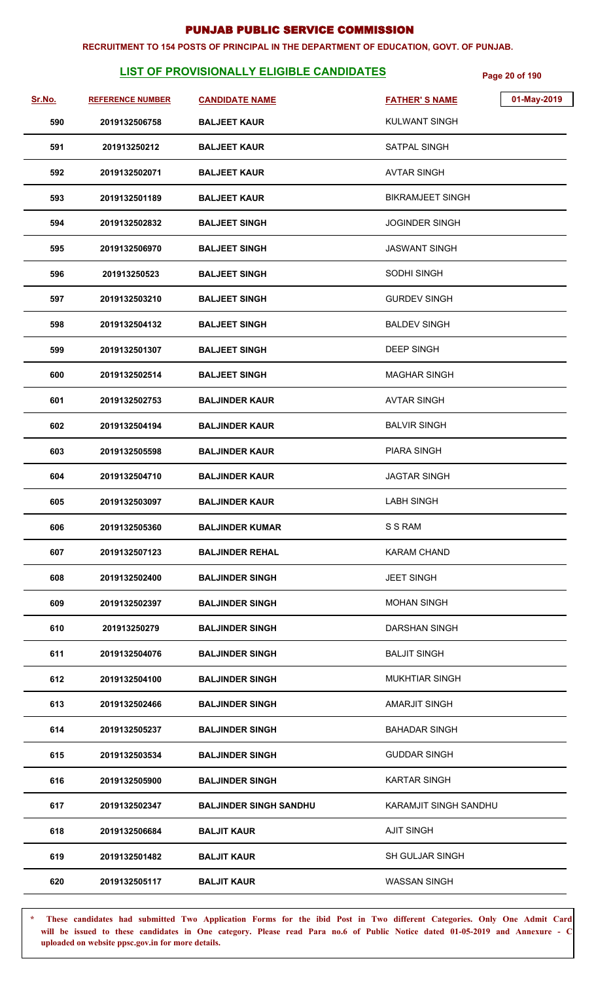#### **RECRUITMENT TO 154 POSTS OF PRINCIPAL IN THE DEPARTMENT OF EDUCATION, GOVT. OF PUNJAB.**

## **LIST OF PROVISIONALLY ELIGIBLE CANDIDATES** Page 20 of 190

| Sr.No. | <b>REFERENCE NUMBER</b> | <b>CANDIDATE NAME</b>         | 01-May-2019<br><b>FATHER'S NAME</b> |
|--------|-------------------------|-------------------------------|-------------------------------------|
| 590    | 2019132506758           | <b>BALJEET KAUR</b>           | <b>KULWANT SINGH</b>                |
| 591    | 201913250212            | <b>BALJEET KAUR</b>           | SATPAL SINGH                        |
| 592    | 2019132502071           | <b>BALJEET KAUR</b>           | AVTAR SINGH                         |
| 593    | 2019132501189           | <b>BALJEET KAUR</b>           | <b>BIKRAMJEET SINGH</b>             |
| 594    | 2019132502832           | <b>BALJEET SINGH</b>          | <b>JOGINDER SINGH</b>               |
| 595    | 2019132506970           | <b>BALJEET SINGH</b>          | JASWANT SINGH                       |
| 596    | 201913250523            | <b>BALJEET SINGH</b>          | <b>SODHI SINGH</b>                  |
| 597    | 2019132503210           | <b>BALJEET SINGH</b>          | <b>GURDEV SINGH</b>                 |
| 598    | 2019132504132           | <b>BALJEET SINGH</b>          | <b>BALDEV SINGH</b>                 |
| 599    | 2019132501307           | <b>BALJEET SINGH</b>          | <b>DEEP SINGH</b>                   |
| 600    | 2019132502514           | <b>BALJEET SINGH</b>          | <b>MAGHAR SINGH</b>                 |
| 601    | 2019132502753           | <b>BALJINDER KAUR</b>         | <b>AVTAR SINGH</b>                  |
| 602    | 2019132504194           | <b>BALJINDER KAUR</b>         | <b>BALVIR SINGH</b>                 |
| 603    | 2019132505598           | <b>BALJINDER KAUR</b>         | <b>PIARA SINGH</b>                  |
| 604    | 2019132504710           | <b>BALJINDER KAUR</b>         | <b>JAGTAR SINGH</b>                 |
| 605    | 2019132503097           | <b>BALJINDER KAUR</b>         | <b>LABH SINGH</b>                   |
| 606    | 2019132505360           | <b>BALJINDER KUMAR</b>        | S S RAM                             |
| 607    | 2019132507123           | <b>BALJINDER REHAL</b>        | <b>KARAM CHAND</b>                  |
| 608    | 2019132502400           | <b>BALJINDER SINGH</b>        | <b>JEET SINGH</b>                   |
| 609    | 2019132502397           | <b>BALJINDER SINGH</b>        | <b>MOHAN SINGH</b>                  |
| 610    | 201913250279            | <b>BALJINDER SINGH</b>        | <b>DARSHAN SINGH</b>                |
| 611    | 2019132504076           | <b>BALJINDER SINGH</b>        | <b>BALJIT SINGH</b>                 |
| 612    | 2019132504100           | <b>BALJINDER SINGH</b>        | <b>MUKHTIAR SINGH</b>               |
| 613    | 2019132502466           | <b>BALJINDER SINGH</b>        | <b>AMARJIT SINGH</b>                |
| 614    | 2019132505237           | <b>BALJINDER SINGH</b>        | <b>BAHADAR SINGH</b>                |
| 615    | 2019132503534           | <b>BALJINDER SINGH</b>        | <b>GUDDAR SINGH</b>                 |
| 616    | 2019132505900           | <b>BALJINDER SINGH</b>        | <b>KARTAR SINGH</b>                 |
| 617    | 2019132502347           | <b>BALJINDER SINGH SANDHU</b> | KARAMJIT SINGH SANDHU               |
| 618    | 2019132506684           | <b>BALJIT KAUR</b>            | <b>AJIT SINGH</b>                   |
| 619    | 2019132501482           | <b>BALJIT KAUR</b>            | <b>SH GULJAR SINGH</b>              |
| 620    | 2019132505117           | <b>BALJIT KAUR</b>            | <b>WASSAN SINGH</b>                 |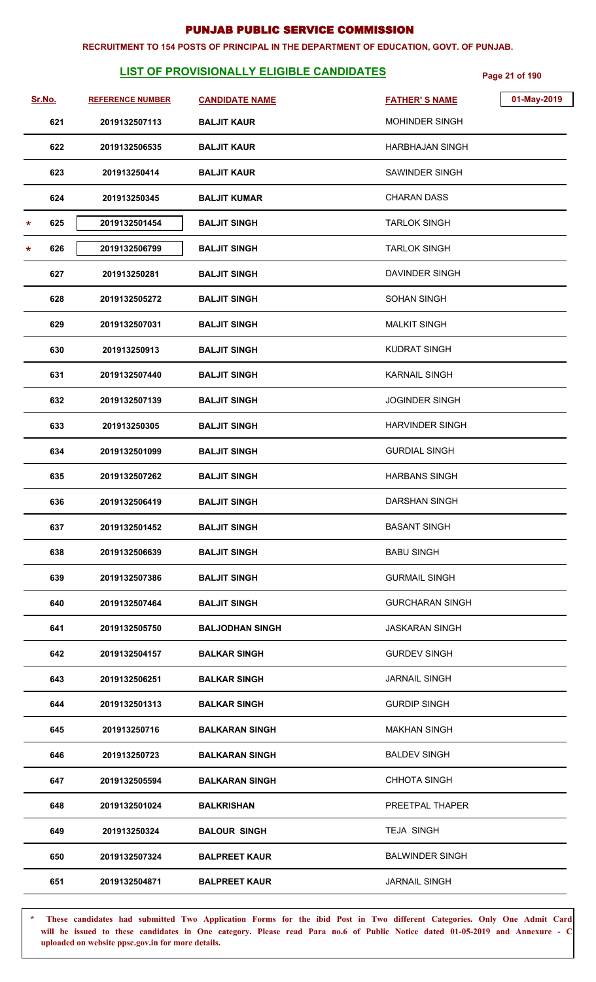#### **RECRUITMENT TO 154 POSTS OF PRINCIPAL IN THE DEPARTMENT OF EDUCATION, GOVT. OF PUNJAB.**

## **LIST OF PROVISIONALLY ELIGIBLE CANDIDATES** Page 21 of 190

| Sr.No.         | <b>REFERENCE NUMBER</b> | <b>CANDIDATE NAME</b>  | 01-May-2019<br><b>FATHER'S NAME</b> |
|----------------|-------------------------|------------------------|-------------------------------------|
| 621            | 2019132507113           | <b>BALJIT KAUR</b>     | <b>MOHINDER SINGH</b>               |
| 622            | 2019132506535           | <b>BALJIT KAUR</b>     | <b>HARBHAJAN SINGH</b>              |
| 623            | 201913250414            | <b>BALJIT KAUR</b>     | <b>SAWINDER SINGH</b>               |
| 624            | 201913250345            | <b>BALJIT KUMAR</b>    | <b>CHARAN DASS</b>                  |
| 625<br>$\star$ | 2019132501454           | <b>BALJIT SINGH</b>    | <b>TARLOK SINGH</b>                 |
| 626<br>*       | 2019132506799           | <b>BALJIT SINGH</b>    | <b>TARLOK SINGH</b>                 |
| 627            | 201913250281            | <b>BALJIT SINGH</b>    | DAVINDER SINGH                      |
| 628            | 2019132505272           | <b>BALJIT SINGH</b>    | <b>SOHAN SINGH</b>                  |
| 629            | 2019132507031           | <b>BALJIT SINGH</b>    | <b>MALKIT SINGH</b>                 |
| 630            | 201913250913            | <b>BALJIT SINGH</b>    | <b>KUDRAT SINGH</b>                 |
| 631            | 2019132507440           | <b>BALJIT SINGH</b>    | <b>KARNAIL SINGH</b>                |
| 632            | 2019132507139           | <b>BALJIT SINGH</b>    | <b>JOGINDER SINGH</b>               |
| 633            | 201913250305            | <b>BALJIT SINGH</b>    | <b>HARVINDER SINGH</b>              |
| 634            | 2019132501099           | <b>BALJIT SINGH</b>    | <b>GURDIAL SINGH</b>                |
| 635            | 2019132507262           | <b>BALJIT SINGH</b>    | <b>HARBANS SINGH</b>                |
| 636            | 2019132506419           | <b>BALJIT SINGH</b>    | DARSHAN SINGH                       |
| 637            | 2019132501452           | <b>BALJIT SINGH</b>    | <b>BASANT SINGH</b>                 |
| 638            | 2019132506639           | <b>BALJIT SINGH</b>    | <b>BABU SINGH</b>                   |
| 639            | 2019132507386           | <b>BALJIT SINGH</b>    | <b>GURMAIL SINGH</b>                |
| 640            | 2019132507464           | <b>BALJIT SINGH</b>    | <b>GURCHARAN SINGH</b>              |
| 641            | 2019132505750           | <b>BALJODHAN SINGH</b> | <b>JASKARAN SINGH</b>               |
| 642            | 2019132504157           | <b>BALKAR SINGH</b>    | <b>GURDEV SINGH</b>                 |
| 643            | 2019132506251           | <b>BALKAR SINGH</b>    | <b>JARNAIL SINGH</b>                |
| 644            | 2019132501313           | <b>BALKAR SINGH</b>    | <b>GURDIP SINGH</b>                 |
| 645            | 201913250716            | <b>BALKARAN SINGH</b>  | <b>MAKHAN SINGH</b>                 |
| 646            | 201913250723            | <b>BALKARAN SINGH</b>  | <b>BALDEV SINGH</b>                 |
| 647            | 2019132505594           | <b>BALKARAN SINGH</b>  | <b>CHHOTA SINGH</b>                 |
| 648            | 2019132501024           | <b>BALKRISHAN</b>      | PREETPAL THAPER                     |
| 649            | 201913250324            | <b>BALOUR SINGH</b>    | <b>TEJA SINGH</b>                   |
| 650            | 2019132507324           | <b>BALPREET KAUR</b>   | <b>BALWINDER SINGH</b>              |
| 651            | 2019132504871           | <b>BALPREET KAUR</b>   | <b>JARNAIL SINGH</b>                |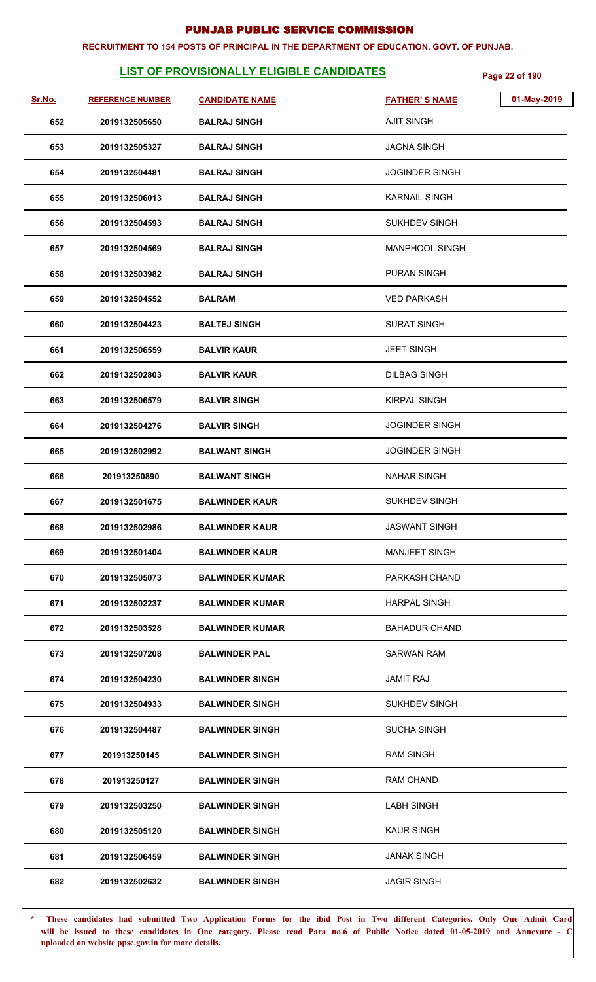#### **RECRUITMENT TO 154 POSTS OF PRINCIPAL IN THE DEPARTMENT OF EDUCATION, GOVT. OF PUNJAB.**

## **LIST OF PROVISIONALLY ELIGIBLE CANDIDATES Page 22 of 190**

| Sr.No. | <b>REFERENCE NUMBER</b> | <b>CANDIDATE NAME</b>  | <b>FATHER'S NAME</b>  | 01-May-2019 |
|--------|-------------------------|------------------------|-----------------------|-------------|
| 652    | 2019132505650           | <b>BALRAJ SINGH</b>    | <b>AJIT SINGH</b>     |             |
| 653    | 2019132505327           | <b>BALRAJ SINGH</b>    | <b>JAGNA SINGH</b>    |             |
| 654    | 2019132504481           | <b>BALRAJ SINGH</b>    | <b>JOGINDER SINGH</b> |             |
| 655    | 2019132506013           | <b>BALRAJ SINGH</b>    | <b>KARNAIL SINGH</b>  |             |
| 656    | 2019132504593           | <b>BALRAJ SINGH</b>    | <b>SUKHDEV SINGH</b>  |             |
| 657    | 2019132504569           | <b>BALRAJ SINGH</b>    | <b>MANPHOOL SINGH</b> |             |
| 658    | 2019132503982           | <b>BALRAJ SINGH</b>    | PURAN SINGH           |             |
| 659    | 2019132504552           | <b>BALRAM</b>          | <b>VED PARKASH</b>    |             |
| 660    | 2019132504423           | <b>BALTEJ SINGH</b>    | <b>SURAT SINGH</b>    |             |
| 661    | 2019132506559           | <b>BALVIR KAUR</b>     | <b>JEET SINGH</b>     |             |
| 662    | 2019132502803           | <b>BALVIR KAUR</b>     | <b>DILBAG SINGH</b>   |             |
| 663    | 2019132506579           | <b>BALVIR SINGH</b>    | <b>KIRPAL SINGH</b>   |             |
| 664    | 2019132504276           | <b>BALVIR SINGH</b>    | <b>JOGINDER SINGH</b> |             |
| 665    | 2019132502992           | <b>BALWANT SINGH</b>   | <b>JOGINDER SINGH</b> |             |
| 666    | 201913250890            | <b>BALWANT SINGH</b>   | <b>NAHAR SINGH</b>    |             |
| 667    | 2019132501675           | <b>BALWINDER KAUR</b>  | <b>SUKHDEV SINGH</b>  |             |
| 668    | 2019132502986           | <b>BALWINDER KAUR</b>  | <b>JASWANT SINGH</b>  |             |
| 669    | 2019132501404           | <b>BALWINDER KAUR</b>  | <b>MANJEET SINGH</b>  |             |
| 670    | 2019132505073           | <b>BALWINDER KUMAR</b> | PARKASH CHAND         |             |
| 671    | 2019132502237           | <b>BALWINDER KUMAR</b> | <b>HARPAL SINGH</b>   |             |
| 672    | 2019132503528           | <b>BALWINDER KUMAR</b> | <b>BAHADUR CHAND</b>  |             |
| 673    | 2019132507208           | <b>BALWINDER PAL</b>   | <b>SARWAN RAM</b>     |             |
| 674    | 2019132504230           | <b>BALWINDER SINGH</b> | <b>JAMIT RAJ</b>      |             |
| 675    | 2019132504933           | <b>BALWINDER SINGH</b> | <b>SUKHDEV SINGH</b>  |             |
| 676    | 2019132504487           | <b>BALWINDER SINGH</b> | <b>SUCHA SINGH</b>    |             |
| 677    | 201913250145            | <b>BALWINDER SINGH</b> | <b>RAM SINGH</b>      |             |
| 678    | 201913250127            | <b>BALWINDER SINGH</b> | <b>RAM CHAND</b>      |             |
| 679    | 2019132503250           | <b>BALWINDER SINGH</b> | <b>LABH SINGH</b>     |             |
| 680    | 2019132505120           | <b>BALWINDER SINGH</b> | <b>KAUR SINGH</b>     |             |
| 681    | 2019132506459           | <b>BALWINDER SINGH</b> | <b>JANAK SINGH</b>    |             |
| 682    | 2019132502632           | <b>BALWINDER SINGH</b> | <b>JAGIR SINGH</b>    |             |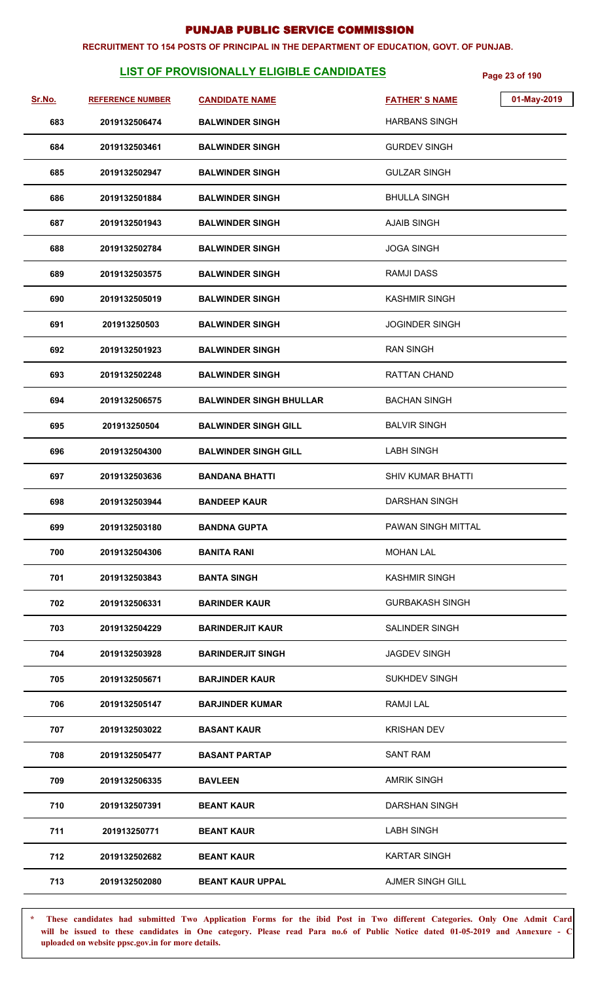#### **RECRUITMENT TO 154 POSTS OF PRINCIPAL IN THE DEPARTMENT OF EDUCATION, GOVT. OF PUNJAB.**

## **LIST OF PROVISIONALLY ELIGIBLE CANDIDATES Page 23 of 190**

| Sr.No. | <b>REFERENCE NUMBER</b> | <b>CANDIDATE NAME</b>          | <b>FATHER'S NAME</b>     | 01-May-2019 |
|--------|-------------------------|--------------------------------|--------------------------|-------------|
| 683    | 2019132506474           | <b>BALWINDER SINGH</b>         | <b>HARBANS SINGH</b>     |             |
| 684    | 2019132503461           | <b>BALWINDER SINGH</b>         | <b>GURDEV SINGH</b>      |             |
| 685    | 2019132502947           | <b>BALWINDER SINGH</b>         | <b>GULZAR SINGH</b>      |             |
| 686    | 2019132501884           | <b>BALWINDER SINGH</b>         | <b>BHULLA SINGH</b>      |             |
| 687    | 2019132501943           | <b>BALWINDER SINGH</b>         | <b>AJAIB SINGH</b>       |             |
| 688    | 2019132502784           | <b>BALWINDER SINGH</b>         | <b>JOGA SINGH</b>        |             |
| 689    | 2019132503575           | <b>BALWINDER SINGH</b>         | <b>RAMJI DASS</b>        |             |
| 690    | 2019132505019           | <b>BALWINDER SINGH</b>         | <b>KASHMIR SINGH</b>     |             |
| 691    | 201913250503            | <b>BALWINDER SINGH</b>         | <b>JOGINDER SINGH</b>    |             |
| 692    | 2019132501923           | <b>BALWINDER SINGH</b>         | <b>RAN SINGH</b>         |             |
| 693    | 2019132502248           | <b>BALWINDER SINGH</b>         | RATTAN CHAND             |             |
| 694    | 2019132506575           | <b>BALWINDER SINGH BHULLAR</b> | <b>BACHAN SINGH</b>      |             |
| 695    | 201913250504            | <b>BALWINDER SINGH GILL</b>    | <b>BALVIR SINGH</b>      |             |
| 696    | 2019132504300           | <b>BALWINDER SINGH GILL</b>    | <b>LABH SINGH</b>        |             |
| 697    | 2019132503636           | <b>BANDANA BHATTI</b>          | <b>SHIV KUMAR BHATTI</b> |             |
| 698    | 2019132503944           | <b>BANDEEP KAUR</b>            | <b>DARSHAN SINGH</b>     |             |
| 699    | 2019132503180           | <b>BANDNA GUPTA</b>            | PAWAN SINGH MITTAL       |             |
| 700    | 2019132504306           | <b>BANITA RANI</b>             | <b>MOHAN LAL</b>         |             |
| 701    | 2019132503843           | <b>BANTA SINGH</b>             | <b>KASHMIR SINGH</b>     |             |
| 702    | 2019132506331           | <b>BARINDER KAUR</b>           | <b>GURBAKASH SINGH</b>   |             |
| 703    | 2019132504229           | <b>BARINDERJIT KAUR</b>        | <b>SALINDER SINGH</b>    |             |
| 704    | 2019132503928           | <b>BARINDERJIT SINGH</b>       | <b>JAGDEV SINGH</b>      |             |
| 705    | 2019132505671           | <b>BARJINDER KAUR</b>          | <b>SUKHDEV SINGH</b>     |             |
| 706    | 2019132505147           | <b>BARJINDER KUMAR</b>         | <b>RAMJILAL</b>          |             |
| 707    | 2019132503022           | <b>BASANT KAUR</b>             | <b>KRISHAN DEV</b>       |             |
| 708    | 2019132505477           | <b>BASANT PARTAP</b>           | <b>SANT RAM</b>          |             |
| 709    | 2019132506335           | <b>BAVLEEN</b>                 | <b>AMRIK SINGH</b>       |             |
| 710    | 2019132507391           | <b>BEANT KAUR</b>              | <b>DARSHAN SINGH</b>     |             |
| 711    | 201913250771            | <b>BEANT KAUR</b>              | <b>LABH SINGH</b>        |             |
| 712    | 2019132502682           | <b>BEANT KAUR</b>              | <b>KARTAR SINGH</b>      |             |
| 713    | 2019132502080           | <b>BEANT KAUR UPPAL</b>        | <b>AJMER SINGH GILL</b>  |             |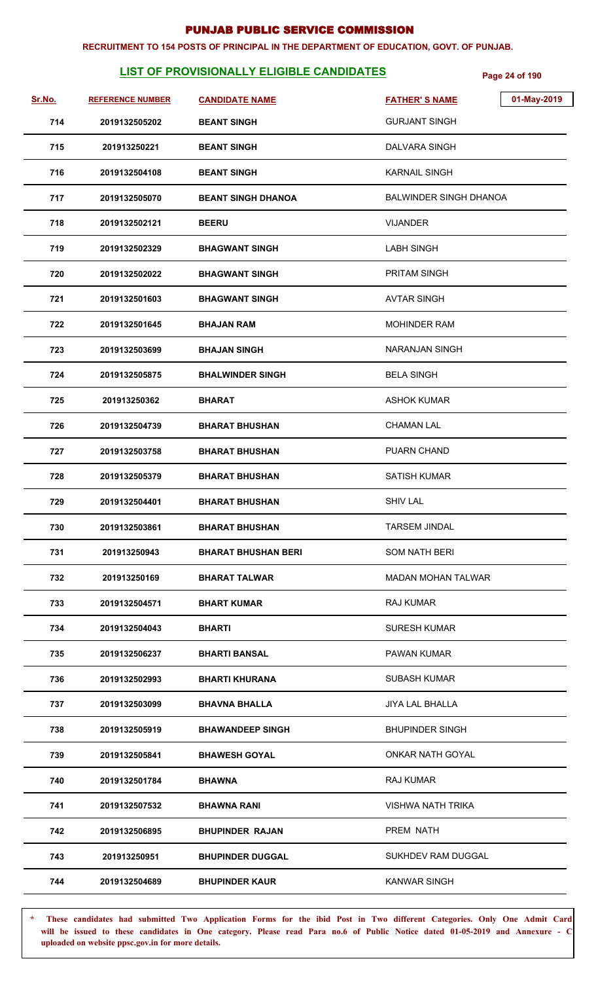#### **RECRUITMENT TO 154 POSTS OF PRINCIPAL IN THE DEPARTMENT OF EDUCATION, GOVT. OF PUNJAB.**

## **LIST OF PROVISIONALLY ELIGIBLE CANDIDATES Page 24 of 190**

| Sr.No. | <b>REFERENCE NUMBER</b> | <b>CANDIDATE NAME</b>      | 01-May-2019<br><b>FATHER'S NAME</b> |
|--------|-------------------------|----------------------------|-------------------------------------|
| 714    | 2019132505202           | <b>BEANT SINGH</b>         | <b>GURJANT SINGH</b>                |
| 715    | 201913250221            | <b>BEANT SINGH</b>         | DALVARA SINGH                       |
| 716    | 2019132504108           | <b>BEANT SINGH</b>         | <b>KARNAIL SINGH</b>                |
| 717    | 2019132505070           | <b>BEANT SINGH DHANOA</b>  | <b>BALWINDER SINGH DHANOA</b>       |
| 718    | 2019132502121           | <b>BEERU</b>               | <b>VIJANDER</b>                     |
| 719    | 2019132502329           | <b>BHAGWANT SINGH</b>      | <b>LABH SINGH</b>                   |
| 720    | 2019132502022           | <b>BHAGWANT SINGH</b>      | <b>PRITAM SINGH</b>                 |
| 721    | 2019132501603           | <b>BHAGWANT SINGH</b>      | <b>AVTAR SINGH</b>                  |
| 722    | 2019132501645           | <b>BHAJAN RAM</b>          | <b>MOHINDER RAM</b>                 |
| 723    | 2019132503699           | <b>BHAJAN SINGH</b>        | NARANJAN SINGH                      |
| 724    | 2019132505875           | <b>BHALWINDER SINGH</b>    | <b>BELA SINGH</b>                   |
| 725    | 201913250362            | <b>BHARAT</b>              | <b>ASHOK KUMAR</b>                  |
| 726    | 2019132504739           | <b>BHARAT BHUSHAN</b>      | <b>CHAMAN LAL</b>                   |
| 727    | 2019132503758           | <b>BHARAT BHUSHAN</b>      | <b>PUARN CHAND</b>                  |
| 728    | 2019132505379           | <b>BHARAT BHUSHAN</b>      | <b>SATISH KUMAR</b>                 |
| 729    | 2019132504401           | <b>BHARAT BHUSHAN</b>      | <b>SHIV LAL</b>                     |
| 730    | 2019132503861           | <b>BHARAT BHUSHAN</b>      | <b>TARSEM JINDAL</b>                |
| 731    | 201913250943            | <b>BHARAT BHUSHAN BERI</b> | <b>SOM NATH BERI</b>                |
| 732    | 201913250169            | <b>BHARAT TALWAR</b>       | <b>MADAN MOHAN TALWAR</b>           |
| 733    | 2019132504571           | <b>BHART KUMAR</b>         | <b>RAJ KUMAR</b>                    |
| 734    | 2019132504043           | <b>BHARTI</b>              | <b>SURESH KUMAR</b>                 |
| 735    | 2019132506237           | <b>BHARTI BANSAL</b>       | <b>PAWAN KUMAR</b>                  |
| 736    | 2019132502993           | <b>BHARTI KHURANA</b>      | <b>SUBASH KUMAR</b>                 |
| 737    | 2019132503099           | <b>BHAVNA BHALLA</b>       | <b>JIYA LAL BHALLA</b>              |
| 738    | 2019132505919           | <b>BHAWANDEEP SINGH</b>    | <b>BHUPINDER SINGH</b>              |
| 739    | 2019132505841           | <b>BHAWESH GOYAL</b>       | ONKAR NATH GOYAL                    |
| 740    | 2019132501784           | <b>BHAWNA</b>              | RAJ KUMAR                           |
| 741    | 2019132507532           | <b>BHAWNA RANI</b>         | <b>VISHWA NATH TRIKA</b>            |
| 742    | 2019132506895           | <b>BHUPINDER RAJAN</b>     | PREM NATH                           |
| 743    | 201913250951            | <b>BHUPINDER DUGGAL</b>    | SUKHDEV RAM DUGGAL                  |
| 744    | 2019132504689           | <b>BHUPINDER KAUR</b>      | <b>KANWAR SINGH</b>                 |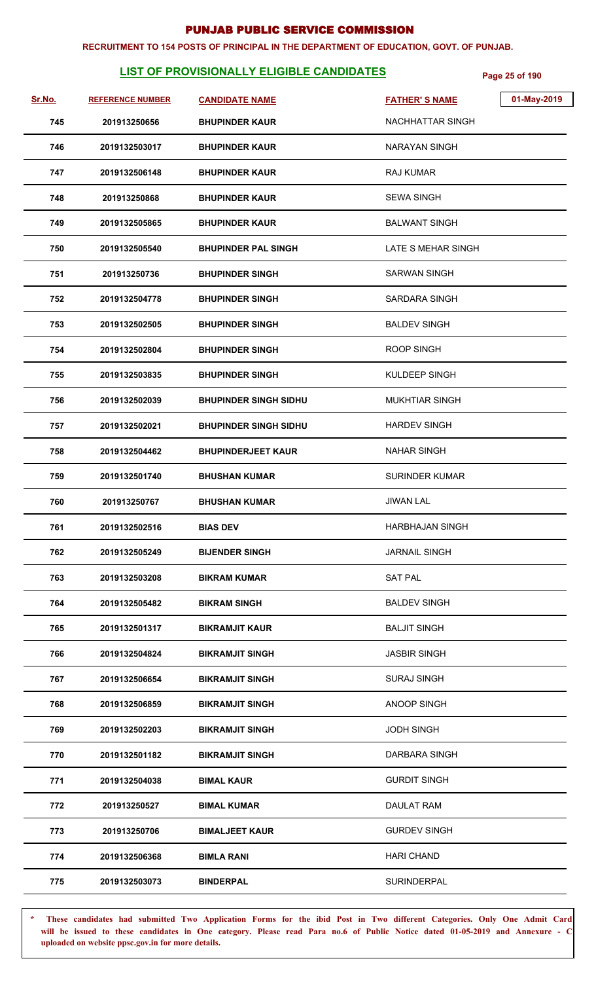#### **RECRUITMENT TO 154 POSTS OF PRINCIPAL IN THE DEPARTMENT OF EDUCATION, GOVT. OF PUNJAB.**

## **LIST OF PROVISIONALLY ELIGIBLE CANDIDATES** Page 25 of 190

| Sr.No. | <b>REFERENCE NUMBER</b> | <b>CANDIDATE NAME</b>        | 01-May-2019<br><b>FATHER'S NAME</b> |
|--------|-------------------------|------------------------------|-------------------------------------|
| 745    | 201913250656            | <b>BHUPINDER KAUR</b>        | NACHHATTAR SINGH                    |
| 746    | 2019132503017           | <b>BHUPINDER KAUR</b>        | <b>NARAYAN SINGH</b>                |
| 747    | 2019132506148           | <b>BHUPINDER KAUR</b>        | RAJ KUMAR                           |
| 748    | 201913250868            | <b>BHUPINDER KAUR</b>        | <b>SEWA SINGH</b>                   |
| 749    | 2019132505865           | <b>BHUPINDER KAUR</b>        | <b>BALWANT SINGH</b>                |
| 750    | 2019132505540           | <b>BHUPINDER PAL SINGH</b>   | LATE S MEHAR SINGH                  |
| 751    | 201913250736            | <b>BHUPINDER SINGH</b>       | SARWAN SINGH                        |
| 752    | 2019132504778           | <b>BHUPINDER SINGH</b>       | SARDARA SINGH                       |
| 753    | 2019132502505           | <b>BHUPINDER SINGH</b>       | <b>BALDEV SINGH</b>                 |
| 754    | 2019132502804           | <b>BHUPINDER SINGH</b>       | ROOP SINGH                          |
| 755    | 2019132503835           | <b>BHUPINDER SINGH</b>       | KULDEEP SINGH                       |
| 756    | 2019132502039           | <b>BHUPINDER SINGH SIDHU</b> | <b>MUKHTIAR SINGH</b>               |
| 757    | 2019132502021           | <b>BHUPINDER SINGH SIDHU</b> | <b>HARDEV SINGH</b>                 |
| 758    | 2019132504462           | <b>BHUPINDERJEET KAUR</b>    | <b>NAHAR SINGH</b>                  |
| 759    | 2019132501740           | <b>BHUSHAN KUMAR</b>         | <b>SURINDER KUMAR</b>               |
| 760    | 201913250767            | <b>BHUSHAN KUMAR</b>         | <b>JIWAN LAL</b>                    |
| 761    | 2019132502516           | <b>BIAS DEV</b>              | <b>HARBHAJAN SINGH</b>              |
| 762    | 2019132505249           | <b>BIJENDER SINGH</b>        | <b>JARNAIL SINGH</b>                |
| 763    | 2019132503208           | <b>BIKRAM KUMAR</b>          | <b>SAT PAL</b>                      |
| 764    | 2019132505482           | <b>BIKRAM SINGH</b>          | <b>BALDEV SINGH</b>                 |
| 765    | 2019132501317           | <b>BIKRAMJIT KAUR</b>        | <b>BALJIT SINGH</b>                 |
| 766    | 2019132504824           | <b>BIKRAMJIT SINGH</b>       | <b>JASBIR SINGH</b>                 |
| 767    | 2019132506654           | <b>BIKRAMJIT SINGH</b>       | <b>SURAJ SINGH</b>                  |
| 768    | 2019132506859           | <b>BIKRAMJIT SINGH</b>       | ANOOP SINGH                         |
| 769    | 2019132502203           | <b>BIKRAMJIT SINGH</b>       | <b>JODH SINGH</b>                   |
| 770    | 2019132501182           | <b>BIKRAMJIT SINGH</b>       | DARBARA SINGH                       |
| 771    | 2019132504038           | <b>BIMAL KAUR</b>            | <b>GURDIT SINGH</b>                 |
| 772    | 201913250527            | <b>BIMAL KUMAR</b>           | DAULAT RAM                          |
| 773    | 201913250706            | <b>BIMALJEET KAUR</b>        | <b>GURDEV SINGH</b>                 |
| 774    | 2019132506368           | <b>BIMLA RANI</b>            | <b>HARI CHAND</b>                   |
| 775    | 2019132503073           | <b>BINDERPAL</b>             | <b>SURINDERPAL</b>                  |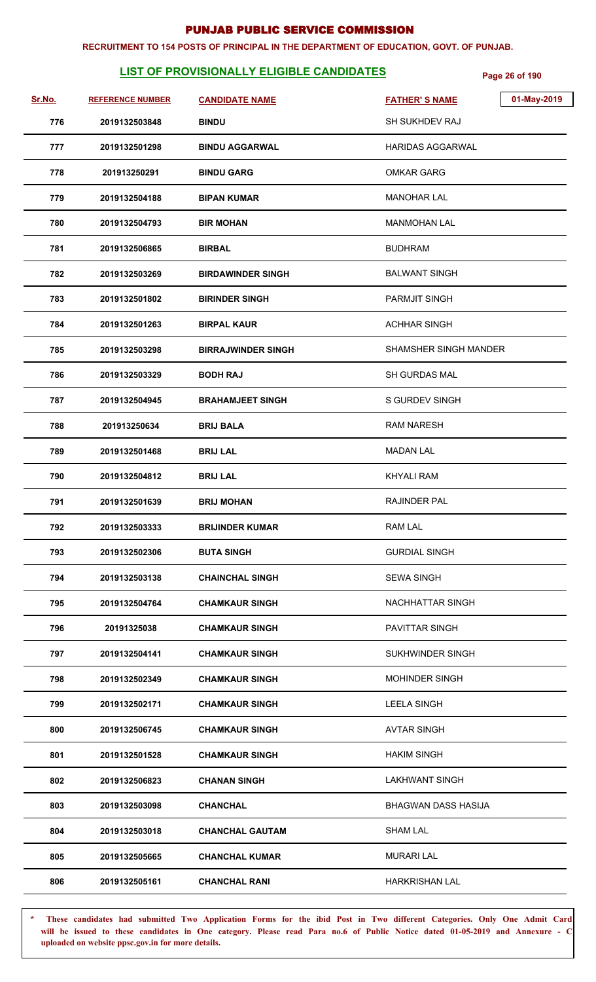#### **RECRUITMENT TO 154 POSTS OF PRINCIPAL IN THE DEPARTMENT OF EDUCATION, GOVT. OF PUNJAB.**

## **LIST OF PROVISIONALLY ELIGIBLE CANDIDATES** Page 26 of 190

| Sr.No. | <b>REFERENCE NUMBER</b> | <b>CANDIDATE NAME</b>     | 01-May-2019<br><b>FATHER'S NAME</b> |
|--------|-------------------------|---------------------------|-------------------------------------|
| 776    | 2019132503848           | <b>BINDU</b>              | SH SUKHDEV RAJ                      |
| 777    | 2019132501298           | <b>BINDU AGGARWAL</b>     | <b>HARIDAS AGGARWAL</b>             |
| 778    | 201913250291            | <b>BINDU GARG</b>         | <b>OMKAR GARG</b>                   |
| 779    | 2019132504188           | <b>BIPAN KUMAR</b>        | <b>MANOHAR LAL</b>                  |
| 780    | 2019132504793           | <b>BIR MOHAN</b>          | <b>MANMOHAN LAL</b>                 |
| 781    | 2019132506865           | <b>BIRBAL</b>             | <b>BUDHRAM</b>                      |
| 782    | 2019132503269           | <b>BIRDAWINDER SINGH</b>  | <b>BALWANT SINGH</b>                |
| 783    | 2019132501802           | <b>BIRINDER SINGH</b>     | <b>PARMJIT SINGH</b>                |
| 784    | 2019132501263           | <b>BIRPAL KAUR</b>        | <b>ACHHAR SINGH</b>                 |
| 785    | 2019132503298           | <b>BIRRAJWINDER SINGH</b> | SHAMSHER SINGH MANDER               |
| 786    | 2019132503329           | <b>BODH RAJ</b>           | <b>SH GURDAS MAL</b>                |
| 787    | 2019132504945           | <b>BRAHAMJEET SINGH</b>   | <b>S GURDEV SINGH</b>               |
| 788    | 201913250634            | <b>BRIJ BALA</b>          | <b>RAM NARESH</b>                   |
| 789    | 2019132501468           | <b>BRIJ LAL</b>           | <b>MADAN LAL</b>                    |
| 790    | 2019132504812           | <b>BRIJ LAL</b>           | <b>KHYALI RAM</b>                   |
| 791    | 2019132501639           | <b>BRIJ MOHAN</b>         | <b>RAJINDER PAL</b>                 |
| 792    | 2019132503333           | <b>BRIJINDER KUMAR</b>    | <b>RAM LAL</b>                      |
| 793    | 2019132502306           | <b>BUTA SINGH</b>         | <b>GURDIAL SINGH</b>                |
| 794    | 2019132503138           | <b>CHAINCHAL SINGH</b>    | <b>SEWA SINGH</b>                   |
| 795    | 2019132504764           | <b>CHAMKAUR SINGH</b>     | NACHHATTAR SINGH                    |
| 796    | 20191325038             | <b>CHAMKAUR SINGH</b>     | PAVITTAR SINGH                      |
| 797    | 2019132504141           | <b>CHAMKAUR SINGH</b>     | <b>SUKHWINDER SINGH</b>             |
| 798    | 2019132502349           | <b>CHAMKAUR SINGH</b>     | <b>MOHINDER SINGH</b>               |
| 799    | 2019132502171           | <b>CHAMKAUR SINGH</b>     | <b>LEELA SINGH</b>                  |
| 800    | 2019132506745           | <b>CHAMKAUR SINGH</b>     | <b>AVTAR SINGH</b>                  |
| 801    | 2019132501528           | <b>CHAMKAUR SINGH</b>     | <b>HAKIM SINGH</b>                  |
| 802    | 2019132506823           | <b>CHANAN SINGH</b>       | <b>LAKHWANT SINGH</b>               |
| 803    | 2019132503098           | <b>CHANCHAL</b>           | <b>BHAGWAN DASS HASIJA</b>          |
| 804    | 2019132503018           | <b>CHANCHAL GAUTAM</b>    | <b>SHAM LAL</b>                     |
| 805    | 2019132505665           | <b>CHANCHAL KUMAR</b>     | <b>MURARI LAL</b>                   |
| 806    | 2019132505161           | <b>CHANCHAL RANI</b>      | <b>HARKRISHAN LAL</b>               |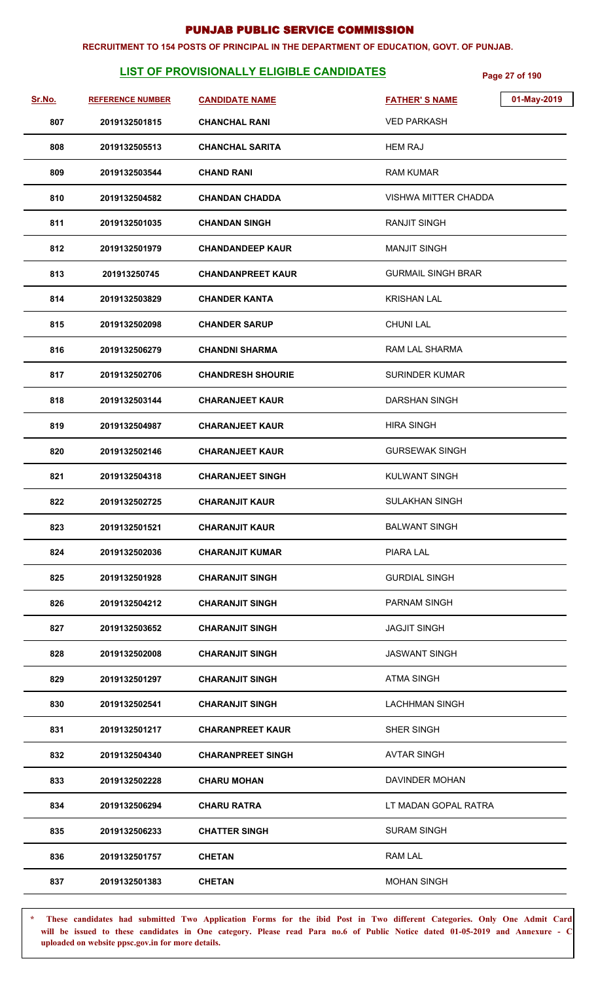#### **RECRUITMENT TO 154 POSTS OF PRINCIPAL IN THE DEPARTMENT OF EDUCATION, GOVT. OF PUNJAB.**

## **LIST OF PROVISIONALLY ELIGIBLE CANDIDATES Page 27 of 190**

| Sr.No. | <b>REFERENCE NUMBER</b> | <b>CANDIDATE NAME</b>    | 01-May-2019<br><b>FATHER'S NAME</b> |
|--------|-------------------------|--------------------------|-------------------------------------|
| 807    | 2019132501815           | <b>CHANCHAL RANI</b>     | <b>VED PARKASH</b>                  |
| 808    | 2019132505513           | <b>CHANCHAL SARITA</b>   | <b>HEM RAJ</b>                      |
| 809    | 2019132503544           | <b>CHAND RANI</b>        | <b>RAM KUMAR</b>                    |
| 810    | 2019132504582           | <b>CHANDAN CHADDA</b>    | VISHWA MITTER CHADDA                |
| 811    | 2019132501035           | <b>CHANDAN SINGH</b>     | <b>RANJIT SINGH</b>                 |
| 812    | 2019132501979           | <b>CHANDANDEEP KAUR</b>  | <b>MANJIT SINGH</b>                 |
| 813    | 201913250745            | <b>CHANDANPREET KAUR</b> | <b>GURMAIL SINGH BRAR</b>           |
| 814    | 2019132503829           | <b>CHANDER KANTA</b>     | <b>KRISHAN LAL</b>                  |
| 815    | 2019132502098           | <b>CHANDER SARUP</b>     | <b>CHUNI LAL</b>                    |
| 816    | 2019132506279           | <b>CHANDNI SHARMA</b>    | <b>RAM LAL SHARMA</b>               |
| 817    | 2019132502706           | <b>CHANDRESH SHOURIE</b> | <b>SURINDER KUMAR</b>               |
| 818    | 2019132503144           | <b>CHARANJEET KAUR</b>   | <b>DARSHAN SINGH</b>                |
| 819    | 2019132504987           | <b>CHARANJEET KAUR</b>   | <b>HIRA SINGH</b>                   |
| 820    | 2019132502146           | <b>CHARANJEET KAUR</b>   | <b>GURSEWAK SINGH</b>               |
| 821    | 2019132504318           | <b>CHARANJEET SINGH</b>  | <b>KULWANT SINGH</b>                |
| 822    | 2019132502725           | <b>CHARANJIT KAUR</b>    | <b>SULAKHAN SINGH</b>               |
| 823    | 2019132501521           | <b>CHARANJIT KAUR</b>    | <b>BALWANT SINGH</b>                |
| 824    | 2019132502036           | <b>CHARANJIT KUMAR</b>   | PIARA LAL                           |
| 825    | 2019132501928           | <b>CHARANJIT SINGH</b>   | <b>GURDIAL SINGH</b>                |
| 826    | 2019132504212           | <b>CHARANJIT SINGH</b>   | <b>PARNAM SINGH</b>                 |
| 827    | 2019132503652           | <b>CHARANJIT SINGH</b>   | <b>JAGJIT SINGH</b>                 |
| 828    | 2019132502008           | <b>CHARANJIT SINGH</b>   | <b>JASWANT SINGH</b>                |
| 829    | 2019132501297           | <b>CHARANJIT SINGH</b>   | <b>ATMA SINGH</b>                   |
| 830    | 2019132502541           | <b>CHARANJIT SINGH</b>   | <b>LACHHMAN SINGH</b>               |
| 831    | 2019132501217           | <b>CHARANPREET KAUR</b>  | SHER SINGH                          |
| 832    | 2019132504340           | <b>CHARANPREET SINGH</b> | <b>AVTAR SINGH</b>                  |
| 833    | 2019132502228           | <b>CHARU MOHAN</b>       | DAVINDER MOHAN                      |
| 834    | 2019132506294           | <b>CHARU RATRA</b>       | LT MADAN GOPAL RATRA                |
| 835    | 2019132506233           | <b>CHATTER SINGH</b>     | <b>SURAM SINGH</b>                  |
| 836    | 2019132501757           | <b>CHETAN</b>            | <b>RAM LAL</b>                      |
| 837    | 2019132501383           | <b>CHETAN</b>            | <b>MOHAN SINGH</b>                  |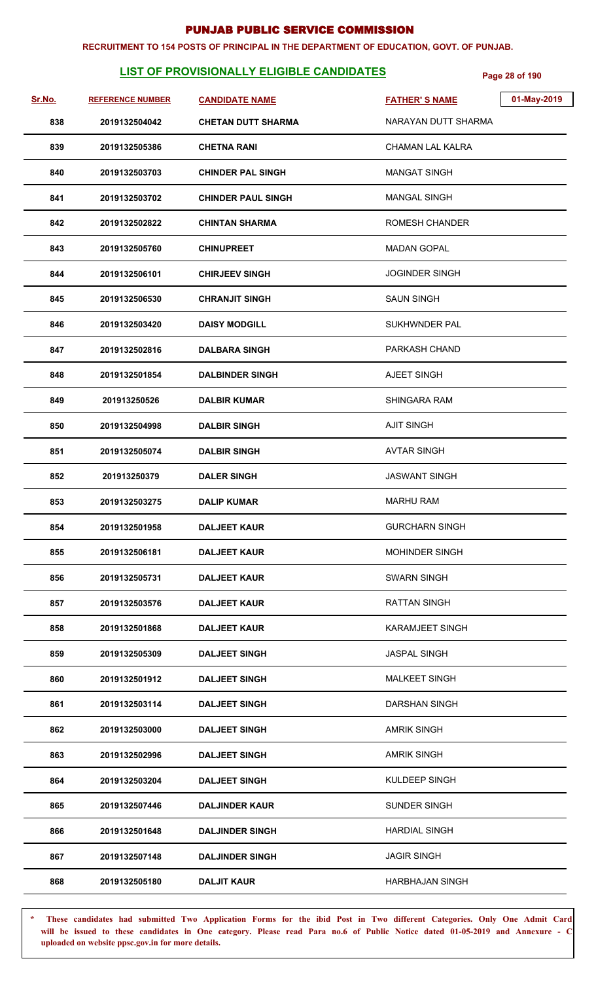#### **RECRUITMENT TO 154 POSTS OF PRINCIPAL IN THE DEPARTMENT OF EDUCATION, GOVT. OF PUNJAB.**

## **LIST OF PROVISIONALLY ELIGIBLE CANDIDATES** Page 28 of 190

| Sr.No. | <b>REFERENCE NUMBER</b> | <b>CANDIDATE NAME</b>     | 01-May-2019<br><b>FATHER'S NAME</b> |
|--------|-------------------------|---------------------------|-------------------------------------|
| 838    | 2019132504042           | <b>CHETAN DUTT SHARMA</b> | NARAYAN DUTT SHARMA                 |
| 839    | 2019132505386           | <b>CHETNA RANI</b>        | CHAMAN LAL KALRA                    |
| 840    | 2019132503703           | <b>CHINDER PAL SINGH</b>  | <b>MANGAT SINGH</b>                 |
| 841    | 2019132503702           | <b>CHINDER PAUL SINGH</b> | <b>MANGAL SINGH</b>                 |
| 842    | 2019132502822           | <b>CHINTAN SHARMA</b>     | <b>ROMESH CHANDER</b>               |
| 843    | 2019132505760           | <b>CHINUPREET</b>         | <b>MADAN GOPAL</b>                  |
| 844    | 2019132506101           | <b>CHIRJEEV SINGH</b>     | <b>JOGINDER SINGH</b>               |
| 845    | 2019132506530           | <b>CHRANJIT SINGH</b>     | <b>SAUN SINGH</b>                   |
| 846    | 2019132503420           | <b>DAISY MODGILL</b>      | <b>SUKHWNDER PAL</b>                |
| 847    | 2019132502816           | <b>DALBARA SINGH</b>      | PARKASH CHAND                       |
| 848    | 2019132501854           | <b>DALBINDER SINGH</b>    | AJEET SINGH                         |
| 849    | 201913250526            | <b>DALBIR KUMAR</b>       | <b>SHINGARA RAM</b>                 |
| 850    | 2019132504998           | <b>DALBIR SINGH</b>       | <b>AJIT SINGH</b>                   |
| 851    | 2019132505074           | <b>DALBIR SINGH</b>       | <b>AVTAR SINGH</b>                  |
| 852    | 201913250379            | <b>DALER SINGH</b>        | <b>JASWANT SINGH</b>                |
| 853    | 2019132503275           | <b>DALIP KUMAR</b>        | <b>MARHU RAM</b>                    |
| 854    | 2019132501958           | <b>DALJEET KAUR</b>       | <b>GURCHARN SINGH</b>               |
| 855    | 2019132506181           | <b>DALJEET KAUR</b>       | <b>MOHINDER SINGH</b>               |
| 856    | 2019132505731           | <b>DALJEET KAUR</b>       | <b>SWARN SINGH</b>                  |
| 857    | 2019132503576           | <b>DALJEET KAUR</b>       | <b>RATTAN SINGH</b>                 |
| 858    | 2019132501868           | <b>DALJEET KAUR</b>       | <b>KARAMJEET SINGH</b>              |
| 859    | 2019132505309           | <b>DALJEET SINGH</b>      | <b>JASPAL SINGH</b>                 |
| 860    | 2019132501912           | <b>DALJEET SINGH</b>      | <b>MALKEET SINGH</b>                |
| 861    | 2019132503114           | <b>DALJEET SINGH</b>      | DARSHAN SINGH                       |
| 862    | 2019132503000           | <b>DALJEET SINGH</b>      | <b>AMRIK SINGH</b>                  |
| 863    | 2019132502996           | <b>DALJEET SINGH</b>      | <b>AMRIK SINGH</b>                  |
| 864    | 2019132503204           | <b>DALJEET SINGH</b>      | KULDEEP SINGH                       |
| 865    | 2019132507446           | <b>DALJINDER KAUR</b>     | <b>SUNDER SINGH</b>                 |
| 866    | 2019132501648           | <b>DALJINDER SINGH</b>    | <b>HARDIAL SINGH</b>                |
| 867    | 2019132507148           | <b>DALJINDER SINGH</b>    | <b>JAGIR SINGH</b>                  |
| 868    | 2019132505180           | <b>DALJIT KAUR</b>        | <b>HARBHAJAN SINGH</b>              |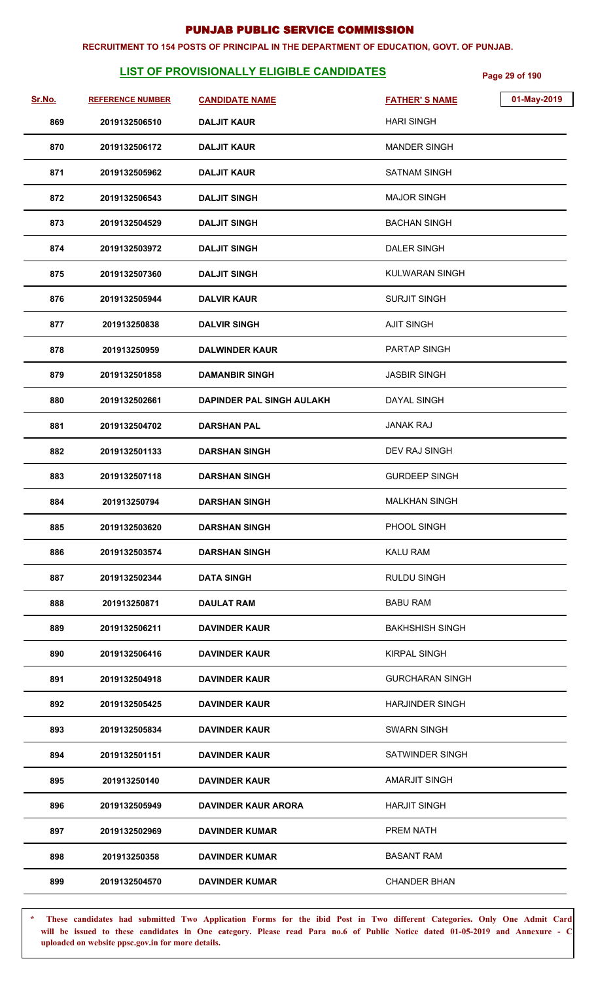#### **RECRUITMENT TO 154 POSTS OF PRINCIPAL IN THE DEPARTMENT OF EDUCATION, GOVT. OF PUNJAB.**

## **LIST OF PROVISIONALLY ELIGIBLE CANDIDATES** Page 29 of 190

| Sr.No. | <b>REFERENCE NUMBER</b> | <b>CANDIDATE NAME</b>      | <b>FATHER'S NAME</b>   | 01-May-2019 |
|--------|-------------------------|----------------------------|------------------------|-------------|
| 869    | 2019132506510           | <b>DALJIT KAUR</b>         | <b>HARI SINGH</b>      |             |
| 870    | 2019132506172           | <b>DALJIT KAUR</b>         | <b>MANDER SINGH</b>    |             |
| 871    | 2019132505962           | <b>DALJIT KAUR</b>         | <b>SATNAM SINGH</b>    |             |
| 872    | 2019132506543           | <b>DALJIT SINGH</b>        | <b>MAJOR SINGH</b>     |             |
| 873    | 2019132504529           | <b>DALJIT SINGH</b>        | <b>BACHAN SINGH</b>    |             |
| 874    | 2019132503972           | <b>DALJIT SINGH</b>        | <b>DALER SINGH</b>     |             |
| 875    | 2019132507360           | <b>DALJIT SINGH</b>        | <b>KULWARAN SINGH</b>  |             |
| 876    | 2019132505944           | <b>DALVIR KAUR</b>         | <b>SURJIT SINGH</b>    |             |
| 877    | 201913250838            | <b>DALVIR SINGH</b>        | <b>AJIT SINGH</b>      |             |
| 878    | 201913250959            | <b>DALWINDER KAUR</b>      | <b>PARTAP SINGH</b>    |             |
| 879    | 2019132501858           | <b>DAMANBIR SINGH</b>      | <b>JASBIR SINGH</b>    |             |
| 880    | 2019132502661           | DAPINDER PAL SINGH AULAKH  | <b>DAYAL SINGH</b>     |             |
| 881    | 2019132504702           | <b>DARSHAN PAL</b>         | <b>JANAK RAJ</b>       |             |
| 882    | 2019132501133           | <b>DARSHAN SINGH</b>       | DEV RAJ SINGH          |             |
| 883    | 2019132507118           | <b>DARSHAN SINGH</b>       | <b>GURDEEP SINGH</b>   |             |
| 884    | 201913250794            | <b>DARSHAN SINGH</b>       | <b>MALKHAN SINGH</b>   |             |
| 885    | 2019132503620           | <b>DARSHAN SINGH</b>       | PHOOL SINGH            |             |
| 886    | 2019132503574           | <b>DARSHAN SINGH</b>       | KALU RAM               |             |
| 887    | 2019132502344           | <b>DATA SINGH</b>          | <b>RULDU SINGH</b>     |             |
| 888    | 201913250871            | <b>DAULAT RAM</b>          | <b>BABU RAM</b>        |             |
| 889    | 2019132506211           | <b>DAVINDER KAUR</b>       | <b>BAKHSHISH SINGH</b> |             |
| 890    | 2019132506416           | <b>DAVINDER KAUR</b>       | <b>KIRPAL SINGH</b>    |             |
| 891    | 2019132504918           | <b>DAVINDER KAUR</b>       | <b>GURCHARAN SINGH</b> |             |
| 892    | 2019132505425           | <b>DAVINDER KAUR</b>       | <b>HARJINDER SINGH</b> |             |
| 893    | 2019132505834           | <b>DAVINDER KAUR</b>       | <b>SWARN SINGH</b>     |             |
| 894    | 2019132501151           | <b>DAVINDER KAUR</b>       | <b>SATWINDER SINGH</b> |             |
| 895    | 201913250140            | <b>DAVINDER KAUR</b>       | <b>AMARJIT SINGH</b>   |             |
| 896    | 2019132505949           | <b>DAVINDER KAUR ARORA</b> | <b>HARJIT SINGH</b>    |             |
| 897    | 2019132502969           | <b>DAVINDER KUMAR</b>      | <b>PREM NATH</b>       |             |
| 898    | 201913250358            | <b>DAVINDER KUMAR</b>      | <b>BASANT RAM</b>      |             |
| 899    | 2019132504570           | <b>DAVINDER KUMAR</b>      | <b>CHANDER BHAN</b>    |             |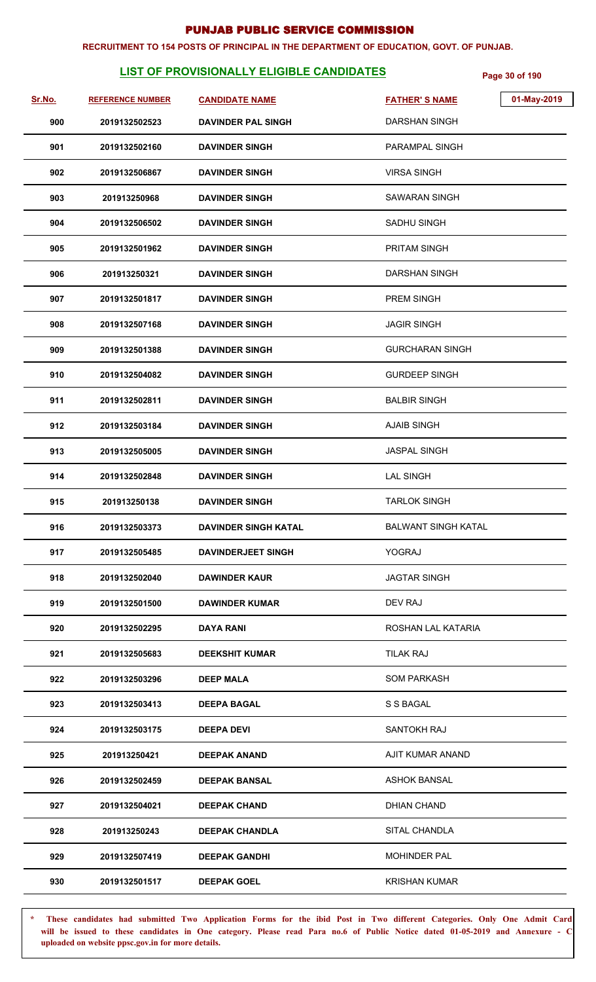#### **RECRUITMENT TO 154 POSTS OF PRINCIPAL IN THE DEPARTMENT OF EDUCATION, GOVT. OF PUNJAB.**

## **LIST OF PROVISIONALLY ELIGIBLE CANDIDATES** Page 30 of 190

| Sr.No. | <b>REFERENCE NUMBER</b> | <b>CANDIDATE NAME</b>       | <b>FATHER'S NAME</b>       | 01-May-2019 |
|--------|-------------------------|-----------------------------|----------------------------|-------------|
| 900    | 2019132502523           | <b>DAVINDER PAL SINGH</b>   | <b>DARSHAN SINGH</b>       |             |
| 901    | 2019132502160           | <b>DAVINDER SINGH</b>       | <b>PARAMPAL SINGH</b>      |             |
| 902    | 2019132506867           | <b>DAVINDER SINGH</b>       | <b>VIRSA SINGH</b>         |             |
| 903    | 201913250968            | <b>DAVINDER SINGH</b>       | <b>SAWARAN SINGH</b>       |             |
| 904    | 2019132506502           | <b>DAVINDER SINGH</b>       | SADHU SINGH                |             |
| 905    | 2019132501962           | <b>DAVINDER SINGH</b>       | <b>PRITAM SINGH</b>        |             |
| 906    | 201913250321            | <b>DAVINDER SINGH</b>       | <b>DARSHAN SINGH</b>       |             |
| 907    | 2019132501817           | <b>DAVINDER SINGH</b>       | PREM SINGH                 |             |
| 908    | 2019132507168           | <b>DAVINDER SINGH</b>       | <b>JAGIR SINGH</b>         |             |
| 909    | 2019132501388           | <b>DAVINDER SINGH</b>       | <b>GURCHARAN SINGH</b>     |             |
| 910    | 2019132504082           | <b>DAVINDER SINGH</b>       | <b>GURDEEP SINGH</b>       |             |
| 911    | 2019132502811           | <b>DAVINDER SINGH</b>       | <b>BALBIR SINGH</b>        |             |
| 912    | 2019132503184           | <b>DAVINDER SINGH</b>       | <b>AJAIB SINGH</b>         |             |
| 913    | 2019132505005           | <b>DAVINDER SINGH</b>       | <b>JASPAL SINGH</b>        |             |
| 914    | 2019132502848           | <b>DAVINDER SINGH</b>       | <b>LAL SINGH</b>           |             |
| 915    | 201913250138            | <b>DAVINDER SINGH</b>       | <b>TARLOK SINGH</b>        |             |
| 916    | 2019132503373           | <b>DAVINDER SINGH KATAL</b> | <b>BALWANT SINGH KATAL</b> |             |
| 917    | 2019132505485           | <b>DAVINDERJEET SINGH</b>   | YOGRAJ                     |             |
| 918    | 2019132502040           | <b>DAWINDER KAUR</b>        | <b>JAGTAR SINGH</b>        |             |
| 919    | 2019132501500           | <b>DAWINDER KUMAR</b>       | DEV RAJ                    |             |
| 920    | 2019132502295           | <b>DAYA RANI</b>            | ROSHAN LAL KATARIA         |             |
| 921    | 2019132505683           | <b>DEEKSHIT KUMAR</b>       | <b>TILAK RAJ</b>           |             |
| 922    | 2019132503296           | <b>DEEP MALA</b>            | <b>SOM PARKASH</b>         |             |
| 923    | 2019132503413           | <b>DEEPA BAGAL</b>          | S S BAGAL                  |             |
| 924    | 2019132503175           | <b>DEEPA DEVI</b>           | SANTOKH RAJ                |             |
| 925    | 201913250421            | <b>DEEPAK ANAND</b>         | AJIT KUMAR ANAND           |             |
| 926    | 2019132502459           | <b>DEEPAK BANSAL</b>        | <b>ASHOK BANSAL</b>        |             |
| 927    | 2019132504021           | <b>DEEPAK CHAND</b>         | <b>DHIAN CHAND</b>         |             |
| 928    | 201913250243            | <b>DEEPAK CHANDLA</b>       | SITAL CHANDLA              |             |
| 929    | 2019132507419           | <b>DEEPAK GANDHI</b>        | <b>MOHINDER PAL</b>        |             |
| 930    | 2019132501517           | <b>DEEPAK GOEL</b>          | <b>KRISHAN KUMAR</b>       |             |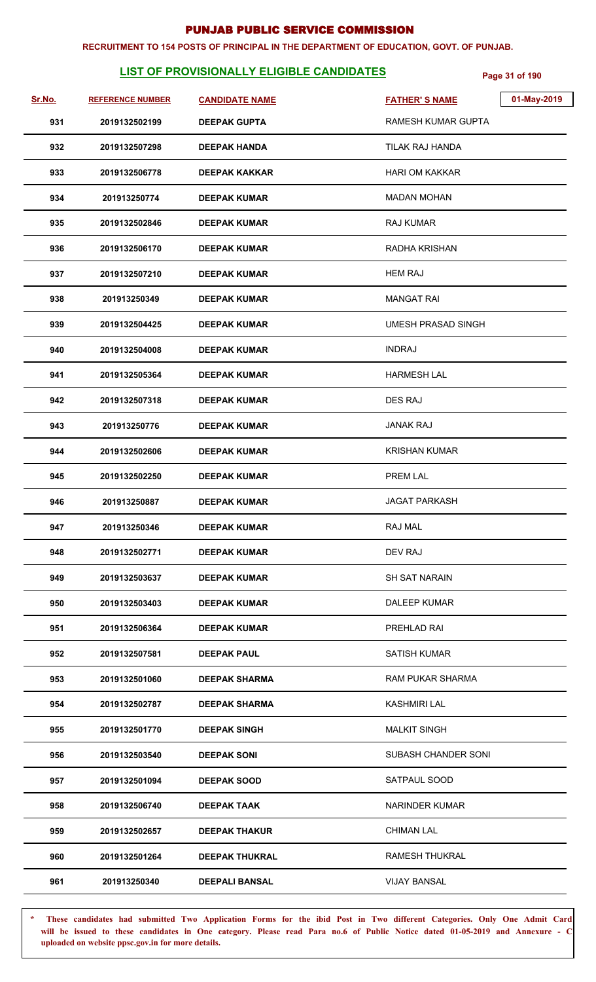#### **RECRUITMENT TO 154 POSTS OF PRINCIPAL IN THE DEPARTMENT OF EDUCATION, GOVT. OF PUNJAB.**

## **LIST OF PROVISIONALLY ELIGIBLE CANDIDATES** Page 31 of 190

| Sr.No. | <b>REFERENCE NUMBER</b> | <b>CANDIDATE NAME</b> | 01-May-2019<br><b>FATHER'S NAME</b> |
|--------|-------------------------|-----------------------|-------------------------------------|
| 931    | 2019132502199           | <b>DEEPAK GUPTA</b>   | RAMESH KUMAR GUPTA                  |
| 932    | 2019132507298           | <b>DEEPAK HANDA</b>   | TILAK RAJ HANDA                     |
| 933    | 2019132506778           | <b>DEEPAK KAKKAR</b>  | <b>HARI OM KAKKAR</b>               |
| 934    | 201913250774            | <b>DEEPAK KUMAR</b>   | <b>MADAN MOHAN</b>                  |
| 935    | 2019132502846           | <b>DEEPAK KUMAR</b>   | <b>RAJ KUMAR</b>                    |
| 936    | 2019132506170           | <b>DEEPAK KUMAR</b>   | RADHA KRISHAN                       |
| 937    | 2019132507210           | <b>DEEPAK KUMAR</b>   | <b>HEM RAJ</b>                      |
| 938    | 201913250349            | <b>DEEPAK KUMAR</b>   | <b>MANGAT RAI</b>                   |
| 939    | 2019132504425           | <b>DEEPAK KUMAR</b>   | <b>UMESH PRASAD SINGH</b>           |
| 940    | 2019132504008           | <b>DEEPAK KUMAR</b>   | <b>INDRAJ</b>                       |
| 941    | 2019132505364           | <b>DEEPAK KUMAR</b>   | <b>HARMESH LAL</b>                  |
| 942    | 2019132507318           | <b>DEEPAK KUMAR</b>   | <b>DES RAJ</b>                      |
| 943    | 201913250776            | <b>DEEPAK KUMAR</b>   | <b>JANAK RAJ</b>                    |
| 944    | 2019132502606           | <b>DEEPAK KUMAR</b>   | <b>KRISHAN KUMAR</b>                |
| 945    | 2019132502250           | <b>DEEPAK KUMAR</b>   | PREM LAL                            |
| 946    | 201913250887            | <b>DEEPAK KUMAR</b>   | <b>JAGAT PARKASH</b>                |
| 947    | 201913250346            | <b>DEEPAK KUMAR</b>   | RAJ MAL                             |
| 948    | 2019132502771           | <b>DEEPAK KUMAR</b>   | DEV RAJ                             |
| 949    | 2019132503637           | <b>DEEPAK KUMAR</b>   | <b>SH SAT NARAIN</b>                |
| 950    | 2019132503403           | <b>DEEPAK KUMAR</b>   | <b>DALEEP KUMAR</b>                 |
| 951    | 2019132506364           | <b>DEEPAK KUMAR</b>   | PREHLAD RAI                         |
| 952    | 2019132507581           | <b>DEEPAK PAUL</b>    | SATISH KUMAR                        |
| 953    | 2019132501060           | <b>DEEPAK SHARMA</b>  | <b>RAM PUKAR SHARMA</b>             |
| 954    | 2019132502787           | <b>DEEPAK SHARMA</b>  | <b>KASHMIRI LAL</b>                 |
| 955    | 2019132501770           | <b>DEEPAK SINGH</b>   | <b>MALKIT SINGH</b>                 |
| 956    | 2019132503540           | <b>DEEPAK SONI</b>    | SUBASH CHANDER SONI                 |
| 957    | 2019132501094           | <b>DEEPAK SOOD</b>    | SATPAUL SOOD                        |
| 958    | 2019132506740           | <b>DEEPAK TAAK</b>    | NARINDER KUMAR                      |
| 959    | 2019132502657           | <b>DEEPAK THAKUR</b>  | <b>CHIMAN LAL</b>                   |
| 960    | 2019132501264           | <b>DEEPAK THUKRAL</b> | <b>RAMESH THUKRAL</b>               |
| 961    | 201913250340            | <b>DEEPALI BANSAL</b> | <b>VIJAY BANSAL</b>                 |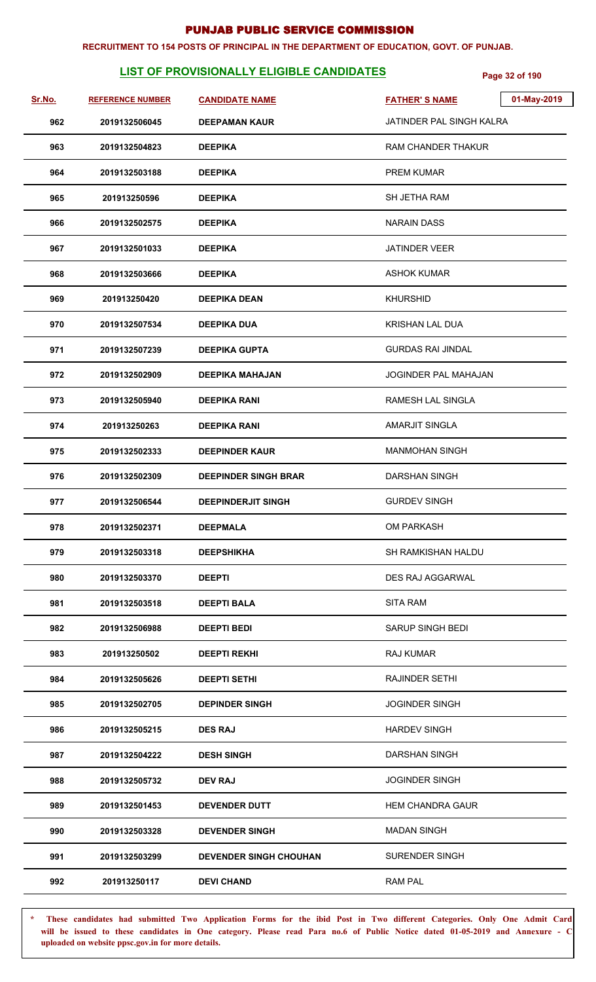#### **RECRUITMENT TO 154 POSTS OF PRINCIPAL IN THE DEPARTMENT OF EDUCATION, GOVT. OF PUNJAB.**

## LIST OF PROVISIONALLY ELIGIBLE CANDIDATES **Page 32 of 190**

| Sr.No. | <b>REFERENCE NUMBER</b> | <b>CANDIDATE NAME</b>         | 01-May-2019<br><b>FATHER'S NAME</b> |  |
|--------|-------------------------|-------------------------------|-------------------------------------|--|
| 962    | 2019132506045           | <b>DEEPAMAN KAUR</b>          | JATINDER PAL SINGH KALRA            |  |
| 963    | 2019132504823           | <b>DEEPIKA</b>                | RAM CHANDER THAKUR                  |  |
| 964    | 2019132503188           | <b>DEEPIKA</b>                | <b>PREM KUMAR</b>                   |  |
| 965    | 201913250596            | <b>DEEPIKA</b>                | SH JETHA RAM                        |  |
| 966    | 2019132502575           | <b>DEEPIKA</b>                | <b>NARAIN DASS</b>                  |  |
| 967    | 2019132501033           | <b>DEEPIKA</b>                | <b>JATINDER VEER</b>                |  |
| 968    | 2019132503666           | <b>DEEPIKA</b>                | <b>ASHOK KUMAR</b>                  |  |
| 969    | 201913250420            | <b>DEEPIKA DEAN</b>           | <b>KHURSHID</b>                     |  |
| 970    | 2019132507534           | <b>DEEPIKA DUA</b>            | <b>KRISHAN LAL DUA</b>              |  |
| 971    | 2019132507239           | <b>DEEPIKA GUPTA</b>          | <b>GURDAS RAI JINDAL</b>            |  |
| 972    | 2019132502909           | <b>DEEPIKA MAHAJAN</b>        | JOGINDER PAL MAHAJAN                |  |
| 973    | 2019132505940           | <b>DEEPIKA RANI</b>           | <b>RAMESH LAL SINGLA</b>            |  |
| 974    | 201913250263            | <b>DEEPIKA RANI</b>           | <b>AMARJIT SINGLA</b>               |  |
| 975    | 2019132502333           | <b>DEEPINDER KAUR</b>         | <b>MANMOHAN SINGH</b>               |  |
| 976    | 2019132502309           | <b>DEEPINDER SINGH BRAR</b>   | <b>DARSHAN SINGH</b>                |  |
| 977    | 2019132506544           | <b>DEEPINDERJIT SINGH</b>     | <b>GURDEV SINGH</b>                 |  |
| 978    | 2019132502371           | <b>DEEPMALA</b>               | <b>OM PARKASH</b>                   |  |
| 979    | 2019132503318           | <b>DEEPSHIKHA</b>             | SH RAMKISHAN HALDU                  |  |
| 980    | 2019132503370           | <b>DEEPTI</b>                 | <b>DES RAJ AGGARWAL</b>             |  |
| 981    | 2019132503518           | <b>DEEPTI BALA</b>            | <b>SITA RAM</b>                     |  |
| 982    | 2019132506988           | <b>DEEPTI BEDI</b>            | <b>SARUP SINGH BEDI</b>             |  |
| 983    | 201913250502            | <b>DEEPTI REKHI</b>           | <b>RAJ KUMAR</b>                    |  |
| 984    | 2019132505626           | <b>DEEPTI SETHI</b>           | <b>RAJINDER SETHI</b>               |  |
| 985    | 2019132502705           | <b>DEPINDER SINGH</b>         | <b>JOGINDER SINGH</b>               |  |
| 986    | 2019132505215           | <b>DES RAJ</b>                | <b>HARDEV SINGH</b>                 |  |
| 987    | 2019132504222           | <b>DESH SINGH</b>             | <b>DARSHAN SINGH</b>                |  |
| 988    | 2019132505732           | <b>DEV RAJ</b>                | <b>JOGINDER SINGH</b>               |  |
| 989    | 2019132501453           | <b>DEVENDER DUTT</b>          | <b>HEM CHANDRA GAUR</b>             |  |
| 990    | 2019132503328           | <b>DEVENDER SINGH</b>         | <b>MADAN SINGH</b>                  |  |
| 991    | 2019132503299           | <b>DEVENDER SINGH CHOUHAN</b> | <b>SURENDER SINGH</b>               |  |
| 992    | 201913250117            | <b>DEVI CHAND</b>             | <b>RAM PAL</b>                      |  |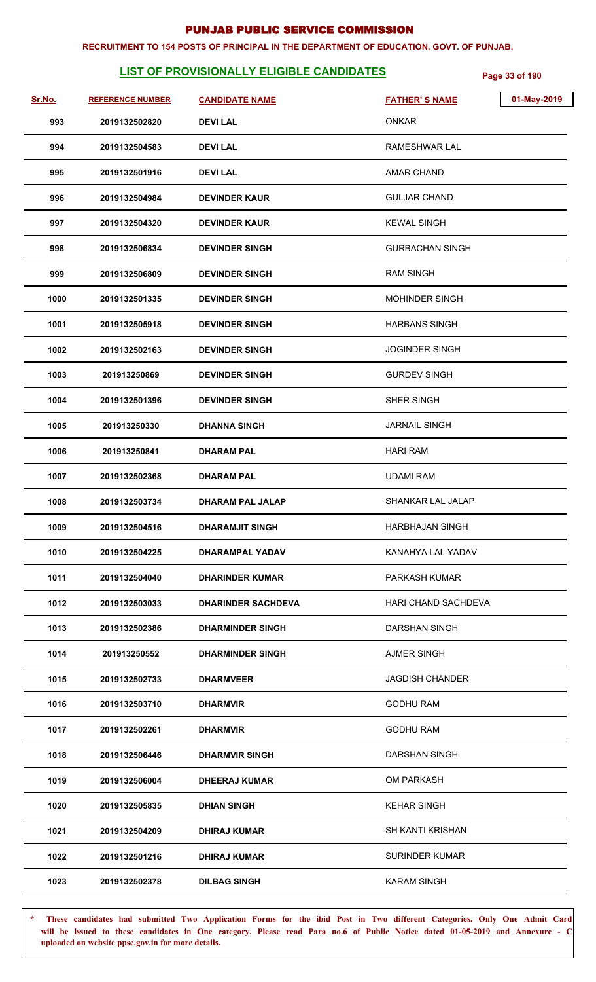### **RECRUITMENT TO 154 POSTS OF PRINCIPAL IN THE DEPARTMENT OF EDUCATION, GOVT. OF PUNJAB.**

## **LIST OF PROVISIONALLY ELIGIBLE CANDIDATES** Page 33 of 190

| Sr.No. | <b>REFERENCE NUMBER</b> | <b>CANDIDATE NAME</b>     | 01-May-2019<br><b>FATHER'S NAME</b> |
|--------|-------------------------|---------------------------|-------------------------------------|
| 993    | 2019132502820           | <b>DEVILAL</b>            | <b>ONKAR</b>                        |
| 994    | 2019132504583           | <b>DEVILAL</b>            | RAMESHWAR LAL                       |
| 995    | 2019132501916           | <b>DEVILAL</b>            | <b>AMAR CHAND</b>                   |
| 996    | 2019132504984           | <b>DEVINDER KAUR</b>      | <b>GULJAR CHAND</b>                 |
| 997    | 2019132504320           | <b>DEVINDER KAUR</b>      | <b>KEWAL SINGH</b>                  |
| 998    | 2019132506834           | <b>DEVINDER SINGH</b>     | <b>GURBACHAN SINGH</b>              |
| 999    | 2019132506809           | <b>DEVINDER SINGH</b>     | <b>RAM SINGH</b>                    |
| 1000   | 2019132501335           | <b>DEVINDER SINGH</b>     | <b>MOHINDER SINGH</b>               |
| 1001   | 2019132505918           | <b>DEVINDER SINGH</b>     | <b>HARBANS SINGH</b>                |
| 1002   | 2019132502163           | <b>DEVINDER SINGH</b>     | <b>JOGINDER SINGH</b>               |
| 1003   | 201913250869            | <b>DEVINDER SINGH</b>     | <b>GURDEV SINGH</b>                 |
| 1004   | 2019132501396           | <b>DEVINDER SINGH</b>     | SHER SINGH                          |
| 1005   | 201913250330            | <b>DHANNA SINGH</b>       | <b>JARNAIL SINGH</b>                |
| 1006   | 201913250841            | <b>DHARAM PAL</b>         | <b>HARI RAM</b>                     |
| 1007   | 2019132502368           | <b>DHARAM PAL</b>         | <b>UDAMI RAM</b>                    |
| 1008   | 2019132503734           | <b>DHARAM PAL JALAP</b>   | SHANKAR LAL JALAP                   |
| 1009   | 2019132504516           | <b>DHARAMJIT SINGH</b>    | <b>HARBHAJAN SINGH</b>              |
| 1010   | 2019132504225           | DHARAMPAL YADAV           | KANAHYA LAL YADAV                   |
| 1011   | 2019132504040           | <b>DHARINDER KUMAR</b>    | PARKASH KUMAR                       |
| 1012   | 2019132503033           | <b>DHARINDER SACHDEVA</b> | <b>HARI CHAND SACHDEVA</b>          |
| 1013   | 2019132502386           | <b>DHARMINDER SINGH</b>   | <b>DARSHAN SINGH</b>                |
| 1014   | 201913250552            | <b>DHARMINDER SINGH</b>   | <b>AJMER SINGH</b>                  |
| 1015   | 2019132502733           | <b>DHARMVEER</b>          | <b>JAGDISH CHANDER</b>              |
| 1016   | 2019132503710           | <b>DHARMVIR</b>           | <b>GODHU RAM</b>                    |
| 1017   | 2019132502261           | <b>DHARMVIR</b>           | <b>GODHU RAM</b>                    |
| 1018   | 2019132506446           | <b>DHARMVIR SINGH</b>     | <b>DARSHAN SINGH</b>                |
| 1019   | 2019132506004           | <b>DHEERAJ KUMAR</b>      | OM PARKASH                          |
| 1020   | 2019132505835           | <b>DHIAN SINGH</b>        | <b>KEHAR SINGH</b>                  |
| 1021   | 2019132504209           | <b>DHIRAJ KUMAR</b>       | <b>SH KANTI KRISHAN</b>             |
| 1022   | 2019132501216           | <b>DHIRAJ KUMAR</b>       | <b>SURINDER KUMAR</b>               |
| 1023   | 2019132502378           | <b>DILBAG SINGH</b>       | <b>KARAM SINGH</b>                  |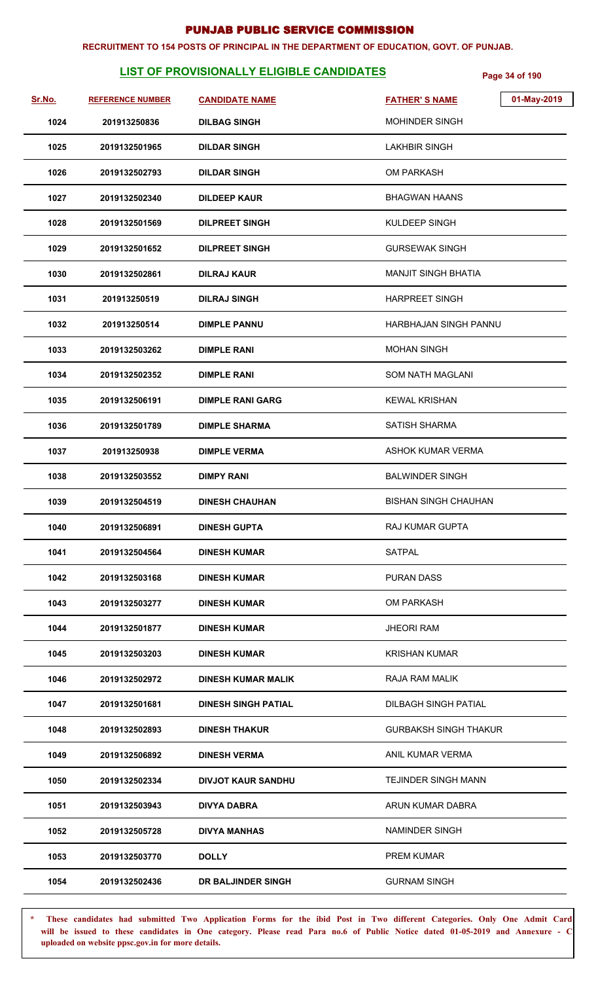#### **RECRUITMENT TO 154 POSTS OF PRINCIPAL IN THE DEPARTMENT OF EDUCATION, GOVT. OF PUNJAB.**

## **LIST OF PROVISIONALLY ELIGIBLE CANDIDATES Page 34 of 190**

| <u>Sr.No.</u> | <b>REFERENCE NUMBER</b> | <b>CANDIDATE NAME</b>      | 01-May-2019<br><b>FATHER'S NAME</b> |
|---------------|-------------------------|----------------------------|-------------------------------------|
| 1024          | 201913250836            | <b>DILBAG SINGH</b>        | <b>MOHINDER SINGH</b>               |
| 1025          | 2019132501965           | <b>DILDAR SINGH</b>        | <b>LAKHBIR SINGH</b>                |
| 1026          | 2019132502793           | <b>DILDAR SINGH</b>        | OM PARKASH                          |
| 1027          | 2019132502340           | <b>DILDEEP KAUR</b>        | <b>BHAGWAN HAANS</b>                |
| 1028          | 2019132501569           | <b>DILPREET SINGH</b>      | KULDEEP SINGH                       |
| 1029          | 2019132501652           | <b>DILPREET SINGH</b>      | <b>GURSEWAK SINGH</b>               |
| 1030          | 2019132502861           | <b>DILRAJ KAUR</b>         | <b>MANJIT SINGH BHATIA</b>          |
| 1031          | 201913250519            | <b>DILRAJ SINGH</b>        | <b>HARPREET SINGH</b>               |
| 1032          | 201913250514            | <b>DIMPLE PANNU</b>        | HARBHAJAN SINGH PANNU               |
| 1033          | 2019132503262           | <b>DIMPLE RANI</b>         | <b>MOHAN SINGH</b>                  |
| 1034          | 2019132502352           | <b>DIMPLE RANI</b>         | <b>SOM NATH MAGLANI</b>             |
| 1035          | 2019132506191           | <b>DIMPLE RANI GARG</b>    | <b>KEWAL KRISHAN</b>                |
| 1036          | 2019132501789           | <b>DIMPLE SHARMA</b>       | <b>SATISH SHARMA</b>                |
| 1037          | 201913250938            | <b>DIMPLE VERMA</b>        | ASHOK KUMAR VERMA                   |
| 1038          | 2019132503552           | <b>DIMPY RANI</b>          | <b>BALWINDER SINGH</b>              |
| 1039          | 2019132504519           | <b>DINESH CHAUHAN</b>      | <b>BISHAN SINGH CHAUHAN</b>         |
| 1040          | 2019132506891           | <b>DINESH GUPTA</b>        | RAJ KUMAR GUPTA                     |
| 1041          | 2019132504564           | <b>DINESH KUMAR</b>        | SATPAL                              |
| 1042          | 2019132503168           | <b>DINESH KUMAR</b>        | <b>PURAN DASS</b>                   |
| 1043          | 2019132503277           | <b>DINESH KUMAR</b>        | OM PARKASH                          |
| 1044          | 2019132501877           | <b>DINESH KUMAR</b>        | <b>JHEORI RAM</b>                   |
| 1045          | 2019132503203           | <b>DINESH KUMAR</b>        | <b>KRISHAN KUMAR</b>                |
| 1046          | 2019132502972           | <b>DINESH KUMAR MALIK</b>  | RAJA RAM MALIK                      |
| 1047          | 2019132501681           | <b>DINESH SINGH PATIAL</b> | DILBAGH SINGH PATIAL                |
| 1048          | 2019132502893           | <b>DINESH THAKUR</b>       | <b>GURBAKSH SINGH THAKUR</b>        |
| 1049          | 2019132506892           | <b>DINESH VERMA</b>        | ANIL KUMAR VERMA                    |
| 1050          | 2019132502334           | <b>DIVJOT KAUR SANDHU</b>  | <b>TEJINDER SINGH MANN</b>          |
| 1051          | 2019132503943           | <b>DIVYA DABRA</b>         | ARUN KUMAR DABRA                    |
| 1052          | 2019132505728           | <b>DIVYA MANHAS</b>        | NAMINDER SINGH                      |
| 1053          | 2019132503770           | <b>DOLLY</b>               | <b>PREM KUMAR</b>                   |
| 1054          | 2019132502436           | DR BALJINDER SINGH         | <b>GURNAM SINGH</b>                 |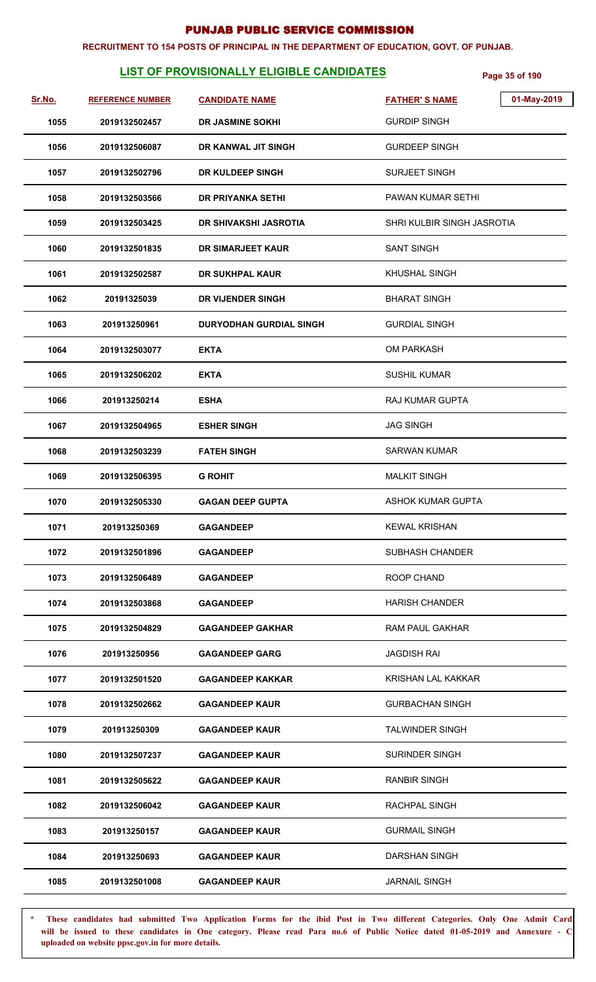#### **RECRUITMENT TO 154 POSTS OF PRINCIPAL IN THE DEPARTMENT OF EDUCATION, GOVT. OF PUNJAB.**

## **LIST OF PROVISIONALLY ELIGIBLE CANDIDATES** Page 35 of 190

| <u>Sr.No.</u> | <b>REFERENCE NUMBER</b> | <b>CANDIDATE NAME</b>          | 01-May-2019<br><b>FATHER'S NAME</b> |
|---------------|-------------------------|--------------------------------|-------------------------------------|
| 1055          | 2019132502457           | <b>DR JASMINE SOKHI</b>        | <b>GURDIP SINGH</b>                 |
| 1056          | 2019132506087           | DR KANWAL JIT SINGH            | <b>GURDEEP SINGH</b>                |
| 1057          | 2019132502796           | DR KULDEEP SINGH               | SURJEET SINGH                       |
| 1058          | 2019132503566           | <b>DR PRIYANKA SETHI</b>       | <b>PAWAN KUMAR SETHI</b>            |
| 1059          | 2019132503425           | <b>DR SHIVAKSHI JASROTIA</b>   | SHRI KULBIR SINGH JASROTIA          |
| 1060          | 2019132501835           | DR SIMARJEET KAUR              | <b>SANT SINGH</b>                   |
| 1061          | 2019132502587           | DR SUKHPAL KAUR                | KHUSHAL SINGH                       |
| 1062          | 20191325039             | DR VIJENDER SINGH              | <b>BHARAT SINGH</b>                 |
| 1063          | 201913250961            | <b>DURYODHAN GURDIAL SINGH</b> | <b>GURDIAL SINGH</b>                |
| 1064          | 2019132503077           | <b>EKTA</b>                    | OM PARKASH                          |
| 1065          | 2019132506202           | <b>EKTA</b>                    | <b>SUSHIL KUMAR</b>                 |
| 1066          | 201913250214            | <b>ESHA</b>                    | RAJ KUMAR GUPTA                     |
| 1067          | 2019132504965           | <b>ESHER SINGH</b>             | <b>JAG SINGH</b>                    |
| 1068          | 2019132503239           | <b>FATEH SINGH</b>             | SARWAN KUMAR                        |
| 1069          | 2019132506395           | <b>G ROHIT</b>                 | <b>MALKIT SINGH</b>                 |
| 1070          | 2019132505330           | <b>GAGAN DEEP GUPTA</b>        | ASHOK KUMAR GUPTA                   |
| 1071          | 201913250369            | <b>GAGANDEEP</b>               | <b>KEWAL KRISHAN</b>                |
| 1072          | 2019132501896           | <b>GAGANDEEP</b>               | <b>SUBHASH CHANDER</b>              |
| 1073          | 2019132506489           | <b>GAGANDEEP</b>               | ROOP CHAND                          |
| 1074          | 2019132503868           | <b>GAGANDEEP</b>               | <b>HARISH CHANDER</b>               |
| 1075          | 2019132504829           | <b>GAGANDEEP GAKHAR</b>        | RAM PAUL GAKHAR                     |
| 1076          | 201913250956            | <b>GAGANDEEP GARG</b>          | <b>JAGDISH RAI</b>                  |
| 1077          | 2019132501520           | <b>GAGANDEEP KAKKAR</b>        | <b>KRISHAN LAL KAKKAR</b>           |
| 1078          | 2019132502662           | <b>GAGANDEEP KAUR</b>          | <b>GURBACHAN SINGH</b>              |
| 1079          | 201913250309            | <b>GAGANDEEP KAUR</b>          | <b>TALWINDER SINGH</b>              |
| 1080          | 2019132507237           | <b>GAGANDEEP KAUR</b>          | <b>SURINDER SINGH</b>               |
| 1081          | 2019132505622           | <b>GAGANDEEP KAUR</b>          | <b>RANBIR SINGH</b>                 |
| 1082          | 2019132506042           | <b>GAGANDEEP KAUR</b>          | RACHPAL SINGH                       |
| 1083          | 201913250157            | <b>GAGANDEEP KAUR</b>          | <b>GURMAIL SINGH</b>                |
| 1084          | 201913250693            | <b>GAGANDEEP KAUR</b>          | <b>DARSHAN SINGH</b>                |
| 1085          | 2019132501008           | <b>GAGANDEEP KAUR</b>          | <b>JARNAIL SINGH</b>                |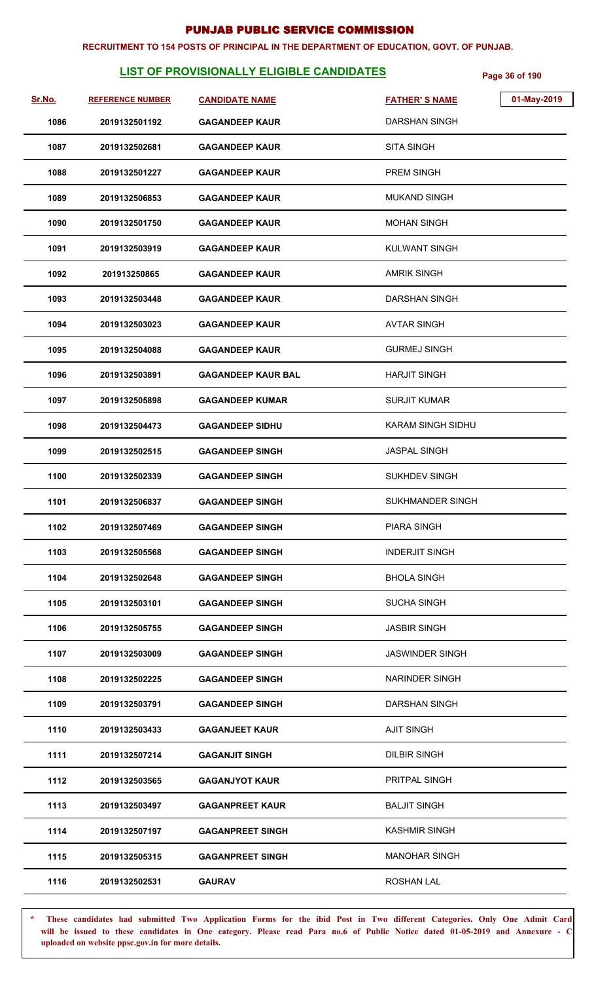#### **RECRUITMENT TO 154 POSTS OF PRINCIPAL IN THE DEPARTMENT OF EDUCATION, GOVT. OF PUNJAB.**

## **LIST OF PROVISIONALLY ELIGIBLE CANDIDATES** Page 36 of 190

| Sr.No. | <b>REFERENCE NUMBER</b> | <b>CANDIDATE NAME</b>     | <b>FATHER'S NAME</b>     | 01-May-2019 |
|--------|-------------------------|---------------------------|--------------------------|-------------|
| 1086   | 2019132501192           | <b>GAGANDEEP KAUR</b>     | <b>DARSHAN SINGH</b>     |             |
| 1087   | 2019132502681           | <b>GAGANDEEP KAUR</b>     | <b>SITA SINGH</b>        |             |
| 1088   | 2019132501227           | <b>GAGANDEEP KAUR</b>     | PREM SINGH               |             |
| 1089   | 2019132506853           | <b>GAGANDEEP KAUR</b>     | <b>MUKAND SINGH</b>      |             |
| 1090   | 2019132501750           | <b>GAGANDEEP KAUR</b>     | <b>MOHAN SINGH</b>       |             |
| 1091   | 2019132503919           | <b>GAGANDEEP KAUR</b>     | KULWANT SINGH            |             |
| 1092   | 201913250865            | <b>GAGANDEEP KAUR</b>     | <b>AMRIK SINGH</b>       |             |
| 1093   | 2019132503448           | <b>GAGANDEEP KAUR</b>     | <b>DARSHAN SINGH</b>     |             |
| 1094   | 2019132503023           | <b>GAGANDEEP KAUR</b>     | <b>AVTAR SINGH</b>       |             |
| 1095   | 2019132504088           | <b>GAGANDEEP KAUR</b>     | <b>GURMEJ SINGH</b>      |             |
| 1096   | 2019132503891           | <b>GAGANDEEP KAUR BAL</b> | <b>HARJIT SINGH</b>      |             |
| 1097   | 2019132505898           | <b>GAGANDEEP KUMAR</b>    | <b>SURJIT KUMAR</b>      |             |
| 1098   | 2019132504473           | <b>GAGANDEEP SIDHU</b>    | <b>KARAM SINGH SIDHU</b> |             |
| 1099   | 2019132502515           | <b>GAGANDEEP SINGH</b>    | <b>JASPAL SINGH</b>      |             |
| 1100   | 2019132502339           | <b>GAGANDEEP SINGH</b>    | <b>SUKHDEV SINGH</b>     |             |
| 1101   | 2019132506837           | <b>GAGANDEEP SINGH</b>    | <b>SUKHMANDER SINGH</b>  |             |
| 1102   | 2019132507469           | <b>GAGANDEEP SINGH</b>    | <b>PIARA SINGH</b>       |             |
| 1103   | 2019132505568           | <b>GAGANDEEP SINGH</b>    | <b>INDERJIT SINGH</b>    |             |
| 1104   | 2019132502648           | <b>GAGANDEEP SINGH</b>    | <b>BHOLA SINGH</b>       |             |
| 1105   | 2019132503101           | <b>GAGANDEEP SINGH</b>    | <b>SUCHA SINGH</b>       |             |
| 1106   | 2019132505755           | <b>GAGANDEEP SINGH</b>    | <b>JASBIR SINGH</b>      |             |
| 1107   | 2019132503009           | <b>GAGANDEEP SINGH</b>    | <b>JASWINDER SINGH</b>   |             |
| 1108   | 2019132502225           | <b>GAGANDEEP SINGH</b>    | <b>NARINDER SINGH</b>    |             |
| 1109   | 2019132503791           | <b>GAGANDEEP SINGH</b>    | DARSHAN SINGH            |             |
| 1110   | 2019132503433           | <b>GAGANJEET KAUR</b>     | <b>AJIT SINGH</b>        |             |
| 1111   | 2019132507214           | <b>GAGANJIT SINGH</b>     | <b>DILBIR SINGH</b>      |             |
| 1112   | 2019132503565           | <b>GAGANJYOT KAUR</b>     | PRITPAL SINGH            |             |
| 1113   | 2019132503497           | <b>GAGANPREET KAUR</b>    | <b>BALJIT SINGH</b>      |             |
| 1114   | 2019132507197           | <b>GAGANPREET SINGH</b>   | <b>KASHMIR SINGH</b>     |             |
| 1115   | 2019132505315           | <b>GAGANPREET SINGH</b>   | <b>MANOHAR SINGH</b>     |             |
| 1116   | 2019132502531           | <b>GAURAV</b>             | ROSHAN LAL               |             |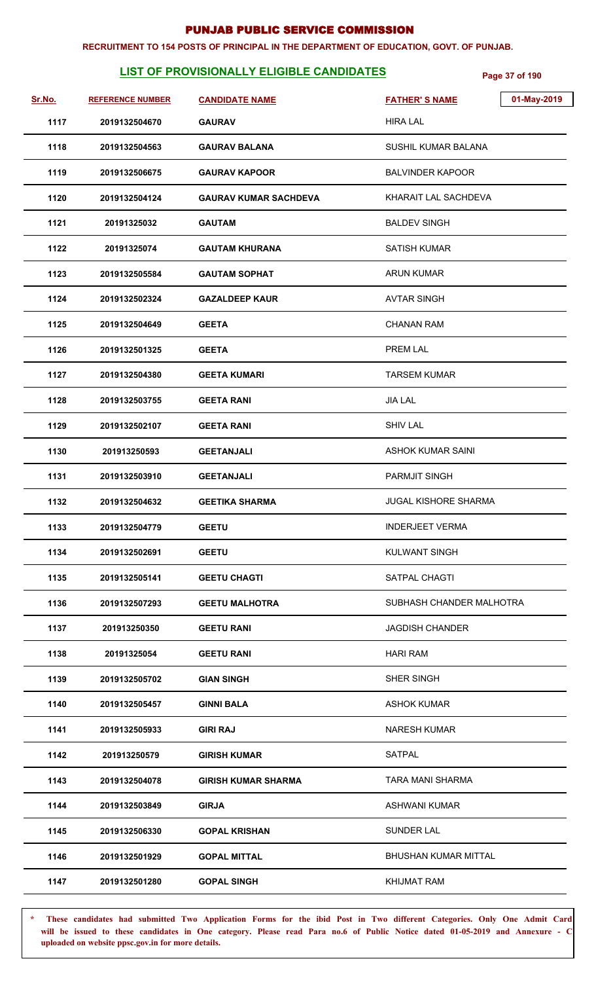#### **RECRUITMENT TO 154 POSTS OF PRINCIPAL IN THE DEPARTMENT OF EDUCATION, GOVT. OF PUNJAB.**

# **LIST OF PROVISIONALLY ELIGIBLE CANDIDATES** Page 37 of 190

| Sr.No. | <b>REFERENCE NUMBER</b> | <b>CANDIDATE NAME</b>        | 01-May-2019<br><b>FATHER'S NAME</b> |
|--------|-------------------------|------------------------------|-------------------------------------|
| 1117   | 2019132504670           | <b>GAURAV</b>                | <b>HIRA LAL</b>                     |
| 1118   | 2019132504563           | <b>GAURAV BALANA</b>         | SUSHIL KUMAR BALANA                 |
| 1119   | 2019132506675           | <b>GAURAV KAPOOR</b>         | <b>BALVINDER KAPOOR</b>             |
| 1120   | 2019132504124           | <b>GAURAV KUMAR SACHDEVA</b> | KHARAIT LAL SACHDEVA                |
| 1121   | 20191325032             | <b>GAUTAM</b>                | <b>BALDEV SINGH</b>                 |
| 1122   | 20191325074             | <b>GAUTAM KHURANA</b>        | <b>SATISH KUMAR</b>                 |
| 1123   | 2019132505584           | <b>GAUTAM SOPHAT</b>         | <b>ARUN KUMAR</b>                   |
| 1124   | 2019132502324           | <b>GAZALDEEP KAUR</b>        | <b>AVTAR SINGH</b>                  |
| 1125   | 2019132504649           | <b>GEETA</b>                 | <b>CHANAN RAM</b>                   |
| 1126   | 2019132501325           | <b>GEETA</b>                 | <b>PREM LAL</b>                     |
| 1127   | 2019132504380           | <b>GEETA KUMARI</b>          | <b>TARSEM KUMAR</b>                 |
| 1128   | 2019132503755           | <b>GEETA RANI</b>            | <b>JIA LAL</b>                      |
| 1129   | 2019132502107           | <b>GEETA RANI</b>            | <b>SHIV LAL</b>                     |
| 1130   | 201913250593            | <b>GEETANJALI</b>            | <b>ASHOK KUMAR SAINI</b>            |
| 1131   | 2019132503910           | <b>GEETANJALI</b>            | <b>PARMJIT SINGH</b>                |
| 1132   | 2019132504632           | <b>GEETIKA SHARMA</b>        | <b>JUGAL KISHORE SHARMA</b>         |
| 1133   | 2019132504779           | <b>GEETU</b>                 | <b>INDERJEET VERMA</b>              |
| 1134   | 2019132502691           | <b>GEETU</b>                 | <b>KULWANT SINGH</b>                |
| 1135   | 2019132505141           | <b>GEETU CHAGTI</b>          | SATPAL CHAGTI                       |
| 1136   | 2019132507293           | <b>GEETU MALHOTRA</b>        | SUBHASH CHANDER MALHOTRA            |
| 1137   | 201913250350            | <b>GEETU RANI</b>            | <b>JAGDISH CHANDER</b>              |
| 1138   | 20191325054             | <b>GEETU RANI</b>            | <b>HARI RAM</b>                     |
| 1139   | 2019132505702           | <b>GIAN SINGH</b>            | SHER SINGH                          |
| 1140   | 2019132505457           | <b>GINNI BALA</b>            | <b>ASHOK KUMAR</b>                  |
| 1141   | 2019132505933           | <b>GIRI RAJ</b>              | <b>NARESH KUMAR</b>                 |
| 1142   | 201913250579            | <b>GIRISH KUMAR</b>          | <b>SATPAL</b>                       |
| 1143   | 2019132504078           | <b>GIRISH KUMAR SHARMA</b>   | TARA MANI SHARMA                    |
| 1144   | 2019132503849           | <b>GIRJA</b>                 | <b>ASHWANI KUMAR</b>                |
| 1145   | 2019132506330           | <b>GOPAL KRISHAN</b>         | <b>SUNDER LAL</b>                   |
| 1146   | 2019132501929           | <b>GOPAL MITTAL</b>          | BHUSHAN KUMAR MITTAL                |
| 1147   | 2019132501280           | <b>GOPAL SINGH</b>           | KHIJMAT RAM                         |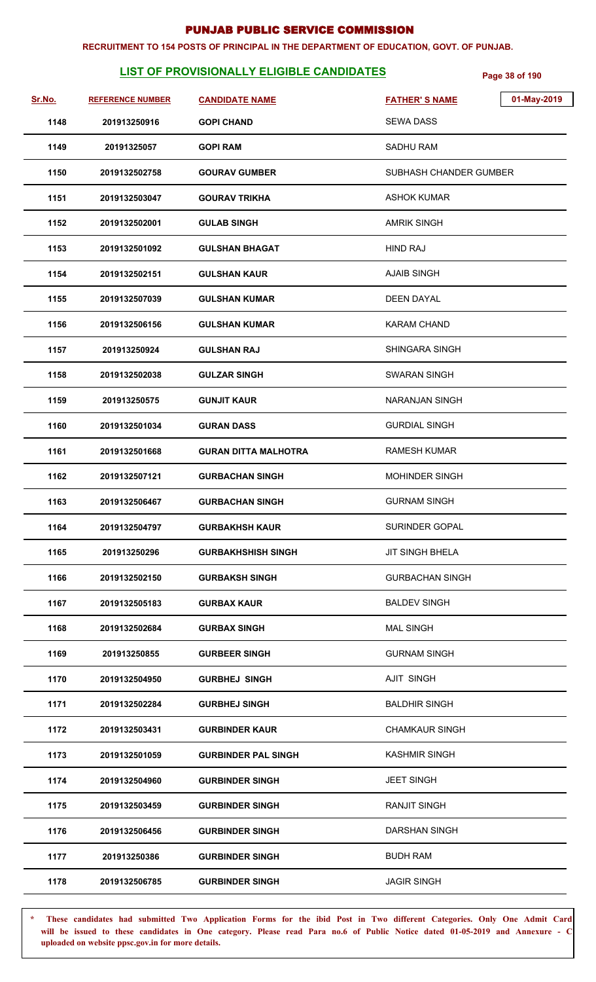#### **RECRUITMENT TO 154 POSTS OF PRINCIPAL IN THE DEPARTMENT OF EDUCATION, GOVT. OF PUNJAB.**

# **LIST OF PROVISIONALLY ELIGIBLE CANDIDATES** Page 38 of 190

| Sr.No. | <b>REFERENCE NUMBER</b> | <b>CANDIDATE NAME</b>       | 01-May-2019<br><b>FATHER'S NAME</b> |
|--------|-------------------------|-----------------------------|-------------------------------------|
| 1148   | 201913250916            | <b>GOPI CHAND</b>           | <b>SEWA DASS</b>                    |
| 1149   | 20191325057             | <b>GOPI RAM</b>             | <b>SADHU RAM</b>                    |
| 1150   | 2019132502758           | <b>GOURAV GUMBER</b>        | SUBHASH CHANDER GUMBER              |
| 1151   | 2019132503047           | <b>GOURAV TRIKHA</b>        | ASHOK KUMAR                         |
| 1152   | 2019132502001           | <b>GULAB SINGH</b>          | <b>AMRIK SINGH</b>                  |
| 1153   | 2019132501092           | <b>GULSHAN BHAGAT</b>       | <b>HIND RAJ</b>                     |
| 1154   | 2019132502151           | <b>GULSHAN KAUR</b>         | <b>AJAIB SINGH</b>                  |
| 1155   | 2019132507039           | <b>GULSHAN KUMAR</b>        | <b>DEEN DAYAL</b>                   |
| 1156   | 2019132506156           | <b>GULSHAN KUMAR</b>        | <b>KARAM CHAND</b>                  |
| 1157   | 201913250924            | <b>GULSHAN RAJ</b>          | <b>SHINGARA SINGH</b>               |
| 1158   | 2019132502038           | <b>GULZAR SINGH</b>         | SWARAN SINGH                        |
| 1159   | 201913250575            | <b>GUNJIT KAUR</b>          | NARANJAN SINGH                      |
| 1160   | 2019132501034           | <b>GURAN DASS</b>           | <b>GURDIAL SINGH</b>                |
| 1161   | 2019132501668           | <b>GURAN DITTA MALHOTRA</b> | RAMESH KUMAR                        |
| 1162   | 2019132507121           | <b>GURBACHAN SINGH</b>      | <b>MOHINDER SINGH</b>               |
| 1163   | 2019132506467           | <b>GURBACHAN SINGH</b>      | <b>GURNAM SINGH</b>                 |
| 1164   | 2019132504797           | <b>GURBAKHSH KAUR</b>       | SURINDER GOPAL                      |
| 1165   | 201913250296            | <b>GURBAKHSHISH SINGH</b>   | <b>JIT SINGH BHELA</b>              |
| 1166   | 2019132502150           | <b>GURBAKSH SINGH</b>       | <b>GURBACHAN SINGH</b>              |
| 1167   | 2019132505183           | <b>GURBAX KAUR</b>          | <b>BALDEV SINGH</b>                 |
| 1168   | 2019132502684           | <b>GURBAX SINGH</b>         | <b>MAL SINGH</b>                    |
| 1169   | 201913250855            | <b>GURBEER SINGH</b>        | <b>GURNAM SINGH</b>                 |
| 1170   | 2019132504950           | <b>GURBHEJ SINGH</b>        | AJIT SINGH                          |
| 1171   | 2019132502284           | <b>GURBHEJ SINGH</b>        | <b>BALDHIR SINGH</b>                |
| 1172   | 2019132503431           | <b>GURBINDER KAUR</b>       | <b>CHAMKAUR SINGH</b>               |
| 1173   | 2019132501059           | <b>GURBINDER PAL SINGH</b>  | <b>KASHMIR SINGH</b>                |
| 1174   | 2019132504960           | <b>GURBINDER SINGH</b>      | <b>JEET SINGH</b>                   |
| 1175   | 2019132503459           | <b>GURBINDER SINGH</b>      | <b>RANJIT SINGH</b>                 |
| 1176   | 2019132506456           | <b>GURBINDER SINGH</b>      | DARSHAN SINGH                       |
| 1177   | 201913250386            | <b>GURBINDER SINGH</b>      | <b>BUDH RAM</b>                     |
| 1178   | 2019132506785           | <b>GURBINDER SINGH</b>      | <b>JAGIR SINGH</b>                  |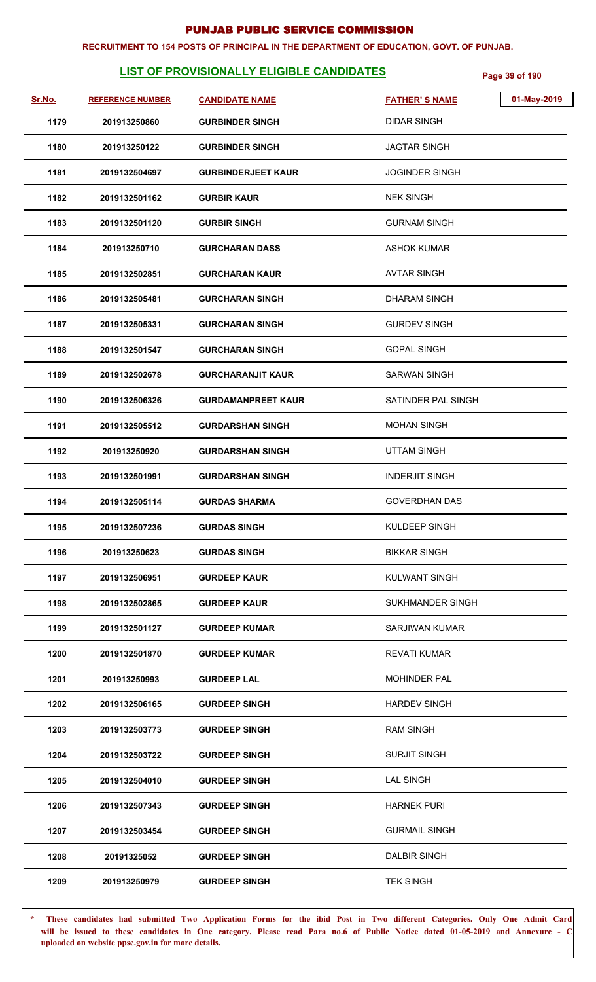#### **RECRUITMENT TO 154 POSTS OF PRINCIPAL IN THE DEPARTMENT OF EDUCATION, GOVT. OF PUNJAB.**

# **LIST OF PROVISIONALLY ELIGIBLE CANDIDATES** Page 39 of 190

| Sr.No. | <b>REFERENCE NUMBER</b> | <b>CANDIDATE NAME</b>     | <b>FATHER'S NAME</b>  | 01-May-2019 |
|--------|-------------------------|---------------------------|-----------------------|-------------|
| 1179   | 201913250860            | <b>GURBINDER SINGH</b>    | <b>DIDAR SINGH</b>    |             |
| 1180   | 201913250122            | <b>GURBINDER SINGH</b>    | <b>JAGTAR SINGH</b>   |             |
| 1181   | 2019132504697           | <b>GURBINDERJEET KAUR</b> | <b>JOGINDER SINGH</b> |             |
| 1182   | 2019132501162           | <b>GURBIR KAUR</b>        | <b>NEK SINGH</b>      |             |
| 1183   | 2019132501120           | <b>GURBIR SINGH</b>       | <b>GURNAM SINGH</b>   |             |
| 1184   | 201913250710            | <b>GURCHARAN DASS</b>     | <b>ASHOK KUMAR</b>    |             |
| 1185   | 2019132502851           | <b>GURCHARAN KAUR</b>     | <b>AVTAR SINGH</b>    |             |
| 1186   | 2019132505481           | <b>GURCHARAN SINGH</b>    | <b>DHARAM SINGH</b>   |             |
| 1187   | 2019132505331           | <b>GURCHARAN SINGH</b>    | <b>GURDEV SINGH</b>   |             |
| 1188   | 2019132501547           | <b>GURCHARAN SINGH</b>    | <b>GOPAL SINGH</b>    |             |
| 1189   | 2019132502678           | <b>GURCHARANJIT KAUR</b>  | <b>SARWAN SINGH</b>   |             |
| 1190   | 2019132506326           | <b>GURDAMANPREET KAUR</b> | SATINDER PAL SINGH    |             |
| 1191   | 2019132505512           | <b>GURDARSHAN SINGH</b>   | <b>MOHAN SINGH</b>    |             |
| 1192   | 201913250920            | <b>GURDARSHAN SINGH</b>   | <b>UTTAM SINGH</b>    |             |
| 1193   | 2019132501991           | <b>GURDARSHAN SINGH</b>   | <b>INDERJIT SINGH</b> |             |
| 1194   | 2019132505114           | <b>GURDAS SHARMA</b>      | <b>GOVERDHAN DAS</b>  |             |
| 1195   | 2019132507236           | <b>GURDAS SINGH</b>       | KULDEEP SINGH         |             |
| 1196   | 201913250623            | <b>GURDAS SINGH</b>       | <b>BIKKAR SINGH</b>   |             |
| 1197   | 2019132506951           | <b>GURDEEP KAUR</b>       | KULWANT SINGH         |             |
| 1198   | 2019132502865           | <b>GURDEEP KAUR</b>       | SUKHMANDER SINGH      |             |
| 1199   | 2019132501127           | <b>GURDEEP KUMAR</b>      | SARJIWAN KUMAR        |             |
| 1200   | 2019132501870           | <b>GURDEEP KUMAR</b>      | <b>REVATI KUMAR</b>   |             |
| 1201   | 201913250993            | <b>GURDEEP LAL</b>        | <b>MOHINDER PAL</b>   |             |
| 1202   | 2019132506165           | <b>GURDEEP SINGH</b>      | <b>HARDEV SINGH</b>   |             |
| 1203   | 2019132503773           | <b>GURDEEP SINGH</b>      | <b>RAM SINGH</b>      |             |
| 1204   | 2019132503722           | <b>GURDEEP SINGH</b>      | <b>SURJIT SINGH</b>   |             |
| 1205   | 2019132504010           | <b>GURDEEP SINGH</b>      | <b>LAL SINGH</b>      |             |
| 1206   | 2019132507343           | <b>GURDEEP SINGH</b>      | <b>HARNEK PURI</b>    |             |
| 1207   | 2019132503454           | <b>GURDEEP SINGH</b>      | <b>GURMAIL SINGH</b>  |             |
| 1208   | 20191325052             | <b>GURDEEP SINGH</b>      | <b>DALBIR SINGH</b>   |             |
| 1209   | 201913250979            | <b>GURDEEP SINGH</b>      | <b>TEK SINGH</b>      |             |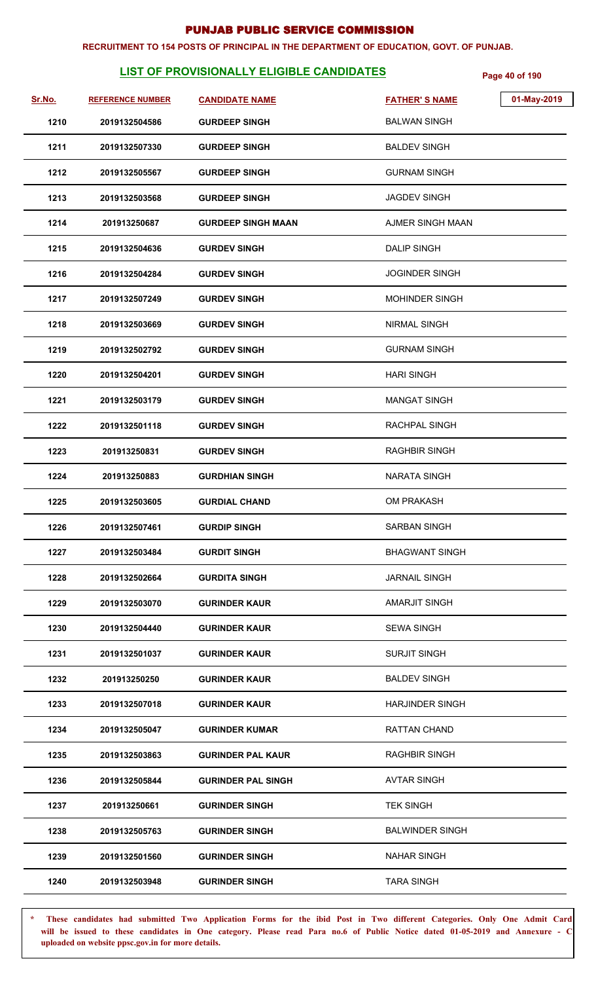#### **RECRUITMENT TO 154 POSTS OF PRINCIPAL IN THE DEPARTMENT OF EDUCATION, GOVT. OF PUNJAB.**

# **LIST OF PROVISIONALLY ELIGIBLE CANDIDATES** Page 40 of 190

| Sr.No. | <b>REFERENCE NUMBER</b> | <b>CANDIDATE NAME</b>     | <b>FATHER'S NAME</b>   | 01-May-2019 |
|--------|-------------------------|---------------------------|------------------------|-------------|
| 1210   | 2019132504586           | <b>GURDEEP SINGH</b>      | <b>BALWAN SINGH</b>    |             |
| 1211   | 2019132507330           | <b>GURDEEP SINGH</b>      | <b>BALDEV SINGH</b>    |             |
| 1212   | 2019132505567           | <b>GURDEEP SINGH</b>      | <b>GURNAM SINGH</b>    |             |
| 1213   | 2019132503568           | <b>GURDEEP SINGH</b>      | <b>JAGDEV SINGH</b>    |             |
| 1214   | 201913250687            | <b>GURDEEP SINGH MAAN</b> | AJMER SINGH MAAN       |             |
| 1215   | 2019132504636           | <b>GURDEV SINGH</b>       | <b>DALIP SINGH</b>     |             |
| 1216   | 2019132504284           | <b>GURDEV SINGH</b>       | <b>JOGINDER SINGH</b>  |             |
| 1217   | 2019132507249           | <b>GURDEV SINGH</b>       | <b>MOHINDER SINGH</b>  |             |
| 1218   | 2019132503669           | <b>GURDEV SINGH</b>       | <b>NIRMAL SINGH</b>    |             |
| 1219   | 2019132502792           | <b>GURDEV SINGH</b>       | <b>GURNAM SINGH</b>    |             |
| 1220   | 2019132504201           | <b>GURDEV SINGH</b>       | <b>HARI SINGH</b>      |             |
| 1221   | 2019132503179           | <b>GURDEV SINGH</b>       | <b>MANGAT SINGH</b>    |             |
| 1222   | 2019132501118           | <b>GURDEV SINGH</b>       | RACHPAL SINGH          |             |
| 1223   | 201913250831            | <b>GURDEV SINGH</b>       | <b>RAGHBIR SINGH</b>   |             |
| 1224   | 201913250883            | <b>GURDHIAN SINGH</b>     | <b>NARATA SINGH</b>    |             |
| 1225   | 2019132503605           | <b>GURDIAL CHAND</b>      | <b>OM PRAKASH</b>      |             |
| 1226   | 2019132507461           | <b>GURDIP SINGH</b>       | <b>SARBAN SINGH</b>    |             |
| 1227   | 2019132503484           | <b>GURDIT SINGH</b>       | <b>BHAGWANT SINGH</b>  |             |
| 1228   | 2019132502664           | <b>GURDITA SINGH</b>      | <b>JARNAIL SINGH</b>   |             |
| 1229   | 2019132503070           | <b>GURINDER KAUR</b>      | <b>AMARJIT SINGH</b>   |             |
| 1230   | 2019132504440           | <b>GURINDER KAUR</b>      | <b>SEWA SINGH</b>      |             |
| 1231   | 2019132501037           | <b>GURINDER KAUR</b>      | <b>SURJIT SINGH</b>    |             |
| 1232   | 201913250250            | <b>GURINDER KAUR</b>      | <b>BALDEV SINGH</b>    |             |
| 1233   | 2019132507018           | <b>GURINDER KAUR</b>      | <b>HARJINDER SINGH</b> |             |
| 1234   | 2019132505047           | <b>GURINDER KUMAR</b>     | RATTAN CHAND           |             |
| 1235   | 2019132503863           | <b>GURINDER PAL KAUR</b>  | RAGHBIR SINGH          |             |
| 1236   | 2019132505844           | <b>GURINDER PAL SINGH</b> | <b>AVTAR SINGH</b>     |             |
| 1237   | 201913250661            | <b>GURINDER SINGH</b>     | <b>TEK SINGH</b>       |             |
| 1238   | 2019132505763           | <b>GURINDER SINGH</b>     | <b>BALWINDER SINGH</b> |             |
| 1239   | 2019132501560           | <b>GURINDER SINGH</b>     | <b>NAHAR SINGH</b>     |             |
| 1240   | 2019132503948           | <b>GURINDER SINGH</b>     | <b>TARA SINGH</b>      |             |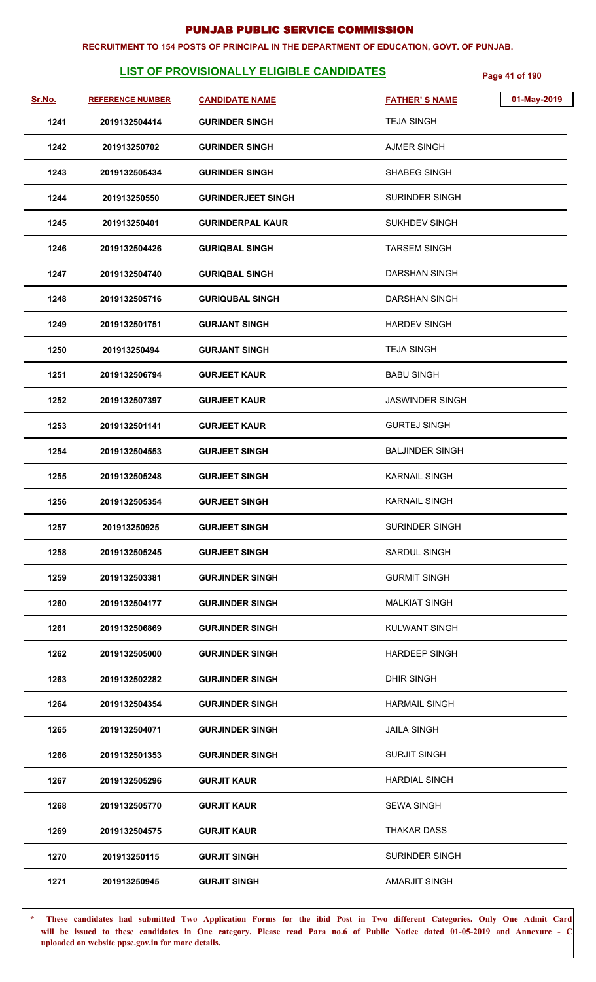#### **RECRUITMENT TO 154 POSTS OF PRINCIPAL IN THE DEPARTMENT OF EDUCATION, GOVT. OF PUNJAB.**

# **LIST OF PROVISIONALLY ELIGIBLE CANDIDATES Page 41 of 190**

| Sr.No. | <b>REFERENCE NUMBER</b> | <b>CANDIDATE NAME</b>     | <b>FATHER'S NAME</b>   | 01-May-2019 |
|--------|-------------------------|---------------------------|------------------------|-------------|
| 1241   | 2019132504414           | <b>GURINDER SINGH</b>     | <b>TEJA SINGH</b>      |             |
| 1242   | 201913250702            | <b>GURINDER SINGH</b>     | <b>AJMER SINGH</b>     |             |
| 1243   | 2019132505434           | <b>GURINDER SINGH</b>     | <b>SHABEG SINGH</b>    |             |
| 1244   | 201913250550            | <b>GURINDERJEET SINGH</b> | <b>SURINDER SINGH</b>  |             |
| 1245   | 201913250401            | <b>GURINDERPAL KAUR</b>   | <b>SUKHDEV SINGH</b>   |             |
| 1246   | 2019132504426           | <b>GURIQBAL SINGH</b>     | <b>TARSEM SINGH</b>    |             |
| 1247   | 2019132504740           | <b>GURIQBAL SINGH</b>     | <b>DARSHAN SINGH</b>   |             |
| 1248   | 2019132505716           | <b>GURIQUBAL SINGH</b>    | <b>DARSHAN SINGH</b>   |             |
| 1249   | 2019132501751           | <b>GURJANT SINGH</b>      | <b>HARDEV SINGH</b>    |             |
| 1250   | 201913250494            | <b>GURJANT SINGH</b>      | <b>TEJA SINGH</b>      |             |
| 1251   | 2019132506794           | <b>GURJEET KAUR</b>       | <b>BABU SINGH</b>      |             |
| 1252   | 2019132507397           | <b>GURJEET KAUR</b>       | <b>JASWINDER SINGH</b> |             |
| 1253   | 2019132501141           | <b>GURJEET KAUR</b>       | <b>GURTEJ SINGH</b>    |             |
| 1254   | 2019132504553           | <b>GURJEET SINGH</b>      | <b>BALJINDER SINGH</b> |             |
| 1255   | 2019132505248           | <b>GURJEET SINGH</b>      | <b>KARNAIL SINGH</b>   |             |
| 1256   | 2019132505354           | <b>GURJEET SINGH</b>      | <b>KARNAIL SINGH</b>   |             |
| 1257   | 201913250925            | <b>GURJEET SINGH</b>      | SURINDER SINGH         |             |
| 1258   | 2019132505245           | <b>GURJEET SINGH</b>      | <b>SARDUL SINGH</b>    |             |
| 1259   | 2019132503381           | <b>GURJINDER SINGH</b>    | <b>GURMIT SINGH</b>    |             |
| 1260   | 2019132504177           | <b>GURJINDER SINGH</b>    | <b>MALKIAT SINGH</b>   |             |
| 1261   | 2019132506869           | <b>GURJINDER SINGH</b>    | KULWANT SINGH          |             |
| 1262   | 2019132505000           | <b>GURJINDER SINGH</b>    | <b>HARDEEP SINGH</b>   |             |
| 1263   | 2019132502282           | <b>GURJINDER SINGH</b>    | <b>DHIR SINGH</b>      |             |
| 1264   | 2019132504354           | <b>GURJINDER SINGH</b>    | <b>HARMAIL SINGH</b>   |             |
| 1265   | 2019132504071           | <b>GURJINDER SINGH</b>    | <b>JAILA SINGH</b>     |             |
| 1266   | 2019132501353           | <b>GURJINDER SINGH</b>    | <b>SURJIT SINGH</b>    |             |
| 1267   | 2019132505296           | <b>GURJIT KAUR</b>        | <b>HARDIAL SINGH</b>   |             |
| 1268   | 2019132505770           | <b>GURJIT KAUR</b>        | <b>SEWA SINGH</b>      |             |
| 1269   | 2019132504575           | <b>GURJIT KAUR</b>        | <b>THAKAR DASS</b>     |             |
| 1270   | 201913250115            | <b>GURJIT SINGH</b>       | <b>SURINDER SINGH</b>  |             |
| 1271   | 201913250945            | <b>GURJIT SINGH</b>       | AMARJIT SINGH          |             |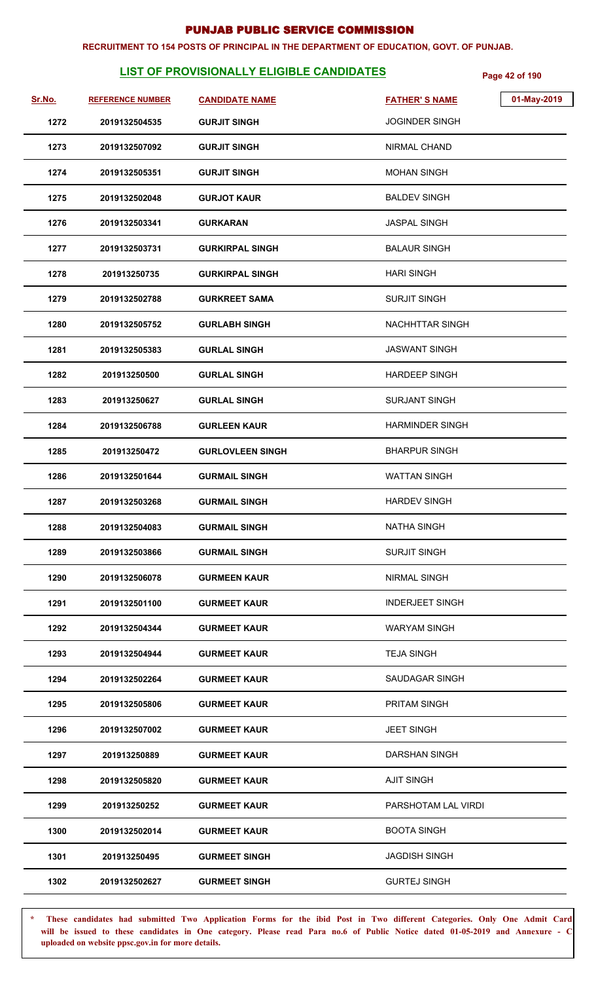#### **RECRUITMENT TO 154 POSTS OF PRINCIPAL IN THE DEPARTMENT OF EDUCATION, GOVT. OF PUNJAB.**

# **LIST OF PROVISIONALLY ELIGIBLE CANDIDATES Page 42 of 190**

| Sr.No. | <b>REFERENCE NUMBER</b> | <b>CANDIDATE NAME</b>   | 01-May-2019<br><b>FATHER'S NAME</b> |
|--------|-------------------------|-------------------------|-------------------------------------|
| 1272   | 2019132504535           | <b>GURJIT SINGH</b>     | <b>JOGINDER SINGH</b>               |
| 1273   | 2019132507092           | <b>GURJIT SINGH</b>     | NIRMAL CHAND                        |
| 1274   | 2019132505351           | <b>GURJIT SINGH</b>     | <b>MOHAN SINGH</b>                  |
| 1275   | 2019132502048           | <b>GURJOT KAUR</b>      | <b>BALDEV SINGH</b>                 |
| 1276   | 2019132503341           | <b>GURKARAN</b>         | <b>JASPAL SINGH</b>                 |
| 1277   | 2019132503731           | <b>GURKIRPAL SINGH</b>  | <b>BALAUR SINGH</b>                 |
| 1278   | 201913250735            | <b>GURKIRPAL SINGH</b>  | <b>HARI SINGH</b>                   |
| 1279   | 2019132502788           | <b>GURKREET SAMA</b>    | <b>SURJIT SINGH</b>                 |
| 1280   | 2019132505752           | <b>GURLABH SINGH</b>    | <b>NACHHTTAR SINGH</b>              |
| 1281   | 2019132505383           | <b>GURLAL SINGH</b>     | <b>JASWANT SINGH</b>                |
| 1282   | 201913250500            | <b>GURLAL SINGH</b>     | <b>HARDEEP SINGH</b>                |
| 1283   | 201913250627            | <b>GURLAL SINGH</b>     | <b>SURJANT SINGH</b>                |
| 1284   | 2019132506788           | <b>GURLEEN KAUR</b>     | <b>HARMINDER SINGH</b>              |
| 1285   | 201913250472            | <b>GURLOVLEEN SINGH</b> | <b>BHARPUR SINGH</b>                |
| 1286   | 2019132501644           | <b>GURMAIL SINGH</b>    | <b>WATTAN SINGH</b>                 |
| 1287   | 2019132503268           | <b>GURMAIL SINGH</b>    | <b>HARDEV SINGH</b>                 |
| 1288   | 2019132504083           | <b>GURMAIL SINGH</b>    | <b>NATHA SINGH</b>                  |
| 1289   | 2019132503866           | <b>GURMAIL SINGH</b>    | <b>SURJIT SINGH</b>                 |
| 1290   | 2019132506078           | <b>GURMEEN KAUR</b>     | <b>NIRMAL SINGH</b>                 |
| 1291   | 2019132501100           | <b>GURMEET KAUR</b>     | <b>INDERJEET SINGH</b>              |
| 1292   | 2019132504344           | <b>GURMEET KAUR</b>     | <b>WARYAM SINGH</b>                 |
| 1293   | 2019132504944           | <b>GURMEET KAUR</b>     | <b>TEJA SINGH</b>                   |
| 1294   | 2019132502264           | <b>GURMEET KAUR</b>     | <b>SAUDAGAR SINGH</b>               |
| 1295   | 2019132505806           | <b>GURMEET KAUR</b>     | <b>PRITAM SINGH</b>                 |
| 1296   | 2019132507002           | <b>GURMEET KAUR</b>     | <b>JEET SINGH</b>                   |
| 1297   | 201913250889            | <b>GURMEET KAUR</b>     | <b>DARSHAN SINGH</b>                |
| 1298   | 2019132505820           | <b>GURMEET KAUR</b>     | <b>AJIT SINGH</b>                   |
| 1299   | 201913250252            | <b>GURMEET KAUR</b>     | PARSHOTAM LAL VIRDI                 |
| 1300   | 2019132502014           | <b>GURMEET KAUR</b>     | <b>BOOTA SINGH</b>                  |
| 1301   | 201913250495            | <b>GURMEET SINGH</b>    | <b>JAGDISH SINGH</b>                |
| 1302   | 2019132502627           | <b>GURMEET SINGH</b>    | <b>GURTEJ SINGH</b>                 |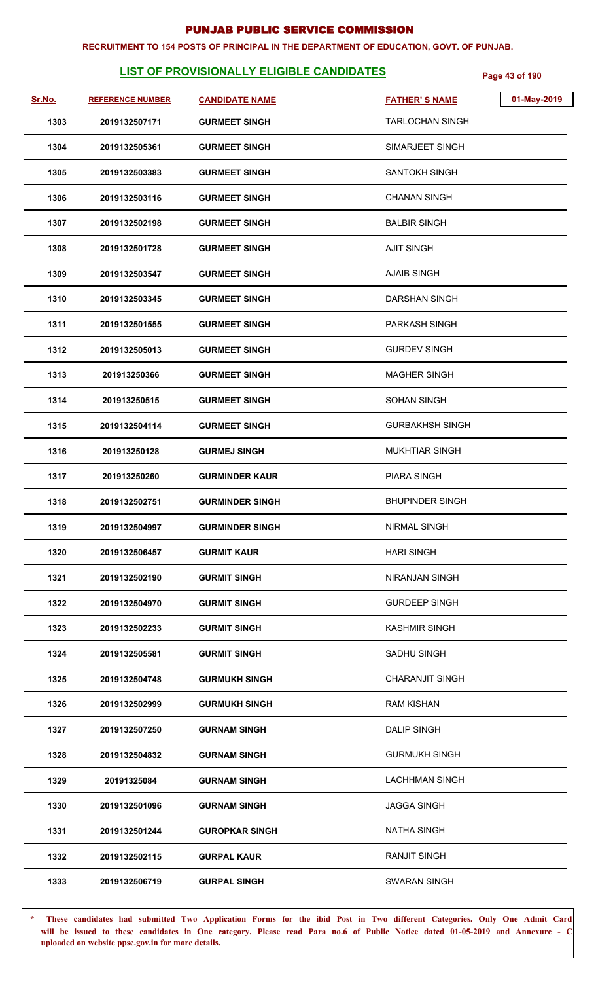#### **RECRUITMENT TO 154 POSTS OF PRINCIPAL IN THE DEPARTMENT OF EDUCATION, GOVT. OF PUNJAB.**

# **LIST OF PROVISIONALLY ELIGIBLE CANDIDATES Page 43 of 190**

| Sr.No. | <b>REFERENCE NUMBER</b> | <b>CANDIDATE NAME</b>  | 01-May-2019<br><b>FATHER'S NAME</b> |
|--------|-------------------------|------------------------|-------------------------------------|
| 1303   | 2019132507171           | <b>GURMEET SINGH</b>   | <b>TARLOCHAN SINGH</b>              |
| 1304   | 2019132505361           | <b>GURMEET SINGH</b>   | SIMARJEET SINGH                     |
| 1305   | 2019132503383           | <b>GURMEET SINGH</b>   | <b>SANTOKH SINGH</b>                |
| 1306   | 2019132503116           | <b>GURMEET SINGH</b>   | <b>CHANAN SINGH</b>                 |
| 1307   | 2019132502198           | <b>GURMEET SINGH</b>   | <b>BALBIR SINGH</b>                 |
| 1308   | 2019132501728           | <b>GURMEET SINGH</b>   | <b>AJIT SINGH</b>                   |
| 1309   | 2019132503547           | <b>GURMEET SINGH</b>   | <b>AJAIB SINGH</b>                  |
| 1310   | 2019132503345           | <b>GURMEET SINGH</b>   | <b>DARSHAN SINGH</b>                |
| 1311   | 2019132501555           | <b>GURMEET SINGH</b>   | PARKASH SINGH                       |
| 1312   | 2019132505013           | <b>GURMEET SINGH</b>   | <b>GURDEV SINGH</b>                 |
| 1313   | 201913250366            | <b>GURMEET SINGH</b>   | <b>MAGHER SINGH</b>                 |
| 1314   | 201913250515            | <b>GURMEET SINGH</b>   | <b>SOHAN SINGH</b>                  |
| 1315   | 2019132504114           | <b>GURMEET SINGH</b>   | <b>GURBAKHSH SINGH</b>              |
| 1316   | 201913250128            | <b>GURMEJ SINGH</b>    | <b>MUKHTIAR SINGH</b>               |
| 1317   | 201913250260            | <b>GURMINDER KAUR</b>  | <b>PIARA SINGH</b>                  |
| 1318   | 2019132502751           | <b>GURMINDER SINGH</b> | <b>BHUPINDER SINGH</b>              |
| 1319   | 2019132504997           | <b>GURMINDER SINGH</b> | NIRMAL SINGH                        |
| 1320   | 2019132506457           | <b>GURMIT KAUR</b>     | <b>HARI SINGH</b>                   |
| 1321   | 2019132502190           | <b>GURMIT SINGH</b>    | <b>NIRANJAN SINGH</b>               |
| 1322   | 2019132504970           | <b>GURMIT SINGH</b>    | <b>GURDEEP SINGH</b>                |
| 1323   | 2019132502233           | <b>GURMIT SINGH</b>    | <b>KASHMIR SINGH</b>                |
| 1324   | 2019132505581           | <b>GURMIT SINGH</b>    | SADHU SINGH                         |
| 1325   | 2019132504748           | <b>GURMUKH SINGH</b>   | <b>CHARANJIT SINGH</b>              |
| 1326   | 2019132502999           | <b>GURMUKH SINGH</b>   | <b>RAM KISHAN</b>                   |
| 1327   | 2019132507250           | <b>GURNAM SINGH</b>    | <b>DALIP SINGH</b>                  |
| 1328   | 2019132504832           | <b>GURNAM SINGH</b>    | <b>GURMUKH SINGH</b>                |
| 1329   | 20191325084             | <b>GURNAM SINGH</b>    | <b>LACHHMAN SINGH</b>               |
| 1330   | 2019132501096           | <b>GURNAM SINGH</b>    | <b>JAGGA SINGH</b>                  |
| 1331   | 2019132501244           | <b>GUROPKAR SINGH</b>  | <b>NATHA SINGH</b>                  |
| 1332   | 2019132502115           | <b>GURPAL KAUR</b>     | <b>RANJIT SINGH</b>                 |
| 1333   | 2019132506719           | <b>GURPAL SINGH</b>    | <b>SWARAN SINGH</b>                 |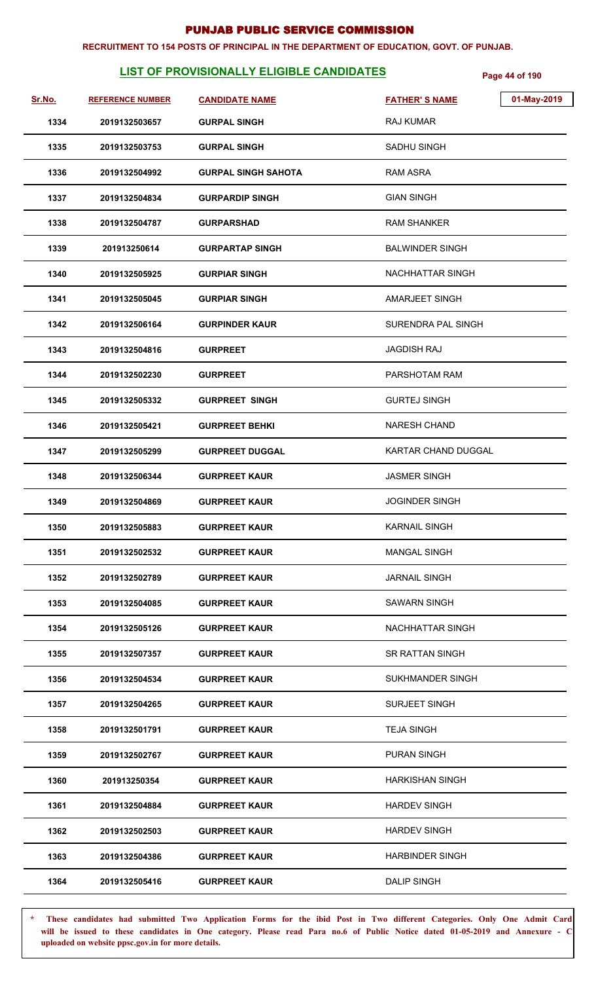#### **RECRUITMENT TO 154 POSTS OF PRINCIPAL IN THE DEPARTMENT OF EDUCATION, GOVT. OF PUNJAB.**

# **LIST OF PROVISIONALLY ELIGIBLE CANDIDATES Page 44 of 190**

| Sr.No. | <b>REFERENCE NUMBER</b> | <b>CANDIDATE NAME</b>      | 01-May-2019<br><b>FATHER'S NAME</b> |  |
|--------|-------------------------|----------------------------|-------------------------------------|--|
| 1334   | 2019132503657           | <b>GURPAL SINGH</b>        | RAJ KUMAR                           |  |
| 1335   | 2019132503753           | <b>GURPAL SINGH</b>        | SADHU SINGH                         |  |
| 1336   | 2019132504992           | <b>GURPAL SINGH SAHOTA</b> | <b>RAM ASRA</b>                     |  |
| 1337   | 2019132504834           | <b>GURPARDIP SINGH</b>     | <b>GIAN SINGH</b>                   |  |
| 1338   | 2019132504787           | <b>GURPARSHAD</b>          | <b>RAM SHANKER</b>                  |  |
| 1339   | 201913250614            | <b>GURPARTAP SINGH</b>     | <b>BALWINDER SINGH</b>              |  |
| 1340   | 2019132505925           | <b>GURPIAR SINGH</b>       | <b>NACHHATTAR SINGH</b>             |  |
| 1341   | 2019132505045           | <b>GURPIAR SINGH</b>       | AMARJEET SINGH                      |  |
| 1342   | 2019132506164           | <b>GURPINDER KAUR</b>      | <b>SURENDRA PAL SINGH</b>           |  |
| 1343   | 2019132504816           | <b>GURPREET</b>            | <b>JAGDISH RAJ</b>                  |  |
| 1344   | 2019132502230           | <b>GURPREET</b>            | PARSHOTAM RAM                       |  |
| 1345   | 2019132505332           | <b>GURPREET SINGH</b>      | <b>GURTEJ SINGH</b>                 |  |
| 1346   | 2019132505421           | <b>GURPREET BEHKI</b>      | <b>NARESH CHAND</b>                 |  |
| 1347   | 2019132505299           | <b>GURPREET DUGGAL</b>     | KARTAR CHAND DUGGAL                 |  |
| 1348   | 2019132506344           | <b>GURPREET KAUR</b>       | <b>JASMER SINGH</b>                 |  |
| 1349   | 2019132504869           | <b>GURPREET KAUR</b>       | <b>JOGINDER SINGH</b>               |  |
| 1350   | 2019132505883           | <b>GURPREET KAUR</b>       | <b>KARNAIL SINGH</b>                |  |
| 1351   | 2019132502532           | <b>GURPREET KAUR</b>       | <b>MANGAL SINGH</b>                 |  |
| 1352   | 2019132502789           | <b>GURPREET KAUR</b>       | <b>JARNAIL SINGH</b>                |  |
| 1353   | 2019132504085           | <b>GURPREET KAUR</b>       | <b>SAWARN SINGH</b>                 |  |
| 1354   | 2019132505126           | <b>GURPREET KAUR</b>       | NACHHATTAR SINGH                    |  |
| 1355   | 2019132507357           | <b>GURPREET KAUR</b>       | SR RATTAN SINGH                     |  |
| 1356   | 2019132504534           | <b>GURPREET KAUR</b>       | <b>SUKHMANDER SINGH</b>             |  |
| 1357   | 2019132504265           | <b>GURPREET KAUR</b>       | <b>SURJEET SINGH</b>                |  |
| 1358   | 2019132501791           | <b>GURPREET KAUR</b>       | <b>TEJA SINGH</b>                   |  |
| 1359   | 2019132502767           | <b>GURPREET KAUR</b>       | <b>PURAN SINGH</b>                  |  |
| 1360   | 201913250354            | <b>GURPREET KAUR</b>       | <b>HARKISHAN SINGH</b>              |  |
| 1361   | 2019132504884           | <b>GURPREET KAUR</b>       | <b>HARDEV SINGH</b>                 |  |
| 1362   | 2019132502503           | <b>GURPREET KAUR</b>       | <b>HARDEV SINGH</b>                 |  |
| 1363   | 2019132504386           | <b>GURPREET KAUR</b>       | <b>HARBINDER SINGH</b>              |  |
| 1364   | 2019132505416           | <b>GURPREET KAUR</b>       | <b>DALIP SINGH</b>                  |  |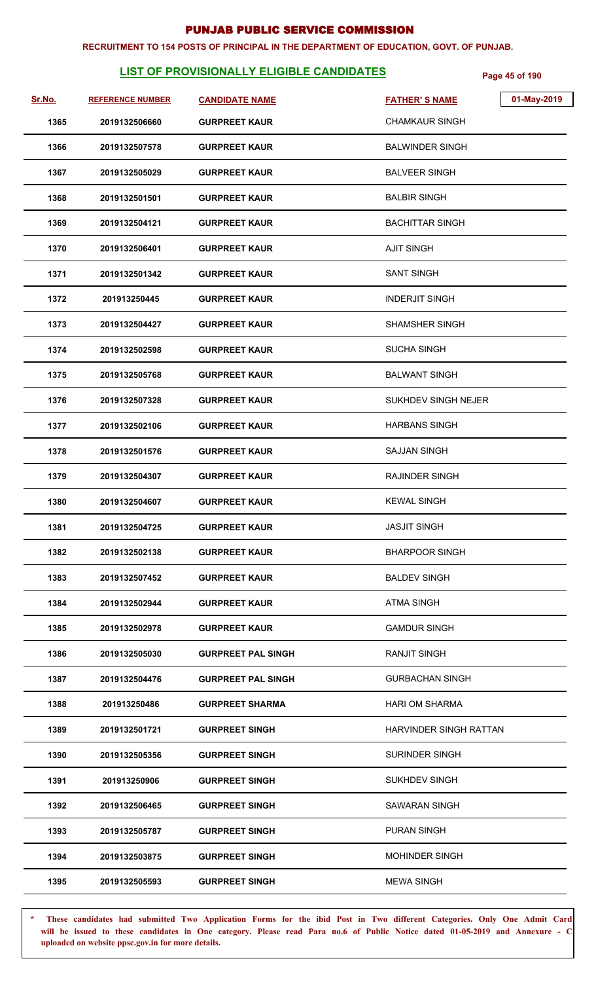#### **RECRUITMENT TO 154 POSTS OF PRINCIPAL IN THE DEPARTMENT OF EDUCATION, GOVT. OF PUNJAB.**

# **LIST OF PROVISIONALLY ELIGIBLE CANDIDATES** Page 45 of 190

| Sr.No. | <b>REFERENCE NUMBER</b> | <b>CANDIDATE NAME</b>     | 01-May-2019<br><b>FATHER'S NAME</b> |
|--------|-------------------------|---------------------------|-------------------------------------|
| 1365   | 2019132506660           | <b>GURPREET KAUR</b>      | <b>CHAMKAUR SINGH</b>               |
| 1366   | 2019132507578           | <b>GURPREET KAUR</b>      | <b>BALWINDER SINGH</b>              |
| 1367   | 2019132505029           | <b>GURPREET KAUR</b>      | <b>BALVEER SINGH</b>                |
| 1368   | 2019132501501           | <b>GURPREET KAUR</b>      | <b>BALBIR SINGH</b>                 |
| 1369   | 2019132504121           | <b>GURPREET KAUR</b>      | <b>BACHITTAR SINGH</b>              |
| 1370   | 2019132506401           | <b>GURPREET KAUR</b>      | <b>AJIT SINGH</b>                   |
| 1371   | 2019132501342           | <b>GURPREET KAUR</b>      | <b>SANT SINGH</b>                   |
| 1372   | 201913250445            | <b>GURPREET KAUR</b>      | <b>INDERJIT SINGH</b>               |
| 1373   | 2019132504427           | <b>GURPREET KAUR</b>      | <b>SHAMSHER SINGH</b>               |
| 1374   | 2019132502598           | <b>GURPREET KAUR</b>      | <b>SUCHA SINGH</b>                  |
| 1375   | 2019132505768           | <b>GURPREET KAUR</b>      | <b>BALWANT SINGH</b>                |
| 1376   | 2019132507328           | <b>GURPREET KAUR</b>      | SUKHDEV SINGH NEJER                 |
| 1377   | 2019132502106           | <b>GURPREET KAUR</b>      | <b>HARBANS SINGH</b>                |
| 1378   | 2019132501576           | <b>GURPREET KAUR</b>      | <b>SAJJAN SINGH</b>                 |
| 1379   | 2019132504307           | <b>GURPREET KAUR</b>      | <b>RAJINDER SINGH</b>               |
| 1380   | 2019132504607           | <b>GURPREET KAUR</b>      | <b>KEWAL SINGH</b>                  |
| 1381   | 2019132504725           | <b>GURPREET KAUR</b>      | <b>JASJIT SINGH</b>                 |
| 1382   | 2019132502138           | <b>GURPREET KAUR</b>      | <b>BHARPOOR SINGH</b>               |
| 1383   | 2019132507452           | <b>GURPREET KAUR</b>      | <b>BALDEV SINGH</b>                 |
| 1384   | 2019132502944           | <b>GURPREET KAUR</b>      | <b>ATMA SINGH</b>                   |
| 1385   | 2019132502978           | <b>GURPREET KAUR</b>      | <b>GAMDUR SINGH</b>                 |
| 1386   | 2019132505030           | <b>GURPREET PAL SINGH</b> | <b>RANJIT SINGH</b>                 |
| 1387   | 2019132504476           | <b>GURPREET PAL SINGH</b> | <b>GURBACHAN SINGH</b>              |
| 1388   | 201913250486            | <b>GURPREET SHARMA</b>    | <b>HARI OM SHARMA</b>               |
| 1389   | 2019132501721           | <b>GURPREET SINGH</b>     | HARVINDER SINGH RATTAN              |
| 1390   | 2019132505356           | <b>GURPREET SINGH</b>     | <b>SURINDER SINGH</b>               |
| 1391   | 201913250906            | <b>GURPREET SINGH</b>     | <b>SUKHDEV SINGH</b>                |
| 1392   | 2019132506465           | <b>GURPREET SINGH</b>     | <b>SAWARAN SINGH</b>                |
| 1393   | 2019132505787           | <b>GURPREET SINGH</b>     | PURAN SINGH                         |
| 1394   | 2019132503875           | <b>GURPREET SINGH</b>     | <b>MOHINDER SINGH</b>               |
| 1395   | 2019132505593           | <b>GURPREET SINGH</b>     | <b>MEWA SINGH</b>                   |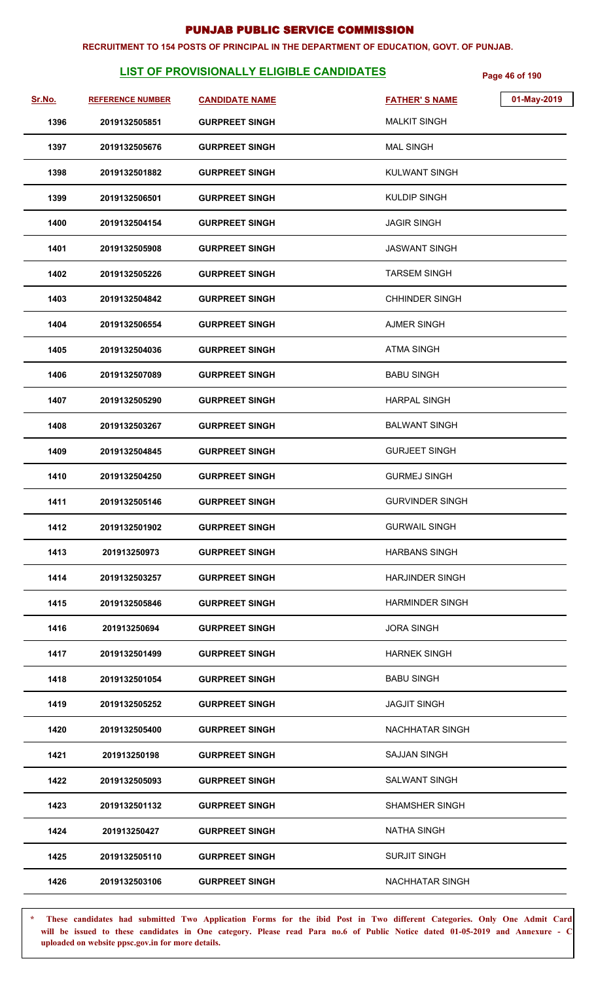#### **RECRUITMENT TO 154 POSTS OF PRINCIPAL IN THE DEPARTMENT OF EDUCATION, GOVT. OF PUNJAB.**

# **LIST OF PROVISIONALLY ELIGIBLE CANDIDATES** Page 46 of 190

| Sr.No. | <b>REFERENCE NUMBER</b> | <b>CANDIDATE NAME</b> | <b>FATHER'S NAME</b>   | 01-May-2019 |
|--------|-------------------------|-----------------------|------------------------|-------------|
| 1396   | 2019132505851           | <b>GURPREET SINGH</b> | <b>MALKIT SINGH</b>    |             |
| 1397   | 2019132505676           | <b>GURPREET SINGH</b> | <b>MAL SINGH</b>       |             |
| 1398   | 2019132501882           | <b>GURPREET SINGH</b> | <b>KULWANT SINGH</b>   |             |
| 1399   | 2019132506501           | <b>GURPREET SINGH</b> | <b>KULDIP SINGH</b>    |             |
| 1400   | 2019132504154           | <b>GURPREET SINGH</b> | <b>JAGIR SINGH</b>     |             |
| 1401   | 2019132505908           | <b>GURPREET SINGH</b> | JASWANT SINGH          |             |
| 1402   | 2019132505226           | <b>GURPREET SINGH</b> | <b>TARSEM SINGH</b>    |             |
| 1403   | 2019132504842           | <b>GURPREET SINGH</b> | <b>CHHINDER SINGH</b>  |             |
| 1404   | 2019132506554           | <b>GURPREET SINGH</b> | <b>AJMER SINGH</b>     |             |
| 1405   | 2019132504036           | <b>GURPREET SINGH</b> | <b>ATMA SINGH</b>      |             |
| 1406   | 2019132507089           | <b>GURPREET SINGH</b> | <b>BABU SINGH</b>      |             |
| 1407   | 2019132505290           | <b>GURPREET SINGH</b> | <b>HARPAL SINGH</b>    |             |
| 1408   | 2019132503267           | <b>GURPREET SINGH</b> | <b>BALWANT SINGH</b>   |             |
| 1409   | 2019132504845           | <b>GURPREET SINGH</b> | <b>GURJEET SINGH</b>   |             |
| 1410   | 2019132504250           | <b>GURPREET SINGH</b> | <b>GURMEJ SINGH</b>    |             |
| 1411   | 2019132505146           | <b>GURPREET SINGH</b> | <b>GURVINDER SINGH</b> |             |
| 1412   | 2019132501902           | <b>GURPREET SINGH</b> | <b>GURWAIL SINGH</b>   |             |
| 1413   | 201913250973            | <b>GURPREET SINGH</b> | <b>HARBANS SINGH</b>   |             |
| 1414   | 2019132503257           | <b>GURPREET SINGH</b> | <b>HARJINDER SINGH</b> |             |
| 1415   | 2019132505846           | <b>GURPREET SINGH</b> | <b>HARMINDER SINGH</b> |             |
| 1416   | 201913250694            | <b>GURPREET SINGH</b> | <b>JORA SINGH</b>      |             |
| 1417   | 2019132501499           | <b>GURPREET SINGH</b> | <b>HARNEK SINGH</b>    |             |
| 1418   | 2019132501054           | <b>GURPREET SINGH</b> | <b>BABU SINGH</b>      |             |
| 1419   | 2019132505252           | <b>GURPREET SINGH</b> | <b>JAGJIT SINGH</b>    |             |
| 1420   | 2019132505400           | <b>GURPREET SINGH</b> | <b>NACHHATAR SINGH</b> |             |
| 1421   | 201913250198            | <b>GURPREET SINGH</b> | <b>SAJJAN SINGH</b>    |             |
| 1422   | 2019132505093           | <b>GURPREET SINGH</b> | <b>SALWANT SINGH</b>   |             |
| 1423   | 2019132501132           | <b>GURPREET SINGH</b> | <b>SHAMSHER SINGH</b>  |             |
| 1424   | 201913250427            | <b>GURPREET SINGH</b> | <b>NATHA SINGH</b>     |             |
| 1425   | 2019132505110           | <b>GURPREET SINGH</b> | <b>SURJIT SINGH</b>    |             |
| 1426   | 2019132503106           | <b>GURPREET SINGH</b> | <b>NACHHATAR SINGH</b> |             |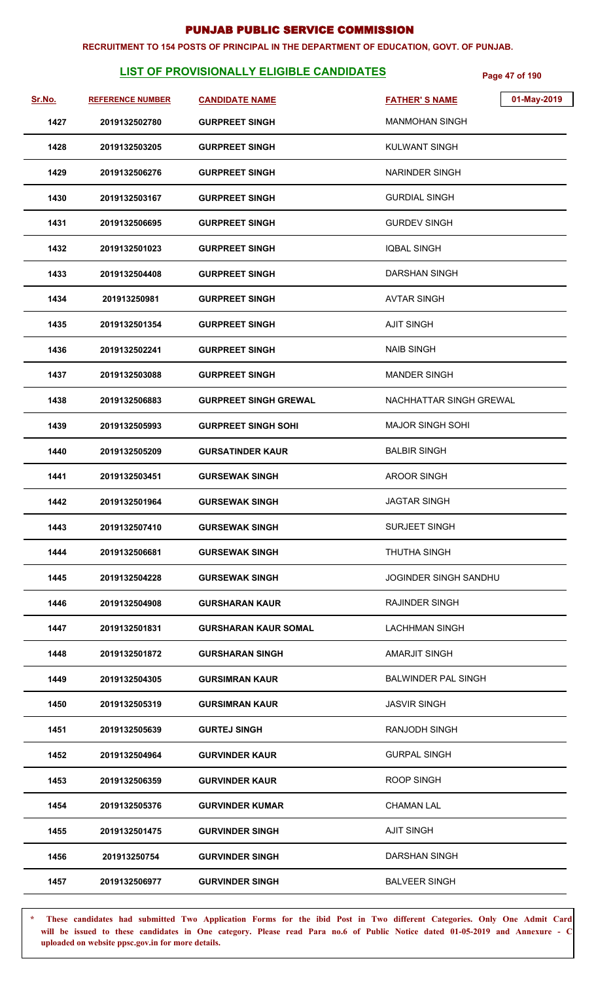#### **RECRUITMENT TO 154 POSTS OF PRINCIPAL IN THE DEPARTMENT OF EDUCATION, GOVT. OF PUNJAB.**

# **LIST OF PROVISIONALLY ELIGIBLE CANDIDATES Page 47 of 190**

| <u>Sr.No.</u> | <b>REFERENCE NUMBER</b> | <b>CANDIDATE NAME</b>        | 01-May-2019<br><b>FATHER'S NAME</b> |
|---------------|-------------------------|------------------------------|-------------------------------------|
| 1427          | 2019132502780           | <b>GURPREET SINGH</b>        | <b>MANMOHAN SINGH</b>               |
| 1428          | 2019132503205           | <b>GURPREET SINGH</b>        | <b>KULWANT SINGH</b>                |
| 1429          | 2019132506276           | <b>GURPREET SINGH</b>        | <b>NARINDER SINGH</b>               |
| 1430          | 2019132503167           | <b>GURPREET SINGH</b>        | <b>GURDIAL SINGH</b>                |
| 1431          | 2019132506695           | <b>GURPREET SINGH</b>        | <b>GURDEV SINGH</b>                 |
| 1432          | 2019132501023           | <b>GURPREET SINGH</b>        | <b>IQBAL SINGH</b>                  |
| 1433          | 2019132504408           | <b>GURPREET SINGH</b>        | <b>DARSHAN SINGH</b>                |
| 1434          | 201913250981            | <b>GURPREET SINGH</b>        | <b>AVTAR SINGH</b>                  |
| 1435          | 2019132501354           | <b>GURPREET SINGH</b>        | AJIT SINGH                          |
| 1436          | 2019132502241           | <b>GURPREET SINGH</b>        | <b>NAIB SINGH</b>                   |
| 1437          | 2019132503088           | <b>GURPREET SINGH</b>        | <b>MANDER SINGH</b>                 |
| 1438          | 2019132506883           | <b>GURPREET SINGH GREWAL</b> | NACHHATTAR SINGH GREWAL             |
| 1439          | 2019132505993           | <b>GURPREET SINGH SOHI</b>   | <b>MAJOR SINGH SOHI</b>             |
| 1440          | 2019132505209           | <b>GURSATINDER KAUR</b>      | <b>BALBIR SINGH</b>                 |
| 1441          | 2019132503451           | <b>GURSEWAK SINGH</b>        | <b>AROOR SINGH</b>                  |
| 1442          | 2019132501964           | <b>GURSEWAK SINGH</b>        | <b>JAGTAR SINGH</b>                 |
| 1443          | 2019132507410           | <b>GURSEWAK SINGH</b>        | SURJEET SINGH                       |
| 1444          | 2019132506681           | <b>GURSEWAK SINGH</b>        | <b>THUTHA SINGH</b>                 |
| 1445          | 2019132504228           | <b>GURSEWAK SINGH</b>        | <b>JOGINDER SINGH SANDHU</b>        |
| 1446          | 2019132504908           | <b>GURSHARAN KAUR</b>        | <b>RAJINDER SINGH</b>               |
| 1447          | 2019132501831           | <b>GURSHARAN KAUR SOMAL</b>  | <b>LACHHMAN SINGH</b>               |
| 1448          | 2019132501872           | <b>GURSHARAN SINGH</b>       | <b>AMARJIT SINGH</b>                |
| 1449          | 2019132504305           | <b>GURSIMRAN KAUR</b>        | <b>BALWINDER PAL SINGH</b>          |
| 1450          | 2019132505319           | <b>GURSIMRAN KAUR</b>        | <b>JASVIR SINGH</b>                 |
| 1451          | 2019132505639           | <b>GURTEJ SINGH</b>          | <b>RANJODH SINGH</b>                |
| 1452          | 2019132504964           | <b>GURVINDER KAUR</b>        | <b>GURPAL SINGH</b>                 |
| 1453          | 2019132506359           | <b>GURVINDER KAUR</b>        | ROOP SINGH                          |
| 1454          | 2019132505376           | <b>GURVINDER KUMAR</b>       | <b>CHAMAN LAL</b>                   |
| 1455          | 2019132501475           | <b>GURVINDER SINGH</b>       | <b>AJIT SINGH</b>                   |
| 1456          | 201913250754            | <b>GURVINDER SINGH</b>       | <b>DARSHAN SINGH</b>                |
| 1457          | 2019132506977           | <b>GURVINDER SINGH</b>       | <b>BALVEER SINGH</b>                |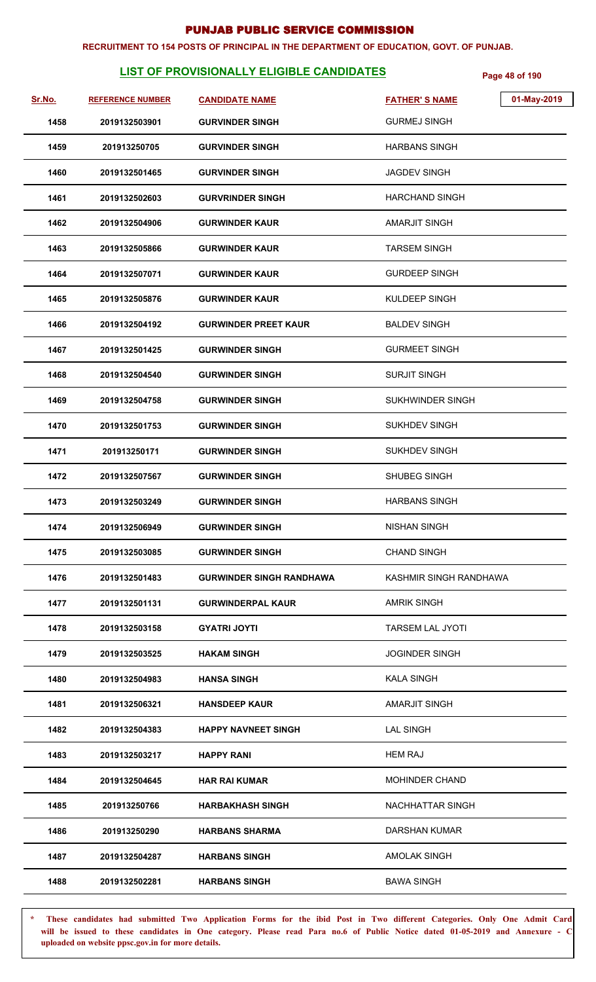#### **RECRUITMENT TO 154 POSTS OF PRINCIPAL IN THE DEPARTMENT OF EDUCATION, GOVT. OF PUNJAB.**

# **LIST OF PROVISIONALLY ELIGIBLE CANDIDATES** Page 48 of 190

| Sr.No. | <b>REFERENCE NUMBER</b> | <b>CANDIDATE NAME</b>           | <b>FATHER'S NAME</b>    | 01-May-2019 |
|--------|-------------------------|---------------------------------|-------------------------|-------------|
| 1458   | 2019132503901           | <b>GURVINDER SINGH</b>          | <b>GURMEJ SINGH</b>     |             |
| 1459   | 201913250705            | <b>GURVINDER SINGH</b>          | <b>HARBANS SINGH</b>    |             |
| 1460   | 2019132501465           | <b>GURVINDER SINGH</b>          | <b>JAGDEV SINGH</b>     |             |
| 1461   | 2019132502603           | <b>GURVRINDER SINGH</b>         | <b>HARCHAND SINGH</b>   |             |
| 1462   | 2019132504906           | <b>GURWINDER KAUR</b>           | AMARJIT SINGH           |             |
| 1463   | 2019132505866           | <b>GURWINDER KAUR</b>           | TARSEM SINGH            |             |
| 1464   | 2019132507071           | <b>GURWINDER KAUR</b>           | <b>GURDEEP SINGH</b>    |             |
| 1465   | 2019132505876           | <b>GURWINDER KAUR</b>           | KULDEEP SINGH           |             |
| 1466   | 2019132504192           | <b>GURWINDER PREET KAUR</b>     | <b>BALDEV SINGH</b>     |             |
| 1467   | 2019132501425           | <b>GURWINDER SINGH</b>          | <b>GURMEET SINGH</b>    |             |
| 1468   | 2019132504540           | <b>GURWINDER SINGH</b>          | <b>SURJIT SINGH</b>     |             |
| 1469   | 2019132504758           | <b>GURWINDER SINGH</b>          | SUKHWINDER SINGH        |             |
| 1470   | 2019132501753           | <b>GURWINDER SINGH</b>          | SUKHDEV SINGH           |             |
| 1471   | 201913250171            | <b>GURWINDER SINGH</b>          | <b>SUKHDEV SINGH</b>    |             |
| 1472   | 2019132507567           | <b>GURWINDER SINGH</b>          | <b>SHUBEG SINGH</b>     |             |
| 1473   | 2019132503249           | <b>GURWINDER SINGH</b>          | <b>HARBANS SINGH</b>    |             |
| 1474   | 2019132506949           | <b>GURWINDER SINGH</b>          | <b>NISHAN SINGH</b>     |             |
| 1475   | 2019132503085           | <b>GURWINDER SINGH</b>          | <b>CHAND SINGH</b>      |             |
| 1476   | 2019132501483           | <b>GURWINDER SINGH RANDHAWA</b> | KASHMIR SINGH RANDHAWA  |             |
| 1477   | 2019132501131           | <b>GURWINDERPAL KAUR</b>        | <b>AMRIK SINGH</b>      |             |
| 1478   | 2019132503158           | <b>GYATRI JOYTI</b>             | <b>TARSEM LAL JYOTI</b> |             |
| 1479   | 2019132503525           | <b>HAKAM SINGH</b>              | <b>JOGINDER SINGH</b>   |             |
| 1480   | 2019132504983           | <b>HANSA SINGH</b>              | <b>KALA SINGH</b>       |             |
| 1481   | 2019132506321           | <b>HANSDEEP KAUR</b>            | AMARJIT SINGH           |             |
| 1482   | 2019132504383           | <b>HAPPY NAVNEET SINGH</b>      | <b>LAL SINGH</b>        |             |
| 1483   | 2019132503217           | <b>HAPPY RANI</b>               | <b>HEM RAJ</b>          |             |
| 1484   | 2019132504645           | <b>HAR RAI KUMAR</b>            | <b>MOHINDER CHAND</b>   |             |
| 1485   | 201913250766            | <b>HARBAKHASH SINGH</b>         | NACHHATTAR SINGH        |             |
| 1486   | 201913250290            | <b>HARBANS SHARMA</b>           | DARSHAN KUMAR           |             |
| 1487   | 2019132504287           | <b>HARBANS SINGH</b>            | AMOLAK SINGH            |             |
| 1488   | 2019132502281           | <b>HARBANS SINGH</b>            | <b>BAWA SINGH</b>       |             |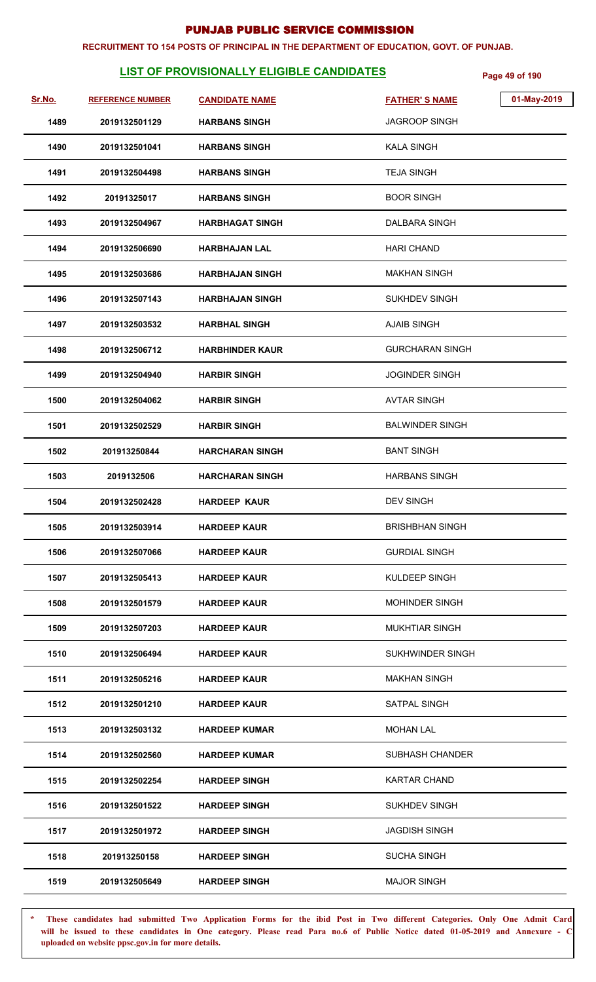#### **RECRUITMENT TO 154 POSTS OF PRINCIPAL IN THE DEPARTMENT OF EDUCATION, GOVT. OF PUNJAB.**

# **LIST OF PROVISIONALLY ELIGIBLE CANDIDATES Page 49 of 190**

| Sr.No. | <b>REFERENCE NUMBER</b> | <b>CANDIDATE NAME</b>  | 01-May-2019<br><b>FATHER'S NAME</b> |
|--------|-------------------------|------------------------|-------------------------------------|
| 1489   | 2019132501129           | <b>HARBANS SINGH</b>   | <b>JAGROOP SINGH</b>                |
| 1490   | 2019132501041           | <b>HARBANS SINGH</b>   | <b>KALA SINGH</b>                   |
| 1491   | 2019132504498           | <b>HARBANS SINGH</b>   | <b>TEJA SINGH</b>                   |
| 1492   | 20191325017             | <b>HARBANS SINGH</b>   | <b>BOOR SINGH</b>                   |
| 1493   | 2019132504967           | <b>HARBHAGAT SINGH</b> | DALBARA SINGH                       |
| 1494   | 2019132506690           | <b>HARBHAJAN LAL</b>   | <b>HARI CHAND</b>                   |
| 1495   | 2019132503686           | <b>HARBHAJAN SINGH</b> | <b>MAKHAN SINGH</b>                 |
| 1496   | 2019132507143           | <b>HARBHAJAN SINGH</b> | <b>SUKHDEV SINGH</b>                |
| 1497   | 2019132503532           | <b>HARBHAL SINGH</b>   | <b>AJAIB SINGH</b>                  |
| 1498   | 2019132506712           | <b>HARBHINDER KAUR</b> | <b>GURCHARAN SINGH</b>              |
| 1499   | 2019132504940           | <b>HARBIR SINGH</b>    | <b>JOGINDER SINGH</b>               |
| 1500   | 2019132504062           | <b>HARBIR SINGH</b>    | <b>AVTAR SINGH</b>                  |
| 1501   | 2019132502529           | <b>HARBIR SINGH</b>    | <b>BALWINDER SINGH</b>              |
| 1502   | 201913250844            | <b>HARCHARAN SINGH</b> | <b>BANT SINGH</b>                   |
| 1503   | 2019132506              | <b>HARCHARAN SINGH</b> | <b>HARBANS SINGH</b>                |
| 1504   | 2019132502428           | <b>HARDEEP KAUR</b>    | <b>DEV SINGH</b>                    |
| 1505   | 2019132503914           | <b>HARDEEP KAUR</b>    | <b>BRISHBHAN SINGH</b>              |
| 1506   | 2019132507066           | <b>HARDEEP KAUR</b>    | <b>GURDIAL SINGH</b>                |
| 1507   | 2019132505413           | <b>HARDEEP KAUR</b>    | KULDEEP SINGH                       |
| 1508   | 2019132501579           | <b>HARDEEP KAUR</b>    | <b>MOHINDER SINGH</b>               |
| 1509   | 2019132507203           | <b>HARDEEP KAUR</b>    | <b>MUKHTIAR SINGH</b>               |
| 1510   | 2019132506494           | <b>HARDEEP KAUR</b>    | SUKHWINDER SINGH                    |
| 1511   | 2019132505216           | <b>HARDEEP KAUR</b>    | <b>MAKHAN SINGH</b>                 |
| 1512   | 2019132501210           | <b>HARDEEP KAUR</b>    | SATPAL SINGH                        |
| 1513   | 2019132503132           | <b>HARDEEP KUMAR</b>   | <b>MOHAN LAL</b>                    |
| 1514   | 2019132502560           | <b>HARDEEP KUMAR</b>   | <b>SUBHASH CHANDER</b>              |
| 1515   | 2019132502254           | <b>HARDEEP SINGH</b>   | <b>KARTAR CHAND</b>                 |
| 1516   | 2019132501522           | <b>HARDEEP SINGH</b>   | SUKHDEV SINGH                       |
| 1517   | 2019132501972           | <b>HARDEEP SINGH</b>   | <b>JAGDISH SINGH</b>                |
| 1518   | 201913250158            | <b>HARDEEP SINGH</b>   | <b>SUCHA SINGH</b>                  |
| 1519   | 2019132505649           | <b>HARDEEP SINGH</b>   | <b>MAJOR SINGH</b>                  |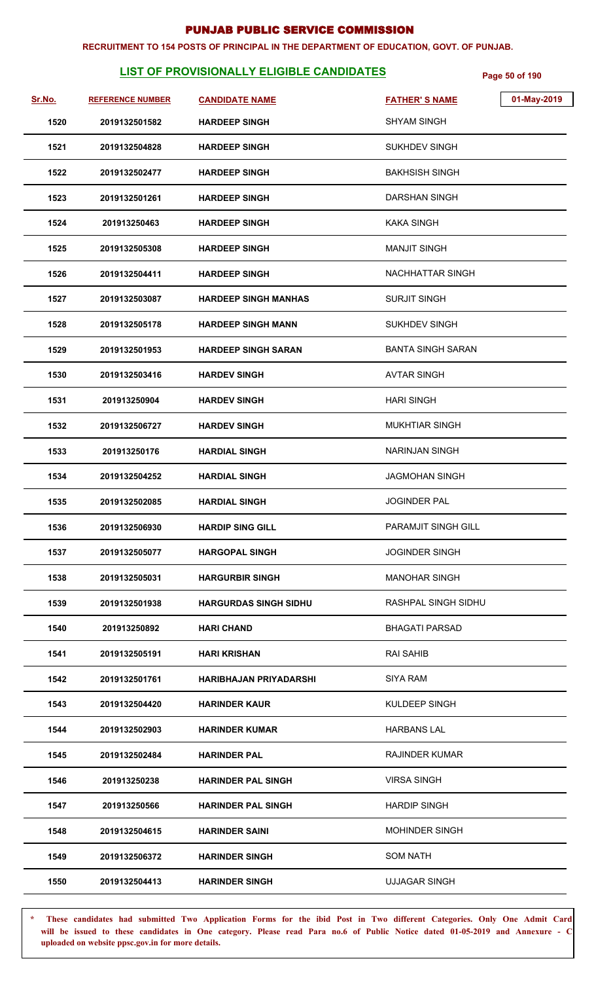#### **RECRUITMENT TO 154 POSTS OF PRINCIPAL IN THE DEPARTMENT OF EDUCATION, GOVT. OF PUNJAB.**

# **LIST OF PROVISIONALLY ELIGIBLE CANDIDATES** Page 50 of 190

| Sr.No. | <b>REFERENCE NUMBER</b> | <b>CANDIDATE NAME</b>         | <b>FATHER'S NAME</b>     | 01-May-2019 |
|--------|-------------------------|-------------------------------|--------------------------|-------------|
| 1520   | 2019132501582           | <b>HARDEEP SINGH</b>          | <b>SHYAM SINGH</b>       |             |
| 1521   | 2019132504828           | <b>HARDEEP SINGH</b>          | SUKHDEV SINGH            |             |
| 1522   | 2019132502477           | <b>HARDEEP SINGH</b>          | <b>BAKHSISH SINGH</b>    |             |
| 1523   | 2019132501261           | <b>HARDEEP SINGH</b>          | <b>DARSHAN SINGH</b>     |             |
| 1524   | 201913250463            | <b>HARDEEP SINGH</b>          | KAKA SINGH               |             |
| 1525   | 2019132505308           | <b>HARDEEP SINGH</b>          | <b>MANJIT SINGH</b>      |             |
| 1526   | 2019132504411           | <b>HARDEEP SINGH</b>          | NACHHATTAR SINGH         |             |
| 1527   | 2019132503087           | <b>HARDEEP SINGH MANHAS</b>   | <b>SURJIT SINGH</b>      |             |
| 1528   | 2019132505178           | <b>HARDEEP SINGH MANN</b>     | <b>SUKHDEV SINGH</b>     |             |
| 1529   | 2019132501953           | <b>HARDEEP SINGH SARAN</b>    | <b>BANTA SINGH SARAN</b> |             |
| 1530   | 2019132503416           | <b>HARDEV SINGH</b>           | <b>AVTAR SINGH</b>       |             |
| 1531   | 201913250904            | <b>HARDEV SINGH</b>           | <b>HARI SINGH</b>        |             |
| 1532   | 2019132506727           | <b>HARDEV SINGH</b>           | <b>MUKHTIAR SINGH</b>    |             |
| 1533   | 201913250176            | <b>HARDIAL SINGH</b>          | NARINJAN SINGH           |             |
| 1534   | 2019132504252           | <b>HARDIAL SINGH</b>          | JAGMOHAN SINGH           |             |
| 1535   | 2019132502085           | <b>HARDIAL SINGH</b>          | <b>JOGINDER PAL</b>      |             |
| 1536   | 2019132506930           | <b>HARDIP SING GILL</b>       | PARAMJIT SINGH GILL      |             |
| 1537   | 2019132505077           | <b>HARGOPAL SINGH</b>         | <b>JOGINDER SINGH</b>    |             |
| 1538   | 2019132505031           | <b>HARGURBIR SINGH</b>        | <b>MANOHAR SINGH</b>     |             |
| 1539   | 2019132501938           | <b>HARGURDAS SINGH SIDHU</b>  | RASHPAL SINGH SIDHU      |             |
| 1540   | 201913250892            | <b>HARI CHAND</b>             | <b>BHAGATI PARSAD</b>    |             |
| 1541   | 2019132505191           | <b>HARI KRISHAN</b>           | <b>RAI SAHIB</b>         |             |
| 1542   | 2019132501761           | <b>HARIBHAJAN PRIYADARSHI</b> | SIYA RAM                 |             |
| 1543   | 2019132504420           | <b>HARINDER KAUR</b>          | KULDEEP SINGH            |             |
| 1544   | 2019132502903           | <b>HARINDER KUMAR</b>         | HARBANS LAL              |             |
| 1545   | 2019132502484           | <b>HARINDER PAL</b>           | <b>RAJINDER KUMAR</b>    |             |
| 1546   | 201913250238            | <b>HARINDER PAL SINGH</b>     | <b>VIRSA SINGH</b>       |             |
| 1547   | 201913250566            | <b>HARINDER PAL SINGH</b>     | <b>HARDIP SINGH</b>      |             |
| 1548   | 2019132504615           | <b>HARINDER SAINI</b>         | <b>MOHINDER SINGH</b>    |             |
| 1549   | 2019132506372           | <b>HARINDER SINGH</b>         | <b>SOM NATH</b>          |             |
| 1550   | 2019132504413           | <b>HARINDER SINGH</b>         | <b>UJJAGAR SINGH</b>     |             |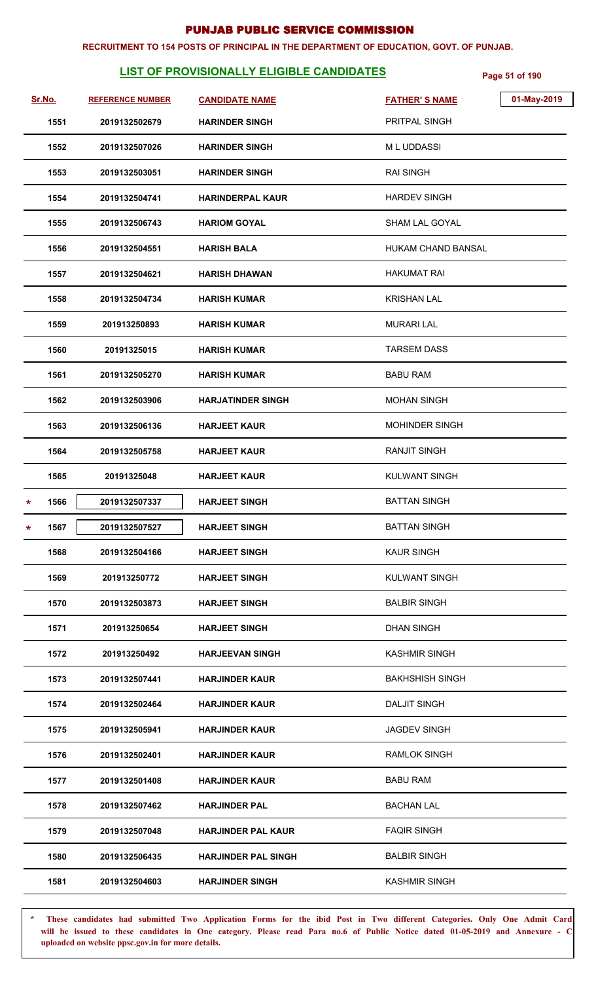#### **RECRUITMENT TO 154 POSTS OF PRINCIPAL IN THE DEPARTMENT OF EDUCATION, GOVT. OF PUNJAB.**

# **LIST OF PROVISIONALLY ELIGIBLE CANDIDATES** Page 51 of 190

|   | Sr.No. | <b>REFERENCE NUMBER</b> | <b>CANDIDATE NAME</b>      | <b>FATHER'S NAME</b>   | 01-May-2019 |
|---|--------|-------------------------|----------------------------|------------------------|-------------|
|   | 1551   | 2019132502679           | <b>HARINDER SINGH</b>      | PRITPAL SINGH          |             |
|   | 1552   | 2019132507026           | <b>HARINDER SINGH</b>      | <b>ML UDDASSI</b>      |             |
|   | 1553   | 2019132503051           | <b>HARINDER SINGH</b>      | <b>RAI SINGH</b>       |             |
|   | 1554   | 2019132504741           | <b>HARINDERPAL KAUR</b>    | <b>HARDEV SINGH</b>    |             |
|   | 1555   | 2019132506743           | <b>HARIOM GOYAL</b>        | <b>SHAM LAL GOYAL</b>  |             |
|   | 1556   | 2019132504551           | <b>HARISH BALA</b>         | HUKAM CHAND BANSAL     |             |
|   | 1557   | 2019132504621           | <b>HARISH DHAWAN</b>       | <b>HAKUMAT RAI</b>     |             |
|   | 1558   | 2019132504734           | <b>HARISH KUMAR</b>        | <b>KRISHAN LAL</b>     |             |
|   | 1559   | 201913250893            | <b>HARISH KUMAR</b>        | <b>MURARI LAL</b>      |             |
|   | 1560   | 20191325015             | <b>HARISH KUMAR</b>        | TARSEM DASS            |             |
|   | 1561   | 2019132505270           | <b>HARISH KUMAR</b>        | <b>BABU RAM</b>        |             |
|   | 1562   | 2019132503906           | <b>HARJATINDER SINGH</b>   | <b>MOHAN SINGH</b>     |             |
|   | 1563   | 2019132506136           | <b>HARJEET KAUR</b>        | <b>MOHINDER SINGH</b>  |             |
|   | 1564   | 2019132505758           | <b>HARJEET KAUR</b>        | <b>RANJIT SINGH</b>    |             |
|   | 1565   | 20191325048             | <b>HARJEET KAUR</b>        | <b>KULWANT SINGH</b>   |             |
| * | 1566   | 2019132507337           | <b>HARJEET SINGH</b>       | <b>BATTAN SINGH</b>    |             |
| * | 1567   | 2019132507527           | <b>HARJEET SINGH</b>       | <b>BATTAN SINGH</b>    |             |
|   | 1568   | 2019132504166           | <b>HARJEET SINGH</b>       | <b>KAUR SINGH</b>      |             |
|   | 1569   | 201913250772            | <b>HARJEET SINGH</b>       | <b>KULWANT SINGH</b>   |             |
|   | 1570   | 2019132503873           | <b>HARJEET SINGH</b>       | <b>BALBIR SINGH</b>    |             |
|   | 1571   | 201913250654            | <b>HARJEET SINGH</b>       | <b>DHAN SINGH</b>      |             |
|   | 1572   | 201913250492            | <b>HARJEEVAN SINGH</b>     | <b>KASHMIR SINGH</b>   |             |
|   | 1573   | 2019132507441           | <b>HARJINDER KAUR</b>      | <b>BAKHSHISH SINGH</b> |             |
|   | 1574   | 2019132502464           | <b>HARJINDER KAUR</b>      | <b>DALJIT SINGH</b>    |             |
|   | 1575   | 2019132505941           | <b>HARJINDER KAUR</b>      | <b>JAGDEV SINGH</b>    |             |
|   | 1576   | 2019132502401           | <b>HARJINDER KAUR</b>      | <b>RAMLOK SINGH</b>    |             |
|   | 1577   | 2019132501408           | <b>HARJINDER KAUR</b>      | <b>BABU RAM</b>        |             |
|   | 1578   | 2019132507462           | <b>HARJINDER PAL</b>       | <b>BACHAN LAL</b>      |             |
|   | 1579   | 2019132507048           | <b>HARJINDER PAL KAUR</b>  | <b>FAQIR SINGH</b>     |             |
|   | 1580   | 2019132506435           | <b>HARJINDER PAL SINGH</b> | <b>BALBIR SINGH</b>    |             |
|   | 1581   | 2019132504603           | <b>HARJINDER SINGH</b>     | <b>KASHMIR SINGH</b>   |             |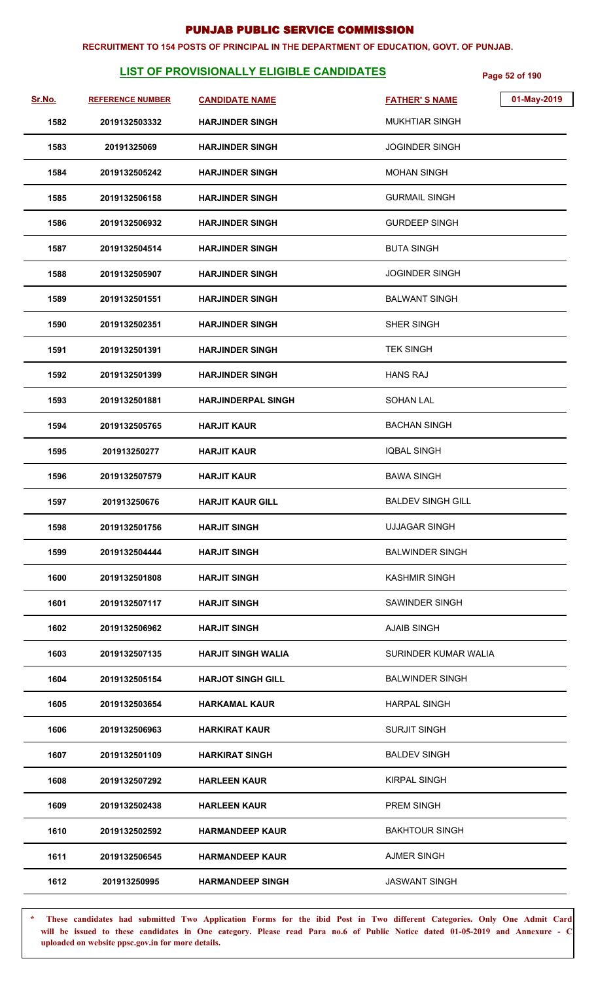#### **RECRUITMENT TO 154 POSTS OF PRINCIPAL IN THE DEPARTMENT OF EDUCATION, GOVT. OF PUNJAB.**

# **LIST OF PROVISIONALLY ELIGIBLE CANDIDATES** Page 52 of 190

| Sr.No. | <b>REFERENCE NUMBER</b> | <b>CANDIDATE NAME</b>     | 01-May-2019<br><b>FATHER'S NAME</b> |
|--------|-------------------------|---------------------------|-------------------------------------|
| 1582   | 2019132503332           | <b>HARJINDER SINGH</b>    | <b>MUKHTIAR SINGH</b>               |
| 1583   | 20191325069             | <b>HARJINDER SINGH</b>    | <b>JOGINDER SINGH</b>               |
| 1584   | 2019132505242           | <b>HARJINDER SINGH</b>    | <b>MOHAN SINGH</b>                  |
| 1585   | 2019132506158           | <b>HARJINDER SINGH</b>    | <b>GURMAIL SINGH</b>                |
| 1586   | 2019132506932           | <b>HARJINDER SINGH</b>    | <b>GURDEEP SINGH</b>                |
| 1587   | 2019132504514           | <b>HARJINDER SINGH</b>    | <b>BUTA SINGH</b>                   |
| 1588   | 2019132505907           | <b>HARJINDER SINGH</b>    | <b>JOGINDER SINGH</b>               |
| 1589   | 2019132501551           | <b>HARJINDER SINGH</b>    | <b>BALWANT SINGH</b>                |
| 1590   | 2019132502351           | <b>HARJINDER SINGH</b>    | SHER SINGH                          |
| 1591   | 2019132501391           | <b>HARJINDER SINGH</b>    | <b>TEK SINGH</b>                    |
| 1592   | 2019132501399           | <b>HARJINDER SINGH</b>    | <b>HANS RAJ</b>                     |
| 1593   | 2019132501881           | <b>HARJINDERPAL SINGH</b> | <b>SOHAN LAL</b>                    |
| 1594   | 2019132505765           | <b>HARJIT KAUR</b>        | <b>BACHAN SINGH</b>                 |
| 1595   | 201913250277            | <b>HARJIT KAUR</b>        | <b>IQBAL SINGH</b>                  |
| 1596   | 2019132507579           | <b>HARJIT KAUR</b>        | <b>BAWA SINGH</b>                   |
| 1597   | 201913250676            | <b>HARJIT KAUR GILL</b>   | <b>BALDEV SINGH GILL</b>            |
| 1598   | 2019132501756           | <b>HARJIT SINGH</b>       | <b>UJJAGAR SINGH</b>                |
| 1599   | 2019132504444           | <b>HARJIT SINGH</b>       | <b>BALWINDER SINGH</b>              |
| 1600   | 2019132501808           | <b>HARJIT SINGH</b>       | <b>KASHMIR SINGH</b>                |
| 1601   | 2019132507117           | <b>HARJIT SINGH</b>       | SAWINDER SINGH                      |
| 1602   | 2019132506962           | <b>HARJIT SINGH</b>       | <b>AJAIB SINGH</b>                  |
| 1603   | 2019132507135           | <b>HARJIT SINGH WALIA</b> | SURINDER KUMAR WALIA                |
| 1604   | 2019132505154           | <b>HARJOT SINGH GILL</b>  | <b>BALWINDER SINGH</b>              |
| 1605   | 2019132503654           | <b>HARKAMAL KAUR</b>      | <b>HARPAL SINGH</b>                 |
| 1606   | 2019132506963           | <b>HARKIRAT KAUR</b>      | <b>SURJIT SINGH</b>                 |
| 1607   | 2019132501109           | <b>HARKIRAT SINGH</b>     | <b>BALDEV SINGH</b>                 |
| 1608   | 2019132507292           | <b>HARLEEN KAUR</b>       | <b>KIRPAL SINGH</b>                 |
| 1609   | 2019132502438           | <b>HARLEEN KAUR</b>       | PREM SINGH                          |
| 1610   | 2019132502592           | <b>HARMANDEEP KAUR</b>    | <b>BAKHTOUR SINGH</b>               |
| 1611   | 2019132506545           | <b>HARMANDEEP KAUR</b>    | <b>AJMER SINGH</b>                  |
| 1612   | 201913250995            | <b>HARMANDEEP SINGH</b>   | <b>JASWANT SINGH</b>                |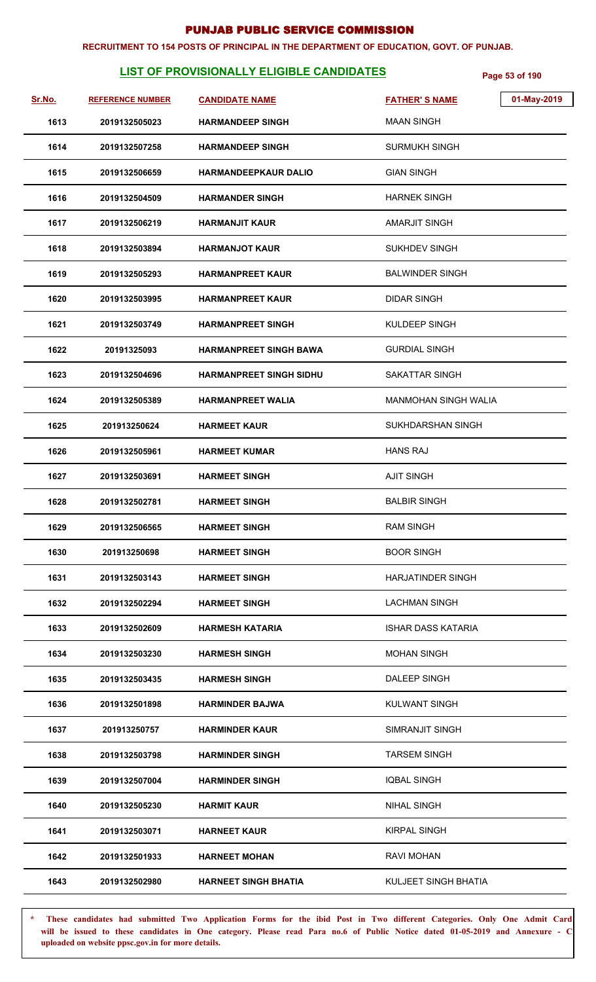#### **RECRUITMENT TO 154 POSTS OF PRINCIPAL IN THE DEPARTMENT OF EDUCATION, GOVT. OF PUNJAB.**

# **LIST OF PROVISIONALLY ELIGIBLE CANDIDATES** Page 53 of 190

| Sr.No. | <b>REFERENCE NUMBER</b> | <b>CANDIDATE NAME</b>          | 01-May-2019<br><b>FATHER'S NAME</b> |
|--------|-------------------------|--------------------------------|-------------------------------------|
| 1613   | 2019132505023           | <b>HARMANDEEP SINGH</b>        | <b>MAAN SINGH</b>                   |
| 1614   | 2019132507258           | <b>HARMANDEEP SINGH</b>        | <b>SURMUKH SINGH</b>                |
| 1615   | 2019132506659           | <b>HARMANDEEPKAUR DALIO</b>    | <b>GIAN SINGH</b>                   |
| 1616   | 2019132504509           | <b>HARMANDER SINGH</b>         | <b>HARNEK SINGH</b>                 |
| 1617   | 2019132506219           | <b>HARMANJIT KAUR</b>          | AMARJIT SINGH                       |
| 1618   | 2019132503894           | <b>HARMANJOT KAUR</b>          | SUKHDEV SINGH                       |
| 1619   | 2019132505293           | <b>HARMANPREET KAUR</b>        | <b>BALWINDER SINGH</b>              |
| 1620   | 2019132503995           | <b>HARMANPREET KAUR</b>        | DIDAR SINGH                         |
| 1621   | 2019132503749           | <b>HARMANPREET SINGH</b>       | KULDEEP SINGH                       |
| 1622   | 20191325093             | <b>HARMANPREET SINGH BAWA</b>  | <b>GURDIAL SINGH</b>                |
| 1623   | 2019132504696           | <b>HARMANPREET SINGH SIDHU</b> | SAKATTAR SINGH                      |
| 1624   | 2019132505389           | <b>HARMANPREET WALIA</b>       | <b>MANMOHAN SINGH WALIA</b>         |
| 1625   | 201913250624            | <b>HARMEET KAUR</b>            | <b>SUKHDARSHAN SINGH</b>            |
| 1626   | 2019132505961           | <b>HARMEET KUMAR</b>           | <b>HANS RAJ</b>                     |
| 1627   | 2019132503691           | <b>HARMEET SINGH</b>           | <b>AJIT SINGH</b>                   |
| 1628   | 2019132502781           | <b>HARMEET SINGH</b>           | <b>BALBIR SINGH</b>                 |
| 1629   | 2019132506565           | <b>HARMEET SINGH</b>           | <b>RAM SINGH</b>                    |
| 1630   | 201913250698            | <b>HARMEET SINGH</b>           | <b>BOOR SINGH</b>                   |
| 1631   | 2019132503143           | <b>HARMEET SINGH</b>           | HARJATINDER SINGH                   |
| 1632   | 2019132502294           | <b>HARMEET SINGH</b>           | <b>LACHMAN SINGH</b>                |
| 1633   | 2019132502609           | <b>HARMESH KATARIA</b>         | <b>ISHAR DASS KATARIA</b>           |
| 1634   | 2019132503230           | <b>HARMESH SINGH</b>           | <b>MOHAN SINGH</b>                  |
| 1635   | 2019132503435           | <b>HARMESH SINGH</b>           | DALEEP SINGH                        |
| 1636   | 2019132501898           | <b>HARMINDER BAJWA</b>         | <b>KULWANT SINGH</b>                |
| 1637   | 201913250757            | <b>HARMINDER KAUR</b>          | <b>SIMRANJIT SINGH</b>              |
| 1638   | 2019132503798           | <b>HARMINDER SINGH</b>         | <b>TARSEM SINGH</b>                 |
| 1639   | 2019132507004           | <b>HARMINDER SINGH</b>         | <b>IQBAL SINGH</b>                  |
| 1640   | 2019132505230           | <b>HARMIT KAUR</b>             | <b>NIHAL SINGH</b>                  |
| 1641   | 2019132503071           | <b>HARNEET KAUR</b>            | <b>KIRPAL SINGH</b>                 |
| 1642   | 2019132501933           | <b>HARNEET MOHAN</b>           | RAVI MOHAN                          |
| 1643   | 2019132502980           | <b>HARNEET SINGH BHATIA</b>    | KULJEET SINGH BHATIA                |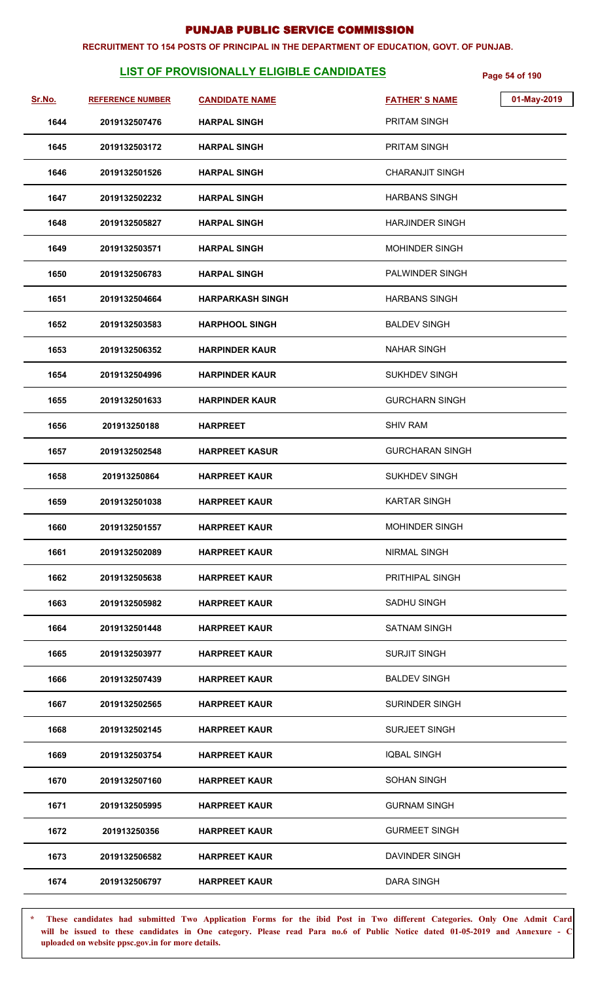#### **RECRUITMENT TO 154 POSTS OF PRINCIPAL IN THE DEPARTMENT OF EDUCATION, GOVT. OF PUNJAB.**

# **LIST OF PROVISIONALLY ELIGIBLE CANDIDATES** Page 54 of 190

| Sr.No. | <b>REFERENCE NUMBER</b> | <b>CANDIDATE NAME</b>   | <b>FATHER'S NAME</b>   | 01-May-2019 |
|--------|-------------------------|-------------------------|------------------------|-------------|
| 1644   | 2019132507476           | <b>HARPAL SINGH</b>     | PRITAM SINGH           |             |
| 1645   | 2019132503172           | <b>HARPAL SINGH</b>     | PRITAM SINGH           |             |
| 1646   | 2019132501526           | <b>HARPAL SINGH</b>     | <b>CHARANJIT SINGH</b> |             |
| 1647   | 2019132502232           | <b>HARPAL SINGH</b>     | <b>HARBANS SINGH</b>   |             |
| 1648   | 2019132505827           | <b>HARPAL SINGH</b>     | <b>HARJINDER SINGH</b> |             |
| 1649   | 2019132503571           | <b>HARPAL SINGH</b>     | <b>MOHINDER SINGH</b>  |             |
| 1650   | 2019132506783           | <b>HARPAL SINGH</b>     | <b>PALWINDER SINGH</b> |             |
| 1651   | 2019132504664           | <b>HARPARKASH SINGH</b> | <b>HARBANS SINGH</b>   |             |
| 1652   | 2019132503583           | <b>HARPHOOL SINGH</b>   | <b>BALDEV SINGH</b>    |             |
| 1653   | 2019132506352           | <b>HARPINDER KAUR</b>   | <b>NAHAR SINGH</b>     |             |
| 1654   | 2019132504996           | <b>HARPINDER KAUR</b>   | SUKHDEV SINGH          |             |
| 1655   | 2019132501633           | <b>HARPINDER KAUR</b>   | <b>GURCHARN SINGH</b>  |             |
| 1656   | 201913250188            | <b>HARPREET</b>         | <b>SHIV RAM</b>        |             |
| 1657   | 2019132502548           | <b>HARPREET KASUR</b>   | <b>GURCHARAN SINGH</b> |             |
| 1658   | 201913250864            | <b>HARPREET KAUR</b>    | <b>SUKHDEV SINGH</b>   |             |
| 1659   | 2019132501038           | <b>HARPREET KAUR</b>    | <b>KARTAR SINGH</b>    |             |
| 1660   | 2019132501557           | <b>HARPREET KAUR</b>    | MOHINDER SINGH         |             |
| 1661   | 2019132502089           | <b>HARPREET KAUR</b>    | <b>NIRMAL SINGH</b>    |             |
| 1662   | 2019132505638           | <b>HARPREET KAUR</b>    | PRITHIPAL SINGH        |             |
| 1663   | 2019132505982           | <b>HARPREET KAUR</b>    | <b>SADHU SINGH</b>     |             |
| 1664   | 2019132501448           | <b>HARPREET KAUR</b>    | SATNAM SINGH           |             |
| 1665   | 2019132503977           | <b>HARPREET KAUR</b>    | <b>SURJIT SINGH</b>    |             |
| 1666   | 2019132507439           | <b>HARPREET KAUR</b>    | <b>BALDEV SINGH</b>    |             |
| 1667   | 2019132502565           | <b>HARPREET KAUR</b>    | <b>SURINDER SINGH</b>  |             |
| 1668   | 2019132502145           | <b>HARPREET KAUR</b>    | <b>SURJEET SINGH</b>   |             |
| 1669   | 2019132503754           | <b>HARPREET KAUR</b>    | <b>IQBAL SINGH</b>     |             |
| 1670   | 2019132507160           | <b>HARPREET KAUR</b>    | <b>SOHAN SINGH</b>     |             |
| 1671   | 2019132505995           | <b>HARPREET KAUR</b>    | <b>GURNAM SINGH</b>    |             |
| 1672   | 201913250356            | <b>HARPREET KAUR</b>    | <b>GURMEET SINGH</b>   |             |
| 1673   | 2019132506582           | <b>HARPREET KAUR</b>    | DAVINDER SINGH         |             |
| 1674   | 2019132506797           | <b>HARPREET KAUR</b>    | DARA SINGH             |             |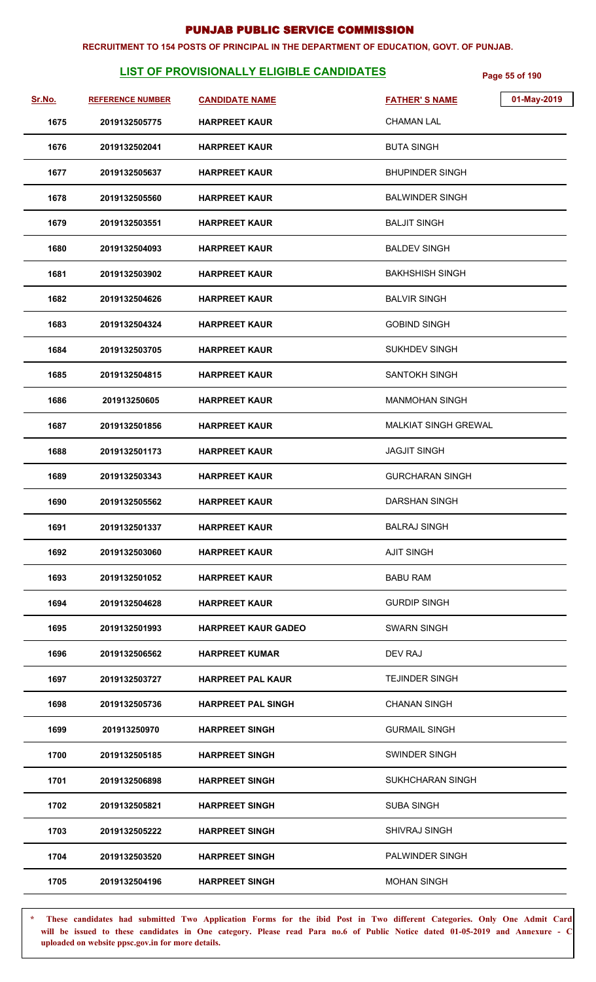#### **RECRUITMENT TO 154 POSTS OF PRINCIPAL IN THE DEPARTMENT OF EDUCATION, GOVT. OF PUNJAB.**

# **LIST OF PROVISIONALLY ELIGIBLE CANDIDATES** Page 55 of 190

| Sr.No. | <b>REFERENCE NUMBER</b> | <b>CANDIDATE NAME</b>      | <b>FATHER'S NAME</b>        | 01-May-2019 |
|--------|-------------------------|----------------------------|-----------------------------|-------------|
| 1675   | 2019132505775           | <b>HARPREET KAUR</b>       | <b>CHAMAN LAL</b>           |             |
| 1676   | 2019132502041           | <b>HARPREET KAUR</b>       | <b>BUTA SINGH</b>           |             |
| 1677   | 2019132505637           | <b>HARPREET KAUR</b>       | <b>BHUPINDER SINGH</b>      |             |
| 1678   | 2019132505560           | <b>HARPREET KAUR</b>       | <b>BALWINDER SINGH</b>      |             |
| 1679   | 2019132503551           | <b>HARPREET KAUR</b>       | <b>BALJIT SINGH</b>         |             |
| 1680   | 2019132504093           | <b>HARPREET KAUR</b>       | <b>BALDEV SINGH</b>         |             |
| 1681   | 2019132503902           | <b>HARPREET KAUR</b>       | <b>BAKHSHISH SINGH</b>      |             |
| 1682   | 2019132504626           | <b>HARPREET KAUR</b>       | <b>BALVIR SINGH</b>         |             |
| 1683   | 2019132504324           | <b>HARPREET KAUR</b>       | <b>GOBIND SINGH</b>         |             |
| 1684   | 2019132503705           | <b>HARPREET KAUR</b>       | <b>SUKHDEV SINGH</b>        |             |
| 1685   | 2019132504815           | <b>HARPREET KAUR</b>       | <b>SANTOKH SINGH</b>        |             |
| 1686   | 201913250605            | <b>HARPREET KAUR</b>       | <b>MANMOHAN SINGH</b>       |             |
| 1687   | 2019132501856           | <b>HARPREET KAUR</b>       | <b>MALKIAT SINGH GREWAL</b> |             |
| 1688   | 2019132501173           | <b>HARPREET KAUR</b>       | <b>JAGJIT SINGH</b>         |             |
| 1689   | 2019132503343           | <b>HARPREET KAUR</b>       | <b>GURCHARAN SINGH</b>      |             |
| 1690   | 2019132505562           | <b>HARPREET KAUR</b>       | <b>DARSHAN SINGH</b>        |             |
| 1691   | 2019132501337           | <b>HARPREET KAUR</b>       | <b>BALRAJ SINGH</b>         |             |
| 1692   | 2019132503060           | <b>HARPREET KAUR</b>       | <b>AJIT SINGH</b>           |             |
| 1693   | 2019132501052           | <b>HARPREET KAUR</b>       | <b>BABU RAM</b>             |             |
| 1694   | 2019132504628           | <b>HARPREET KAUR</b>       | <b>GURDIP SINGH</b>         |             |
| 1695   | 2019132501993           | <b>HARPREET KAUR GADEO</b> | <b>SWARN SINGH</b>          |             |
| 1696   | 2019132506562           | <b>HARPREET KUMAR</b>      | DEV RAJ                     |             |
| 1697   | 2019132503727           | <b>HARPREET PAL KAUR</b>   | <b>TEJINDER SINGH</b>       |             |
| 1698   | 2019132505736           | <b>HARPREET PAL SINGH</b>  | <b>CHANAN SINGH</b>         |             |
| 1699   | 201913250970            | <b>HARPREET SINGH</b>      | <b>GURMAIL SINGH</b>        |             |
| 1700   | 2019132505185           | <b>HARPREET SINGH</b>      | SWINDER SINGH               |             |
| 1701   | 2019132506898           | <b>HARPREET SINGH</b>      | SUKHCHARAN SINGH            |             |
| 1702   | 2019132505821           | <b>HARPREET SINGH</b>      | <b>SUBA SINGH</b>           |             |
| 1703   | 2019132505222           | <b>HARPREET SINGH</b>      | <b>SHIVRAJ SINGH</b>        |             |
| 1704   | 2019132503520           | <b>HARPREET SINGH</b>      | PALWINDER SINGH             |             |
| 1705   | 2019132504196           | <b>HARPREET SINGH</b>      | <b>MOHAN SINGH</b>          |             |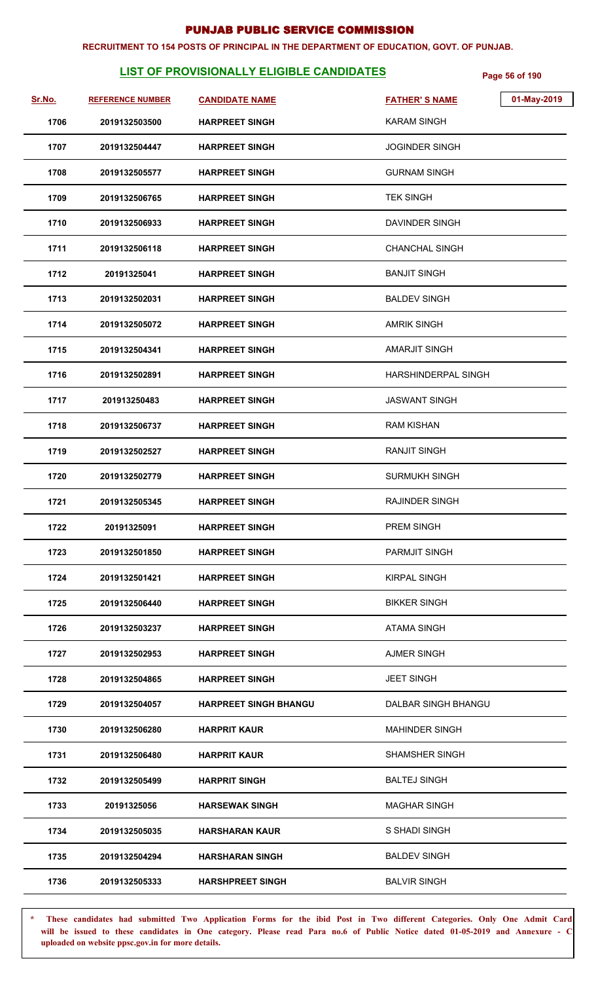#### **RECRUITMENT TO 154 POSTS OF PRINCIPAL IN THE DEPARTMENT OF EDUCATION, GOVT. OF PUNJAB.**

# **LIST OF PROVISIONALLY ELIGIBLE CANDIDATES** Page 56 of 190

| Sr.No. | <b>REFERENCE NUMBER</b> | <b>CANDIDATE NAME</b>        | <b>FATHER'S NAME</b>  | 01-May-2019 |
|--------|-------------------------|------------------------------|-----------------------|-------------|
| 1706   | 2019132503500           | <b>HARPREET SINGH</b>        | KARAM SINGH           |             |
| 1707   | 2019132504447           | <b>HARPREET SINGH</b>        | <b>JOGINDER SINGH</b> |             |
| 1708   | 2019132505577           | <b>HARPREET SINGH</b>        | <b>GURNAM SINGH</b>   |             |
| 1709   | 2019132506765           | <b>HARPREET SINGH</b>        | <b>TEK SINGH</b>      |             |
| 1710   | 2019132506933           | <b>HARPREET SINGH</b>        | DAVINDER SINGH        |             |
| 1711   | 2019132506118           | <b>HARPREET SINGH</b>        | <b>CHANCHAL SINGH</b> |             |
| 1712   | 20191325041             | <b>HARPREET SINGH</b>        | <b>BANJIT SINGH</b>   |             |
| 1713   | 2019132502031           | <b>HARPREET SINGH</b>        | <b>BALDEV SINGH</b>   |             |
| 1714   | 2019132505072           | <b>HARPREET SINGH</b>        | <b>AMRIK SINGH</b>    |             |
| 1715   | 2019132504341           | <b>HARPREET SINGH</b>        | <b>AMARJIT SINGH</b>  |             |
| 1716   | 2019132502891           | <b>HARPREET SINGH</b>        | HARSHINDERPAL SINGH   |             |
| 1717   | 201913250483            | <b>HARPREET SINGH</b>        | <b>JASWANT SINGH</b>  |             |
| 1718   | 2019132506737           | <b>HARPREET SINGH</b>        | <b>RAM KISHAN</b>     |             |
| 1719   | 2019132502527           | <b>HARPREET SINGH</b>        | <b>RANJIT SINGH</b>   |             |
| 1720   | 2019132502779           | <b>HARPREET SINGH</b>        | <b>SURMUKH SINGH</b>  |             |
| 1721   | 2019132505345           | <b>HARPREET SINGH</b>        | RAJINDER SINGH        |             |
| 1722   | 20191325091             | <b>HARPREET SINGH</b>        | PREM SINGH            |             |
| 1723   | 2019132501850           | <b>HARPREET SINGH</b>        | <b>PARMJIT SINGH</b>  |             |
| 1724   | 2019132501421           | <b>HARPREET SINGH</b>        | <b>KIRPAL SINGH</b>   |             |
| 1725   | 2019132506440           | <b>HARPREET SINGH</b>        | <b>BIKKER SINGH</b>   |             |
| 1726   | 2019132503237           | <b>HARPREET SINGH</b>        | <b>ATAMA SINGH</b>    |             |
| 1727   | 2019132502953           | <b>HARPREET SINGH</b>        | <b>AJMER SINGH</b>    |             |
| 1728   | 2019132504865           | <b>HARPREET SINGH</b>        | <b>JEET SINGH</b>     |             |
| 1729   | 2019132504057           | <b>HARPREET SINGH BHANGU</b> | DALBAR SINGH BHANGU   |             |
| 1730   | 2019132506280           | <b>HARPRIT KAUR</b>          | <b>MAHINDER SINGH</b> |             |
| 1731   | 2019132506480           | <b>HARPRIT KAUR</b>          | <b>SHAMSHER SINGH</b> |             |
| 1732   | 2019132505499           | <b>HARPRIT SINGH</b>         | <b>BALTEJ SINGH</b>   |             |
| 1733   | 20191325056             | <b>HARSEWAK SINGH</b>        | <b>MAGHAR SINGH</b>   |             |
| 1734   | 2019132505035           | <b>HARSHARAN KAUR</b>        | S SHADI SINGH         |             |
| 1735   | 2019132504294           | <b>HARSHARAN SINGH</b>       | <b>BALDEV SINGH</b>   |             |
| 1736   | 2019132505333           | <b>HARSHPREET SINGH</b>      | <b>BALVIR SINGH</b>   |             |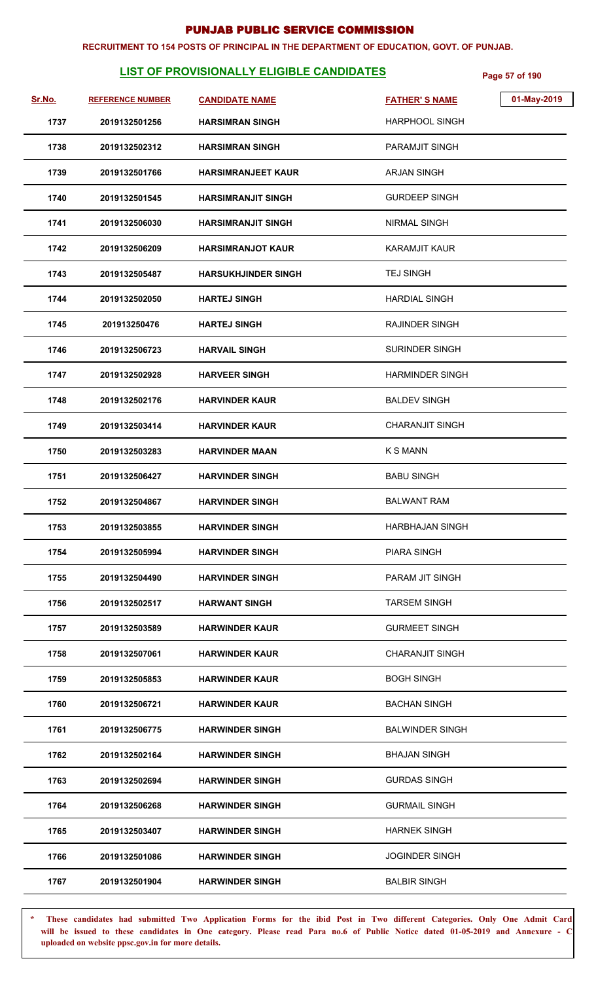#### **RECRUITMENT TO 154 POSTS OF PRINCIPAL IN THE DEPARTMENT OF EDUCATION, GOVT. OF PUNJAB.**

# **LIST OF PROVISIONALLY ELIGIBLE CANDIDATES** Page 57 of 190

| Sr.No. | <b>REFERENCE NUMBER</b> | <b>CANDIDATE NAME</b>      | <b>FATHER'S NAME</b>   | 01-May-2019 |
|--------|-------------------------|----------------------------|------------------------|-------------|
| 1737   | 2019132501256           | <b>HARSIMRAN SINGH</b>     | <b>HARPHOOL SINGH</b>  |             |
| 1738   | 2019132502312           | <b>HARSIMRAN SINGH</b>     | <b>PARAMJIT SINGH</b>  |             |
| 1739   | 2019132501766           | <b>HARSIMRANJEET KAUR</b>  | <b>ARJAN SINGH</b>     |             |
| 1740   | 2019132501545           | <b>HARSIMRANJIT SINGH</b>  | <b>GURDEEP SINGH</b>   |             |
| 1741   | 2019132506030           | <b>HARSIMRANJIT SINGH</b>  | <b>NIRMAL SINGH</b>    |             |
| 1742   | 2019132506209           | <b>HARSIMRANJOT KAUR</b>   | <b>KARAMJIT KAUR</b>   |             |
| 1743   | 2019132505487           | <b>HARSUKHJINDER SINGH</b> | <b>TEJ SINGH</b>       |             |
| 1744   | 2019132502050           | <b>HARTEJ SINGH</b>        | <b>HARDIAL SINGH</b>   |             |
| 1745   | 201913250476            | <b>HARTEJ SINGH</b>        | <b>RAJINDER SINGH</b>  |             |
| 1746   | 2019132506723           | <b>HARVAIL SINGH</b>       | <b>SURINDER SINGH</b>  |             |
| 1747   | 2019132502928           | <b>HARVEER SINGH</b>       | <b>HARMINDER SINGH</b> |             |
| 1748   | 2019132502176           | <b>HARVINDER KAUR</b>      | <b>BALDEV SINGH</b>    |             |
| 1749   | 2019132503414           | <b>HARVINDER KAUR</b>      | <b>CHARANJIT SINGH</b> |             |
| 1750   | 2019132503283           | <b>HARVINDER MAAN</b>      | <b>K S MANN</b>        |             |
| 1751   | 2019132506427           | <b>HARVINDER SINGH</b>     | <b>BABU SINGH</b>      |             |
| 1752   | 2019132504867           | <b>HARVINDER SINGH</b>     | <b>BALWANT RAM</b>     |             |
| 1753   | 2019132503855           | <b>HARVINDER SINGH</b>     | <b>HARBHAJAN SINGH</b> |             |
| 1754   | 2019132505994           | <b>HARVINDER SINGH</b>     | <b>PIARA SINGH</b>     |             |
| 1755   | 2019132504490           | <b>HARVINDER SINGH</b>     | PARAM JIT SINGH        |             |
| 1756   | 2019132502517           | <b>HARWANT SINGH</b>       | <b>TARSEM SINGH</b>    |             |
| 1757   | 2019132503589           | <b>HARWINDER KAUR</b>      | <b>GURMEET SINGH</b>   |             |
| 1758   | 2019132507061           | <b>HARWINDER KAUR</b>      | <b>CHARANJIT SINGH</b> |             |
| 1759   | 2019132505853           | <b>HARWINDER KAUR</b>      | <b>BOGH SINGH</b>      |             |
| 1760   | 2019132506721           | <b>HARWINDER KAUR</b>      | <b>BACHAN SINGH</b>    |             |
| 1761   | 2019132506775           | <b>HARWINDER SINGH</b>     | <b>BALWINDER SINGH</b> |             |
| 1762   | 2019132502164           | <b>HARWINDER SINGH</b>     | <b>BHAJAN SINGH</b>    |             |
| 1763   | 2019132502694           | <b>HARWINDER SINGH</b>     | <b>GURDAS SINGH</b>    |             |
| 1764   | 2019132506268           | <b>HARWINDER SINGH</b>     | <b>GURMAIL SINGH</b>   |             |
| 1765   | 2019132503407           | <b>HARWINDER SINGH</b>     | <b>HARNEK SINGH</b>    |             |
| 1766   | 2019132501086           | <b>HARWINDER SINGH</b>     | <b>JOGINDER SINGH</b>  |             |
| 1767   | 2019132501904           | <b>HARWINDER SINGH</b>     | <b>BALBIR SINGH</b>    |             |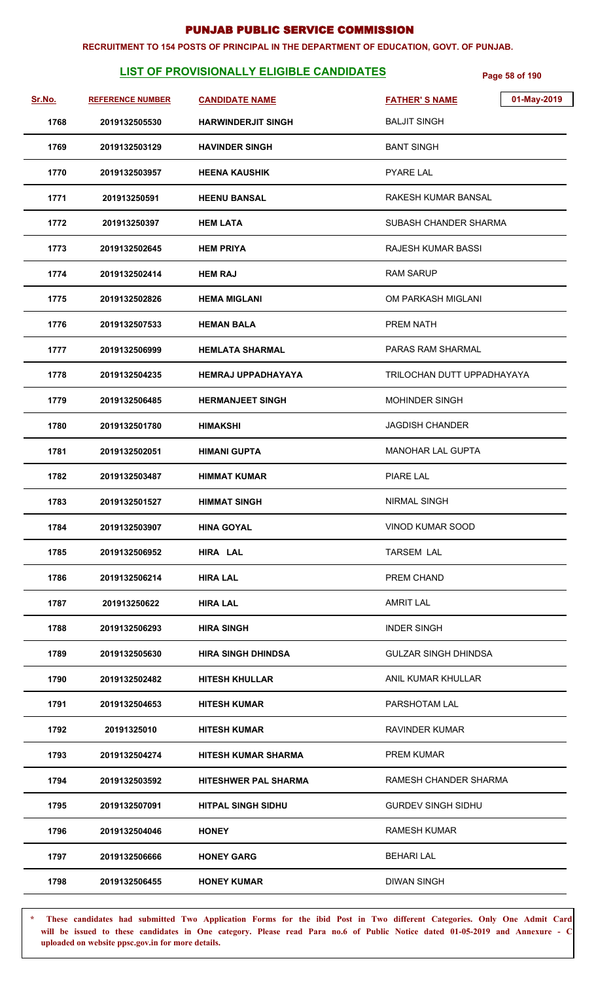#### **RECRUITMENT TO 154 POSTS OF PRINCIPAL IN THE DEPARTMENT OF EDUCATION, GOVT. OF PUNJAB.**

# **LIST OF PROVISIONALLY ELIGIBLE CANDIDATES** Page 58 of 190

| Sr.No. | <b>REFERENCE NUMBER</b> | <b>CANDIDATE NAME</b>       | 01-May-2019<br><b>FATHER'S NAME</b> |
|--------|-------------------------|-----------------------------|-------------------------------------|
| 1768   | 2019132505530           | <b>HARWINDERJIT SINGH</b>   | <b>BALJIT SINGH</b>                 |
| 1769   | 2019132503129           | <b>HAVINDER SINGH</b>       | <b>BANT SINGH</b>                   |
| 1770   | 2019132503957           | <b>HEENA KAUSHIK</b>        | <b>PYARE LAL</b>                    |
| 1771   | 201913250591            | <b>HEENU BANSAL</b>         | RAKESH KUMAR BANSAL                 |
| 1772   | 201913250397            | <b>HEM LATA</b>             | SUBASH CHANDER SHARMA               |
| 1773   | 2019132502645           | <b>HEM PRIYA</b>            | RAJESH KUMAR BASSI                  |
| 1774   | 2019132502414           | <b>HEM RAJ</b>              | <b>RAM SARUP</b>                    |
| 1775   | 2019132502826           | <b>HEMA MIGLANI</b>         | OM PARKASH MIGLANI                  |
| 1776   | 2019132507533           | <b>HEMAN BALA</b>           | PREM NATH                           |
| 1777   | 2019132506999           | <b>HEMLATA SHARMAL</b>      | PARAS RAM SHARMAL                   |
| 1778   | 2019132504235           | <b>HEMRAJ UPPADHAYAYA</b>   | TRILOCHAN DUTT UPPADHAYAYA          |
| 1779   | 2019132506485           | <b>HERMANJEET SINGH</b>     | MOHINDER SINGH                      |
| 1780   | 2019132501780           | <b>HIMAKSHI</b>             | <b>JAGDISH CHANDER</b>              |
| 1781   | 2019132502051           | <b>HIMANI GUPTA</b>         | <b>MANOHAR LAL GUPTA</b>            |
| 1782   | 2019132503487           | <b>HIMMAT KUMAR</b>         | <b>PIARE LAL</b>                    |
| 1783   | 2019132501527           | <b>HIMMAT SINGH</b>         | NIRMAL SINGH                        |
| 1784   | 2019132503907           | <b>HINA GOYAL</b>           | VINOD KUMAR SOOD                    |
| 1785   | 2019132506952           | HIRA LAL                    | <b>TARSEM LAL</b>                   |
| 1786   | 2019132506214           | <b>HIRA LAL</b>             | PREM CHAND                          |
| 1787   | 201913250622            | <b>HIRA LAL</b>             | <b>AMRIT LAL</b>                    |
| 1788   | 2019132506293           | <b>HIRA SINGH</b>           | <b>INDER SINGH</b>                  |
| 1789   | 2019132505630           | <b>HIRA SINGH DHINDSA</b>   | <b>GULZAR SINGH DHINDSA</b>         |
| 1790   | 2019132502482           | <b>HITESH KHULLAR</b>       | ANIL KUMAR KHULLAR                  |
| 1791   | 2019132504653           | <b>HITESH KUMAR</b>         | PARSHOTAM LAL                       |
| 1792   | 20191325010             | <b>HITESH KUMAR</b>         | <b>RAVINDER KUMAR</b>               |
| 1793   | 2019132504274           | <b>HITESH KUMAR SHARMA</b>  | <b>PREM KUMAR</b>                   |
| 1794   | 2019132503592           | <b>HITESHWER PAL SHARMA</b> | RAMESH CHANDER SHARMA               |
| 1795   | 2019132507091           | <b>HITPAL SINGH SIDHU</b>   | <b>GURDEV SINGH SIDHU</b>           |
| 1796   | 2019132504046           | <b>HONEY</b>                | <b>RAMESH KUMAR</b>                 |
| 1797   | 2019132506666           | <b>HONEY GARG</b>           | <b>BEHARI LAL</b>                   |
| 1798   | 2019132506455           | <b>HONEY KUMAR</b>          | <b>DIWAN SINGH</b>                  |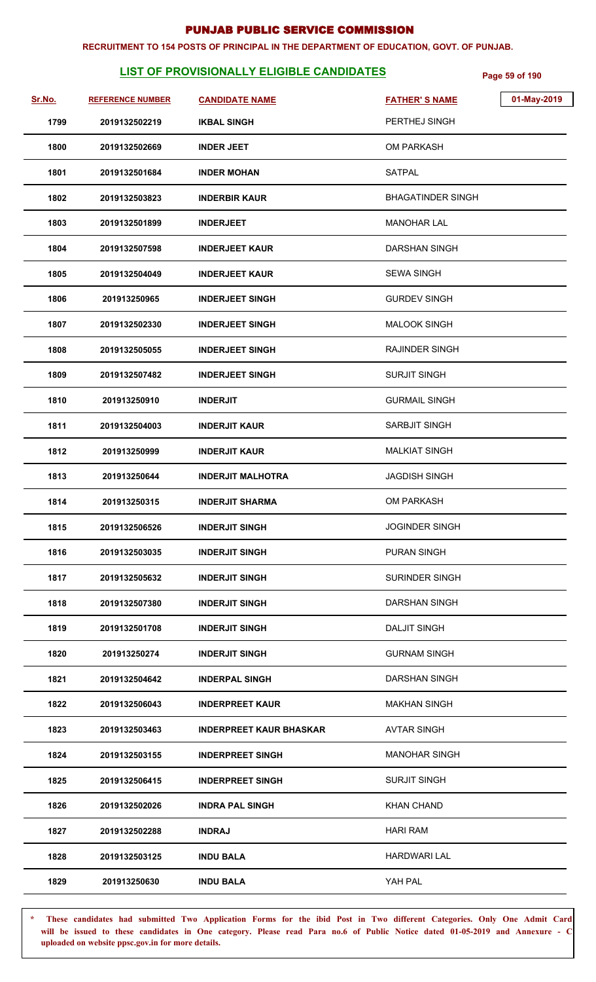#### **RECRUITMENT TO 154 POSTS OF PRINCIPAL IN THE DEPARTMENT OF EDUCATION, GOVT. OF PUNJAB.**

# **LIST OF PROVISIONALLY ELIGIBLE CANDIDATES** Page 59 of 190

| Sr.No. | <b>REFERENCE NUMBER</b> | <b>CANDIDATE NAME</b>          | <b>FATHER'S NAME</b>     | 01-May-2019 |
|--------|-------------------------|--------------------------------|--------------------------|-------------|
| 1799   | 2019132502219           | <b>IKBAL SINGH</b>             | PERTHEJ SINGH            |             |
| 1800   | 2019132502669           | <b>INDER JEET</b>              | <b>OM PARKASH</b>        |             |
| 1801   | 2019132501684           | <b>INDER MOHAN</b>             | <b>SATPAL</b>            |             |
| 1802   | 2019132503823           | <b>INDERBIR KAUR</b>           | <b>BHAGATINDER SINGH</b> |             |
| 1803   | 2019132501899           | <b>INDERJEET</b>               | <b>MANOHAR LAL</b>       |             |
| 1804   | 2019132507598           | <b>INDERJEET KAUR</b>          | DARSHAN SINGH            |             |
| 1805   | 2019132504049           | <b>INDERJEET KAUR</b>          | <b>SEWA SINGH</b>        |             |
| 1806   | 201913250965            | <b>INDERJEET SINGH</b>         | <b>GURDEV SINGH</b>      |             |
| 1807   | 2019132502330           | <b>INDERJEET SINGH</b>         | <b>MALOOK SINGH</b>      |             |
| 1808   | 2019132505055           | <b>INDERJEET SINGH</b>         | RAJINDER SINGH           |             |
| 1809   | 2019132507482           | <b>INDERJEET SINGH</b>         | <b>SURJIT SINGH</b>      |             |
| 1810   | 201913250910            | <b>INDERJIT</b>                | <b>GURMAIL SINGH</b>     |             |
| 1811   | 2019132504003           | <b>INDERJIT KAUR</b>           | <b>SARBJIT SINGH</b>     |             |
| 1812   | 201913250999            | <b>INDERJIT KAUR</b>           | <b>MALKIAT SINGH</b>     |             |
| 1813   | 201913250644            | <b>INDERJIT MALHOTRA</b>       | <b>JAGDISH SINGH</b>     |             |
| 1814   | 201913250315            | <b>INDERJIT SHARMA</b>         | <b>OM PARKASH</b>        |             |
| 1815   | 2019132506526           | <b>INDERJIT SINGH</b>          | JOGINDER SINGH           |             |
| 1816   | 2019132503035           | <b>INDERJIT SINGH</b>          | <b>PURAN SINGH</b>       |             |
| 1817   | 2019132505632           | <b>INDERJIT SINGH</b>          | <b>SURINDER SINGH</b>    |             |
| 1818   | 2019132507380           | <b>INDERJIT SINGH</b>          | <b>DARSHAN SINGH</b>     |             |
| 1819   | 2019132501708           | <b>INDERJIT SINGH</b>          | <b>DALJIT SINGH</b>      |             |
| 1820   | 201913250274            | <b>INDERJIT SINGH</b>          | <b>GURNAM SINGH</b>      |             |
| 1821   | 2019132504642           | <b>INDERPAL SINGH</b>          | <b>DARSHAN SINGH</b>     |             |
| 1822   | 2019132506043           | <b>INDERPREET KAUR</b>         | <b>MAKHAN SINGH</b>      |             |
| 1823   | 2019132503463           | <b>INDERPREET KAUR BHASKAR</b> | <b>AVTAR SINGH</b>       |             |
| 1824   | 2019132503155           | <b>INDERPREET SINGH</b>        | <b>MANOHAR SINGH</b>     |             |
| 1825   | 2019132506415           | <b>INDERPREET SINGH</b>        | <b>SURJIT SINGH</b>      |             |
| 1826   | 2019132502026           | <b>INDRA PAL SINGH</b>         | <b>KHAN CHAND</b>        |             |
| 1827   | 2019132502288           | <b>INDRAJ</b>                  | <b>HARI RAM</b>          |             |
| 1828   | 2019132503125           | <b>INDU BALA</b>               | <b>HARDWARI LAL</b>      |             |
| 1829   | 201913250630            | <b>INDU BALA</b>               | YAH PAL                  |             |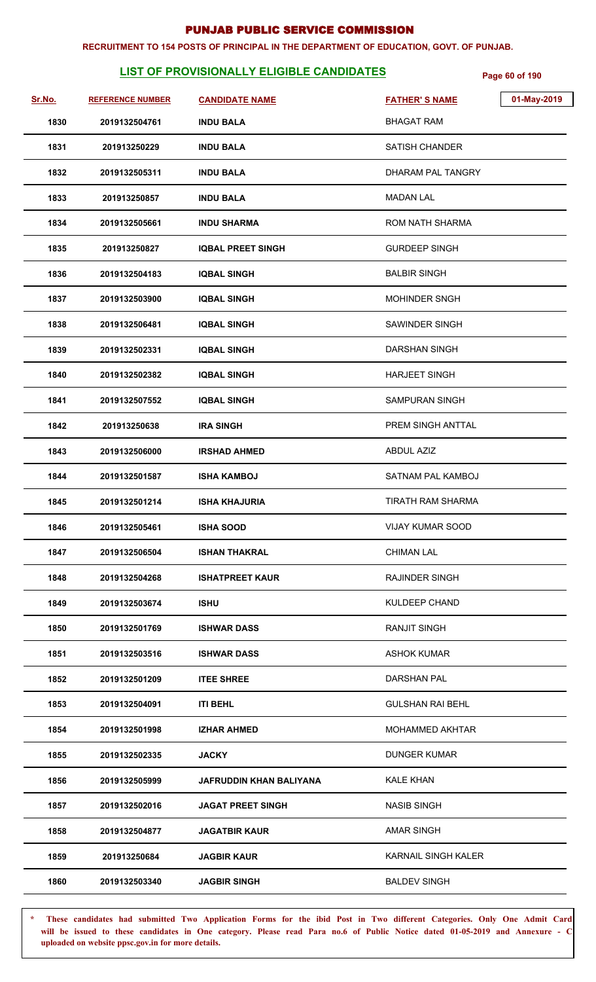#### **RECRUITMENT TO 154 POSTS OF PRINCIPAL IN THE DEPARTMENT OF EDUCATION, GOVT. OF PUNJAB.**

# **LIST OF PROVISIONALLY ELIGIBLE CANDIDATES** Page 60 of 190

| <u>Sr.No.</u> | <b>REFERENCE NUMBER</b> | <b>CANDIDATE NAME</b>    | 01-May-2019<br><b>FATHER'S NAME</b> |
|---------------|-------------------------|--------------------------|-------------------------------------|
| 1830          | 2019132504761           | <b>INDU BALA</b>         | <b>BHAGAT RAM</b>                   |
| 1831          | 201913250229            | <b>INDU BALA</b>         | <b>SATISH CHANDER</b>               |
| 1832          | 2019132505311           | <b>INDU BALA</b>         | DHARAM PAL TANGRY                   |
| 1833          | 201913250857            | <b>INDU BALA</b>         | <b>MADAN LAL</b>                    |
| 1834          | 2019132505661           | <b>INDU SHARMA</b>       | <b>ROM NATH SHARMA</b>              |
| 1835          | 201913250827            | <b>IQBAL PREET SINGH</b> | <b>GURDEEP SINGH</b>                |
| 1836          | 2019132504183           | <b>IQBAL SINGH</b>       | <b>BALBIR SINGH</b>                 |
| 1837          | 2019132503900           | <b>IQBAL SINGH</b>       | <b>MOHINDER SNGH</b>                |
| 1838          | 2019132506481           | <b>IQBAL SINGH</b>       | SAWINDER SINGH                      |
| 1839          | 2019132502331           | <b>IQBAL SINGH</b>       | <b>DARSHAN SINGH</b>                |
| 1840          | 2019132502382           | <b>IQBAL SINGH</b>       | <b>HARJEET SINGH</b>                |
| 1841          | 2019132507552           | <b>IQBAL SINGH</b>       | SAMPURAN SINGH                      |
| 1842          | 201913250638            | <b>IRA SINGH</b>         | PREM SINGH ANTTAL                   |
| 1843          | 2019132506000           | <b>IRSHAD AHMED</b>      | <b>ABDUL AZIZ</b>                   |
| 1844          | 2019132501587           | <b>ISHA KAMBOJ</b>       | SATNAM PAL KAMBOJ                   |
| 1845          | 2019132501214           | <b>ISHA KHAJURIA</b>     | <b>TIRATH RAM SHARMA</b>            |
| 1846          | 2019132505461           | <b>ISHA SOOD</b>         | <b>VIJAY KUMAR SOOD</b>             |
| 1847          | 2019132506504           | <b>ISHAN THAKRAL</b>     | <b>CHIMAN LAL</b>                   |
| 1848          | 2019132504268           | <b>ISHATPREET KAUR</b>   | <b>RAJINDER SINGH</b>               |
| 1849          | 2019132503674           | <b>ISHU</b>              | <b>KULDEEP CHAND</b>                |
| 1850          | 2019132501769           | <b>ISHWAR DASS</b>       | <b>RANJIT SINGH</b>                 |
| 1851          | 2019132503516           | <b>ISHWAR DASS</b>       | <b>ASHOK KUMAR</b>                  |
| 1852          | 2019132501209           | <b>ITEE SHREE</b>        | <b>DARSHAN PAL</b>                  |
| 1853          | 2019132504091           | <b>ITI BEHL</b>          | <b>GULSHAN RAI BEHL</b>             |
| 1854          | 2019132501998           | <b>IZHAR AHMED</b>       | MOHAMMED AKHTAR                     |
| 1855          | 2019132502335           | <b>JACKY</b>             | <b>DUNGER KUMAR</b>                 |
| 1856          | 2019132505999           | JAFRUDDIN KHAN BALIYANA  | <b>KALE KHAN</b>                    |
| 1857          | 2019132502016           | <b>JAGAT PREET SINGH</b> | <b>NASIB SINGH</b>                  |
| 1858          | 2019132504877           | <b>JAGATBIR KAUR</b>     | <b>AMAR SINGH</b>                   |
| 1859          | 201913250684            | <b>JAGBIR KAUR</b>       | KARNAIL SINGH KALER                 |
| 1860          | 2019132503340           | <b>JAGBIR SINGH</b>      | <b>BALDEV SINGH</b>                 |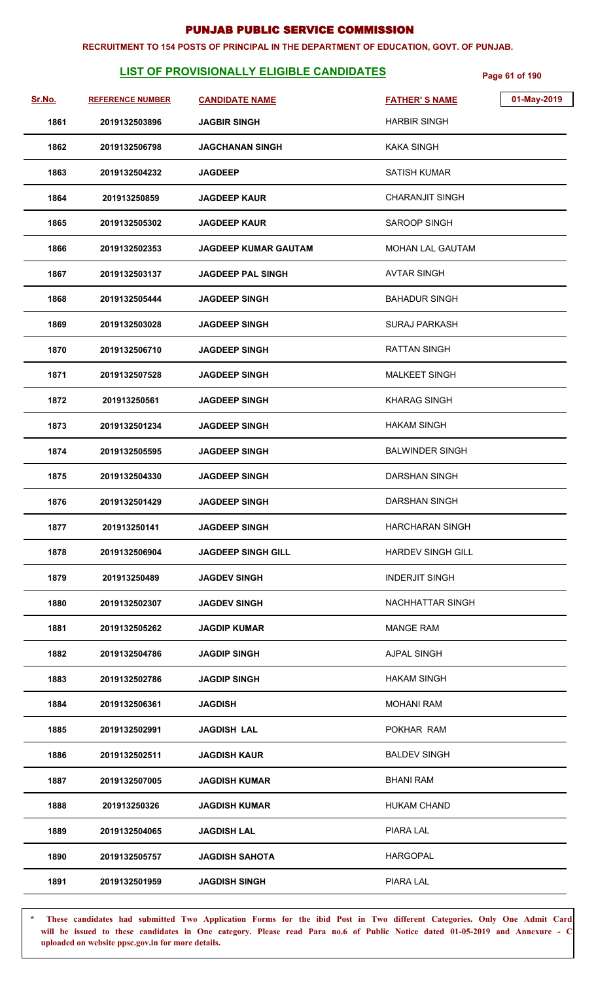#### **RECRUITMENT TO 154 POSTS OF PRINCIPAL IN THE DEPARTMENT OF EDUCATION, GOVT. OF PUNJAB.**

# **LIST OF PROVISIONALLY ELIGIBLE CANDIDATES** Page 61 of 190

| Sr.No. | <b>REFERENCE NUMBER</b> | <b>CANDIDATE NAME</b>       | 01-May-2019<br><b>FATHER'S NAME</b> |
|--------|-------------------------|-----------------------------|-------------------------------------|
| 1861   | 2019132503896           | <b>JAGBIR SINGH</b>         | <b>HARBIR SINGH</b>                 |
| 1862   | 2019132506798           | <b>JAGCHANAN SINGH</b>      | KAKA SINGH                          |
| 1863   | 2019132504232           | <b>JAGDEEP</b>              | SATISH KUMAR                        |
| 1864   | 201913250859            | <b>JAGDEEP KAUR</b>         | <b>CHARANJIT SINGH</b>              |
| 1865   | 2019132505302           | <b>JAGDEEP KAUR</b>         | <b>SAROOP SINGH</b>                 |
| 1866   | 2019132502353           | <b>JAGDEEP KUMAR GAUTAM</b> | <b>MOHAN LAL GAUTAM</b>             |
| 1867   | 2019132503137           | <b>JAGDEEP PAL SINGH</b>    | <b>AVTAR SINGH</b>                  |
| 1868   | 2019132505444           | <b>JAGDEEP SINGH</b>        | <b>BAHADUR SINGH</b>                |
| 1869   | 2019132503028           | <b>JAGDEEP SINGH</b>        | SURAJ PARKASH                       |
| 1870   | 2019132506710           | <b>JAGDEEP SINGH</b>        | RATTAN SINGH                        |
| 1871   | 2019132507528           | <b>JAGDEEP SINGH</b>        | <b>MALKEET SINGH</b>                |
| 1872   | 201913250561            | <b>JAGDEEP SINGH</b>        | <b>KHARAG SINGH</b>                 |
| 1873   | 2019132501234           | <b>JAGDEEP SINGH</b>        | <b>HAKAM SINGH</b>                  |
| 1874   | 2019132505595           | <b>JAGDEEP SINGH</b>        | <b>BALWINDER SINGH</b>              |
| 1875   | 2019132504330           | <b>JAGDEEP SINGH</b>        | <b>DARSHAN SINGH</b>                |
| 1876   | 2019132501429           | <b>JAGDEEP SINGH</b>        | <b>DARSHAN SINGH</b>                |
| 1877   | 201913250141            | <b>JAGDEEP SINGH</b>        | <b>HARCHARAN SINGH</b>              |
| 1878   | 2019132506904           | <b>JAGDEEP SINGH GILL</b>   | <b>HARDEV SINGH GILL</b>            |
| 1879   | 201913250489            | <b>JAGDEV SINGH</b>         | <b>INDERJIT SINGH</b>               |
| 1880   | 2019132502307           | <b>JAGDEV SINGH</b>         | NACHHATTAR SINGH                    |
| 1881   | 2019132505262           | <b>JAGDIP KUMAR</b>         | <b>MANGE RAM</b>                    |
| 1882   | 2019132504786           | <b>JAGDIP SINGH</b>         | <b>AJPAL SINGH</b>                  |
| 1883   | 2019132502786           | <b>JAGDIP SINGH</b>         | <b>HAKAM SINGH</b>                  |
| 1884   | 2019132506361           | <b>JAGDISH</b>              | <b>MOHANI RAM</b>                   |
| 1885   | 2019132502991           | <b>JAGDISH LAL</b>          | POKHAR RAM                          |
| 1886   | 2019132502511           | <b>JAGDISH KAUR</b>         | <b>BALDEV SINGH</b>                 |
| 1887   | 2019132507005           | <b>JAGDISH KUMAR</b>        | <b>BHANI RAM</b>                    |
| 1888   | 201913250326            | <b>JAGDISH KUMAR</b>        | <b>HUKAM CHAND</b>                  |
| 1889   | 2019132504065           | <b>JAGDISH LAL</b>          | PIARA LAL                           |
| 1890   | 2019132505757           | <b>JAGDISH SAHOTA</b>       | <b>HARGOPAL</b>                     |
| 1891   | 2019132501959           | <b>JAGDISH SINGH</b>        | PIARA LAL                           |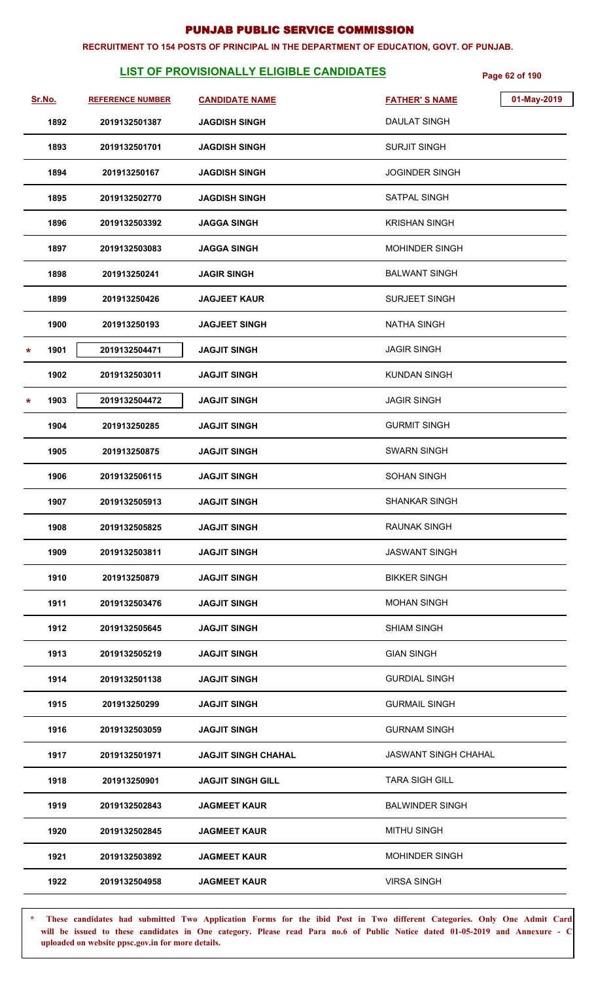#### **RECRUITMENT TO 154 POSTS OF PRINCIPAL IN THE DEPARTMENT OF EDUCATION, GOVT. OF PUNJAB.**

# **LIST OF PROVISIONALLY ELIGIBLE CANDIDATES** Page 62 of 190

| Sr.No.          | <b>REFERENCE NUMBER</b> | <b>CANDIDATE NAME</b>      | 01-May-2019<br><b>FATHER'S NAME</b> |
|-----------------|-------------------------|----------------------------|-------------------------------------|
| 1892            | 2019132501387           | <b>JAGDISH SINGH</b>       | <b>DAULAT SINGH</b>                 |
| 1893            | 2019132501701           | <b>JAGDISH SINGH</b>       | <b>SURJIT SINGH</b>                 |
| 1894            | 201913250167            | <b>JAGDISH SINGH</b>       | <b>JOGINDER SINGH</b>               |
| 1895            | 2019132502770           | <b>JAGDISH SINGH</b>       | <b>SATPAL SINGH</b>                 |
| 1896            | 2019132503392           | <b>JAGGA SINGH</b>         | <b>KRISHAN SINGH</b>                |
| 1897            | 2019132503083           | <b>JAGGA SINGH</b>         | <b>MOHINDER SINGH</b>               |
| 1898            | 201913250241            | <b>JAGIR SINGH</b>         | <b>BALWANT SINGH</b>                |
| 1899            | 201913250426            | <b>JAGJEET KAUR</b>        | SURJEET SINGH                       |
| 1900            | 201913250193            | <b>JAGJEET SINGH</b>       | <b>NATHA SINGH</b>                  |
| 1901<br>$\star$ | 2019132504471           | <b>JAGJIT SINGH</b>        | <b>JAGIR SINGH</b>                  |
| 1902            | 2019132503011           | <b>JAGJIT SINGH</b>        | <b>KUNDAN SINGH</b>                 |
| 1903<br>*       | 2019132504472           | <b>JAGJIT SINGH</b>        | <b>JAGIR SINGH</b>                  |
| 1904            | 201913250285            | <b>JAGJIT SINGH</b>        | <b>GURMIT SINGH</b>                 |
| 1905            | 201913250875            | <b>JAGJIT SINGH</b>        | <b>SWARN SINGH</b>                  |
| 1906            | 2019132506115           | <b>JAGJIT SINGH</b>        | <b>SOHAN SINGH</b>                  |
| 1907            | 2019132505913           | <b>JAGJIT SINGH</b>        | <b>SHANKAR SINGH</b>                |
| 1908            | 2019132505825           | <b>JAGJIT SINGH</b>        | RAUNAK SINGH                        |
| 1909            | 2019132503811           | <b>JAGJIT SINGH</b>        | <b>JASWANT SINGH</b>                |
| 1910            | 201913250879            | <b>JAGJIT SINGH</b>        | <b>BIKKER SINGH</b>                 |
| 1911            | 2019132503476           | <b>JAGJIT SINGH</b>        | <b>MOHAN SINGH</b>                  |
| 1912            | 2019132505645           | <b>JAGJIT SINGH</b>        | <b>SHIAM SINGH</b>                  |
| 1913            | 2019132505219           | <b>JAGJIT SINGH</b>        | <b>GIAN SINGH</b>                   |
| 1914            | 2019132501138           | <b>JAGJIT SINGH</b>        | <b>GURDIAL SINGH</b>                |
| 1915            | 201913250299            | <b>JAGJIT SINGH</b>        | <b>GURMAIL SINGH</b>                |
| 1916            | 2019132503059           | <b>JAGJIT SINGH</b>        | <b>GURNAM SINGH</b>                 |
| 1917            | 2019132501971           | <b>JAGJIT SINGH CHAHAL</b> | <b>JASWANT SINGH CHAHAL</b>         |
| 1918            | 201913250901            | <b>JAGJIT SINGH GILL</b>   | <b>TARA SIGH GILL</b>               |
| 1919            | 2019132502843           | <b>JAGMEET KAUR</b>        | <b>BALWINDER SINGH</b>              |
| 1920            | 2019132502845           | <b>JAGMEET KAUR</b>        | <b>MITHU SINGH</b>                  |
| 1921            | 2019132503892           | <b>JAGMEET KAUR</b>        | <b>MOHINDER SINGH</b>               |
| 1922            | 2019132504958           | <b>JAGMEET KAUR</b>        | <b>VIRSA SINGH</b>                  |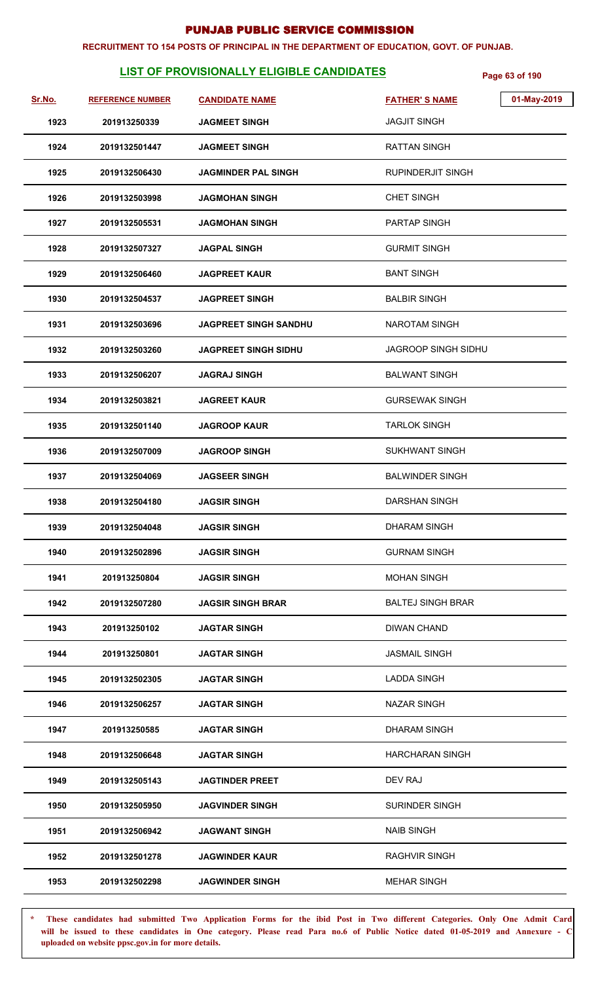#### **RECRUITMENT TO 154 POSTS OF PRINCIPAL IN THE DEPARTMENT OF EDUCATION, GOVT. OF PUNJAB.**

# **LIST OF PROVISIONALLY ELIGIBLE CANDIDATES** Page 63 of 190

| <u>Sr.No.</u> | <b>REFERENCE NUMBER</b> | <b>CANDIDATE NAME</b>        | <b>FATHER'S NAME</b>       | 01-May-2019 |
|---------------|-------------------------|------------------------------|----------------------------|-------------|
|               |                         |                              | <b>JAGJIT SINGH</b>        |             |
| 1923          | 201913250339            | <b>JAGMEET SINGH</b>         |                            |             |
| 1924          | 2019132501447           | <b>JAGMEET SINGH</b>         | <b>RATTAN SINGH</b>        |             |
| 1925          | 2019132506430           | <b>JAGMINDER PAL SINGH</b>   | <b>RUPINDERJIT SINGH</b>   |             |
| 1926          | 2019132503998           | JAGMOHAN SINGH               | <b>CHET SINGH</b>          |             |
| 1927          | 2019132505531           | JAGMOHAN SINGH               | <b>PARTAP SINGH</b>        |             |
| 1928          | 2019132507327           | <b>JAGPAL SINGH</b>          | <b>GURMIT SINGH</b>        |             |
| 1929          | 2019132506460           | <b>JAGPREET KAUR</b>         | <b>BANT SINGH</b>          |             |
| 1930          | 2019132504537           | <b>JAGPREET SINGH</b>        | <b>BALBIR SINGH</b>        |             |
| 1931          | 2019132503696           | <b>JAGPREET SINGH SANDHU</b> | NAROTAM SINGH              |             |
| 1932          | 2019132503260           | JAGPREET SINGH SIDHU         | <b>JAGROOP SINGH SIDHU</b> |             |
| 1933          | 2019132506207           | <b>JAGRAJ SINGH</b>          | <b>BALWANT SINGH</b>       |             |
| 1934          | 2019132503821           | <b>JAGREET KAUR</b>          | <b>GURSEWAK SINGH</b>      |             |
| 1935          | 2019132501140           | <b>JAGROOP KAUR</b>          | <b>TARLOK SINGH</b>        |             |
| 1936          | 2019132507009           | <b>JAGROOP SINGH</b>         | SUKHWANT SINGH             |             |
| 1937          | 2019132504069           | <b>JAGSEER SINGH</b>         | <b>BALWINDER SINGH</b>     |             |
| 1938          | 2019132504180           | <b>JAGSIR SINGH</b>          | <b>DARSHAN SINGH</b>       |             |
| 1939          | 2019132504048           | <b>JAGSIR SINGH</b>          | <b>DHARAM SINGH</b>        |             |
| 1940          | 2019132502896           | <b>JAGSIR SINGH</b>          | <b>GURNAM SINGH</b>        |             |
| 1941          | 201913250804            | <b>JAGSIR SINGH</b>          | <b>MOHAN SINGH</b>         |             |
| 1942          | 2019132507280           | <b>JAGSIR SINGH BRAR</b>     | <b>BALTEJ SINGH BRAR</b>   |             |
| 1943          | 201913250102            | <b>JAGTAR SINGH</b>          | <b>DIWAN CHAND</b>         |             |
| 1944          | 201913250801            | <b>JAGTAR SINGH</b>          | <b>JASMAIL SINGH</b>       |             |
| 1945          | 2019132502305           | <b>JAGTAR SINGH</b>          | <b>LADDA SINGH</b>         |             |
| 1946          | 2019132506257           | <b>JAGTAR SINGH</b>          | <b>NAZAR SINGH</b>         |             |
| 1947          | 201913250585            | <b>JAGTAR SINGH</b>          | <b>DHARAM SINGH</b>        |             |
| 1948          | 2019132506648           | <b>JAGTAR SINGH</b>          | <b>HARCHARAN SINGH</b>     |             |
| 1949          | 2019132505143           | <b>JAGTINDER PREET</b>       | DEV RAJ                    |             |
| 1950          | 2019132505950           | <b>JAGVINDER SINGH</b>       | <b>SURINDER SINGH</b>      |             |
| 1951          | 2019132506942           | <b>JAGWANT SINGH</b>         | <b>NAIB SINGH</b>          |             |
| 1952          | 2019132501278           | <b>JAGWINDER KAUR</b>        | <b>RAGHVIR SINGH</b>       |             |
| 1953          | 2019132502298           | <b>JAGWINDER SINGH</b>       | <b>MEHAR SINGH</b>         |             |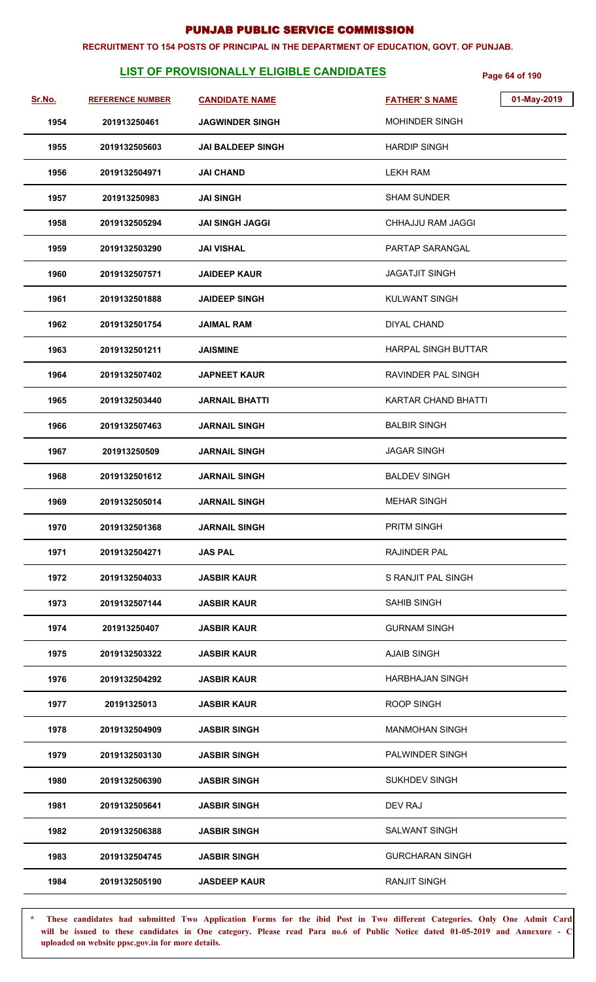#### **RECRUITMENT TO 154 POSTS OF PRINCIPAL IN THE DEPARTMENT OF EDUCATION, GOVT. OF PUNJAB.**

# **LIST OF PROVISIONALLY ELIGIBLE CANDIDATES Page 64 of 190**

| Sr.No. | <b>REFERENCE NUMBER</b> | <b>CANDIDATE NAME</b>    | <b>FATHER'S NAME</b>       | 01-May-2019 |
|--------|-------------------------|--------------------------|----------------------------|-------------|
| 1954   | 201913250461            | <b>JAGWINDER SINGH</b>   | <b>MOHINDER SINGH</b>      |             |
| 1955   | 2019132505603           | <b>JAI BALDEEP SINGH</b> | <b>HARDIP SINGH</b>        |             |
| 1956   | 2019132504971           | <b>JAI CHAND</b>         | <b>LEKH RAM</b>            |             |
| 1957   | 201913250983            | <b>JAI SINGH</b>         | <b>SHAM SUNDER</b>         |             |
| 1958   | 2019132505294           | <b>JAI SINGH JAGGI</b>   | CHHAJJU RAM JAGGI          |             |
| 1959   | 2019132503290           | <b>JAI VISHAL</b>        | PARTAP SARANGAL            |             |
| 1960   | 2019132507571           | <b>JAIDEEP KAUR</b>      | <b>JAGATJIT SINGH</b>      |             |
| 1961   | 2019132501888           | <b>JAIDEEP SINGH</b>     | <b>KULWANT SINGH</b>       |             |
| 1962   | 2019132501754           | <b>JAIMAL RAM</b>        | <b>DIYAL CHAND</b>         |             |
| 1963   | 2019132501211           | <b>JAISMINE</b>          | <b>HARPAL SINGH BUTTAR</b> |             |
| 1964   | 2019132507402           | <b>JAPNEET KAUR</b>      | RAVINDER PAL SINGH         |             |
| 1965   | 2019132503440           | <b>JARNAIL BHATTI</b>    | KARTAR CHAND BHATTI        |             |
| 1966   | 2019132507463           | <b>JARNAIL SINGH</b>     | <b>BALBIR SINGH</b>        |             |
| 1967   | 201913250509            | <b>JARNAIL SINGH</b>     | <b>JAGAR SINGH</b>         |             |
| 1968   | 2019132501612           | <b>JARNAIL SINGH</b>     | <b>BALDEV SINGH</b>        |             |
| 1969   | 2019132505014           | <b>JARNAIL SINGH</b>     | <b>MEHAR SINGH</b>         |             |
| 1970   | 2019132501368           | <b>JARNAIL SINGH</b>     | <b>PRITM SINGH</b>         |             |
| 1971   | 2019132504271           | <b>JAS PAL</b>           | <b>RAJINDER PAL</b>        |             |
| 1972   | 2019132504033           | <b>JASBIR KAUR</b>       | S RANJIT PAL SINGH         |             |
| 1973   | 2019132507144           | <b>JASBIR KAUR</b>       | <b>SAHIB SINGH</b>         |             |
| 1974   | 201913250407            | <b>JASBIR KAUR</b>       | <b>GURNAM SINGH</b>        |             |
| 1975   | 2019132503322           | <b>JASBIR KAUR</b>       | <b>AJAIB SINGH</b>         |             |
| 1976   | 2019132504292           | <b>JASBIR KAUR</b>       | <b>HARBHAJAN SINGH</b>     |             |
| 1977   | 20191325013             | <b>JASBIR KAUR</b>       | <b>ROOP SINGH</b>          |             |
| 1978   | 2019132504909           | <b>JASBIR SINGH</b>      | <b>MANMOHAN SINGH</b>      |             |
| 1979   | 2019132503130           | <b>JASBIR SINGH</b>      | PALWINDER SINGH            |             |
| 1980   | 2019132506390           | <b>JASBIR SINGH</b>      | <b>SUKHDEV SINGH</b>       |             |
| 1981   | 2019132505641           | <b>JASBIR SINGH</b>      | DEV RAJ                    |             |
| 1982   | 2019132506388           | <b>JASBIR SINGH</b>      | <b>SALWANT SINGH</b>       |             |
| 1983   | 2019132504745           | <b>JASBIR SINGH</b>      | <b>GURCHARAN SINGH</b>     |             |
| 1984   | 2019132505190           | <b>JASDEEP KAUR</b>      | <b>RANJIT SINGH</b>        |             |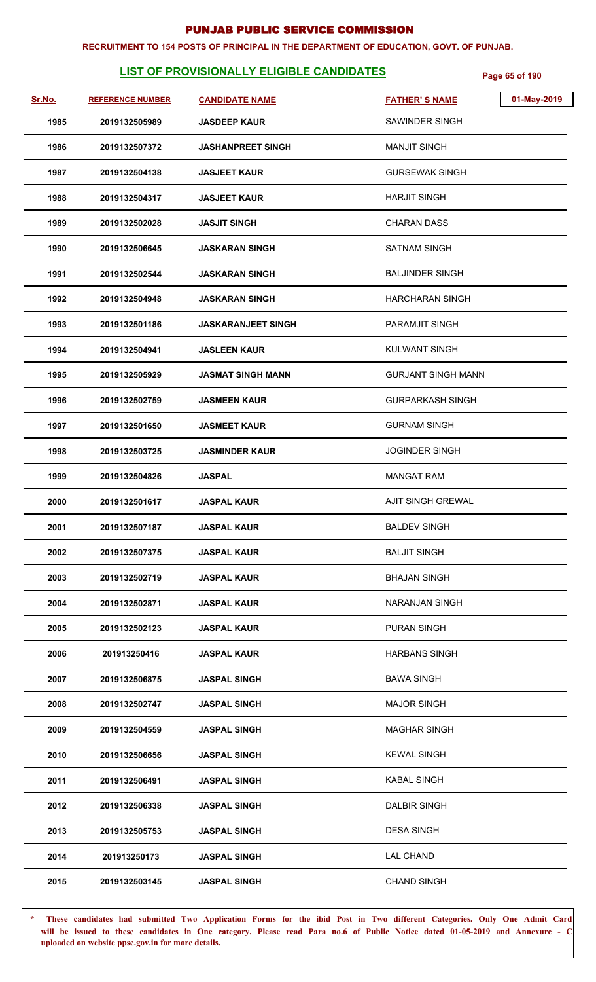#### **RECRUITMENT TO 154 POSTS OF PRINCIPAL IN THE DEPARTMENT OF EDUCATION, GOVT. OF PUNJAB.**

# **LIST OF PROVISIONALLY ELIGIBLE CANDIDATES** Page 65 of 190

| Sr.No. | <b>REFERENCE NUMBER</b> | <b>CANDIDATE NAME</b>     | <b>FATHER'S NAME</b>      | 01-May-2019 |
|--------|-------------------------|---------------------------|---------------------------|-------------|
| 1985   | 2019132505989           | <b>JASDEEP KAUR</b>       | SAWINDER SINGH            |             |
| 1986   | 2019132507372           | <b>JASHANPREET SINGH</b>  | <b>MANJIT SINGH</b>       |             |
| 1987   | 2019132504138           | <b>JASJEET KAUR</b>       | <b>GURSEWAK SINGH</b>     |             |
| 1988   | 2019132504317           | <b>JASJEET KAUR</b>       | <b>HARJIT SINGH</b>       |             |
| 1989   | 2019132502028           | <b>JASJIT SINGH</b>       | <b>CHARAN DASS</b>        |             |
| 1990   | 2019132506645           | <b>JASKARAN SINGH</b>     | SATNAM SINGH              |             |
| 1991   | 2019132502544           | <b>JASKARAN SINGH</b>     | <b>BALJINDER SINGH</b>    |             |
| 1992   | 2019132504948           | <b>JASKARAN SINGH</b>     | HARCHARAN SINGH           |             |
| 1993   | 2019132501186           | <b>JASKARANJEET SINGH</b> | PARAMJIT SINGH            |             |
| 1994   | 2019132504941           | <b>JASLEEN KAUR</b>       | <b>KULWANT SINGH</b>      |             |
| 1995   | 2019132505929           | <b>JASMAT SINGH MANN</b>  | <b>GURJANT SINGH MANN</b> |             |
| 1996   | 2019132502759           | <b>JASMEEN KAUR</b>       | <b>GURPARKASH SINGH</b>   |             |
| 1997   | 2019132501650           | <b>JASMEET KAUR</b>       | <b>GURNAM SINGH</b>       |             |
| 1998   | 2019132503725           | <b>JASMINDER KAUR</b>     | <b>JOGINDER SINGH</b>     |             |
| 1999   | 2019132504826           | <b>JASPAL</b>             | <b>MANGAT RAM</b>         |             |
| 2000   | 2019132501617           | <b>JASPAL KAUR</b>        | AJIT SINGH GREWAL         |             |
| 2001   | 2019132507187           | <b>JASPAL KAUR</b>        | <b>BALDEV SINGH</b>       |             |
| 2002   | 2019132507375           | <b>JASPAL KAUR</b>        | <b>BALJIT SINGH</b>       |             |
| 2003   | 2019132502719           | <b>JASPAL KAUR</b>        | <b>BHAJAN SINGH</b>       |             |
| 2004   | 2019132502871           | <b>JASPAL KAUR</b>        | <b>NARANJAN SINGH</b>     |             |
| 2005   | 2019132502123           | <b>JASPAL KAUR</b>        | <b>PURAN SINGH</b>        |             |
| 2006   | 201913250416            | <b>JASPAL KAUR</b>        | <b>HARBANS SINGH</b>      |             |
| 2007   | 2019132506875           | <b>JASPAL SINGH</b>       | <b>BAWA SINGH</b>         |             |
| 2008   | 2019132502747           | <b>JASPAL SINGH</b>       | <b>MAJOR SINGH</b>        |             |
| 2009   | 2019132504559           | <b>JASPAL SINGH</b>       | <b>MAGHAR SINGH</b>       |             |
| 2010   | 2019132506656           | <b>JASPAL SINGH</b>       | <b>KEWAL SINGH</b>        |             |
| 2011   | 2019132506491           | <b>JASPAL SINGH</b>       | <b>KABAL SINGH</b>        |             |
| 2012   | 2019132506338           | <b>JASPAL SINGH</b>       | <b>DALBIR SINGH</b>       |             |
| 2013   | 2019132505753           | <b>JASPAL SINGH</b>       | <b>DESA SINGH</b>         |             |
| 2014   | 201913250173            | <b>JASPAL SINGH</b>       | <b>LAL CHAND</b>          |             |
| 2015   | 2019132503145           | <b>JASPAL SINGH</b>       | <b>CHAND SINGH</b>        |             |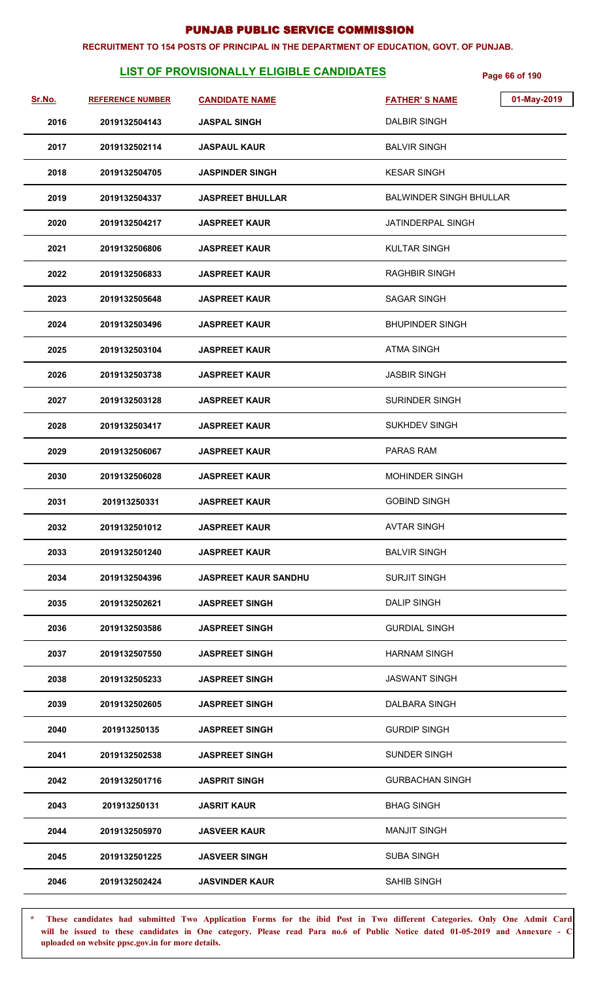#### **RECRUITMENT TO 154 POSTS OF PRINCIPAL IN THE DEPARTMENT OF EDUCATION, GOVT. OF PUNJAB.**

# **LIST OF PROVISIONALLY ELIGIBLE CANDIDATES** Page 66 of 190

| <u>Sr.No.</u> | <b>REFERENCE NUMBER</b> | <b>CANDIDATE NAME</b>       | 01-May-2019<br><b>FATHER'S NAME</b> |
|---------------|-------------------------|-----------------------------|-------------------------------------|
| 2016          | 2019132504143           | <b>JASPAL SINGH</b>         | <b>DALBIR SINGH</b>                 |
| 2017          | 2019132502114           | <b>JASPAUL KAUR</b>         | <b>BALVIR SINGH</b>                 |
| 2018          | 2019132504705           | <b>JASPINDER SINGH</b>      | <b>KESAR SINGH</b>                  |
| 2019          | 2019132504337           | <b>JASPREET BHULLAR</b>     | <b>BALWINDER SINGH BHULLAR</b>      |
| 2020          | 2019132504217           | <b>JASPREET KAUR</b>        | JATINDERPAL SINGH                   |
| 2021          | 2019132506806           | <b>JASPREET KAUR</b>        | KULTAR SINGH                        |
| 2022          | 2019132506833           | <b>JASPREET KAUR</b>        | <b>RAGHBIR SINGH</b>                |
| 2023          | 2019132505648           | <b>JASPREET KAUR</b>        | <b>SAGAR SINGH</b>                  |
| 2024          | 2019132503496           | <b>JASPREET KAUR</b>        | <b>BHUPINDER SINGH</b>              |
| 2025          | 2019132503104           | <b>JASPREET KAUR</b>        | <b>ATMA SINGH</b>                   |
| 2026          | 2019132503738           | <b>JASPREET KAUR</b>        | <b>JASBIR SINGH</b>                 |
| 2027          | 2019132503128           | <b>JASPREET KAUR</b>        | SURINDER SINGH                      |
| 2028          | 2019132503417           | <b>JASPREET KAUR</b>        | <b>SUKHDEV SINGH</b>                |
| 2029          | 2019132506067           | <b>JASPREET KAUR</b>        | PARAS RAM                           |
| 2030          | 2019132506028           | <b>JASPREET KAUR</b>        | <b>MOHINDER SINGH</b>               |
| 2031          | 201913250331            | <b>JASPREET KAUR</b>        | <b>GOBIND SINGH</b>                 |
| 2032          | 2019132501012           | <b>JASPREET KAUR</b>        | <b>AVTAR SINGH</b>                  |
| 2033          | 2019132501240           | <b>JASPREET KAUR</b>        | <b>BALVIR SINGH</b>                 |
| 2034          | 2019132504396           | <b>JASPREET KAUR SANDHU</b> | <b>SURJIT SINGH</b>                 |
| 2035          | 2019132502621           | <b>JASPREET SINGH</b>       | <b>DALIP SINGH</b>                  |
| 2036          | 2019132503586           | <b>JASPREET SINGH</b>       | <b>GURDIAL SINGH</b>                |
| 2037          | 2019132507550           | <b>JASPREET SINGH</b>       | <b>HARNAM SINGH</b>                 |
| 2038          | 2019132505233           | <b>JASPREET SINGH</b>       | <b>JASWANT SINGH</b>                |
| 2039          | 2019132502605           | <b>JASPREET SINGH</b>       | DALBARA SINGH                       |
| 2040          | 201913250135            | <b>JASPREET SINGH</b>       | <b>GURDIP SINGH</b>                 |
| 2041          | 2019132502538           | <b>JASPREET SINGH</b>       | <b>SUNDER SINGH</b>                 |
| 2042          | 2019132501716           | <b>JASPRIT SINGH</b>        | <b>GURBACHAN SINGH</b>              |
| 2043          | 201913250131            | <b>JASRIT KAUR</b>          | <b>BHAG SINGH</b>                   |
| 2044          | 2019132505970           | <b>JASVEER KAUR</b>         | <b>MANJIT SINGH</b>                 |
| 2045          | 2019132501225           | <b>JASVEER SINGH</b>        | <b>SUBA SINGH</b>                   |
| 2046          | 2019132502424           | <b>JASVINDER KAUR</b>       | SAHIB SINGH                         |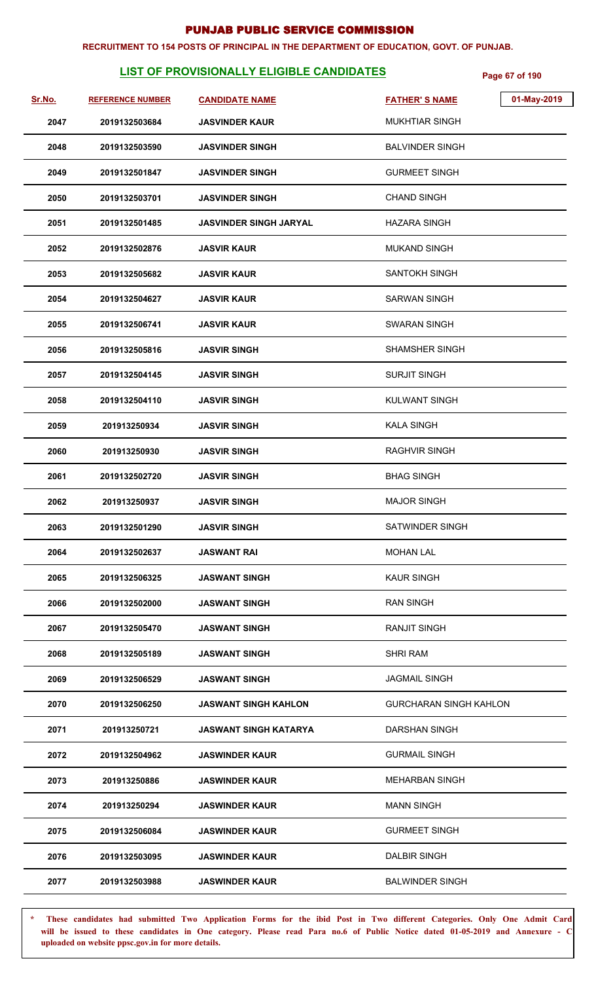#### **RECRUITMENT TO 154 POSTS OF PRINCIPAL IN THE DEPARTMENT OF EDUCATION, GOVT. OF PUNJAB.**

# **LIST OF PROVISIONALLY ELIGIBLE CANDIDATES** Page 67 of 190

| Sr.No. | <b>REFERENCE NUMBER</b> | <b>CANDIDATE NAME</b>         | <b>FATHER'S NAME</b>          | 01-May-2019 |
|--------|-------------------------|-------------------------------|-------------------------------|-------------|
| 2047   | 2019132503684           | <b>JASVINDER KAUR</b>         | <b>MUKHTIAR SINGH</b>         |             |
| 2048   | 2019132503590           | <b>JASVINDER SINGH</b>        | <b>BALVINDER SINGH</b>        |             |
| 2049   | 2019132501847           | <b>JASVINDER SINGH</b>        | <b>GURMEET SINGH</b>          |             |
| 2050   | 2019132503701           | <b>JASVINDER SINGH</b>        | <b>CHAND SINGH</b>            |             |
| 2051   | 2019132501485           | <b>JASVINDER SINGH JARYAL</b> | HAZARA SINGH                  |             |
| 2052   | 2019132502876           | <b>JASVIR KAUR</b>            | <b>MUKAND SINGH</b>           |             |
| 2053   | 2019132505682           | <b>JASVIR KAUR</b>            | SANTOKH SINGH                 |             |
| 2054   | 2019132504627           | <b>JASVIR KAUR</b>            | <b>SARWAN SINGH</b>           |             |
| 2055   | 2019132506741           | <b>JASVIR KAUR</b>            | <b>SWARAN SINGH</b>           |             |
| 2056   | 2019132505816           | <b>JASVIR SINGH</b>           | <b>SHAMSHER SINGH</b>         |             |
| 2057   | 2019132504145           | <b>JASVIR SINGH</b>           | <b>SURJIT SINGH</b>           |             |
| 2058   | 2019132504110           | <b>JASVIR SINGH</b>           | <b>KULWANT SINGH</b>          |             |
| 2059   | 201913250934            | <b>JASVIR SINGH</b>           | <b>KALA SINGH</b>             |             |
| 2060   | 201913250930            | <b>JASVIR SINGH</b>           | <b>RAGHVIR SINGH</b>          |             |
| 2061   | 2019132502720           | <b>JASVIR SINGH</b>           | <b>BHAG SINGH</b>             |             |
| 2062   | 201913250937            | <b>JASVIR SINGH</b>           | <b>MAJOR SINGH</b>            |             |
| 2063   | 2019132501290           | <b>JASVIR SINGH</b>           | <b>SATWINDER SINGH</b>        |             |
| 2064   | 2019132502637           | <b>JASWANT RAI</b>            | <b>MOHAN LAL</b>              |             |
| 2065   | 2019132506325           | <b>JASWANT SINGH</b>          | <b>KAUR SINGH</b>             |             |
| 2066   | 2019132502000           | <b>JASWANT SINGH</b>          | <b>RAN SINGH</b>              |             |
| 2067   | 2019132505470           | <b>JASWANT SINGH</b>          | <b>RANJIT SINGH</b>           |             |
| 2068   | 2019132505189           | <b>JASWANT SINGH</b>          | <b>SHRI RAM</b>               |             |
| 2069   | 2019132506529           | <b>JASWANT SINGH</b>          | <b>JAGMAIL SINGH</b>          |             |
| 2070   | 2019132506250           | <b>JASWANT SINGH KAHLON</b>   | <b>GURCHARAN SINGH KAHLON</b> |             |
| 2071   | 201913250721            | <b>JASWANT SINGH KATARYA</b>  | <b>DARSHAN SINGH</b>          |             |
| 2072   | 2019132504962           | <b>JASWINDER KAUR</b>         | <b>GURMAIL SINGH</b>          |             |
| 2073   | 201913250886            | <b>JASWINDER KAUR</b>         | <b>MEHARBAN SINGH</b>         |             |
| 2074   | 201913250294            | <b>JASWINDER KAUR</b>         | <b>MANN SINGH</b>             |             |
| 2075   | 2019132506084           | <b>JASWINDER KAUR</b>         | <b>GURMEET SINGH</b>          |             |
| 2076   | 2019132503095           | <b>JASWINDER KAUR</b>         | <b>DALBIR SINGH</b>           |             |
| 2077   | 2019132503988           | <b>JASWINDER KAUR</b>         | <b>BALWINDER SINGH</b>        |             |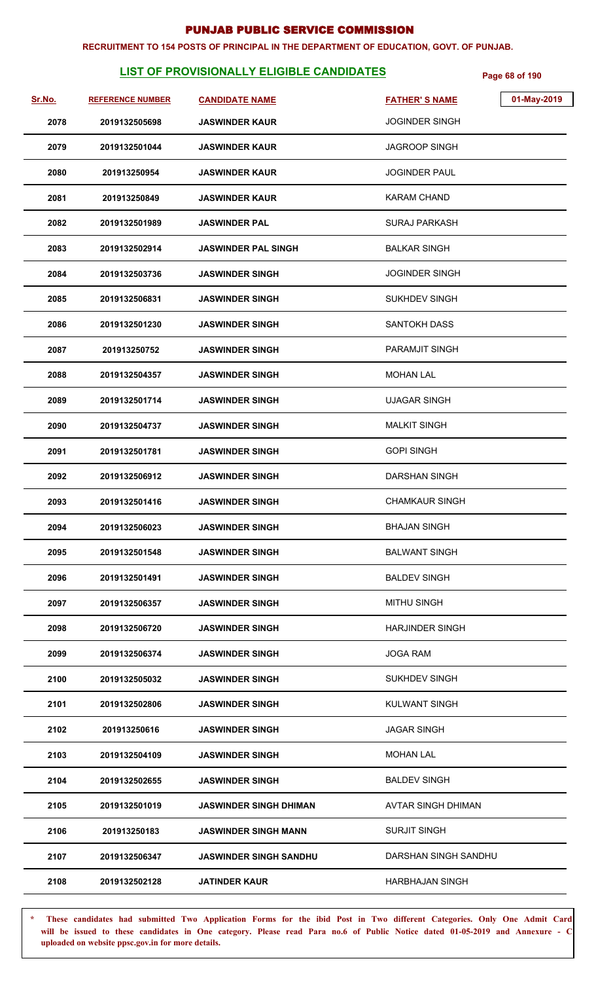#### **RECRUITMENT TO 154 POSTS OF PRINCIPAL IN THE DEPARTMENT OF EDUCATION, GOVT. OF PUNJAB.**

# **LIST OF PROVISIONALLY ELIGIBLE CANDIDATES** Page 68 of 190

| Sr.No. | <b>REFERENCE NUMBER</b> | <b>CANDIDATE NAME</b>         | 01-May-2019<br><b>FATHER'S NAME</b> |
|--------|-------------------------|-------------------------------|-------------------------------------|
| 2078   | 2019132505698           | <b>JASWINDER KAUR</b>         | <b>JOGINDER SINGH</b>               |
| 2079   | 2019132501044           | <b>JASWINDER KAUR</b>         | <b>JAGROOP SINGH</b>                |
| 2080   | 201913250954            | <b>JASWINDER KAUR</b>         | <b>JOGINDER PAUL</b>                |
| 2081   | 201913250849            | <b>JASWINDER KAUR</b>         | <b>KARAM CHAND</b>                  |
| 2082   | 2019132501989           | <b>JASWINDER PAL</b>          | <b>SURAJ PARKASH</b>                |
| 2083   | 2019132502914           | <b>JASWINDER PAL SINGH</b>    | <b>BALKAR SINGH</b>                 |
| 2084   | 2019132503736           | <b>JASWINDER SINGH</b>        | <b>JOGINDER SINGH</b>               |
| 2085   | 2019132506831           | <b>JASWINDER SINGH</b>        | <b>SUKHDEV SINGH</b>                |
| 2086   | 2019132501230           | <b>JASWINDER SINGH</b>        | <b>SANTOKH DASS</b>                 |
| 2087   | 201913250752            | <b>JASWINDER SINGH</b>        | <b>PARAMJIT SINGH</b>               |
| 2088   | 2019132504357           | <b>JASWINDER SINGH</b>        | <b>MOHAN LAL</b>                    |
| 2089   | 2019132501714           | <b>JASWINDER SINGH</b>        | <b>UJAGAR SINGH</b>                 |
| 2090   | 2019132504737           | <b>JASWINDER SINGH</b>        | <b>MALKIT SINGH</b>                 |
| 2091   | 2019132501781           | <b>JASWINDER SINGH</b>        | <b>GOPI SINGH</b>                   |
| 2092   | 2019132506912           | <b>JASWINDER SINGH</b>        | <b>DARSHAN SINGH</b>                |
| 2093   | 2019132501416           | <b>JASWINDER SINGH</b>        | <b>CHAMKAUR SINGH</b>               |
| 2094   | 2019132506023           | <b>JASWINDER SINGH</b>        | <b>BHAJAN SINGH</b>                 |
| 2095   | 2019132501548           | <b>JASWINDER SINGH</b>        | <b>BALWANT SINGH</b>                |
| 2096   | 2019132501491           | <b>JASWINDER SINGH</b>        | <b>BALDEV SINGH</b>                 |
| 2097   | 2019132506357           | <b>JASWINDER SINGH</b>        | <b>MITHU SINGH</b>                  |
| 2098   | 2019132506720           | <b>JASWINDER SINGH</b>        | <b>HARJINDER SINGH</b>              |
| 2099   | 2019132506374           | <b>JASWINDER SINGH</b>        | <b>JOGA RAM</b>                     |
| 2100   | 2019132505032           | <b>JASWINDER SINGH</b>        | <b>SUKHDEV SINGH</b>                |
| 2101   | 2019132502806           | <b>JASWINDER SINGH</b>        | <b>KULWANT SINGH</b>                |
| 2102   | 201913250616            | <b>JASWINDER SINGH</b>        | <b>JAGAR SINGH</b>                  |
| 2103   | 2019132504109           | <b>JASWINDER SINGH</b>        | MOHAN LAL                           |
| 2104   | 2019132502655           | <b>JASWINDER SINGH</b>        | <b>BALDEV SINGH</b>                 |
| 2105   | 2019132501019           | JASWINDER SINGH DHIMAN        | <b>AVTAR SINGH DHIMAN</b>           |
| 2106   | 201913250183            | <b>JASWINDER SINGH MANN</b>   | <b>SURJIT SINGH</b>                 |
| 2107   | 2019132506347           | <b>JASWINDER SINGH SANDHU</b> | DARSHAN SINGH SANDHU                |
| 2108   | 2019132502128           | <b>JATINDER KAUR</b>          | <b>HARBHAJAN SINGH</b>              |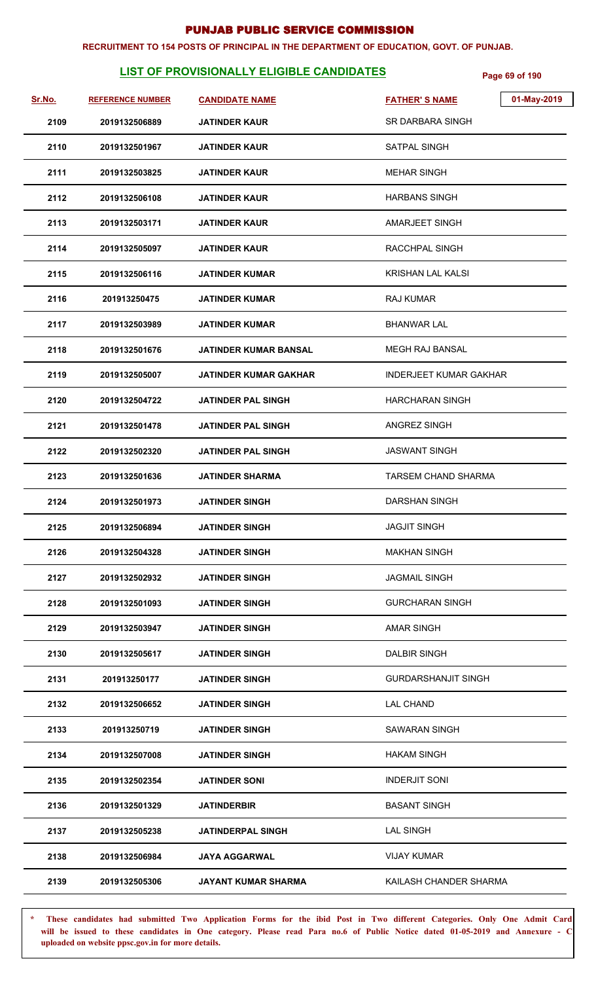#### **RECRUITMENT TO 154 POSTS OF PRINCIPAL IN THE DEPARTMENT OF EDUCATION, GOVT. OF PUNJAB.**

# **LIST OF PROVISIONALLY ELIGIBLE CANDIDATES** Page 69 of 190

| Sr.No. | <b>REFERENCE NUMBER</b> | <b>CANDIDATE NAME</b>        | 01-May-2019<br><b>FATHER'S NAME</b> |
|--------|-------------------------|------------------------------|-------------------------------------|
| 2109   | 2019132506889           | <b>JATINDER KAUR</b>         | SR DARBARA SINGH                    |
| 2110   | 2019132501967           | JATINDER KAUR                | SATPAL SINGH                        |
| 2111   | 2019132503825           | <b>JATINDER KAUR</b>         | <b>MEHAR SINGH</b>                  |
| 2112   | 2019132506108           | JATINDER KAUR                | <b>HARBANS SINGH</b>                |
| 2113   | 2019132503171           | JATINDER KAUR                | <b>AMARJEET SINGH</b>               |
| 2114   | 2019132505097           | JATINDER KAUR                | RACCHPAL SINGH                      |
| 2115   | 2019132506116           | JATINDER KUMAR               | KRISHAN LAL KALSI                   |
| 2116   | 201913250475            | <b>JATINDER KUMAR</b>        | <b>RAJ KUMAR</b>                    |
| 2117   | 2019132503989           | JATINDER KUMAR               | <b>BHANWAR LAL</b>                  |
| 2118   | 2019132501676           | JATINDER KUMAR BANSAL        | <b>MEGH RAJ BANSAL</b>              |
| 2119   | 2019132505007           | <b>JATINDER KUMAR GAKHAR</b> | <b>INDERJEET KUMAR GAKHAR</b>       |
| 2120   | 2019132504722           | <b>JATINDER PAL SINGH</b>    | <b>HARCHARAN SINGH</b>              |
| 2121   | 2019132501478           | JATINDER PAL SINGH           | <b>ANGREZ SINGH</b>                 |
| 2122   | 2019132502320           | <b>JATINDER PAL SINGH</b>    | <b>JASWANT SINGH</b>                |
| 2123   | 2019132501636           | <b>JATINDER SHARMA</b>       | TARSEM CHAND SHARMA                 |
| 2124   | 2019132501973           | <b>JATINDER SINGH</b>        | DARSHAN SINGH                       |
| 2125   | 2019132506894           | <b>JATINDER SINGH</b>        | <b>JAGJIT SINGH</b>                 |
| 2126   | 2019132504328           | JATINDER SINGH               | <b>MAKHAN SINGH</b>                 |
| 2127   | 2019132502932           | JATINDER SINGH               | <b>JAGMAIL SINGH</b>                |
| 2128   | 2019132501093           | <b>JATINDER SINGH</b>        | <b>GURCHARAN SINGH</b>              |
| 2129   | 2019132503947           | JATINDER SINGH               | <b>AMAR SINGH</b>                   |
| 2130   | 2019132505617           | <b>JATINDER SINGH</b>        | <b>DALBIR SINGH</b>                 |
| 2131   | 201913250177            | <b>JATINDER SINGH</b>        | <b>GURDARSHANJIT SINGH</b>          |
| 2132   | 2019132506652           | JATINDER SINGH               | <b>LAL CHAND</b>                    |
| 2133   | 201913250719            | JATINDER SINGH               | <b>SAWARAN SINGH</b>                |
| 2134   | 2019132507008           | <b>JATINDER SINGH</b>        | <b>HAKAM SINGH</b>                  |
| 2135   | 2019132502354           | JATINDER SONI                | <b>INDERJIT SONI</b>                |
| 2136   | 2019132501329           | <b>JATINDERBIR</b>           | <b>BASANT SINGH</b>                 |
| 2137   | 2019132505238           | <b>JATINDERPAL SINGH</b>     | <b>LAL SINGH</b>                    |
| 2138   | 2019132506984           | JAYA AGGARWAL                | <b>VIJAY KUMAR</b>                  |
| 2139   | 2019132505306           | JAYANT KUMAR SHARMA          | KAILASH CHANDER SHARMA              |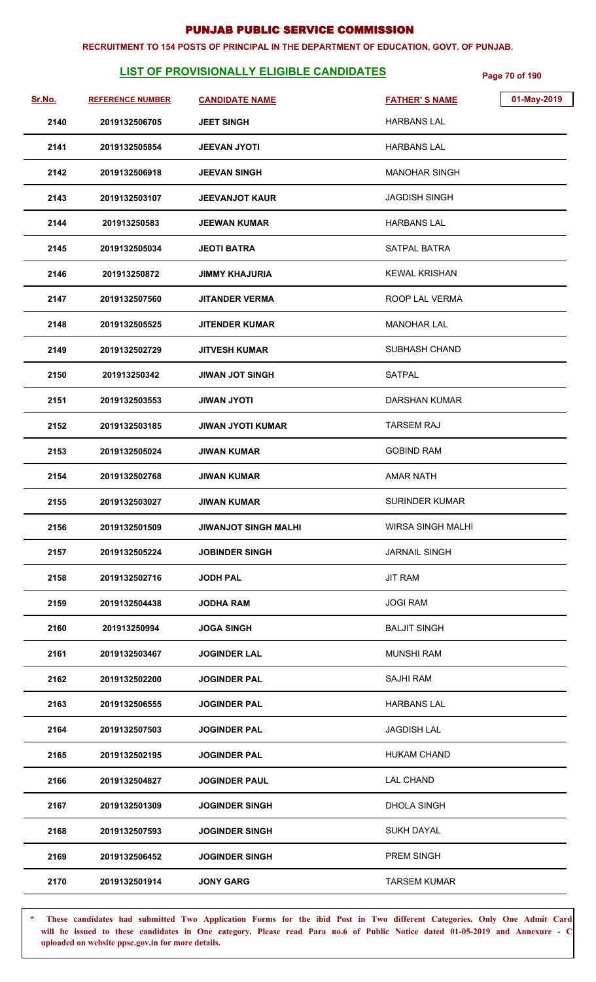#### **RECRUITMENT TO 154 POSTS OF PRINCIPAL IN THE DEPARTMENT OF EDUCATION, GOVT. OF PUNJAB.**

# **LIST OF PROVISIONALLY ELIGIBLE CANDIDATES** Page 70 of 190

| Sr.No. | <b>REFERENCE NUMBER</b> | <b>CANDIDATE NAME</b>       | <b>FATHER'S NAME</b>     | 01-May-2019 |
|--------|-------------------------|-----------------------------|--------------------------|-------------|
| 2140   | 2019132506705           | <b>JEET SINGH</b>           | <b>HARBANS LAL</b>       |             |
| 2141   | 2019132505854           | <b>JEEVAN JYOTI</b>         | <b>HARBANS LAL</b>       |             |
| 2142   | 2019132506918           | <b>JEEVAN SINGH</b>         | <b>MANOHAR SINGH</b>     |             |
| 2143   | 2019132503107           | <b>JEEVANJOT KAUR</b>       | <b>JAGDISH SINGH</b>     |             |
| 2144   | 201913250583            | <b>JEEWAN KUMAR</b>         | <b>HARBANS LAL</b>       |             |
| 2145   | 2019132505034           | <b>JEOTI BATRA</b>          | SATPAL BATRA             |             |
| 2146   | 201913250872            | <b>JIMMY KHAJURIA</b>       | <b>KEWAL KRISHAN</b>     |             |
| 2147   | 2019132507560           | <b>JITANDER VERMA</b>       | ROOP LAL VERMA           |             |
| 2148   | 2019132505525           | <b>JITENDER KUMAR</b>       | <b>MANOHAR LAL</b>       |             |
| 2149   | 2019132502729           | <b>JITVESH KUMAR</b>        | SUBHASH CHAND            |             |
| 2150   | 201913250342            | <b>JIWAN JOT SINGH</b>      | <b>SATPAL</b>            |             |
| 2151   | 2019132503553           | <b>ITOYL NAWIL</b>          | <b>DARSHAN KUMAR</b>     |             |
| 2152   | 2019132503185           | <b>JIWAN JYOTI KUMAR</b>    | <b>TARSEM RAJ</b>        |             |
| 2153   | 2019132505024           | <b>JIWAN KUMAR</b>          | <b>GOBIND RAM</b>        |             |
| 2154   | 2019132502768           | <b>JIWAN KUMAR</b>          | <b>AMAR NATH</b>         |             |
| 2155   | 2019132503027           | <b>JIWAN KUMAR</b>          | <b>SURINDER KUMAR</b>    |             |
| 2156   | 2019132501509           | <b>JIWANJOT SINGH MALHI</b> | <b>WIRSA SINGH MALHI</b> |             |
| 2157   | 2019132505224           | <b>JOBINDER SINGH</b>       | <b>JARNAIL SINGH</b>     |             |
| 2158   | 2019132502716           | <b>JODH PAL</b>             | <b>JIT RAM</b>           |             |
| 2159   | 2019132504438           | <b>JODHA RAM</b>            | <b>JOGI RAM</b>          |             |
| 2160   | 201913250994            | <b>JOGA SINGH</b>           | <b>BALJIT SINGH</b>      |             |
| 2161   | 2019132503467           | <b>JOGINDER LAL</b>         | <b>MUNSHI RAM</b>        |             |
| 2162   | 2019132502200           | <b>JOGINDER PAL</b>         | <b>SAJHI RAM</b>         |             |
| 2163   | 2019132506555           | <b>JOGINDER PAL</b>         | <b>HARBANS LAL</b>       |             |
| 2164   | 2019132507503           | <b>JOGINDER PAL</b>         | <b>JAGDISH LAL</b>       |             |
| 2165   | 2019132502195           | <b>JOGINDER PAL</b>         | <b>HUKAM CHAND</b>       |             |
| 2166   | 2019132504827           | <b>JOGINDER PAUL</b>        | <b>LAL CHAND</b>         |             |
| 2167   | 2019132501309           | <b>JOGINDER SINGH</b>       | <b>DHOLA SINGH</b>       |             |
| 2168   | 2019132507593           | <b>JOGINDER SINGH</b>       | <b>SUKH DAYAL</b>        |             |
| 2169   | 2019132506452           | <b>JOGINDER SINGH</b>       | PREM SINGH               |             |
| 2170   | 2019132501914           | <b>JONY GARG</b>            | <b>TARSEM KUMAR</b>      |             |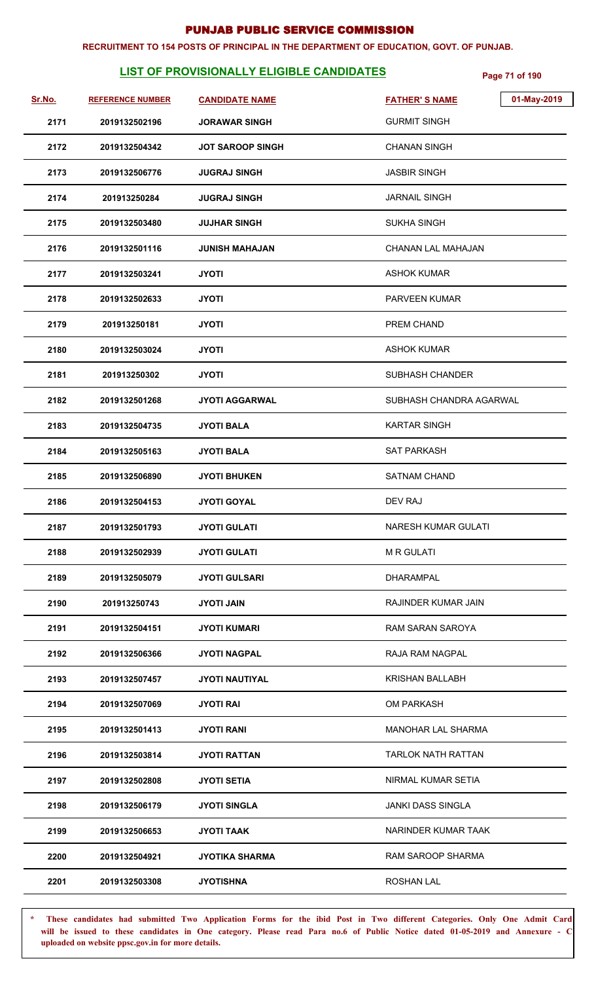#### **RECRUITMENT TO 154 POSTS OF PRINCIPAL IN THE DEPARTMENT OF EDUCATION, GOVT. OF PUNJAB.**

# **LIST OF PROVISIONALLY ELIGIBLE CANDIDATES** Page 71 of 190

| Sr.No. | <b>REFERENCE NUMBER</b> | <b>CANDIDATE NAME</b>   | 01-May-2019<br><b>FATHER'S NAME</b> |
|--------|-------------------------|-------------------------|-------------------------------------|
| 2171   | 2019132502196           | <b>JORAWAR SINGH</b>    | <b>GURMIT SINGH</b>                 |
| 2172   | 2019132504342           | <b>JOT SAROOP SINGH</b> | <b>CHANAN SINGH</b>                 |
| 2173   | 2019132506776           | <b>JUGRAJ SINGH</b>     | <b>JASBIR SINGH</b>                 |
| 2174   | 201913250284            | <b>JUGRAJ SINGH</b>     | <b>JARNAIL SINGH</b>                |
| 2175   | 2019132503480           | <b>JUJHAR SINGH</b>     | <b>SUKHA SINGH</b>                  |
| 2176   | 2019132501116           | <b>JUNISH MAHAJAN</b>   | <b>CHANAN LAL MAHAJAN</b>           |
| 2177   | 2019132503241           | <b>JYOTI</b>            | <b>ASHOK KUMAR</b>                  |
| 2178   | 2019132502633           | <b>JYOTI</b>            | PARVEEN KUMAR                       |
| 2179   | 201913250181            | <b>JYOTI</b>            | PREM CHAND                          |
| 2180   | 2019132503024           | <b>JYOTI</b>            | ASHOK KUMAR                         |
| 2181   | 201913250302            | <b>JYOTI</b>            | SUBHASH CHANDER                     |
| 2182   | 2019132501268           | <b>JYOTI AGGARWAL</b>   | SUBHASH CHANDRA AGARWAL             |
| 2183   | 2019132504735           | <b>JYOTI BALA</b>       | <b>KARTAR SINGH</b>                 |
| 2184   | 2019132505163           | <b>JYOTI BALA</b>       | <b>SAT PARKASH</b>                  |
| 2185   | 2019132506890           | <b>JYOTI BHUKEN</b>     | <b>SATNAM CHAND</b>                 |
| 2186   | 2019132504153           | <b>JYOTI GOYAL</b>      | DEV RAJ                             |
| 2187   | 2019132501793           | <b>JYOTI GULATI</b>     | <b>NARESH KUMAR GULATI</b>          |
| 2188   | 2019132502939           | <b>JYOTI GULATI</b>     | <b>M R GULATI</b>                   |
| 2189   | 2019132505079           | <b>JYOTI GULSARI</b>    | <b>DHARAMPAL</b>                    |
| 2190   | 201913250743            | <b>JYOTI JAIN</b>       | RAJINDER KUMAR JAIN                 |
| 2191   | 2019132504151           | <b>JYOTI KUMARI</b>     | RAM SARAN SAROYA                    |
| 2192   | 2019132506366           | <b>JYOTI NAGPAL</b>     | RAJA RAM NAGPAL                     |
| 2193   | 2019132507457           | <b>JYOTI NAUTIYAL</b>   | <b>KRISHAN BALLABH</b>              |
| 2194   | 2019132507069           | <b>JYOTI RAI</b>        | <b>OM PARKASH</b>                   |
| 2195   | 2019132501413           | <b>JYOTI RANI</b>       | <b>MANOHAR LAL SHARMA</b>           |
| 2196   | 2019132503814           | <b>JYOTI RATTAN</b>     | <b>TARLOK NATH RATTAN</b>           |
| 2197   | 2019132502808           | <b>JYOTI SETIA</b>      | NIRMAL KUMAR SETIA                  |
| 2198   | 2019132506179           | <b>JYOTI SINGLA</b>     | <b>JANKI DASS SINGLA</b>            |
| 2199   | 2019132506653           | <b>JYOTI TAAK</b>       | NARINDER KUMAR TAAK                 |
| 2200   | 2019132504921           | <b>JYOTIKA SHARMA</b>   | RAM SAROOP SHARMA                   |
| 2201   | 2019132503308           | <b>JYOTISHNA</b>        | <b>ROSHAN LAL</b>                   |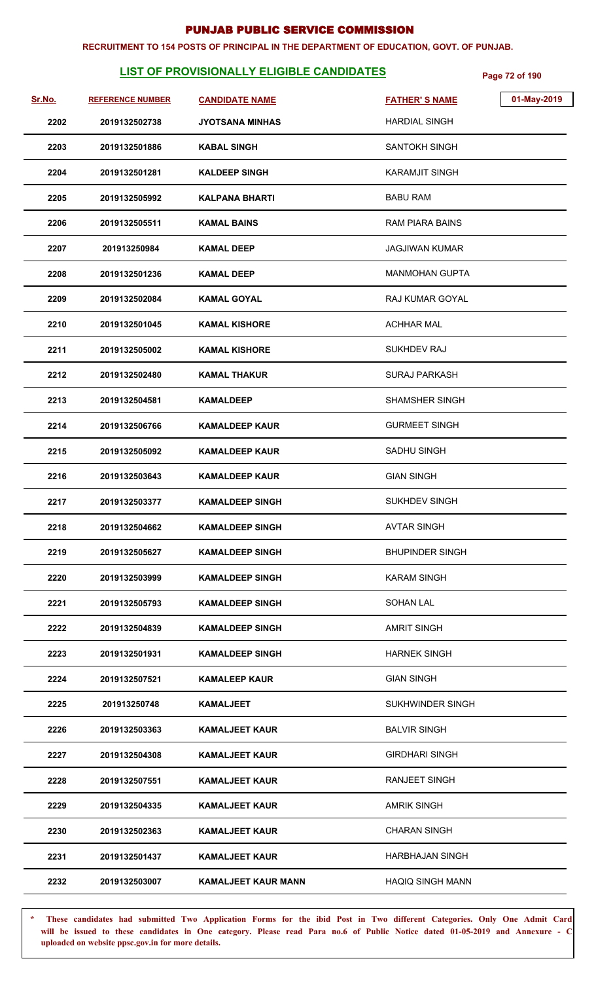#### **RECRUITMENT TO 154 POSTS OF PRINCIPAL IN THE DEPARTMENT OF EDUCATION, GOVT. OF PUNJAB.**

# **LIST OF PROVISIONALLY ELIGIBLE CANDIDATES** Page 72 of 190

| Sr.No. | <b>REFERENCE NUMBER</b> | <b>CANDIDATE NAME</b>      | 01-May-2019<br><b>FATHER'S NAME</b> |  |
|--------|-------------------------|----------------------------|-------------------------------------|--|
| 2202   | 2019132502738           | JYOTSANA MINHAS            | <b>HARDIAL SINGH</b>                |  |
| 2203   | 2019132501886           | <b>KABAL SINGH</b>         | SANTOKH SINGH                       |  |
|        |                         |                            |                                     |  |
| 2204   | 2019132501281           | <b>KALDEEP SINGH</b>       | <b>KARAMJIT SINGH</b>               |  |
| 2205   | 2019132505992           | <b>KALPANA BHARTI</b>      | <b>BABU RAM</b>                     |  |
| 2206   | 2019132505511           | <b>KAMAL BAINS</b>         | RAM PIARA BAINS                     |  |
| 2207   | 201913250984            | <b>KAMAL DEEP</b>          | <b>JAGJIWAN KUMAR</b>               |  |
| 2208   | 2019132501236           | <b>KAMAL DEEP</b>          | <b>MANMOHAN GUPTA</b>               |  |
| 2209   | 2019132502084           | <b>KAMAL GOYAL</b>         | <b>RAJ KUMAR GOYAL</b>              |  |
| 2210   | 2019132501045           | <b>KAMAL KISHORE</b>       | <b>ACHHAR MAL</b>                   |  |
| 2211   | 2019132505002           | <b>KAMAL KISHORE</b>       | SUKHDEV RAJ                         |  |
| 2212   | 2019132502480           | <b>KAMAL THAKUR</b>        | <b>SURAJ PARKASH</b>                |  |
| 2213   | 2019132504581           | <b>KAMALDEEP</b>           | <b>SHAMSHER SINGH</b>               |  |
| 2214   | 2019132506766           | <b>KAMALDEEP KAUR</b>      | <b>GURMEET SINGH</b>                |  |
| 2215   | 2019132505092           | <b>KAMALDEEP KAUR</b>      | SADHU SINGH                         |  |
| 2216   | 2019132503643           | <b>KAMALDEEP KAUR</b>      | <b>GIAN SINGH</b>                   |  |
| 2217   | 2019132503377           | <b>KAMALDEEP SINGH</b>     | <b>SUKHDEV SINGH</b>                |  |
| 2218   | 2019132504662           | <b>KAMALDEEP SINGH</b>     | <b>AVTAR SINGH</b>                  |  |
| 2219   | 2019132505627           | <b>KAMALDEEP SINGH</b>     | <b>BHUPINDER SINGH</b>              |  |
| 2220   | 2019132503999           | <b>KAMALDEEP SINGH</b>     | <b>KARAM SINGH</b>                  |  |
| 2221   | 2019132505793           | <b>KAMALDEEP SINGH</b>     | SOHAN LAL                           |  |
| 2222   | 2019132504839           | <b>KAMALDEEP SINGH</b>     | <b>AMRIT SINGH</b>                  |  |
| 2223   | 2019132501931           | <b>KAMALDEEP SINGH</b>     | <b>HARNEK SINGH</b>                 |  |
| 2224   | 2019132507521           | <b>KAMALEEP KAUR</b>       | <b>GIAN SINGH</b>                   |  |
| 2225   | 201913250748            | <b>KAMALJEET</b>           | SUKHWINDER SINGH                    |  |
| 2226   | 2019132503363           | <b>KAMALJEET KAUR</b>      | <b>BALVIR SINGH</b>                 |  |
| 2227   | 2019132504308           | <b>KAMALJEET KAUR</b>      | <b>GIRDHARI SINGH</b>               |  |
| 2228   | 2019132507551           | <b>KAMALJEET KAUR</b>      | <b>RANJEET SINGH</b>                |  |
| 2229   | 2019132504335           | <b>KAMALJEET KAUR</b>      | <b>AMRIK SINGH</b>                  |  |
| 2230   | 2019132502363           | <b>KAMALJEET KAUR</b>      | <b>CHARAN SINGH</b>                 |  |
| 2231   | 2019132501437           | <b>KAMALJEET KAUR</b>      | <b>HARBHAJAN SINGH</b>              |  |
| 2232   | 2019132503007           | <b>KAMALJEET KAUR MANN</b> | <b>HAQIQ SINGH MANN</b>             |  |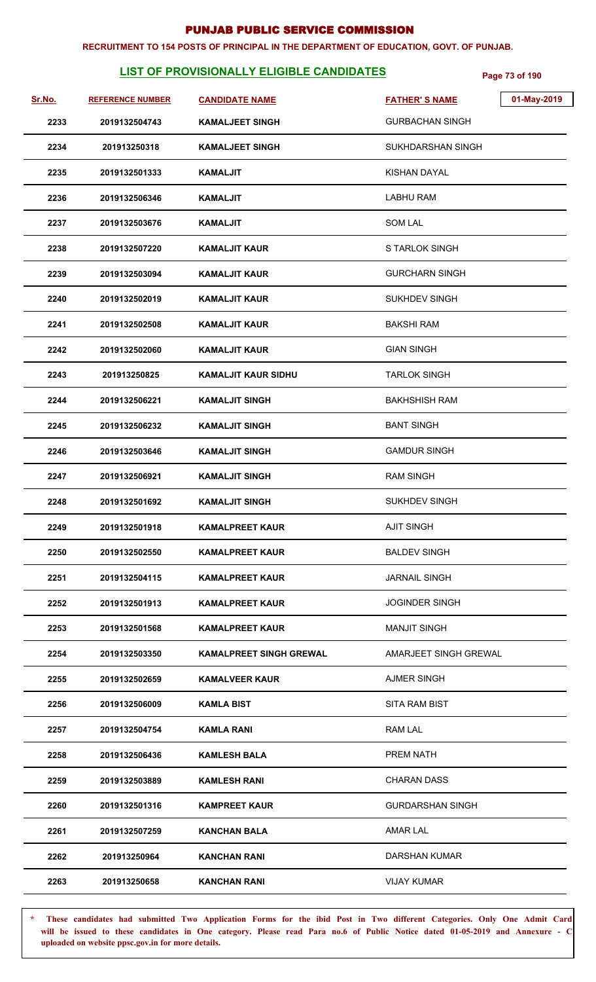#### **RECRUITMENT TO 154 POSTS OF PRINCIPAL IN THE DEPARTMENT OF EDUCATION, GOVT. OF PUNJAB.**

# **LIST OF PROVISIONALLY ELIGIBLE CANDIDATES** Page 73 of 190

| Sr.No. | <b>REFERENCE NUMBER</b> | <b>CANDIDATE NAME</b>          | <b>FATHER'S NAME</b>    | 01-May-2019 |
|--------|-------------------------|--------------------------------|-------------------------|-------------|
| 2233   | 2019132504743           | <b>KAMALJEET SINGH</b>         | <b>GURBACHAN SINGH</b>  |             |
| 2234   | 201913250318            | <b>KAMALJEET SINGH</b>         | SUKHDARSHAN SINGH       |             |
| 2235   | 2019132501333           | <b>KAMALJIT</b>                | KISHAN DAYAL            |             |
| 2236   | 2019132506346           | KAMALJIT                       | <b>LABHU RAM</b>        |             |
| 2237   | 2019132503676           | KAMALJIT                       | <b>SOM LAL</b>          |             |
| 2238   | 2019132507220           | <b>KAMALJIT KAUR</b>           | S TARLOK SINGH          |             |
| 2239   | 2019132503094           | <b>KAMALJIT KAUR</b>           | <b>GURCHARN SINGH</b>   |             |
| 2240   | 2019132502019           | <b>KAMALJIT KAUR</b>           | <b>SUKHDEV SINGH</b>    |             |
| 2241   | 2019132502508           | <b>KAMALJIT KAUR</b>           | <b>BAKSHI RAM</b>       |             |
| 2242   | 2019132502060           | <b>KAMALJIT KAUR</b>           | <b>GIAN SINGH</b>       |             |
| 2243   | 201913250825            | <b>KAMALJIT KAUR SIDHU</b>     | <b>TARLOK SINGH</b>     |             |
| 2244   | 2019132506221           | <b>KAMALJIT SINGH</b>          | <b>BAKHSHISH RAM</b>    |             |
| 2245   | 2019132506232           | <b>KAMALJIT SINGH</b>          | <b>BANT SINGH</b>       |             |
| 2246   | 2019132503646           | <b>KAMALJIT SINGH</b>          | <b>GAMDUR SINGH</b>     |             |
| 2247   | 2019132506921           | <b>KAMALJIT SINGH</b>          | <b>RAM SINGH</b>        |             |
| 2248   | 2019132501692           | <b>KAMALJIT SINGH</b>          | <b>SUKHDEV SINGH</b>    |             |
| 2249   | 2019132501918           | <b>KAMALPREET KAUR</b>         | <b>AJIT SINGH</b>       |             |
| 2250   | 2019132502550           | <b>KAMALPREET KAUR</b>         | <b>BALDEV SINGH</b>     |             |
| 2251   | 2019132504115           | <b>KAMALPREET KAUR</b>         | <b>JARNAIL SINGH</b>    |             |
| 2252   | 2019132501913           | <b>KAMALPREET KAUR</b>         | <b>JOGINDER SINGH</b>   |             |
| 2253   | 2019132501568           | <b>KAMALPREET KAUR</b>         | <b>MANJIT SINGH</b>     |             |
| 2254   | 2019132503350           | <b>KAMALPREET SINGH GREWAL</b> | AMARJEET SINGH GREWAL   |             |
| 2255   | 2019132502659           | <b>KAMALVEER KAUR</b>          | <b>AJMER SINGH</b>      |             |
| 2256   | 2019132506009           | <b>KAMLA BIST</b>              | SITA RAM BIST           |             |
| 2257   | 2019132504754           | KAMLA RANI                     | RAM LAL                 |             |
| 2258   | 2019132506436           | KAMLESH BALA                   | PREM NATH               |             |
| 2259   | 2019132503889           | <b>KAMLESH RANI</b>            | CHARAN DASS             |             |
| 2260   | 2019132501316           | <b>KAMPREET KAUR</b>           | <b>GURDARSHAN SINGH</b> |             |
| 2261   | 2019132507259           | <b>KANCHAN BALA</b>            | <b>AMAR LAL</b>         |             |
| 2262   | 201913250964            | <b>KANCHAN RANI</b>            | DARSHAN KUMAR           |             |
| 2263   | 201913250658            | <b>KANCHAN RANI</b>            | <b>VIJAY KUMAR</b>      |             |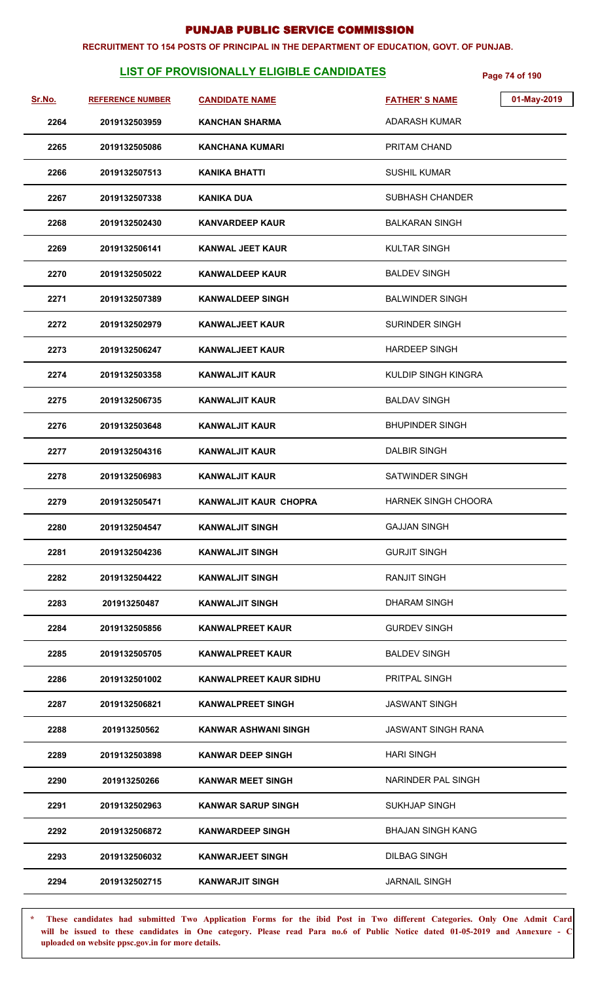#### **RECRUITMENT TO 154 POSTS OF PRINCIPAL IN THE DEPARTMENT OF EDUCATION, GOVT. OF PUNJAB.**

# **LIST OF PROVISIONALLY ELIGIBLE CANDIDATES Page 74 of 190**

| Sr.No. | <b>REFERENCE NUMBER</b> | <b>CANDIDATE NAME</b>         | <b>FATHER'S NAME</b>      | 01-May-2019 |
|--------|-------------------------|-------------------------------|---------------------------|-------------|
| 2264   | 2019132503959           | <b>KANCHAN SHARMA</b>         | ADARASH KUMAR             |             |
| 2265   | 2019132505086           | <b>KANCHANA KUMARI</b>        | PRITAM CHAND              |             |
| 2266   | 2019132507513           | <b>KANIKA BHATTI</b>          | <b>SUSHIL KUMAR</b>       |             |
| 2267   | 2019132507338           | <b>KANIKA DUA</b>             | SUBHASH CHANDER           |             |
| 2268   | 2019132502430           | <b>KANVARDEEP KAUR</b>        | <b>BALKARAN SINGH</b>     |             |
| 2269   | 2019132506141           | <b>KANWAL JEET KAUR</b>       | <b>KULTAR SINGH</b>       |             |
| 2270   | 2019132505022           | <b>KANWALDEEP KAUR</b>        | <b>BALDEV SINGH</b>       |             |
| 2271   | 2019132507389           | <b>KANWALDEEP SINGH</b>       | <b>BALWINDER SINGH</b>    |             |
| 2272   | 2019132502979           | <b>KANWALJEET KAUR</b>        | <b>SURINDER SINGH</b>     |             |
| 2273   | 2019132506247           | <b>KANWALJEET KAUR</b>        | <b>HARDEEP SINGH</b>      |             |
| 2274   | 2019132503358           | <b>KANWALJIT KAUR</b>         | KULDIP SINGH KINGRA       |             |
| 2275   | 2019132506735           | <b>KANWALJIT KAUR</b>         | <b>BALDAV SINGH</b>       |             |
| 2276   | 2019132503648           | <b>KANWALJIT KAUR</b>         | <b>BHUPINDER SINGH</b>    |             |
| 2277   | 2019132504316           | <b>KANWALJIT KAUR</b>         | DALBIR SINGH              |             |
| 2278   | 2019132506983           | <b>KANWALJIT KAUR</b>         | <b>SATWINDER SINGH</b>    |             |
| 2279   | 2019132505471           | <b>KANWALJIT KAUR CHOPRA</b>  | HARNEK SINGH CHOORA       |             |
| 2280   | 2019132504547           | <b>KANWALJIT SINGH</b>        | <b>GAJJAN SINGH</b>       |             |
| 2281   | 2019132504236           | <b>KANWALJIT SINGH</b>        | <b>GURJIT SINGH</b>       |             |
| 2282   | 2019132504422           | <b>KANWALJIT SINGH</b>        | <b>RANJIT SINGH</b>       |             |
| 2283   | 201913250487            | <b>KANWALJIT SINGH</b>        | <b>DHARAM SINGH</b>       |             |
| 2284   | 2019132505856           | <b>KANWALPREET KAUR</b>       | <b>GURDEV SINGH</b>       |             |
| 2285   | 2019132505705           | <b>KANWALPREET KAUR</b>       | <b>BALDEV SINGH</b>       |             |
| 2286   | 2019132501002           | <b>KANWALPREET KAUR SIDHU</b> | PRITPAL SINGH             |             |
| 2287   | 2019132506821           | <b>KANWALPREET SINGH</b>      | <b>JASWANT SINGH</b>      |             |
| 2288   | 201913250562            | KANWAR ASHWANI SINGH          | <b>JASWANT SINGH RANA</b> |             |
| 2289   | 2019132503898           | <b>KANWAR DEEP SINGH</b>      | <b>HARI SINGH</b>         |             |
| 2290   | 201913250266            | <b>KANWAR MEET SINGH</b>      | NARINDER PAL SINGH        |             |
| 2291   | 2019132502963           | <b>KANWAR SARUP SINGH</b>     | SUKHJAP SINGH             |             |
| 2292   | 2019132506872           | <b>KANWARDEEP SINGH</b>       | BHAJAN SINGH KANG         |             |
| 2293   | 2019132506032           | <b>KANWARJEET SINGH</b>       | <b>DILBAG SINGH</b>       |             |
| 2294   | 2019132502715           | <b>KANWARJIT SINGH</b>        | <b>JARNAIL SINGH</b>      |             |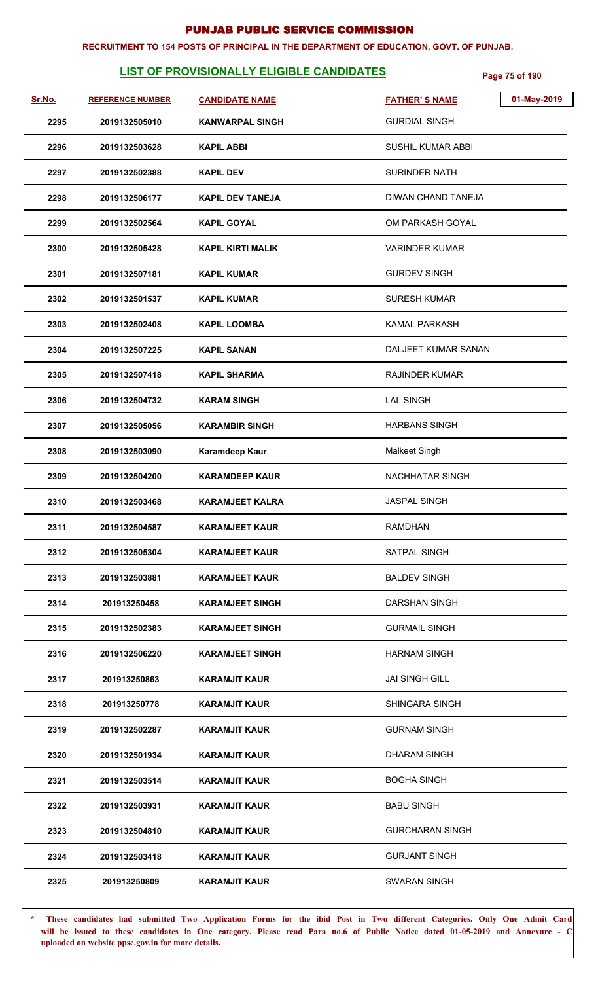#### **RECRUITMENT TO 154 POSTS OF PRINCIPAL IN THE DEPARTMENT OF EDUCATION, GOVT. OF PUNJAB.**

# **LIST OF PROVISIONALLY ELIGIBLE CANDIDATES** Page 75 of 190

| Sr.No. | <b>REFERENCE NUMBER</b> | <b>CANDIDATE NAME</b>    | <b>FATHER'S NAME</b>   | 01-May-2019 |
|--------|-------------------------|--------------------------|------------------------|-------------|
| 2295   | 2019132505010           | <b>KANWARPAL SINGH</b>   | <b>GURDIAL SINGH</b>   |             |
| 2296   | 2019132503628           | <b>KAPIL ABBI</b>        | SUSHIL KUMAR ABBI      |             |
| 2297   | 2019132502388           | <b>KAPIL DEV</b>         | <b>SURINDER NATH</b>   |             |
| 2298   | 2019132506177           | <b>KAPIL DEV TANEJA</b>  | DIWAN CHAND TANEJA     |             |
| 2299   | 2019132502564           | <b>KAPIL GOYAL</b>       | OM PARKASH GOYAL       |             |
| 2300   | 2019132505428           | <b>KAPIL KIRTI MALIK</b> | <b>VARINDER KUMAR</b>  |             |
| 2301   | 2019132507181           | <b>KAPIL KUMAR</b>       | <b>GURDEV SINGH</b>    |             |
| 2302   | 2019132501537           | <b>KAPIL KUMAR</b>       | <b>SURESH KUMAR</b>    |             |
| 2303   | 2019132502408           | <b>KAPIL LOOMBA</b>      | <b>KAMAL PARKASH</b>   |             |
| 2304   | 2019132507225           | <b>KAPIL SANAN</b>       | DALJEET KUMAR SANAN    |             |
| 2305   | 2019132507418           | <b>KAPIL SHARMA</b>      | <b>RAJINDER KUMAR</b>  |             |
| 2306   | 2019132504732           | <b>KARAM SINGH</b>       | <b>LAL SINGH</b>       |             |
| 2307   | 2019132505056           | <b>KARAMBIR SINGH</b>    | <b>HARBANS SINGH</b>   |             |
| 2308   | 2019132503090           | Karamdeep Kaur           | Malkeet Singh          |             |
| 2309   | 2019132504200           | <b>KARAMDEEP KAUR</b>    | NACHHATAR SINGH        |             |
| 2310   | 2019132503468           | <b>KARAMJEET KALRA</b>   | JASPAL SINGH           |             |
| 2311   | 2019132504587           | <b>KARAMJEET KAUR</b>    | <b>RAMDHAN</b>         |             |
| 2312   | 2019132505304           | <b>KARAMJEET KAUR</b>    | SATPAL SINGH           |             |
| 2313   | 2019132503881           | <b>KARAMJEET KAUR</b>    | <b>BALDEV SINGH</b>    |             |
| 2314   | 201913250458            | <b>KARAMJEET SINGH</b>   | <b>DARSHAN SINGH</b>   |             |
| 2315   | 2019132502383           | <b>KARAMJEET SINGH</b>   | <b>GURMAIL SINGH</b>   |             |
| 2316   | 2019132506220           | <b>KARAMJEET SINGH</b>   | <b>HARNAM SINGH</b>    |             |
| 2317   | 201913250863            | <b>KARAMJIT KAUR</b>     | <b>JAI SINGH GILL</b>  |             |
| 2318   | 201913250778            | <b>KARAMJIT KAUR</b>     | <b>SHINGARA SINGH</b>  |             |
| 2319   | 2019132502287           | <b>KARAMJIT KAUR</b>     | <b>GURNAM SINGH</b>    |             |
| 2320   | 2019132501934           | <b>KARAMJIT KAUR</b>     | <b>DHARAM SINGH</b>    |             |
| 2321   | 2019132503514           | <b>KARAMJIT KAUR</b>     | <b>BOGHA SINGH</b>     |             |
| 2322   | 2019132503931           | <b>KARAMJIT KAUR</b>     | <b>BABU SINGH</b>      |             |
| 2323   | 2019132504810           | <b>KARAMJIT KAUR</b>     | <b>GURCHARAN SINGH</b> |             |
| 2324   | 2019132503418           | <b>KARAMJIT KAUR</b>     | <b>GURJANT SINGH</b>   |             |
| 2325   | 201913250809            | <b>KARAMJIT KAUR</b>     | SWARAN SINGH           |             |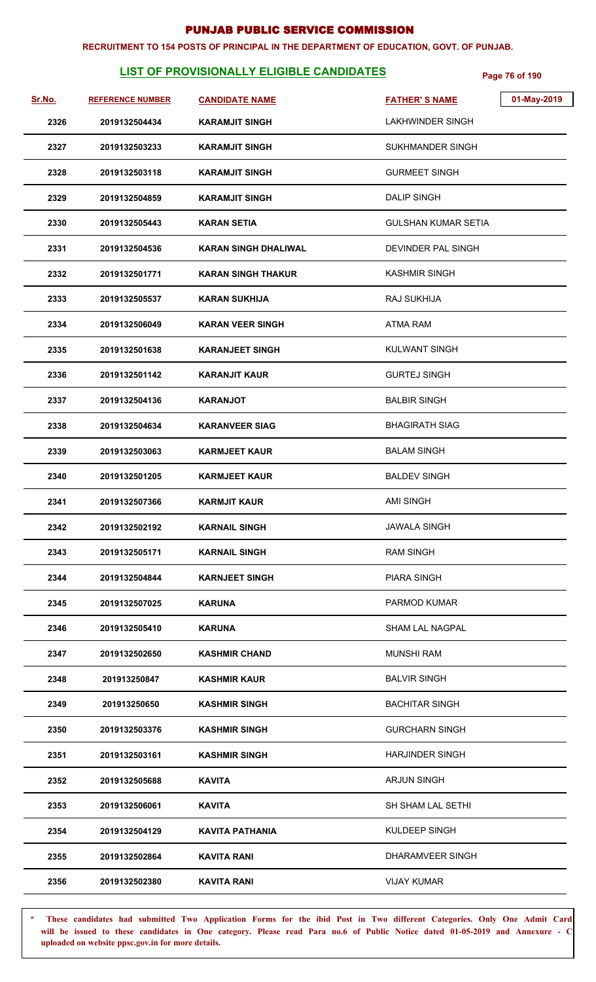#### **RECRUITMENT TO 154 POSTS OF PRINCIPAL IN THE DEPARTMENT OF EDUCATION, GOVT. OF PUNJAB.**

# **LIST OF PROVISIONALLY ELIGIBLE CANDIDATES** Page 76 of 190

| <u>Sr.No.</u> | <b>REFERENCE NUMBER</b> | <b>CANDIDATE NAME</b>       | 01-May-2019<br><b>FATHER'S NAME</b> |
|---------------|-------------------------|-----------------------------|-------------------------------------|
| 2326          | 2019132504434           | <b>KARAMJIT SINGH</b>       | LAKHWINDER SINGH                    |
| 2327          | 2019132503233           | <b>KARAMJIT SINGH</b>       | <b>SUKHMANDER SINGH</b>             |
| 2328          | 2019132503118           | <b>KARAMJIT SINGH</b>       | <b>GURMEET SINGH</b>                |
| 2329          | 2019132504859           | <b>KARAMJIT SINGH</b>       | <b>DALIP SINGH</b>                  |
| 2330          | 2019132505443           | <b>KARAN SETIA</b>          | <b>GULSHAN KUMAR SETIA</b>          |
| 2331          | 2019132504536           | <b>KARAN SINGH DHALIWAL</b> | DEVINDER PAL SINGH                  |
| 2332          | 2019132501771           | <b>KARAN SINGH THAKUR</b>   | <b>KASHMIR SINGH</b>                |
| 2333          | 2019132505537           | <b>KARAN SUKHIJA</b>        | RAJ SUKHIJA                         |
| 2334          | 2019132506049           | <b>KARAN VEER SINGH</b>     | <b>ATMA RAM</b>                     |
| 2335          | 2019132501638           | <b>KARANJEET SINGH</b>      | KULWANT SINGH                       |
| 2336          | 2019132501142           | <b>KARANJIT KAUR</b>        | <b>GURTEJ SINGH</b>                 |
| 2337          | 2019132504136           | <b>KARANJOT</b>             | <b>BALBIR SINGH</b>                 |
| 2338          | 2019132504634           | <b>KARANVEER SIAG</b>       | <b>BHAGIRATH SIAG</b>               |
| 2339          | 2019132503063           | <b>KARMJEET KAUR</b>        | <b>BALAM SINGH</b>                  |
| 2340          | 2019132501205           | <b>KARMJEET KAUR</b>        | <b>BALDEV SINGH</b>                 |
| 2341          | 2019132507366           | <b>KARMJIT KAUR</b>         | <b>AMI SINGH</b>                    |
| 2342          | 2019132502192           | <b>KARNAIL SINGH</b>        | <b>JAWALA SINGH</b>                 |
| 2343          | 2019132505171           | <b>KARNAIL SINGH</b>        | <b>RAM SINGH</b>                    |
| 2344          | 2019132504844           | <b>KARNJEET SINGH</b>       | <b>PIARA SINGH</b>                  |
| 2345          | 2019132507025           | <b>KARUNA</b>               | <b>PARMOD KUMAR</b>                 |
| 2346          | 2019132505410           | KARUNA                      | <b>SHAM LAL NAGPAL</b>              |
| 2347          | 2019132502650           | <b>KASHMIR CHAND</b>        | <b>MUNSHI RAM</b>                   |
| 2348          | 201913250847            | <b>KASHMIR KAUR</b>         | <b>BALVIR SINGH</b>                 |
| 2349          | 201913250650            | <b>KASHMIR SINGH</b>        | <b>BACHITAR SINGH</b>               |
| 2350          | 2019132503376           | <b>KASHMIR SINGH</b>        | <b>GURCHARN SINGH</b>               |
| 2351          | 2019132503161           | <b>KASHMIR SINGH</b>        | <b>HARJINDER SINGH</b>              |
| 2352          | 2019132505688           | <b>KAVITA</b>               | <b>ARJUN SINGH</b>                  |
| 2353          | 2019132506061           | <b>KAVITA</b>               | SH SHAM LAL SETHI                   |
| 2354          | 2019132504129           | <b>KAVITA PATHANIA</b>      | KULDEEP SINGH                       |
| 2355          | 2019132502864           | <b>KAVITA RANI</b>          | DHARAMVEER SINGH                    |
| 2356          | 2019132502380           | KAVITA RANI                 | <b>VIJAY KUMAR</b>                  |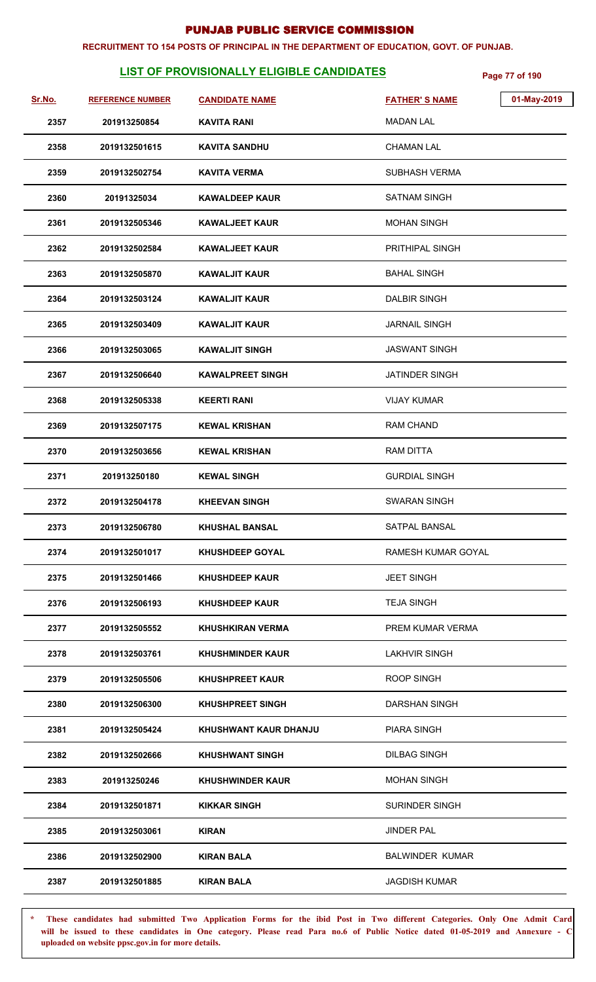#### **RECRUITMENT TO 154 POSTS OF PRINCIPAL IN THE DEPARTMENT OF EDUCATION, GOVT. OF PUNJAB.**

# **LIST OF PROVISIONALLY ELIGIBLE CANDIDATES** Page 77 of 190

| Sr.No. | <b>REFERENCE NUMBER</b> | <b>CANDIDATE NAME</b>   | <b>FATHER'S NAME</b>   | 01-May-2019 |
|--------|-------------------------|-------------------------|------------------------|-------------|
| 2357   | 201913250854            | <b>KAVITA RANI</b>      | <b>MADAN LAL</b>       |             |
| 2358   | 2019132501615           | <b>KAVITA SANDHU</b>    | <b>CHAMAN LAL</b>      |             |
| 2359   | 2019132502754           | <b>KAVITA VERMA</b>     | <b>SUBHASH VERMA</b>   |             |
| 2360   | 20191325034             | <b>KAWALDEEP KAUR</b>   | <b>SATNAM SINGH</b>    |             |
| 2361   | 2019132505346           | <b>KAWALJEET KAUR</b>   | <b>MOHAN SINGH</b>     |             |
| 2362   | 2019132502584           | <b>KAWALJEET KAUR</b>   | <b>PRITHIPAL SINGH</b> |             |
| 2363   | 2019132505870           | <b>KAWALJIT KAUR</b>    | <b>BAHAL SINGH</b>     |             |
| 2364   | 2019132503124           | <b>KAWALJIT KAUR</b>    | <b>DALBIR SINGH</b>    |             |
| 2365   | 2019132503409           | <b>KAWALJIT KAUR</b>    | <b>JARNAIL SINGH</b>   |             |
| 2366   | 2019132503065           | <b>KAWALJIT SINGH</b>   | JASWANT SINGH          |             |
| 2367   | 2019132506640           | <b>KAWALPREET SINGH</b> | <b>JATINDER SINGH</b>  |             |
| 2368   | 2019132505338           | <b>KEERTI RANI</b>      | <b>VIJAY KUMAR</b>     |             |
| 2369   | 2019132507175           | <b>KEWAL KRISHAN</b>    | RAM CHAND              |             |
| 2370   | 2019132503656           | <b>KEWAL KRISHAN</b>    | <b>RAM DITTA</b>       |             |
| 2371   | 201913250180            | <b>KEWAL SINGH</b>      | <b>GURDIAL SINGH</b>   |             |
| 2372   | 2019132504178           | <b>KHEEVAN SINGH</b>    | <b>SWARAN SINGH</b>    |             |
| 2373   | 2019132506780           | <b>KHUSHAL BANSAL</b>   | SATPAL BANSAL          |             |
| 2374   | 2019132501017           | <b>KHUSHDEEP GOYAL</b>  | RAMESH KUMAR GOYAL     |             |
| 2375   | 2019132501466           | <b>KHUSHDEEP KAUR</b>   | <b>JEET SINGH</b>      |             |
| 2376   | 2019132506193           | <b>KHUSHDEEP KAUR</b>   | <b>TEJA SINGH</b>      |             |
| 2377   | 2019132505552           | <b>KHUSHKIRAN VERMA</b> | PREM KUMAR VERMA       |             |
| 2378   | 2019132503761           | <b>KHUSHMINDER KAUR</b> | LAKHVIR SINGH          |             |
| 2379   | 2019132505506           | <b>KHUSHPREET KAUR</b>  | <b>ROOP SINGH</b>      |             |
| 2380   | 2019132506300           | <b>KHUSHPREET SINGH</b> | DARSHAN SINGH          |             |
| 2381   | 2019132505424           | KHUSHWANT KAUR DHANJU   | <b>PIARA SINGH</b>     |             |
| 2382   | 2019132502666           | <b>KHUSHWANT SINGH</b>  | <b>DILBAG SINGH</b>    |             |
| 2383   | 201913250246            | <b>KHUSHWINDER KAUR</b> | <b>MOHAN SINGH</b>     |             |
| 2384   | 2019132501871           | <b>KIKKAR SINGH</b>     | <b>SURINDER SINGH</b>  |             |
| 2385   | 2019132503061           | <b>KIRAN</b>            | <b>JINDER PAL</b>      |             |
| 2386   | 2019132502900           | <b>KIRAN BALA</b>       | <b>BALWINDER KUMAR</b> |             |
| 2387   | 2019132501885           | <b>KIRAN BALA</b>       | <b>JAGDISH KUMAR</b>   |             |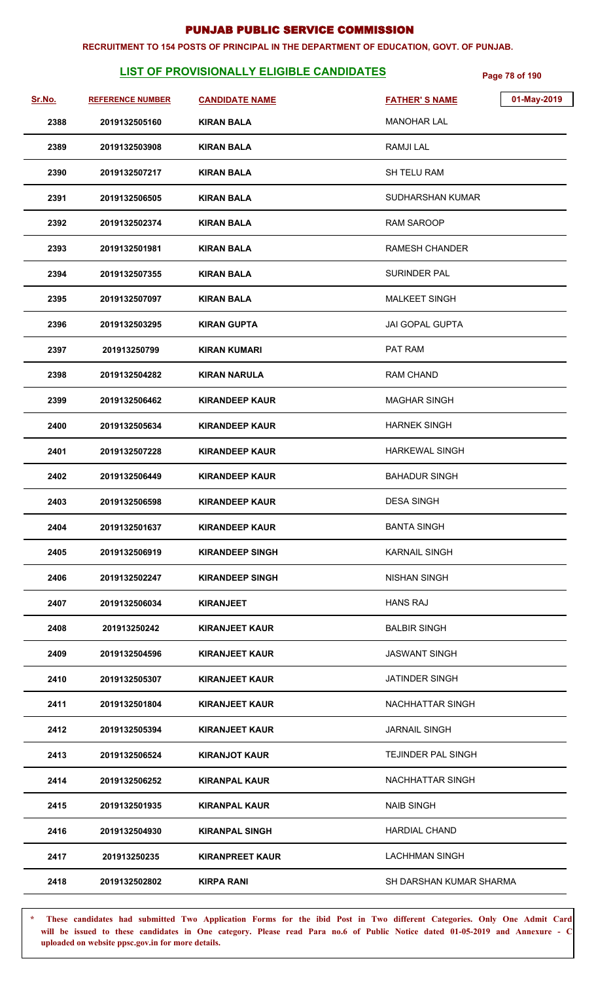#### **RECRUITMENT TO 154 POSTS OF PRINCIPAL IN THE DEPARTMENT OF EDUCATION, GOVT. OF PUNJAB.**

# **LIST OF PROVISIONALLY ELIGIBLE CANDIDATES** Page 78 of 190

| Sr.No. | <b>REFERENCE NUMBER</b> | <b>CANDIDATE NAME</b>  | 01-May-2019<br><b>FATHER'S NAME</b> |  |
|--------|-------------------------|------------------------|-------------------------------------|--|
| 2388   | 2019132505160           | <b>KIRAN BALA</b>      | <b>MANOHAR LAL</b>                  |  |
| 2389   | 2019132503908           | KIRAN BALA             | <b>RAMJILAL</b>                     |  |
| 2390   | 2019132507217           | <b>KIRAN BALA</b>      | SH TELU RAM                         |  |
| 2391   | 2019132506505           | <b>KIRAN BALA</b>      | SUDHARSHAN KUMAR                    |  |
| 2392   | 2019132502374           | <b>KIRAN BALA</b>      | <b>RAM SAROOP</b>                   |  |
| 2393   | 2019132501981           | KIRAN BALA             | <b>RAMESH CHANDER</b>               |  |
| 2394   | 2019132507355           | <b>KIRAN BALA</b>      | SURINDER PAL                        |  |
| 2395   | 2019132507097           | KIRAN BALA             | <b>MALKEET SINGH</b>                |  |
| 2396   | 2019132503295           | <b>KIRAN GUPTA</b>     | <b>JAI GOPAL GUPTA</b>              |  |
| 2397   | 201913250799            | <b>KIRAN KUMARI</b>    | PAT RAM                             |  |
| 2398   | 2019132504282           | <b>KIRAN NARULA</b>    | <b>RAM CHAND</b>                    |  |
| 2399   | 2019132506462           | <b>KIRANDEEP KAUR</b>  | <b>MAGHAR SINGH</b>                 |  |
| 2400   | 2019132505634           | <b>KIRANDEEP KAUR</b>  | <b>HARNEK SINGH</b>                 |  |
| 2401   | 2019132507228           | <b>KIRANDEEP KAUR</b>  | <b>HARKEWAL SINGH</b>               |  |
| 2402   | 2019132506449           | KIRANDEEP KAUR         | <b>BAHADUR SINGH</b>                |  |
| 2403   | 2019132506598           | <b>KIRANDEEP KAUR</b>  | <b>DESA SINGH</b>                   |  |
| 2404   | 2019132501637           | <b>KIRANDEEP KAUR</b>  | <b>BANTA SINGH</b>                  |  |
| 2405   | 2019132506919           | <b>KIRANDEEP SINGH</b> | <b>KARNAIL SINGH</b>                |  |
| 2406   | 2019132502247           | <b>KIRANDEEP SINGH</b> | <b>NISHAN SINGH</b>                 |  |
| 2407   | 2019132506034           | <b>KIRANJEET</b>       | <b>HANS RAJ</b>                     |  |
| 2408   | 201913250242            | <b>KIRANJEET KAUR</b>  | <b>BALBIR SINGH</b>                 |  |
| 2409   | 2019132504596           | <b>KIRANJEET KAUR</b>  | JASWANT SINGH                       |  |
| 2410   | 2019132505307           | <b>KIRANJEET KAUR</b>  | <b>JATINDER SINGH</b>               |  |
| 2411   | 2019132501804           | <b>KIRANJEET KAUR</b>  | NACHHATTAR SINGH                    |  |
| 2412   | 2019132505394           | <b>KIRANJEET KAUR</b>  | <b>JARNAIL SINGH</b>                |  |
| 2413   | 2019132506524           | <b>KIRANJOT KAUR</b>   | <b>TEJINDER PAL SINGH</b>           |  |
| 2414   | 2019132506252           | <b>KIRANPAL KAUR</b>   | NACHHATTAR SINGH                    |  |
| 2415   | 2019132501935           | <b>KIRANPAL KAUR</b>   | <b>NAIB SINGH</b>                   |  |
| 2416   | 2019132504930           | <b>KIRANPAL SINGH</b>  | <b>HARDIAL CHAND</b>                |  |
| 2417   | 201913250235            | <b>KIRANPREET KAUR</b> | <b>LACHHMAN SINGH</b>               |  |
| 2418   | 2019132502802           | <b>KIRPA RANI</b>      | SH DARSHAN KUMAR SHARMA             |  |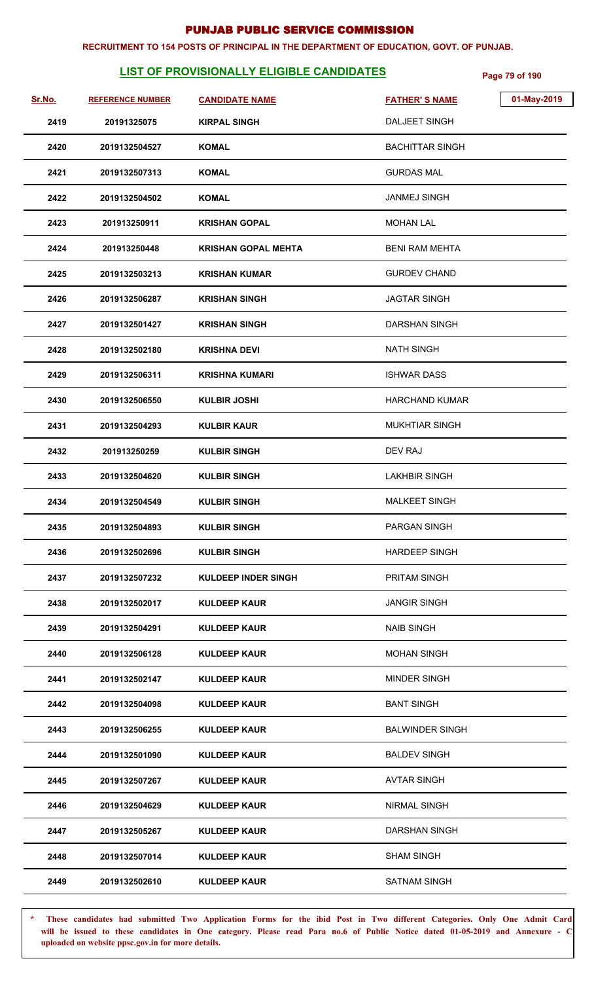#### **RECRUITMENT TO 154 POSTS OF PRINCIPAL IN THE DEPARTMENT OF EDUCATION, GOVT. OF PUNJAB.**

# **LIST OF PROVISIONALLY ELIGIBLE CANDIDATES** Page 79 of 190

| Sr.No. | <b>REFERENCE NUMBER</b> | <b>CANDIDATE NAME</b>      | <b>FATHER'S NAME</b>   | 01-May-2019 |
|--------|-------------------------|----------------------------|------------------------|-------------|
| 2419   | 20191325075             | <b>KIRPAL SINGH</b>        | <b>DALJEET SINGH</b>   |             |
| 2420   | 2019132504527           | <b>KOMAL</b>               | <b>BACHITTAR SINGH</b> |             |
| 2421   | 2019132507313           | <b>KOMAL</b>               | <b>GURDAS MAL</b>      |             |
| 2422   | 2019132504502           | <b>KOMAL</b>               | <b>JANMEJ SINGH</b>    |             |
| 2423   | 201913250911            | <b>KRISHAN GOPAL</b>       | <b>MOHAN LAL</b>       |             |
| 2424   | 201913250448            | <b>KRISHAN GOPAL MEHTA</b> | <b>BENI RAM MEHTA</b>  |             |
| 2425   | 2019132503213           | <b>KRISHAN KUMAR</b>       | <b>GURDEV CHAND</b>    |             |
| 2426   | 2019132506287           | <b>KRISHAN SINGH</b>       | <b>JAGTAR SINGH</b>    |             |
| 2427   | 2019132501427           | <b>KRISHAN SINGH</b>       | DARSHAN SINGH          |             |
| 2428   | 2019132502180           | <b>KRISHNA DEVI</b>        | <b>NATH SINGH</b>      |             |
| 2429   | 2019132506311           | <b>KRISHNA KUMARI</b>      | <b>ISHWAR DASS</b>     |             |
| 2430   | 2019132506550           | <b>KULBIR JOSHI</b>        | <b>HARCHAND KUMAR</b>  |             |
| 2431   | 2019132504293           | <b>KULBIR KAUR</b>         | <b>MUKHTIAR SINGH</b>  |             |
| 2432   | 201913250259            | <b>KULBIR SINGH</b>        | DEV RAJ                |             |
| 2433   | 2019132504620           | <b>KULBIR SINGH</b>        | <b>LAKHBIR SINGH</b>   |             |
| 2434   | 2019132504549           | <b>KULBIR SINGH</b>        | <b>MALKEET SINGH</b>   |             |
| 2435   | 2019132504893           | <b>KULBIR SINGH</b>        | PARGAN SINGH           |             |
| 2436   | 2019132502696           | <b>KULBIR SINGH</b>        | <b>HARDEEP SINGH</b>   |             |
| 2437   | 2019132507232           | <b>KULDEEP INDER SINGH</b> | <b>PRITAM SINGH</b>    |             |
| 2438   | 2019132502017           | <b>KULDEEP KAUR</b>        | <b>JANGIR SINGH</b>    |             |
| 2439   | 2019132504291           | <b>KULDEEP KAUR</b>        | <b>NAIB SINGH</b>      |             |
| 2440   | 2019132506128           | <b>KULDEEP KAUR</b>        | <b>MOHAN SINGH</b>     |             |
| 2441   | 2019132502147           | <b>KULDEEP KAUR</b>        | <b>MINDER SINGH</b>    |             |
| 2442   | 2019132504098           | <b>KULDEEP KAUR</b>        | <b>BANT SINGH</b>      |             |
| 2443   | 2019132506255           | <b>KULDEEP KAUR</b>        | <b>BALWINDER SINGH</b> |             |
| 2444   | 2019132501090           | <b>KULDEEP KAUR</b>        | <b>BALDEV SINGH</b>    |             |
| 2445   | 2019132507267           | <b>KULDEEP KAUR</b>        | <b>AVTAR SINGH</b>     |             |
| 2446   | 2019132504629           | <b>KULDEEP KAUR</b>        | <b>NIRMAL SINGH</b>    |             |
| 2447   | 2019132505267           | <b>KULDEEP KAUR</b>        | <b>DARSHAN SINGH</b>   |             |
| 2448   | 2019132507014           | <b>KULDEEP KAUR</b>        | <b>SHAM SINGH</b>      |             |
| 2449   | 2019132502610           | <b>KULDEEP KAUR</b>        | <b>SATNAM SINGH</b>    |             |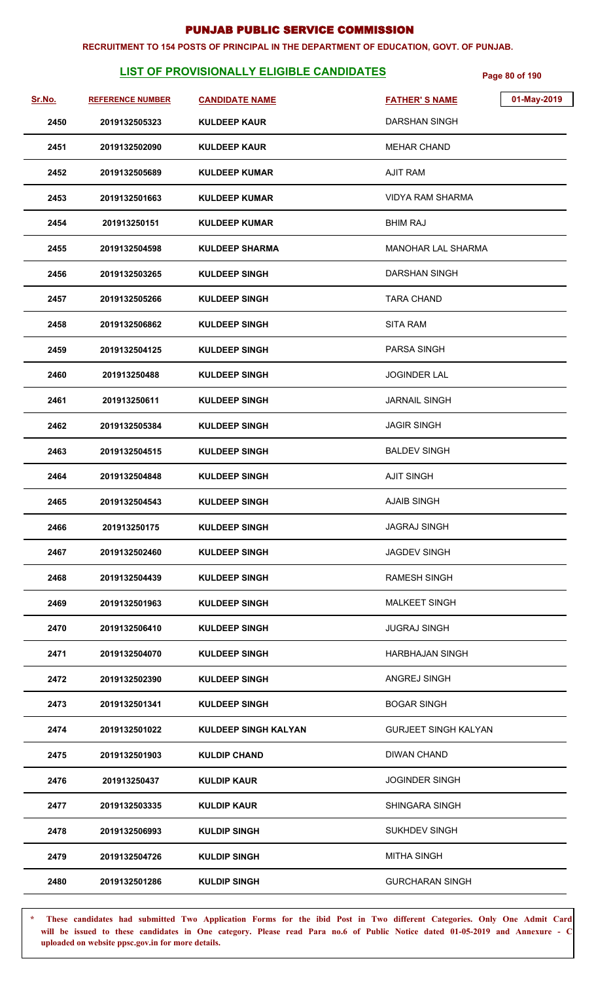#### **RECRUITMENT TO 154 POSTS OF PRINCIPAL IN THE DEPARTMENT OF EDUCATION, GOVT. OF PUNJAB.**

# **LIST OF PROVISIONALLY ELIGIBLE CANDIDATES** Page 80 of 190

| Sr.No. | <b>REFERENCE NUMBER</b> | <b>CANDIDATE NAME</b> | 01-May-2019<br><b>FATHER'S NAME</b> |
|--------|-------------------------|-----------------------|-------------------------------------|
| 2450   | 2019132505323           | <b>KULDEEP KAUR</b>   | <b>DARSHAN SINGH</b>                |
| 2451   | 2019132502090           | <b>KULDEEP KAUR</b>   | <b>MEHAR CHAND</b>                  |
| 2452   | 2019132505689           | <b>KULDEEP KUMAR</b>  | <b>AJIT RAM</b>                     |
| 2453   | 2019132501663           | <b>KULDEEP KUMAR</b>  | <b>VIDYA RAM SHARMA</b>             |
| 2454   | 201913250151            | <b>KULDEEP KUMAR</b>  | <b>BHIM RAJ</b>                     |
| 2455   | 2019132504598           | <b>KULDEEP SHARMA</b> | MANOHAR LAL SHARMA                  |
| 2456   | 2019132503265           | <b>KULDEEP SINGH</b>  | <b>DARSHAN SINGH</b>                |
| 2457   | 2019132505266           | <b>KULDEEP SINGH</b>  | <b>TARA CHAND</b>                   |
| 2458   | 2019132506862           | <b>KULDEEP SINGH</b>  | <b>SITA RAM</b>                     |
| 2459   | 2019132504125           | <b>KULDEEP SINGH</b>  | <b>PARSA SINGH</b>                  |
| 2460   | 201913250488            | <b>KULDEEP SINGH</b>  | <b>JOGINDER LAL</b>                 |
| 2461   | 201913250611            | <b>KULDEEP SINGH</b>  | <b>JARNAIL SINGH</b>                |
| 2462   | 2019132505384           | <b>KULDEEP SINGH</b>  | <b>JAGIR SINGH</b>                  |
| 2463   | 2019132504515           | <b>KULDEEP SINGH</b>  | <b>BALDEV SINGH</b>                 |
| 2464   | 2019132504848           | <b>KULDEEP SINGH</b>  | <b>AJIT SINGH</b>                   |
| 2465   | 2019132504543           | <b>KULDEEP SINGH</b>  | <b>AJAIB SINGH</b>                  |
| 2466   | 201913250175            | <b>KULDEEP SINGH</b>  | <b>JAGRAJ SINGH</b>                 |
| 2467   | 2019132502460           | <b>KULDEEP SINGH</b>  | <b>JAGDEV SINGH</b>                 |
| 2468   | 2019132504439           | <b>KULDEEP SINGH</b>  | <b>RAMESH SINGH</b>                 |
| 2469   | 2019132501963           | <b>KULDEEP SINGH</b>  | <b>MALKEET SINGH</b>                |
| 2470   | 2019132506410           | <b>KULDEEP SINGH</b>  | <b>JUGRAJ SINGH</b>                 |
| 2471   | 2019132504070           | <b>KULDEEP SINGH</b>  | <b>HARBHAJAN SINGH</b>              |
| 2472   | 2019132502390           | <b>KULDEEP SINGH</b>  | ANGREJ SINGH                        |
| 2473   | 2019132501341           | <b>KULDEEP SINGH</b>  | <b>BOGAR SINGH</b>                  |
| 2474   | 2019132501022           | KULDEEP SINGH KALYAN  | <b>GURJEET SINGH KALYAN</b>         |
| 2475   | 2019132501903           | <b>KULDIP CHAND</b>   | <b>DIWAN CHAND</b>                  |
| 2476   | 201913250437            | <b>KULDIP KAUR</b>    | <b>JOGINDER SINGH</b>               |
| 2477   | 2019132503335           | <b>KULDIP KAUR</b>    | SHINGARA SINGH                      |
| 2478   | 2019132506993           | <b>KULDIP SINGH</b>   | <b>SUKHDEV SINGH</b>                |
| 2479   | 2019132504726           | <b>KULDIP SINGH</b>   | <b>MITHA SINGH</b>                  |
| 2480   | 2019132501286           | <b>KULDIP SINGH</b>   | <b>GURCHARAN SINGH</b>              |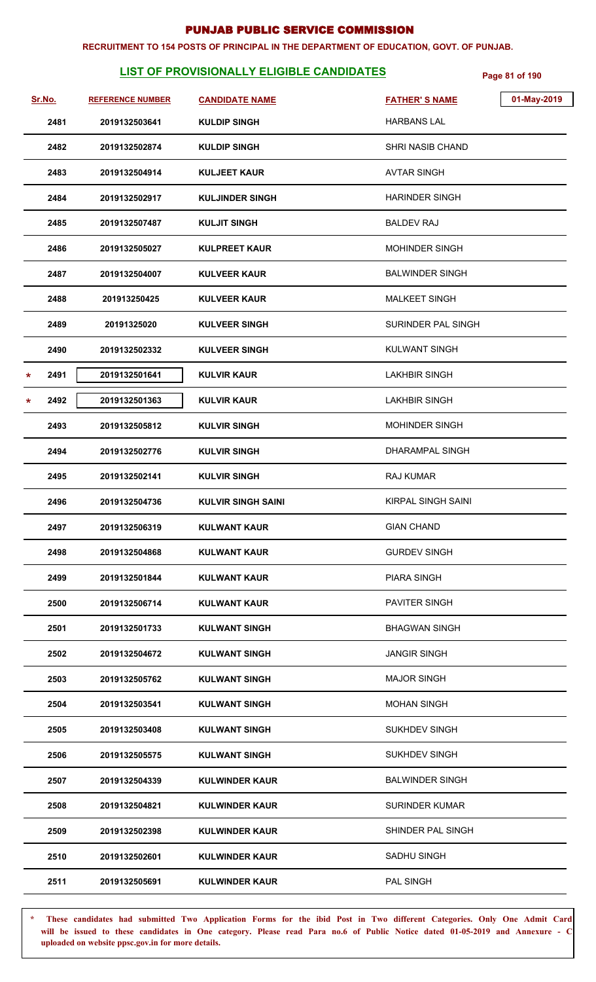#### **RECRUITMENT TO 154 POSTS OF PRINCIPAL IN THE DEPARTMENT OF EDUCATION, GOVT. OF PUNJAB.**

# **LIST OF PROVISIONALLY ELIGIBLE CANDIDATES** Page 81 of 190

| Sr.No.          | <b>REFERENCE NUMBER</b> | <b>CANDIDATE NAME</b>     | <b>FATHER'S NAME</b>    | 01-May-2019 |
|-----------------|-------------------------|---------------------------|-------------------------|-------------|
| 2481            | 2019132503641           | <b>KULDIP SINGH</b>       | <b>HARBANS LAL</b>      |             |
| 2482            | 2019132502874           | <b>KULDIP SINGH</b>       | <b>SHRI NASIB CHAND</b> |             |
| 2483            | 2019132504914           | <b>KULJEET KAUR</b>       | <b>AVTAR SINGH</b>      |             |
| 2484            | 2019132502917           | <b>KULJINDER SINGH</b>    | <b>HARINDER SINGH</b>   |             |
| 2485            | 2019132507487           | <b>KULJIT SINGH</b>       | <b>BALDEV RAJ</b>       |             |
| 2486            | 2019132505027           | <b>KULPREET KAUR</b>      | <b>MOHINDER SINGH</b>   |             |
| 2487            | 2019132504007           | <b>KULVEER KAUR</b>       | <b>BALWINDER SINGH</b>  |             |
| 2488            | 201913250425            | <b>KULVEER KAUR</b>       | <b>MALKEET SINGH</b>    |             |
| 2489            | 20191325020             | <b>KULVEER SINGH</b>      | SURINDER PAL SINGH      |             |
| 2490            | 2019132502332           | <b>KULVEER SINGH</b>      | <b>KULWANT SINGH</b>    |             |
| 2491<br>$\star$ | 2019132501641           | <b>KULVIR KAUR</b>        | <b>LAKHBIR SINGH</b>    |             |
| 2492<br>$\star$ | 2019132501363           | <b>KULVIR KAUR</b>        | <b>LAKHBIR SINGH</b>    |             |
| 2493            | 2019132505812           | <b>KULVIR SINGH</b>       | <b>MOHINDER SINGH</b>   |             |
| 2494            | 2019132502776           | <b>KULVIR SINGH</b>       | DHARAMPAL SINGH         |             |
| 2495            | 2019132502141           | <b>KULVIR SINGH</b>       | <b>RAJ KUMAR</b>        |             |
| 2496            | 2019132504736           | <b>KULVIR SINGH SAINI</b> | KIRPAL SINGH SAINI      |             |
| 2497            | 2019132506319           | <b>KULWANT KAUR</b>       | <b>GIAN CHAND</b>       |             |
| 2498            | 2019132504868           | <b>KULWANT KAUR</b>       | <b>GURDEV SINGH</b>     |             |
| 2499            | 2019132501844           | <b>KULWANT KAUR</b>       | <b>PIARA SINGH</b>      |             |
| 2500            | 2019132506714           | <b>KULWANT KAUR</b>       | <b>PAVITER SINGH</b>    |             |
| 2501            | 2019132501733           | <b>KULWANT SINGH</b>      | <b>BHAGWAN SINGH</b>    |             |
| 2502            | 2019132504672           | <b>KULWANT SINGH</b>      | <b>JANGIR SINGH</b>     |             |
| 2503            | 2019132505762           | <b>KULWANT SINGH</b>      | <b>MAJOR SINGH</b>      |             |
| 2504            | 2019132503541           | <b>KULWANT SINGH</b>      | <b>MOHAN SINGH</b>      |             |
| 2505            | 2019132503408           | <b>KULWANT SINGH</b>      | <b>SUKHDEV SINGH</b>    |             |
| 2506            | 2019132505575           | <b>KULWANT SINGH</b>      | <b>SUKHDEV SINGH</b>    |             |
| 2507            | 2019132504339           | <b>KULWINDER KAUR</b>     | <b>BALWINDER SINGH</b>  |             |
| 2508            | 2019132504821           | <b>KULWINDER KAUR</b>     | <b>SURINDER KUMAR</b>   |             |
| 2509            | 2019132502398           | <b>KULWINDER KAUR</b>     | SHINDER PAL SINGH       |             |
| 2510            | 2019132502601           | <b>KULWINDER KAUR</b>     | SADHU SINGH             |             |
| 2511            | 2019132505691           | <b>KULWINDER KAUR</b>     | <b>PAL SINGH</b>        |             |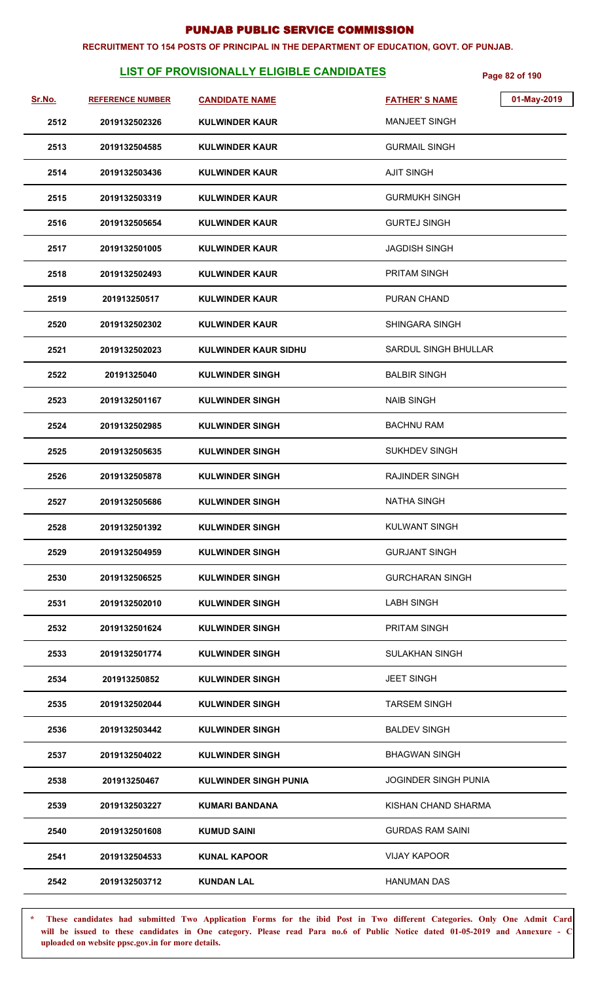#### **RECRUITMENT TO 154 POSTS OF PRINCIPAL IN THE DEPARTMENT OF EDUCATION, GOVT. OF PUNJAB.**

# **LIST OF PROVISIONALLY ELIGIBLE CANDIDATES** Page 82 of 190

| <u>Sr.No.</u> | <b>REFERENCE NUMBER</b> | <b>CANDIDATE NAME</b>        | 01-May-2019<br><b>FATHER'S NAME</b> |
|---------------|-------------------------|------------------------------|-------------------------------------|
| 2512          | 2019132502326           | <b>KULWINDER KAUR</b>        | <b>MANJEET SINGH</b>                |
| 2513          | 2019132504585           | <b>KULWINDER KAUR</b>        | <b>GURMAIL SINGH</b>                |
| 2514          | 2019132503436           | <b>KULWINDER KAUR</b>        | <b>AJIT SINGH</b>                   |
| 2515          | 2019132503319           | <b>KULWINDER KAUR</b>        | <b>GURMUKH SINGH</b>                |
| 2516          | 2019132505654           | <b>KULWINDER KAUR</b>        | <b>GURTEJ SINGH</b>                 |
| 2517          | 2019132501005           | <b>KULWINDER KAUR</b>        | <b>JAGDISH SINGH</b>                |
| 2518          | 2019132502493           | <b>KULWINDER KAUR</b>        | <b>PRITAM SINGH</b>                 |
| 2519          | 201913250517            | <b>KULWINDER KAUR</b>        | PURAN CHAND                         |
| 2520          | 2019132502302           | <b>KULWINDER KAUR</b>        | <b>SHINGARA SINGH</b>               |
| 2521          | 2019132502023           | KULWINDER KAUR SIDHU         | SARDUL SINGH BHULLAR                |
| 2522          | 20191325040             | <b>KULWINDER SINGH</b>       | <b>BALBIR SINGH</b>                 |
| 2523          | 2019132501167           | <b>KULWINDER SINGH</b>       | <b>NAIB SINGH</b>                   |
| 2524          | 2019132502985           | <b>KULWINDER SINGH</b>       | <b>BACHNU RAM</b>                   |
| 2525          | 2019132505635           | <b>KULWINDER SINGH</b>       | <b>SUKHDEV SINGH</b>                |
| 2526          | 2019132505878           | <b>KULWINDER SINGH</b>       | <b>RAJINDER SINGH</b>               |
| 2527          | 2019132505686           | <b>KULWINDER SINGH</b>       | <b>NATHA SINGH</b>                  |
| 2528          | 2019132501392           | <b>KULWINDER SINGH</b>       | <b>KULWANT SINGH</b>                |
| 2529          | 2019132504959           | <b>KULWINDER SINGH</b>       | <b>GURJANT SINGH</b>                |
| 2530          | 2019132506525           | <b>KULWINDER SINGH</b>       | <b>GURCHARAN SINGH</b>              |
| 2531          | 2019132502010           | <b>KULWINDER SINGH</b>       | <b>LABH SINGH</b>                   |
| 2532          | 2019132501624           | <b>KULWINDER SINGH</b>       | <b>PRITAM SINGH</b>                 |
| 2533          | 2019132501774           | <b>KULWINDER SINGH</b>       | <b>SULAKHAN SINGH</b>               |
| 2534          | 201913250852            | <b>KULWINDER SINGH</b>       | <b>JEET SINGH</b>                   |
| 2535          | 2019132502044           | <b>KULWINDER SINGH</b>       | <b>TARSEM SINGH</b>                 |
| 2536          | 2019132503442           | <b>KULWINDER SINGH</b>       | <b>BALDEV SINGH</b>                 |
| 2537          | 2019132504022           | <b>KULWINDER SINGH</b>       | <b>BHAGWAN SINGH</b>                |
| 2538          | 201913250467            | <b>KULWINDER SINGH PUNIA</b> | <b>JOGINDER SINGH PUNIA</b>         |
| 2539          | 2019132503227           | <b>KUMARI BANDANA</b>        | KISHAN CHAND SHARMA                 |
| 2540          | 2019132501608           | <b>KUMUD SAINI</b>           | <b>GURDAS RAM SAINI</b>             |
| 2541          | 2019132504533           | <b>KUNAL KAPOOR</b>          | <b>VIJAY KAPOOR</b>                 |
| 2542          | 2019132503712           | <b>KUNDAN LAL</b>            | <b>HANUMAN DAS</b>                  |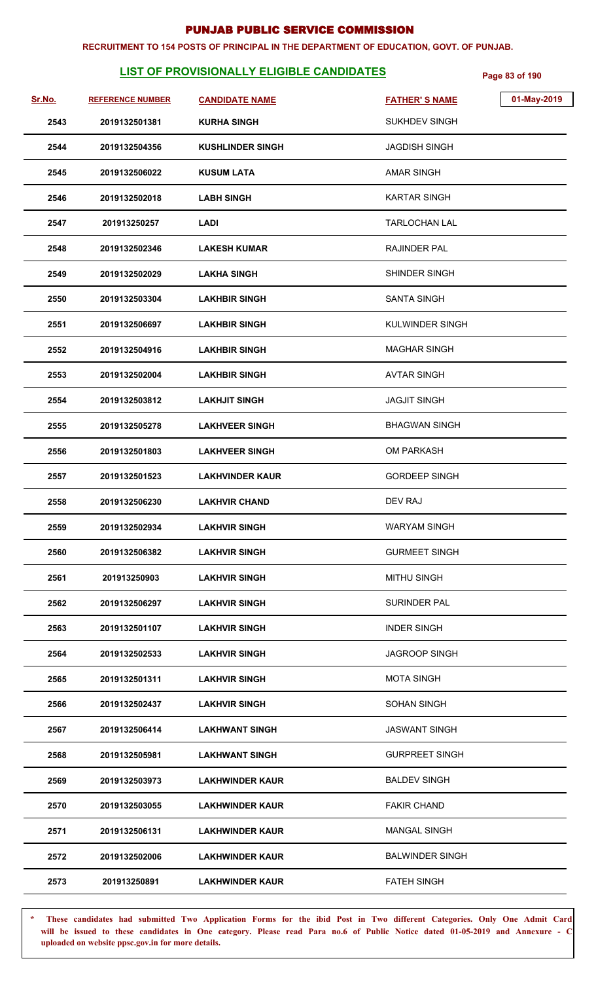#### **RECRUITMENT TO 154 POSTS OF PRINCIPAL IN THE DEPARTMENT OF EDUCATION, GOVT. OF PUNJAB.**

# **LIST OF PROVISIONALLY ELIGIBLE CANDIDATES** Page 83 of 190

| <u>Sr.No.</u> | <b>REFERENCE NUMBER</b> | <b>CANDIDATE NAME</b>   | <b>FATHER'S NAME</b>   | 01-May-2019 |
|---------------|-------------------------|-------------------------|------------------------|-------------|
| 2543          | 2019132501381           | <b>KURHA SINGH</b>      | <b>SUKHDEV SINGH</b>   |             |
| 2544          | 2019132504356           | <b>KUSHLINDER SINGH</b> | <b>JAGDISH SINGH</b>   |             |
| 2545          | 2019132506022           | <b>KUSUM LATA</b>       | AMAR SINGH             |             |
| 2546          | 2019132502018           | <b>LABH SINGH</b>       | <b>KARTAR SINGH</b>    |             |
| 2547          | 201913250257            | <b>LADI</b>             | <b>TARLOCHAN LAL</b>   |             |
| 2548          | 2019132502346           | <b>LAKESH KUMAR</b>     | <b>RAJINDER PAL</b>    |             |
| 2549          | 2019132502029           | <b>LAKHA SINGH</b>      | SHINDER SINGH          |             |
| 2550          | 2019132503304           | <b>LAKHBIR SINGH</b>    | <b>SANTA SINGH</b>     |             |
| 2551          | 2019132506697           | <b>LAKHBIR SINGH</b>    | <b>KULWINDER SINGH</b> |             |
| 2552          | 2019132504916           | <b>LAKHBIR SINGH</b>    | <b>MAGHAR SINGH</b>    |             |
| 2553          | 2019132502004           | <b>LAKHBIR SINGH</b>    | <b>AVTAR SINGH</b>     |             |
| 2554          | 2019132503812           | <b>LAKHJIT SINGH</b>    | <b>JAGJIT SINGH</b>    |             |
| 2555          | 2019132505278           | <b>LAKHVEER SINGH</b>   | <b>BHAGWAN SINGH</b>   |             |
| 2556          | 2019132501803           | <b>LAKHVEER SINGH</b>   | <b>OM PARKASH</b>      |             |
| 2557          | 2019132501523           | <b>LAKHVINDER KAUR</b>  | <b>GORDEEP SINGH</b>   |             |
| 2558          | 2019132506230           | <b>LAKHVIR CHAND</b>    | DEV RAJ                |             |
| 2559          | 2019132502934           | <b>LAKHVIR SINGH</b>    | <b>WARYAM SINGH</b>    |             |
| 2560          | 2019132506382           | <b>LAKHVIR SINGH</b>    | <b>GURMEET SINGH</b>   |             |
| 2561          | 201913250903            | <b>LAKHVIR SINGH</b>    | <b>MITHU SINGH</b>     |             |
| 2562          | 2019132506297           | <b>LAKHVIR SINGH</b>    | SURINDER PAL           |             |
| 2563          | 2019132501107           | <b>LAKHVIR SINGH</b>    | <b>INDER SINGH</b>     |             |
| 2564          | 2019132502533           | <b>LAKHVIR SINGH</b>    | <b>JAGROOP SINGH</b>   |             |
| 2565          | 2019132501311           | <b>LAKHVIR SINGH</b>    | <b>MOTA SINGH</b>      |             |
| 2566          | 2019132502437           | <b>LAKHVIR SINGH</b>    | <b>SOHAN SINGH</b>     |             |
| 2567          | 2019132506414           | <b>LAKHWANT SINGH</b>   | <b>JASWANT SINGH</b>   |             |
| 2568          | 2019132505981           | <b>LAKHWANT SINGH</b>   | <b>GURPREET SINGH</b>  |             |
| 2569          | 2019132503973           | <b>LAKHWINDER KAUR</b>  | <b>BALDEV SINGH</b>    |             |
| 2570          | 2019132503055           | <b>LAKHWINDER KAUR</b>  | <b>FAKIR CHAND</b>     |             |
| 2571          | 2019132506131           | <b>LAKHWINDER KAUR</b>  | <b>MANGAL SINGH</b>    |             |
| 2572          | 2019132502006           | <b>LAKHWINDER KAUR</b>  | <b>BALWINDER SINGH</b> |             |
| 2573          | 201913250891            | <b>LAKHWINDER KAUR</b>  | <b>FATEH SINGH</b>     |             |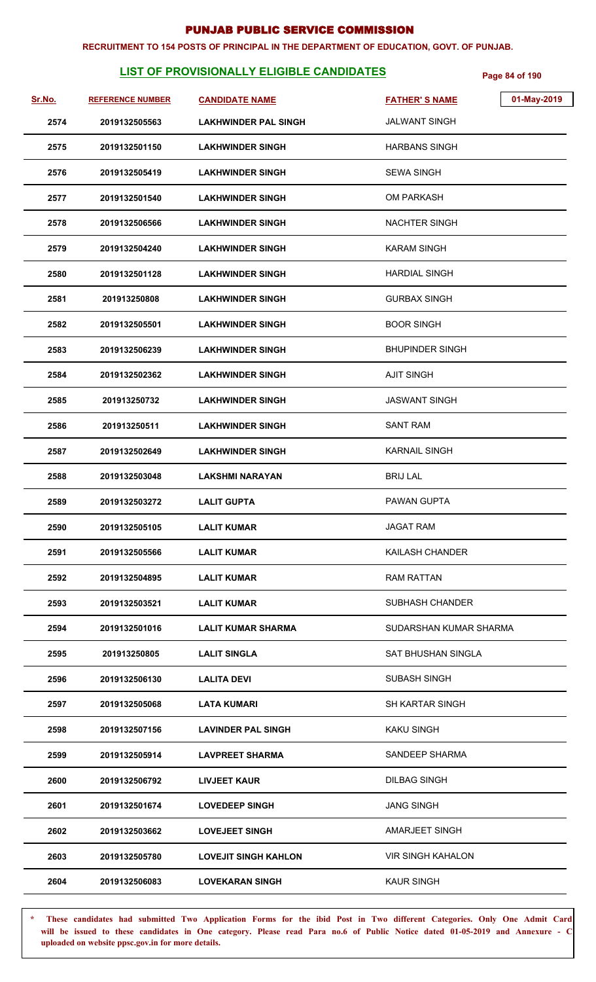#### **RECRUITMENT TO 154 POSTS OF PRINCIPAL IN THE DEPARTMENT OF EDUCATION, GOVT. OF PUNJAB.**

# **LIST OF PROVISIONALLY ELIGIBLE CANDIDATES Page 84 of 190**

| <u>Sr.No.</u> | <b>REFERENCE NUMBER</b> | <b>CANDIDATE NAME</b>       | 01-May-2019<br><b>FATHER'S NAME</b> |
|---------------|-------------------------|-----------------------------|-------------------------------------|
| 2574          | 2019132505563           | <b>LAKHWINDER PAL SINGH</b> | <b>JALWANT SINGH</b>                |
| 2575          | 2019132501150           | <b>LAKHWINDER SINGH</b>     | <b>HARBANS SINGH</b>                |
| 2576          | 2019132505419           | <b>LAKHWINDER SINGH</b>     | <b>SEWA SINGH</b>                   |
| 2577          | 2019132501540           | <b>LAKHWINDER SINGH</b>     | <b>OM PARKASH</b>                   |
| 2578          | 2019132506566           | <b>LAKHWINDER SINGH</b>     | <b>NACHTER SINGH</b>                |
| 2579          | 2019132504240           | <b>LAKHWINDER SINGH</b>     | <b>KARAM SINGH</b>                  |
| 2580          | 2019132501128           | <b>LAKHWINDER SINGH</b>     | <b>HARDIAL SINGH</b>                |
| 2581          | 201913250808            | <b>LAKHWINDER SINGH</b>     | <b>GURBAX SINGH</b>                 |
| 2582          | 2019132505501           | <b>LAKHWINDER SINGH</b>     | <b>BOOR SINGH</b>                   |
| 2583          | 2019132506239           | <b>LAKHWINDER SINGH</b>     | <b>BHUPINDER SINGH</b>              |
| 2584          | 2019132502362           | <b>LAKHWINDER SINGH</b>     | <b>AJIT SINGH</b>                   |
| 2585          | 201913250732            | <b>LAKHWINDER SINGH</b>     | <b>JASWANT SINGH</b>                |
| 2586          | 201913250511            | <b>LAKHWINDER SINGH</b>     | <b>SANT RAM</b>                     |
| 2587          | 2019132502649           | <b>LAKHWINDER SINGH</b>     | <b>KARNAIL SINGH</b>                |
| 2588          | 2019132503048           | <b>LAKSHMI NARAYAN</b>      | <b>BRIJ LAL</b>                     |
| 2589          | 2019132503272           | <b>LALIT GUPTA</b>          | <b>PAWAN GUPTA</b>                  |
| 2590          | 2019132505105           | <b>LALIT KUMAR</b>          | <b>JAGAT RAM</b>                    |
| 2591          | 2019132505566           | <b>LALIT KUMAR</b>          | KAILASH CHANDER                     |
| 2592          | 2019132504895           | <b>LALIT KUMAR</b>          | <b>RAM RATTAN</b>                   |
| 2593          | 2019132503521           | LALIT KUMAR                 | <b>SUBHASH CHANDER</b>              |
| 2594          | 2019132501016           | LALIT KUMAR SHARMA          | SUDARSHAN KUMAR SHARMA              |
| 2595          | 201913250805            | <b>LALIT SINGLA</b>         | SAT BHUSHAN SINGLA                  |
| 2596          | 2019132506130           | <b>LALITA DEVI</b>          | SUBASH SINGH                        |
| 2597          | 2019132505068           | LATA KUMARI                 | SH KARTAR SINGH                     |
| 2598          | 2019132507156           | <b>LAVINDER PAL SINGH</b>   | KAKU SINGH                          |
| 2599          | 2019132505914           | <b>LAVPREET SHARMA</b>      | SANDEEP SHARMA                      |
| 2600          | 2019132506792           | <b>LIVJEET KAUR</b>         | <b>DILBAG SINGH</b>                 |
| 2601          | 2019132501674           | <b>LOVEDEEP SINGH</b>       | <b>JANG SINGH</b>                   |
| 2602          | 2019132503662           | <b>LOVEJEET SINGH</b>       | AMARJEET SINGH                      |
| 2603          | 2019132505780           | <b>LOVEJIT SINGH KAHLON</b> | <b>VIR SINGH KAHALON</b>            |
| 2604          | 2019132506083           | <b>LOVEKARAN SINGH</b>      | <b>KAUR SINGH</b>                   |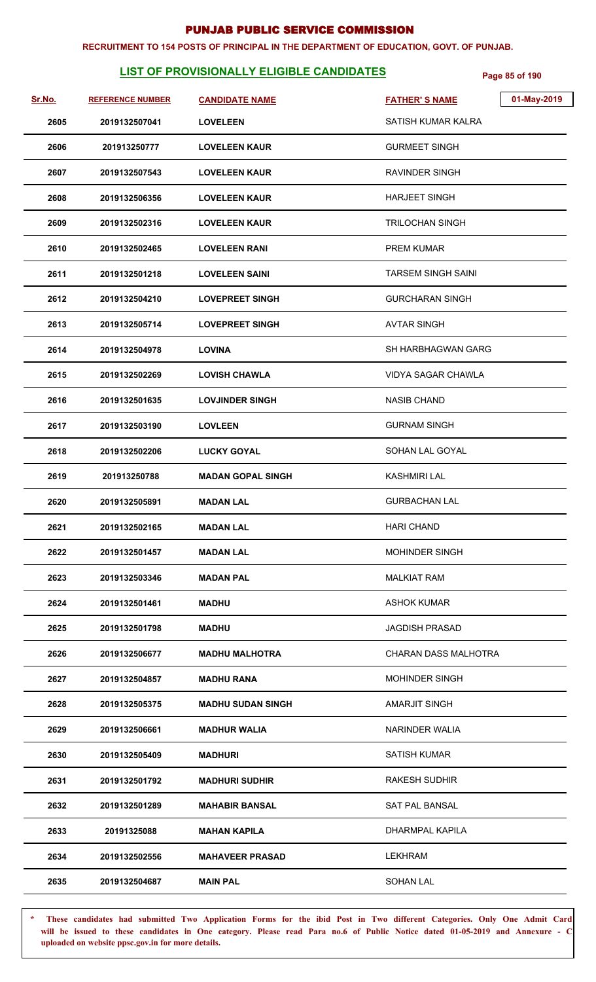#### **RECRUITMENT TO 154 POSTS OF PRINCIPAL IN THE DEPARTMENT OF EDUCATION, GOVT. OF PUNJAB.**

# **LIST OF PROVISIONALLY ELIGIBLE CANDIDATES** Page 85 of 190

| Sr.No. | <b>REFERENCE NUMBER</b> | <b>CANDIDATE NAME</b>    | 01-May-2019<br><b>FATHER'S NAME</b> |
|--------|-------------------------|--------------------------|-------------------------------------|
| 2605   | 2019132507041           | <b>LOVELEEN</b>          | SATISH KUMAR KALRA                  |
| 2606   | 201913250777            | <b>LOVELEEN KAUR</b>     | <b>GURMEET SINGH</b>                |
| 2607   | 2019132507543           | <b>LOVELEEN KAUR</b>     | RAVINDER SINGH                      |
| 2608   | 2019132506356           | <b>LOVELEEN KAUR</b>     | <b>HARJEET SINGH</b>                |
| 2609   | 2019132502316           | <b>LOVELEEN KAUR</b>     | <b>TRILOCHAN SINGH</b>              |
| 2610   | 2019132502465           | <b>LOVELEEN RANI</b>     | <b>PREM KUMAR</b>                   |
| 2611   | 2019132501218           | <b>LOVELEEN SAINI</b>    | <b>TARSEM SINGH SAINI</b>           |
| 2612   | 2019132504210           | <b>LOVEPREET SINGH</b>   | <b>GURCHARAN SINGH</b>              |
| 2613   | 2019132505714           | <b>LOVEPREET SINGH</b>   | <b>AVTAR SINGH</b>                  |
| 2614   | 2019132504978           | <b>LOVINA</b>            | SH HARBHAGWAN GARG                  |
| 2615   | 2019132502269           | <b>LOVISH CHAWLA</b>     | <b>VIDYA SAGAR CHAWLA</b>           |
| 2616   | 2019132501635           | <b>LOVJINDER SINGH</b>   | <b>NASIB CHAND</b>                  |
| 2617   | 2019132503190           | <b>LOVLEEN</b>           | <b>GURNAM SINGH</b>                 |
| 2618   | 2019132502206           | <b>LUCKY GOYAL</b>       | SOHAN LAL GOYAL                     |
| 2619   | 201913250788            | <b>MADAN GOPAL SINGH</b> | KASHMIRI LAL                        |
| 2620   | 2019132505891           | <b>MADAN LAL</b>         | <b>GURBACHAN LAL</b>                |
| 2621   | 2019132502165           | <b>MADAN LAL</b>         | <b>HARI CHAND</b>                   |
| 2622   | 2019132501457           | <b>MADAN LAL</b>         | <b>MOHINDER SINGH</b>               |
| 2623   | 2019132503346           | <b>MADAN PAL</b>         | <b>MALKIAT RAM</b>                  |
| 2624   | 2019132501461           | <b>MADHU</b>             | ASHOK KUMAR                         |
| 2625   | 2019132501798           | <b>MADHU</b>             | <b>JAGDISH PRASAD</b>               |
| 2626   | 2019132506677           | <b>MADHU MALHOTRA</b>    | CHARAN DASS MALHOTRA                |
| 2627   | 2019132504857           | <b>MADHU RANA</b>        | <b>MOHINDER SINGH</b>               |
| 2628   | 2019132505375           | <b>MADHU SUDAN SINGH</b> | <b>AMARJIT SINGH</b>                |
| 2629   | 2019132506661           | <b>MADHUR WALIA</b>      | NARINDER WALIA                      |
| 2630   | 2019132505409           | <b>MADHURI</b>           | <b>SATISH KUMAR</b>                 |
| 2631   | 2019132501792           | <b>MADHURI SUDHIR</b>    | <b>RAKESH SUDHIR</b>                |
| 2632   | 2019132501289           | <b>MAHABIR BANSAL</b>    | <b>SAT PAL BANSAL</b>               |
| 2633   | 20191325088             | <b>MAHAN KAPILA</b>      | DHARMPAL KAPILA                     |
| 2634   | 2019132502556           | <b>MAHAVEER PRASAD</b>   | <b>LEKHRAM</b>                      |
| 2635   | 2019132504687           | <b>MAIN PAL</b>          | <b>SOHAN LAL</b>                    |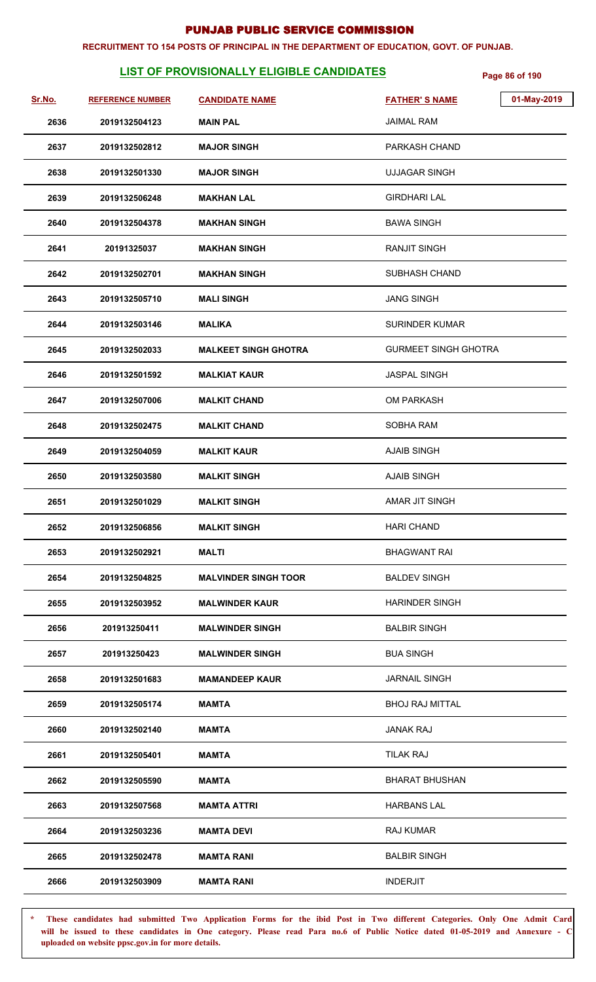#### **RECRUITMENT TO 154 POSTS OF PRINCIPAL IN THE DEPARTMENT OF EDUCATION, GOVT. OF PUNJAB.**

# **LIST OF PROVISIONALLY ELIGIBLE CANDIDATES** Page 86 of 190

| Sr.No. | <b>REFERENCE NUMBER</b> | <b>CANDIDATE NAME</b>       | <b>FATHER'S NAME</b>        | 01-May-2019 |
|--------|-------------------------|-----------------------------|-----------------------------|-------------|
| 2636   | 2019132504123           | <b>MAIN PAL</b>             | <b>JAIMAL RAM</b>           |             |
| 2637   | 2019132502812           | <b>MAJOR SINGH</b>          | PARKASH CHAND               |             |
| 2638   | 2019132501330           | <b>MAJOR SINGH</b>          | <b>UJJAGAR SINGH</b>        |             |
| 2639   | 2019132506248           | <b>MAKHAN LAL</b>           | <b>GIRDHARI LAL</b>         |             |
| 2640   | 2019132504378           | <b>MAKHAN SINGH</b>         | <b>BAWA SINGH</b>           |             |
| 2641   | 20191325037             | <b>MAKHAN SINGH</b>         | <b>RANJIT SINGH</b>         |             |
| 2642   | 2019132502701           | <b>MAKHAN SINGH</b>         | SUBHASH CHAND               |             |
| 2643   | 2019132505710           | <b>MALI SINGH</b>           | <b>JANG SINGH</b>           |             |
| 2644   | 2019132503146           | <b>MALIKA</b>               | <b>SURINDER KUMAR</b>       |             |
| 2645   | 2019132502033           | <b>MALKEET SINGH GHOTRA</b> | <b>GURMEET SINGH GHOTRA</b> |             |
| 2646   | 2019132501592           | <b>MALKIAT KAUR</b>         | <b>JASPAL SINGH</b>         |             |
| 2647   | 2019132507006           | <b>MALKIT CHAND</b>         | <b>OM PARKASH</b>           |             |
| 2648   | 2019132502475           | <b>MALKIT CHAND</b>         | SOBHA RAM                   |             |
| 2649   | 2019132504059           | <b>MALKIT KAUR</b>          | <b>AJAIB SINGH</b>          |             |
| 2650   | 2019132503580           | <b>MALKIT SINGH</b>         | <b>AJAIB SINGH</b>          |             |
| 2651   | 2019132501029           | <b>MALKIT SINGH</b>         | AMAR JIT SINGH              |             |
| 2652   | 2019132506856           | <b>MALKIT SINGH</b>         | <b>HARI CHAND</b>           |             |
| 2653   | 2019132502921           | <b>MALTI</b>                | <b>BHAGWANT RAI</b>         |             |
| 2654   | 2019132504825           | <b>MALVINDER SINGH TOOR</b> | <b>BALDEV SINGH</b>         |             |
| 2655   | 2019132503952           | <b>MALWINDER KAUR</b>       | <b>HARINDER SINGH</b>       |             |
| 2656   | 201913250411            | <b>MALWINDER SINGH</b>      | <b>BALBIR SINGH</b>         |             |
| 2657   | 201913250423            | <b>MALWINDER SINGH</b>      | <b>BUA SINGH</b>            |             |
| 2658   | 2019132501683           | <b>MAMANDEEP KAUR</b>       | <b>JARNAIL SINGH</b>        |             |
| 2659   | 2019132505174           | <b>MAMTA</b>                | <b>BHOJ RAJ MITTAL</b>      |             |
| 2660   | 2019132502140           | MAMTA                       | <b>JANAK RAJ</b>            |             |
| 2661   | 2019132505401           | MAMTA                       | <b>TILAK RAJ</b>            |             |
| 2662   | 2019132505590           | MAMTA                       | <b>BHARAT BHUSHAN</b>       |             |
| 2663   | 2019132507568           | <b>MAMTA ATTRI</b>          | <b>HARBANS LAL</b>          |             |
| 2664   | 2019132503236           | <b>MAMTA DEVI</b>           | <b>RAJ KUMAR</b>            |             |
| 2665   | 2019132502478           | <b>MAMTA RANI</b>           | <b>BALBIR SINGH</b>         |             |
| 2666   | 2019132503909           | <b>MAMTA RANI</b>           | <b>INDERJIT</b>             |             |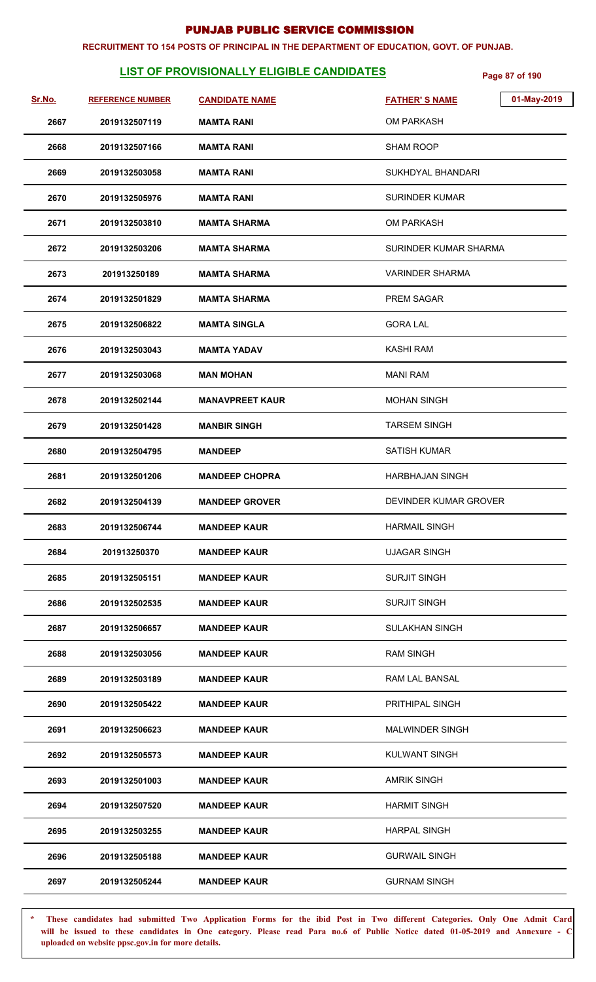#### **RECRUITMENT TO 154 POSTS OF PRINCIPAL IN THE DEPARTMENT OF EDUCATION, GOVT. OF PUNJAB.**

# **LIST OF PROVISIONALLY ELIGIBLE CANDIDATES** Page 87 of 190

| Sr.No. | <b>REFERENCE NUMBER</b> | <b>CANDIDATE NAME</b>  | 01-May-2019<br><b>FATHER'S NAME</b> |
|--------|-------------------------|------------------------|-------------------------------------|
| 2667   | 2019132507119           | <b>MAMTA RANI</b>      | OM PARKASH                          |
| 2668   | 2019132507166           | <b>MAMTA RANI</b>      | <b>SHAM ROOP</b>                    |
| 2669   | 2019132503058           | <b>MAMTA RANI</b>      | SUKHDYAL BHANDARI                   |
| 2670   | 2019132505976           | <b>MAMTA RANI</b>      | <b>SURINDER KUMAR</b>               |
| 2671   | 2019132503810           | <b>MAMTA SHARMA</b>    | <b>OM PARKASH</b>                   |
| 2672   | 2019132503206           | <b>MAMTA SHARMA</b>    | SURINDER KUMAR SHARMA               |
| 2673   | 201913250189            | <b>MAMTA SHARMA</b>    | VARINDER SHARMA                     |
| 2674   | 2019132501829           | <b>MAMTA SHARMA</b>    | <b>PREM SAGAR</b>                   |
| 2675   | 2019132506822           | <b>MAMTA SINGLA</b>    | <b>GORA LAL</b>                     |
| 2676   | 2019132503043           | <b>MAMTA YADAV</b>     | KASHI RAM                           |
| 2677   | 2019132503068           | <b>MAN MOHAN</b>       | <b>MANI RAM</b>                     |
| 2678   | 2019132502144           | <b>MANAVPREET KAUR</b> | <b>MOHAN SINGH</b>                  |
| 2679   | 2019132501428           | <b>MANBIR SINGH</b>    | <b>TARSEM SINGH</b>                 |
| 2680   | 2019132504795           | <b>MANDEEP</b>         | <b>SATISH KUMAR</b>                 |
| 2681   | 2019132501206           | <b>MANDEEP CHOPRA</b>  | <b>HARBHAJAN SINGH</b>              |
| 2682   | 2019132504139           | <b>MANDEEP GROVER</b>  | DEVINDER KUMAR GROVER               |
| 2683   | 2019132506744           | <b>MANDEEP KAUR</b>    | <b>HARMAIL SINGH</b>                |
| 2684   | 201913250370            | <b>MANDEEP KAUR</b>    | <b>UJAGAR SINGH</b>                 |
| 2685   | 2019132505151           | <b>MANDEEP KAUR</b>    | <b>SURJIT SINGH</b>                 |
| 2686   | 2019132502535           | <b>MANDEEP KAUR</b>    | <b>SURJIT SINGH</b>                 |
| 2687   | 2019132506657           | <b>MANDEEP KAUR</b>    | <b>SULAKHAN SINGH</b>               |
| 2688   | 2019132503056           | <b>MANDEEP KAUR</b>    | <b>RAM SINGH</b>                    |
| 2689   | 2019132503189           | <b>MANDEEP KAUR</b>    | RAM LAL BANSAL                      |
| 2690   | 2019132505422           | <b>MANDEEP KAUR</b>    | PRITHIPAL SINGH                     |
| 2691   | 2019132506623           | <b>MANDEEP KAUR</b>    | <b>MALWINDER SINGH</b>              |
| 2692   | 2019132505573           | <b>MANDEEP KAUR</b>    | KULWANT SINGH                       |
| 2693   | 2019132501003           | <b>MANDEEP KAUR</b>    | <b>AMRIK SINGH</b>                  |
| 2694   | 2019132507520           | <b>MANDEEP KAUR</b>    | <b>HARMIT SINGH</b>                 |
| 2695   | 2019132503255           | <b>MANDEEP KAUR</b>    | <b>HARPAL SINGH</b>                 |
| 2696   | 2019132505188           | <b>MANDEEP KAUR</b>    | <b>GURWAIL SINGH</b>                |
| 2697   | 2019132505244           | <b>MANDEEP KAUR</b>    | <b>GURNAM SINGH</b>                 |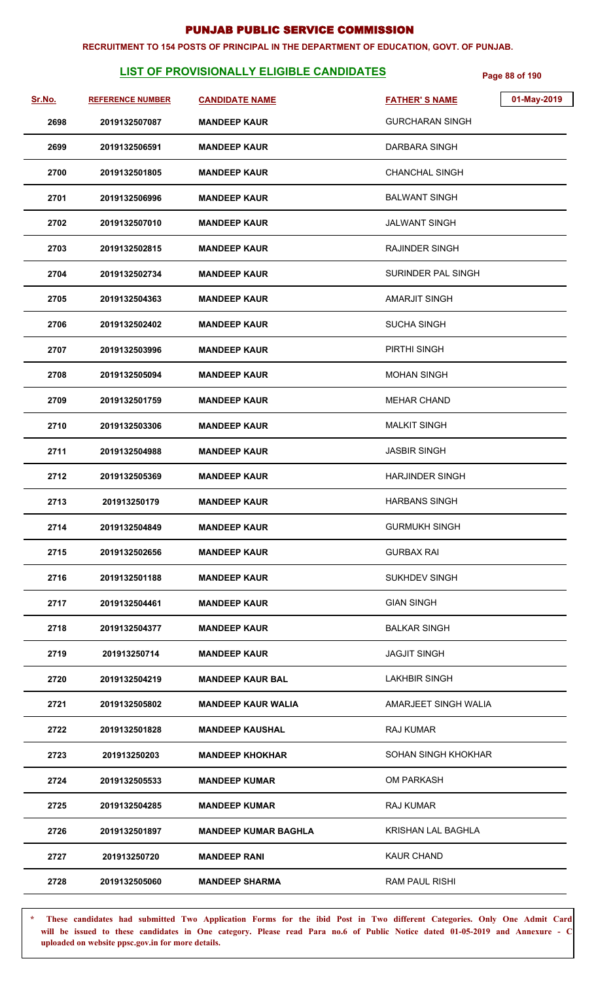#### **RECRUITMENT TO 154 POSTS OF PRINCIPAL IN THE DEPARTMENT OF EDUCATION, GOVT. OF PUNJAB.**

# **LIST OF PROVISIONALLY ELIGIBLE CANDIDATES** Page 88 of 190

| <u>Sr.No.</u> | <b>REFERENCE NUMBER</b> | <b>CANDIDATE NAME</b>       | <b>FATHER'S NAME</b>   | 01-May-2019 |
|---------------|-------------------------|-----------------------------|------------------------|-------------|
| 2698          | 2019132507087           | <b>MANDEEP KAUR</b>         | <b>GURCHARAN SINGH</b> |             |
| 2699          | 2019132506591           | <b>MANDEEP KAUR</b>         | DARBARA SINGH          |             |
| 2700          | 2019132501805           | <b>MANDEEP KAUR</b>         | <b>CHANCHAL SINGH</b>  |             |
| 2701          | 2019132506996           | <b>MANDEEP KAUR</b>         | <b>BALWANT SINGH</b>   |             |
| 2702          | 2019132507010           | <b>MANDEEP KAUR</b>         | <b>JALWANT SINGH</b>   |             |
| 2703          | 2019132502815           | <b>MANDEEP KAUR</b>         | RAJINDER SINGH         |             |
| 2704          | 2019132502734           | <b>MANDEEP KAUR</b>         | SURINDER PAL SINGH     |             |
| 2705          | 2019132504363           | <b>MANDEEP KAUR</b>         | <b>AMARJIT SINGH</b>   |             |
| 2706          | 2019132502402           | <b>MANDEEP KAUR</b>         | <b>SUCHA SINGH</b>     |             |
| 2707          | 2019132503996           | <b>MANDEEP KAUR</b>         | PIRTHI SINGH           |             |
| 2708          | 2019132505094           | <b>MANDEEP KAUR</b>         | <b>MOHAN SINGH</b>     |             |
| 2709          | 2019132501759           | <b>MANDEEP KAUR</b>         | <b>MEHAR CHAND</b>     |             |
| 2710          | 2019132503306           | <b>MANDEEP KAUR</b>         | <b>MALKIT SINGH</b>    |             |
| 2711          | 2019132504988           | <b>MANDEEP KAUR</b>         | <b>JASBIR SINGH</b>    |             |
| 2712          | 2019132505369           | <b>MANDEEP KAUR</b>         | <b>HARJINDER SINGH</b> |             |
| 2713          | 201913250179            | <b>MANDEEP KAUR</b>         | <b>HARBANS SINGH</b>   |             |
| 2714          | 2019132504849           | <b>MANDEEP KAUR</b>         | <b>GURMUKH SINGH</b>   |             |
| 2715          | 2019132502656           | <b>MANDEEP KAUR</b>         | <b>GURBAX RAI</b>      |             |
| 2716          | 2019132501188           | <b>MANDEEP KAUR</b>         | <b>SUKHDEV SINGH</b>   |             |
| 2717          | 2019132504461           | <b>MANDEEP KAUR</b>         | <b>GIAN SINGH</b>      |             |
| 2718          | 2019132504377           | <b>MANDEEP KAUR</b>         | <b>BALKAR SINGH</b>    |             |
| 2719          | 201913250714            | <b>MANDEEP KAUR</b>         | <b>JAGJIT SINGH</b>    |             |
| 2720          | 2019132504219           | <b>MANDEEP KAUR BAL</b>     | <b>LAKHBIR SINGH</b>   |             |
| 2721          | 2019132505802           | <b>MANDEEP KAUR WALIA</b>   | AMARJEET SINGH WALIA   |             |
| 2722          | 2019132501828           | <b>MANDEEP KAUSHAL</b>      | <b>RAJ KUMAR</b>       |             |
| 2723          | 201913250203            | <b>MANDEEP KHOKHAR</b>      | SOHAN SINGH KHOKHAR    |             |
| 2724          | 2019132505533           | <b>MANDEEP KUMAR</b>        | <b>OM PARKASH</b>      |             |
| 2725          | 2019132504285           | <b>MANDEEP KUMAR</b>        | <b>RAJ KUMAR</b>       |             |
| 2726          | 2019132501897           | <b>MANDEEP KUMAR BAGHLA</b> | KRISHAN LAL BAGHLA     |             |
| 2727          | 201913250720            | <b>MANDEEP RANI</b>         | <b>KAUR CHAND</b>      |             |
| 2728          | 2019132505060           | <b>MANDEEP SHARMA</b>       | RAM PAUL RISHI         |             |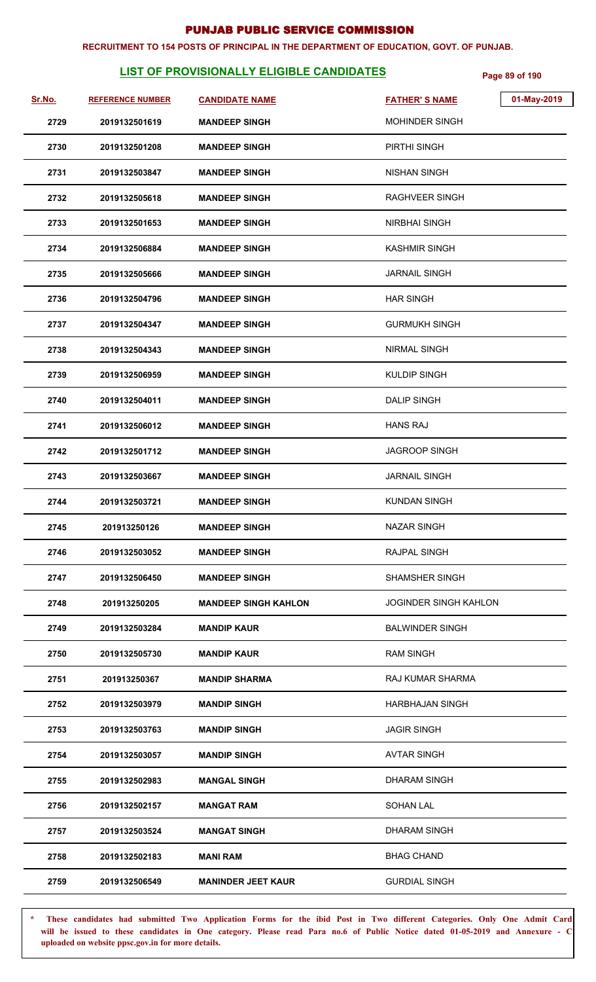#### **RECRUITMENT TO 154 POSTS OF PRINCIPAL IN THE DEPARTMENT OF EDUCATION, GOVT. OF PUNJAB.**

# **LIST OF PROVISIONALLY ELIGIBLE CANDIDATES** Page 89 of 190

| <u>Sr.No.</u> | <b>REFERENCE NUMBER</b> | <b>CANDIDATE NAME</b>       | <b>FATHER'S NAME</b>         | 01-May-2019 |
|---------------|-------------------------|-----------------------------|------------------------------|-------------|
| 2729          | 2019132501619           | <b>MANDEEP SINGH</b>        | <b>MOHINDER SINGH</b>        |             |
| 2730          | 2019132501208           | <b>MANDEEP SINGH</b>        | PIRTHI SINGH                 |             |
| 2731          | 2019132503847           | <b>MANDEEP SINGH</b>        | <b>NISHAN SINGH</b>          |             |
| 2732          | 2019132505618           | <b>MANDEEP SINGH</b>        | <b>RAGHVEER SINGH</b>        |             |
| 2733          | 2019132501653           | <b>MANDEEP SINGH</b>        | <b>NIRBHAI SINGH</b>         |             |
| 2734          | 2019132506884           | <b>MANDEEP SINGH</b>        | <b>KASHMIR SINGH</b>         |             |
| 2735          | 2019132505666           | <b>MANDEEP SINGH</b>        | <b>JARNAIL SINGH</b>         |             |
| 2736          | 2019132504796           | <b>MANDEEP SINGH</b>        | <b>HAR SINGH</b>             |             |
| 2737          | 2019132504347           | <b>MANDEEP SINGH</b>        | <b>GURMUKH SINGH</b>         |             |
| 2738          | 2019132504343           | <b>MANDEEP SINGH</b>        | <b>NIRMAL SINGH</b>          |             |
| 2739          | 2019132506959           | <b>MANDEEP SINGH</b>        | <b>KULDIP SINGH</b>          |             |
| 2740          | 2019132504011           | <b>MANDEEP SINGH</b>        | <b>DALIP SINGH</b>           |             |
| 2741          | 2019132506012           | <b>MANDEEP SINGH</b>        | <b>HANS RAJ</b>              |             |
| 2742          | 2019132501712           | <b>MANDEEP SINGH</b>        | <b>JAGROOP SINGH</b>         |             |
| 2743          | 2019132503667           | <b>MANDEEP SINGH</b>        | <b>JARNAIL SINGH</b>         |             |
| 2744          | 2019132503721           | <b>MANDEEP SINGH</b>        | <b>KUNDAN SINGH</b>          |             |
| 2745          | 201913250126            | <b>MANDEEP SINGH</b>        | <b>NAZAR SINGH</b>           |             |
| 2746          | 2019132503052           | <b>MANDEEP SINGH</b>        | RAJPAL SINGH                 |             |
| 2747          | 2019132506450           | <b>MANDEEP SINGH</b>        | <b>SHAMSHER SINGH</b>        |             |
| 2748          | 201913250205            | <b>MANDEEP SINGH KAHLON</b> | <b>JOGINDER SINGH KAHLON</b> |             |
| 2749          | 2019132503284           | <b>MANDIP KAUR</b>          | <b>BALWINDER SINGH</b>       |             |
| 2750          | 2019132505730           | <b>MANDIP KAUR</b>          | <b>RAM SINGH</b>             |             |
| 2751          | 201913250367            | <b>MANDIP SHARMA</b>        | <b>RAJ KUMAR SHARMA</b>      |             |
| 2752          | 2019132503979           | <b>MANDIP SINGH</b>         | <b>HARBHAJAN SINGH</b>       |             |
| 2753          | 2019132503763           | <b>MANDIP SINGH</b>         | <b>JAGIR SINGH</b>           |             |
| 2754          | 2019132503057           | <b>MANDIP SINGH</b>         | <b>AVTAR SINGH</b>           |             |
| 2755          | 2019132502983           | <b>MANGAL SINGH</b>         | DHARAM SINGH                 |             |
| 2756          | 2019132502157           | <b>MANGAT RAM</b>           | <b>SOHAN LAL</b>             |             |
| 2757          | 2019132503524           | <b>MANGAT SINGH</b>         | <b>DHARAM SINGH</b>          |             |
| 2758          | 2019132502183           | <b>MANI RAM</b>             | <b>BHAG CHAND</b>            |             |
| 2759          | 2019132506549           | <b>MANINDER JEET KAUR</b>   | <b>GURDIAL SINGH</b>         |             |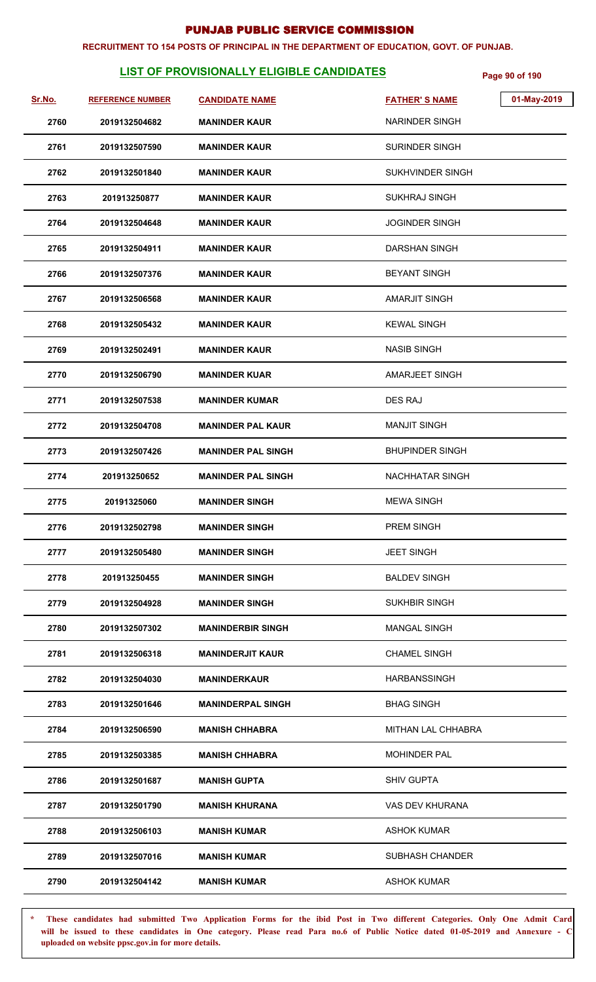#### **RECRUITMENT TO 154 POSTS OF PRINCIPAL IN THE DEPARTMENT OF EDUCATION, GOVT. OF PUNJAB.**

# **LIST OF PROVISIONALLY ELIGIBLE CANDIDATES** Page 90 of 190

| <u>Sr.No.</u> | <b>REFERENCE NUMBER</b> | <b>CANDIDATE NAME</b>     | <b>FATHER'S NAME</b>      | 01-May-2019 |
|---------------|-------------------------|---------------------------|---------------------------|-------------|
| 2760          | 2019132504682           | <b>MANINDER KAUR</b>      | <b>NARINDER SINGH</b>     |             |
| 2761          | 2019132507590           | <b>MANINDER KAUR</b>      | <b>SURINDER SINGH</b>     |             |
| 2762          | 2019132501840           | <b>MANINDER KAUR</b>      | SUKHVINDER SINGH          |             |
| 2763          | 201913250877            | <b>MANINDER KAUR</b>      | <b>SUKHRAJ SINGH</b>      |             |
| 2764          | 2019132504648           | <b>MANINDER KAUR</b>      | <b>JOGINDER SINGH</b>     |             |
| 2765          | 2019132504911           | <b>MANINDER KAUR</b>      | DARSHAN SINGH             |             |
| 2766          | 2019132507376           | <b>MANINDER KAUR</b>      | <b>BEYANT SINGH</b>       |             |
| 2767          | 2019132506568           | <b>MANINDER KAUR</b>      | <b>AMARJIT SINGH</b>      |             |
| 2768          | 2019132505432           | <b>MANINDER KAUR</b>      | <b>KEWAL SINGH</b>        |             |
| 2769          | 2019132502491           | <b>MANINDER KAUR</b>      | <b>NASIB SINGH</b>        |             |
| 2770          | 2019132506790           | <b>MANINDER KUAR</b>      | <b>AMARJEET SINGH</b>     |             |
| 2771          | 2019132507538           | <b>MANINDER KUMAR</b>     | DES RAJ                   |             |
| 2772          | 2019132504708           | <b>MANINDER PAL KAUR</b>  | <b>MANJIT SINGH</b>       |             |
| 2773          | 2019132507426           | <b>MANINDER PAL SINGH</b> | <b>BHUPINDER SINGH</b>    |             |
| 2774          | 201913250652            | <b>MANINDER PAL SINGH</b> | <b>NACHHATAR SINGH</b>    |             |
| 2775          | 20191325060             | <b>MANINDER SINGH</b>     | <b>MEWA SINGH</b>         |             |
| 2776          | 2019132502798           | <b>MANINDER SINGH</b>     | <b>PREM SINGH</b>         |             |
| 2777          | 2019132505480           | <b>MANINDER SINGH</b>     | <b>JEET SINGH</b>         |             |
| 2778          | 201913250455            | <b>MANINDER SINGH</b>     | <b>BALDEV SINGH</b>       |             |
| 2779          | 2019132504928           | <b>MANINDER SINGH</b>     | <b>SUKHBIR SINGH</b>      |             |
| 2780          | 2019132507302           | <b>MANINDERBIR SINGH</b>  | <b>MANGAL SINGH</b>       |             |
| 2781          | 2019132506318           | <b>MANINDERJIT KAUR</b>   | <b>CHAMEL SINGH</b>       |             |
| 2782          | 2019132504030           | <b>MANINDERKAUR</b>       | <b>HARBANSSINGH</b>       |             |
| 2783          | 2019132501646           | <b>MANINDERPAL SINGH</b>  | <b>BHAG SINGH</b>         |             |
| 2784          | 2019132506590           | <b>MANISH CHHABRA</b>     | <b>MITHAN LAL CHHABRA</b> |             |
| 2785          | 2019132503385           | <b>MANISH CHHABRA</b>     | <b>MOHINDER PAL</b>       |             |
| 2786          | 2019132501687           | <b>MANISH GUPTA</b>       | <b>SHIV GUPTA</b>         |             |
| 2787          | 2019132501790           | <b>MANISH KHURANA</b>     | <b>VAS DEV KHURANA</b>    |             |
| 2788          | 2019132506103           | <b>MANISH KUMAR</b>       | <b>ASHOK KUMAR</b>        |             |
| 2789          | 2019132507016           | <b>MANISH KUMAR</b>       | <b>SUBHASH CHANDER</b>    |             |
| 2790          | 2019132504142           | <b>MANISH KUMAR</b>       | <b>ASHOK KUMAR</b>        |             |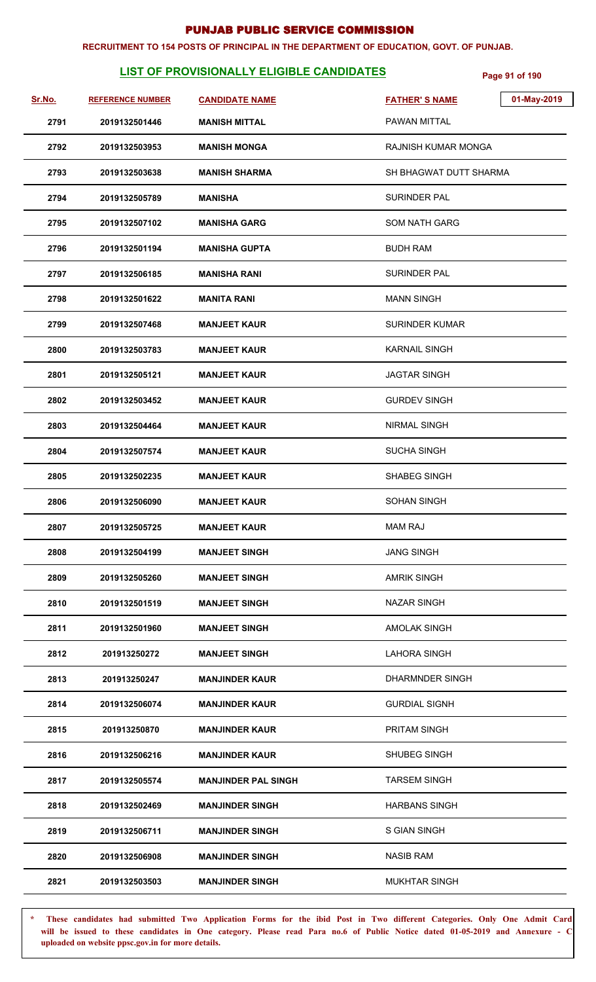#### **RECRUITMENT TO 154 POSTS OF PRINCIPAL IN THE DEPARTMENT OF EDUCATION, GOVT. OF PUNJAB.**

# **LIST OF PROVISIONALLY ELIGIBLE CANDIDATES** Page 91 of 190

| <u>Sr.No.</u> | <b>REFERENCE NUMBER</b> | <b>CANDIDATE NAME</b>      | 01-May-2019<br><b>FATHER'S NAME</b> |
|---------------|-------------------------|----------------------------|-------------------------------------|
| 2791          | 2019132501446           | <b>MANISH MITTAL</b>       | <b>PAWAN MITTAL</b>                 |
| 2792          | 2019132503953           | <b>MANISH MONGA</b>        | <b>RAJNISH KUMAR MONGA</b>          |
| 2793          | 2019132503638           | <b>MANISH SHARMA</b>       | SH BHAGWAT DUTT SHARMA              |
| 2794          | 2019132505789           | <b>MANISHA</b>             | <b>SURINDER PAL</b>                 |
| 2795          | 2019132507102           | <b>MANISHA GARG</b>        | <b>SOM NATH GARG</b>                |
| 2796          | 2019132501194           | <b>MANISHA GUPTA</b>       | <b>BUDH RAM</b>                     |
| 2797          | 2019132506185           | <b>MANISHA RANI</b>        | <b>SURINDER PAL</b>                 |
| 2798          | 2019132501622           | <b>MANITA RANI</b>         | <b>MANN SINGH</b>                   |
| 2799          | 2019132507468           | <b>MANJEET KAUR</b>        | <b>SURINDER KUMAR</b>               |
| 2800          | 2019132503783           | <b>MANJEET KAUR</b>        | <b>KARNAIL SINGH</b>                |
| 2801          | 2019132505121           | <b>MANJEET KAUR</b>        | <b>JAGTAR SINGH</b>                 |
| 2802          | 2019132503452           | <b>MANJEET KAUR</b>        | <b>GURDEV SINGH</b>                 |
| 2803          | 2019132504464           | <b>MANJEET KAUR</b>        | <b>NIRMAL SINGH</b>                 |
| 2804          | 2019132507574           | <b>MANJEET KAUR</b>        | <b>SUCHA SINGH</b>                  |
| 2805          | 2019132502235           | <b>MANJEET KAUR</b>        | <b>SHABEG SINGH</b>                 |
| 2806          | 2019132506090           | <b>MANJEET KAUR</b>        | <b>SOHAN SINGH</b>                  |
| 2807          | 2019132505725           | <b>MANJEET KAUR</b>        | <b>MAM RAJ</b>                      |
| 2808          | 2019132504199           | <b>MANJEET SINGH</b>       | <b>JANG SINGH</b>                   |
| 2809          | 2019132505260           | <b>MANJEET SINGH</b>       | <b>AMRIK SINGH</b>                  |
| 2810          | 2019132501519           | <b>MANJEET SINGH</b>       | <b>NAZAR SINGH</b>                  |
| 2811          | 2019132501960           | <b>MANJEET SINGH</b>       | <b>AMOLAK SINGH</b>                 |
| 2812          | 201913250272            | <b>MANJEET SINGH</b>       | LAHORA SINGH                        |
| 2813          | 201913250247            | <b>MANJINDER KAUR</b>      | DHARMNDER SINGH                     |
| 2814          | 2019132506074           | <b>MANJINDER KAUR</b>      | <b>GURDIAL SIGNH</b>                |
| 2815          | 201913250870            | <b>MANJINDER KAUR</b>      | <b>PRITAM SINGH</b>                 |
| 2816          | 2019132506216           | <b>MANJINDER KAUR</b>      | <b>SHUBEG SINGH</b>                 |
| 2817          | 2019132505574           | <b>MANJINDER PAL SINGH</b> | <b>TARSEM SINGH</b>                 |
| 2818          | 2019132502469           | <b>MANJINDER SINGH</b>     | <b>HARBANS SINGH</b>                |
| 2819          | 2019132506711           | <b>MANJINDER SINGH</b>     | <b>S GIAN SINGH</b>                 |
| 2820          | 2019132506908           | <b>MANJINDER SINGH</b>     | <b>NASIB RAM</b>                    |
| 2821          | 2019132503503           | <b>MANJINDER SINGH</b>     | <b>MUKHTAR SINGH</b>                |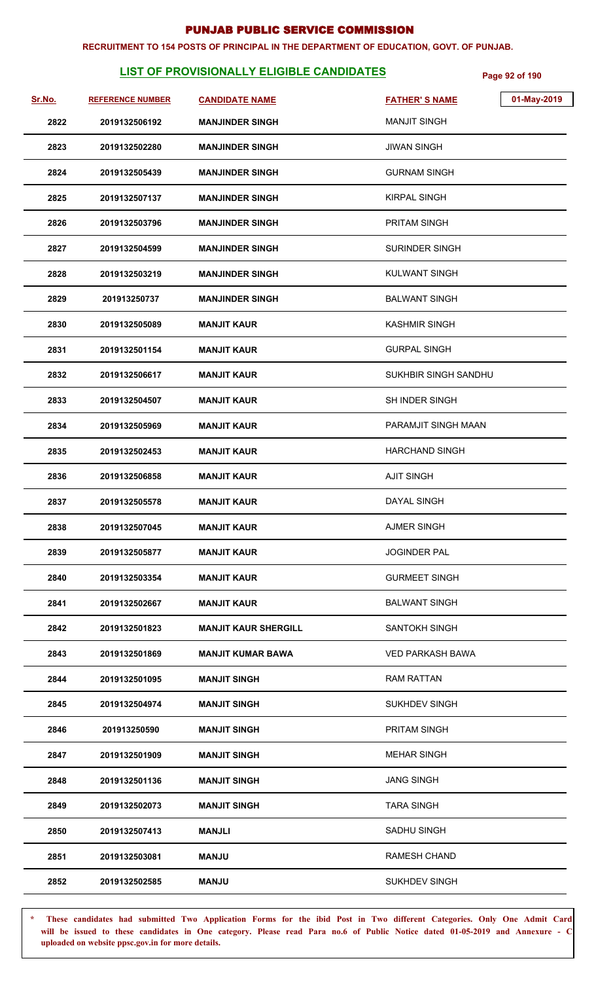#### **RECRUITMENT TO 154 POSTS OF PRINCIPAL IN THE DEPARTMENT OF EDUCATION, GOVT. OF PUNJAB.**

# **LIST OF PROVISIONALLY ELIGIBLE CANDIDATES Page 92 of 190**

| Sr.No. | <b>REFERENCE NUMBER</b> | <b>CANDIDATE NAME</b>       | 01-May-2019<br><b>FATHER'S NAME</b> |
|--------|-------------------------|-----------------------------|-------------------------------------|
| 2822   | 2019132506192           | <b>MANJINDER SINGH</b>      | <b>MANJIT SINGH</b>                 |
| 2823   | 2019132502280           | <b>MANJINDER SINGH</b>      | <b>JIWAN SINGH</b>                  |
| 2824   | 2019132505439           | <b>MANJINDER SINGH</b>      | <b>GURNAM SINGH</b>                 |
| 2825   | 2019132507137           | <b>MANJINDER SINGH</b>      | <b>KIRPAL SINGH</b>                 |
| 2826   | 2019132503796           | <b>MANJINDER SINGH</b>      | PRITAM SINGH                        |
| 2827   | 2019132504599           | <b>MANJINDER SINGH</b>      | SURINDER SINGH                      |
| 2828   | 2019132503219           | <b>MANJINDER SINGH</b>      | <b>KULWANT SINGH</b>                |
| 2829   | 201913250737            | <b>MANJINDER SINGH</b>      | <b>BALWANT SINGH</b>                |
| 2830   | 2019132505089           | <b>MANJIT KAUR</b>          | <b>KASHMIR SINGH</b>                |
| 2831   | 2019132501154           | <b>MANJIT KAUR</b>          | <b>GURPAL SINGH</b>                 |
| 2832   | 2019132506617           | <b>MANJIT KAUR</b>          | SUKHBIR SINGH SANDHU                |
| 2833   | 2019132504507           | <b>MANJIT KAUR</b>          | <b>SH INDER SINGH</b>               |
| 2834   | 2019132505969           | <b>MANJIT KAUR</b>          | PARAMJIT SINGH MAAN                 |
| 2835   | 2019132502453           | <b>MANJIT KAUR</b>          | <b>HARCHAND SINGH</b>               |
| 2836   | 2019132506858           | <b>MANJIT KAUR</b>          | <b>AJIT SINGH</b>                   |
| 2837   | 2019132505578           | <b>MANJIT KAUR</b>          | DAYAL SINGH                         |
| 2838   | 2019132507045           | <b>MANJIT KAUR</b>          | <b>AJMER SINGH</b>                  |
| 2839   | 2019132505877           | <b>MANJIT KAUR</b>          | <b>JOGINDER PAL</b>                 |
| 2840   | 2019132503354           | <b>MANJIT KAUR</b>          | <b>GURMEET SINGH</b>                |
| 2841   | 2019132502667           | <b>MANJIT KAUR</b>          | <b>BALWANT SINGH</b>                |
| 2842   | 2019132501823           | <b>MANJIT KAUR SHERGILL</b> | <b>SANTOKH SINGH</b>                |
| 2843   | 2019132501869           | <b>MANJIT KUMAR BAWA</b>    | <b>VED PARKASH BAWA</b>             |
| 2844   | 2019132501095           | <b>MANJIT SINGH</b>         | <b>RAM RATTAN</b>                   |
| 2845   | 2019132504974           | <b>MANJIT SINGH</b>         | <b>SUKHDEV SINGH</b>                |
| 2846   | 201913250590            | <b>MANJIT SINGH</b>         | <b>PRITAM SINGH</b>                 |
| 2847   | 2019132501909           | <b>MANJIT SINGH</b>         | <b>MEHAR SINGH</b>                  |
| 2848   | 2019132501136           | <b>MANJIT SINGH</b>         | <b>JANG SINGH</b>                   |
| 2849   | 2019132502073           | <b>MANJIT SINGH</b>         | <b>TARA SINGH</b>                   |
| 2850   | 2019132507413           | MANJLI                      | <b>SADHU SINGH</b>                  |
| 2851   | 2019132503081           | <b>MANJU</b>                | <b>RAMESH CHAND</b>                 |
| 2852   | 2019132502585           | <b>MANJU</b>                | <b>SUKHDEV SINGH</b>                |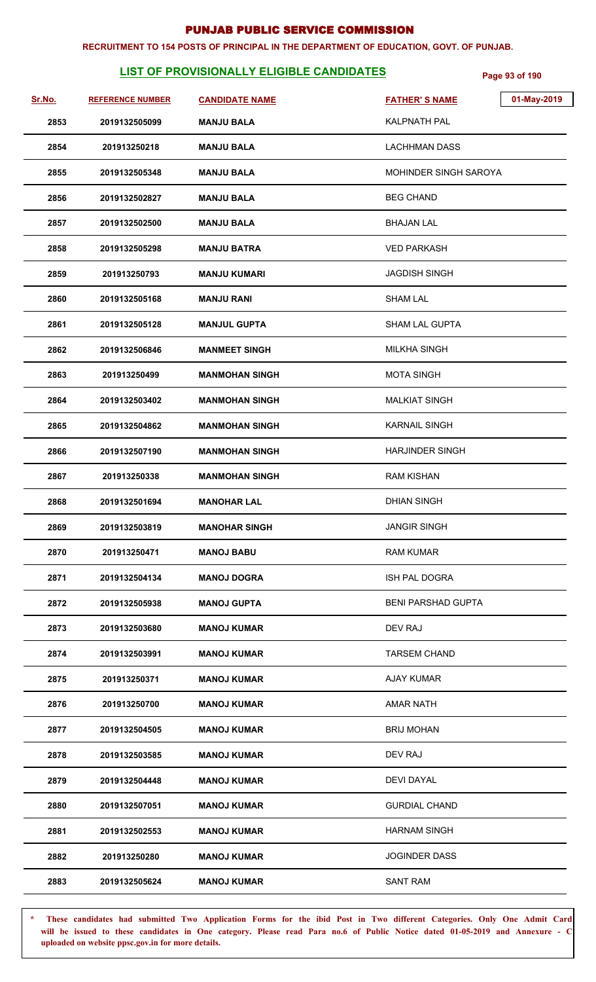#### **RECRUITMENT TO 154 POSTS OF PRINCIPAL IN THE DEPARTMENT OF EDUCATION, GOVT. OF PUNJAB.**

# **LIST OF PROVISIONALLY ELIGIBLE CANDIDATES** Page 93 of 190

| Sr.No. | <b>REFERENCE NUMBER</b> | <b>CANDIDATE NAME</b> | 01-May-2019<br><b>FATHER'S NAME</b> |
|--------|-------------------------|-----------------------|-------------------------------------|
| 2853   | 2019132505099           | <b>MANJU BALA</b>     | <b>KALPNATH PAL</b>                 |
| 2854   | 201913250218            | <b>MANJU BALA</b>     | <b>LACHHMAN DASS</b>                |
| 2855   | 2019132505348           | <b>MANJU BALA</b>     | <b>MOHINDER SINGH SAROYA</b>        |
| 2856   | 2019132502827           | <b>MANJU BALA</b>     | <b>BEG CHAND</b>                    |
| 2857   | 2019132502500           | <b>MANJU BALA</b>     | <b>BHAJAN LAL</b>                   |
| 2858   | 2019132505298           | <b>MANJU BATRA</b>    | <b>VED PARKASH</b>                  |
| 2859   | 201913250793            | <b>MANJU KUMARI</b>   | <b>JAGDISH SINGH</b>                |
| 2860   | 2019132505168           | <b>MANJU RANI</b>     | <b>SHAM LAL</b>                     |
| 2861   | 2019132505128           | <b>MANJUL GUPTA</b>   | <b>SHAM LAL GUPTA</b>               |
| 2862   | 2019132506846           | <b>MANMEET SINGH</b>  | MILKHA SINGH                        |
| 2863   | 201913250499            | <b>MANMOHAN SINGH</b> | <b>MOTA SINGH</b>                   |
| 2864   | 2019132503402           | <b>MANMOHAN SINGH</b> | <b>MALKIAT SINGH</b>                |
| 2865   | 2019132504862           | <b>MANMOHAN SINGH</b> | <b>KARNAIL SINGH</b>                |
| 2866   | 2019132507190           | <b>MANMOHAN SINGH</b> | <b>HARJINDER SINGH</b>              |
| 2867   | 201913250338            | <b>MANMOHAN SINGH</b> | <b>RAM KISHAN</b>                   |
| 2868   | 2019132501694           | <b>MANOHAR LAL</b>    | <b>DHIAN SINGH</b>                  |
| 2869   | 2019132503819           | <b>MANOHAR SINGH</b>  | <b>JANGIR SINGH</b>                 |
| 2870   | 201913250471            | <b>MANOJ BABU</b>     | <b>RAM KUMAR</b>                    |
| 2871   | 2019132504134           | <b>MANOJ DOGRA</b>    | <b>ISH PAL DOGRA</b>                |
| 2872   | 2019132505938           | <b>MANOJ GUPTA</b>    | <b>BENI PARSHAD GUPTA</b>           |
| 2873   | 2019132503680           | <b>MANOJ KUMAR</b>    | DEV RAJ                             |
| 2874   | 2019132503991           | <b>MANOJ KUMAR</b>    | <b>TARSEM CHAND</b>                 |
| 2875   | 201913250371            | <b>MANOJ KUMAR</b>    | AJAY KUMAR                          |
| 2876   | 201913250700            | <b>MANOJ KUMAR</b>    | <b>AMAR NATH</b>                    |
| 2877   | 2019132504505           | <b>MANOJ KUMAR</b>    | <b>BRIJ MOHAN</b>                   |
| 2878   | 2019132503585           | <b>MANOJ KUMAR</b>    | DEV RAJ                             |
| 2879   | 2019132504448           | <b>MANOJ KUMAR</b>    | <b>DEVI DAYAL</b>                   |
| 2880   | 2019132507051           | <b>MANOJ KUMAR</b>    | <b>GURDIAL CHAND</b>                |
| 2881   | 2019132502553           | <b>MANOJ KUMAR</b>    | <b>HARNAM SINGH</b>                 |
| 2882   | 201913250280            | <b>MANOJ KUMAR</b>    | <b>JOGINDER DASS</b>                |
| 2883   | 2019132505624           | <b>MANOJ KUMAR</b>    | <b>SANT RAM</b>                     |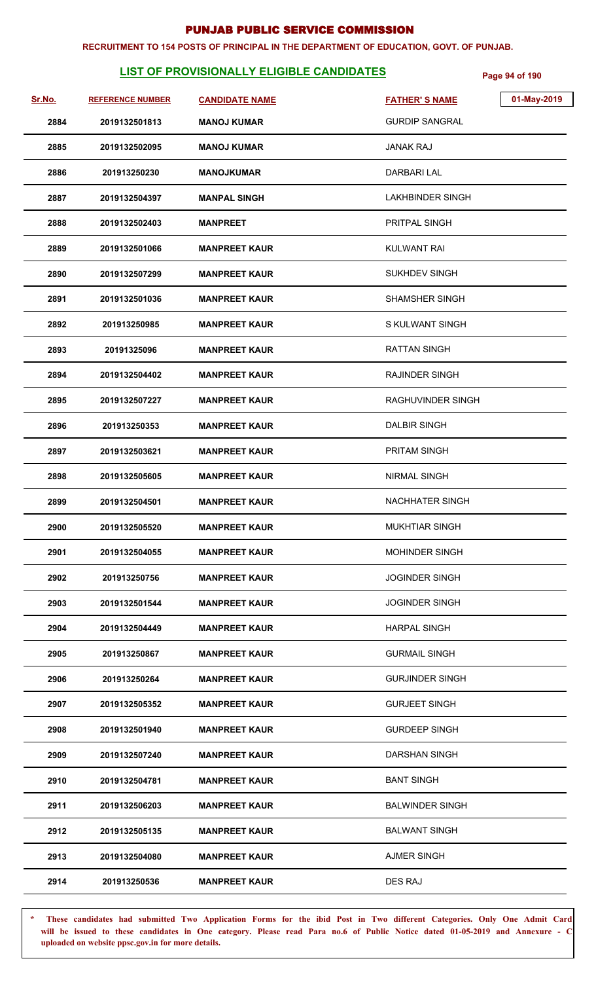#### **RECRUITMENT TO 154 POSTS OF PRINCIPAL IN THE DEPARTMENT OF EDUCATION, GOVT. OF PUNJAB.**

# **LIST OF PROVISIONALLY ELIGIBLE CANDIDATES Page 94 of 190**

| Sr.No. | <b>REFERENCE NUMBER</b> | <b>CANDIDATE NAME</b> | 01-May-2019<br><b>FATHER'S NAME</b> |
|--------|-------------------------|-----------------------|-------------------------------------|
| 2884   | 2019132501813           | <b>MANOJ KUMAR</b>    | <b>GURDIP SANGRAL</b>               |
| 2885   | 2019132502095           | <b>MANOJ KUMAR</b>    | <b>JANAK RAJ</b>                    |
| 2886   | 201913250230            | <b>MANOJKUMAR</b>     | DARBARI LAL                         |
| 2887   | 2019132504397           | <b>MANPAL SINGH</b>   | <b>LAKHBINDER SINGH</b>             |
| 2888   | 2019132502403           | <b>MANPREET</b>       | PRITPAL SINGH                       |
| 2889   | 2019132501066           | <b>MANPREET KAUR</b>  | KULWANT RAI                         |
| 2890   | 2019132507299           | <b>MANPREET KAUR</b>  | SUKHDEV SINGH                       |
| 2891   | 2019132501036           | <b>MANPREET KAUR</b>  | SHAMSHER SINGH                      |
| 2892   | 201913250985            | <b>MANPREET KAUR</b>  | S KULWANT SINGH                     |
| 2893   | 20191325096             | <b>MANPREET KAUR</b>  | RATTAN SINGH                        |
| 2894   | 2019132504402           | <b>MANPREET KAUR</b>  | RAJINDER SINGH                      |
| 2895   | 2019132507227           | <b>MANPREET KAUR</b>  | RAGHUVINDER SINGH                   |
| 2896   | 201913250353            | <b>MANPREET KAUR</b>  | <b>DALBIR SINGH</b>                 |
| 2897   | 2019132503621           | <b>MANPREET KAUR</b>  | PRITAM SINGH                        |
| 2898   | 2019132505605           | <b>MANPREET KAUR</b>  | <b>NIRMAL SINGH</b>                 |
| 2899   | 2019132504501           | <b>MANPREET KAUR</b>  | <b>NACHHATER SINGH</b>              |
| 2900   | 2019132505520           | <b>MANPREET KAUR</b>  | <b>MUKHTIAR SINGH</b>               |
| 2901   | 2019132504055           | <b>MANPREET KAUR</b>  | <b>MOHINDER SINGH</b>               |
| 2902   | 201913250756            | <b>MANPREET KAUR</b>  | <b>JOGINDER SINGH</b>               |
| 2903   | 2019132501544           | <b>MANPREET KAUR</b>  | <b>JOGINDER SINGH</b>               |
| 2904   | 2019132504449           | <b>MANPREET KAUR</b>  | <b>HARPAL SINGH</b>                 |
| 2905   | 201913250867            | <b>MANPREET KAUR</b>  | <b>GURMAIL SINGH</b>                |
| 2906   | 201913250264            | <b>MANPREET KAUR</b>  | <b>GURJINDER SINGH</b>              |
| 2907   | 2019132505352           | <b>MANPREET KAUR</b>  | <b>GURJEET SINGH</b>                |
| 2908   | 2019132501940           | <b>MANPREET KAUR</b>  | <b>GURDEEP SINGH</b>                |
| 2909   | 2019132507240           | <b>MANPREET KAUR</b>  | DARSHAN SINGH                       |
| 2910   | 2019132504781           | <b>MANPREET KAUR</b>  | <b>BANT SINGH</b>                   |
| 2911   | 2019132506203           | <b>MANPREET KAUR</b>  | <b>BALWINDER SINGH</b>              |
| 2912   | 2019132505135           | <b>MANPREET KAUR</b>  | <b>BALWANT SINGH</b>                |
| 2913   | 2019132504080           | <b>MANPREET KAUR</b>  | <b>AJMER SINGH</b>                  |
| 2914   | 201913250536            | <b>MANPREET KAUR</b>  | <b>DES RAJ</b>                      |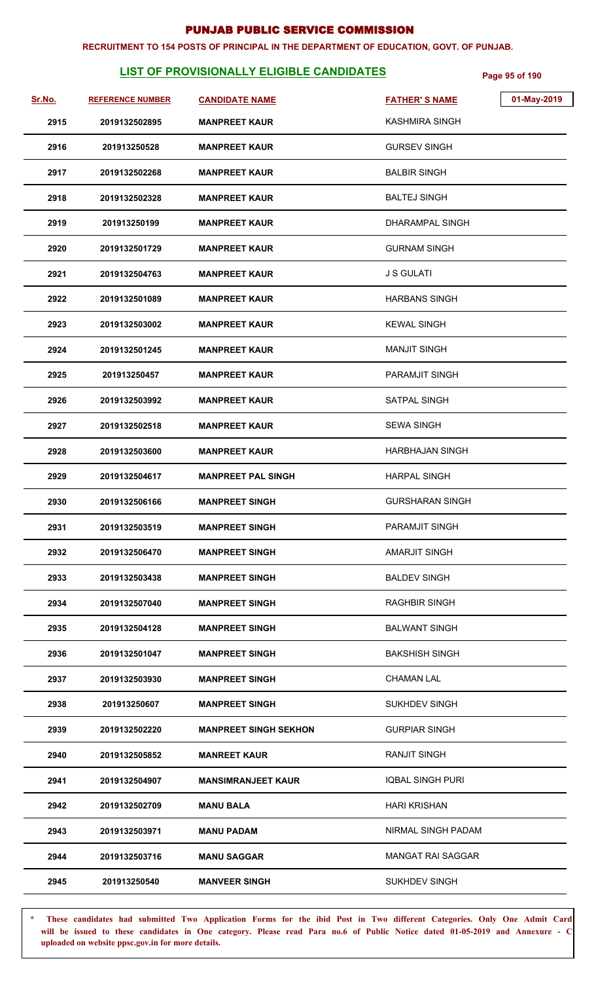#### **RECRUITMENT TO 154 POSTS OF PRINCIPAL IN THE DEPARTMENT OF EDUCATION, GOVT. OF PUNJAB.**

# **LIST OF PROVISIONALLY ELIGIBLE CANDIDATES** Page 95 of 190

| Sr.No. | <b>REFERENCE NUMBER</b> | <b>CANDIDATE NAME</b>        | <b>FATHER'S NAME</b>     | 01-May-2019 |
|--------|-------------------------|------------------------------|--------------------------|-------------|
| 2915   | 2019132502895           | <b>MANPREET KAUR</b>         | KASHMIRA SINGH           |             |
| 2916   | 201913250528            | <b>MANPREET KAUR</b>         | <b>GURSEV SINGH</b>      |             |
| 2917   | 2019132502268           | <b>MANPREET KAUR</b>         | <b>BALBIR SINGH</b>      |             |
| 2918   | 2019132502328           | <b>MANPREET KAUR</b>         | <b>BALTEJ SINGH</b>      |             |
| 2919   | 201913250199            | <b>MANPREET KAUR</b>         | DHARAMPAL SINGH          |             |
| 2920   | 2019132501729           | <b>MANPREET KAUR</b>         | <b>GURNAM SINGH</b>      |             |
| 2921   | 2019132504763           | <b>MANPREET KAUR</b>         | <b>J S GULATI</b>        |             |
| 2922   | 2019132501089           | <b>MANPREET KAUR</b>         | <b>HARBANS SINGH</b>     |             |
| 2923   | 2019132503002           | <b>MANPREET KAUR</b>         | <b>KEWAL SINGH</b>       |             |
| 2924   | 2019132501245           | <b>MANPREET KAUR</b>         | <b>MANJIT SINGH</b>      |             |
| 2925   | 201913250457            | <b>MANPREET KAUR</b>         | <b>PARAMJIT SINGH</b>    |             |
| 2926   | 2019132503992           | <b>MANPREET KAUR</b>         | SATPAL SINGH             |             |
| 2927   | 2019132502518           | <b>MANPREET KAUR</b>         | <b>SEWA SINGH</b>        |             |
| 2928   | 2019132503600           | <b>MANPREET KAUR</b>         | <b>HARBHAJAN SINGH</b>   |             |
| 2929   | 2019132504617           | <b>MANPREET PAL SINGH</b>    | <b>HARPAL SINGH</b>      |             |
| 2930   | 2019132506166           | <b>MANPREET SINGH</b>        | <b>GURSHARAN SINGH</b>   |             |
| 2931   | 2019132503519           | <b>MANPREET SINGH</b>        | <b>PARAMJIT SINGH</b>    |             |
| 2932   | 2019132506470           | <b>MANPREET SINGH</b>        | <b>AMARJIT SINGH</b>     |             |
| 2933   | 2019132503438           | <b>MANPREET SINGH</b>        | <b>BALDEV SINGH</b>      |             |
| 2934   | 2019132507040           | <b>MANPREET SINGH</b>        | <b>RAGHBIR SINGH</b>     |             |
| 2935   | 2019132504128           | <b>MANPREET SINGH</b>        | <b>BALWANT SINGH</b>     |             |
| 2936   | 2019132501047           | <b>MANPREET SINGH</b>        | <b>BAKSHISH SINGH</b>    |             |
| 2937   | 2019132503930           | <b>MANPREET SINGH</b>        | <b>CHAMAN LAL</b>        |             |
| 2938   | 201913250607            | <b>MANPREET SINGH</b>        | <b>SUKHDEV SINGH</b>     |             |
| 2939   | 2019132502220           | <b>MANPREET SINGH SEKHON</b> | <b>GURPIAR SINGH</b>     |             |
| 2940   | 2019132505852           | <b>MANREET KAUR</b>          | <b>RANJIT SINGH</b>      |             |
| 2941   | 2019132504907           | <b>MANSIMRANJEET KAUR</b>    | <b>IQBAL SINGH PURI</b>  |             |
| 2942   | 2019132502709           | <b>MANU BALA</b>             | <b>HARI KRISHAN</b>      |             |
| 2943   | 2019132503971           | <b>MANU PADAM</b>            | NIRMAL SINGH PADAM       |             |
| 2944   | 2019132503716           | <b>MANU SAGGAR</b>           | <b>MANGAT RAI SAGGAR</b> |             |
| 2945   | 201913250540            | <b>MANVEER SINGH</b>         | <b>SUKHDEV SINGH</b>     |             |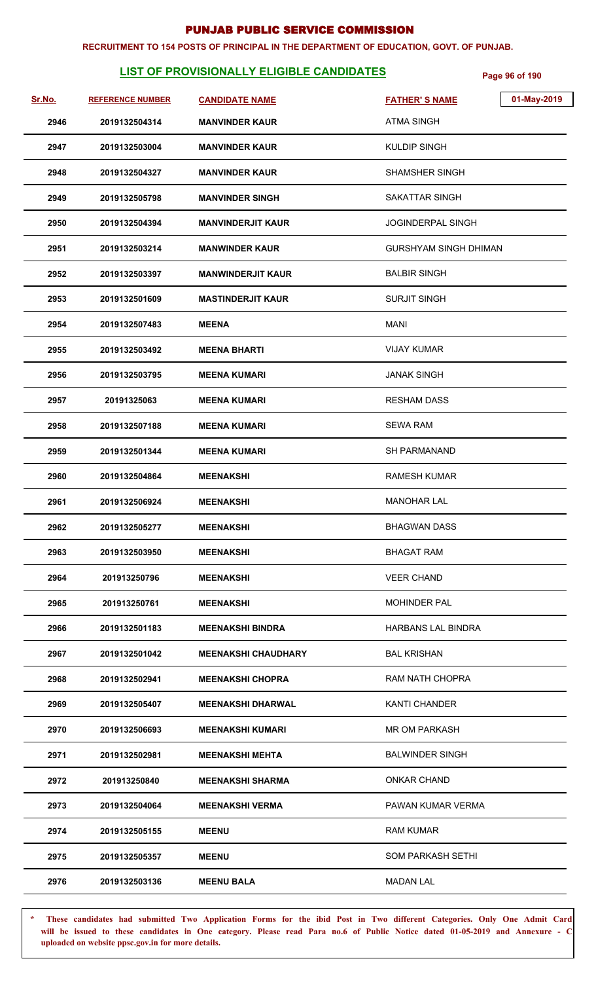#### **RECRUITMENT TO 154 POSTS OF PRINCIPAL IN THE DEPARTMENT OF EDUCATION, GOVT. OF PUNJAB.**

# **LIST OF PROVISIONALLY ELIGIBLE CANDIDATES** Page 96 of 190

| Sr.No. | <b>REFERENCE NUMBER</b> | <b>CANDIDATE NAME</b>      | 01-May-2019<br><b>FATHER'S NAME</b> |
|--------|-------------------------|----------------------------|-------------------------------------|
| 2946   | 2019132504314           | <b>MANVINDER KAUR</b>      | <b>ATMA SINGH</b>                   |
| 2947   | 2019132503004           | <b>MANVINDER KAUR</b>      | <b>KULDIP SINGH</b>                 |
| 2948   | 2019132504327           | <b>MANVINDER KAUR</b>      | <b>SHAMSHER SINGH</b>               |
| 2949   | 2019132505798           | <b>MANVINDER SINGH</b>     | <b>SAKATTAR SINGH</b>               |
| 2950   | 2019132504394           | <b>MANVINDERJIT KAUR</b>   | <b>JOGINDERPAL SINGH</b>            |
| 2951   | 2019132503214           | <b>MANWINDER KAUR</b>      | GURSHYAM SINGH DHIMAN               |
| 2952   | 2019132503397           | <b>MANWINDERJIT KAUR</b>   | <b>BALBIR SINGH</b>                 |
| 2953   | 2019132501609           | <b>MASTINDERJIT KAUR</b>   | <b>SURJIT SINGH</b>                 |
| 2954   | 2019132507483           | <b>MEENA</b>               | MANI                                |
| 2955   | 2019132503492           | MEENA BHARTI               | <b>VIJAY KUMAR</b>                  |
| 2956   | 2019132503795           | <b>MEENA KUMARI</b>        | <b>JANAK SINGH</b>                  |
| 2957   | 20191325063             | <b>MEENA KUMARI</b>        | <b>RESHAM DASS</b>                  |
| 2958   | 2019132507188           | <b>MEENA KUMARI</b>        | <b>SEWA RAM</b>                     |
| 2959   | 2019132501344           | <b>MEENA KUMARI</b>        | <b>SH PARMANAND</b>                 |
| 2960   | 2019132504864           | <b>MEENAKSHI</b>           | <b>RAMESH KUMAR</b>                 |
| 2961   | 2019132506924           | <b>MEENAKSHI</b>           | <b>MANOHAR LAL</b>                  |
| 2962   | 2019132505277           | <b>MEENAKSHI</b>           | <b>BHAGWAN DASS</b>                 |
| 2963   | 2019132503950           | <b>MEENAKSHI</b>           | <b>BHAGAT RAM</b>                   |
| 2964   | 201913250796            | <b>MEENAKSHI</b>           | VEER CHAND                          |
| 2965   | 201913250761            | <b>MEENAKSHI</b>           | <b>MOHINDER PAL</b>                 |
| 2966   | 2019132501183           | <b>MEENAKSHI BINDRA</b>    | <b>HARBANS LAL BINDRA</b>           |
| 2967   | 2019132501042           | <b>MEENAKSHI CHAUDHARY</b> | <b>BAL KRISHAN</b>                  |
| 2968   | 2019132502941           | <b>MEENAKSHI CHOPRA</b>    | RAM NATH CHOPRA                     |
| 2969   | 2019132505407           | <b>MEENAKSHI DHARWAL</b>   | <b>KANTI CHANDER</b>                |
| 2970   | 2019132506693           | <b>MEENAKSHI KUMARI</b>    | <b>MR OM PARKASH</b>                |
| 2971   | 2019132502981           | <b>MEENAKSHI MEHTA</b>     | <b>BALWINDER SINGH</b>              |
| 2972   | 201913250840            | <b>MEENAKSHI SHARMA</b>    | <b>ONKAR CHAND</b>                  |
| 2973   | 2019132504064           | <b>MEENAKSHI VERMA</b>     | PAWAN KUMAR VERMA                   |
| 2974   | 2019132505155           | <b>MEENU</b>               | <b>RAM KUMAR</b>                    |
| 2975   | 2019132505357           | <b>MEENU</b>               | <b>SOM PARKASH SETHI</b>            |
| 2976   | 2019132503136           | <b>MEENU BALA</b>          | <b>MADAN LAL</b>                    |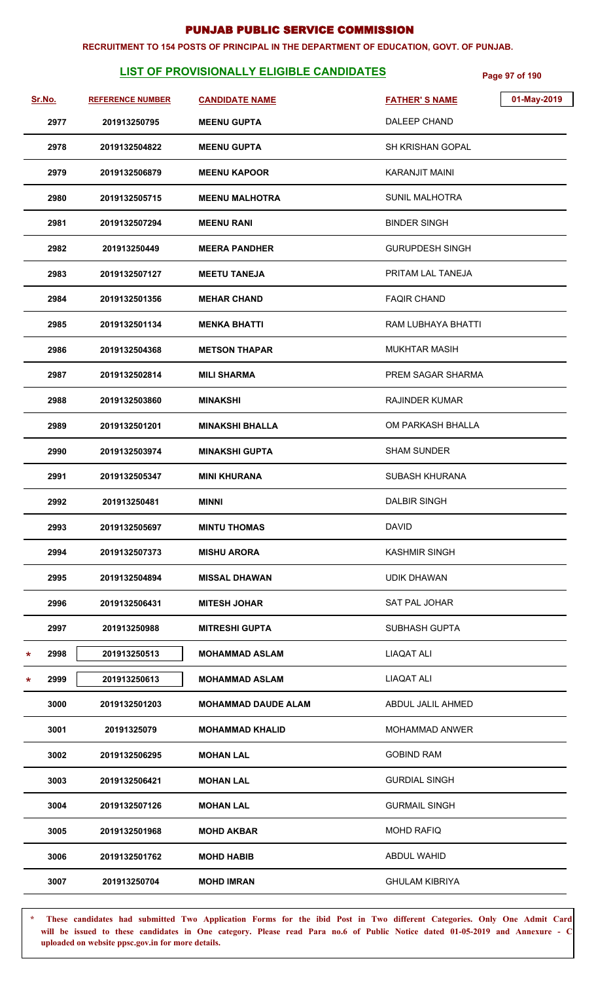#### **RECRUITMENT TO 154 POSTS OF PRINCIPAL IN THE DEPARTMENT OF EDUCATION, GOVT. OF PUNJAB.**

# **LIST OF PROVISIONALLY ELIGIBLE CANDIDATES** Page 97 of 190

|   | <u>Sr.No.</u> | <b>REFERENCE NUMBER</b> | <b>CANDIDATE NAME</b>      | <b>FATHER'S NAME</b>     | 01-May-2019 |
|---|---------------|-------------------------|----------------------------|--------------------------|-------------|
|   | 2977          | 201913250795            | <b>MEENU GUPTA</b>         | DALEEP CHAND             |             |
|   | 2978          | 2019132504822           | <b>MEENU GUPTA</b>         | <b>SH KRISHAN GOPAL</b>  |             |
|   | 2979          | 2019132506879           | <b>MEENU KAPOOR</b>        | <b>KARANJIT MAINI</b>    |             |
|   | 2980          | 2019132505715           | <b>MEENU MALHOTRA</b>      | <b>SUNIL MALHOTRA</b>    |             |
|   | 2981          | 2019132507294           | <b>MEENU RANI</b>          | <b>BINDER SINGH</b>      |             |
|   | 2982          | 201913250449            | <b>MEERA PANDHER</b>       | <b>GURUPDESH SINGH</b>   |             |
|   | 2983          | 2019132507127           | <b>MEETU TANEJA</b>        | PRITAM LAL TANEJA        |             |
|   | 2984          | 2019132501356           | <b>MEHAR CHAND</b>         | <b>FAQIR CHAND</b>       |             |
|   | 2985          | 2019132501134           | <b>MENKA BHATTI</b>        | RAM LUBHAYA BHATTI       |             |
|   | 2986          | 2019132504368           | <b>METSON THAPAR</b>       | <b>MUKHTAR MASIH</b>     |             |
|   | 2987          | 2019132502814           | <b>MILI SHARMA</b>         | <b>PREM SAGAR SHARMA</b> |             |
|   | 2988          | 2019132503860           | <b>MINAKSHI</b>            | <b>RAJINDER KUMAR</b>    |             |
|   | 2989          | 2019132501201           | <b>MINAKSHI BHALLA</b>     | OM PARKASH BHALLA        |             |
|   | 2990          | 2019132503974           | <b>MINAKSHI GUPTA</b>      | <b>SHAM SUNDER</b>       |             |
|   | 2991          | 2019132505347           | <b>MINI KHURANA</b>        | <b>SUBASH KHURANA</b>    |             |
|   | 2992          | 201913250481            | <b>MINNI</b>               | <b>DALBIR SINGH</b>      |             |
|   | 2993          | 2019132505697           | <b>MINTU THOMAS</b>        | <b>DAVID</b>             |             |
|   | 2994          | 2019132507373           | <b>MISHU ARORA</b>         | <b>KASHMIR SINGH</b>     |             |
|   | 2995          | 2019132504894           | <b>MISSAL DHAWAN</b>       | <b>UDIK DHAWAN</b>       |             |
|   | 2996          | 2019132506431           | <b>MITESH JOHAR</b>        | <b>SAT PAL JOHAR</b>     |             |
|   | 2997          | 201913250988            | <b>MITRESHI GUPTA</b>      | <b>SUBHASH GUPTA</b>     |             |
| * | 2998          | 201913250513            | <b>MOHAMMAD ASLAM</b>      | LIAQAT ALI               |             |
| * | 2999          | 201913250613            | <b>MOHAMMAD ASLAM</b>      | LIAQAT ALI               |             |
|   | 3000          | 2019132501203           | <b>MOHAMMAD DAUDE ALAM</b> | ABDUL JALIL AHMED        |             |
|   | 3001          | 20191325079             | <b>MOHAMMAD KHALID</b>     | <b>MOHAMMAD ANWER</b>    |             |
|   | 3002          | 2019132506295           | <b>MOHAN LAL</b>           | <b>GOBIND RAM</b>        |             |
|   | 3003          | 2019132506421           | <b>MOHAN LAL</b>           | <b>GURDIAL SINGH</b>     |             |
|   | 3004          | 2019132507126           | <b>MOHAN LAL</b>           | <b>GURMAIL SINGH</b>     |             |
|   | 3005          | 2019132501968           | <b>MOHD AKBAR</b>          | <b>MOHD RAFIQ</b>        |             |
|   | 3006          | 2019132501762           | <b>MOHD HABIB</b>          | <b>ABDUL WAHID</b>       |             |
|   | 3007          | 201913250704            | <b>MOHD IMRAN</b>          | <b>GHULAM KIBRIYA</b>    |             |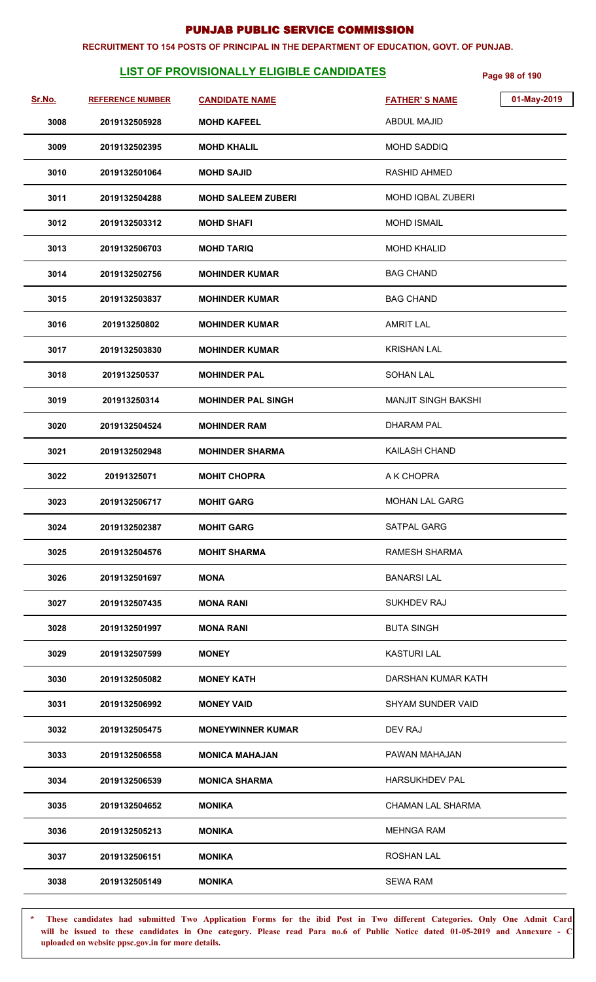#### **RECRUITMENT TO 154 POSTS OF PRINCIPAL IN THE DEPARTMENT OF EDUCATION, GOVT. OF PUNJAB.**

# **LIST OF PROVISIONALLY ELIGIBLE CANDIDATES** Page 98 of 190

| Sr.No. | <b>REFERENCE NUMBER</b> | <b>CANDIDATE NAME</b>     | 01-May-2019<br><b>FATHER'S NAME</b> |
|--------|-------------------------|---------------------------|-------------------------------------|
| 3008   | 2019132505928           | <b>MOHD KAFEEL</b>        | <b>ABDUL MAJID</b>                  |
| 3009   | 2019132502395           | <b>MOHD KHALIL</b>        | <b>MOHD SADDIQ</b>                  |
| 3010   | 2019132501064           | <b>MOHD SAJID</b>         | <b>RASHID AHMED</b>                 |
| 3011   | 2019132504288           | <b>MOHD SALEEM ZUBERI</b> | <b>MOHD IQBAL ZUBERI</b>            |
| 3012   | 2019132503312           | <b>MOHD SHAFI</b>         | <b>MOHD ISMAIL</b>                  |
| 3013   | 2019132506703           | <b>MOHD TARIQ</b>         | <b>MOHD KHALID</b>                  |
| 3014   | 2019132502756           | <b>MOHINDER KUMAR</b>     | <b>BAG CHAND</b>                    |
| 3015   | 2019132503837           | <b>MOHINDER KUMAR</b>     | <b>BAG CHAND</b>                    |
| 3016   | 201913250802            | <b>MOHINDER KUMAR</b>     | <b>AMRIT LAL</b>                    |
| 3017   | 2019132503830           | <b>MOHINDER KUMAR</b>     | <b>KRISHAN LAL</b>                  |
| 3018   | 201913250537            | <b>MOHINDER PAL</b>       | <b>SOHAN LAL</b>                    |
| 3019   | 201913250314            | <b>MOHINDER PAL SINGH</b> | <b>MANJIT SINGH BAKSHI</b>          |
| 3020   | 2019132504524           | <b>MOHINDER RAM</b>       | <b>DHARAM PAL</b>                   |
| 3021   | 2019132502948           | <b>MOHINDER SHARMA</b>    | KAILASH CHAND                       |
| 3022   | 20191325071             | <b>MOHIT CHOPRA</b>       | A K CHOPRA                          |
| 3023   | 2019132506717           | <b>MOHIT GARG</b>         | <b>MOHAN LAL GARG</b>               |
| 3024   | 2019132502387           | <b>MOHIT GARG</b>         | SATPAL GARG                         |
| 3025   | 2019132504576           | <b>MOHIT SHARMA</b>       | <b>RAMESH SHARMA</b>                |
| 3026   | 2019132501697           | <b>MONA</b>               | <b>BANARSILAL</b>                   |
| 3027   | 2019132507435           | MONA RANI                 | <b>SUKHDEV RAJ</b>                  |
| 3028   | 2019132501997           | <b>MONA RANI</b>          | <b>BUTA SINGH</b>                   |
| 3029   | 2019132507599           | <b>MONEY</b>              | <b>KASTURI LAL</b>                  |
| 3030   | 2019132505082           | <b>MONEY KATH</b>         | DARSHAN KUMAR KATH                  |
| 3031   | 2019132506992           | <b>MONEY VAID</b>         | <b>SHYAM SUNDER VAID</b>            |
| 3032   | 2019132505475           | <b>MONEYWINNER KUMAR</b>  | DEV RAJ                             |
| 3033   | 2019132506558           | <b>MONICA MAHAJAN</b>     | PAWAN MAHAJAN                       |
| 3034   | 2019132506539           | <b>MONICA SHARMA</b>      | <b>HARSUKHDEV PAL</b>               |
| 3035   | 2019132504652           | <b>MONIKA</b>             | <b>CHAMAN LAL SHARMA</b>            |
| 3036   | 2019132505213           | MONIKA                    | <b>MEHNGA RAM</b>                   |
| 3037   | 2019132506151           | MONIKA                    | <b>ROSHAN LAL</b>                   |
| 3038   | 2019132505149           | <b>MONIKA</b>             | <b>SEWA RAM</b>                     |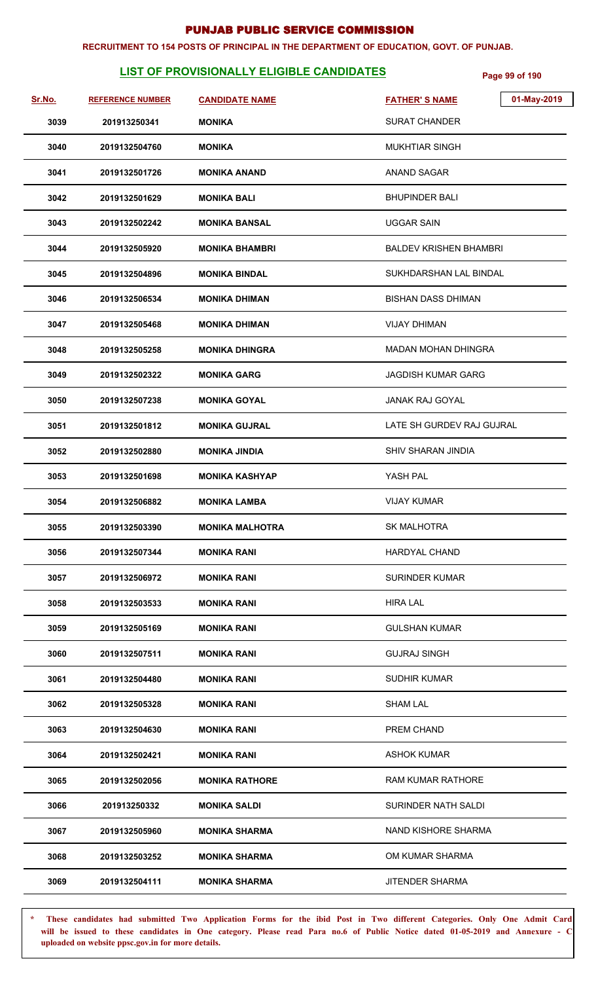#### **RECRUITMENT TO 154 POSTS OF PRINCIPAL IN THE DEPARTMENT OF EDUCATION, GOVT. OF PUNJAB.**

# **LIST OF PROVISIONALLY ELIGIBLE CANDIDATES** Page 99 of 190

| Sr.No. | <b>REFERENCE NUMBER</b> | <b>CANDIDATE NAME</b>  | 01-May-2019<br><b>FATHER'S NAME</b> |
|--------|-------------------------|------------------------|-------------------------------------|
| 3039   | 201913250341            | MONIKA                 | <b>SURAT CHANDER</b>                |
| 3040   | 2019132504760           | <b>MONIKA</b>          | <b>MUKHTIAR SINGH</b>               |
| 3041   | 2019132501726           | <b>MONIKA ANAND</b>    | <b>ANAND SAGAR</b>                  |
| 3042   | 2019132501629           | <b>MONIKA BALI</b>     | <b>BHUPINDER BALI</b>               |
| 3043   | 2019132502242           | <b>MONIKA BANSAL</b>   | <b>UGGAR SAIN</b>                   |
| 3044   | 2019132505920           | <b>MONIKA BHAMBRI</b>  | <b>BALDEV KRISHEN BHAMBRI</b>       |
| 3045   | 2019132504896           | <b>MONIKA BINDAL</b>   | SUKHDARSHAN LAL BINDAL              |
| 3046   | 2019132506534           | <b>MONIKA DHIMAN</b>   | BISHAN DASS DHIMAN                  |
| 3047   | 2019132505468           | <b>MONIKA DHIMAN</b>   | VIJAY DHIMAN                        |
| 3048   | 2019132505258           | <b>MONIKA DHINGRA</b>  | <b>MADAN MOHAN DHINGRA</b>          |
| 3049   | 2019132502322           | MONIKA GARG            | <b>JAGDISH KUMAR GARG</b>           |
| 3050   | 2019132507238           | <b>MONIKA GOYAL</b>    | <b>JANAK RAJ GOYAL</b>              |
| 3051   | 2019132501812           | <b>MONIKA GUJRAL</b>   | LATE SH GURDEV RAJ GUJRAL           |
| 3052   | 2019132502880           | <b>MONIKA JINDIA</b>   | <b>SHIV SHARAN JINDIA</b>           |
| 3053   | 2019132501698           | <b>MONIKA KASHYAP</b>  | YASH PAL                            |
| 3054   | 2019132506882           | <b>MONIKA LAMBA</b>    | <b>VIJAY KUMAR</b>                  |
| 3055   | 2019132503390           | <b>MONIKA MALHOTRA</b> | <b>SK MALHOTRA</b>                  |
| 3056   | 2019132507344           | <b>MONIKA RANI</b>     | <b>HARDYAL CHAND</b>                |
| 3057   | 2019132506972           | <b>MONIKA RANI</b>     | SURINDER KUMAR                      |
| 3058   | 2019132503533           | <b>MONIKA RANI</b>     | HIRA LAL                            |
| 3059   | 2019132505169           | <b>MONIKA RANI</b>     | <b>GULSHAN KUMAR</b>                |
| 3060   | 2019132507511           | <b>MONIKA RANI</b>     | <b>GUJRAJ SINGH</b>                 |
| 3061   | 2019132504480           | <b>MONIKA RANI</b>     | <b>SUDHIR KUMAR</b>                 |
| 3062   | 2019132505328           | <b>MONIKA RANI</b>     | <b>SHAM LAL</b>                     |
| 3063   | 2019132504630           | <b>MONIKA RANI</b>     | PREM CHAND                          |
| 3064   | 2019132502421           | <b>MONIKA RANI</b>     | <b>ASHOK KUMAR</b>                  |
| 3065   | 2019132502056           | <b>MONIKA RATHORE</b>  | RAM KUMAR RATHORE                   |
| 3066   | 201913250332            | <b>MONIKA SALDI</b>    | SURINDER NATH SALDI                 |
| 3067   | 2019132505960           | <b>MONIKA SHARMA</b>   | NAND KISHORE SHARMA                 |
| 3068   | 2019132503252           | <b>MONIKA SHARMA</b>   | OM KUMAR SHARMA                     |
| 3069   | 2019132504111           | <b>MONIKA SHARMA</b>   | <b>JITENDER SHARMA</b>              |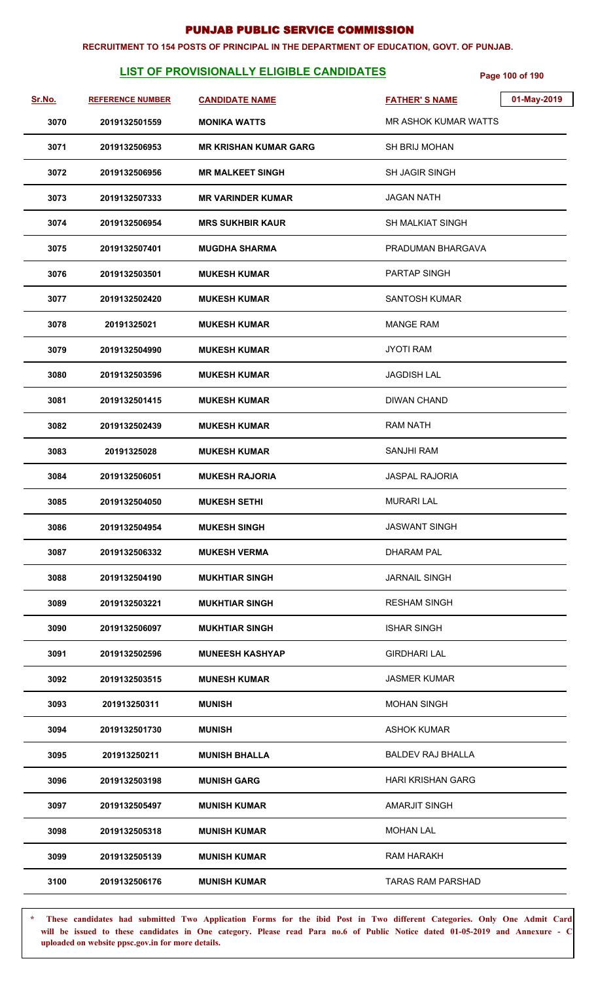#### **RECRUITMENT TO 154 POSTS OF PRINCIPAL IN THE DEPARTMENT OF EDUCATION, GOVT. OF PUNJAB.**

# **LIST OF PROVISIONALLY ELIGIBLE CANDIDATES** Page 100 of 190

| Sr.No. | <b>REFERENCE NUMBER</b> | <b>CANDIDATE NAME</b>        | <b>FATHER'S NAME</b>        | 01-May-2019 |
|--------|-------------------------|------------------------------|-----------------------------|-------------|
| 3070   | 2019132501559           | <b>MONIKA WATTS</b>          | <b>MR ASHOK KUMAR WATTS</b> |             |
| 3071   | 2019132506953           | <b>MR KRISHAN KUMAR GARG</b> | <b>SH BRIJ MOHAN</b>        |             |
| 3072   | 2019132506956           | <b>MR MALKEET SINGH</b>      | <b>SH JAGIR SINGH</b>       |             |
| 3073   | 2019132507333           | <b>MR VARINDER KUMAR</b>     | <b>JAGAN NATH</b>           |             |
| 3074   | 2019132506954           | <b>MRS SUKHBIR KAUR</b>      | <b>SH MALKIAT SINGH</b>     |             |
| 3075   | 2019132507401           | <b>MUGDHA SHARMA</b>         | PRADUMAN BHARGAVA           |             |
| 3076   | 2019132503501           | <b>MUKESH KUMAR</b>          | PARTAP SINGH                |             |
| 3077   | 2019132502420           | <b>MUKESH KUMAR</b>          | <b>SANTOSH KUMAR</b>        |             |
| 3078   | 20191325021             | <b>MUKESH KUMAR</b>          | <b>MANGE RAM</b>            |             |
| 3079   | 2019132504990           | <b>MUKESH KUMAR</b>          | <b>JYOTI RAM</b>            |             |
| 3080   | 2019132503596           | <b>MUKESH KUMAR</b>          | <b>JAGDISH LAL</b>          |             |
| 3081   | 2019132501415           | <b>MUKESH KUMAR</b>          | <b>DIWAN CHAND</b>          |             |
| 3082   | 2019132502439           | <b>MUKESH KUMAR</b>          | <b>RAM NATH</b>             |             |
| 3083   | 20191325028             | <b>MUKESH KUMAR</b>          | <b>SANJHI RAM</b>           |             |
| 3084   | 2019132506051           | <b>MUKESH RAJORIA</b>        | <b>JASPAL RAJORIA</b>       |             |
| 3085   | 2019132504050           | <b>MUKESH SETHI</b>          | <b>MURARI LAL</b>           |             |
| 3086   | 2019132504954           | <b>MUKESH SINGH</b>          | <b>JASWANT SINGH</b>        |             |
| 3087   | 2019132506332           | <b>MUKESH VERMA</b>          | <b>DHARAM PAL</b>           |             |
| 3088   | 2019132504190           | <b>MUKHTIAR SINGH</b>        | <b>JARNAIL SINGH</b>        |             |
| 3089   | 2019132503221           | <b>MUKHTIAR SINGH</b>        | <b>RESHAM SINGH</b>         |             |
| 3090   | 2019132506097           | <b>MUKHTIAR SINGH</b>        | <b>ISHAR SINGH</b>          |             |
| 3091   | 2019132502596           | <b>MUNEESH KASHYAP</b>       | <b>GIRDHARI LAL</b>         |             |
| 3092   | 2019132503515           | <b>MUNESH KUMAR</b>          | <b>JASMER KUMAR</b>         |             |
| 3093   | 201913250311            | <b>MUNISH</b>                | <b>MOHAN SINGH</b>          |             |
| 3094   | 2019132501730           | <b>MUNISH</b>                | <b>ASHOK KUMAR</b>          |             |
| 3095   | 201913250211            | <b>MUNISH BHALLA</b>         | <b>BALDEV RAJ BHALLA</b>    |             |
| 3096   | 2019132503198           | <b>MUNISH GARG</b>           | HARI KRISHAN GARG           |             |
| 3097   | 2019132505497           | <b>MUNISH KUMAR</b>          | <b>AMARJIT SINGH</b>        |             |
| 3098   | 2019132505318           | <b>MUNISH KUMAR</b>          | <b>MOHAN LAL</b>            |             |
| 3099   | 2019132505139           | <b>MUNISH KUMAR</b>          | <b>RAM HARAKH</b>           |             |
| 3100   | 2019132506176           | <b>MUNISH KUMAR</b>          | <b>TARAS RAM PARSHAD</b>    |             |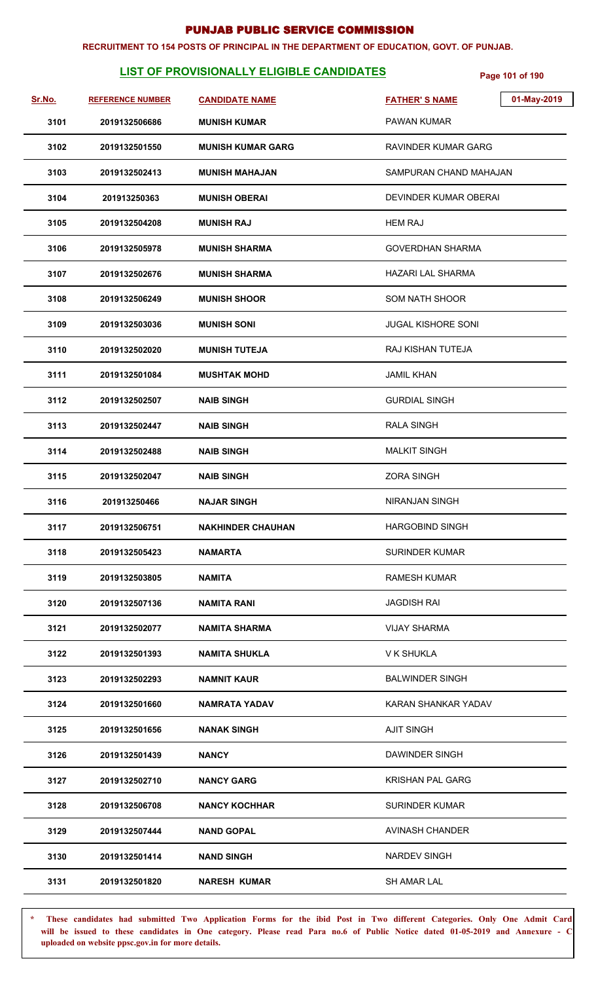#### **RECRUITMENT TO 154 POSTS OF PRINCIPAL IN THE DEPARTMENT OF EDUCATION, GOVT. OF PUNJAB.**

# **LIST OF PROVISIONALLY ELIGIBLE CANDIDATES** Page 101 of 190

| Sr.No. | <b>REFERENCE NUMBER</b> | <b>CANDIDATE NAME</b>    | 01-May-2019<br><b>FATHER'S NAME</b> |
|--------|-------------------------|--------------------------|-------------------------------------|
| 3101   | 2019132506686           | <b>MUNISH KUMAR</b>      | <b>PAWAN KUMAR</b>                  |
| 3102   | 2019132501550           | <b>MUNISH KUMAR GARG</b> | RAVINDER KUMAR GARG                 |
| 3103   | 2019132502413           | <b>MUNISH MAHAJAN</b>    | SAMPURAN CHAND MAHAJAN              |
| 3104   | 201913250363            | <b>MUNISH OBERAI</b>     | DEVINDER KUMAR OBERAI               |
| 3105   | 2019132504208           | <b>MUNISH RAJ</b>        | <b>HEM RAJ</b>                      |
| 3106   | 2019132505978           | <b>MUNISH SHARMA</b>     | <b>GOVERDHAN SHARMA</b>             |
| 3107   | 2019132502676           | <b>MUNISH SHARMA</b>     | <b>HAZARI LAL SHARMA</b>            |
| 3108   | 2019132506249           | <b>MUNISH SHOOR</b>      | <b>SOM NATH SHOOR</b>               |
| 3109   | 2019132503036           | <b>MUNISH SONI</b>       | <b>JUGAL KISHORE SONI</b>           |
| 3110   | 2019132502020           | <b>MUNISH TUTEJA</b>     | <b>RAJ KISHAN TUTEJA</b>            |
| 3111   | 2019132501084           | <b>MUSHTAK MOHD</b>      | <b>JAMIL KHAN</b>                   |
| 3112   | 2019132502507           | <b>NAIB SINGH</b>        | <b>GURDIAL SINGH</b>                |
| 3113   | 2019132502447           | <b>NAIB SINGH</b>        | <b>RALA SINGH</b>                   |
| 3114   | 2019132502488           | <b>NAIB SINGH</b>        | <b>MALKIT SINGH</b>                 |
| 3115   | 2019132502047           | <b>NAIB SINGH</b>        | <b>ZORA SINGH</b>                   |
| 3116   | 201913250466            | <b>NAJAR SINGH</b>       | <b>NIRANJAN SINGH</b>               |
| 3117   | 2019132506751           | <b>NAKHINDER CHAUHAN</b> | <b>HARGOBIND SINGH</b>              |
| 3118   | 2019132505423           | <b>NAMARTA</b>           | <b>SURINDER KUMAR</b>               |
| 3119   | 2019132503805           | NAMITA                   | <b>RAMESH KUMAR</b>                 |
| 3120   | 2019132507136           | NAMITA RANI              | <b>JAGDISH RAI</b>                  |
| 3121   | 2019132502077           | NAMITA SHARMA            | <b>VIJAY SHARMA</b>                 |
| 3122   | 2019132501393           | <b>NAMITA SHUKLA</b>     | V K SHUKLA                          |
| 3123   | 2019132502293           | <b>NAMNIT KAUR</b>       | <b>BALWINDER SINGH</b>              |
| 3124   | 2019132501660           | <b>NAMRATA YADAV</b>     | KARAN SHANKAR YADAV                 |
| 3125   | 2019132501656           | <b>NANAK SINGH</b>       | <b>AJIT SINGH</b>                   |
| 3126   | 2019132501439           | NANCY                    | DAWINDER SINGH                      |
| 3127   | 2019132502710           | <b>NANCY GARG</b>        | KRISHAN PAL GARG                    |
| 3128   | 2019132506708           | <b>NANCY KOCHHAR</b>     | <b>SURINDER KUMAR</b>               |
| 3129   | 2019132507444           | <b>NAND GOPAL</b>        | <b>AVINASH CHANDER</b>              |
| 3130   | 2019132501414           | <b>NAND SINGH</b>        | <b>NARDEV SINGH</b>                 |
| 3131   | 2019132501820           | <b>NARESH KUMAR</b>      | <b>SH AMAR LAL</b>                  |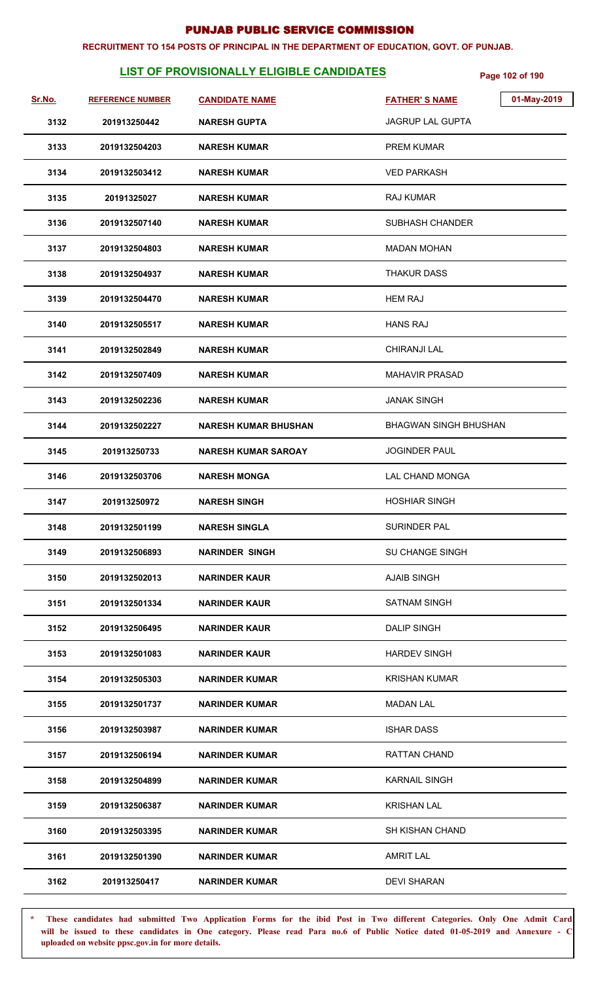#### **RECRUITMENT TO 154 POSTS OF PRINCIPAL IN THE DEPARTMENT OF EDUCATION, GOVT. OF PUNJAB.**

# **LIST OF PROVISIONALLY ELIGIBLE CANDIDATES** Page 102 of 190

| Sr.No. | <b>REFERENCE NUMBER</b> | <b>CANDIDATE NAME</b>       | <b>FATHER'S NAME</b>         | 01-May-2019 |
|--------|-------------------------|-----------------------------|------------------------------|-------------|
| 3132   | 201913250442            | <b>NARESH GUPTA</b>         | JAGRUP LAL GUPTA             |             |
| 3133   | 2019132504203           | <b>NARESH KUMAR</b>         | <b>PREM KUMAR</b>            |             |
| 3134   | 2019132503412           | <b>NARESH KUMAR</b>         | <b>VED PARKASH</b>           |             |
| 3135   | 20191325027             | <b>NARESH KUMAR</b>         | <b>RAJ KUMAR</b>             |             |
| 3136   | 2019132507140           | <b>NARESH KUMAR</b>         | SUBHASH CHANDER              |             |
| 3137   | 2019132504803           | <b>NARESH KUMAR</b>         | <b>MADAN MOHAN</b>           |             |
| 3138   | 2019132504937           | <b>NARESH KUMAR</b>         | <b>THAKUR DASS</b>           |             |
| 3139   | 2019132504470           | <b>NARESH KUMAR</b>         | <b>HEM RAJ</b>               |             |
| 3140   | 2019132505517           | <b>NARESH KUMAR</b>         | <b>HANS RAJ</b>              |             |
| 3141   | 2019132502849           | <b>NARESH KUMAR</b>         | <b>CHIRANJI LAL</b>          |             |
| 3142   | 2019132507409           | NARESH KUMAR                | <b>MAHAVIR PRASAD</b>        |             |
| 3143   | 2019132502236           | <b>NARESH KUMAR</b>         | <b>JANAK SINGH</b>           |             |
| 3144   | 2019132502227           | <b>NARESH KUMAR BHUSHAN</b> | <b>BHAGWAN SINGH BHUSHAN</b> |             |
| 3145   | 201913250733            | NARESH KUMAR SAROAY         | <b>JOGINDER PAUL</b>         |             |
| 3146   | 2019132503706           | <b>NARESH MONGA</b>         | LAL CHAND MONGA              |             |
| 3147   | 201913250972            | <b>NARESH SINGH</b>         | <b>HOSHIAR SINGH</b>         |             |
| 3148   | 2019132501199           | <b>NARESH SINGLA</b>        | SURINDER PAL                 |             |
| 3149   | 2019132506893           | <b>NARINDER SINGH</b>       | <b>SU CHANGE SINGH</b>       |             |
| 3150   | 2019132502013           | <b>NARINDER KAUR</b>        | <b>AJAIB SINGH</b>           |             |
| 3151   | 2019132501334           | <b>NARINDER KAUR</b>        | <b>SATNAM SINGH</b>          |             |
| 3152   | 2019132506495           | <b>NARINDER KAUR</b>        | <b>DALIP SINGH</b>           |             |
| 3153   | 2019132501083           | <b>NARINDER KAUR</b>        | <b>HARDEV SINGH</b>          |             |
| 3154   | 2019132505303           | <b>NARINDER KUMAR</b>       | <b>KRISHAN KUMAR</b>         |             |
| 3155   | 2019132501737           | <b>NARINDER KUMAR</b>       | <b>MADAN LAL</b>             |             |
| 3156   | 2019132503987           | <b>NARINDER KUMAR</b>       | <b>ISHAR DASS</b>            |             |
| 3157   | 2019132506194           | <b>NARINDER KUMAR</b>       | <b>RATTAN CHAND</b>          |             |
| 3158   | 2019132504899           | <b>NARINDER KUMAR</b>       | <b>KARNAIL SINGH</b>         |             |
| 3159   | 2019132506387           | <b>NARINDER KUMAR</b>       | <b>KRISHAN LAL</b>           |             |
| 3160   | 2019132503395           | <b>NARINDER KUMAR</b>       | <b>SH KISHAN CHAND</b>       |             |
| 3161   | 2019132501390           | <b>NARINDER KUMAR</b>       | <b>AMRIT LAL</b>             |             |
| 3162   | 201913250417            | <b>NARINDER KUMAR</b>       | <b>DEVI SHARAN</b>           |             |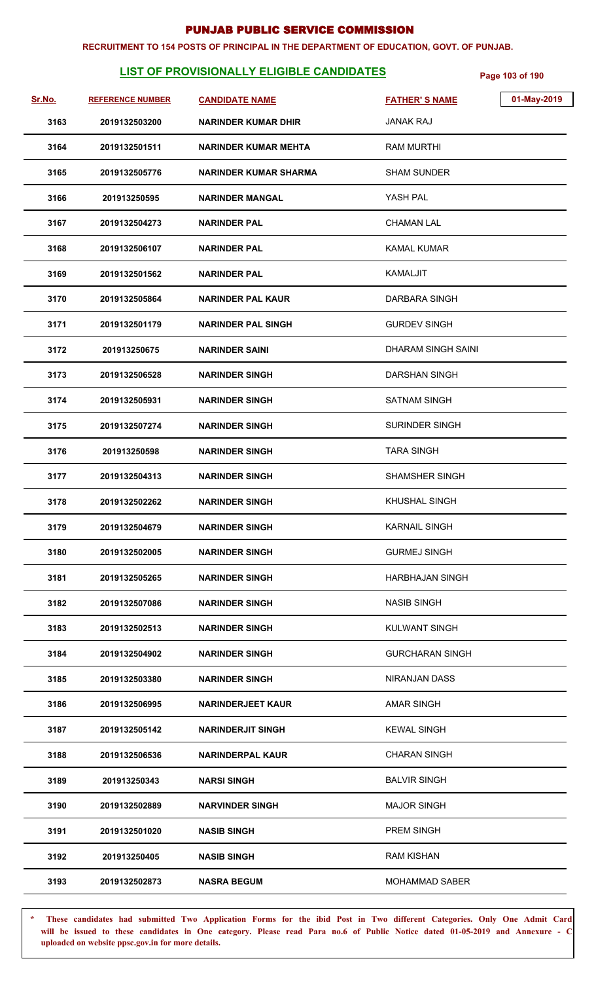#### **RECRUITMENT TO 154 POSTS OF PRINCIPAL IN THE DEPARTMENT OF EDUCATION, GOVT. OF PUNJAB.**

# **LIST OF PROVISIONALLY ELIGIBLE CANDIDATES** Page 103 of 190

| <u>Sr.No.</u> | <b>REFERENCE NUMBER</b> | <b>CANDIDATE NAME</b>       | <b>FATHER'S NAME</b>   | 01-May-2019 |
|---------------|-------------------------|-----------------------------|------------------------|-------------|
| 3163          | 2019132503200           | <b>NARINDER KUMAR DHIR</b>  | <b>JANAK RAJ</b>       |             |
| 3164          | 2019132501511           | <b>NARINDER KUMAR MEHTA</b> | <b>RAM MURTHI</b>      |             |
| 3165          | 2019132505776           | NARINDER KUMAR SHARMA       | <b>SHAM SUNDER</b>     |             |
| 3166          | 201913250595            | <b>NARINDER MANGAL</b>      | YASH PAL               |             |
| 3167          | 2019132504273           | <b>NARINDER PAL</b>         | <b>CHAMAN LAL</b>      |             |
| 3168          | 2019132506107           | <b>NARINDER PAL</b>         | <b>KAMAL KUMAR</b>     |             |
| 3169          | 2019132501562           | <b>NARINDER PAL</b>         | <b>KAMALJIT</b>        |             |
| 3170          | 2019132505864           | <b>NARINDER PAL KAUR</b>    | DARBARA SINGH          |             |
| 3171          | 2019132501179           | <b>NARINDER PAL SINGH</b>   | <b>GURDEV SINGH</b>    |             |
| 3172          | 201913250675            | <b>NARINDER SAINI</b>       | DHARAM SINGH SAINI     |             |
| 3173          | 2019132506528           | <b>NARINDER SINGH</b>       | <b>DARSHAN SINGH</b>   |             |
| 3174          | 2019132505931           | <b>NARINDER SINGH</b>       | <b>SATNAM SINGH</b>    |             |
| 3175          | 2019132507274           | <b>NARINDER SINGH</b>       | <b>SURINDER SINGH</b>  |             |
| 3176          | 201913250598            | <b>NARINDER SINGH</b>       | <b>TARA SINGH</b>      |             |
| 3177          | 2019132504313           | <b>NARINDER SINGH</b>       | <b>SHAMSHER SINGH</b>  |             |
| 3178          | 2019132502262           | <b>NARINDER SINGH</b>       | KHUSHAL SINGH          |             |
| 3179          | 2019132504679           | <b>NARINDER SINGH</b>       | <b>KARNAIL SINGH</b>   |             |
| 3180          | 2019132502005           | <b>NARINDER SINGH</b>       | <b>GURMEJ SINGH</b>    |             |
| 3181          | 2019132505265           | <b>NARINDER SINGH</b>       | <b>HARBHAJAN SINGH</b> |             |
| 3182          | 2019132507086           | <b>NARINDER SINGH</b>       | <b>NASIB SINGH</b>     |             |
| 3183          | 2019132502513           | <b>NARINDER SINGH</b>       | <b>KULWANT SINGH</b>   |             |
| 3184          | 2019132504902           | <b>NARINDER SINGH</b>       | <b>GURCHARAN SINGH</b> |             |
| 3185          | 2019132503380           | <b>NARINDER SINGH</b>       | <b>NIRANJAN DASS</b>   |             |
| 3186          | 2019132506995           | <b>NARINDERJEET KAUR</b>    | <b>AMAR SINGH</b>      |             |
| 3187          | 2019132505142           | <b>NARINDERJIT SINGH</b>    | <b>KEWAL SINGH</b>     |             |
| 3188          | 2019132506536           | NARINDERPAL KAUR            | <b>CHARAN SINGH</b>    |             |
| 3189          | 201913250343            | <b>NARSI SINGH</b>          | <b>BALVIR SINGH</b>    |             |
| 3190          | 2019132502889           | <b>NARVINDER SINGH</b>      | <b>MAJOR SINGH</b>     |             |
| 3191          | 2019132501020           | <b>NASIB SINGH</b>          | PREM SINGH             |             |
| 3192          | 201913250405            | <b>NASIB SINGH</b>          | <b>RAM KISHAN</b>      |             |
| 3193          | 2019132502873           | <b>NASRA BEGUM</b>          | <b>MOHAMMAD SABER</b>  |             |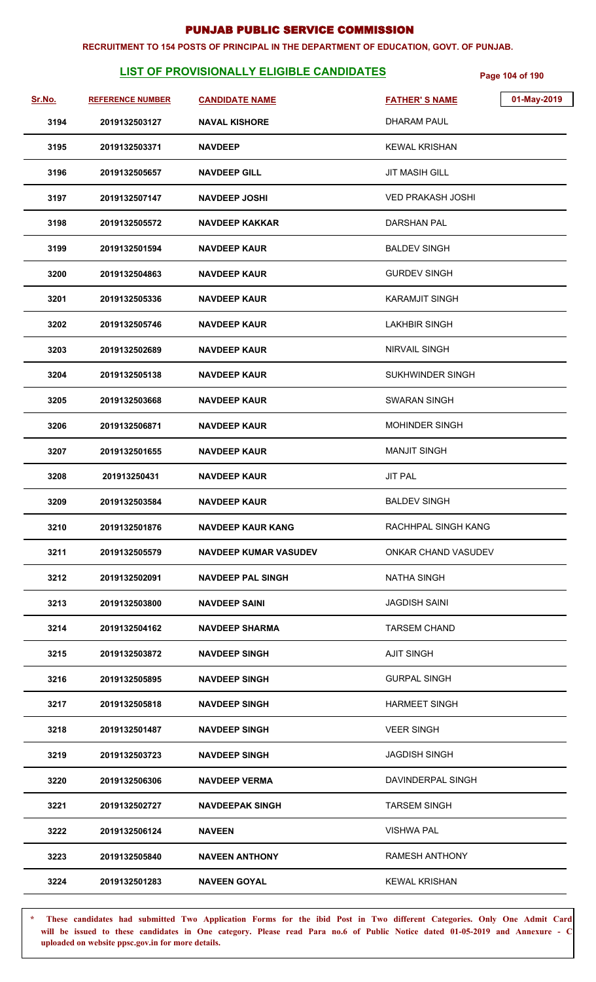#### **RECRUITMENT TO 154 POSTS OF PRINCIPAL IN THE DEPARTMENT OF EDUCATION, GOVT. OF PUNJAB.**

# **LIST OF PROVISIONALLY ELIGIBLE CANDIDATES** Page 104 of 190

| <u>Sr.No.</u> | <b>REFERENCE NUMBER</b> | <b>CANDIDATE NAME</b>        | <b>FATHER'S NAME</b>     | 01-May-2019 |
|---------------|-------------------------|------------------------------|--------------------------|-------------|
| 3194          | 2019132503127           | <b>NAVAL KISHORE</b>         | <b>DHARAM PAUL</b>       |             |
| 3195          | 2019132503371           | <b>NAVDEEP</b>               | <b>KEWAL KRISHAN</b>     |             |
| 3196          | 2019132505657           | <b>NAVDEEP GILL</b>          | <b>JIT MASIH GILL</b>    |             |
| 3197          | 2019132507147           | <b>NAVDEEP JOSHI</b>         | <b>VED PRAKASH JOSHI</b> |             |
| 3198          | 2019132505572           | <b>NAVDEEP KAKKAR</b>        | <b>DARSHAN PAL</b>       |             |
| 3199          | 2019132501594           | <b>NAVDEEP KAUR</b>          | <b>BALDEV SINGH</b>      |             |
| 3200          | 2019132504863           | <b>NAVDEEP KAUR</b>          | <b>GURDEV SINGH</b>      |             |
| 3201          | 2019132505336           | <b>NAVDEEP KAUR</b>          | <b>KARAMJIT SINGH</b>    |             |
| 3202          | 2019132505746           | <b>NAVDEEP KAUR</b>          | <b>LAKHBIR SINGH</b>     |             |
| 3203          | 2019132502689           | <b>NAVDEEP KAUR</b>          | <b>NIRVAIL SINGH</b>     |             |
| 3204          | 2019132505138           | <b>NAVDEEP KAUR</b>          | SUKHWINDER SINGH         |             |
| 3205          | 2019132503668           | <b>NAVDEEP KAUR</b>          | SWARAN SINGH             |             |
| 3206          | 2019132506871           | <b>NAVDEEP KAUR</b>          | MOHINDER SINGH           |             |
| 3207          | 2019132501655           | <b>NAVDEEP KAUR</b>          | <b>MANJIT SINGH</b>      |             |
| 3208          | 201913250431            | <b>NAVDEEP KAUR</b>          | <b>JIT PAL</b>           |             |
| 3209          | 2019132503584           | <b>NAVDEEP KAUR</b>          | <b>BALDEV SINGH</b>      |             |
| 3210          | 2019132501876           | <b>NAVDEEP KAUR KANG</b>     | RACHHPAL SINGH KANG      |             |
| 3211          | 2019132505579           | <b>NAVDEEP KUMAR VASUDEV</b> | ONKAR CHAND VASUDEV      |             |
| 3212          | 2019132502091           | <b>NAVDEEP PAL SINGH</b>     | <b>NATHA SINGH</b>       |             |
| 3213          | 2019132503800           | <b>NAVDEEP SAINI</b>         | <b>JAGDISH SAINI</b>     |             |
| 3214          | 2019132504162           | <b>NAVDEEP SHARMA</b>        | <b>TARSEM CHAND</b>      |             |
| 3215          | 2019132503872           | <b>NAVDEEP SINGH</b>         | <b>AJIT SINGH</b>        |             |
| 3216          | 2019132505895           | <b>NAVDEEP SINGH</b>         | <b>GURPAL SINGH</b>      |             |
| 3217          | 2019132505818           | <b>NAVDEEP SINGH</b>         | <b>HARMEET SINGH</b>     |             |
| 3218          | 2019132501487           | <b>NAVDEEP SINGH</b>         | <b>VEER SINGH</b>        |             |
| 3219          | 2019132503723           | <b>NAVDEEP SINGH</b>         | <b>JAGDISH SINGH</b>     |             |
| 3220          | 2019132506306           | <b>NAVDEEP VERMA</b>         | DAVINDERPAL SINGH        |             |
| 3221          | 2019132502727           | <b>NAVDEEPAK SINGH</b>       | <b>TARSEM SINGH</b>      |             |
| 3222          | 2019132506124           | <b>NAVEEN</b>                | <b>VISHWA PAL</b>        |             |
| 3223          | 2019132505840           | <b>NAVEEN ANTHONY</b>        | <b>RAMESH ANTHONY</b>    |             |
| 3224          | 2019132501283           | <b>NAVEEN GOYAL</b>          | <b>KEWAL KRISHAN</b>     |             |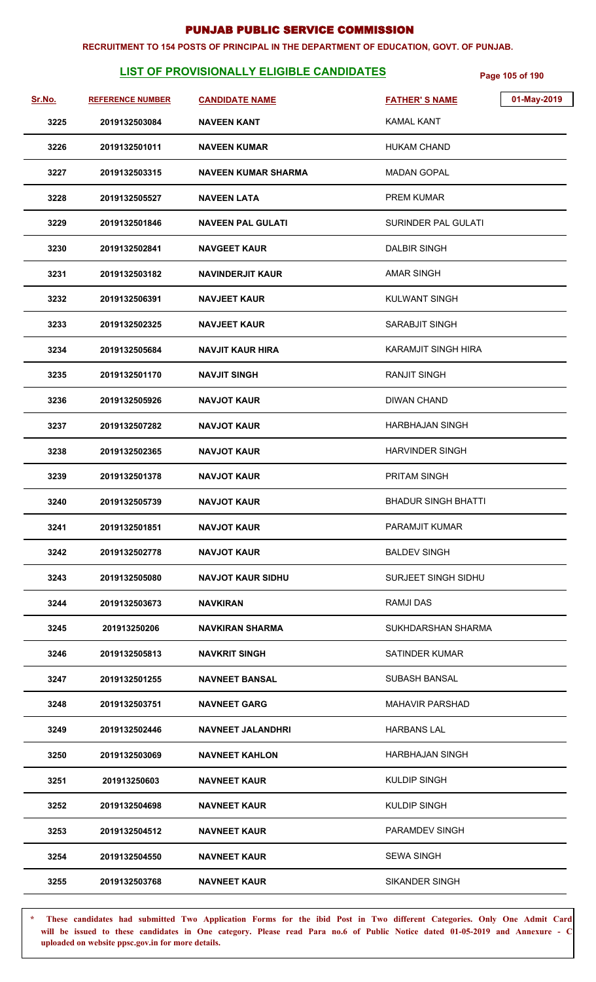#### **RECRUITMENT TO 154 POSTS OF PRINCIPAL IN THE DEPARTMENT OF EDUCATION, GOVT. OF PUNJAB.**

# **LIST OF PROVISIONALLY ELIGIBLE CANDIDATES** Page 105 of 190

| Sr.No. | <b>REFERENCE NUMBER</b> | <b>CANDIDATE NAME</b>      | 01-May-2019<br><b>FATHER'S NAME</b> |
|--------|-------------------------|----------------------------|-------------------------------------|
| 3225   | 2019132503084           | <b>NAVEEN KANT</b>         | <b>KAMAL KANT</b>                   |
| 3226   | 2019132501011           | <b>NAVEEN KUMAR</b>        | <b>HUKAM CHAND</b>                  |
| 3227   | 2019132503315           | <b>NAVEEN KUMAR SHARMA</b> | <b>MADAN GOPAL</b>                  |
| 3228   | 2019132505527           | <b>NAVEEN LATA</b>         | <b>PREM KUMAR</b>                   |
| 3229   | 2019132501846           | <b>NAVEEN PAL GULATI</b>   | SURINDER PAL GULATI                 |
| 3230   | 2019132502841           | <b>NAVGEET KAUR</b>        | <b>DALBIR SINGH</b>                 |
| 3231   | 2019132503182           | <b>NAVINDERJIT KAUR</b>    | <b>AMAR SINGH</b>                   |
| 3232   | 2019132506391           | <b>NAVJEET KAUR</b>        | <b>KULWANT SINGH</b>                |
| 3233   | 2019132502325           | <b>NAVJEET KAUR</b>        | SARABJIT SINGH                      |
| 3234   | 2019132505684           | <b>NAVJIT KAUR HIRA</b>    | <b>KARAMJIT SINGH HIRA</b>          |
| 3235   | 2019132501170           | <b>NAVJIT SINGH</b>        | <b>RANJIT SINGH</b>                 |
| 3236   | 2019132505926           | <b>NAVJOT KAUR</b>         | <b>DIWAN CHAND</b>                  |
| 3237   | 2019132507282           | NAVJOT KAUR                | HARBHAJAN SINGH                     |
| 3238   | 2019132502365           | <b>NAVJOT KAUR</b>         | <b>HARVINDER SINGH</b>              |
| 3239   | 2019132501378           | <b>NAVJOT KAUR</b>         | <b>PRITAM SINGH</b>                 |
| 3240   | 2019132505739           | <b>NAVJOT KAUR</b>         | <b>BHADUR SINGH BHATTI</b>          |
| 3241   | 2019132501851           | <b>NAVJOT KAUR</b>         | PARAMJIT KUMAR                      |
| 3242   | 2019132502778           | <b>NAVJOT KAUR</b>         | <b>BALDEV SINGH</b>                 |
| 3243   | 2019132505080           | <b>NAVJOT KAUR SIDHU</b>   | SURJEET SINGH SIDHU                 |
| 3244   | 2019132503673           | <b>NAVKIRAN</b>            | <b>RAMJI DAS</b>                    |
| 3245   | 201913250206            | <b>NAVKIRAN SHARMA</b>     | SUKHDARSHAN SHARMA                  |
| 3246   | 2019132505813           | <b>NAVKRIT SINGH</b>       | <b>SATINDER KUMAR</b>               |
| 3247   | 2019132501255           | <b>NAVNEET BANSAL</b>      | SUBASH BANSAL                       |
| 3248   | 2019132503751           | <b>NAVNEET GARG</b>        | <b>MAHAVIR PARSHAD</b>              |
| 3249   | 2019132502446           | <b>NAVNEET JALANDHRI</b>   | <b>HARBANS LAL</b>                  |
| 3250   | 2019132503069           | <b>NAVNEET KAHLON</b>      | HARBHAJAN SINGH                     |
| 3251   | 201913250603            | <b>NAVNEET KAUR</b>        | <b>KULDIP SINGH</b>                 |
| 3252   | 2019132504698           | <b>NAVNEET KAUR</b>        | <b>KULDIP SINGH</b>                 |
| 3253   | 2019132504512           | <b>NAVNEET KAUR</b>        | PARAMDEV SINGH                      |
| 3254   | 2019132504550           | <b>NAVNEET KAUR</b>        | <b>SEWA SINGH</b>                   |
| 3255   | 2019132503768           | <b>NAVNEET KAUR</b>        | <b>SIKANDER SINGH</b>               |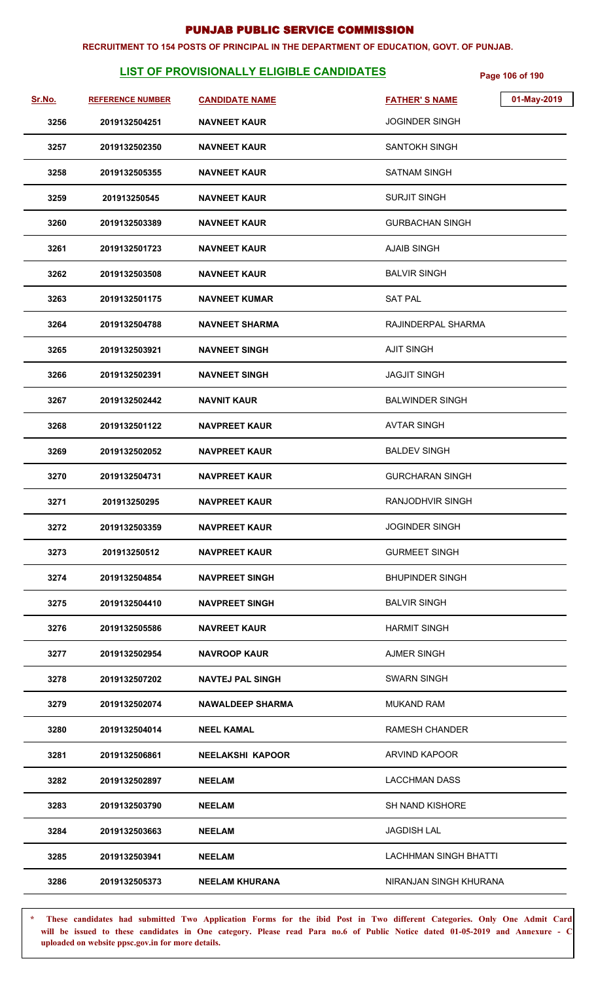#### **RECRUITMENT TO 154 POSTS OF PRINCIPAL IN THE DEPARTMENT OF EDUCATION, GOVT. OF PUNJAB.**

# **LIST OF PROVISIONALLY ELIGIBLE CANDIDATES** Page 106 of 190

| Sr.No. | <b>REFERENCE NUMBER</b> | <b>CANDIDATE NAME</b>   | 01-May-2019<br><b>FATHER'S NAME</b> |
|--------|-------------------------|-------------------------|-------------------------------------|
| 3256   | 2019132504251           | <b>NAVNEET KAUR</b>     | <b>JOGINDER SINGH</b>               |
| 3257   | 2019132502350           | <b>NAVNEET KAUR</b>     | <b>SANTOKH SINGH</b>                |
| 3258   | 2019132505355           | <b>NAVNEET KAUR</b>     | <b>SATNAM SINGH</b>                 |
| 3259   | 201913250545            | <b>NAVNEET KAUR</b>     | <b>SURJIT SINGH</b>                 |
| 3260   | 2019132503389           | <b>NAVNEET KAUR</b>     | <b>GURBACHAN SINGH</b>              |
| 3261   | 2019132501723           | <b>NAVNEET KAUR</b>     | <b>AJAIB SINGH</b>                  |
| 3262   | 2019132503508           | <b>NAVNEET KAUR</b>     | <b>BALVIR SINGH</b>                 |
| 3263   | 2019132501175           | <b>NAVNEET KUMAR</b>    | <b>SAT PAL</b>                      |
| 3264   | 2019132504788           | <b>NAVNEET SHARMA</b>   | RAJINDERPAL SHARMA                  |
| 3265   | 2019132503921           | <b>NAVNEET SINGH</b>    | <b>AJIT SINGH</b>                   |
| 3266   | 2019132502391           | <b>NAVNEET SINGH</b>    | <b>JAGJIT SINGH</b>                 |
| 3267   | 2019132502442           | <b>NAVNIT KAUR</b>      | <b>BALWINDER SINGH</b>              |
| 3268   | 2019132501122           | <b>NAVPREET KAUR</b>    | <b>AVTAR SINGH</b>                  |
| 3269   | 2019132502052           | <b>NAVPREET KAUR</b>    | <b>BALDEV SINGH</b>                 |
| 3270   | 2019132504731           | <b>NAVPREET KAUR</b>    | <b>GURCHARAN SINGH</b>              |
| 3271   | 201913250295            | <b>NAVPREET KAUR</b>    | <b>RANJODHVIR SINGH</b>             |
| 3272   | 2019132503359           | <b>NAVPREET KAUR</b>    | JOGINDER SINGH                      |
| 3273   | 201913250512            | <b>NAVPREET KAUR</b>    | <b>GURMEET SINGH</b>                |
| 3274   | 2019132504854           | <b>NAVPREET SINGH</b>   | <b>BHUPINDER SINGH</b>              |
| 3275   | 2019132504410           | <b>NAVPREET SINGH</b>   | <b>BALVIR SINGH</b>                 |
| 3276   | 2019132505586           | <b>NAVREET KAUR</b>     | <b>HARMIT SINGH</b>                 |
| 3277   | 2019132502954           | <b>NAVROOP KAUR</b>     | <b>AJMER SINGH</b>                  |
| 3278   | 2019132507202           | <b>NAVTEJ PAL SINGH</b> | <b>SWARN SINGH</b>                  |
| 3279   | 2019132502074           | <b>NAWALDEEP SHARMA</b> | <b>MUKAND RAM</b>                   |
| 3280   | 2019132504014           | <b>NEEL KAMAL</b>       | <b>RAMESH CHANDER</b>               |
| 3281   | 2019132506861           | <b>NEELAKSHI KAPOOR</b> | ARVIND KAPOOR                       |
| 3282   | 2019132502897           | <b>NEELAM</b>           | <b>LACCHMAN DASS</b>                |
| 3283   | 2019132503790           | <b>NEELAM</b>           | SH NAND KISHORE                     |
| 3284   | 2019132503663           | <b>NEELAM</b>           | <b>JAGDISH LAL</b>                  |
| 3285   | 2019132503941           | <b>NEELAM</b>           | <b>LACHHMAN SINGH BHATTI</b>        |
| 3286   | 2019132505373           | <b>NEELAM KHURANA</b>   | NIRANJAN SINGH KHURANA              |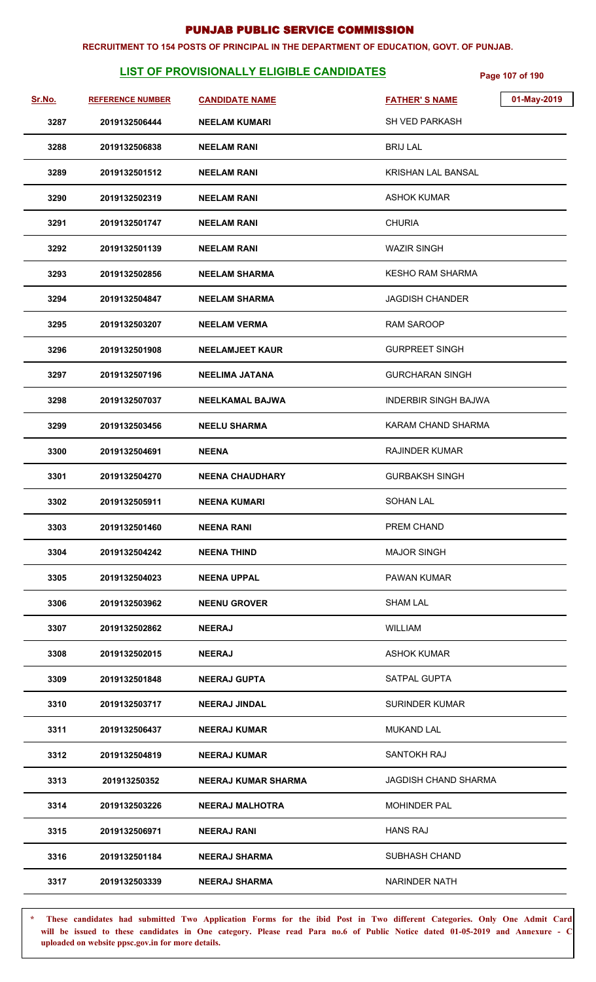#### **RECRUITMENT TO 154 POSTS OF PRINCIPAL IN THE DEPARTMENT OF EDUCATION, GOVT. OF PUNJAB.**

# **LIST OF PROVISIONALLY ELIGIBLE CANDIDATES** Page 107 of 190

| Sr.No. | <b>REFERENCE NUMBER</b> | <b>CANDIDATE NAME</b>      | <b>FATHER'S NAME</b>        | 01-May-2019 |
|--------|-------------------------|----------------------------|-----------------------------|-------------|
| 3287   | 2019132506444           | <b>NEELAM KUMARI</b>       | <b>SH VED PARKASH</b>       |             |
| 3288   | 2019132506838           | <b>NEELAM RANI</b>         | <b>BRIJ LAL</b>             |             |
| 3289   | 2019132501512           | <b>NEELAM RANI</b>         | <b>KRISHAN LAL BANSAL</b>   |             |
| 3290   | 2019132502319           | <b>NEELAM RANI</b>         | ASHOK KUMAR                 |             |
| 3291   | 2019132501747           | <b>NEELAM RANI</b>         | <b>CHURIA</b>               |             |
| 3292   | 2019132501139           | <b>NEELAM RANI</b>         | <b>WAZIR SINGH</b>          |             |
| 3293   | 2019132502856           | <b>NEELAM SHARMA</b>       | <b>KESHO RAM SHARMA</b>     |             |
| 3294   | 2019132504847           | <b>NEELAM SHARMA</b>       | <b>JAGDISH CHANDER</b>      |             |
| 3295   | 2019132503207           | <b>NEELAM VERMA</b>        | <b>RAM SAROOP</b>           |             |
| 3296   | 2019132501908           | <b>NEELAMJEET KAUR</b>     | <b>GURPREET SINGH</b>       |             |
| 3297   | 2019132507196           | <b>NEELIMA JATANA</b>      | <b>GURCHARAN SINGH</b>      |             |
| 3298   | 2019132507037           | <b>NEELKAMAL BAJWA</b>     | <b>INDERBIR SINGH BAJWA</b> |             |
| 3299   | 2019132503456           | <b>NEELU SHARMA</b>        | KARAM CHAND SHARMA          |             |
| 3300   | 2019132504691           | <b>NEENA</b>               | <b>RAJINDER KUMAR</b>       |             |
| 3301   | 2019132504270           | <b>NEENA CHAUDHARY</b>     | <b>GURBAKSH SINGH</b>       |             |
| 3302   | 2019132505911           | <b>NEENA KUMARI</b>        | <b>SOHAN LAL</b>            |             |
| 3303   | 2019132501460           | <b>NEENA RANI</b>          | PREM CHAND                  |             |
| 3304   | 2019132504242           | <b>NEENA THIND</b>         | <b>MAJOR SINGH</b>          |             |
| 3305   | 2019132504023           | <b>NEENA UPPAL</b>         | <b>PAWAN KUMAR</b>          |             |
| 3306   | 2019132503962           | <b>NEENU GROVER</b>        | <b>SHAM LAL</b>             |             |
| 3307   | 2019132502862           | <b>NEERAJ</b>              | <b>WILLIAM</b>              |             |
| 3308   | 2019132502015           | <b>NEERAJ</b>              | <b>ASHOK KUMAR</b>          |             |
| 3309   | 2019132501848           | <b>NEERAJ GUPTA</b>        | SATPAL GUPTA                |             |
| 3310   | 2019132503717           | <b>NEERAJ JINDAL</b>       | <b>SURINDER KUMAR</b>       |             |
| 3311   | 2019132506437           | <b>NEERAJ KUMAR</b>        | <b>MUKAND LAL</b>           |             |
| 3312   | 2019132504819           | <b>NEERAJ KUMAR</b>        | SANTOKH RAJ                 |             |
| 3313   | 201913250352            | <b>NEERAJ KUMAR SHARMA</b> | JAGDISH CHAND SHARMA        |             |
| 3314   | 2019132503226           | <b>NEERAJ MALHOTRA</b>     | <b>MOHINDER PAL</b>         |             |
| 3315   | 2019132506971           | <b>NEERAJ RANI</b>         | <b>HANS RAJ</b>             |             |
| 3316   | 2019132501184           | <b>NEERAJ SHARMA</b>       | <b>SUBHASH CHAND</b>        |             |
| 3317   | 2019132503339           | <b>NEERAJ SHARMA</b>       | <b>NARINDER NATH</b>        |             |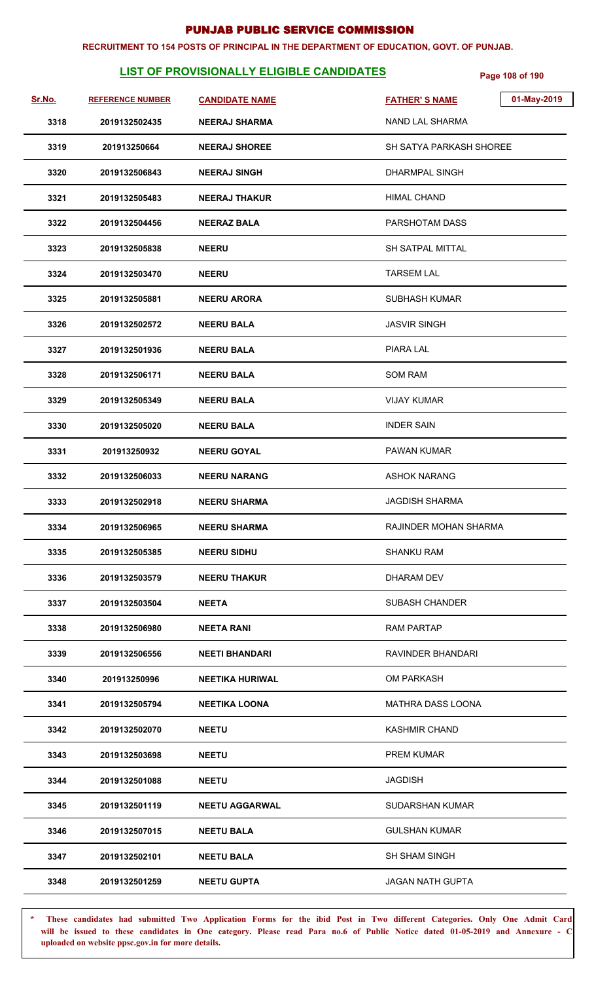#### **RECRUITMENT TO 154 POSTS OF PRINCIPAL IN THE DEPARTMENT OF EDUCATION, GOVT. OF PUNJAB.**

# **LIST OF PROVISIONALLY ELIGIBLE CANDIDATES** Page 108 of 190

| Sr.No. | <b>REFERENCE NUMBER</b> | <b>CANDIDATE NAME</b>  | <b>FATHER'S NAME</b>     | 01-May-2019 |
|--------|-------------------------|------------------------|--------------------------|-------------|
| 3318   | 2019132502435           | <b>NEERAJ SHARMA</b>   | NAND LAL SHARMA          |             |
| 3319   | 201913250664            | <b>NEERAJ SHOREE</b>   | SH SATYA PARKASH SHOREE  |             |
| 3320   | 2019132506843           | <b>NEERAJ SINGH</b>    | <b>DHARMPAL SINGH</b>    |             |
| 3321   | 2019132505483           | <b>NEERAJ THAKUR</b>   | <b>HIMAL CHAND</b>       |             |
| 3322   | 2019132504456           | <b>NEERAZ BALA</b>     | PARSHOTAM DASS           |             |
| 3323   | 2019132505838           | <b>NEERU</b>           | <b>SH SATPAL MITTAL</b>  |             |
| 3324   | 2019132503470           | <b>NEERU</b>           | <b>TARSEM LAL</b>        |             |
| 3325   | 2019132505881           | <b>NEERU ARORA</b>     | <b>SUBHASH KUMAR</b>     |             |
| 3326   | 2019132502572           | <b>NEERU BALA</b>      | <b>JASVIR SINGH</b>      |             |
| 3327   | 2019132501936           | <b>NEERU BALA</b>      | PIARA LAL                |             |
| 3328   | 2019132506171           | <b>NEERU BALA</b>      | <b>SOM RAM</b>           |             |
| 3329   | 2019132505349           | <b>NEERU BALA</b>      | <b>VIJAY KUMAR</b>       |             |
| 3330   | 2019132505020           | <b>NEERU BALA</b>      | <b>INDER SAIN</b>        |             |
| 3331   | 201913250932            | <b>NEERU GOYAL</b>     | PAWAN KUMAR              |             |
| 3332   | 2019132506033           | <b>NEERU NARANG</b>    | <b>ASHOK NARANG</b>      |             |
| 3333   | 2019132502918           | <b>NEERU SHARMA</b>    | <b>JAGDISH SHARMA</b>    |             |
| 3334   | 2019132506965           | <b>NEERU SHARMA</b>    | RAJINDER MOHAN SHARMA    |             |
| 3335   | 2019132505385           | <b>NEERU SIDHU</b>     | <b>SHANKU RAM</b>        |             |
| 3336   | 2019132503579           | <b>NEERU THAKUR</b>    | DHARAM DEV               |             |
| 3337   | 2019132503504           | <b>NEETA</b>           | <b>SUBASH CHANDER</b>    |             |
| 3338   | 2019132506980           | <b>NEETA RANI</b>      | <b>RAM PARTAP</b>        |             |
| 3339   | 2019132506556           | <b>NEETI BHANDARI</b>  | RAVINDER BHANDARI        |             |
| 3340   | 201913250996            | <b>NEETIKA HURIWAL</b> | <b>OM PARKASH</b>        |             |
| 3341   | 2019132505794           | <b>NEETIKA LOONA</b>   | <b>MATHRA DASS LOONA</b> |             |
| 3342   | 2019132502070           | <b>NEETU</b>           | <b>KASHMIR CHAND</b>     |             |
| 3343   | 2019132503698           | <b>NEETU</b>           | <b>PREM KUMAR</b>        |             |
| 3344   | 2019132501088           | <b>NEETU</b>           | <b>JAGDISH</b>           |             |
| 3345   | 2019132501119           | <b>NEETU AGGARWAL</b>  | <b>SUDARSHAN KUMAR</b>   |             |
| 3346   | 2019132507015           | <b>NEETU BALA</b>      | <b>GULSHAN KUMAR</b>     |             |
| 3347   | 2019132502101           | <b>NEETU BALA</b>      | <b>SH SHAM SINGH</b>     |             |
| 3348   | 2019132501259           | <b>NEETU GUPTA</b>     | <b>JAGAN NATH GUPTA</b>  |             |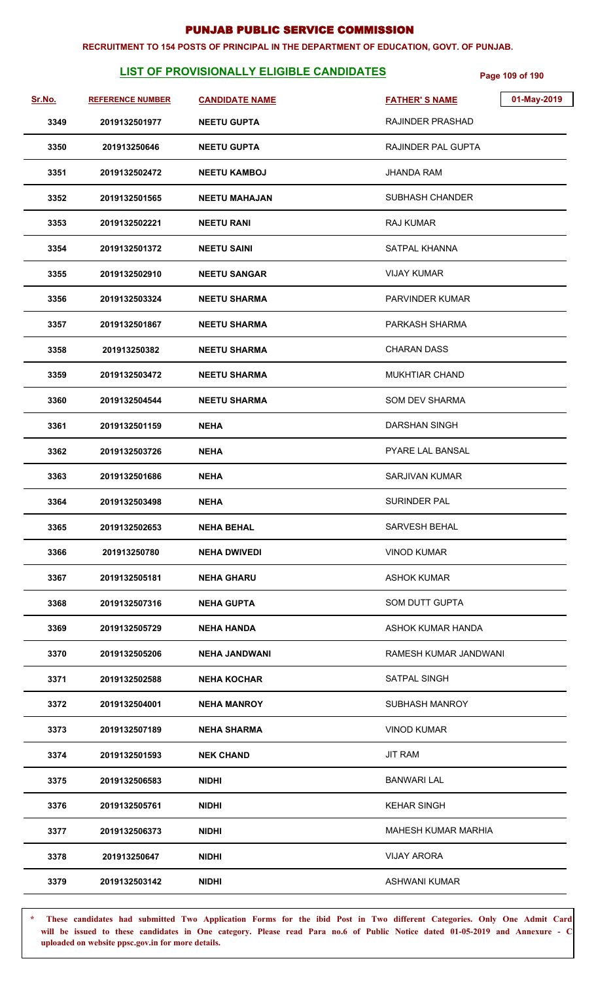#### **RECRUITMENT TO 154 POSTS OF PRINCIPAL IN THE DEPARTMENT OF EDUCATION, GOVT. OF PUNJAB.**

# **LIST OF PROVISIONALLY ELIGIBLE CANDIDATES** Page 109 of 190

| Sr.No. | <b>REFERENCE NUMBER</b> | <b>CANDIDATE NAME</b> | 01-May-2019<br><b>FATHER'S NAME</b> |
|--------|-------------------------|-----------------------|-------------------------------------|
| 3349   | 2019132501977           | <b>NEETU GUPTA</b>    | <b>RAJINDER PRASHAD</b>             |
| 3350   | 201913250646            | <b>NEETU GUPTA</b>    | RAJINDER PAL GUPTA                  |
| 3351   | 2019132502472           | <b>NEETU KAMBOJ</b>   | <b>JHANDA RAM</b>                   |
| 3352   | 2019132501565           | <b>NEETU MAHAJAN</b>  | <b>SUBHASH CHANDER</b>              |
| 3353   | 2019132502221           | <b>NEETU RANI</b>     | <b>RAJ KUMAR</b>                    |
| 3354   | 2019132501372           | <b>NEETU SAINI</b>    | SATPAL KHANNA                       |
| 3355   | 2019132502910           | <b>NEETU SANGAR</b>   | <b>VIJAY KUMAR</b>                  |
| 3356   | 2019132503324           | <b>NEETU SHARMA</b>   | PARVINDER KUMAR                     |
| 3357   | 2019132501867           | <b>NEETU SHARMA</b>   | PARKASH SHARMA                      |
| 3358   | 201913250382            | <b>NEETU SHARMA</b>   | <b>CHARAN DASS</b>                  |
| 3359   | 2019132503472           | <b>NEETU SHARMA</b>   | <b>MUKHTIAR CHAND</b>               |
| 3360   | 2019132504544           | <b>NEETU SHARMA</b>   | <b>SOM DEV SHARMA</b>               |
| 3361   | 2019132501159           | <b>NEHA</b>           | <b>DARSHAN SINGH</b>                |
| 3362   | 2019132503726           | <b>NEHA</b>           | PYARE LAL BANSAL                    |
| 3363   | 2019132501686           | <b>NEHA</b>           | <b>SARJIVAN KUMAR</b>               |
| 3364   | 2019132503498           | <b>NEHA</b>           | <b>SURINDER PAL</b>                 |
| 3365   | 2019132502653           | <b>NEHA BEHAL</b>     | SARVESH BEHAL                       |
| 3366   | 201913250780            | <b>NEHA DWIVEDI</b>   | <b>VINOD KUMAR</b>                  |
| 3367   | 2019132505181           | <b>NEHA GHARU</b>     | <b>ASHOK KUMAR</b>                  |
| 3368   | 2019132507316           | <b>NEHA GUPTA</b>     | <b>SOM DUTT GUPTA</b>               |
| 3369   | 2019132505729           | <b>NEHA HANDA</b>     | ASHOK KUMAR HANDA                   |
| 3370   | 2019132505206           | <b>NEHA JANDWANI</b>  | RAMESH KUMAR JANDWANI               |
| 3371   | 2019132502588           | <b>NEHA KOCHAR</b>    | SATPAL SINGH                        |
| 3372   | 2019132504001           | <b>NEHA MANROY</b>    | SUBHASH MANROY                      |
| 3373   | 2019132507189           | <b>NEHA SHARMA</b>    | <b>VINOD KUMAR</b>                  |
| 3374   | 2019132501593           | <b>NEK CHAND</b>      | <b>JIT RAM</b>                      |
| 3375   | 2019132506583           | NIDHI                 | <b>BANWARI LAL</b>                  |
| 3376   | 2019132505761           | <b>NIDHI</b>          | <b>KEHAR SINGH</b>                  |
| 3377   | 2019132506373           | <b>NIDHI</b>          | <b>MAHESH KUMAR MARHIA</b>          |
| 3378   | 201913250647            | <b>NIDHI</b>          | <b>VIJAY ARORA</b>                  |
| 3379   | 2019132503142           | <b>NIDHI</b>          | ASHWANI KUMAR                       |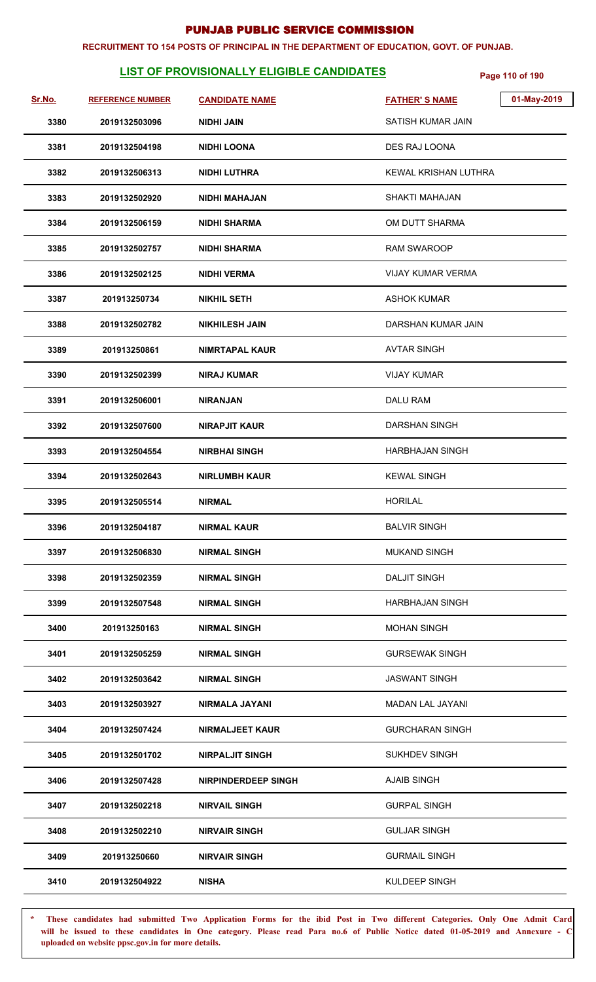#### **RECRUITMENT TO 154 POSTS OF PRINCIPAL IN THE DEPARTMENT OF EDUCATION, GOVT. OF PUNJAB.**

# **LIST OF PROVISIONALLY ELIGIBLE CANDIDATES** Page 110 of 190

| Sr.No. | <b>REFERENCE NUMBER</b> | <b>CANDIDATE NAME</b>      | <b>FATHER'S NAME</b>        | 01-May-2019 |
|--------|-------------------------|----------------------------|-----------------------------|-------------|
| 3380   | 2019132503096           | <b>NIDHI JAIN</b>          | SATISH KUMAR JAIN           |             |
| 3381   | 2019132504198           | <b>NIDHI LOONA</b>         | DES RAJ LOONA               |             |
| 3382   | 2019132506313           | <b>NIDHI LUTHRA</b>        | <b>KEWAL KRISHAN LUTHRA</b> |             |
| 3383   | 2019132502920           | NIDHI MAHAJAN              | SHAKTI MAHAJAN              |             |
| 3384   | 2019132506159           | <b>NIDHI SHARMA</b>        | OM DUTT SHARMA              |             |
| 3385   | 2019132502757           | <b>NIDHI SHARMA</b>        | <b>RAM SWAROOP</b>          |             |
| 3386   | 2019132502125           | <b>NIDHI VERMA</b>         | VIJAY KUMAR VERMA           |             |
| 3387   | 201913250734            | <b>NIKHIL SETH</b>         | <b>ASHOK KUMAR</b>          |             |
| 3388   | 2019132502782           | <b>NIKHILESH JAIN</b>      | DARSHAN KUMAR JAIN          |             |
| 3389   | 201913250861            | <b>NIMRTAPAL KAUR</b>      | <b>AVTAR SINGH</b>          |             |
| 3390   | 2019132502399           | <b>NIRAJ KUMAR</b>         | <b>VIJAY KUMAR</b>          |             |
| 3391   | 2019132506001           | <b>NIRANJAN</b>            | <b>DALU RAM</b>             |             |
| 3392   | 2019132507600           | <b>NIRAPJIT KAUR</b>       | <b>DARSHAN SINGH</b>        |             |
| 3393   | 2019132504554           | <b>NIRBHAI SINGH</b>       | HARBHAJAN SINGH             |             |
| 3394   | 2019132502643           | <b>NIRLUMBH KAUR</b>       | <b>KEWAL SINGH</b>          |             |
| 3395   | 2019132505514           | <b>NIRMAL</b>              | <b>HORILAL</b>              |             |
| 3396   | 2019132504187           | <b>NIRMAL KAUR</b>         | <b>BALVIR SINGH</b>         |             |
| 3397   | 2019132506830           | <b>NIRMAL SINGH</b>        | <b>MUKAND SINGH</b>         |             |
| 3398   | 2019132502359           | <b>NIRMAL SINGH</b>        | <b>DALJIT SINGH</b>         |             |
| 3399   | 2019132507548           | <b>NIRMAL SINGH</b>        | HARBHAJAN SINGH             |             |
| 3400   | 201913250163            | <b>NIRMAL SINGH</b>        | <b>MOHAN SINGH</b>          |             |
| 3401   | 2019132505259           | <b>NIRMAL SINGH</b>        | <b>GURSEWAK SINGH</b>       |             |
| 3402   | 2019132503642           | <b>NIRMAL SINGH</b>        | <b>JASWANT SINGH</b>        |             |
| 3403   | 2019132503927           | <b>NIRMALA JAYANI</b>      | <b>MADAN LAL JAYANI</b>     |             |
| 3404   | 2019132507424           | <b>NIRMALJEET KAUR</b>     | <b>GURCHARAN SINGH</b>      |             |
| 3405   | 2019132501702           | <b>NIRPALJIT SINGH</b>     | <b>SUKHDEV SINGH</b>        |             |
| 3406   | 2019132507428           | <b>NIRPINDERDEEP SINGH</b> | <b>AJAIB SINGH</b>          |             |
| 3407   | 2019132502218           | <b>NIRVAIL SINGH</b>       | <b>GURPAL SINGH</b>         |             |
| 3408   | 2019132502210           | <b>NIRVAIR SINGH</b>       | <b>GULJAR SINGH</b>         |             |
| 3409   | 201913250660            | <b>NIRVAIR SINGH</b>       | <b>GURMAIL SINGH</b>        |             |
| 3410   | 2019132504922           | <b>NISHA</b>               | KULDEEP SINGH               |             |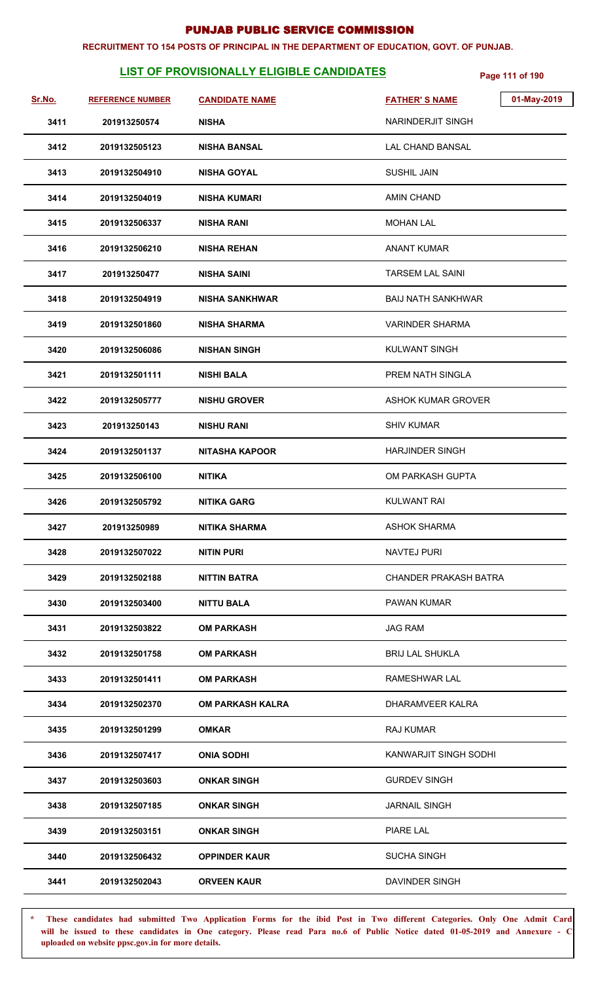#### **RECRUITMENT TO 154 POSTS OF PRINCIPAL IN THE DEPARTMENT OF EDUCATION, GOVT. OF PUNJAB.**

# **LIST OF PROVISIONALLY ELIGIBLE CANDIDATES** Page 111 of 190

| Sr.No. | <b>REFERENCE NUMBER</b> | <b>CANDIDATE NAME</b>   | <b>FATHER'S NAME</b>         | 01-May-2019 |
|--------|-------------------------|-------------------------|------------------------------|-------------|
| 3411   | 201913250574            | <b>NISHA</b>            | NARINDERJIT SINGH            |             |
| 3412   | 2019132505123           | <b>NISHA BANSAL</b>     | <b>LAL CHAND BANSAL</b>      |             |
| 3413   | 2019132504910           | <b>NISHA GOYAL</b>      | SUSHIL JAIN                  |             |
| 3414   | 2019132504019           | <b>NISHA KUMARI</b>     | <b>AMIN CHAND</b>            |             |
| 3415   | 2019132506337           | <b>NISHA RANI</b>       | <b>MOHAN LAL</b>             |             |
| 3416   | 2019132506210           | <b>NISHA REHAN</b>      | <b>ANANT KUMAR</b>           |             |
| 3417   | 201913250477            | <b>NISHA SAINI</b>      | <b>TARSEM LAL SAINI</b>      |             |
| 3418   | 2019132504919           | <b>NISHA SANKHWAR</b>   | <b>BAIJ NATH SANKHWAR</b>    |             |
| 3419   | 2019132501860           | <b>NISHA SHARMA</b>     | <b>VARINDER SHARMA</b>       |             |
| 3420   | 2019132506086           | <b>NISHAN SINGH</b>     | <b>KULWANT SINGH</b>         |             |
| 3421   | 2019132501111           | <b>NISHI BALA</b>       | PREM NATH SINGLA             |             |
| 3422   | 2019132505777           | <b>NISHU GROVER</b>     | <b>ASHOK KUMAR GROVER</b>    |             |
| 3423   | 201913250143            | <b>NISHU RANI</b>       | <b>SHIV KUMAR</b>            |             |
| 3424   | 2019132501137           | <b>NITASHA KAPOOR</b>   | <b>HARJINDER SINGH</b>       |             |
| 3425   | 2019132506100           | <b>NITIKA</b>           | OM PARKASH GUPTA             |             |
| 3426   | 2019132505792           | <b>NITIKA GARG</b>      | <b>KULWANT RAI</b>           |             |
| 3427   | 201913250989            | <b>NITIKA SHARMA</b>    | <b>ASHOK SHARMA</b>          |             |
| 3428   | 2019132507022           | <b>NITIN PURI</b>       | NAVTEJ PURI                  |             |
| 3429   | 2019132502188           | NITTIN BATRA            | <b>CHANDER PRAKASH BATRA</b> |             |
| 3430   | 2019132503400           | NITTU BALA              | <b>PAWAN KUMAR</b>           |             |
| 3431   | 2019132503822           | <b>OM PARKASH</b>       | <b>JAG RAM</b>               |             |
| 3432   | 2019132501758           | <b>OM PARKASH</b>       | <b>BRIJ LAL SHUKLA</b>       |             |
| 3433   | 2019132501411           | <b>OM PARKASH</b>       | RAMESHWAR LAL                |             |
| 3434   | 2019132502370           | <b>OM PARKASH KALRA</b> | DHARAMVEER KALRA             |             |
| 3435   | 2019132501299           | <b>OMKAR</b>            | <b>RAJ KUMAR</b>             |             |
| 3436   | 2019132507417           | <b>ONIA SODHI</b>       | KANWARJIT SINGH SODHI        |             |
| 3437   | 2019132503603           | <b>ONKAR SINGH</b>      | <b>GURDEV SINGH</b>          |             |
| 3438   | 2019132507185           | <b>ONKAR SINGH</b>      | <b>JARNAIL SINGH</b>         |             |
| 3439   | 2019132503151           | <b>ONKAR SINGH</b>      | PIARE LAL                    |             |
| 3440   | 2019132506432           | <b>OPPINDER KAUR</b>    | <b>SUCHA SINGH</b>           |             |
| 3441   | 2019132502043           | <b>ORVEEN KAUR</b>      | DAVINDER SINGH               |             |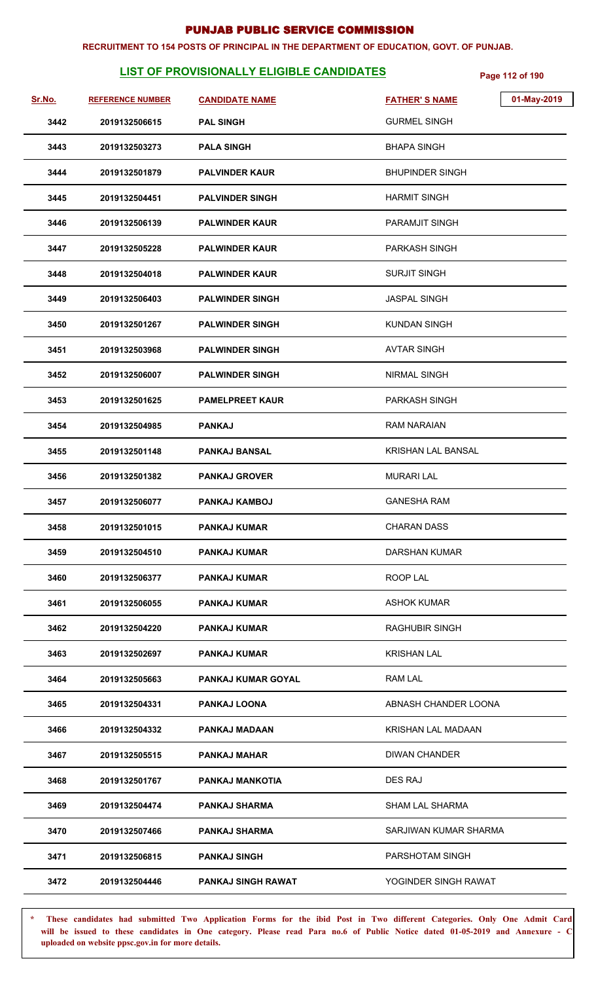#### **RECRUITMENT TO 154 POSTS OF PRINCIPAL IN THE DEPARTMENT OF EDUCATION, GOVT. OF PUNJAB.**

# **LIST OF PROVISIONALLY ELIGIBLE CANDIDATES** Page 112 of 190

| Sr.No. | <b>REFERENCE NUMBER</b> | <b>CANDIDATE NAME</b>     | 01-May-2019<br><b>FATHER'S NAME</b> |
|--------|-------------------------|---------------------------|-------------------------------------|
| 3442   | 2019132506615           | <b>PAL SINGH</b>          | <b>GURMEL SINGH</b>                 |
| 3443   | 2019132503273           | <b>PALA SINGH</b>         | <b>BHAPA SINGH</b>                  |
| 3444   | 2019132501879           | <b>PALVINDER KAUR</b>     | <b>BHUPINDER SINGH</b>              |
| 3445   | 2019132504451           | <b>PALVINDER SINGH</b>    | <b>HARMIT SINGH</b>                 |
| 3446   | 2019132506139           | <b>PALWINDER KAUR</b>     | PARAMJIT SINGH                      |
| 3447   | 2019132505228           | <b>PALWINDER KAUR</b>     | <b>PARKASH SINGH</b>                |
| 3448   | 2019132504018           | <b>PALWINDER KAUR</b>     | <b>SURJIT SINGH</b>                 |
| 3449   | 2019132506403           | <b>PALWINDER SINGH</b>    | <b>JASPAL SINGH</b>                 |
| 3450   | 2019132501267           | <b>PALWINDER SINGH</b>    | <b>KUNDAN SINGH</b>                 |
| 3451   | 2019132503968           | <b>PALWINDER SINGH</b>    | <b>AVTAR SINGH</b>                  |
| 3452   | 2019132506007           | <b>PALWINDER SINGH</b>    | NIRMAL SINGH                        |
| 3453   | 2019132501625           | <b>PAMELPREET KAUR</b>    | <b>PARKASH SINGH</b>                |
| 3454   | 2019132504985           | <b>PANKAJ</b>             | <b>RAM NARAIAN</b>                  |
| 3455   | 2019132501148           | <b>PANKAJ BANSAL</b>      | KRISHAN LAL BANSAL                  |
| 3456   | 2019132501382           | <b>PANKAJ GROVER</b>      | <b>MURARI LAL</b>                   |
| 3457   | 2019132506077           | <b>PANKAJ KAMBOJ</b>      | <b>GANESHA RAM</b>                  |
| 3458   | 2019132501015           | <b>PANKAJ KUMAR</b>       | <b>CHARAN DASS</b>                  |
| 3459   | 2019132504510           | <b>PANKAJ KUMAR</b>       | DARSHAN KUMAR                       |
| 3460   | 2019132506377           | <b>PANKAJ KUMAR</b>       | ROOP LAL                            |
| 3461   | 2019132506055           | <b>PANKAJ KUMAR</b>       | <b>ASHOK KUMAR</b>                  |
| 3462   | 2019132504220           | <b>PANKAJ KUMAR</b>       | RAGHUBIR SINGH                      |
| 3463   | 2019132502697           | <b>PANKAJ KUMAR</b>       | <b>KRISHAN LAL</b>                  |
| 3464   | 2019132505663           | <b>PANKAJ KUMAR GOYAL</b> | RAM LAL                             |
| 3465   | 2019132504331           | <b>PANKAJ LOONA</b>       | ABNASH CHANDER LOONA                |
| 3466   | 2019132504332           | PANKAJ MADAAN             | <b>KRISHAN LAL MADAAN</b>           |
| 3467   | 2019132505515           | PANKAJ MAHAR              | <b>DIWAN CHANDER</b>                |
| 3468   | 2019132501767           | <b>PANKAJ MANKOTIA</b>    | <b>DES RAJ</b>                      |
| 3469   | 2019132504474           | <b>PANKAJ SHARMA</b>      | <b>SHAM LAL SHARMA</b>              |
| 3470   | 2019132507466           | <b>PANKAJ SHARMA</b>      | SARJIWAN KUMAR SHARMA               |
| 3471   | 2019132506815           | <b>PANKAJ SINGH</b>       | PARSHOTAM SINGH                     |
| 3472   | 2019132504446           | PANKAJ SINGH RAWAT        | YOGINDER SINGH RAWAT                |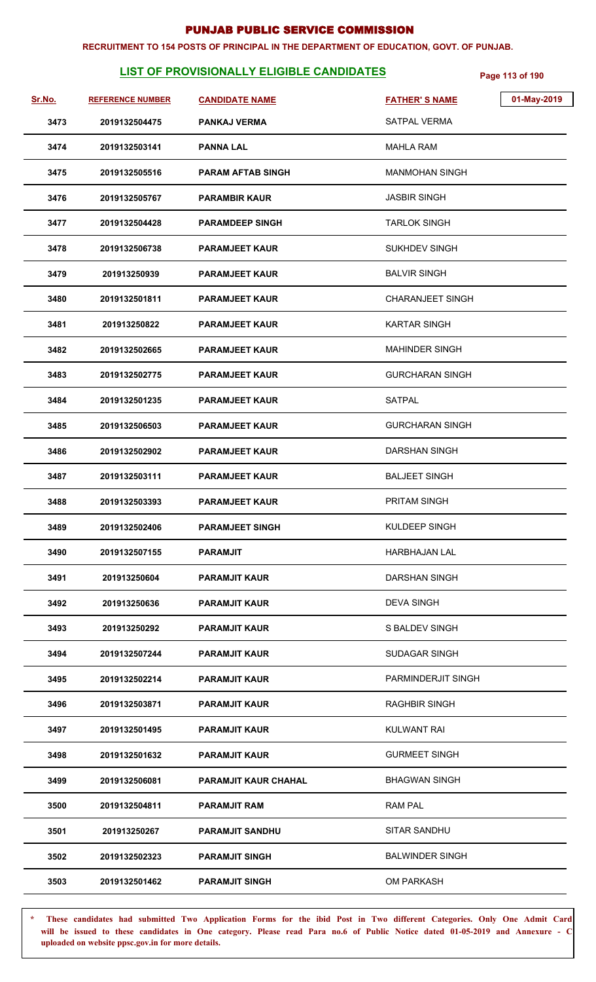#### **RECRUITMENT TO 154 POSTS OF PRINCIPAL IN THE DEPARTMENT OF EDUCATION, GOVT. OF PUNJAB.**

# **LIST OF PROVISIONALLY ELIGIBLE CANDIDATES** Page 113 of 190

| <u>Sr.No.</u> | <b>REFERENCE NUMBER</b> | <b>CANDIDATE NAME</b>       | 01-May-2019<br><b>FATHER'S NAME</b> |  |
|---------------|-------------------------|-----------------------------|-------------------------------------|--|
| 3473          | 2019132504475           | <b>PANKAJ VERMA</b>         | <b>SATPAL VERMA</b>                 |  |
| 3474          | 2019132503141           | <b>PANNA LAL</b>            | MAHLA RAM                           |  |
| 3475          | 2019132505516           | <b>PARAM AFTAB SINGH</b>    | <b>MANMOHAN SINGH</b>               |  |
| 3476          | 2019132505767           | <b>PARAMBIR KAUR</b>        | <b>JASBIR SINGH</b>                 |  |
| 3477          | 2019132504428           | <b>PARAMDEEP SINGH</b>      | <b>TARLOK SINGH</b>                 |  |
| 3478          | 2019132506738           | <b>PARAMJEET KAUR</b>       | <b>SUKHDEV SINGH</b>                |  |
| 3479          | 201913250939            | <b>PARAMJEET KAUR</b>       | <b>BALVIR SINGH</b>                 |  |
| 3480          | 2019132501811           | <b>PARAMJEET KAUR</b>       | <b>CHARANJEET SINGH</b>             |  |
| 3481          | 201913250822            | <b>PARAMJEET KAUR</b>       | <b>KARTAR SINGH</b>                 |  |
| 3482          | 2019132502665           | <b>PARAMJEET KAUR</b>       | <b>MAHINDER SINGH</b>               |  |
| 3483          | 2019132502775           | <b>PARAMJEET KAUR</b>       | <b>GURCHARAN SINGH</b>              |  |
| 3484          | 2019132501235           | <b>PARAMJEET KAUR</b>       | <b>SATPAL</b>                       |  |
| 3485          | 2019132506503           | <b>PARAMJEET KAUR</b>       | <b>GURCHARAN SINGH</b>              |  |
| 3486          | 2019132502902           | <b>PARAMJEET KAUR</b>       | <b>DARSHAN SINGH</b>                |  |
| 3487          | 2019132503111           | <b>PARAMJEET KAUR</b>       | <b>BALJEET SINGH</b>                |  |
| 3488          | 2019132503393           | <b>PARAMJEET KAUR</b>       | PRITAM SINGH                        |  |
| 3489          | 2019132502406           | <b>PARAMJEET SINGH</b>      | KULDEEP SINGH                       |  |
| 3490          | 2019132507155           | PARAMJIT                    | <b>HARBHAJAN LAL</b>                |  |
| 3491          | 201913250604            | <b>PARAMJIT KAUR</b>        | <b>DARSHAN SINGH</b>                |  |
| 3492          | 201913250636            | <b>PARAMJIT KAUR</b>        | <b>DEVA SINGH</b>                   |  |
| 3493          | 201913250292            | <b>PARAMJIT KAUR</b>        | S BALDEV SINGH                      |  |
| 3494          | 2019132507244           | <b>PARAMJIT KAUR</b>        | <b>SUDAGAR SINGH</b>                |  |
| 3495          | 2019132502214           | <b>PARAMJIT KAUR</b>        | PARMINDERJIT SINGH                  |  |
| 3496          | 2019132503871           | <b>PARAMJIT KAUR</b>        | <b>RAGHBIR SINGH</b>                |  |
| 3497          | 2019132501495           | <b>PARAMJIT KAUR</b>        | <b>KULWANT RAI</b>                  |  |
| 3498          | 2019132501632           | <b>PARAMJIT KAUR</b>        | <b>GURMEET SINGH</b>                |  |
| 3499          | 2019132506081           | <b>PARAMJIT KAUR CHAHAL</b> | <b>BHAGWAN SINGH</b>                |  |
| 3500          | 2019132504811           | <b>PARAMJIT RAM</b>         | <b>RAM PAL</b>                      |  |
| 3501          | 201913250267            | <b>PARAMJIT SANDHU</b>      | SITAR SANDHU                        |  |
| 3502          | 2019132502323           | <b>PARAMJIT SINGH</b>       | <b>BALWINDER SINGH</b>              |  |
| 3503          | 2019132501462           | <b>PARAMJIT SINGH</b>       | OM PARKASH                          |  |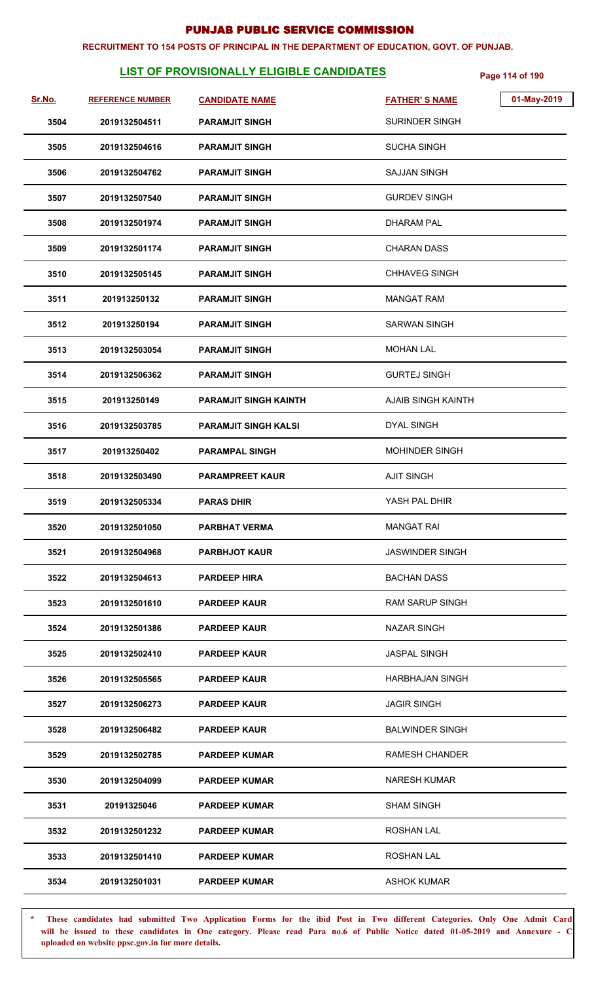#### **RECRUITMENT TO 154 POSTS OF PRINCIPAL IN THE DEPARTMENT OF EDUCATION, GOVT. OF PUNJAB.**

# **LIST OF PROVISIONALLY ELIGIBLE CANDIDATES** Page 114 of 190

| Sr.No. | <b>REFERENCE NUMBER</b> | <b>CANDIDATE NAME</b>        | <b>FATHER'S NAME</b>      | 01-May-2019 |
|--------|-------------------------|------------------------------|---------------------------|-------------|
| 3504   | 2019132504511           | <b>PARAMJIT SINGH</b>        | <b>SURINDER SINGH</b>     |             |
| 3505   | 2019132504616           | <b>PARAMJIT SINGH</b>        | <b>SUCHA SINGH</b>        |             |
| 3506   | 2019132504762           | <b>PARAMJIT SINGH</b>        | <b>SAJJAN SINGH</b>       |             |
| 3507   | 2019132507540           | <b>PARAMJIT SINGH</b>        | <b>GURDEV SINGH</b>       |             |
| 3508   | 2019132501974           | <b>PARAMJIT SINGH</b>        | <b>DHARAM PAL</b>         |             |
| 3509   | 2019132501174           | <b>PARAMJIT SINGH</b>        | <b>CHARAN DASS</b>        |             |
| 3510   | 2019132505145           | <b>PARAMJIT SINGH</b>        | <b>CHHAVEG SINGH</b>      |             |
| 3511   | 201913250132            | <b>PARAMJIT SINGH</b>        | <b>MANGAT RAM</b>         |             |
| 3512   | 201913250194            | <b>PARAMJIT SINGH</b>        | <b>SARWAN SINGH</b>       |             |
| 3513   | 2019132503054           | <b>PARAMJIT SINGH</b>        | <b>MOHAN LAL</b>          |             |
| 3514   | 2019132506362           | <b>PARAMJIT SINGH</b>        | <b>GURTEJ SINGH</b>       |             |
| 3515   | 201913250149            | <b>PARAMJIT SINGH KAINTH</b> | <b>AJAIB SINGH KAINTH</b> |             |
| 3516   | 2019132503785           | <b>PARAMJIT SINGH KALSI</b>  | <b>DYAL SINGH</b>         |             |
| 3517   | 201913250402            | <b>PARAMPAL SINGH</b>        | MOHINDER SINGH            |             |
| 3518   | 2019132503490           | <b>PARAMPREET KAUR</b>       | <b>AJIT SINGH</b>         |             |
| 3519   | 2019132505334           | <b>PARAS DHIR</b>            | YASH PAL DHIR             |             |
| 3520   | 2019132501050           | <b>PARBHAT VERMA</b>         | <b>MANGAT RAI</b>         |             |
| 3521   | 2019132504968           | <b>PARBHJOT KAUR</b>         | <b>JASWINDER SINGH</b>    |             |
| 3522   | 2019132504613           | <b>PARDEEP HIRA</b>          | <b>BACHAN DASS</b>        |             |
| 3523   | 2019132501610           | <b>PARDEEP KAUR</b>          | <b>RAM SARUP SINGH</b>    |             |
| 3524   | 2019132501386           | <b>PARDEEP KAUR</b>          | <b>NAZAR SINGH</b>        |             |
| 3525   | 2019132502410           | <b>PARDEEP KAUR</b>          | <b>JASPAL SINGH</b>       |             |
| 3526   | 2019132505565           | <b>PARDEEP KAUR</b>          | <b>HARBHAJAN SINGH</b>    |             |
| 3527   | 2019132506273           | <b>PARDEEP KAUR</b>          | <b>JAGIR SINGH</b>        |             |
| 3528   | 2019132506482           | <b>PARDEEP KAUR</b>          | <b>BALWINDER SINGH</b>    |             |
| 3529   | 2019132502785           | <b>PARDEEP KUMAR</b>         | <b>RAMESH CHANDER</b>     |             |
| 3530   | 2019132504099           | <b>PARDEEP KUMAR</b>         | <b>NARESH KUMAR</b>       |             |
| 3531   | 20191325046             | <b>PARDEEP KUMAR</b>         | <b>SHAM SINGH</b>         |             |
| 3532   | 2019132501232           | <b>PARDEEP KUMAR</b>         | <b>ROSHAN LAL</b>         |             |
| 3533   | 2019132501410           | <b>PARDEEP KUMAR</b>         | <b>ROSHAN LAL</b>         |             |
| 3534   | 2019132501031           | <b>PARDEEP KUMAR</b>         | <b>ASHOK KUMAR</b>        |             |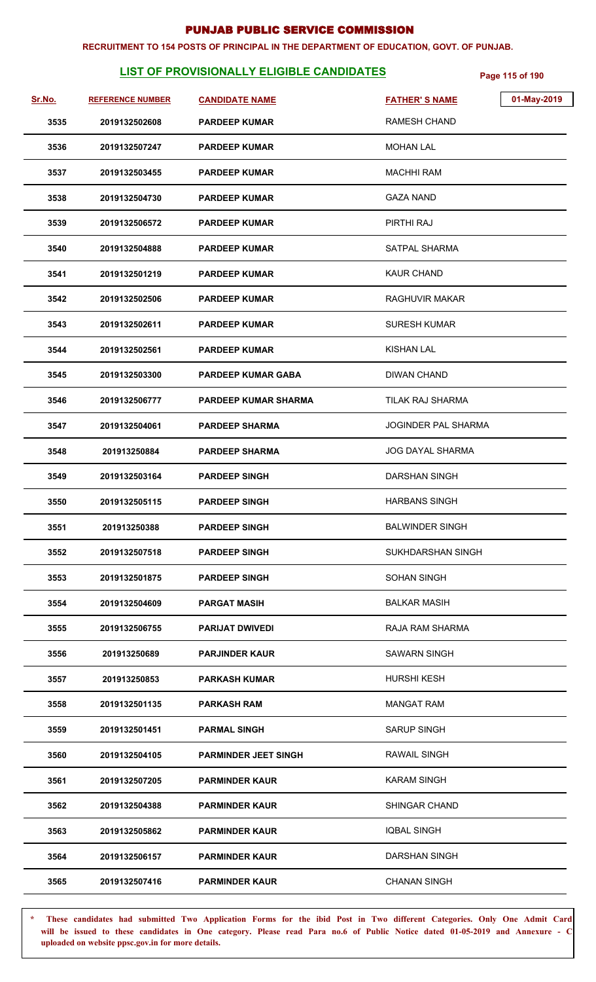#### **RECRUITMENT TO 154 POSTS OF PRINCIPAL IN THE DEPARTMENT OF EDUCATION, GOVT. OF PUNJAB.**

# **LIST OF PROVISIONALLY ELIGIBLE CANDIDATES** Page 115 of 190

| Sr.No. | <b>REFERENCE NUMBER</b> | <b>CANDIDATE NAME</b>       | <b>FATHER'S NAME</b>    | 01-May-2019 |
|--------|-------------------------|-----------------------------|-------------------------|-------------|
| 3535   | 2019132502608           | <b>PARDEEP KUMAR</b>        | RAMESH CHAND            |             |
| 3536   | 2019132507247           | <b>PARDEEP KUMAR</b>        | <b>MOHAN LAL</b>        |             |
| 3537   | 2019132503455           | <b>PARDEEP KUMAR</b>        | <b>MACHHI RAM</b>       |             |
| 3538   | 2019132504730           | <b>PARDEEP KUMAR</b>        | <b>GAZA NAND</b>        |             |
| 3539   | 2019132506572           | <b>PARDEEP KUMAR</b>        | PIRTHI RAJ              |             |
| 3540   | 2019132504888           | <b>PARDEEP KUMAR</b>        | <b>SATPAL SHARMA</b>    |             |
| 3541   | 2019132501219           | <b>PARDEEP KUMAR</b>        | <b>KAUR CHAND</b>       |             |
| 3542   | 2019132502506           | <b>PARDEEP KUMAR</b>        | RAGHUVIR MAKAR          |             |
| 3543   | 2019132502611           | <b>PARDEEP KUMAR</b>        | <b>SURESH KUMAR</b>     |             |
| 3544   | 2019132502561           | <b>PARDEEP KUMAR</b>        | KISHAN LAL              |             |
| 3545   | 2019132503300           | <b>PARDEEP KUMAR GABA</b>   | <b>DIWAN CHAND</b>      |             |
| 3546   | 2019132506777           | <b>PARDEEP KUMAR SHARMA</b> | <b>TILAK RAJ SHARMA</b> |             |
| 3547   | 2019132504061           | <b>PARDEEP SHARMA</b>       | JOGINDER PAL SHARMA     |             |
| 3548   | 201913250884            | <b>PARDEEP SHARMA</b>       | <b>JOG DAYAL SHARMA</b> |             |
| 3549   | 2019132503164           | <b>PARDEEP SINGH</b>        | <b>DARSHAN SINGH</b>    |             |
| 3550   | 2019132505115           | <b>PARDEEP SINGH</b>        | <b>HARBANS SINGH</b>    |             |
| 3551   | 201913250388            | <b>PARDEEP SINGH</b>        | <b>BALWINDER SINGH</b>  |             |
| 3552   | 2019132507518           | <b>PARDEEP SINGH</b>        | SUKHDARSHAN SINGH       |             |
| 3553   | 2019132501875           | <b>PARDEEP SINGH</b>        | <b>SOHAN SINGH</b>      |             |
| 3554   | 2019132504609           | <b>PARGAT MASIH</b>         | <b>BALKAR MASIH</b>     |             |
| 3555   | 2019132506755           | <b>PARIJAT DWIVEDI</b>      | RAJA RAM SHARMA         |             |
| 3556   | 201913250689            | <b>PARJINDER KAUR</b>       | SAWARN SINGH            |             |
| 3557   | 201913250853            | <b>PARKASH KUMAR</b>        | <b>HURSHI KESH</b>      |             |
| 3558   | 2019132501135           | PARKASH RAM                 | <b>MANGAT RAM</b>       |             |
| 3559   | 2019132501451           | <b>PARMAL SINGH</b>         | <b>SARUP SINGH</b>      |             |
| 3560   | 2019132504105           | <b>PARMINDER JEET SINGH</b> | <b>RAWAIL SINGH</b>     |             |
| 3561   | 2019132507205           | <b>PARMINDER KAUR</b>       | <b>KARAM SINGH</b>      |             |
| 3562   | 2019132504388           | <b>PARMINDER KAUR</b>       | SHINGAR CHAND           |             |
| 3563   | 2019132505862           | <b>PARMINDER KAUR</b>       | <b>IQBAL SINGH</b>      |             |
| 3564   | 2019132506157           | <b>PARMINDER KAUR</b>       | DARSHAN SINGH           |             |
| 3565   | 2019132507416           | <b>PARMINDER KAUR</b>       | <b>CHANAN SINGH</b>     |             |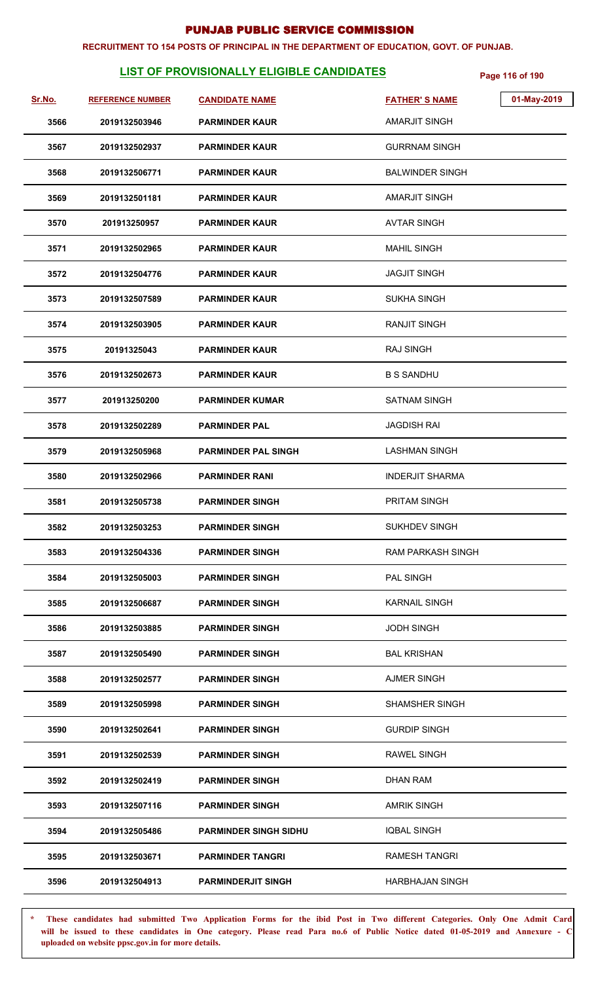#### **RECRUITMENT TO 154 POSTS OF PRINCIPAL IN THE DEPARTMENT OF EDUCATION, GOVT. OF PUNJAB.**

# **LIST OF PROVISIONALLY ELIGIBLE CANDIDATES** Page 116 of 190

| Sr.No. | <b>REFERENCE NUMBER</b> | <b>CANDIDATE NAME</b>        | <b>FATHER'S NAME</b>     | 01-May-2019 |
|--------|-------------------------|------------------------------|--------------------------|-------------|
| 3566   | 2019132503946           | <b>PARMINDER KAUR</b>        | <b>AMARJIT SINGH</b>     |             |
| 3567   | 2019132502937           | <b>PARMINDER KAUR</b>        | <b>GURRNAM SINGH</b>     |             |
| 3568   | 2019132506771           | <b>PARMINDER KAUR</b>        | <b>BALWINDER SINGH</b>   |             |
| 3569   | 2019132501181           | <b>PARMINDER KAUR</b>        | <b>AMARJIT SINGH</b>     |             |
| 3570   | 201913250957            | <b>PARMINDER KAUR</b>        | <b>AVTAR SINGH</b>       |             |
| 3571   | 2019132502965           | <b>PARMINDER KAUR</b>        | <b>MAHIL SINGH</b>       |             |
| 3572   | 2019132504776           | <b>PARMINDER KAUR</b>        | <b>JAGJIT SINGH</b>      |             |
| 3573   | 2019132507589           | <b>PARMINDER KAUR</b>        | <b>SUKHA SINGH</b>       |             |
| 3574   | 2019132503905           | <b>PARMINDER KAUR</b>        | <b>RANJIT SINGH</b>      |             |
| 3575   | 20191325043             | <b>PARMINDER KAUR</b>        | <b>RAJ SINGH</b>         |             |
| 3576   | 2019132502673           | <b>PARMINDER KAUR</b>        | <b>B S SANDHU</b>        |             |
| 3577   | 201913250200            | <b>PARMINDER KUMAR</b>       | <b>SATNAM SINGH</b>      |             |
| 3578   | 2019132502289           | <b>PARMINDER PAL</b>         | <b>JAGDISH RAI</b>       |             |
| 3579   | 2019132505968           | <b>PARMINDER PAL SINGH</b>   | <b>LASHMAN SINGH</b>     |             |
| 3580   | 2019132502966           | <b>PARMINDER RANI</b>        | <b>INDERJIT SHARMA</b>   |             |
| 3581   | 2019132505738           | <b>PARMINDER SINGH</b>       | PRITAM SINGH             |             |
| 3582   | 2019132503253           | <b>PARMINDER SINGH</b>       | <b>SUKHDEV SINGH</b>     |             |
| 3583   | 2019132504336           | <b>PARMINDER SINGH</b>       | <b>RAM PARKASH SINGH</b> |             |
| 3584   | 2019132505003           | <b>PARMINDER SINGH</b>       | <b>PAL SINGH</b>         |             |
| 3585   | 2019132506687           | <b>PARMINDER SINGH</b>       | <b>KARNAIL SINGH</b>     |             |
| 3586   | 2019132503885           | <b>PARMINDER SINGH</b>       | <b>JODH SINGH</b>        |             |
| 3587   | 2019132505490           | <b>PARMINDER SINGH</b>       | <b>BAL KRISHAN</b>       |             |
| 3588   | 2019132502577           | <b>PARMINDER SINGH</b>       | <b>AJMER SINGH</b>       |             |
| 3589   | 2019132505998           | <b>PARMINDER SINGH</b>       | <b>SHAMSHER SINGH</b>    |             |
| 3590   | 2019132502641           | <b>PARMINDER SINGH</b>       | <b>GURDIP SINGH</b>      |             |
| 3591   | 2019132502539           | <b>PARMINDER SINGH</b>       | <b>RAWEL SINGH</b>       |             |
| 3592   | 2019132502419           | <b>PARMINDER SINGH</b>       | <b>DHAN RAM</b>          |             |
| 3593   | 2019132507116           | <b>PARMINDER SINGH</b>       | <b>AMRIK SINGH</b>       |             |
| 3594   | 2019132505486           | <b>PARMINDER SINGH SIDHU</b> | <b>IQBAL SINGH</b>       |             |
| 3595   | 2019132503671           | <b>PARMINDER TANGRI</b>      | <b>RAMESH TANGRI</b>     |             |
| 3596   | 2019132504913           | <b>PARMINDERJIT SINGH</b>    | <b>HARBHAJAN SINGH</b>   |             |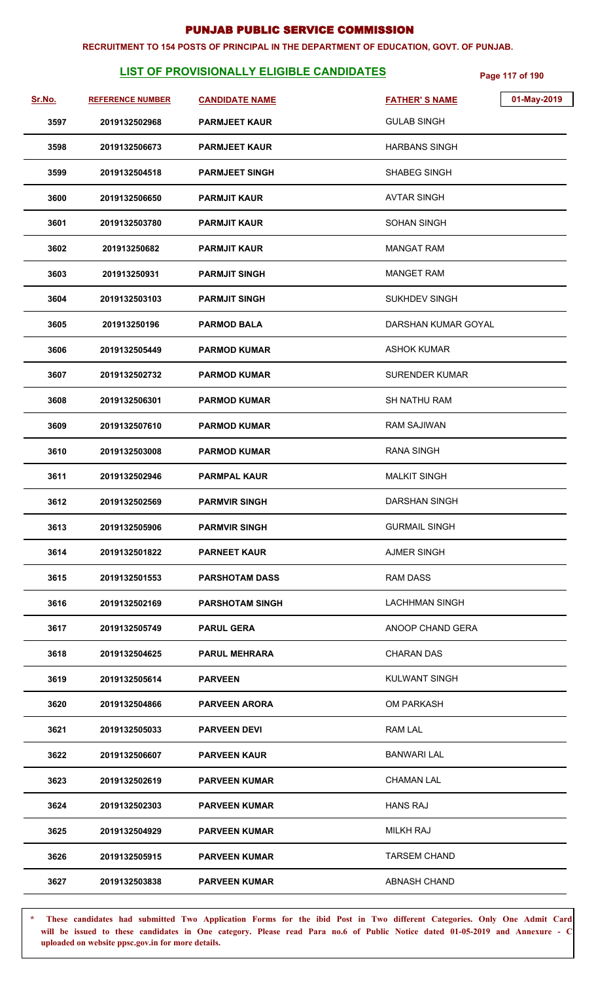#### **RECRUITMENT TO 154 POSTS OF PRINCIPAL IN THE DEPARTMENT OF EDUCATION, GOVT. OF PUNJAB.**

# **LIST OF PROVISIONALLY ELIGIBLE CANDIDATES** Page 117 of 190

| Sr.No. | <b>REFERENCE NUMBER</b> | <b>CANDIDATE NAME</b>  | <b>FATHER'S NAME</b>  | 01-May-2019 |
|--------|-------------------------|------------------------|-----------------------|-------------|
| 3597   | 2019132502968           | <b>PARMJEET KAUR</b>   | <b>GULAB SINGH</b>    |             |
| 3598   | 2019132506673           | <b>PARMJEET KAUR</b>   | <b>HARBANS SINGH</b>  |             |
| 3599   | 2019132504518           | <b>PARMJEET SINGH</b>  | <b>SHABEG SINGH</b>   |             |
| 3600   | 2019132506650           | <b>PARMJIT KAUR</b>    | <b>AVTAR SINGH</b>    |             |
| 3601   | 2019132503780           | <b>PARMJIT KAUR</b>    | <b>SOHAN SINGH</b>    |             |
| 3602   | 201913250682            | <b>PARMJIT KAUR</b>    | <b>MANGAT RAM</b>     |             |
| 3603   | 201913250931            | <b>PARMJIT SINGH</b>   | <b>MANGET RAM</b>     |             |
| 3604   | 2019132503103           | <b>PARMJIT SINGH</b>   | <b>SUKHDEV SINGH</b>  |             |
| 3605   | 201913250196            | <b>PARMOD BALA</b>     | DARSHAN KUMAR GOYAL   |             |
| 3606   | 2019132505449           | <b>PARMOD KUMAR</b>    | <b>ASHOK KUMAR</b>    |             |
| 3607   | 2019132502732           | <b>PARMOD KUMAR</b>    | <b>SURENDER KUMAR</b> |             |
| 3608   | 2019132506301           | <b>PARMOD KUMAR</b>    | SH NATHU RAM          |             |
| 3609   | 2019132507610           | <b>PARMOD KUMAR</b>    | <b>RAM SAJIWAN</b>    |             |
| 3610   | 2019132503008           | <b>PARMOD KUMAR</b>    | <b>RANA SINGH</b>     |             |
| 3611   | 2019132502946           | <b>PARMPAL KAUR</b>    | <b>MALKIT SINGH</b>   |             |
| 3612   | 2019132502569           | <b>PARMVIR SINGH</b>   | <b>DARSHAN SINGH</b>  |             |
| 3613   | 2019132505906           | <b>PARMVIR SINGH</b>   | <b>GURMAIL SINGH</b>  |             |
| 3614   | 2019132501822           | <b>PARNEET KAUR</b>    | <b>AJMER SINGH</b>    |             |
| 3615   | 2019132501553           | <b>PARSHOTAM DASS</b>  | RAM DASS              |             |
| 3616   | 2019132502169           | <b>PARSHOTAM SINGH</b> | <b>LACHHMAN SINGH</b> |             |
| 3617   | 2019132505749           | <b>PARUL GERA</b>      | ANOOP CHAND GERA      |             |
| 3618   | 2019132504625           | <b>PARUL MEHRARA</b>   | <b>CHARAN DAS</b>     |             |
| 3619   | 2019132505614           | <b>PARVEEN</b>         | <b>KULWANT SINGH</b>  |             |
| 3620   | 2019132504866           | <b>PARVEEN ARORA</b>   | <b>OM PARKASH</b>     |             |
| 3621   | 2019132505033           | <b>PARVEEN DEVI</b>    | RAM LAL               |             |
| 3622   | 2019132506607           | <b>PARVEEN KAUR</b>    | <b>BANWARI LAL</b>    |             |
| 3623   | 2019132502619           | <b>PARVEEN KUMAR</b>   | <b>CHAMAN LAL</b>     |             |
| 3624   | 2019132502303           | <b>PARVEEN KUMAR</b>   | <b>HANS RAJ</b>       |             |
| 3625   | 2019132504929           | <b>PARVEEN KUMAR</b>   | <b>MILKH RAJ</b>      |             |
| 3626   | 2019132505915           | <b>PARVEEN KUMAR</b>   | <b>TARSEM CHAND</b>   |             |
| 3627   | 2019132503838           | <b>PARVEEN KUMAR</b>   | ABNASH CHAND          |             |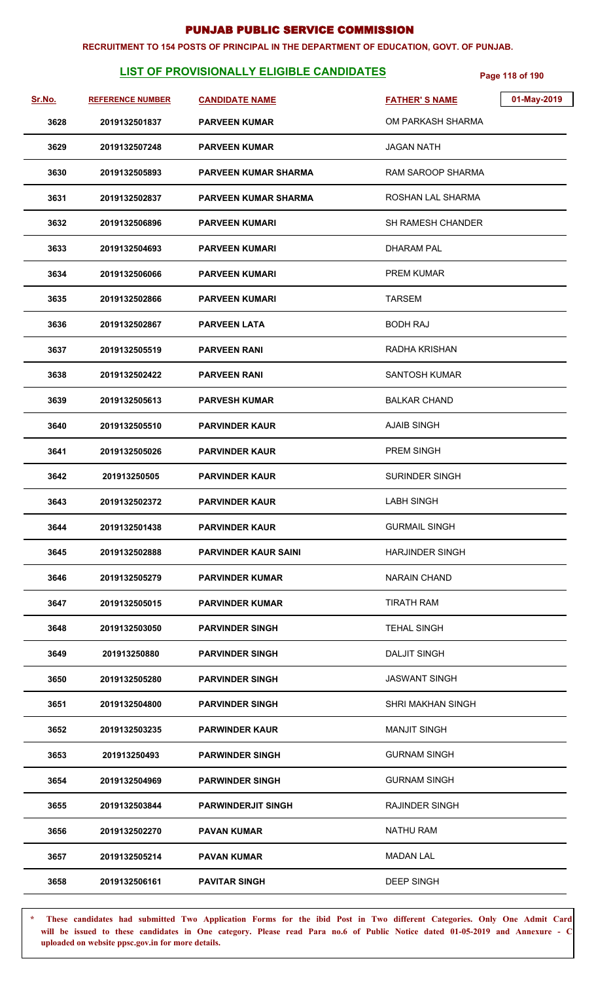#### **RECRUITMENT TO 154 POSTS OF PRINCIPAL IN THE DEPARTMENT OF EDUCATION, GOVT. OF PUNJAB.**

# **LIST OF PROVISIONALLY ELIGIBLE CANDIDATES** Page 118 of 190

| <u>Sr.No.</u> | <b>REFERENCE NUMBER</b> | <b>CANDIDATE NAME</b>       | <b>FATHER'S NAME</b>     | 01-May-2019 |
|---------------|-------------------------|-----------------------------|--------------------------|-------------|
| 3628          | 2019132501837           | <b>PARVEEN KUMAR</b>        | OM PARKASH SHARMA        |             |
| 3629          | 2019132507248           | <b>PARVEEN KUMAR</b>        | <b>JAGAN NATH</b>        |             |
| 3630          | 2019132505893           | <b>PARVEEN KUMAR SHARMA</b> | <b>RAM SAROOP SHARMA</b> |             |
| 3631          | 2019132502837           | <b>PARVEEN KUMAR SHARMA</b> | ROSHAN LAL SHARMA        |             |
| 3632          | 2019132506896           | <b>PARVEEN KUMARI</b>       | <b>SH RAMESH CHANDER</b> |             |
| 3633          | 2019132504693           | <b>PARVEEN KUMARI</b>       | DHARAM PAL               |             |
| 3634          | 2019132506066           | <b>PARVEEN KUMARI</b>       | <b>PREM KUMAR</b>        |             |
| 3635          | 2019132502866           | <b>PARVEEN KUMARI</b>       | <b>TARSEM</b>            |             |
| 3636          | 2019132502867           | <b>PARVEEN LATA</b>         | <b>BODH RAJ</b>          |             |
| 3637          | 2019132505519           | <b>PARVEEN RANI</b>         | RADHA KRISHAN            |             |
| 3638          | 2019132502422           | <b>PARVEEN RANI</b>         | <b>SANTOSH KUMAR</b>     |             |
| 3639          | 2019132505613           | <b>PARVESH KUMAR</b>        | <b>BALKAR CHAND</b>      |             |
| 3640          | 2019132505510           | <b>PARVINDER KAUR</b>       | <b>AJAIB SINGH</b>       |             |
| 3641          | 2019132505026           | <b>PARVINDER KAUR</b>       | <b>PREM SINGH</b>        |             |
| 3642          | 201913250505            | <b>PARVINDER KAUR</b>       | <b>SURINDER SINGH</b>    |             |
| 3643          | 2019132502372           | <b>PARVINDER KAUR</b>       | <b>LABH SINGH</b>        |             |
| 3644          | 2019132501438           | <b>PARVINDER KAUR</b>       | <b>GURMAIL SINGH</b>     |             |
| 3645          | 2019132502888           | <b>PARVINDER KAUR SAINI</b> | <b>HARJINDER SINGH</b>   |             |
| 3646          | 2019132505279           | <b>PARVINDER KUMAR</b>      | <b>NARAIN CHAND</b>      |             |
| 3647          | 2019132505015           | <b>PARVINDER KUMAR</b>      | <b>TIRATH RAM</b>        |             |
| 3648          | 2019132503050           | <b>PARVINDER SINGH</b>      | <b>TEHAL SINGH</b>       |             |
| 3649          | 201913250880            | <b>PARVINDER SINGH</b>      | <b>DALJIT SINGH</b>      |             |
| 3650          | 2019132505280           | <b>PARVINDER SINGH</b>      | <b>JASWANT SINGH</b>     |             |
| 3651          | 2019132504800           | <b>PARVINDER SINGH</b>      | SHRI MAKHAN SINGH        |             |
| 3652          | 2019132503235           | <b>PARWINDER KAUR</b>       | <b>MANJIT SINGH</b>      |             |
| 3653          | 201913250493            | <b>PARWINDER SINGH</b>      | <b>GURNAM SINGH</b>      |             |
| 3654          | 2019132504969           | <b>PARWINDER SINGH</b>      | <b>GURNAM SINGH</b>      |             |
| 3655          | 2019132503844           | <b>PARWINDERJIT SINGH</b>   | <b>RAJINDER SINGH</b>    |             |
| 3656          | 2019132502270           | <b>PAVAN KUMAR</b>          | <b>NATHU RAM</b>         |             |
| 3657          | 2019132505214           | <b>PAVAN KUMAR</b>          | <b>MADAN LAL</b>         |             |
| 3658          | 2019132506161           | <b>PAVITAR SINGH</b>        | <b>DEEP SINGH</b>        |             |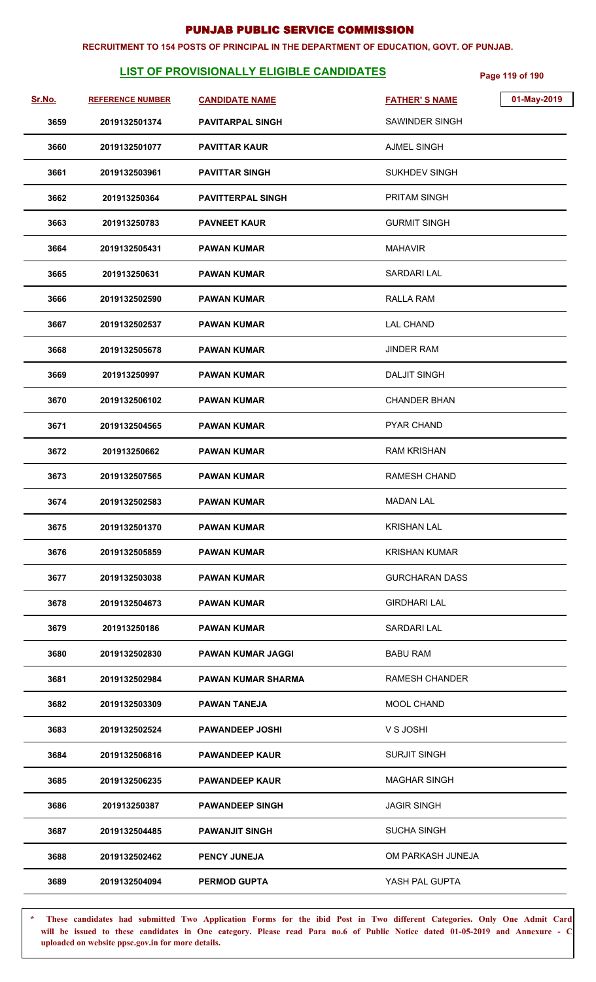#### **RECRUITMENT TO 154 POSTS OF PRINCIPAL IN THE DEPARTMENT OF EDUCATION, GOVT. OF PUNJAB.**

# **LIST OF PROVISIONALLY ELIGIBLE CANDIDATES** Page 119 of 190

| Sr.No. | <b>REFERENCE NUMBER</b> | <b>CANDIDATE NAME</b>     | <b>FATHER'S NAME</b>  | 01-May-2019 |
|--------|-------------------------|---------------------------|-----------------------|-------------|
| 3659   | 2019132501374           | <b>PAVITARPAL SINGH</b>   | SAWINDER SINGH        |             |
| 3660   | 2019132501077           | <b>PAVITTAR KAUR</b>      | <b>AJMEL SINGH</b>    |             |
| 3661   | 2019132503961           | <b>PAVITTAR SINGH</b>     | <b>SUKHDEV SINGH</b>  |             |
| 3662   | 201913250364            | <b>PAVITTERPAL SINGH</b>  | <b>PRITAM SINGH</b>   |             |
| 3663   | 201913250783            | <b>PAVNEET KAUR</b>       | <b>GURMIT SINGH</b>   |             |
| 3664   | 2019132505431           | <b>PAWAN KUMAR</b>        | <b>MAHAVIR</b>        |             |
| 3665   | 201913250631            | <b>PAWAN KUMAR</b>        | <b>SARDARI LAL</b>    |             |
| 3666   | 2019132502590           | <b>PAWAN KUMAR</b>        | RALLA RAM             |             |
| 3667   | 2019132502537           | <b>PAWAN KUMAR</b>        | <b>LAL CHAND</b>      |             |
| 3668   | 2019132505678           | <b>PAWAN KUMAR</b>        | <b>JINDER RAM</b>     |             |
| 3669   | 201913250997            | <b>PAWAN KUMAR</b>        | <b>DALJIT SINGH</b>   |             |
| 3670   | 2019132506102           | <b>PAWAN KUMAR</b>        | <b>CHANDER BHAN</b>   |             |
| 3671   | 2019132504565           | <b>PAWAN KUMAR</b>        | PYAR CHAND            |             |
| 3672   | 201913250662            | <b>PAWAN KUMAR</b>        | <b>RAM KRISHAN</b>    |             |
| 3673   | 2019132507565           | <b>PAWAN KUMAR</b>        | <b>RAMESH CHAND</b>   |             |
| 3674   | 2019132502583           | <b>PAWAN KUMAR</b>        | <b>MADAN LAL</b>      |             |
| 3675   | 2019132501370           | <b>PAWAN KUMAR</b>        | <b>KRISHAN LAL</b>    |             |
| 3676   | 2019132505859           | <b>PAWAN KUMAR</b>        | <b>KRISHAN KUMAR</b>  |             |
| 3677   | 2019132503038           | <b>PAWAN KUMAR</b>        | <b>GURCHARAN DASS</b> |             |
| 3678   | 2019132504673           | <b>PAWAN KUMAR</b>        | <b>GIRDHARI LAL</b>   |             |
| 3679   | 201913250186            | <b>PAWAN KUMAR</b>        | <b>SARDARI LAL</b>    |             |
| 3680   | 2019132502830           | <b>PAWAN KUMAR JAGGI</b>  | <b>BABU RAM</b>       |             |
| 3681   | 2019132502984           | <b>PAWAN KUMAR SHARMA</b> | <b>RAMESH CHANDER</b> |             |
| 3682   | 2019132503309           | <b>PAWAN TANEJA</b>       | MOOL CHAND            |             |
| 3683   | 2019132502524           | <b>PAWANDEEP JOSHI</b>    | V S JOSHI             |             |
| 3684   | 2019132506816           | <b>PAWANDEEP KAUR</b>     | <b>SURJIT SINGH</b>   |             |
| 3685   | 2019132506235           | <b>PAWANDEEP KAUR</b>     | <b>MAGHAR SINGH</b>   |             |
| 3686   | 201913250387            | <b>PAWANDEEP SINGH</b>    | <b>JAGIR SINGH</b>    |             |
| 3687   | 2019132504485           | <b>PAWANJIT SINGH</b>     | <b>SUCHA SINGH</b>    |             |
| 3688   | 2019132502462           | <b>PENCY JUNEJA</b>       | OM PARKASH JUNEJA     |             |
| 3689   | 2019132504094           | <b>PERMOD GUPTA</b>       | YASH PAL GUPTA        |             |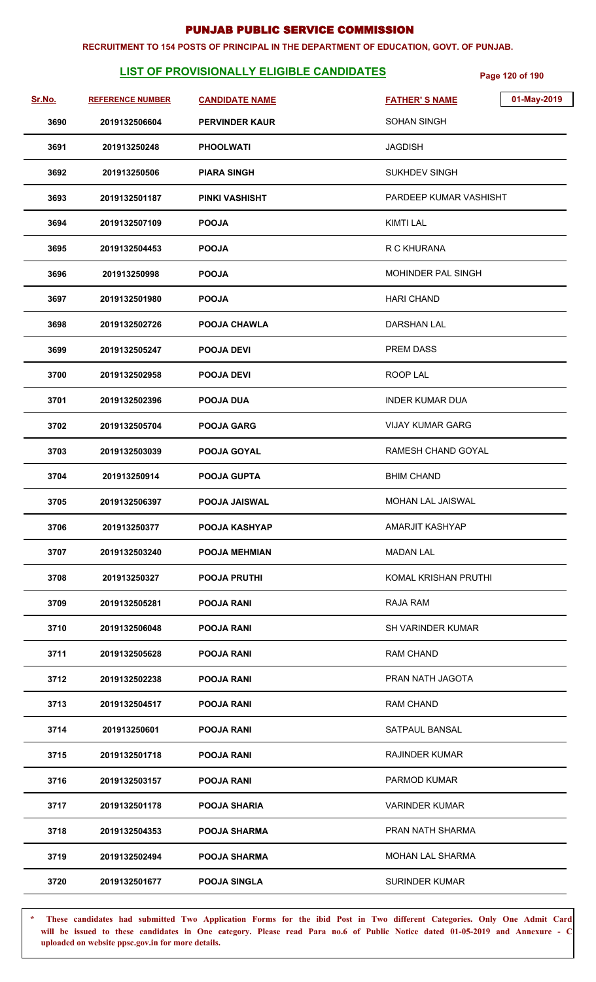#### **RECRUITMENT TO 154 POSTS OF PRINCIPAL IN THE DEPARTMENT OF EDUCATION, GOVT. OF PUNJAB.**

# **LIST OF PROVISIONALLY ELIGIBLE CANDIDATES** Page 120 of 190

| Sr.No. | <b>REFERENCE NUMBER</b> | <b>CANDIDATE NAME</b> | 01-May-2019<br><b>FATHER'S NAME</b> |
|--------|-------------------------|-----------------------|-------------------------------------|
| 3690   | 2019132506604           | <b>PERVINDER KAUR</b> | <b>SOHAN SINGH</b>                  |
| 3691   | 201913250248            | <b>PHOOLWATI</b>      | <b>JAGDISH</b>                      |
| 3692   | 201913250506            | <b>PIARA SINGH</b>    | <b>SUKHDEV SINGH</b>                |
| 3693   | 2019132501187           | <b>PINKI VASHISHT</b> | PARDEEP KUMAR VASHISHT              |
| 3694   | 2019132507109           | <b>POOJA</b>          | <b>KIMTI LAL</b>                    |
| 3695   | 2019132504453           | <b>POOJA</b>          | R C KHURANA                         |
| 3696   | 201913250998            | <b>POOJA</b>          | <b>MOHINDER PAL SINGH</b>           |
| 3697   | 2019132501980           | <b>POOJA</b>          | <b>HARI CHAND</b>                   |
| 3698   | 2019132502726           | <b>POOJA CHAWLA</b>   | <b>DARSHAN LAL</b>                  |
| 3699   | 2019132505247           | <b>POOJA DEVI</b>     | <b>PREM DASS</b>                    |
| 3700   | 2019132502958           | <b>POOJA DEVI</b>     | ROOP LAL                            |
| 3701   | 2019132502396           | <b>POOJA DUA</b>      | <b>INDER KUMAR DUA</b>              |
| 3702   | 2019132505704           | <b>POOJA GARG</b>     | <b>VIJAY KUMAR GARG</b>             |
| 3703   | 2019132503039           | POOJA GOYAL           | RAMESH CHAND GOYAL                  |
| 3704   | 201913250914            | <b>POOJA GUPTA</b>    | <b>BHIM CHAND</b>                   |
| 3705   | 2019132506397           | <b>POOJA JAISWAL</b>  | <b>MOHAN LAL JAISWAL</b>            |
| 3706   | 201913250377            | POOJA KASHYAP         | AMARJIT KASHYAP                     |
| 3707   | 2019132503240           | <b>POOJA MEHMIAN</b>  | <b>MADAN LAL</b>                    |
| 3708   | 201913250327            | <b>POOJA PRUTHI</b>   | KOMAL KRISHAN PRUTHI                |
| 3709   | 2019132505281           | <b>POOJA RANI</b>     | RAJA RAM                            |
| 3710   | 2019132506048           | <b>POOJA RANI</b>     | <b>SH VARINDER KUMAR</b>            |
| 3711   | 2019132505628           | <b>POOJA RANI</b>     | RAM CHAND                           |
| 3712   | 2019132502238           | <b>POOJA RANI</b>     | PRAN NATH JAGOTA                    |
| 3713   | 2019132504517           | <b>POOJA RANI</b>     | <b>RAM CHAND</b>                    |
| 3714   | 201913250601            | <b>POOJA RANI</b>     | SATPAUL BANSAL                      |
| 3715   | 2019132501718           | <b>POOJA RANI</b>     | <b>RAJINDER KUMAR</b>               |
| 3716   | 2019132503157           | <b>POOJA RANI</b>     | PARMOD KUMAR                        |
| 3717   | 2019132501178           | <b>POOJA SHARIA</b>   | <b>VARINDER KUMAR</b>               |
| 3718   | 2019132504353           | <b>POOJA SHARMA</b>   | PRAN NATH SHARMA                    |
| 3719   | 2019132502494           | <b>POOJA SHARMA</b>   | <b>MOHAN LAL SHARMA</b>             |
| 3720   | 2019132501677           | <b>POOJA SINGLA</b>   | <b>SURINDER KUMAR</b>               |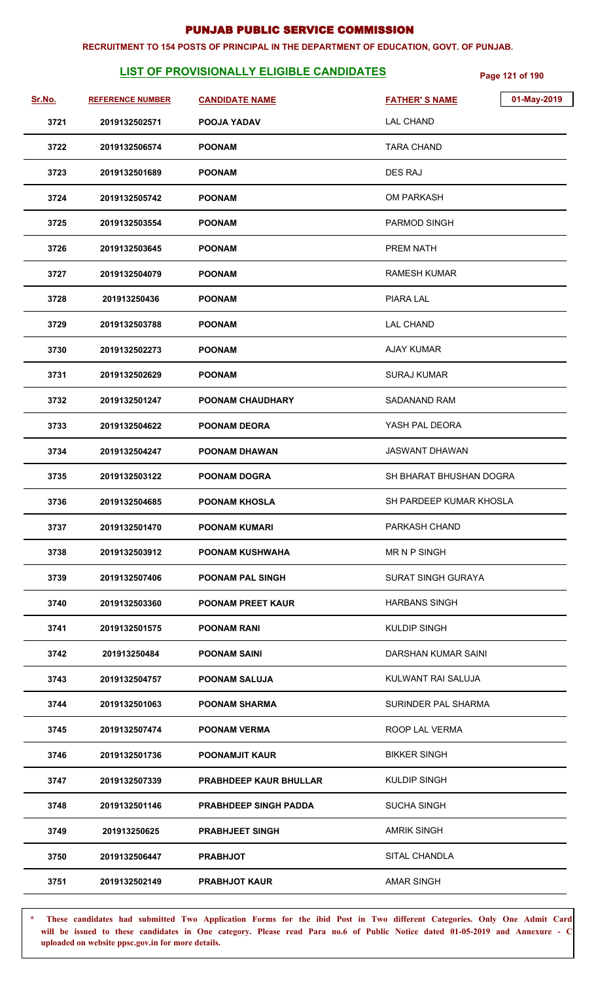#### **RECRUITMENT TO 154 POSTS OF PRINCIPAL IN THE DEPARTMENT OF EDUCATION, GOVT. OF PUNJAB.**

# **LIST OF PROVISIONALLY ELIGIBLE CANDIDATES** Page 121 of 190

| Sr.No. | <b>REFERENCE NUMBER</b> | <b>CANDIDATE NAME</b>         | 01-May-2019<br><b>FATHER'S NAME</b> |
|--------|-------------------------|-------------------------------|-------------------------------------|
| 3721   | 2019132502571           | <b>POOJA YADAV</b>            | <b>LAL CHAND</b>                    |
| 3722   | 2019132506574           | <b>POONAM</b>                 | <b>TARA CHAND</b>                   |
| 3723   | 2019132501689           | <b>POONAM</b>                 | DES RAJ                             |
| 3724   | 2019132505742           | <b>POONAM</b>                 | <b>OM PARKASH</b>                   |
| 3725   | 2019132503554           | <b>POONAM</b>                 | PARMOD SINGH                        |
| 3726   | 2019132503645           | <b>POONAM</b>                 | PREM NATH                           |
| 3727   | 2019132504079           | <b>POONAM</b>                 | RAMESH KUMAR                        |
| 3728   | 201913250436            | <b>POONAM</b>                 | PIARA LAL                           |
| 3729   | 2019132503788           | <b>POONAM</b>                 | <b>LAL CHAND</b>                    |
| 3730   | 2019132502273           | <b>POONAM</b>                 | <b>AJAY KUMAR</b>                   |
| 3731   | 2019132502629           | <b>POONAM</b>                 | <b>SURAJ KUMAR</b>                  |
| 3732   | 2019132501247           | <b>POONAM CHAUDHARY</b>       | <b>SADANAND RAM</b>                 |
| 3733   | 2019132504622           | <b>POONAM DEORA</b>           | YASH PAL DEORA                      |
| 3734   | 2019132504247           | POONAM DHAWAN                 | <b>JASWANT DHAWAN</b>               |
| 3735   | 2019132503122           | <b>POONAM DOGRA</b>           | SH BHARAT BHUSHAN DOGRA             |
| 3736   | 2019132504685           | <b>POONAM KHOSLA</b>          | SH PARDEEP KUMAR KHOSLA             |
| 3737   | 2019132501470           | <b>POONAM KUMARI</b>          | PARKASH CHAND                       |
| 3738   | 2019132503912           | <b>POONAM KUSHWAHA</b>        | MR N P SINGH                        |
| 3739   | 2019132507406           | <b>POONAM PAL SINGH</b>       | <b>SURAT SINGH GURAYA</b>           |
| 3740   | 2019132503360           | <b>POONAM PREET KAUR</b>      | <b>HARBANS SINGH</b>                |
| 3741   | 2019132501575           | <b>POONAM RANI</b>            | <b>KULDIP SINGH</b>                 |
| 3742   | 201913250484            | <b>POONAM SAINI</b>           | DARSHAN KUMAR SAINI                 |
| 3743   | 2019132504757           | <b>POONAM SALUJA</b>          | KULWANT RAI SALUJA                  |
| 3744   | 2019132501063           | <b>POONAM SHARMA</b>          | SURINDER PAL SHARMA                 |
| 3745   | 2019132507474           | <b>POONAM VERMA</b>           | ROOP LAL VERMA                      |
| 3746   | 2019132501736           | <b>POONAMJIT KAUR</b>         | <b>BIKKER SINGH</b>                 |
| 3747   | 2019132507339           | <b>PRABHDEEP KAUR BHULLAR</b> | <b>KULDIP SINGH</b>                 |
| 3748   | 2019132501146           | <b>PRABHDEEP SINGH PADDA</b>  | <b>SUCHA SINGH</b>                  |
| 3749   | 201913250625            | <b>PRABHJEET SINGH</b>        | <b>AMRIK SINGH</b>                  |
| 3750   | 2019132506447           | <b>PRABHJOT</b>               | SITAL CHANDLA                       |
| 3751   | 2019132502149           | <b>PRABHJOT KAUR</b>          | <b>AMAR SINGH</b>                   |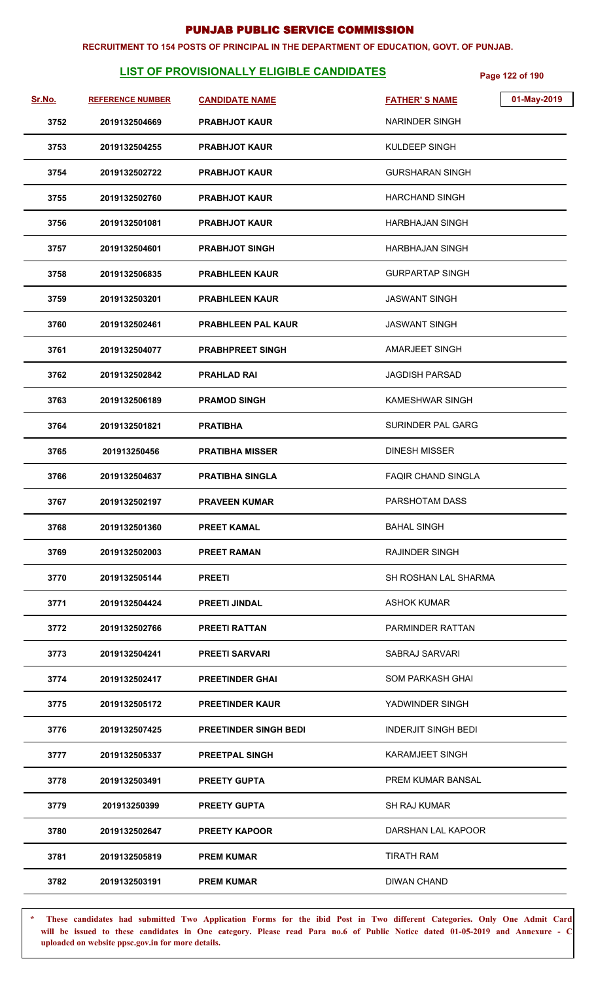#### **RECRUITMENT TO 154 POSTS OF PRINCIPAL IN THE DEPARTMENT OF EDUCATION, GOVT. OF PUNJAB.**

# **LIST OF PROVISIONALLY ELIGIBLE CANDIDATES** Page 122 of 190

| Sr.No. | <b>REFERENCE NUMBER</b> | <b>CANDIDATE NAME</b>        | 01-May-2019<br><b>FATHER'S NAME</b> |
|--------|-------------------------|------------------------------|-------------------------------------|
| 3752   | 2019132504669           | <b>PRABHJOT KAUR</b>         | NARINDER SINGH                      |
| 3753   | 2019132504255           | <b>PRABHJOT KAUR</b>         | KULDEEP SINGH                       |
| 3754   | 2019132502722           | <b>PRABHJOT KAUR</b>         | <b>GURSHARAN SINGH</b>              |
| 3755   | 2019132502760           | <b>PRABHJOT KAUR</b>         | <b>HARCHAND SINGH</b>               |
| 3756   | 2019132501081           | <b>PRABHJOT KAUR</b>         | <b>HARBHAJAN SINGH</b>              |
| 3757   | 2019132504601           | <b>PRABHJOT SINGH</b>        | HARBHAJAN SINGH                     |
| 3758   | 2019132506835           | <b>PRABHLEEN KAUR</b>        | <b>GURPARTAP SINGH</b>              |
| 3759   | 2019132503201           | <b>PRABHLEEN KAUR</b>        | <b>JASWANT SINGH</b>                |
| 3760   | 2019132502461           | <b>PRABHLEEN PAL KAUR</b>    | <b>JASWANT SINGH</b>                |
| 3761   | 2019132504077           | <b>PRABHPREET SINGH</b>      | AMARJEET SINGH                      |
| 3762   | 2019132502842           | <b>PRAHLAD RAI</b>           | <b>JAGDISH PARSAD</b>               |
| 3763   | 2019132506189           | <b>PRAMOD SINGH</b>          | KAMESHWAR SINGH                     |
| 3764   | 2019132501821           | <b>PRATIBHA</b>              | SURINDER PAL GARG                   |
| 3765   | 201913250456            | <b>PRATIBHA MISSER</b>       | <b>DINESH MISSER</b>                |
| 3766   | 2019132504637           | <b>PRATIBHA SINGLA</b>       | <b>FAQIR CHAND SINGLA</b>           |
| 3767   | 2019132502197           | <b>PRAVEEN KUMAR</b>         | PARSHOTAM DASS                      |
| 3768   | 2019132501360           | <b>PREET KAMAL</b>           | <b>BAHAL SINGH</b>                  |
| 3769   | 2019132502003           | <b>PREET RAMAN</b>           | <b>RAJINDER SINGH</b>               |
| 3770   | 2019132505144           | <b>PREETI</b>                | SH ROSHAN LAL SHARMA                |
| 3771   | 2019132504424           | <b>PREETI JINDAL</b>         | <b>ASHOK KUMAR</b>                  |
| 3772   | 2019132502766           | <b>PREETI RATTAN</b>         | PARMINDER RATTAN                    |
| 3773   | 2019132504241           | <b>PREETI SARVARI</b>        | SABRAJ SARVARI                      |
| 3774   | 2019132502417           | <b>PREETINDER GHAI</b>       | SOM PARKASH GHAI                    |
| 3775   | 2019132505172           | <b>PREETINDER KAUR</b>       | YADWINDER SINGH                     |
| 3776   | 2019132507425           | <b>PREETINDER SINGH BEDI</b> | <b>INDERJIT SINGH BEDI</b>          |
| 3777   | 2019132505337           | <b>PREETPAL SINGH</b>        | <b>KARAMJEET SINGH</b>              |
| 3778   | 2019132503491           | <b>PREETY GUPTA</b>          | PREM KUMAR BANSAL                   |
| 3779   | 201913250399            | <b>PREETY GUPTA</b>          | <b>SH RAJ KUMAR</b>                 |
| 3780   | 2019132502647           | <b>PREETY KAPOOR</b>         | DARSHAN LAL KAPOOR                  |
| 3781   | 2019132505819           | <b>PREM KUMAR</b>            | <b>TIRATH RAM</b>                   |
| 3782   | 2019132503191           | <b>PREM KUMAR</b>            | <b>DIWAN CHAND</b>                  |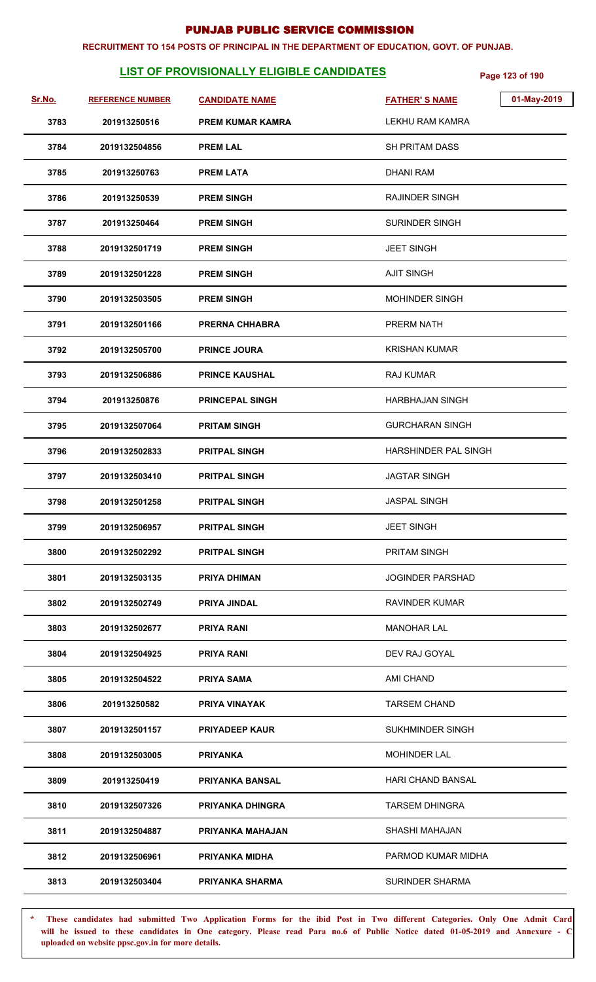#### **RECRUITMENT TO 154 POSTS OF PRINCIPAL IN THE DEPARTMENT OF EDUCATION, GOVT. OF PUNJAB.**

# **LIST OF PROVISIONALLY ELIGIBLE CANDIDATES** Page 123 of 190

| Sr.No. | <b>REFERENCE NUMBER</b> | <b>CANDIDATE NAME</b>   | 01-May-2019<br><b>FATHER'S NAME</b> |
|--------|-------------------------|-------------------------|-------------------------------------|
| 3783   | 201913250516            | <b>PREM KUMAR KAMRA</b> | <b>LEKHU RAM KAMRA</b>              |
| 3784   | 2019132504856           | <b>PREM LAL</b>         | <b>SH PRITAM DASS</b>               |
| 3785   | 201913250763            | <b>PREM LATA</b>        | <b>DHANI RAM</b>                    |
| 3786   | 201913250539            | <b>PREM SINGH</b>       | <b>RAJINDER SINGH</b>               |
| 3787   | 201913250464            | <b>PREM SINGH</b>       | <b>SURINDER SINGH</b>               |
| 3788   | 2019132501719           | <b>PREM SINGH</b>       | <b>JEET SINGH</b>                   |
| 3789   | 2019132501228           | <b>PREM SINGH</b>       | <b>AJIT SINGH</b>                   |
| 3790   | 2019132503505           | <b>PREM SINGH</b>       | MOHINDER SINGH                      |
| 3791   | 2019132501166           | <b>PRERNA CHHABRA</b>   | <b>PRERM NATH</b>                   |
| 3792   | 2019132505700           | <b>PRINCE JOURA</b>     | <b>KRISHAN KUMAR</b>                |
| 3793   | 2019132506886           | <b>PRINCE KAUSHAL</b>   | RAJ KUMAR                           |
| 3794   | 201913250876            | <b>PRINCEPAL SINGH</b>  | <b>HARBHAJAN SINGH</b>              |
| 3795   | 2019132507064           | <b>PRITAM SINGH</b>     | <b>GURCHARAN SINGH</b>              |
| 3796   | 2019132502833           | <b>PRITPAL SINGH</b>    | HARSHINDER PAL SINGH                |
| 3797   | 2019132503410           | <b>PRITPAL SINGH</b>    | <b>JAGTAR SINGH</b>                 |
| 3798   | 2019132501258           | <b>PRITPAL SINGH</b>    | <b>JASPAL SINGH</b>                 |
| 3799   | 2019132506957           | <b>PRITPAL SINGH</b>    | <b>JEET SINGH</b>                   |
| 3800   | 2019132502292           | <b>PRITPAL SINGH</b>    | <b>PRITAM SINGH</b>                 |
| 3801   | 2019132503135           | <b>PRIYA DHIMAN</b>     | <b>JOGINDER PARSHAD</b>             |
| 3802   | 2019132502749           | <b>PRIYA JINDAL</b>     | RAVINDER KUMAR                      |
| 3803   | 2019132502677           | PRIYA RANI              | <b>MANOHAR LAL</b>                  |
| 3804   | 2019132504925           | <b>PRIYA RANI</b>       | DEV RAJ GOYAL                       |
| 3805   | 2019132504522           | <b>PRIYA SAMA</b>       | AMI CHAND                           |
| 3806   | 201913250582            | <b>PRIYA VINAYAK</b>    | <b>TARSEM CHAND</b>                 |
| 3807   | 2019132501157           | <b>PRIYADEEP KAUR</b>   | SUKHMINDER SINGH                    |
| 3808   | 2019132503005           | <b>PRIYANKA</b>         | <b>MOHINDER LAL</b>                 |
| 3809   | 201913250419            | <b>PRIYANKA BANSAL</b>  | HARI CHAND BANSAL                   |
| 3810   | 2019132507326           | <b>PRIYANKA DHINGRA</b> | <b>TARSEM DHINGRA</b>               |
| 3811   | 2019132504887           | PRIYANKA MAHAJAN        | SHASHI MAHAJAN                      |
| 3812   | 2019132506961           | <b>PRIYANKA MIDHA</b>   | PARMOD KUMAR MIDHA                  |
| 3813   | 2019132503404           | <b>PRIYANKA SHARMA</b>  | <b>SURINDER SHARMA</b>              |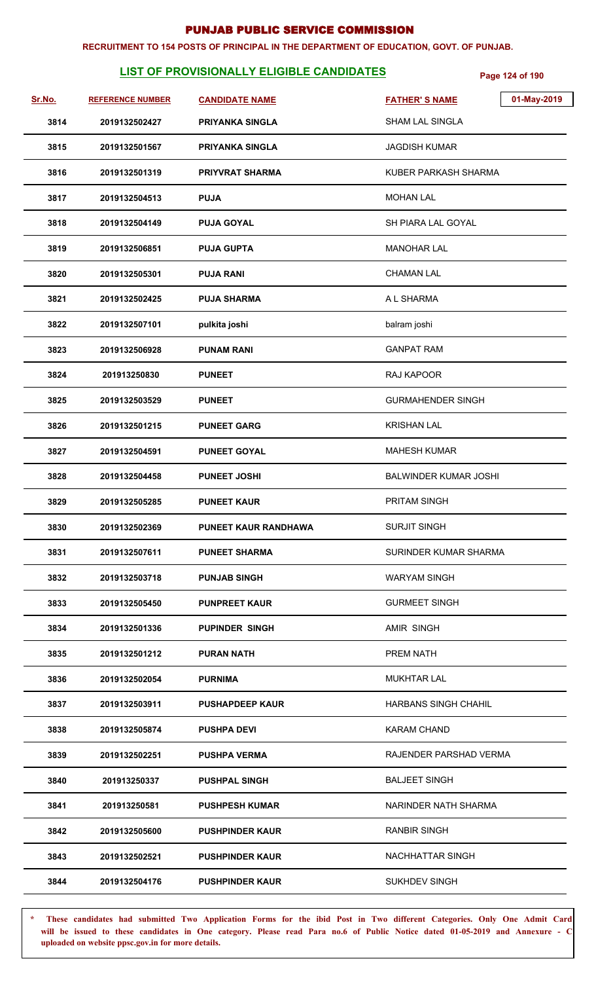#### **RECRUITMENT TO 154 POSTS OF PRINCIPAL IN THE DEPARTMENT OF EDUCATION, GOVT. OF PUNJAB.**

# **LIST OF PROVISIONALLY ELIGIBLE CANDIDATES** Page 124 of 190

| <u>Sr.No.</u> | <b>REFERENCE NUMBER</b> | <b>CANDIDATE NAME</b>       | 01-May-2019<br><b>FATHER'S NAME</b> |
|---------------|-------------------------|-----------------------------|-------------------------------------|
| 3814          | 2019132502427           | <b>PRIYANKA SINGLA</b>      | <b>SHAM LAL SINGLA</b>              |
| 3815          | 2019132501567           | <b>PRIYANKA SINGLA</b>      | <b>JAGDISH KUMAR</b>                |
| 3816          | 2019132501319           | <b>PRIYVRAT SHARMA</b>      | KUBER PARKASH SHARMA                |
| 3817          | 2019132504513           | <b>PUJA</b>                 | <b>MOHAN LAL</b>                    |
| 3818          | 2019132504149           | <b>PUJA GOYAL</b>           | SH PIARA LAL GOYAL                  |
| 3819          | 2019132506851           | <b>PUJA GUPTA</b>           | <b>MANOHAR LAL</b>                  |
| 3820          | 2019132505301           | <b>PUJA RANI</b>            | <b>CHAMAN LAL</b>                   |
| 3821          | 2019132502425           | <b>PUJA SHARMA</b>          | A L SHARMA                          |
| 3822          | 2019132507101           | pulkita joshi               | balram joshi                        |
| 3823          | 2019132506928           | <b>PUNAM RANI</b>           | <b>GANPAT RAM</b>                   |
| 3824          | 201913250830            | <b>PUNEET</b>               | RAJ KAPOOR                          |
| 3825          | 2019132503529           | <b>PUNEET</b>               | <b>GURMAHENDER SINGH</b>            |
| 3826          | 2019132501215           | <b>PUNEET GARG</b>          | <b>KRISHAN LAL</b>                  |
| 3827          | 2019132504591           | <b>PUNEET GOYAL</b>         | <b>MAHESH KUMAR</b>                 |
| 3828          | 2019132504458           | <b>PUNEET JOSHI</b>         | <b>BALWINDER KUMAR JOSHI</b>        |
| 3829          | 2019132505285           | <b>PUNEET KAUR</b>          | PRITAM SINGH                        |
| 3830          | 2019132502369           | <b>PUNEET KAUR RANDHAWA</b> | <b>SURJIT SINGH</b>                 |
| 3831          | 2019132507611           | <b>PUNEET SHARMA</b>        | SURINDER KUMAR SHARMA               |
| 3832          | 2019132503718           | <b>PUNJAB SINGH</b>         | <b>WARYAM SINGH</b>                 |
| 3833          | 2019132505450           | <b>PUNPREET KAUR</b>        | <b>GURMEET SINGH</b>                |
| 3834          | 2019132501336           | <b>PUPINDER SINGH</b>       | AMIR SINGH                          |
| 3835          | 2019132501212           | <b>PURAN NATH</b>           | PREM NATH                           |
| 3836          | 2019132502054           | <b>PURNIMA</b>              | <b>MUKHTAR LAL</b>                  |
| 3837          | 2019132503911           | <b>PUSHAPDEEP KAUR</b>      | <b>HARBANS SINGH CHAHIL</b>         |
| 3838          | 2019132505874           | <b>PUSHPA DEVI</b>          | <b>KARAM CHAND</b>                  |
| 3839          | 2019132502251           | <b>PUSHPA VERMA</b>         | RAJENDER PARSHAD VERMA              |
| 3840          | 201913250337            | <b>PUSHPAL SINGH</b>        | <b>BALJEET SINGH</b>                |
| 3841          | 201913250581            | <b>PUSHPESH KUMAR</b>       | NARINDER NATH SHARMA                |
| 3842          | 2019132505600           | <b>PUSHPINDER KAUR</b>      | <b>RANBIR SINGH</b>                 |
| 3843          | 2019132502521           | <b>PUSHPINDER KAUR</b>      | NACHHATTAR SINGH                    |
| 3844          | 2019132504176           | <b>PUSHPINDER KAUR</b>      | <b>SUKHDEV SINGH</b>                |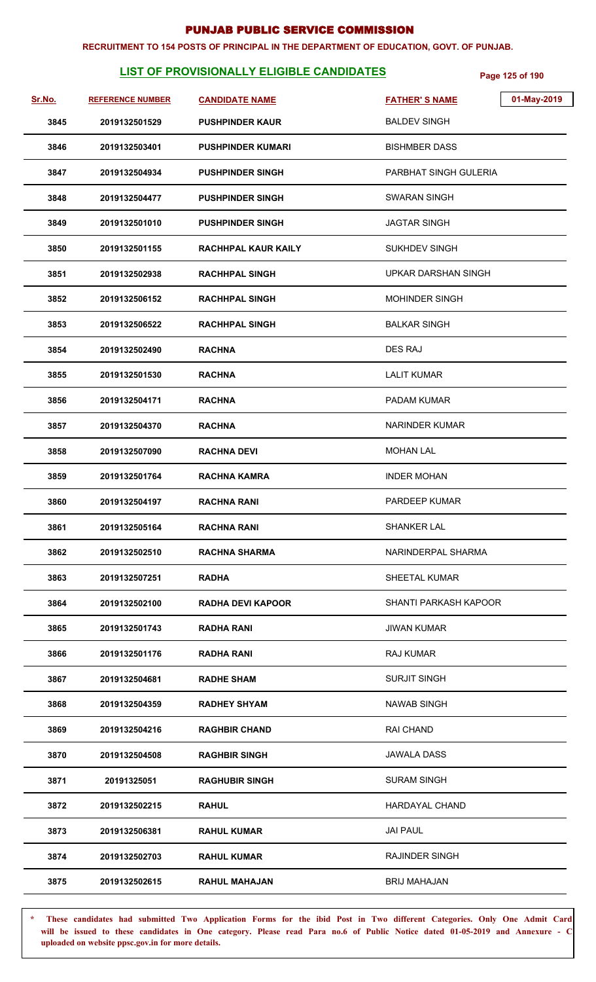#### **RECRUITMENT TO 154 POSTS OF PRINCIPAL IN THE DEPARTMENT OF EDUCATION, GOVT. OF PUNJAB.**

# **LIST OF PROVISIONALLY ELIGIBLE CANDIDATES** Page 125 of 190

| <u>Sr.No.</u> | <b>REFERENCE NUMBER</b> | <b>CANDIDATE NAME</b>    | 01-May-2019<br><b>FATHER'S NAME</b> |
|---------------|-------------------------|--------------------------|-------------------------------------|
| 3845          | 2019132501529           | <b>PUSHPINDER KAUR</b>   | <b>BALDEV SINGH</b>                 |
| 3846          | 2019132503401           | <b>PUSHPINDER KUMARI</b> | <b>BISHMBER DASS</b>                |
| 3847          | 2019132504934           | <b>PUSHPINDER SINGH</b>  | PARBHAT SINGH GULERIA               |
| 3848          | 2019132504477           | <b>PUSHPINDER SINGH</b>  | SWARAN SINGH                        |
| 3849          | 2019132501010           | <b>PUSHPINDER SINGH</b>  | <b>JAGTAR SINGH</b>                 |
| 3850          | 2019132501155           | RACHHPAL KAUR KAILY      | <b>SUKHDEV SINGH</b>                |
| 3851          | 2019132502938           | <b>RACHHPAL SINGH</b>    | UPKAR DARSHAN SINGH                 |
| 3852          | 2019132506152           | <b>RACHHPAL SINGH</b>    | MOHINDER SINGH                      |
| 3853          | 2019132506522           | <b>RACHHPAL SINGH</b>    | <b>BALKAR SINGH</b>                 |
| 3854          | 2019132502490           | <b>RACHNA</b>            | DES RAJ                             |
| 3855          | 2019132501530           | <b>RACHNA</b>            | <b>LALIT KUMAR</b>                  |
| 3856          | 2019132504171           | <b>RACHNA</b>            | PADAM KUMAR                         |
| 3857          | 2019132504370           | <b>RACHNA</b>            | NARINDER KUMAR                      |
| 3858          | 2019132507090           | <b>RACHNA DEVI</b>       | <b>MOHAN LAL</b>                    |
| 3859          | 2019132501764           | <b>RACHNA KAMRA</b>      | <b>INDER MOHAN</b>                  |
| 3860          | 2019132504197           | <b>RACHNA RANI</b>       | <b>PARDEEP KUMAR</b>                |
| 3861          | 2019132505164           | <b>RACHNA RANI</b>       | SHANKER LAL                         |
| 3862          | 2019132502510           | <b>RACHNA SHARMA</b>     | NARINDERPAL SHARMA                  |
| 3863          | 2019132507251           | <b>RADHA</b>             | SHEETAL KUMAR                       |
| 3864          | 2019132502100           | <b>RADHA DEVI KAPOOR</b> | SHANTI PARKASH KAPOOR               |
| 3865          | 2019132501743           | <b>RADHA RANI</b>        | <b>JIWAN KUMAR</b>                  |
| 3866          | 2019132501176           | <b>RADHA RANI</b>        | RAJ KUMAR                           |
| 3867          | 2019132504681           | <b>RADHE SHAM</b>        | <b>SURJIT SINGH</b>                 |
| 3868          | 2019132504359           | <b>RADHEY SHYAM</b>      | NAWAB SINGH                         |
| 3869          | 2019132504216           | <b>RAGHBIR CHAND</b>     | <b>RAI CHAND</b>                    |
| 3870          | 2019132504508           | <b>RAGHBIR SINGH</b>     | <b>JAWALA DASS</b>                  |
| 3871          | 20191325051             | <b>RAGHUBIR SINGH</b>    | <b>SURAM SINGH</b>                  |
| 3872          | 2019132502215           | <b>RAHUL</b>             | HARDAYAL CHAND                      |
| 3873          | 2019132506381           | <b>RAHUL KUMAR</b>       | <b>JAI PAUL</b>                     |
| 3874          | 2019132502703           | <b>RAHUL KUMAR</b>       | <b>RAJINDER SINGH</b>               |
| 3875          | 2019132502615           | <b>RAHUL MAHAJAN</b>     | <b>BRIJ MAHAJAN</b>                 |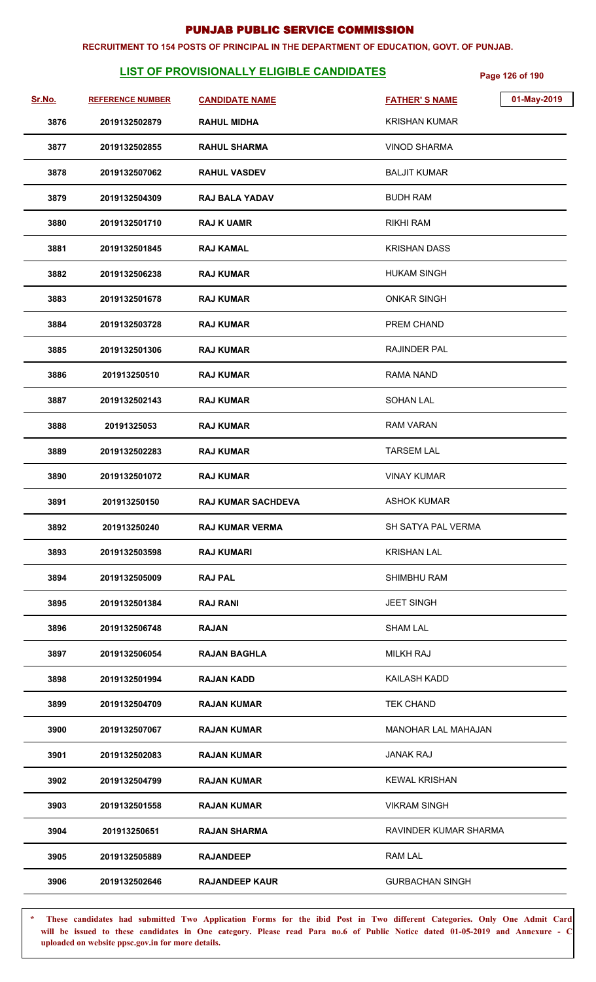#### **RECRUITMENT TO 154 POSTS OF PRINCIPAL IN THE DEPARTMENT OF EDUCATION, GOVT. OF PUNJAB.**

# **LIST OF PROVISIONALLY ELIGIBLE CANDIDATES** Page 126 of 190

| Sr.No. | <b>REFERENCE NUMBER</b> | <b>CANDIDATE NAME</b>     | <b>FATHER'S NAME</b>       | 01-May-2019 |
|--------|-------------------------|---------------------------|----------------------------|-------------|
| 3876   | 2019132502879           | <b>RAHUL MIDHA</b>        | <b>KRISHAN KUMAR</b>       |             |
| 3877   | 2019132502855           | <b>RAHUL SHARMA</b>       | <b>VINOD SHARMA</b>        |             |
| 3878   | 2019132507062           | <b>RAHUL VASDEV</b>       | <b>BALJIT KUMAR</b>        |             |
| 3879   | 2019132504309           | <b>RAJ BALA YADAV</b>     | <b>BUDH RAM</b>            |             |
| 3880   | 2019132501710           | <b>RAJ K UAMR</b>         | <b>RIKHI RAM</b>           |             |
| 3881   | 2019132501845           | <b>RAJ KAMAL</b>          | <b>KRISHAN DASS</b>        |             |
| 3882   | 2019132506238           | <b>RAJ KUMAR</b>          | <b>HUKAM SINGH</b>         |             |
| 3883   | 2019132501678           | <b>RAJ KUMAR</b>          | <b>ONKAR SINGH</b>         |             |
| 3884   | 2019132503728           | <b>RAJ KUMAR</b>          | PREM CHAND                 |             |
| 3885   | 2019132501306           | <b>RAJ KUMAR</b>          | <b>RAJINDER PAL</b>        |             |
| 3886   | 201913250510            | <b>RAJ KUMAR</b>          | <b>RAMA NAND</b>           |             |
| 3887   | 2019132502143           | <b>RAJ KUMAR</b>          | <b>SOHAN LAL</b>           |             |
| 3888   | 20191325053             | <b>RAJ KUMAR</b>          | <b>RAM VARAN</b>           |             |
| 3889   | 2019132502283           | <b>RAJ KUMAR</b>          | <b>TARSEM LAL</b>          |             |
| 3890   | 2019132501072           | <b>RAJ KUMAR</b>          | <b>VINAY KUMAR</b>         |             |
| 3891   | 201913250150            | <b>RAJ KUMAR SACHDEVA</b> | <b>ASHOK KUMAR</b>         |             |
| 3892   | 201913250240            | <b>RAJ KUMAR VERMA</b>    | SH SATYA PAL VERMA         |             |
| 3893   | 2019132503598           | <b>RAJ KUMARI</b>         | <b>KRISHAN LAL</b>         |             |
| 3894   | 2019132505009           | <b>RAJ PAL</b>            | <b>SHIMBHU RAM</b>         |             |
| 3895   | 2019132501384           | <b>RAJ RANI</b>           | <b>JEET SINGH</b>          |             |
| 3896   | 2019132506748           | <b>RAJAN</b>              | <b>SHAM LAL</b>            |             |
| 3897   | 2019132506054           | <b>RAJAN BAGHLA</b>       | <b>MILKH RAJ</b>           |             |
| 3898   | 2019132501994           | <b>RAJAN KADD</b>         | KAILASH KADD               |             |
| 3899   | 2019132504709           | <b>RAJAN KUMAR</b>        | <b>TEK CHAND</b>           |             |
| 3900   | 2019132507067           | <b>RAJAN KUMAR</b>        | <b>MANOHAR LAL MAHAJAN</b> |             |
| 3901   | 2019132502083           | <b>RAJAN KUMAR</b>        | JANAK RAJ                  |             |
| 3902   | 2019132504799           | <b>RAJAN KUMAR</b>        | <b>KEWAL KRISHAN</b>       |             |
| 3903   | 2019132501558           | <b>RAJAN KUMAR</b>        | <b>VIKRAM SINGH</b>        |             |
| 3904   | 201913250651            | <b>RAJAN SHARMA</b>       | RAVINDER KUMAR SHARMA      |             |
| 3905   | 2019132505889           | <b>RAJANDEEP</b>          | <b>RAM LAL</b>             |             |
| 3906   | 2019132502646           | <b>RAJANDEEP KAUR</b>     | <b>GURBACHAN SINGH</b>     |             |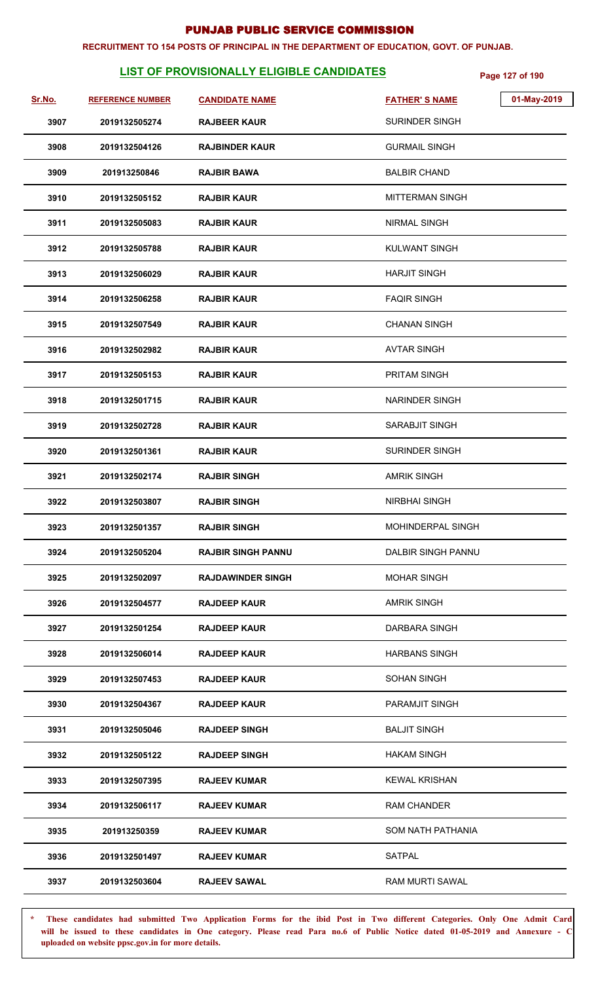#### **RECRUITMENT TO 154 POSTS OF PRINCIPAL IN THE DEPARTMENT OF EDUCATION, GOVT. OF PUNJAB.**

# **LIST OF PROVISIONALLY ELIGIBLE CANDIDATES** Page 127 of 190

| Sr.No. | <b>REFERENCE NUMBER</b> | <b>CANDIDATE NAME</b>     | 01-May-2019<br><b>FATHER'S NAME</b> |  |
|--------|-------------------------|---------------------------|-------------------------------------|--|
| 3907   | 2019132505274           | <b>RAJBEER KAUR</b>       | <b>SURINDER SINGH</b>               |  |
| 3908   | 2019132504126           | <b>RAJBINDER KAUR</b>     | <b>GURMAIL SINGH</b>                |  |
| 3909   | 201913250846            | <b>RAJBIR BAWA</b>        | <b>BALBIR CHAND</b>                 |  |
| 3910   | 2019132505152           | <b>RAJBIR KAUR</b>        | <b>MITTERMAN SINGH</b>              |  |
| 3911   | 2019132505083           | <b>RAJBIR KAUR</b>        | <b>NIRMAL SINGH</b>                 |  |
| 3912   | 2019132505788           | <b>RAJBIR KAUR</b>        | <b>KULWANT SINGH</b>                |  |
| 3913   | 2019132506029           | <b>RAJBIR KAUR</b>        | <b>HARJIT SINGH</b>                 |  |
| 3914   | 2019132506258           | <b>RAJBIR KAUR</b>        | <b>FAQIR SINGH</b>                  |  |
| 3915   | 2019132507549           | <b>RAJBIR KAUR</b>        | <b>CHANAN SINGH</b>                 |  |
| 3916   | 2019132502982           | <b>RAJBIR KAUR</b>        | <b>AVTAR SINGH</b>                  |  |
| 3917   | 2019132505153           | <b>RAJBIR KAUR</b>        | PRITAM SINGH                        |  |
| 3918   | 2019132501715           | <b>RAJBIR KAUR</b>        | NARINDER SINGH                      |  |
| 3919   | 2019132502728           | <b>RAJBIR KAUR</b>        | SARABJIT SINGH                      |  |
| 3920   | 2019132501361           | <b>RAJBIR KAUR</b>        | <b>SURINDER SINGH</b>               |  |
| 3921   | 2019132502174           | <b>RAJBIR SINGH</b>       | <b>AMRIK SINGH</b>                  |  |
| 3922   | 2019132503807           | <b>RAJBIR SINGH</b>       | <b>NIRBHAI SINGH</b>                |  |
| 3923   | 2019132501357           | <b>RAJBIR SINGH</b>       | MOHINDERPAL SINGH                   |  |
| 3924   | 2019132505204           | <b>RAJBIR SINGH PANNU</b> | DALBIR SINGH PANNU                  |  |
| 3925   | 2019132502097           | <b>RAJDAWINDER SINGH</b>  | <b>MOHAR SINGH</b>                  |  |
| 3926   | 2019132504577           | <b>RAJDEEP KAUR</b>       | <b>AMRIK SINGH</b>                  |  |
| 3927   | 2019132501254           | <b>RAJDEEP KAUR</b>       | DARBARA SINGH                       |  |
| 3928   | 2019132506014           | <b>RAJDEEP KAUR</b>       | <b>HARBANS SINGH</b>                |  |
| 3929   | 2019132507453           | <b>RAJDEEP KAUR</b>       | <b>SOHAN SINGH</b>                  |  |
| 3930   | 2019132504367           | <b>RAJDEEP KAUR</b>       | <b>PARAMJIT SINGH</b>               |  |
| 3931   | 2019132505046           | <b>RAJDEEP SINGH</b>      | <b>BALJIT SINGH</b>                 |  |
| 3932   | 2019132505122           | <b>RAJDEEP SINGH</b>      | <b>HAKAM SINGH</b>                  |  |
| 3933   | 2019132507395           | <b>RAJEEV KUMAR</b>       | <b>KEWAL KRISHAN</b>                |  |
| 3934   | 2019132506117           | <b>RAJEEV KUMAR</b>       | <b>RAM CHANDER</b>                  |  |
| 3935   | 201913250359            | <b>RAJEEV KUMAR</b>       | SOM NATH PATHANIA                   |  |
| 3936   | 2019132501497           | <b>RAJEEV KUMAR</b>       | <b>SATPAL</b>                       |  |
| 3937   | 2019132503604           | <b>RAJEEV SAWAL</b>       | <b>RAM MURTI SAWAL</b>              |  |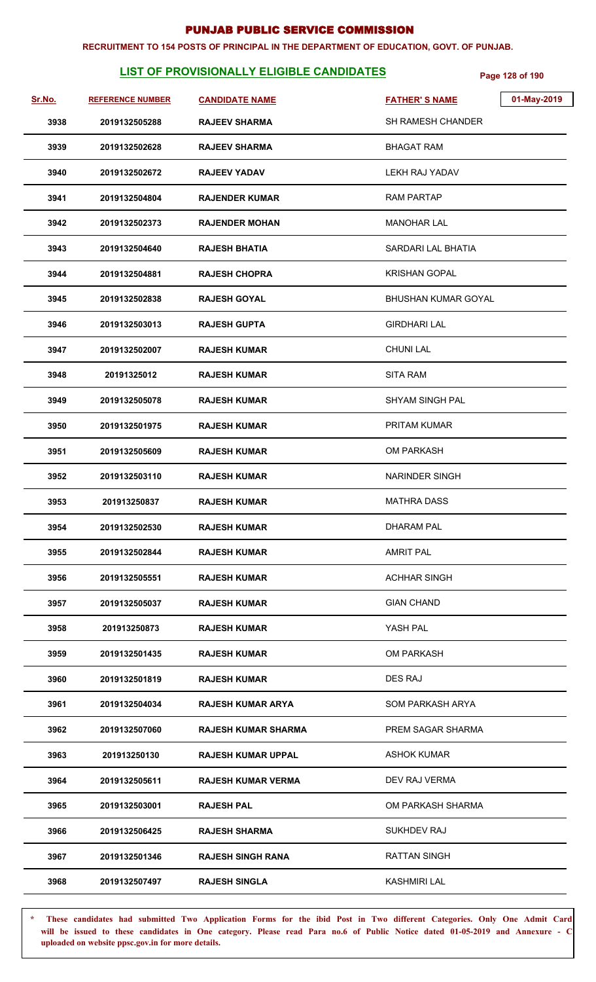#### **RECRUITMENT TO 154 POSTS OF PRINCIPAL IN THE DEPARTMENT OF EDUCATION, GOVT. OF PUNJAB.**

# **LIST OF PROVISIONALLY ELIGIBLE CANDIDATES** Page 128 of 190

| <u>Sr.No.</u> | <b>REFERENCE NUMBER</b> | <b>CANDIDATE NAME</b>      | 01-May-2019<br><b>FATHER'S NAME</b> |
|---------------|-------------------------|----------------------------|-------------------------------------|
| 3938          | 2019132505288           | <b>RAJEEV SHARMA</b>       | SH RAMESH CHANDER                   |
| 3939          | 2019132502628           | <b>RAJEEV SHARMA</b>       | <b>BHAGAT RAM</b>                   |
| 3940          | 2019132502672           | <b>RAJEEV YADAV</b>        | LEKH RAJ YADAV                      |
| 3941          | 2019132504804           | <b>RAJENDER KUMAR</b>      | <b>RAM PARTAP</b>                   |
| 3942          | 2019132502373           | <b>RAJENDER MOHAN</b>      | <b>MANOHAR LAL</b>                  |
| 3943          | 2019132504640           | <b>RAJESH BHATIA</b>       | SARDARI LAL BHATIA                  |
| 3944          | 2019132504881           | <b>RAJESH CHOPRA</b>       | <b>KRISHAN GOPAL</b>                |
| 3945          | 2019132502838           | <b>RAJESH GOYAL</b>        | BHUSHAN KUMAR GOYAL                 |
| 3946          | 2019132503013           | <b>RAJESH GUPTA</b>        | <b>GIRDHARI LAL</b>                 |
| 3947          | 2019132502007           | <b>RAJESH KUMAR</b>        | <b>CHUNI LAL</b>                    |
| 3948          | 20191325012             | <b>RAJESH KUMAR</b>        | <b>SITA RAM</b>                     |
| 3949          | 2019132505078           | <b>RAJESH KUMAR</b>        | <b>SHYAM SINGH PAL</b>              |
| 3950          | 2019132501975           | <b>RAJESH KUMAR</b>        | PRITAM KUMAR                        |
| 3951          | 2019132505609           | <b>RAJESH KUMAR</b>        | <b>OM PARKASH</b>                   |
| 3952          | 2019132503110           | <b>RAJESH KUMAR</b>        | <b>NARINDER SINGH</b>               |
| 3953          | 201913250837            | <b>RAJESH KUMAR</b>        | <b>MATHRA DASS</b>                  |
| 3954          | 2019132502530           | <b>RAJESH KUMAR</b>        | <b>DHARAM PAL</b>                   |
| 3955          | 2019132502844           | <b>RAJESH KUMAR</b>        | <b>AMRIT PAL</b>                    |
| 3956          | 2019132505551           | <b>RAJESH KUMAR</b>        | <b>ACHHAR SINGH</b>                 |
| 3957          | 2019132505037           | <b>RAJESH KUMAR</b>        | <b>GIAN CHAND</b>                   |
| 3958          | 201913250873            | <b>RAJESH KUMAR</b>        | YASH PAL                            |
| 3959          | 2019132501435           | <b>RAJESH KUMAR</b>        | <b>OM PARKASH</b>                   |
| 3960          | 2019132501819           | <b>RAJESH KUMAR</b>        | <b>DES RAJ</b>                      |
| 3961          | 2019132504034           | <b>RAJESH KUMAR ARYA</b>   | SOM PARKASH ARYA                    |
| 3962          | 2019132507060           | <b>RAJESH KUMAR SHARMA</b> | PREM SAGAR SHARMA                   |
| 3963          | 201913250130            | <b>RAJESH KUMAR UPPAL</b>  | ASHOK KUMAR                         |
| 3964          | 2019132505611           | <b>RAJESH KUMAR VERMA</b>  | DEV RAJ VERMA                       |
| 3965          | 2019132503001           | <b>RAJESH PAL</b>          | OM PARKASH SHARMA                   |
| 3966          | 2019132506425           | <b>RAJESH SHARMA</b>       | <b>SUKHDEV RAJ</b>                  |
| 3967          | 2019132501346           | <b>RAJESH SINGH RANA</b>   | <b>RATTAN SINGH</b>                 |
| 3968          | 2019132507497           | <b>RAJESH SINGLA</b>       | <b>KASHMIRI LAL</b>                 |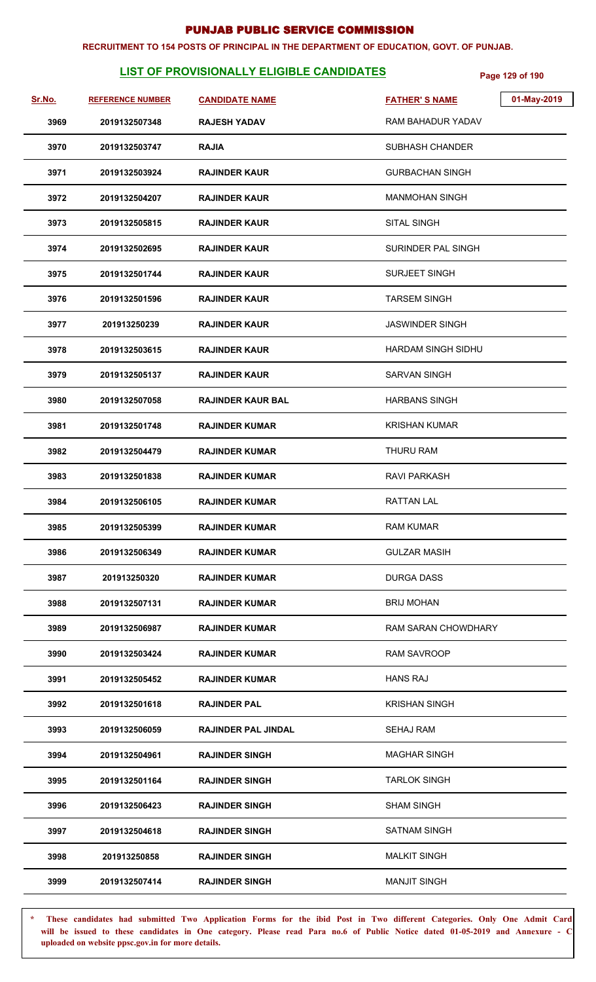#### **RECRUITMENT TO 154 POSTS OF PRINCIPAL IN THE DEPARTMENT OF EDUCATION, GOVT. OF PUNJAB.**

# **LIST OF PROVISIONALLY ELIGIBLE CANDIDATES** Page 129 of 190

| <u>Sr.No.</u> | <b>REFERENCE NUMBER</b> | <b>CANDIDATE NAME</b>      | 01-May-2019<br><b>FATHER'S NAME</b> |
|---------------|-------------------------|----------------------------|-------------------------------------|
| 3969          | 2019132507348           | <b>RAJESH YADAV</b>        | RAM BAHADUR YADAV                   |
| 3970          | 2019132503747           | <b>RAJIA</b>               | <b>SUBHASH CHANDER</b>              |
| 3971          | 2019132503924           | <b>RAJINDER KAUR</b>       | <b>GURBACHAN SINGH</b>              |
| 3972          | 2019132504207           | <b>RAJINDER KAUR</b>       | <b>MANMOHAN SINGH</b>               |
| 3973          | 2019132505815           | <b>RAJINDER KAUR</b>       | <b>SITAL SINGH</b>                  |
| 3974          | 2019132502695           | <b>RAJINDER KAUR</b>       | SURINDER PAL SINGH                  |
| 3975          | 2019132501744           | <b>RAJINDER KAUR</b>       | <b>SURJEET SINGH</b>                |
| 3976          | 2019132501596           | <b>RAJINDER KAUR</b>       | <b>TARSEM SINGH</b>                 |
| 3977          | 201913250239            | <b>RAJINDER KAUR</b>       | <b>JASWINDER SINGH</b>              |
| 3978          | 2019132503615           | <b>RAJINDER KAUR</b>       | HARDAM SINGH SIDHU                  |
| 3979          | 2019132505137           | <b>RAJINDER KAUR</b>       | <b>SARVAN SINGH</b>                 |
| 3980          | 2019132507058           | <b>RAJINDER KAUR BAL</b>   | <b>HARBANS SINGH</b>                |
| 3981          | 2019132501748           | <b>RAJINDER KUMAR</b>      | <b>KRISHAN KUMAR</b>                |
| 3982          | 2019132504479           | <b>RAJINDER KUMAR</b>      | THURU RAM                           |
| 3983          | 2019132501838           | <b>RAJINDER KUMAR</b>      | <b>RAVI PARKASH</b>                 |
| 3984          | 2019132506105           | <b>RAJINDER KUMAR</b>      | <b>RATTAN LAL</b>                   |
| 3985          | 2019132505399           | <b>RAJINDER KUMAR</b>      | <b>RAM KUMAR</b>                    |
| 3986          | 2019132506349           | <b>RAJINDER KUMAR</b>      | <b>GULZAR MASIH</b>                 |
| 3987          | 201913250320            | <b>RAJINDER KUMAR</b>      | <b>DURGA DASS</b>                   |
| 3988          | 2019132507131           | <b>RAJINDER KUMAR</b>      | <b>BRIJ MOHAN</b>                   |
| 3989          | 2019132506987           | <b>RAJINDER KUMAR</b>      | <b>RAM SARAN CHOWDHARY</b>          |
| 3990          | 2019132503424           | <b>RAJINDER KUMAR</b>      | <b>RAM SAVROOP</b>                  |
| 3991          | 2019132505452           | <b>RAJINDER KUMAR</b>      | <b>HANS RAJ</b>                     |
| 3992          | 2019132501618           | <b>RAJINDER PAL</b>        | <b>KRISHAN SINGH</b>                |
| 3993          | 2019132506059           | <b>RAJINDER PAL JINDAL</b> | <b>SEHAJ RAM</b>                    |
| 3994          | 2019132504961           | <b>RAJINDER SINGH</b>      | <b>MAGHAR SINGH</b>                 |
| 3995          | 2019132501164           | <b>RAJINDER SINGH</b>      | <b>TARLOK SINGH</b>                 |
| 3996          | 2019132506423           | <b>RAJINDER SINGH</b>      | <b>SHAM SINGH</b>                   |
| 3997          | 2019132504618           | <b>RAJINDER SINGH</b>      | <b>SATNAM SINGH</b>                 |
| 3998          | 201913250858            | <b>RAJINDER SINGH</b>      | <b>MALKIT SINGH</b>                 |
| 3999          | 2019132507414           | <b>RAJINDER SINGH</b>      | <b>MANJIT SINGH</b>                 |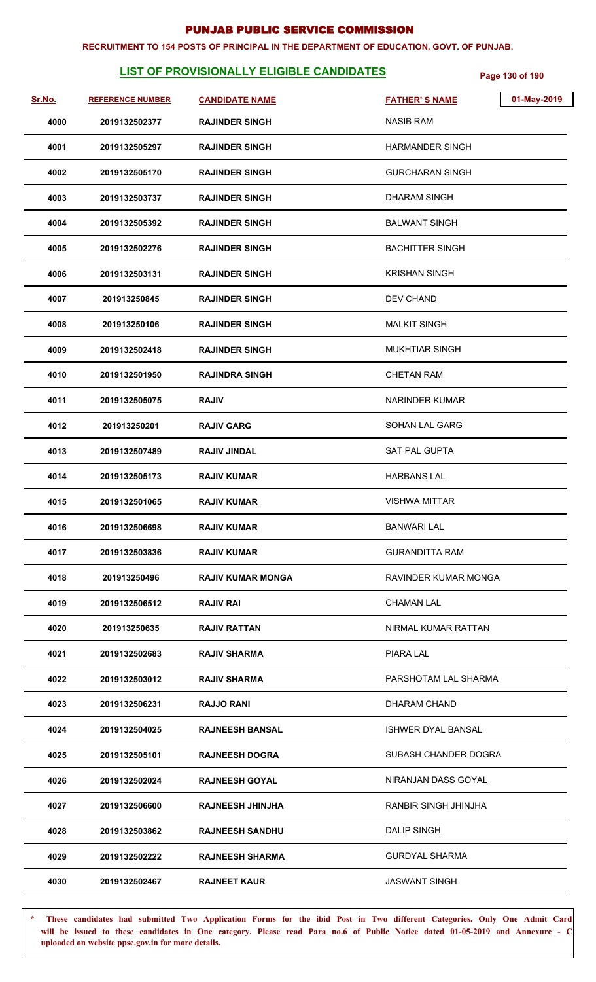#### **RECRUITMENT TO 154 POSTS OF PRINCIPAL IN THE DEPARTMENT OF EDUCATION, GOVT. OF PUNJAB.**

# **LIST OF PROVISIONALLY ELIGIBLE CANDIDATES** Page 130 of 190

| Sr.No. | <b>REFERENCE NUMBER</b> | <b>CANDIDATE NAME</b>    | 01-May-2019<br><b>FATHER'S NAME</b> |
|--------|-------------------------|--------------------------|-------------------------------------|
| 4000   | 2019132502377           | <b>RAJINDER SINGH</b>    | <b>NASIB RAM</b>                    |
| 4001   | 2019132505297           | <b>RAJINDER SINGH</b>    | <b>HARMANDER SINGH</b>              |
| 4002   | 2019132505170           | <b>RAJINDER SINGH</b>    | <b>GURCHARAN SINGH</b>              |
| 4003   | 2019132503737           | <b>RAJINDER SINGH</b>    | <b>DHARAM SINGH</b>                 |
| 4004   | 2019132505392           | <b>RAJINDER SINGH</b>    | <b>BALWANT SINGH</b>                |
| 4005   | 2019132502276           | <b>RAJINDER SINGH</b>    | <b>BACHITTER SINGH</b>              |
| 4006   | 2019132503131           | <b>RAJINDER SINGH</b>    | <b>KRISHAN SINGH</b>                |
| 4007   | 201913250845            | <b>RAJINDER SINGH</b>    | DEV CHAND                           |
| 4008   | 201913250106            | <b>RAJINDER SINGH</b>    | <b>MALKIT SINGH</b>                 |
| 4009   | 2019132502418           | <b>RAJINDER SINGH</b>    | <b>MUKHTIAR SINGH</b>               |
| 4010   | 2019132501950           | <b>RAJINDRA SINGH</b>    | <b>CHETAN RAM</b>                   |
| 4011   | 2019132505075           | <b>RAJIV</b>             | <b>NARINDER KUMAR</b>               |
| 4012   | 201913250201            | <b>RAJIV GARG</b>        | SOHAN LAL GARG                      |
| 4013   | 2019132507489           | <b>RAJIV JINDAL</b>      | <b>SAT PAL GUPTA</b>                |
| 4014   | 2019132505173           | <b>RAJIV KUMAR</b>       | <b>HARBANS LAL</b>                  |
| 4015   | 2019132501065           | <b>RAJIV KUMAR</b>       | <b>VISHWA MITTAR</b>                |
| 4016   | 2019132506698           | <b>RAJIV KUMAR</b>       | <b>BANWARI LAL</b>                  |
| 4017   | 2019132503836           | <b>RAJIV KUMAR</b>       | <b>GURANDITTA RAM</b>               |
| 4018   | 201913250496            | <b>RAJIV KUMAR MONGA</b> | <b>RAVINDER KUMAR MONGA</b>         |
| 4019   | 2019132506512           | RAJIV RAI                | CHAMAN LAL                          |
| 4020   | 201913250635            | <b>RAJIV RATTAN</b>      | NIRMAL KUMAR RATTAN                 |
| 4021   | 2019132502683           | <b>RAJIV SHARMA</b>      | PIARA LAL                           |
| 4022   | 2019132503012           | <b>RAJIV SHARMA</b>      | PARSHOTAM LAL SHARMA                |
| 4023   | 2019132506231           | <b>RAJJO RANI</b>        | DHARAM CHAND                        |
| 4024   | 2019132504025           | <b>RAJNEESH BANSAL</b>   | <b>ISHWER DYAL BANSAL</b>           |
| 4025   | 2019132505101           | <b>RAJNEESH DOGRA</b>    | SUBASH CHANDER DOGRA                |
| 4026   | 2019132502024           | <b>RAJNEESH GOYAL</b>    | NIRANJAN DASS GOYAL                 |
| 4027   | 2019132506600           | <b>RAJNEESH JHINJHA</b>  | RANBIR SINGH JHINJHA                |
| 4028   | 2019132503862           | <b>RAJNEESH SANDHU</b>   | <b>DALIP SINGH</b>                  |
| 4029   | 2019132502222           | <b>RAJNEESH SHARMA</b>   | <b>GURDYAL SHARMA</b>               |
| 4030   | 2019132502467           | <b>RAJNEET KAUR</b>      | <b>JASWANT SINGH</b>                |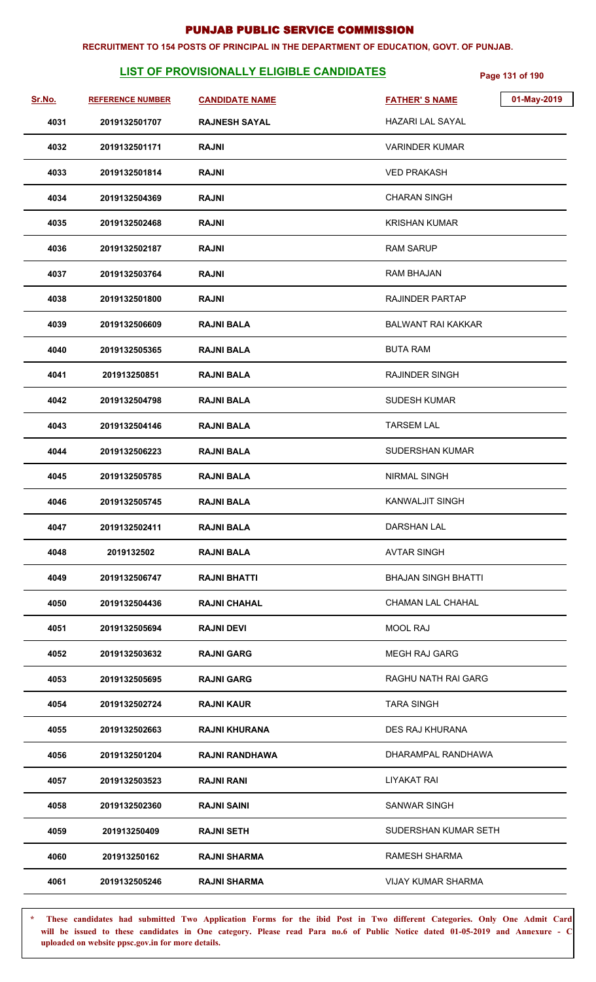#### **RECRUITMENT TO 154 POSTS OF PRINCIPAL IN THE DEPARTMENT OF EDUCATION, GOVT. OF PUNJAB.**

# **LIST OF PROVISIONALLY ELIGIBLE CANDIDATES** Page 131 of 190

| Sr.No. | <b>REFERENCE NUMBER</b> | <b>CANDIDATE NAME</b> | 01-May-2019<br><b>FATHER'S NAME</b> |
|--------|-------------------------|-----------------------|-------------------------------------|
| 4031   | 2019132501707           | <b>RAJNESH SAYAL</b>  | <b>HAZARI LAL SAYAL</b>             |
| 4032   | 2019132501171           | <b>RAJNI</b>          | <b>VARINDER KUMAR</b>               |
| 4033   | 2019132501814           | <b>RAJNI</b>          | <b>VED PRAKASH</b>                  |
| 4034   | 2019132504369           | <b>RAJNI</b>          | <b>CHARAN SINGH</b>                 |
| 4035   | 2019132502468           | <b>RAJNI</b>          | <b>KRISHAN KUMAR</b>                |
| 4036   | 2019132502187           | <b>RAJNI</b>          | <b>RAM SARUP</b>                    |
| 4037   | 2019132503764           | <b>RAJNI</b>          | <b>RAM BHAJAN</b>                   |
| 4038   | 2019132501800           | <b>RAJNI</b>          | <b>RAJINDER PARTAP</b>              |
| 4039   | 2019132506609           | <b>RAJNI BALA</b>     | <b>BALWANT RAI KAKKAR</b>           |
| 4040   | 2019132505365           | <b>RAJNI BALA</b>     | <b>BUTA RAM</b>                     |
| 4041   | 201913250851            | <b>RAJNI BALA</b>     | <b>RAJINDER SINGH</b>               |
| 4042   | 2019132504798           | <b>RAJNI BALA</b>     | <b>SUDESH KUMAR</b>                 |
| 4043   | 2019132504146           | <b>RAJNI BALA</b>     | <b>TARSEM LAL</b>                   |
| 4044   | 2019132506223           | <b>RAJNI BALA</b>     | <b>SUDERSHAN KUMAR</b>              |
| 4045   | 2019132505785           | <b>RAJNI BALA</b>     | <b>NIRMAL SINGH</b>                 |
| 4046   | 2019132505745           | <b>RAJNI BALA</b>     | <b>KANWALJIT SINGH</b>              |
| 4047   | 2019132502411           | <b>RAJNI BALA</b>     | <b>DARSHAN LAL</b>                  |
| 4048   | 2019132502              | <b>RAJNI BALA</b>     | <b>AVTAR SINGH</b>                  |
| 4049   | 2019132506747           | <b>RAJNI BHATTI</b>   | <b>BHAJAN SINGH BHATTI</b>          |
| 4050   | 2019132504436           | <b>RAJNI CHAHAL</b>   | <b>CHAMAN LAL CHAHAL</b>            |
| 4051   | 2019132505694           | <b>RAJNI DEVI</b>     | <b>MOOL RAJ</b>                     |
| 4052   | 2019132503632           | <b>RAJNI GARG</b>     | <b>MEGH RAJ GARG</b>                |
| 4053   | 2019132505695           | <b>RAJNI GARG</b>     | RAGHU NATH RAI GARG                 |
| 4054   | 2019132502724           | <b>RAJNI KAUR</b>     | <b>TARA SINGH</b>                   |
| 4055   | 2019132502663           | <b>RAJNI KHURANA</b>  | <b>DES RAJ KHURANA</b>              |
| 4056   | 2019132501204           | <b>RAJNI RANDHAWA</b> | DHARAMPAL RANDHAWA                  |
| 4057   | 2019132503523           | <b>RAJNI RANI</b>     | <b>LIYAKAT RAI</b>                  |
| 4058   | 2019132502360           | <b>RAJNI SAINI</b>    | <b>SANWAR SINGH</b>                 |
| 4059   | 201913250409            | <b>RAJNI SETH</b>     | SUDERSHAN KUMAR SETH                |
| 4060   | 201913250162            | <b>RAJNI SHARMA</b>   | <b>RAMESH SHARMA</b>                |
| 4061   | 2019132505246           | <b>RAJNI SHARMA</b>   | <b>VIJAY KUMAR SHARMA</b>           |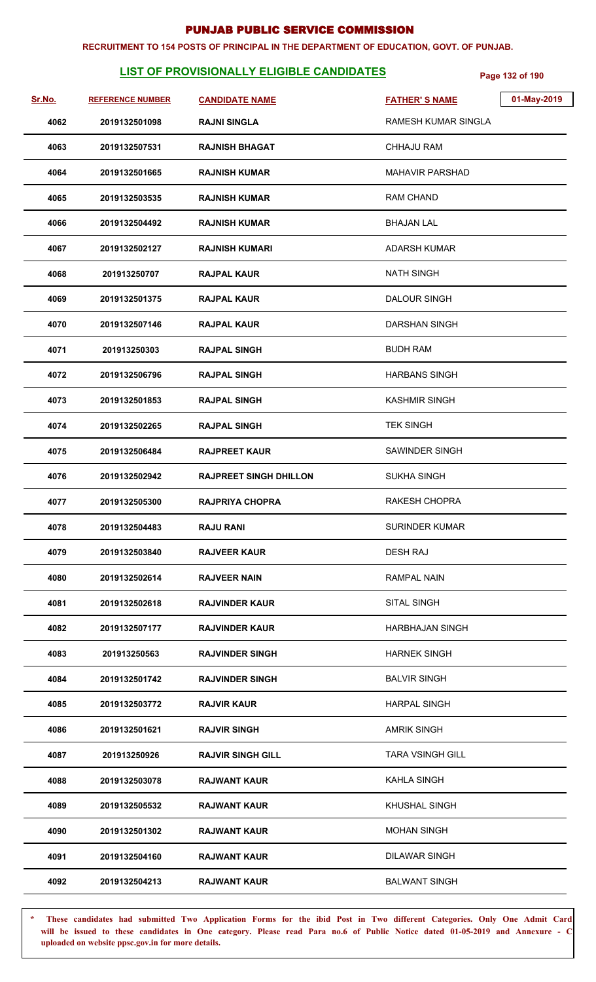#### **RECRUITMENT TO 154 POSTS OF PRINCIPAL IN THE DEPARTMENT OF EDUCATION, GOVT. OF PUNJAB.**

# **LIST OF PROVISIONALLY ELIGIBLE CANDIDATES** Page 132 of 190

| <u>Sr.No.</u> | <b>REFERENCE NUMBER</b> | <b>CANDIDATE NAME</b>         | <b>FATHER'S NAME</b>       | 01-May-2019 |
|---------------|-------------------------|-------------------------------|----------------------------|-------------|
| 4062          | 2019132501098           | <b>RAJNI SINGLA</b>           | <b>RAMESH KUMAR SINGLA</b> |             |
| 4063          | 2019132507531           | <b>RAJNISH BHAGAT</b>         | <b>CHHAJU RAM</b>          |             |
| 4064          | 2019132501665           | <b>RAJNISH KUMAR</b>          | <b>MAHAVIR PARSHAD</b>     |             |
| 4065          | 2019132503535           | <b>RAJNISH KUMAR</b>          | <b>RAM CHAND</b>           |             |
| 4066          | 2019132504492           | RAJNISH KUMAR                 | <b>BHAJAN LAL</b>          |             |
| 4067          | 2019132502127           | <b>RAJNISH KUMARI</b>         | ADARSH KUMAR               |             |
| 4068          | 201913250707            | <b>RAJPAL KAUR</b>            | <b>NATH SINGH</b>          |             |
| 4069          | 2019132501375           | <b>RAJPAL KAUR</b>            | <b>DALOUR SINGH</b>        |             |
| 4070          | 2019132507146           | <b>RAJPAL KAUR</b>            | DARSHAN SINGH              |             |
| 4071          | 201913250303            | <b>RAJPAL SINGH</b>           | <b>BUDH RAM</b>            |             |
| 4072          | 2019132506796           | <b>RAJPAL SINGH</b>           | <b>HARBANS SINGH</b>       |             |
| 4073          | 2019132501853           | <b>RAJPAL SINGH</b>           | <b>KASHMIR SINGH</b>       |             |
| 4074          | 2019132502265           | <b>RAJPAL SINGH</b>           | <b>TEK SINGH</b>           |             |
| 4075          | 2019132506484           | <b>RAJPREET KAUR</b>          | SAWINDER SINGH             |             |
| 4076          | 2019132502942           | <b>RAJPREET SINGH DHILLON</b> | <b>SUKHA SINGH</b>         |             |
| 4077          | 2019132505300           | <b>RAJPRIYA CHOPRA</b>        | <b>RAKESH CHOPRA</b>       |             |
| 4078          | 2019132504483           | <b>RAJU RANI</b>              | <b>SURINDER KUMAR</b>      |             |
| 4079          | 2019132503840           | <b>RAJVEER KAUR</b>           | DESH RAJ                   |             |
| 4080          | 2019132502614           | <b>RAJVEER NAIN</b>           | RAMPAL NAIN                |             |
| 4081          | 2019132502618           | <b>RAJVINDER KAUR</b>         | <b>SITAL SINGH</b>         |             |
| 4082          | 2019132507177           | <b>RAJVINDER KAUR</b>         | HARBHAJAN SINGH            |             |
| 4083          | 201913250563            | <b>RAJVINDER SINGH</b>        | <b>HARNEK SINGH</b>        |             |
| 4084          | 2019132501742           | <b>RAJVINDER SINGH</b>        | <b>BALVIR SINGH</b>        |             |
| 4085          | 2019132503772           | <b>RAJVIR KAUR</b>            | <b>HARPAL SINGH</b>        |             |
| 4086          | 2019132501621           | <b>RAJVIR SINGH</b>           | <b>AMRIK SINGH</b>         |             |
| 4087          | 201913250926            | <b>RAJVIR SINGH GILL</b>      | <b>TARA VSINGH GILL</b>    |             |
| 4088          | 2019132503078           | <b>RAJWANT KAUR</b>           | <b>KAHLA SINGH</b>         |             |
| 4089          | 2019132505532           | <b>RAJWANT KAUR</b>           | KHUSHAL SINGH              |             |
| 4090          | 2019132501302           | <b>RAJWANT KAUR</b>           | <b>MOHAN SINGH</b>         |             |
| 4091          | 2019132504160           | <b>RAJWANT KAUR</b>           | <b>DILAWAR SINGH</b>       |             |
| 4092          | 2019132504213           | <b>RAJWANT KAUR</b>           | <b>BALWANT SINGH</b>       |             |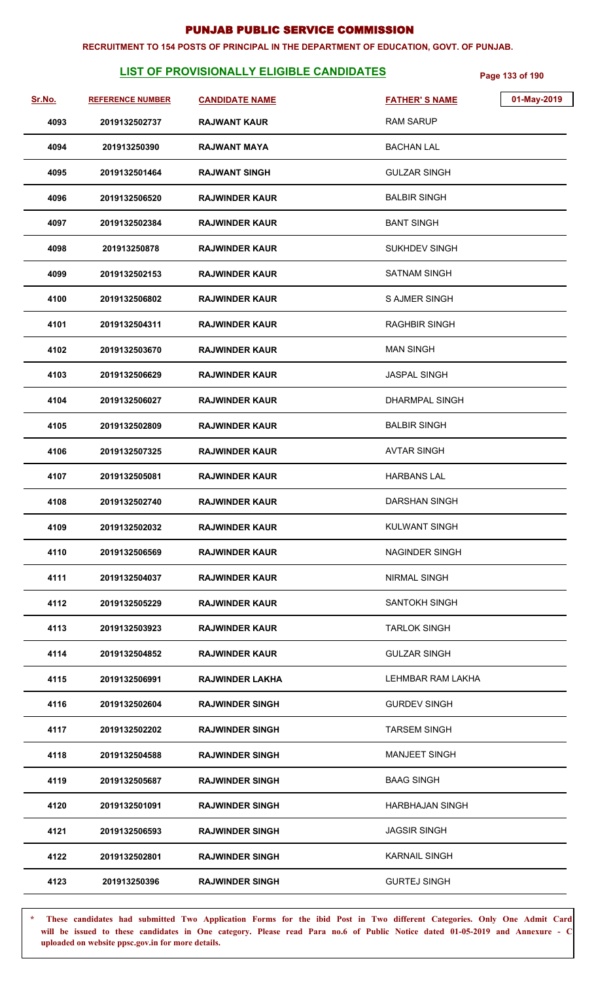#### **RECRUITMENT TO 154 POSTS OF PRINCIPAL IN THE DEPARTMENT OF EDUCATION, GOVT. OF PUNJAB.**

# **LIST OF PROVISIONALLY ELIGIBLE CANDIDATES** Page 133 of 190

| Sr.No. | <b>REFERENCE NUMBER</b> | <b>CANDIDATE NAME</b>  | 01-May-2019<br><b>FATHER'S NAME</b> |
|--------|-------------------------|------------------------|-------------------------------------|
| 4093   | 2019132502737           | <b>RAJWANT KAUR</b>    | <b>RAM SARUP</b>                    |
| 4094   | 201913250390            | <b>RAJWANT MAYA</b>    | <b>BACHAN LAL</b>                   |
| 4095   | 2019132501464           | <b>RAJWANT SINGH</b>   | <b>GULZAR SINGH</b>                 |
| 4096   | 2019132506520           | <b>RAJWINDER KAUR</b>  | <b>BALBIR SINGH</b>                 |
| 4097   | 2019132502384           | <b>RAJWINDER KAUR</b>  | <b>BANT SINGH</b>                   |
| 4098   | 201913250878            | <b>RAJWINDER KAUR</b>  | <b>SUKHDEV SINGH</b>                |
| 4099   | 2019132502153           | <b>RAJWINDER KAUR</b>  | <b>SATNAM SINGH</b>                 |
| 4100   | 2019132506802           | <b>RAJWINDER KAUR</b>  | <b>S AJMER SINGH</b>                |
| 4101   | 2019132504311           | <b>RAJWINDER KAUR</b>  | <b>RAGHBIR SINGH</b>                |
| 4102   | 2019132503670           | <b>RAJWINDER KAUR</b>  | <b>MAN SINGH</b>                    |
| 4103   | 2019132506629           | <b>RAJWINDER KAUR</b>  | <b>JASPAL SINGH</b>                 |
| 4104   | 2019132506027           | <b>RAJWINDER KAUR</b>  | <b>DHARMPAL SINGH</b>               |
| 4105   | 2019132502809           | <b>RAJWINDER KAUR</b>  | <b>BALBIR SINGH</b>                 |
| 4106   | 2019132507325           | <b>RAJWINDER KAUR</b>  | <b>AVTAR SINGH</b>                  |
| 4107   | 2019132505081           | <b>RAJWINDER KAUR</b>  | <b>HARBANS LAL</b>                  |
| 4108   | 2019132502740           | <b>RAJWINDER KAUR</b>  | DARSHAN SINGH                       |
| 4109   | 2019132502032           | <b>RAJWINDER KAUR</b>  | <b>KULWANT SINGH</b>                |
| 4110   | 2019132506569           | <b>RAJWINDER KAUR</b>  | <b>NAGINDER SINGH</b>               |
| 4111   | 2019132504037           | <b>RAJWINDER KAUR</b>  | <b>NIRMAL SINGH</b>                 |
| 4112   | 2019132505229           | <b>RAJWINDER KAUR</b>  | <b>SANTOKH SINGH</b>                |
| 4113   | 2019132503923           | <b>RAJWINDER KAUR</b>  | <b>TARLOK SINGH</b>                 |
| 4114   | 2019132504852           | <b>RAJWINDER KAUR</b>  | <b>GULZAR SINGH</b>                 |
| 4115   | 2019132506991           | <b>RAJWINDER LAKHA</b> | LEHMBAR RAM LAKHA                   |
| 4116   | 2019132502604           | <b>RAJWINDER SINGH</b> | <b>GURDEV SINGH</b>                 |
| 4117   | 2019132502202           | <b>RAJWINDER SINGH</b> | <b>TARSEM SINGH</b>                 |
| 4118   | 2019132504588           | <b>RAJWINDER SINGH</b> | <b>MANJEET SINGH</b>                |
| 4119   | 2019132505687           | <b>RAJWINDER SINGH</b> | <b>BAAG SINGH</b>                   |
| 4120   | 2019132501091           | <b>RAJWINDER SINGH</b> | HARBHAJAN SINGH                     |
| 4121   | 2019132506593           | <b>RAJWINDER SINGH</b> | <b>JAGSIR SINGH</b>                 |
| 4122   | 2019132502801           | <b>RAJWINDER SINGH</b> | <b>KARNAIL SINGH</b>                |
| 4123   | 201913250396            | <b>RAJWINDER SINGH</b> | <b>GURTEJ SINGH</b>                 |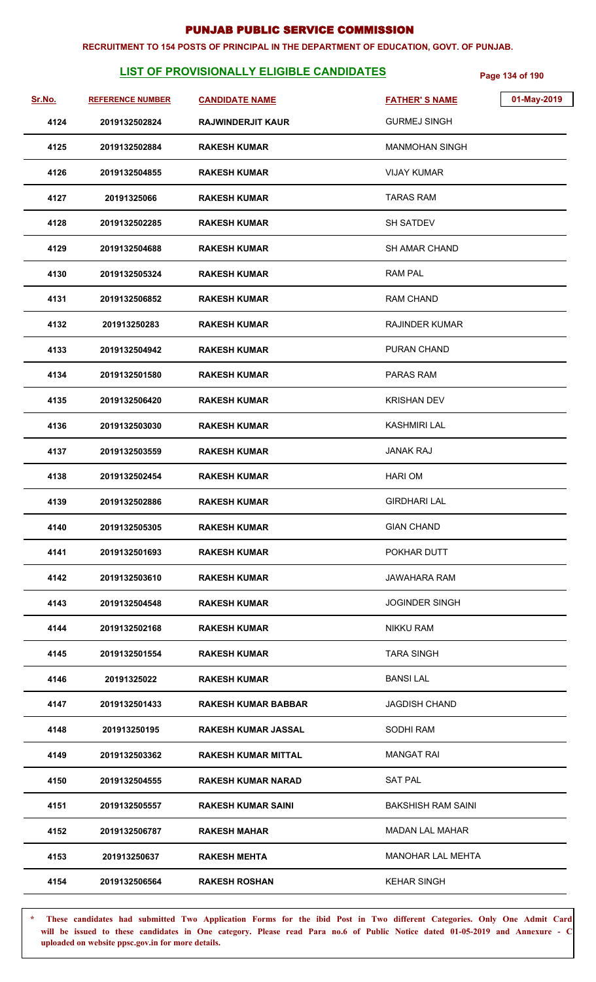#### **RECRUITMENT TO 154 POSTS OF PRINCIPAL IN THE DEPARTMENT OF EDUCATION, GOVT. OF PUNJAB.**

# **LIST OF PROVISIONALLY ELIGIBLE CANDIDATES** Page 134 of 190

| Sr.No. | <b>REFERENCE NUMBER</b> | <b>CANDIDATE NAME</b>      | 01-May-2019<br><b>FATHER'S NAME</b> |  |
|--------|-------------------------|----------------------------|-------------------------------------|--|
| 4124   | 2019132502824           | <b>RAJWINDERJIT KAUR</b>   | <b>GURMEJ SINGH</b>                 |  |
| 4125   | 2019132502884           | <b>RAKESH KUMAR</b>        | <b>MANMOHAN SINGH</b>               |  |
| 4126   | 2019132504855           | <b>RAKESH KUMAR</b>        | <b>VIJAY KUMAR</b>                  |  |
| 4127   | 20191325066             | <b>RAKESH KUMAR</b>        | TARAS RAM                           |  |
| 4128   | 2019132502285           | <b>RAKESH KUMAR</b>        | <b>SH SATDEV</b>                    |  |
| 4129   | 2019132504688           | <b>RAKESH KUMAR</b>        | <b>SH AMAR CHAND</b>                |  |
| 4130   | 2019132505324           | <b>RAKESH KUMAR</b>        | <b>RAM PAL</b>                      |  |
| 4131   | 2019132506852           | <b>RAKESH KUMAR</b>        | <b>RAM CHAND</b>                    |  |
| 4132   | 201913250283            | <b>RAKESH KUMAR</b>        | <b>RAJINDER KUMAR</b>               |  |
| 4133   | 2019132504942           | <b>RAKESH KUMAR</b>        | PURAN CHAND                         |  |
| 4134   | 2019132501580           | <b>RAKESH KUMAR</b>        | PARAS RAM                           |  |
| 4135   | 2019132506420           | <b>RAKESH KUMAR</b>        | <b>KRISHAN DEV</b>                  |  |
| 4136   | 2019132503030           | <b>RAKESH KUMAR</b>        | <b>KASHMIRI LAL</b>                 |  |
| 4137   | 2019132503559           | <b>RAKESH KUMAR</b>        | <b>JANAK RAJ</b>                    |  |
| 4138   | 2019132502454           | <b>RAKESH KUMAR</b>        | <b>HARIOM</b>                       |  |
| 4139   | 2019132502886           | <b>RAKESH KUMAR</b>        | <b>GIRDHARI LAL</b>                 |  |
| 4140   | 2019132505305           | <b>RAKESH KUMAR</b>        | <b>GIAN CHAND</b>                   |  |
| 4141   | 2019132501693           | <b>RAKESH KUMAR</b>        | POKHAR DUTT                         |  |
| 4142   | 2019132503610           | <b>RAKESH KUMAR</b>        | JAWAHARA RAM                        |  |
| 4143   | 2019132504548           | <b>RAKESH KUMAR</b>        | <b>JOGINDER SINGH</b>               |  |
| 4144   | 2019132502168           | <b>RAKESH KUMAR</b>        | <b>NIKKU RAM</b>                    |  |
| 4145   | 2019132501554           | <b>RAKESH KUMAR</b>        | <b>TARA SINGH</b>                   |  |
| 4146   | 20191325022             | <b>RAKESH KUMAR</b>        | <b>BANSILAL</b>                     |  |
| 4147   | 2019132501433           | <b>RAKESH KUMAR BABBAR</b> | <b>JAGDISH CHAND</b>                |  |
| 4148   | 201913250195            | RAKESH KUMAR JASSAL        | SODHI RAM                           |  |
| 4149   | 2019132503362           | <b>RAKESH KUMAR MITTAL</b> | <b>MANGAT RAI</b>                   |  |
| 4150   | 2019132504555           | <b>RAKESH KUMAR NARAD</b>  | <b>SAT PAL</b>                      |  |
| 4151   | 2019132505557           | <b>RAKESH KUMAR SAINI</b>  | <b>BAKSHISH RAM SAINI</b>           |  |
| 4152   | 2019132506787           | <b>RAKESH MAHAR</b>        | <b>MADAN LAL MAHAR</b>              |  |
| 4153   | 201913250637            | <b>RAKESH MEHTA</b>        | <b>MANOHAR LAL MEHTA</b>            |  |
| 4154   | 2019132506564           | <b>RAKESH ROSHAN</b>       | <b>KEHAR SINGH</b>                  |  |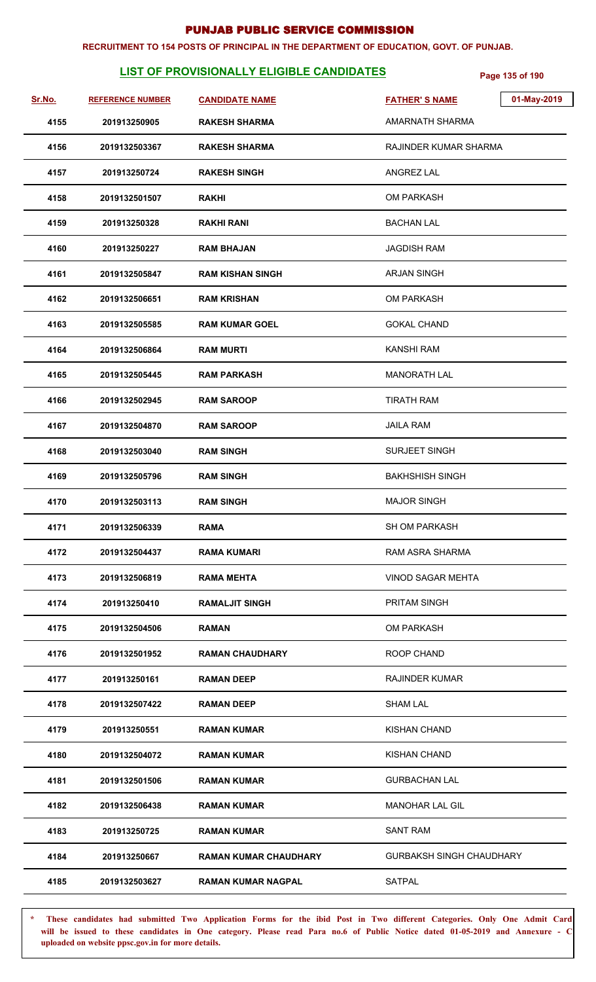#### **RECRUITMENT TO 154 POSTS OF PRINCIPAL IN THE DEPARTMENT OF EDUCATION, GOVT. OF PUNJAB.**

# **LIST OF PROVISIONALLY ELIGIBLE CANDIDATES** Page 135 of 190

| Sr.No. | <b>REFERENCE NUMBER</b> | <b>CANDIDATE NAME</b>        | <b>FATHER'S NAME</b>            | 01-May-2019 |
|--------|-------------------------|------------------------------|---------------------------------|-------------|
| 4155   | 201913250905            | <b>RAKESH SHARMA</b>         | AMARNATH SHARMA                 |             |
| 4156   | 2019132503367           | <b>RAKESH SHARMA</b>         | RAJINDER KUMAR SHARMA           |             |
| 4157   | 201913250724            | <b>RAKESH SINGH</b>          | <b>ANGREZ LAL</b>               |             |
| 4158   | 2019132501507           | <b>RAKHI</b>                 | <b>OM PARKASH</b>               |             |
| 4159   | 201913250328            | <b>RAKHI RANI</b>            | <b>BACHAN LAL</b>               |             |
| 4160   | 201913250227            | <b>RAM BHAJAN</b>            | <b>JAGDISH RAM</b>              |             |
| 4161   | 2019132505847           | <b>RAM KISHAN SINGH</b>      | <b>ARJAN SINGH</b>              |             |
| 4162   | 2019132506651           | <b>RAM KRISHAN</b>           | <b>OM PARKASH</b>               |             |
| 4163   | 2019132505585           | <b>RAM KUMAR GOEL</b>        | <b>GOKAL CHAND</b>              |             |
| 4164   | 2019132506864           | <b>RAM MURTI</b>             | <b>KANSHI RAM</b>               |             |
| 4165   | 2019132505445           | <b>RAM PARKASH</b>           | <b>MANORATH LAL</b>             |             |
| 4166   | 2019132502945           | <b>RAM SAROOP</b>            | <b>TIRATH RAM</b>               |             |
| 4167   | 2019132504870           | <b>RAM SAROOP</b>            | <b>JAILA RAM</b>                |             |
| 4168   | 2019132503040           | <b>RAM SINGH</b>             | SURJEET SINGH                   |             |
| 4169   | 2019132505796           | <b>RAM SINGH</b>             | <b>BAKHSHISH SINGH</b>          |             |
| 4170   | 2019132503113           | <b>RAM SINGH</b>             | <b>MAJOR SINGH</b>              |             |
| 4171   | 2019132506339           | <b>RAMA</b>                  | <b>SH OM PARKASH</b>            |             |
| 4172   | 2019132504437           | <b>RAMA KUMARI</b>           | RAM ASRA SHARMA                 |             |
| 4173   | 2019132506819           | <b>RAMA MEHTA</b>            | <b>VINOD SAGAR MEHTA</b>        |             |
| 4174   | 201913250410            | <b>RAMALJIT SINGH</b>        | <b>PRITAM SINGH</b>             |             |
| 4175   | 2019132504506           | RAMAN                        | <b>OM PARKASH</b>               |             |
| 4176   | 2019132501952           | <b>RAMAN CHAUDHARY</b>       | <b>ROOP CHAND</b>               |             |
| 4177   | 201913250161            | <b>RAMAN DEEP</b>            | <b>RAJINDER KUMAR</b>           |             |
| 4178   | 2019132507422           | <b>RAMAN DEEP</b>            | <b>SHAM LAL</b>                 |             |
| 4179   | 201913250551            | <b>RAMAN KUMAR</b>           | <b>KISHAN CHAND</b>             |             |
| 4180   | 2019132504072           | <b>RAMAN KUMAR</b>           | <b>KISHAN CHAND</b>             |             |
| 4181   | 2019132501506           | <b>RAMAN KUMAR</b>           | <b>GURBACHAN LAL</b>            |             |
| 4182   | 2019132506438           | <b>RAMAN KUMAR</b>           | <b>MANOHAR LAL GIL</b>          |             |
| 4183   | 201913250725            | <b>RAMAN KUMAR</b>           | <b>SANT RAM</b>                 |             |
| 4184   | 201913250667            | <b>RAMAN KUMAR CHAUDHARY</b> | <b>GURBAKSH SINGH CHAUDHARY</b> |             |
| 4185   | 2019132503627           | <b>RAMAN KUMAR NAGPAL</b>    | <b>SATPAL</b>                   |             |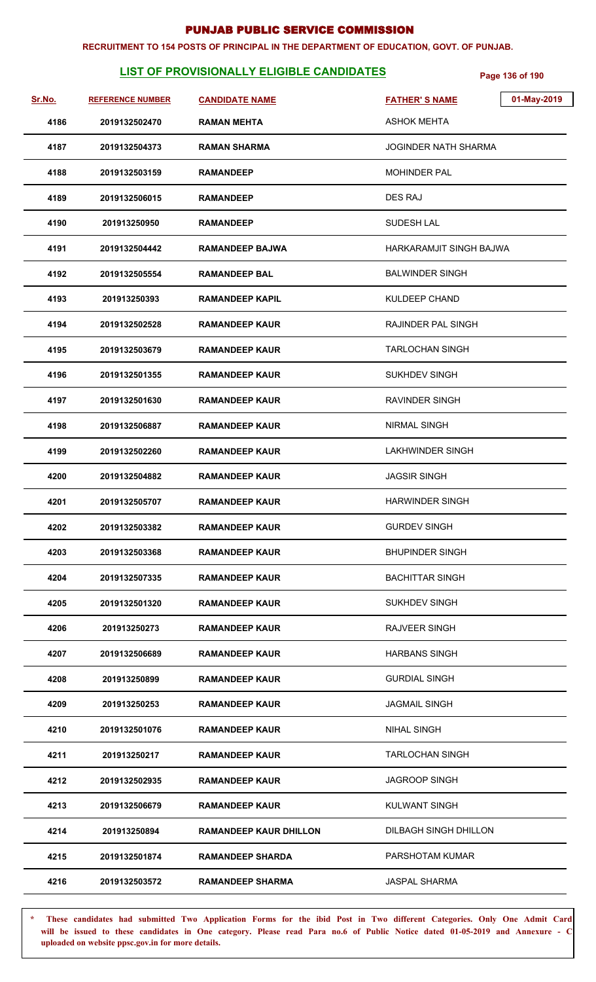#### **RECRUITMENT TO 154 POSTS OF PRINCIPAL IN THE DEPARTMENT OF EDUCATION, GOVT. OF PUNJAB.**

# **LIST OF PROVISIONALLY ELIGIBLE CANDIDATES** Page 136 of 190

| <u>Sr.No.</u> | <b>REFERENCE NUMBER</b> | <b>CANDIDATE NAME</b>         | 01-May-2019<br><b>FATHER'S NAME</b> |
|---------------|-------------------------|-------------------------------|-------------------------------------|
| 4186          | 2019132502470           | <b>RAMAN MEHTA</b>            | ASHOK MEHTA                         |
| 4187          | 2019132504373           | <b>RAMAN SHARMA</b>           | <b>JOGINDER NATH SHARMA</b>         |
| 4188          | 2019132503159           | <b>RAMANDEEP</b>              | <b>MOHINDER PAL</b>                 |
| 4189          | 2019132506015           | <b>RAMANDEEP</b>              | <b>DES RAJ</b>                      |
| 4190          | 201913250950            | <b>RAMANDEEP</b>              | <b>SUDESH LAL</b>                   |
| 4191          | 2019132504442           | <b>RAMANDEEP BAJWA</b>        | HARKARAMJIT SINGH BAJWA             |
| 4192          | 2019132505554           | <b>RAMANDEEP BAL</b>          | <b>BALWINDER SINGH</b>              |
| 4193          | 201913250393            | <b>RAMANDEEP KAPIL</b>        | KULDEEP CHAND                       |
| 4194          | 2019132502528           | <b>RAMANDEEP KAUR</b>         | <b>RAJINDER PAL SINGH</b>           |
| 4195          | 2019132503679           | <b>RAMANDEEP KAUR</b>         | <b>TARLOCHAN SINGH</b>              |
| 4196          | 2019132501355           | <b>RAMANDEEP KAUR</b>         | <b>SUKHDEV SINGH</b>                |
| 4197          | 2019132501630           | <b>RAMANDEEP KAUR</b>         | <b>RAVINDER SINGH</b>               |
| 4198          | 2019132506887           | <b>RAMANDEEP KAUR</b>         | <b>NIRMAL SINGH</b>                 |
| 4199          | 2019132502260           | <b>RAMANDEEP KAUR</b>         | LAKHWINDER SINGH                    |
| 4200          | 2019132504882           | <b>RAMANDEEP KAUR</b>         | <b>JAGSIR SINGH</b>                 |
| 4201          | 2019132505707           | <b>RAMANDEEP KAUR</b>         | <b>HARWINDER SINGH</b>              |
| 4202          | 2019132503382           | <b>RAMANDEEP KAUR</b>         | <b>GURDEV SINGH</b>                 |
| 4203          | 2019132503368           | <b>RAMANDEEP KAUR</b>         | <b>BHUPINDER SINGH</b>              |
| 4204          | 2019132507335           | <b>RAMANDEEP KAUR</b>         | <b>BACHITTAR SINGH</b>              |
| 4205          | 2019132501320           | <b>RAMANDEEP KAUR</b>         | <b>SUKHDEV SINGH</b>                |
| 4206          | 201913250273            | <b>RAMANDEEP KAUR</b>         | RAJVEER SINGH                       |
| 4207          | 2019132506689           | <b>RAMANDEEP KAUR</b>         | <b>HARBANS SINGH</b>                |
| 4208          | 201913250899            | <b>RAMANDEEP KAUR</b>         | <b>GURDIAL SINGH</b>                |
| 4209          | 201913250253            | <b>RAMANDEEP KAUR</b>         | <b>JAGMAIL SINGH</b>                |
| 4210          | 2019132501076           | <b>RAMANDEEP KAUR</b>         | <b>NIHAL SINGH</b>                  |
| 4211          | 201913250217            | <b>RAMANDEEP KAUR</b>         | TARLOCHAN SINGH                     |
| 4212          | 2019132502935           | <b>RAMANDEEP KAUR</b>         | <b>JAGROOP SINGH</b>                |
| 4213          | 2019132506679           | <b>RAMANDEEP KAUR</b>         | <b>KULWANT SINGH</b>                |
| 4214          | 201913250894            | <b>RAMANDEEP KAUR DHILLON</b> | DILBAGH SINGH DHILLON               |
| 4215          | 2019132501874           | <b>RAMANDEEP SHARDA</b>       | PARSHOTAM KUMAR                     |
| 4216          | 2019132503572           | <b>RAMANDEEP SHARMA</b>       | <b>JASPAL SHARMA</b>                |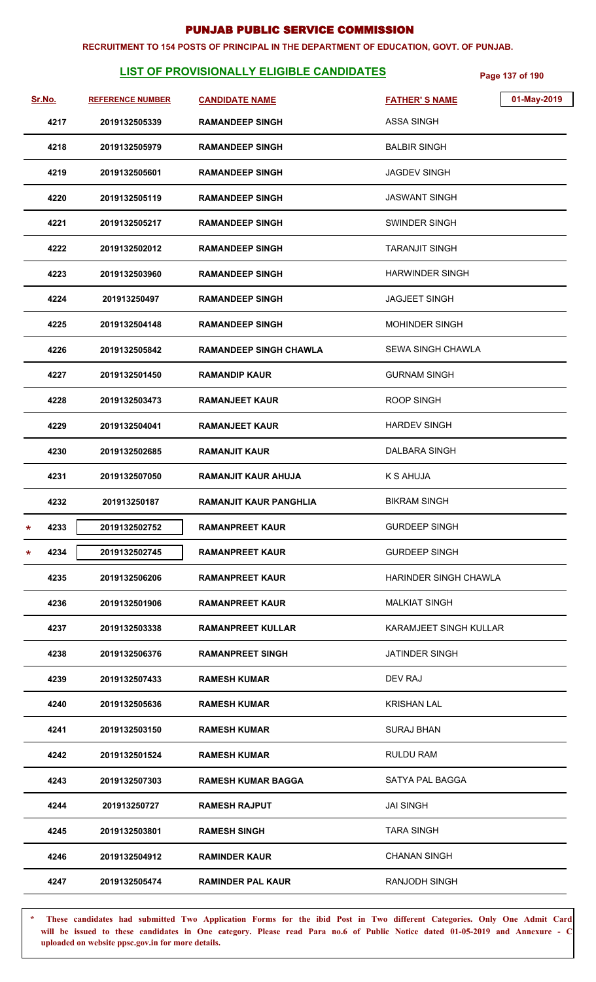#### **RECRUITMENT TO 154 POSTS OF PRINCIPAL IN THE DEPARTMENT OF EDUCATION, GOVT. OF PUNJAB.**

# **LIST OF PROVISIONALLY ELIGIBLE CANDIDATES** Page 137 of 190

| Sr.No.  |      | <b>REFERENCE NUMBER</b> | <b>CANDIDATE NAME</b>         | 01-May-2019<br><b>FATHER'S NAME</b> |  |
|---------|------|-------------------------|-------------------------------|-------------------------------------|--|
|         | 4217 | 2019132505339           | <b>RAMANDEEP SINGH</b>        | <b>ASSA SINGH</b>                   |  |
|         | 4218 | 2019132505979           | <b>RAMANDEEP SINGH</b>        | <b>BALBIR SINGH</b>                 |  |
|         | 4219 | 2019132505601           | <b>RAMANDEEP SINGH</b>        | <b>JAGDEV SINGH</b>                 |  |
|         | 4220 | 2019132505119           | <b>RAMANDEEP SINGH</b>        | JASWANT SINGH                       |  |
|         | 4221 | 2019132505217           | <b>RAMANDEEP SINGH</b>        | <b>SWINDER SINGH</b>                |  |
|         | 4222 | 2019132502012           | <b>RAMANDEEP SINGH</b>        | <b>TARANJIT SINGH</b>               |  |
|         | 4223 | 2019132503960           | <b>RAMANDEEP SINGH</b>        | <b>HARWINDER SINGH</b>              |  |
|         | 4224 | 201913250497            | <b>RAMANDEEP SINGH</b>        | <b>JAGJEET SINGH</b>                |  |
|         | 4225 | 2019132504148           | <b>RAMANDEEP SINGH</b>        | <b>MOHINDER SINGH</b>               |  |
|         | 4226 | 2019132505842           | <b>RAMANDEEP SINGH CHAWLA</b> | SEWA SINGH CHAWLA                   |  |
|         | 4227 | 2019132501450           | <b>RAMANDIP KAUR</b>          | <b>GURNAM SINGH</b>                 |  |
|         | 4228 | 2019132503473           | <b>RAMANJEET KAUR</b>         | <b>ROOP SINGH</b>                   |  |
|         | 4229 | 2019132504041           | <b>RAMANJEET KAUR</b>         | <b>HARDEV SINGH</b>                 |  |
|         | 4230 | 2019132502685           | <b>RAMANJIT KAUR</b>          | DALBARA SINGH                       |  |
|         | 4231 | 2019132507050           | RAMANJIT KAUR AHUJA           | K S AHUJA                           |  |
|         | 4232 | 201913250187            | <b>RAMANJIT KAUR PANGHLIA</b> | <b>BIKRAM SINGH</b>                 |  |
| *       | 4233 | 2019132502752           | <b>RAMANPREET KAUR</b>        | <b>GURDEEP SINGH</b>                |  |
| $\star$ | 4234 | 2019132502745           | <b>RAMANPREET KAUR</b>        | <b>GURDEEP SINGH</b>                |  |
|         | 4235 | 2019132506206           | <b>RAMANPREET KAUR</b>        | HARINDER SINGH CHAWLA               |  |
|         | 4236 | 2019132501906           | <b>RAMANPREET KAUR</b>        | <b>MALKIAT SINGH</b>                |  |
|         | 4237 | 2019132503338           | <b>RAMANPREET KULLAR</b>      | <b>KARAMJEET SINGH KULLAR</b>       |  |
|         | 4238 | 2019132506376           | <b>RAMANPREET SINGH</b>       | JATINDER SINGH                      |  |
|         | 4239 | 2019132507433           | <b>RAMESH KUMAR</b>           | DEV RAJ                             |  |
|         | 4240 | 2019132505636           | <b>RAMESH KUMAR</b>           | <b>KRISHAN LAL</b>                  |  |
|         | 4241 | 2019132503150           | <b>RAMESH KUMAR</b>           | SURAJ BHAN                          |  |
|         | 4242 | 2019132501524           | <b>RAMESH KUMAR</b>           | RULDU RAM                           |  |
|         | 4243 | 2019132507303           | <b>RAMESH KUMAR BAGGA</b>     | SATYA PAL BAGGA                     |  |
|         | 4244 | 201913250727            | <b>RAMESH RAJPUT</b>          | <b>JAI SINGH</b>                    |  |
|         | 4245 | 2019132503801           | <b>RAMESH SINGH</b>           | <b>TARA SINGH</b>                   |  |
|         | 4246 | 2019132504912           | <b>RAMINDER KAUR</b>          | <b>CHANAN SINGH</b>                 |  |
|         | 4247 | 2019132505474           | <b>RAMINDER PAL KAUR</b>      | <b>RANJODH SINGH</b>                |  |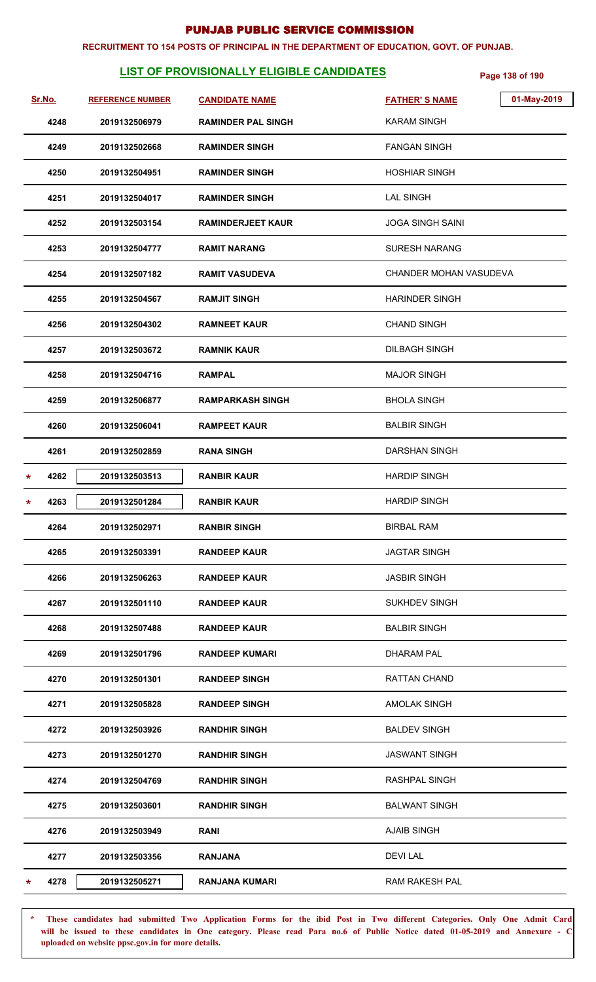#### **RECRUITMENT TO 154 POSTS OF PRINCIPAL IN THE DEPARTMENT OF EDUCATION, GOVT. OF PUNJAB.**

# **LIST OF PROVISIONALLY ELIGIBLE CANDIDATES** Page 138 of 190

| Sr.No.    | <b>REFERENCE NUMBER</b> | <b>CANDIDATE NAME</b>     | <b>FATHER'S NAME</b>    | 01-May-2019 |
|-----------|-------------------------|---------------------------|-------------------------|-------------|
| 4248      | 2019132506979           | <b>RAMINDER PAL SINGH</b> | <b>KARAM SINGH</b>      |             |
| 4249      | 2019132502668           | <b>RAMINDER SINGH</b>     | <b>FANGAN SINGH</b>     |             |
| 4250      | 2019132504951           | <b>RAMINDER SINGH</b>     | <b>HOSHIAR SINGH</b>    |             |
| 4251      | 2019132504017           | <b>RAMINDER SINGH</b>     | <b>LAL SINGH</b>        |             |
| 4252      | 2019132503154           | <b>RAMINDERJEET KAUR</b>  | <b>JOGA SINGH SAINI</b> |             |
| 4253      | 2019132504777           | <b>RAMIT NARANG</b>       | SURESH NARANG           |             |
| 4254      | 2019132507182           | <b>RAMIT VASUDEVA</b>     | CHANDER MOHAN VASUDEVA  |             |
| 4255      | 2019132504567           | <b>RAMJIT SINGH</b>       | <b>HARINDER SINGH</b>   |             |
| 4256      | 2019132504302           | <b>RAMNEET KAUR</b>       | <b>CHAND SINGH</b>      |             |
| 4257      | 2019132503672           | <b>RAMNIK KAUR</b>        | <b>DILBAGH SINGH</b>    |             |
| 4258      | 2019132504716           | <b>RAMPAL</b>             | <b>MAJOR SINGH</b>      |             |
| 4259      | 2019132506877           | <b>RAMPARKASH SINGH</b>   | <b>BHOLA SINGH</b>      |             |
| 4260      | 2019132506041           | <b>RAMPEET KAUR</b>       | <b>BALBIR SINGH</b>     |             |
| 4261      | 2019132502859           | <b>RANA SINGH</b>         | <b>DARSHAN SINGH</b>    |             |
| 4262<br>* | 2019132503513           | <b>RANBIR KAUR</b>        | <b>HARDIP SINGH</b>     |             |
| 4263<br>* | 2019132501284           | <b>RANBIR KAUR</b>        | <b>HARDIP SINGH</b>     |             |
| 4264      | 2019132502971           | <b>RANBIR SINGH</b>       | <b>BIRBAL RAM</b>       |             |
| 4265      | 2019132503391           | <b>RANDEEP KAUR</b>       | <b>JAGTAR SINGH</b>     |             |
| 4266      | 2019132506263           | <b>RANDEEP KAUR</b>       | <b>JASBIR SINGH</b>     |             |
| 4267      | 2019132501110           | <b>RANDEEP KAUR</b>       | <b>SUKHDEV SINGH</b>    |             |
| 4268      | 2019132507488           | <b>RANDEEP KAUR</b>       | <b>BALBIR SINGH</b>     |             |
| 4269      | 2019132501796           | <b>RANDEEP KUMARI</b>     | <b>DHARAM PAL</b>       |             |
| 4270      | 2019132501301           | <b>RANDEEP SINGH</b>      | RATTAN CHAND            |             |
| 4271      | 2019132505828           | <b>RANDEEP SINGH</b>      | <b>AMOLAK SINGH</b>     |             |
| 4272      | 2019132503926           | <b>RANDHIR SINGH</b>      | <b>BALDEV SINGH</b>     |             |
| 4273      | 2019132501270           | <b>RANDHIR SINGH</b>      | <b>JASWANT SINGH</b>    |             |
| 4274      | 2019132504769           | <b>RANDHIR SINGH</b>      | RASHPAL SINGH           |             |
| 4275      | 2019132503601           | <b>RANDHIR SINGH</b>      | <b>BALWANT SINGH</b>    |             |
| 4276      | 2019132503949           | <b>RANI</b>               | <b>AJAIB SINGH</b>      |             |
| 4277      | 2019132503356           | <b>RANJANA</b>            | <b>DEVILAL</b>          |             |
| 4278      | 2019132505271           | <b>RANJANA KUMARI</b>     | <b>RAM RAKESH PAL</b>   |             |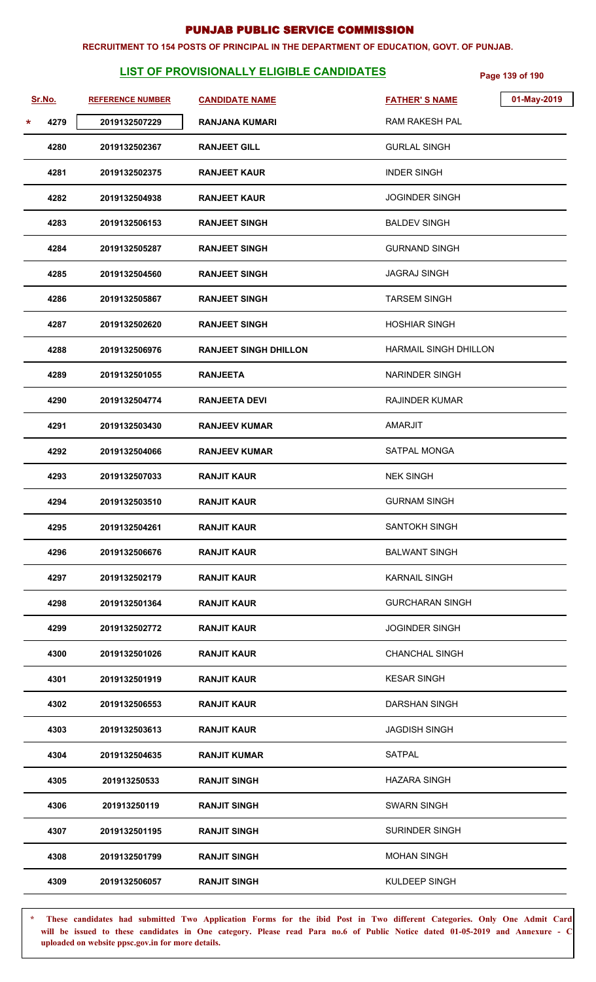#### **RECRUITMENT TO 154 POSTS OF PRINCIPAL IN THE DEPARTMENT OF EDUCATION, GOVT. OF PUNJAB.**

# **LIST OF PROVISIONALLY ELIGIBLE CANDIDATES** Page 139 of 190

|   | Sr.No. | <b>REFERENCE NUMBER</b> | <b>CANDIDATE NAME</b>        | <b>FATHER'S NAME</b>   | 01-May-2019 |
|---|--------|-------------------------|------------------------------|------------------------|-------------|
| * | 4279   | 2019132507229           | <b>RANJANA KUMARI</b>        | <b>RAM RAKESH PAL</b>  |             |
|   | 4280   | 2019132502367           | <b>RANJEET GILL</b>          | <b>GURLAL SINGH</b>    |             |
|   | 4281   | 2019132502375           | <b>RANJEET KAUR</b>          | <b>INDER SINGH</b>     |             |
|   | 4282   | 2019132504938           | <b>RANJEET KAUR</b>          | <b>JOGINDER SINGH</b>  |             |
|   | 4283   | 2019132506153           | <b>RANJEET SINGH</b>         | <b>BALDEV SINGH</b>    |             |
|   | 4284   | 2019132505287           | <b>RANJEET SINGH</b>         | <b>GURNAND SINGH</b>   |             |
|   | 4285   | 2019132504560           | <b>RANJEET SINGH</b>         | <b>JAGRAJ SINGH</b>    |             |
|   | 4286   | 2019132505867           | <b>RANJEET SINGH</b>         | <b>TARSEM SINGH</b>    |             |
|   | 4287   | 2019132502620           | <b>RANJEET SINGH</b>         | <b>HOSHIAR SINGH</b>   |             |
|   | 4288   | 2019132506976           | <b>RANJEET SINGH DHILLON</b> | HARMAIL SINGH DHILLON  |             |
|   | 4289   | 2019132501055           | <b>RANJEETA</b>              | <b>NARINDER SINGH</b>  |             |
|   | 4290   | 2019132504774           | <b>RANJEETA DEVI</b>         | <b>RAJINDER KUMAR</b>  |             |
|   | 4291   | 2019132503430           | <b>RANJEEV KUMAR</b>         | <b>AMARJIT</b>         |             |
|   | 4292   | 2019132504066           | <b>RANJEEV KUMAR</b>         | SATPAL MONGA           |             |
|   | 4293   | 2019132507033           | <b>RANJIT KAUR</b>           | <b>NEK SINGH</b>       |             |
|   | 4294   | 2019132503510           | <b>RANJIT KAUR</b>           | <b>GURNAM SINGH</b>    |             |
|   | 4295   | 2019132504261           | <b>RANJIT KAUR</b>           | <b>SANTOKH SINGH</b>   |             |
|   | 4296   | 2019132506676           | <b>RANJIT KAUR</b>           | <b>BALWANT SINGH</b>   |             |
|   | 4297   | 2019132502179           | <b>RANJIT KAUR</b>           | <b>KARNAIL SINGH</b>   |             |
|   | 4298   | 2019132501364           | <b>RANJIT KAUR</b>           | <b>GURCHARAN SINGH</b> |             |
|   | 4299   | 2019132502772           | <b>RANJIT KAUR</b>           | <b>JOGINDER SINGH</b>  |             |
|   | 4300   | 2019132501026           | <b>RANJIT KAUR</b>           | <b>CHANCHAL SINGH</b>  |             |
|   | 4301   | 2019132501919           | <b>RANJIT KAUR</b>           | <b>KESAR SINGH</b>     |             |
|   | 4302   | 2019132506553           | <b>RANJIT KAUR</b>           | <b>DARSHAN SINGH</b>   |             |
|   | 4303   | 2019132503613           | <b>RANJIT KAUR</b>           | <b>JAGDISH SINGH</b>   |             |
|   | 4304   | 2019132504635           | <b>RANJIT KUMAR</b>          | SATPAL                 |             |
|   | 4305   | 201913250533            | <b>RANJIT SINGH</b>          | <b>HAZARA SINGH</b>    |             |
|   | 4306   | 201913250119            | <b>RANJIT SINGH</b>          | <b>SWARN SINGH</b>     |             |
|   | 4307   | 2019132501195           | <b>RANJIT SINGH</b>          | <b>SURINDER SINGH</b>  |             |
|   | 4308   | 2019132501799           | <b>RANJIT SINGH</b>          | <b>MOHAN SINGH</b>     |             |
|   | 4309   | 2019132506057           | <b>RANJIT SINGH</b>          | KULDEEP SINGH          |             |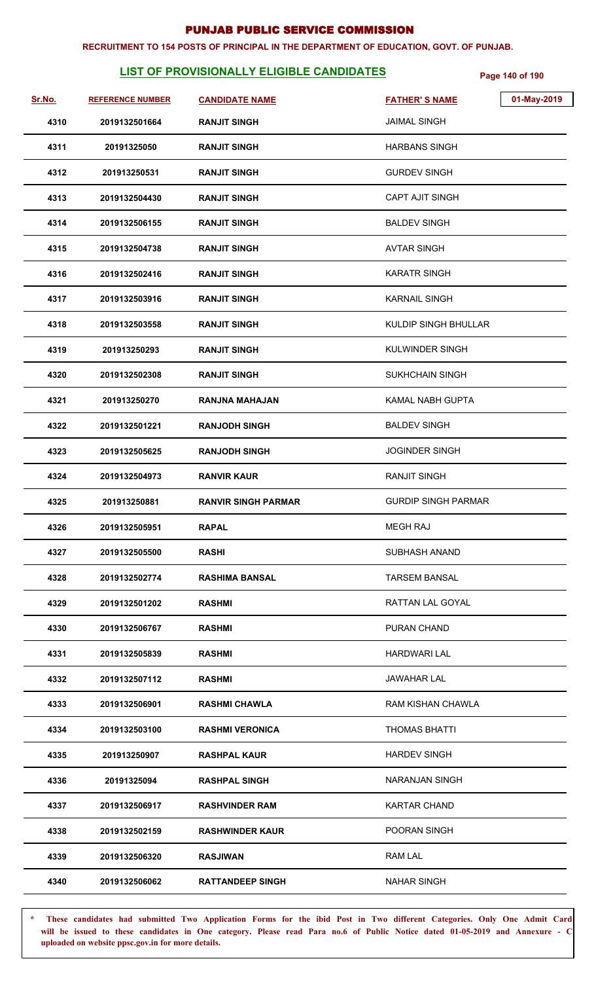#### **RECRUITMENT TO 154 POSTS OF PRINCIPAL IN THE DEPARTMENT OF EDUCATION, GOVT. OF PUNJAB.**

# **LIST OF PROVISIONALLY ELIGIBLE CANDIDATES** Page 140 of 190

| <u>Sr.No.</u> | <b>REFERENCE NUMBER</b> | <b>CANDIDATE NAME</b>      | <b>FATHER'S NAME</b>       | 01-May-2019 |
|---------------|-------------------------|----------------------------|----------------------------|-------------|
| 4310          | 2019132501664           | <b>RANJIT SINGH</b>        | <b>JAIMAL SINGH</b>        |             |
| 4311          | 20191325050             | <b>RANJIT SINGH</b>        | <b>HARBANS SINGH</b>       |             |
| 4312          | 201913250531            | <b>RANJIT SINGH</b>        | <b>GURDEV SINGH</b>        |             |
| 4313          | 2019132504430           | <b>RANJIT SINGH</b>        | <b>CAPT AJIT SINGH</b>     |             |
| 4314          | 2019132506155           | <b>RANJIT SINGH</b>        | <b>BALDEV SINGH</b>        |             |
| 4315          | 2019132504738           | <b>RANJIT SINGH</b>        | <b>AVTAR SINGH</b>         |             |
| 4316          | 2019132502416           | <b>RANJIT SINGH</b>        | <b>KARATR SINGH</b>        |             |
| 4317          | 2019132503916           | <b>RANJIT SINGH</b>        | <b>KARNAIL SINGH</b>       |             |
| 4318          | 2019132503558           | <b>RANJIT SINGH</b>        | KULDIP SINGH BHULLAR       |             |
| 4319          | 201913250293            | <b>RANJIT SINGH</b>        | <b>KULWINDER SINGH</b>     |             |
| 4320          | 2019132502308           | <b>RANJIT SINGH</b>        | <b>SUKHCHAIN SINGH</b>     |             |
| 4321          | 201913250270            | <b>RANJNA MAHAJAN</b>      | <b>KAMAL NABH GUPTA</b>    |             |
| 4322          | 2019132501221           | <b>RANJODH SINGH</b>       | <b>BALDEV SINGH</b>        |             |
| 4323          | 2019132505625           | <b>RANJODH SINGH</b>       | <b>JOGINDER SINGH</b>      |             |
| 4324          | 2019132504973           | <b>RANVIR KAUR</b>         | <b>RANJIT SINGH</b>        |             |
| 4325          | 201913250881            | <b>RANVIR SINGH PARMAR</b> | <b>GURDIP SINGH PARMAR</b> |             |
| 4326          | 2019132505951           | <b>RAPAL</b>               | <b>MEGH RAJ</b>            |             |
| 4327          | 2019132505500           | <b>RASHI</b>               | SUBHASH ANAND              |             |
| 4328          | 2019132502774           | <b>RASHIMA BANSAL</b>      | <b>TARSEM BANSAL</b>       |             |
| 4329          | 2019132501202           | <b>RASHMI</b>              | RATTAN LAL GOYAL           |             |
| 4330          | 2019132506767           | <b>RASHMI</b>              | PURAN CHAND                |             |
| 4331          | 2019132505839           | <b>RASHMI</b>              | <b>HARDWARI LAL</b>        |             |
| 4332          | 2019132507112           | <b>RASHMI</b>              | <b>JAWAHAR LAL</b>         |             |
| 4333          | 2019132506901           | <b>RASHMI CHAWLA</b>       | RAM KISHAN CHAWLA          |             |
| 4334          | 2019132503100           | <b>RASHMI VERONICA</b>     | <b>THOMAS BHATTI</b>       |             |
| 4335          | 201913250907            | <b>RASHPAL KAUR</b>        | <b>HARDEV SINGH</b>        |             |
| 4336          | 20191325094             | <b>RASHPAL SINGH</b>       | NARANJAN SINGH             |             |
| 4337          | 2019132506917           | <b>RASHVINDER RAM</b>      | <b>KARTAR CHAND</b>        |             |
| 4338          | 2019132502159           | <b>RASHWINDER KAUR</b>     | POORAN SINGH               |             |
| 4339          | 2019132506320           | <b>RASJIWAN</b>            | RAM LAL                    |             |
| 4340          | 2019132506062           | <b>RATTANDEEP SINGH</b>    | <b>NAHAR SINGH</b>         |             |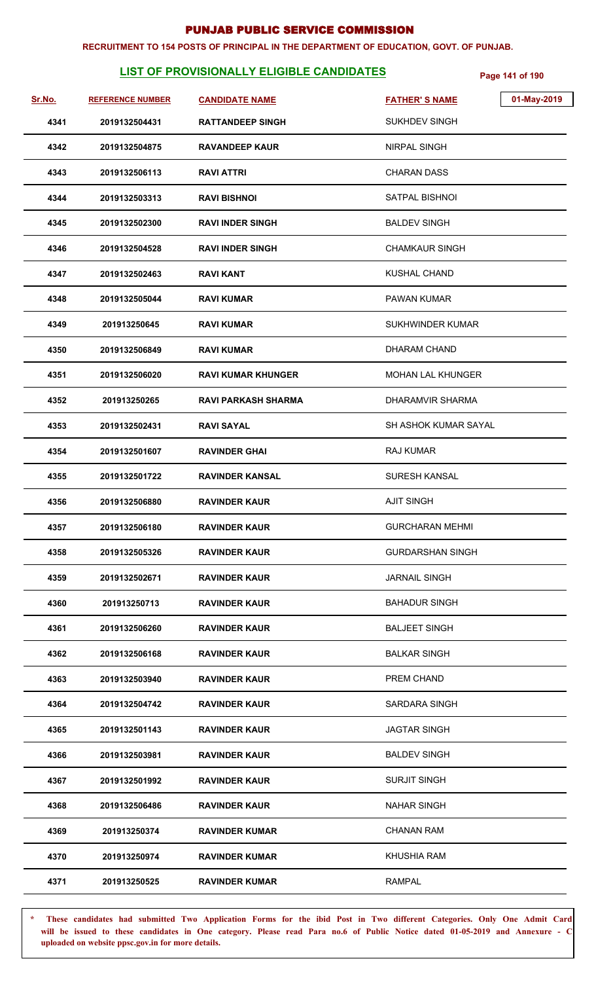#### **RECRUITMENT TO 154 POSTS OF PRINCIPAL IN THE DEPARTMENT OF EDUCATION, GOVT. OF PUNJAB.**

# **LIST OF PROVISIONALLY ELIGIBLE CANDIDATES** Page 141 of 190

| <u>Sr.No.</u> | <b>REFERENCE NUMBER</b> | <b>CANDIDATE NAME</b>      | <b>FATHER'S NAME</b>        | 01-May-2019 |
|---------------|-------------------------|----------------------------|-----------------------------|-------------|
| 4341          | 2019132504431           | <b>RATTANDEEP SINGH</b>    | <b>SUKHDEV SINGH</b>        |             |
| 4342          | 2019132504875           | <b>RAVANDEEP KAUR</b>      | <b>NIRPAL SINGH</b>         |             |
| 4343          | 2019132506113           | <b>RAVI ATTRI</b>          | <b>CHARAN DASS</b>          |             |
| 4344          | 2019132503313           | <b>RAVI BISHNOI</b>        | SATPAL BISHNOI              |             |
| 4345          | 2019132502300           | <b>RAVI INDER SINGH</b>    | <b>BALDEV SINGH</b>         |             |
| 4346          | 2019132504528           | <b>RAVI INDER SINGH</b>    | <b>CHAMKAUR SINGH</b>       |             |
| 4347          | 2019132502463           | <b>RAVI KANT</b>           | <b>KUSHAL CHAND</b>         |             |
| 4348          | 2019132505044           | <b>RAVI KUMAR</b>          | <b>PAWAN KUMAR</b>          |             |
| 4349          | 201913250645            | <b>RAVI KUMAR</b>          | <b>SUKHWINDER KUMAR</b>     |             |
| 4350          | 2019132506849           | <b>RAVI KUMAR</b>          | DHARAM CHAND                |             |
| 4351          | 2019132506020           | <b>RAVI KUMAR KHUNGER</b>  | <b>MOHAN LAL KHUNGER</b>    |             |
| 4352          | 201913250265            | <b>RAVI PARKASH SHARMA</b> | DHARAMVIR SHARMA            |             |
| 4353          | 2019132502431           | <b>RAVI SAYAL</b>          | <b>SH ASHOK KUMAR SAYAL</b> |             |
| 4354          | 2019132501607           | <b>RAVINDER GHAI</b>       | RAJ KUMAR                   |             |
| 4355          | 2019132501722           | <b>RAVINDER KANSAL</b>     | SURESH KANSAL               |             |
| 4356          | 2019132506880           | <b>RAVINDER KAUR</b>       | <b>AJIT SINGH</b>           |             |
| 4357          | 2019132506180           | <b>RAVINDER KAUR</b>       | <b>GURCHARAN MEHMI</b>      |             |
| 4358          | 2019132505326           | <b>RAVINDER KAUR</b>       | <b>GURDARSHAN SINGH</b>     |             |
| 4359          | 2019132502671           | <b>RAVINDER KAUR</b>       | <b>JARNAIL SINGH</b>        |             |
| 4360          | 201913250713            | <b>RAVINDER KAUR</b>       | <b>BAHADUR SINGH</b>        |             |
| 4361          | 2019132506260           | <b>RAVINDER KAUR</b>       | <b>BALJEET SINGH</b>        |             |
| 4362          | 2019132506168           | <b>RAVINDER KAUR</b>       | <b>BALKAR SINGH</b>         |             |
| 4363          | 2019132503940           | <b>RAVINDER KAUR</b>       | PREM CHAND                  |             |
| 4364          | 2019132504742           | <b>RAVINDER KAUR</b>       | SARDARA SINGH               |             |
| 4365          | 2019132501143           | <b>RAVINDER KAUR</b>       | <b>JAGTAR SINGH</b>         |             |
| 4366          | 2019132503981           | <b>RAVINDER KAUR</b>       | <b>BALDEV SINGH</b>         |             |
| 4367          | 2019132501992           | <b>RAVINDER KAUR</b>       | <b>SURJIT SINGH</b>         |             |
| 4368          | 2019132506486           | <b>RAVINDER KAUR</b>       | <b>NAHAR SINGH</b>          |             |
| 4369          | 201913250374            | <b>RAVINDER KUMAR</b>      | <b>CHANAN RAM</b>           |             |
| 4370          | 201913250974            | <b>RAVINDER KUMAR</b>      | <b>KHUSHIA RAM</b>          |             |
| 4371          | 201913250525            | <b>RAVINDER KUMAR</b>      | <b>RAMPAL</b>               |             |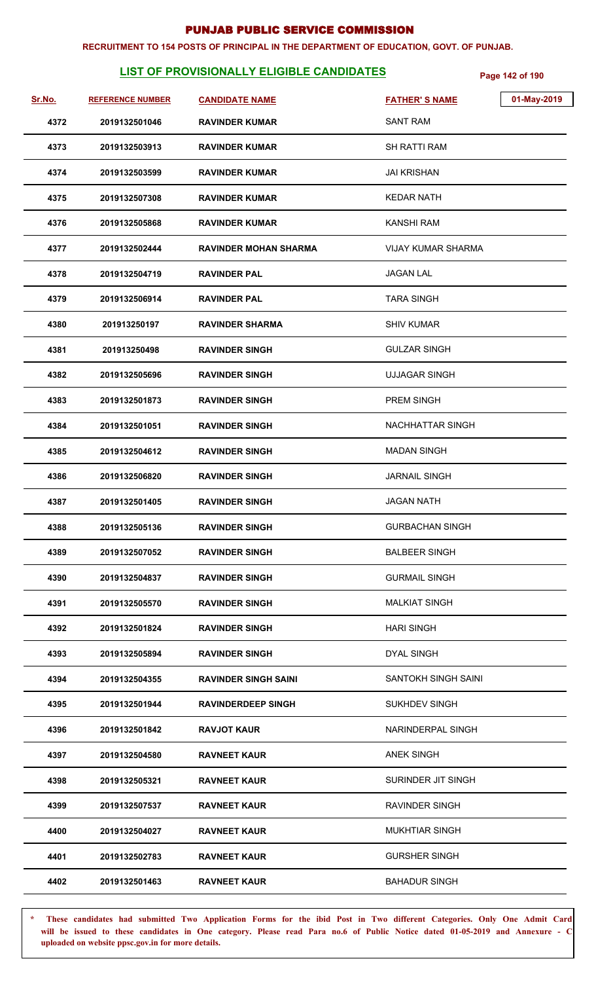#### **RECRUITMENT TO 154 POSTS OF PRINCIPAL IN THE DEPARTMENT OF EDUCATION, GOVT. OF PUNJAB.**

# **LIST OF PROVISIONALLY ELIGIBLE CANDIDATES** Page 142 of 190

| <u>Sr.No.</u> | <b>REFERENCE NUMBER</b> | <b>CANDIDATE NAME</b>        | 01-May-2019<br><b>FATHER'S NAME</b> |
|---------------|-------------------------|------------------------------|-------------------------------------|
| 4372          | 2019132501046           | <b>RAVINDER KUMAR</b>        | <b>SANT RAM</b>                     |
| 4373          | 2019132503913           | <b>RAVINDER KUMAR</b>        | SH RATTI RAM                        |
| 4374          | 2019132503599           | <b>RAVINDER KUMAR</b>        | <b>JAI KRISHAN</b>                  |
| 4375          | 2019132507308           | <b>RAVINDER KUMAR</b>        | <b>KEDAR NATH</b>                   |
| 4376          | 2019132505868           | <b>RAVINDER KUMAR</b>        | <b>KANSHI RAM</b>                   |
| 4377          | 2019132502444           | <b>RAVINDER MOHAN SHARMA</b> | VIJAY KUMAR SHARMA                  |
| 4378          | 2019132504719           | <b>RAVINDER PAL</b>          | <b>JAGAN LAL</b>                    |
| 4379          | 2019132506914           | <b>RAVINDER PAL</b>          | <b>TARA SINGH</b>                   |
| 4380          | 201913250197            | <b>RAVINDER SHARMA</b>       | <b>SHIV KUMAR</b>                   |
| 4381          | 201913250498            | <b>RAVINDER SINGH</b>        | <b>GULZAR SINGH</b>                 |
| 4382          | 2019132505696           | <b>RAVINDER SINGH</b>        | <b>UJJAGAR SINGH</b>                |
| 4383          | 2019132501873           | <b>RAVINDER SINGH</b>        | <b>PREM SINGH</b>                   |
| 4384          | 2019132501051           | <b>RAVINDER SINGH</b>        | <b>NACHHATTAR SINGH</b>             |
| 4385          | 2019132504612           | <b>RAVINDER SINGH</b>        | <b>MADAN SINGH</b>                  |
| 4386          | 2019132506820           | <b>RAVINDER SINGH</b>        | <b>JARNAIL SINGH</b>                |
| 4387          | 2019132501405           | <b>RAVINDER SINGH</b>        | <b>JAGAN NATH</b>                   |
| 4388          | 2019132505136           | <b>RAVINDER SINGH</b>        | <b>GURBACHAN SINGH</b>              |
| 4389          | 2019132507052           | <b>RAVINDER SINGH</b>        | <b>BALBEER SINGH</b>                |
| 4390          | 2019132504837           | <b>RAVINDER SINGH</b>        | <b>GURMAIL SINGH</b>                |
| 4391          | 2019132505570           | <b>RAVINDER SINGH</b>        | <b>MALKIAT SINGH</b>                |
| 4392          | 2019132501824           | <b>RAVINDER SINGH</b>        | <b>HARI SINGH</b>                   |
| 4393          | 2019132505894           | <b>RAVINDER SINGH</b>        | DYAL SINGH                          |
| 4394          | 2019132504355           | <b>RAVINDER SINGH SAINI</b>  | SANTOKH SINGH SAINI                 |
| 4395          | 2019132501944           | <b>RAVINDERDEEP SINGH</b>    | <b>SUKHDEV SINGH</b>                |
| 4396          | 2019132501842           | <b>RAVJOT KAUR</b>           | NARINDERPAL SINGH                   |
| 4397          | 2019132504580           | <b>RAVNEET KAUR</b>          | <b>ANEK SINGH</b>                   |
| 4398          | 2019132505321           | <b>RAVNEET KAUR</b>          | SURINDER JIT SINGH                  |
| 4399          | 2019132507537           | <b>RAVNEET KAUR</b>          | <b>RAVINDER SINGH</b>               |
| 4400          | 2019132504027           | <b>RAVNEET KAUR</b>          | <b>MUKHTIAR SINGH</b>               |
| 4401          | 2019132502783           | <b>RAVNEET KAUR</b>          | <b>GURSHER SINGH</b>                |
| 4402          | 2019132501463           | <b>RAVNEET KAUR</b>          | <b>BAHADUR SINGH</b>                |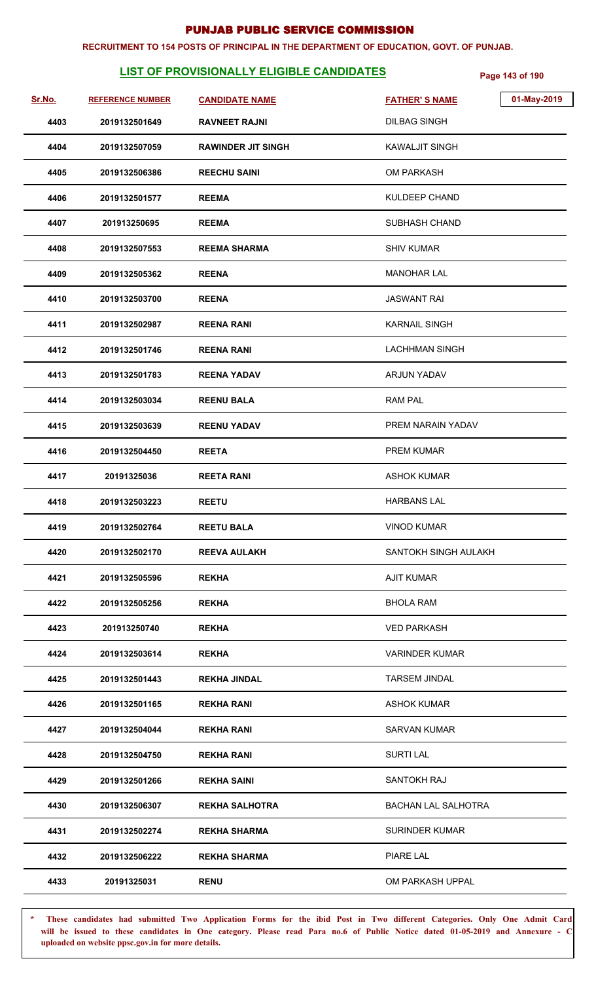#### **RECRUITMENT TO 154 POSTS OF PRINCIPAL IN THE DEPARTMENT OF EDUCATION, GOVT. OF PUNJAB.**

# **LIST OF PROVISIONALLY ELIGIBLE CANDIDATES** Page 143 of 190

| Sr.No. | <b>REFERENCE NUMBER</b> | <b>CANDIDATE NAME</b>     | 01-May-2019<br><b>FATHER'S NAME</b> |
|--------|-------------------------|---------------------------|-------------------------------------|
| 4403   | 2019132501649           | <b>RAVNEET RAJNI</b>      | <b>DILBAG SINGH</b>                 |
| 4404   | 2019132507059           | <b>RAWINDER JIT SINGH</b> | <b>KAWALJIT SINGH</b>               |
| 4405   | 2019132506386           | <b>REECHU SAINI</b>       | OM PARKASH                          |
| 4406   | 2019132501577           | <b>REEMA</b>              | <b>KULDEEP CHAND</b>                |
| 4407   | 201913250695            | <b>REEMA</b>              | <b>SUBHASH CHAND</b>                |
| 4408   | 2019132507553           | <b>REEMA SHARMA</b>       | <b>SHIV KUMAR</b>                   |
| 4409   | 2019132505362           | <b>REENA</b>              | <b>MANOHAR LAL</b>                  |
| 4410   | 2019132503700           | <b>REENA</b>              | <b>JASWANT RAI</b>                  |
| 4411   | 2019132502987           | <b>REENA RANI</b>         | <b>KARNAIL SINGH</b>                |
| 4412   | 2019132501746           | <b>REENA RANI</b>         | <b>LACHHMAN SINGH</b>               |
| 4413   | 2019132501783           | <b>REENA YADAV</b>        | ARJUN YADAV                         |
| 4414   | 2019132503034           | <b>REENU BALA</b>         | <b>RAM PAL</b>                      |
| 4415   | 2019132503639           | <b>REENU YADAV</b>        | PREM NARAIN YADAV                   |
| 4416   | 2019132504450           | <b>REETA</b>              | PREM KUMAR                          |
| 4417   | 20191325036             | <b>REETA RANI</b>         | <b>ASHOK KUMAR</b>                  |
| 4418   | 2019132503223           | <b>REETU</b>              | <b>HARBANS LAL</b>                  |
| 4419   | 2019132502764           | <b>REETU BALA</b>         | <b>VINOD KUMAR</b>                  |
| 4420   | 2019132502170           | <b>REEVA AULAKH</b>       | SANTOKH SINGH AULAKH                |
| 4421   | 2019132505596           | <b>REKHA</b>              | <b>AJIT KUMAR</b>                   |
| 4422   | 2019132505256           | <b>REKHA</b>              | <b>BHOLA RAM</b>                    |
| 4423   | 201913250740            | <b>REKHA</b>              | <b>VED PARKASH</b>                  |
| 4424   | 2019132503614           | <b>REKHA</b>              | <b>VARINDER KUMAR</b>               |
| 4425   | 2019132501443           | <b>REKHA JINDAL</b>       | <b>TARSEM JINDAL</b>                |
| 4426   | 2019132501165           | <b>REKHA RANI</b>         | <b>ASHOK KUMAR</b>                  |
| 4427   | 2019132504044           | <b>REKHA RANI</b>         | <b>SARVAN KUMAR</b>                 |
| 4428   | 2019132504750           | <b>REKHA RANI</b>         | <b>SURTI LAL</b>                    |
| 4429   | 2019132501266           | <b>REKHA SAINI</b>        | SANTOKH RAJ                         |
| 4430   | 2019132506307           | <b>REKHA SALHOTRA</b>     | <b>BACHAN LAL SALHOTRA</b>          |
| 4431   | 2019132502274           | <b>REKHA SHARMA</b>       | SURINDER KUMAR                      |
| 4432   | 2019132506222           | <b>REKHA SHARMA</b>       | PIARE LAL                           |
| 4433   | 20191325031             | <b>RENU</b>               | OM PARKASH UPPAL                    |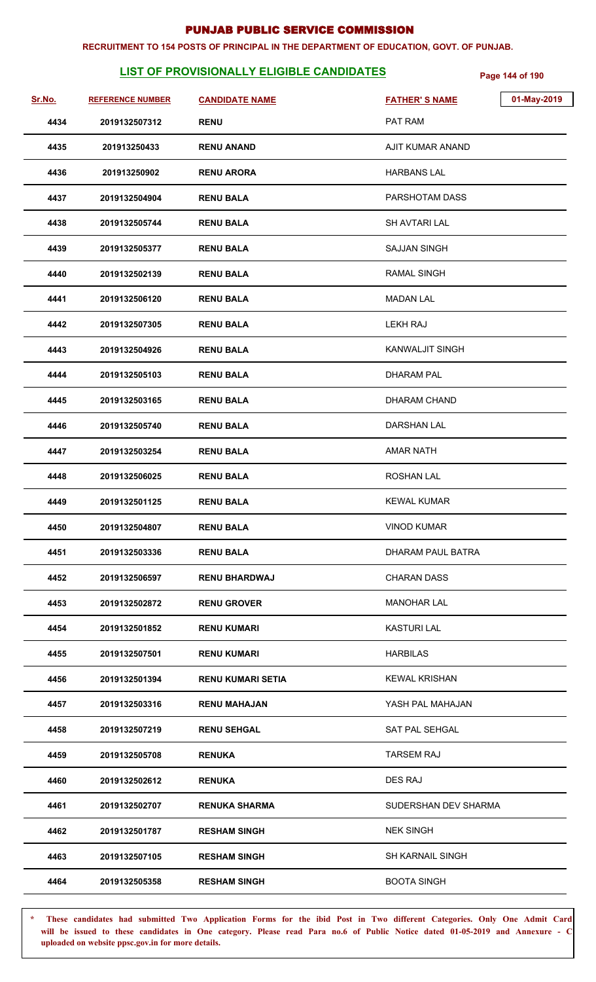#### **RECRUITMENT TO 154 POSTS OF PRINCIPAL IN THE DEPARTMENT OF EDUCATION, GOVT. OF PUNJAB.**

# **LIST OF PROVISIONALLY ELIGIBLE CANDIDATES** Page 144 of 190

| Sr.No. | <b>REFERENCE NUMBER</b> | <b>CANDIDATE NAME</b>    | <b>FATHER'S NAME</b>    | 01-May-2019 |
|--------|-------------------------|--------------------------|-------------------------|-------------|
| 4434   | 2019132507312           | <b>RENU</b>              | PAT RAM                 |             |
| 4435   | 201913250433            | <b>RENU ANAND</b>        | AJIT KUMAR ANAND        |             |
| 4436   | 201913250902            | <b>RENU ARORA</b>        | <b>HARBANS LAL</b>      |             |
| 4437   | 2019132504904           | <b>RENU BALA</b>         | PARSHOTAM DASS          |             |
| 4438   | 2019132505744           | <b>RENU BALA</b>         | <b>SH AVTARI LAL</b>    |             |
| 4439   | 2019132505377           | <b>RENU BALA</b>         | <b>SAJJAN SINGH</b>     |             |
| 4440   | 2019132502139           | <b>RENU BALA</b>         | <b>RAMAL SINGH</b>      |             |
| 4441   | 2019132506120           | <b>RENU BALA</b>         | <b>MADAN LAL</b>        |             |
| 4442   | 2019132507305           | <b>RENU BALA</b>         | LEKH RAJ                |             |
| 4443   | 2019132504926           | <b>RENU BALA</b>         | <b>KANWALJIT SINGH</b>  |             |
| 4444   | 2019132505103           | <b>RENU BALA</b>         | <b>DHARAM PAL</b>       |             |
| 4445   | 2019132503165           | <b>RENU BALA</b>         | <b>DHARAM CHAND</b>     |             |
| 4446   | 2019132505740           | <b>RENU BALA</b>         | <b>DARSHAN LAL</b>      |             |
| 4447   | 2019132503254           | <b>RENU BALA</b>         | <b>AMAR NATH</b>        |             |
| 4448   | 2019132506025           | <b>RENU BALA</b>         | <b>ROSHAN LAL</b>       |             |
| 4449   | 2019132501125           | <b>RENU BALA</b>         | <b>KEWAL KUMAR</b>      |             |
| 4450   | 2019132504807           | <b>RENU BALA</b>         | <b>VINOD KUMAR</b>      |             |
| 4451   | 2019132503336           | <b>RENU BALA</b>         | DHARAM PAUL BATRA       |             |
| 4452   | 2019132506597           | <b>RENU BHARDWAJ</b>     | <b>CHARAN DASS</b>      |             |
| 4453   | 2019132502872           | <b>RENU GROVER</b>       | MANOHAR LAL             |             |
| 4454   | 2019132501852           | <b>RENU KUMARI</b>       | <b>KASTURI LAL</b>      |             |
| 4455   | 2019132507501           | <b>RENU KUMARI</b>       | <b>HARBILAS</b>         |             |
| 4456   | 2019132501394           | <b>RENU KUMARI SETIA</b> | <b>KEWAL KRISHAN</b>    |             |
| 4457   | 2019132503316           | <b>RENU MAHAJAN</b>      | YASH PAL MAHAJAN        |             |
| 4458   | 2019132507219           | <b>RENU SEHGAL</b>       | SAT PAL SEHGAL          |             |
| 4459   | 2019132505708           | <b>RENUKA</b>            | <b>TARSEM RAJ</b>       |             |
| 4460   | 2019132502612           | <b>RENUKA</b>            | DES RAJ                 |             |
| 4461   | 2019132502707           | <b>RENUKA SHARMA</b>     | SUDERSHAN DEV SHARMA    |             |
| 4462   | 2019132501787           | <b>RESHAM SINGH</b>      | <b>NEK SINGH</b>        |             |
| 4463   | 2019132507105           | <b>RESHAM SINGH</b>      | <b>SH KARNAIL SINGH</b> |             |
| 4464   | 2019132505358           | <b>RESHAM SINGH</b>      | <b>BOOTA SINGH</b>      |             |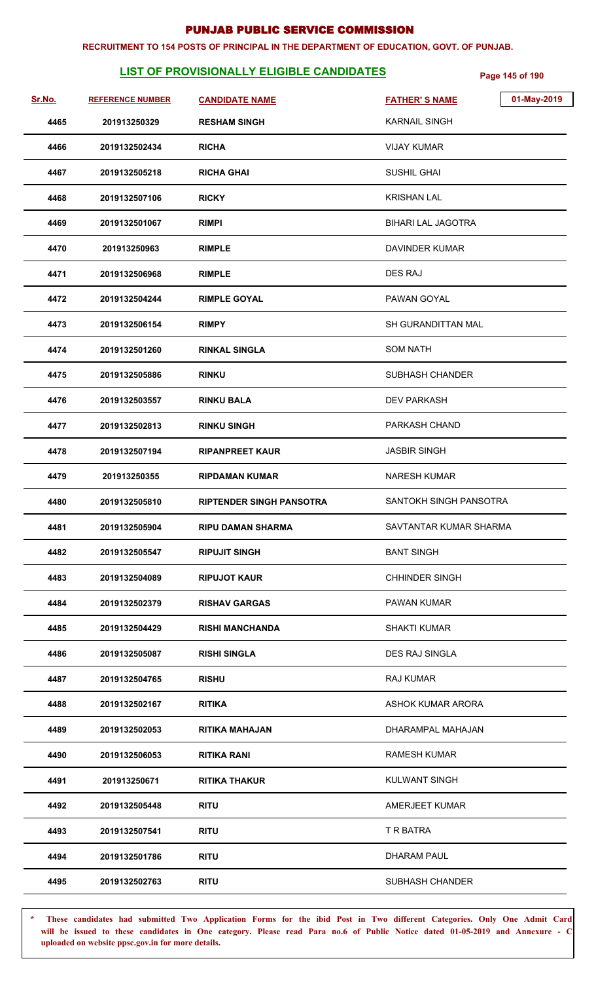#### **RECRUITMENT TO 154 POSTS OF PRINCIPAL IN THE DEPARTMENT OF EDUCATION, GOVT. OF PUNJAB.**

# **LIST OF PROVISIONALLY ELIGIBLE CANDIDATES** Page 145 of 190

| Sr.No. | <b>REFERENCE NUMBER</b> | <b>CANDIDATE NAME</b>           | 01-May-2019<br><b>FATHER'S NAME</b> |
|--------|-------------------------|---------------------------------|-------------------------------------|
| 4465   | 201913250329            | <b>RESHAM SINGH</b>             | <b>KARNAIL SINGH</b>                |
| 4466   | 2019132502434           | <b>RICHA</b>                    | <b>VIJAY KUMAR</b>                  |
| 4467   | 2019132505218           | <b>RICHA GHAI</b>               | SUSHIL GHAI                         |
| 4468   | 2019132507106           | <b>RICKY</b>                    | <b>KRISHAN LAL</b>                  |
| 4469   | 2019132501067           | <b>RIMPI</b>                    | <b>BIHARI LAL JAGOTRA</b>           |
| 4470   | 201913250963            | <b>RIMPLE</b>                   | DAVINDER KUMAR                      |
| 4471   | 2019132506968           | <b>RIMPLE</b>                   | <b>DES RAJ</b>                      |
| 4472   | 2019132504244           | <b>RIMPLE GOYAL</b>             | PAWAN GOYAL                         |
| 4473   | 2019132506154           | <b>RIMPY</b>                    | SH GURANDITTAN MAL                  |
| 4474   | 2019132501260           | <b>RINKAL SINGLA</b>            | <b>SOM NATH</b>                     |
| 4475   | 2019132505886           | <b>RINKU</b>                    | SUBHASH CHANDER                     |
| 4476   | 2019132503557           | <b>RINKU BALA</b>               | <b>DEV PARKASH</b>                  |
| 4477   | 2019132502813           | <b>RINKU SINGH</b>              | PARKASH CHAND                       |
| 4478   | 2019132507194           | <b>RIPANPREET KAUR</b>          | <b>JASBIR SINGH</b>                 |
| 4479   | 201913250355            | <b>RIPDAMAN KUMAR</b>           | <b>NARESH KUMAR</b>                 |
| 4480   | 2019132505810           | <b>RIPTENDER SINGH PANSOTRA</b> | SANTOKH SINGH PANSOTRA              |
| 4481   | 2019132505904           | <b>RIPU DAMAN SHARMA</b>        | SAVTANTAR KUMAR SHARMA              |
| 4482   | 2019132505547           | <b>RIPUJIT SINGH</b>            | <b>BANT SINGH</b>                   |
| 4483   | 2019132504089           | <b>RIPUJOT KAUR</b>             | <b>CHHINDER SINGH</b>               |
| 4484   | 2019132502379           | <b>RISHAV GARGAS</b>            | <b>PAWAN KUMAR</b>                  |
| 4485   | 2019132504429           | <b>RISHI MANCHANDA</b>          | <b>SHAKTI KUMAR</b>                 |
| 4486   | 2019132505087           | <b>RISHI SINGLA</b>             | DES RAJ SINGLA                      |
| 4487   | 2019132504765           | <b>RISHU</b>                    | <b>RAJ KUMAR</b>                    |
| 4488   | 2019132502167           | <b>RITIKA</b>                   | ASHOK KUMAR ARORA                   |
| 4489   | 2019132502053           | <b>RITIKA MAHAJAN</b>           | DHARAMPAL MAHAJAN                   |
| 4490   | 2019132506053           | <b>RITIKA RANI</b>              | <b>RAMESH KUMAR</b>                 |
| 4491   | 201913250671            | <b>RITIKA THAKUR</b>            | <b>KULWANT SINGH</b>                |
| 4492   | 2019132505448           | <b>RITU</b>                     | AMERJEET KUMAR                      |
| 4493   | 2019132507541           | <b>RITU</b>                     | T R BATRA                           |
| 4494   | 2019132501786           | <b>RITU</b>                     | <b>DHARAM PAUL</b>                  |
| 4495   | 2019132502763           | <b>RITU</b>                     | SUBHASH CHANDER                     |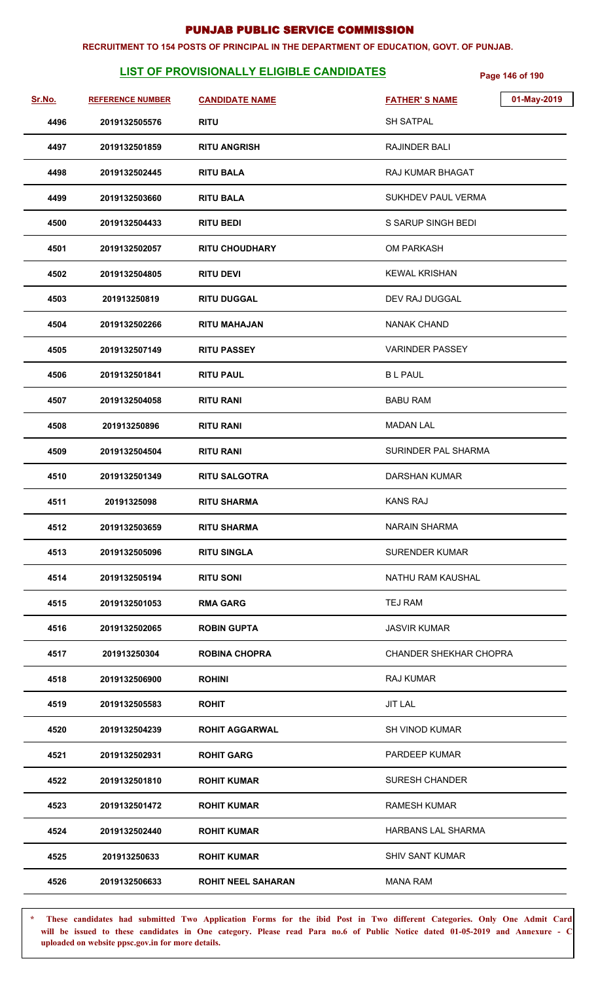#### **RECRUITMENT TO 154 POSTS OF PRINCIPAL IN THE DEPARTMENT OF EDUCATION, GOVT. OF PUNJAB.**

# **LIST OF PROVISIONALLY ELIGIBLE CANDIDATES** Page 146 of 190

| Sr.No. | <b>REFERENCE NUMBER</b> | <b>CANDIDATE NAME</b>     | 01-May-2019<br><b>FATHER'S NAME</b> |
|--------|-------------------------|---------------------------|-------------------------------------|
| 4496   | 2019132505576           | <b>RITU</b>               | <b>SH SATPAL</b>                    |
| 4497   | 2019132501859           | <b>RITU ANGRISH</b>       | RAJINDER BALI                       |
| 4498   | 2019132502445           | <b>RITU BALA</b>          | RAJ KUMAR BHAGAT                    |
| 4499   | 2019132503660           | <b>RITU BALA</b>          | SUKHDEV PAUL VERMA                  |
| 4500   | 2019132504433           | <b>RITU BEDI</b>          | S SARUP SINGH BEDI                  |
| 4501   | 2019132502057           | <b>RITU CHOUDHARY</b>     | <b>OM PARKASH</b>                   |
| 4502   | 2019132504805           | <b>RITU DEVI</b>          | <b>KEWAL KRISHAN</b>                |
| 4503   | 201913250819            | <b>RITU DUGGAL</b>        | DEV RAJ DUGGAL                      |
| 4504   | 2019132502266           | <b>RITU MAHAJAN</b>       | <b>NANAK CHAND</b>                  |
| 4505   | 2019132507149           | <b>RITU PASSEY</b>        | <b>VARINDER PASSEY</b>              |
| 4506   | 2019132501841           | <b>RITU PAUL</b>          | <b>BL PAUL</b>                      |
| 4507   | 2019132504058           | <b>RITU RANI</b>          | <b>BABU RAM</b>                     |
| 4508   | 201913250896            | <b>RITU RANI</b>          | <b>MADAN LAL</b>                    |
| 4509   | 2019132504504           | <b>RITU RANI</b>          | SURINDER PAL SHARMA                 |
| 4510   | 2019132501349           | <b>RITU SALGOTRA</b>      | DARSHAN KUMAR                       |
| 4511   | 20191325098             | <b>RITU SHARMA</b>        | <b>KANS RAJ</b>                     |
| 4512   | 2019132503659           | <b>RITU SHARMA</b>        | <b>NARAIN SHARMA</b>                |
| 4513   | 2019132505096           | <b>RITU SINGLA</b>        | <b>SURENDER KUMAR</b>               |
| 4514   | 2019132505194           | <b>RITU SONI</b>          | NATHU RAM KAUSHAL                   |
| 4515   | 2019132501053           | <b>RMA GARG</b>           | TEJ RAM                             |
| 4516   | 2019132502065           | <b>ROBIN GUPTA</b>        | <b>JASVIR KUMAR</b>                 |
| 4517   | 201913250304            | <b>ROBINA CHOPRA</b>      | <b>CHANDER SHEKHAR CHOPRA</b>       |
| 4518   | 2019132506900           | <b>ROHINI</b>             | <b>RAJ KUMAR</b>                    |
| 4519   | 2019132505583           | <b>ROHIT</b>              | <b>JIT LAL</b>                      |
| 4520   | 2019132504239           | <b>ROHIT AGGARWAL</b>     | <b>SH VINOD KUMAR</b>               |
| 4521   | 2019132502931           | <b>ROHIT GARG</b>         | <b>PARDEEP KUMAR</b>                |
| 4522   | 2019132501810           | <b>ROHIT KUMAR</b>        | <b>SURESH CHANDER</b>               |
| 4523   | 2019132501472           | <b>ROHIT KUMAR</b>        | <b>RAMESH KUMAR</b>                 |
| 4524   | 2019132502440           | <b>ROHIT KUMAR</b>        | HARBANS LAL SHARMA                  |
| 4525   | 201913250633            | <b>ROHIT KUMAR</b>        | <b>SHIV SANT KUMAR</b>              |
| 4526   | 2019132506633           | <b>ROHIT NEEL SAHARAN</b> | <b>MANA RAM</b>                     |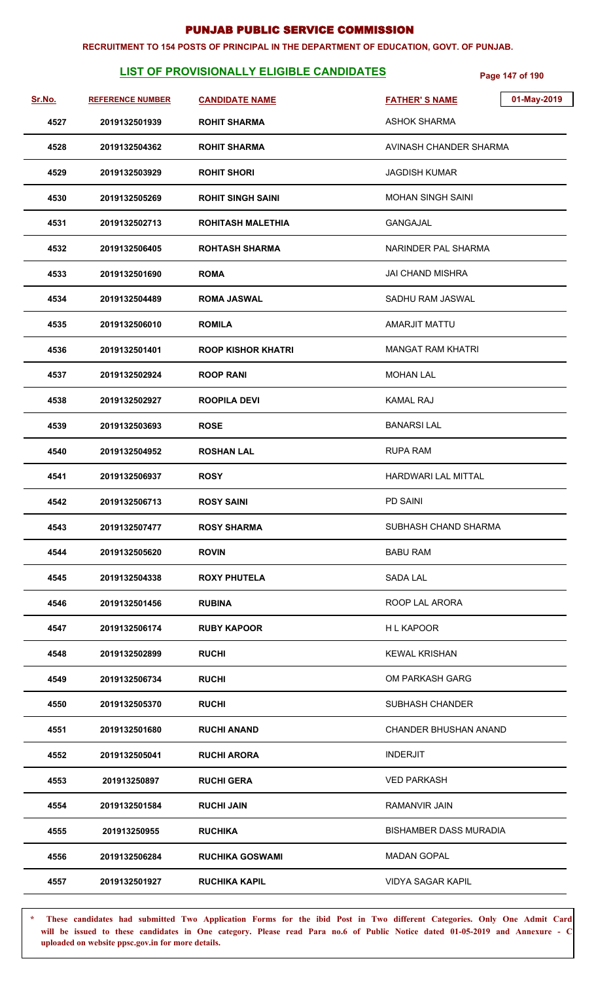#### **RECRUITMENT TO 154 POSTS OF PRINCIPAL IN THE DEPARTMENT OF EDUCATION, GOVT. OF PUNJAB.**

# **LIST OF PROVISIONALLY ELIGIBLE CANDIDATES** Page 147 of 190

| Sr.No. | <b>REFERENCE NUMBER</b> | <b>CANDIDATE NAME</b>     | 01-May-2019<br><b>FATHER'S NAME</b> |
|--------|-------------------------|---------------------------|-------------------------------------|
| 4527   | 2019132501939           | <b>ROHIT SHARMA</b>       | <b>ASHOK SHARMA</b>                 |
| 4528   | 2019132504362           | <b>ROHIT SHARMA</b>       | AVINASH CHANDER SHARMA              |
| 4529   | 2019132503929           | <b>ROHIT SHORI</b>        | <b>JAGDISH KUMAR</b>                |
| 4530   | 2019132505269           | <b>ROHIT SINGH SAINI</b>  | <b>MOHAN SINGH SAINI</b>            |
| 4531   | 2019132502713           | <b>ROHITASH MALETHIA</b>  | <b>GANGAJAL</b>                     |
| 4532   | 2019132506405           | <b>ROHTASH SHARMA</b>     | NARINDER PAL SHARMA                 |
| 4533   | 2019132501690           | <b>ROMA</b>               | <b>JAI CHAND MISHRA</b>             |
| 4534   | 2019132504489           | <b>ROMA JASWAL</b>        | SADHU RAM JASWAL                    |
| 4535   | 2019132506010           | <b>ROMILA</b>             | <b>AMARJIT MATTU</b>                |
| 4536   | 2019132501401           | <b>ROOP KISHOR KHATRI</b> | <b>MANGAT RAM KHATRI</b>            |
| 4537   | 2019132502924           | <b>ROOP RANI</b>          | <b>MOHAN LAL</b>                    |
| 4538   | 2019132502927           | <b>ROOPILA DEVI</b>       | <b>KAMAL RAJ</b>                    |
| 4539   | 2019132503693           | <b>ROSE</b>               | <b>BANARSILAL</b>                   |
| 4540   | 2019132504952           | <b>ROSHAN LAL</b>         | <b>RUPA RAM</b>                     |
| 4541   | 2019132506937           | <b>ROSY</b>               | HARDWARI LAL MITTAL                 |
| 4542   | 2019132506713           | <b>ROSY SAINI</b>         | <b>PD SAINI</b>                     |
| 4543   | 2019132507477           | <b>ROSY SHARMA</b>        | SUBHASH CHAND SHARMA                |
| 4544   | 2019132505620           | <b>ROVIN</b>              | <b>BABU RAM</b>                     |
| 4545   | 2019132504338           | <b>ROXY PHUTELA</b>       | SADA LAL                            |
| 4546   | 2019132501456           | <b>RUBINA</b>             | ROOP LAL ARORA                      |
| 4547   | 2019132506174           | <b>RUBY KAPOOR</b>        | <b>HL KAPOOR</b>                    |
| 4548   | 2019132502899           | <b>RUCHI</b>              | <b>KEWAL KRISHAN</b>                |
| 4549   | 2019132506734           | <b>RUCHI</b>              | OM PARKASH GARG                     |
| 4550   | 2019132505370           | <b>RUCHI</b>              | SUBHASH CHANDER                     |
| 4551   | 2019132501680           | <b>RUCHI ANAND</b>        | CHANDER BHUSHAN ANAND               |
| 4552   | 2019132505041           | <b>RUCHI ARORA</b>        | <b>INDERJIT</b>                     |
| 4553   | 201913250897            | <b>RUCHI GERA</b>         | <b>VED PARKASH</b>                  |
| 4554   | 2019132501584           | <b>RUCHI JAIN</b>         | RAMANVIR JAIN                       |
| 4555   | 201913250955            | <b>RUCHIKA</b>            | <b>BISHAMBER DASS MURADIA</b>       |
| 4556   | 2019132506284           | <b>RUCHIKA GOSWAMI</b>    | <b>MADAN GOPAL</b>                  |
| 4557   | 2019132501927           | <b>RUCHIKA KAPIL</b>      | <b>VIDYA SAGAR KAPIL</b>            |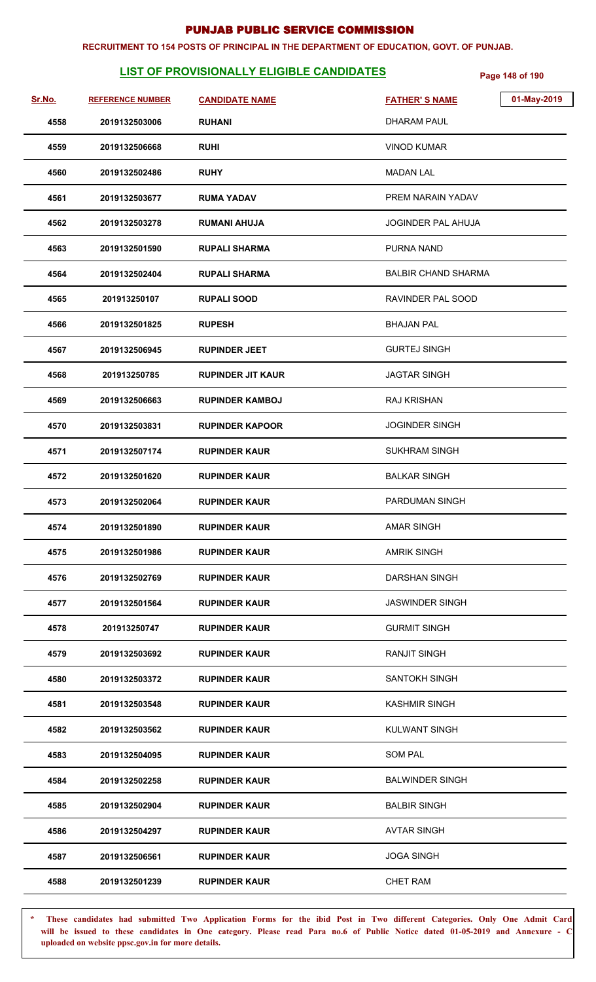#### **RECRUITMENT TO 154 POSTS OF PRINCIPAL IN THE DEPARTMENT OF EDUCATION, GOVT. OF PUNJAB.**

# **LIST OF PROVISIONALLY ELIGIBLE CANDIDATES** Page 148 of 190

| Sr.No. | <b>REFERENCE NUMBER</b> | <b>CANDIDATE NAME</b>    | 01-May-2019<br><b>FATHER'S NAME</b> |
|--------|-------------------------|--------------------------|-------------------------------------|
| 4558   | 2019132503006           | <b>RUHANI</b>            | DHARAM PAUL                         |
| 4559   | 2019132506668           | <b>RUHI</b>              | <b>VINOD KUMAR</b>                  |
| 4560   | 2019132502486           | <b>RUHY</b>              | <b>MADAN LAL</b>                    |
| 4561   | 2019132503677           | <b>RUMA YADAV</b>        | PREM NARAIN YADAV                   |
| 4562   | 2019132503278           | <b>RUMANI AHUJA</b>      | <b>JOGINDER PAL AHUJA</b>           |
| 4563   | 2019132501590           | <b>RUPALI SHARMA</b>     | PURNA NAND                          |
| 4564   | 2019132502404           | <b>RUPALI SHARMA</b>     | <b>BALBIR CHAND SHARMA</b>          |
| 4565   | 201913250107            | <b>RUPALI SOOD</b>       | RAVINDER PAL SOOD                   |
| 4566   | 2019132501825           | <b>RUPESH</b>            | <b>BHAJAN PAL</b>                   |
| 4567   | 2019132506945           | <b>RUPINDER JEET</b>     | <b>GURTEJ SINGH</b>                 |
| 4568   | 201913250785            | <b>RUPINDER JIT KAUR</b> | <b>JAGTAR SINGH</b>                 |
| 4569   | 2019132506663           | <b>RUPINDER KAMBOJ</b>   | <b>RAJ KRISHAN</b>                  |
| 4570   | 2019132503831           | <b>RUPINDER KAPOOR</b>   | <b>JOGINDER SINGH</b>               |
| 4571   | 2019132507174           | <b>RUPINDER KAUR</b>     | <b>SUKHRAM SINGH</b>                |
| 4572   | 2019132501620           | <b>RUPINDER KAUR</b>     | <b>BALKAR SINGH</b>                 |
| 4573   | 2019132502064           | <b>RUPINDER KAUR</b>     | <b>PARDUMAN SINGH</b>               |
| 4574   | 2019132501890           | <b>RUPINDER KAUR</b>     | <b>AMAR SINGH</b>                   |
| 4575   | 2019132501986           | <b>RUPINDER KAUR</b>     | <b>AMRIK SINGH</b>                  |
| 4576   | 2019132502769           | <b>RUPINDER KAUR</b>     | DARSHAN SINGH                       |
| 4577   | 2019132501564           | <b>RUPINDER KAUR</b>     | <b>JASWINDER SINGH</b>              |
| 4578   | 201913250747            | <b>RUPINDER KAUR</b>     | <b>GURMIT SINGH</b>                 |
| 4579   | 2019132503692           | <b>RUPINDER KAUR</b>     | <b>RANJIT SINGH</b>                 |
| 4580   | 2019132503372           | <b>RUPINDER KAUR</b>     | <b>SANTOKH SINGH</b>                |
| 4581   | 2019132503548           | <b>RUPINDER KAUR</b>     | <b>KASHMIR SINGH</b>                |
| 4582   | 2019132503562           | <b>RUPINDER KAUR</b>     | KULWANT SINGH                       |
| 4583   | 2019132504095           | <b>RUPINDER KAUR</b>     | <b>SOM PAL</b>                      |
| 4584   | 2019132502258           | <b>RUPINDER KAUR</b>     | <b>BALWINDER SINGH</b>              |
| 4585   | 2019132502904           | <b>RUPINDER KAUR</b>     | <b>BALBIR SINGH</b>                 |
| 4586   | 2019132504297           | <b>RUPINDER KAUR</b>     | <b>AVTAR SINGH</b>                  |
| 4587   | 2019132506561           | <b>RUPINDER KAUR</b>     | <b>JOGA SINGH</b>                   |
| 4588   | 2019132501239           | <b>RUPINDER KAUR</b>     | <b>CHET RAM</b>                     |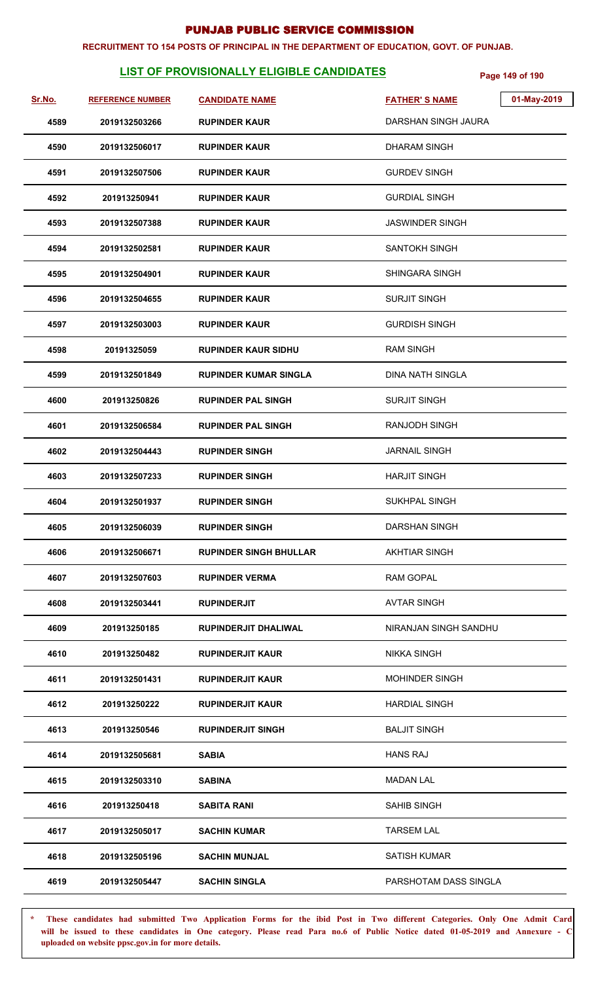#### **RECRUITMENT TO 154 POSTS OF PRINCIPAL IN THE DEPARTMENT OF EDUCATION, GOVT. OF PUNJAB.**

# **LIST OF PROVISIONALLY ELIGIBLE CANDIDATES** Page 149 of 190

| <u>Sr.No.</u> | <b>REFERENCE NUMBER</b> | <b>CANDIDATE NAME</b>         | <b>FATHER'S NAME</b>    | 01-May-2019 |
|---------------|-------------------------|-------------------------------|-------------------------|-------------|
| 4589          | 2019132503266           | <b>RUPINDER KAUR</b>          | DARSHAN SINGH JAURA     |             |
| 4590          | 2019132506017           | <b>RUPINDER KAUR</b>          | <b>DHARAM SINGH</b>     |             |
| 4591          | 2019132507506           | <b>RUPINDER KAUR</b>          | <b>GURDEV SINGH</b>     |             |
| 4592          | 201913250941            | <b>RUPINDER KAUR</b>          | <b>GURDIAL SINGH</b>    |             |
| 4593          | 2019132507388           | <b>RUPINDER KAUR</b>          | <b>JASWINDER SINGH</b>  |             |
| 4594          | 2019132502581           | <b>RUPINDER KAUR</b>          | SANTOKH SINGH           |             |
| 4595          | 2019132504901           | <b>RUPINDER KAUR</b>          | SHINGARA SINGH          |             |
| 4596          | 2019132504655           | <b>RUPINDER KAUR</b>          | <b>SURJIT SINGH</b>     |             |
| 4597          | 2019132503003           | <b>RUPINDER KAUR</b>          | <b>GURDISH SINGH</b>    |             |
| 4598          | 20191325059             | <b>RUPINDER KAUR SIDHU</b>    | <b>RAM SINGH</b>        |             |
| 4599          | 2019132501849           | <b>RUPINDER KUMAR SINGLA</b>  | <b>DINA NATH SINGLA</b> |             |
| 4600          | 201913250826            | <b>RUPINDER PAL SINGH</b>     | <b>SURJIT SINGH</b>     |             |
| 4601          | 2019132506584           | <b>RUPINDER PAL SINGH</b>     | <b>RANJODH SINGH</b>    |             |
| 4602          | 2019132504443           | <b>RUPINDER SINGH</b>         | <b>JARNAIL SINGH</b>    |             |
| 4603          | 2019132507233           | <b>RUPINDER SINGH</b>         | <b>HARJIT SINGH</b>     |             |
| 4604          | 2019132501937           | <b>RUPINDER SINGH</b>         | SUKHPAL SINGH           |             |
| 4605          | 2019132506039           | <b>RUPINDER SINGH</b>         | DARSHAN SINGH           |             |
| 4606          | 2019132506671           | <b>RUPINDER SINGH BHULLAR</b> | <b>AKHTIAR SINGH</b>    |             |
| 4607          | 2019132507603           | <b>RUPINDER VERMA</b>         | <b>RAM GOPAL</b>        |             |
| 4608          | 2019132503441           | <b>RUPINDERJIT</b>            | <b>AVTAR SINGH</b>      |             |
| 4609          | 201913250185            | RUPINDERJIT DHALIWAL          | NIRANJAN SINGH SANDHU   |             |
| 4610          | 201913250482            | <b>RUPINDERJIT KAUR</b>       | <b>NIKKA SINGH</b>      |             |
| 4611          | 2019132501431           | <b>RUPINDERJIT KAUR</b>       | <b>MOHINDER SINGH</b>   |             |
| 4612          | 201913250222            | <b>RUPINDERJIT KAUR</b>       | <b>HARDIAL SINGH</b>    |             |
| 4613          | 201913250546            | <b>RUPINDERJIT SINGH</b>      | <b>BALJIT SINGH</b>     |             |
| 4614          | 2019132505681           | <b>SABIA</b>                  | <b>HANS RAJ</b>         |             |
| 4615          | 2019132503310           | <b>SABINA</b>                 | MADAN LAL               |             |
| 4616          | 201913250418            | <b>SABITA RANI</b>            | <b>SAHIB SINGH</b>      |             |
| 4617          | 2019132505017           | <b>SACHIN KUMAR</b>           | <b>TARSEM LAL</b>       |             |
| 4618          | 2019132505196           | <b>SACHIN MUNJAL</b>          | <b>SATISH KUMAR</b>     |             |
| 4619          | 2019132505447           | <b>SACHIN SINGLA</b>          | PARSHOTAM DASS SINGLA   |             |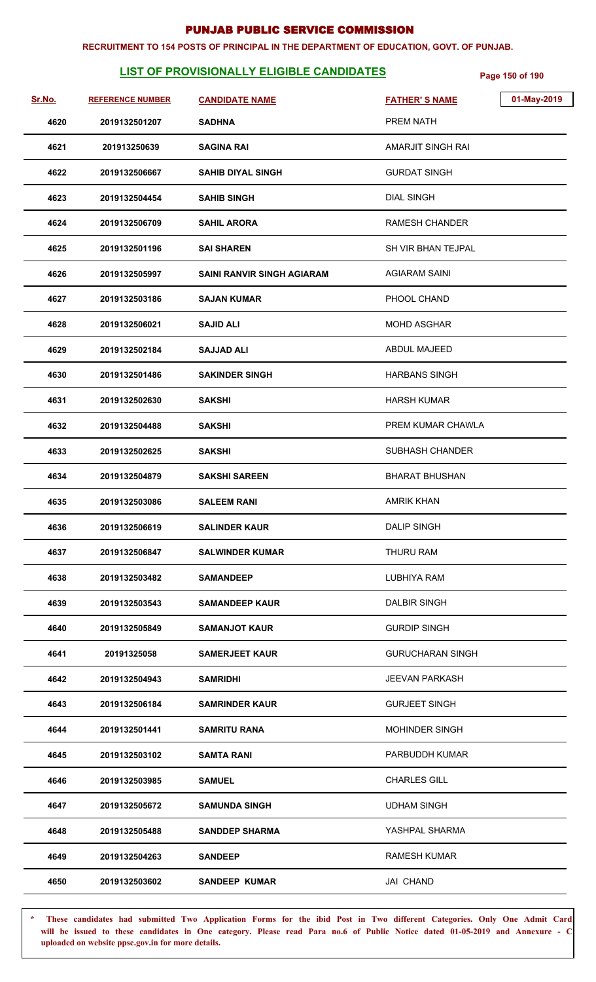#### **RECRUITMENT TO 154 POSTS OF PRINCIPAL IN THE DEPARTMENT OF EDUCATION, GOVT. OF PUNJAB.**

# **LIST OF PROVISIONALLY ELIGIBLE CANDIDATES** Page 150 of 190

| Sr.No. | <b>REFERENCE NUMBER</b> | <b>CANDIDATE NAME</b>             | <b>FATHER'S NAME</b>    | 01-May-2019 |
|--------|-------------------------|-----------------------------------|-------------------------|-------------|
| 4620   | 2019132501207           | <b>SADHNA</b>                     | <b>PREM NATH</b>        |             |
| 4621   | 201913250639            | <b>SAGINA RAI</b>                 | AMARJIT SINGH RAI       |             |
| 4622   | 2019132506667           | <b>SAHIB DIYAL SINGH</b>          | <b>GURDAT SINGH</b>     |             |
| 4623   | 2019132504454           | <b>SAHIB SINGH</b>                | <b>DIAL SINGH</b>       |             |
| 4624   | 2019132506709           | <b>SAHIL ARORA</b>                | <b>RAMESH CHANDER</b>   |             |
| 4625   | 2019132501196           | <b>SAI SHAREN</b>                 | SH VIR BHAN TEJPAL      |             |
| 4626   | 2019132505997           | <b>SAINI RANVIR SINGH AGIARAM</b> | <b>AGIARAM SAINI</b>    |             |
| 4627   | 2019132503186           | <b>SAJAN KUMAR</b>                | PHOOL CHAND             |             |
| 4628   | 2019132506021           | <b>SAJID ALI</b>                  | <b>MOHD ASGHAR</b>      |             |
| 4629   | 2019132502184           | <b>SAJJAD ALI</b>                 | ABDUL MAJEED            |             |
| 4630   | 2019132501486           | <b>SAKINDER SINGH</b>             | <b>HARBANS SINGH</b>    |             |
| 4631   | 2019132502630           | <b>SAKSHI</b>                     | <b>HARSH KUMAR</b>      |             |
| 4632   | 2019132504488           | <b>SAKSHI</b>                     | PREM KUMAR CHAWLA       |             |
| 4633   | 2019132502625           | <b>SAKSHI</b>                     | SUBHASH CHANDER         |             |
| 4634   | 2019132504879           | <b>SAKSHI SAREEN</b>              | <b>BHARAT BHUSHAN</b>   |             |
| 4635   | 2019132503086           | <b>SALEEM RANI</b>                | <b>AMRIK KHAN</b>       |             |
| 4636   | 2019132506619           | <b>SALINDER KAUR</b>              | <b>DALIP SINGH</b>      |             |
| 4637   | 2019132506847           | <b>SALWINDER KUMAR</b>            | THURU RAM               |             |
| 4638   | 2019132503482           | <b>SAMANDEEP</b>                  | LUBHIYA RAM             |             |
| 4639   | 2019132503543           | <b>SAMANDEEP KAUR</b>             | <b>DALBIR SINGH</b>     |             |
| 4640   | 2019132505849           | <b>SAMANJOT KAUR</b>              | <b>GURDIP SINGH</b>     |             |
| 4641   | 20191325058             | <b>SAMERJEET KAUR</b>             | <b>GURUCHARAN SINGH</b> |             |
| 4642   | 2019132504943           | <b>SAMRIDHI</b>                   | <b>JEEVAN PARKASH</b>   |             |
| 4643   | 2019132506184           | <b>SAMRINDER KAUR</b>             | <b>GURJEET SINGH</b>    |             |
| 4644   | 2019132501441           | <b>SAMRITU RANA</b>               | <b>MOHINDER SINGH</b>   |             |
| 4645   | 2019132503102           | <b>SAMTA RANI</b>                 | PARBUDDH KUMAR          |             |
| 4646   | 2019132503985           | <b>SAMUEL</b>                     | <b>CHARLES GILL</b>     |             |
| 4647   | 2019132505672           | <b>SAMUNDA SINGH</b>              | <b>UDHAM SINGH</b>      |             |
| 4648   | 2019132505488           | <b>SANDDEP SHARMA</b>             | YASHPAL SHARMA          |             |
| 4649   | 2019132504263           | <b>SANDEEP</b>                    | <b>RAMESH KUMAR</b>     |             |
| 4650   | 2019132503602           | <b>SANDEEP KUMAR</b>              | JAI CHAND               |             |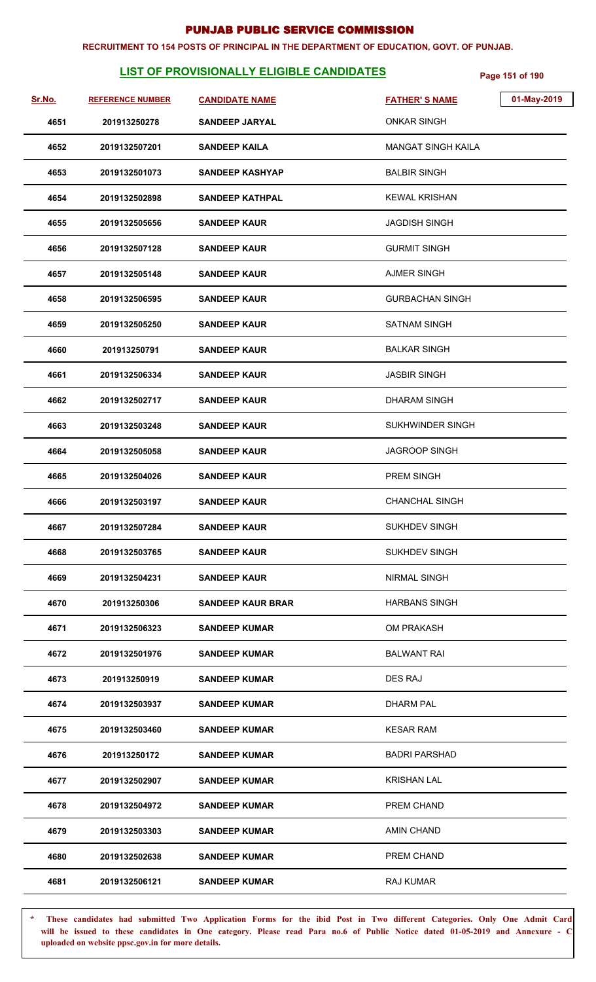#### **RECRUITMENT TO 154 POSTS OF PRINCIPAL IN THE DEPARTMENT OF EDUCATION, GOVT. OF PUNJAB.**

# **LIST OF PROVISIONALLY ELIGIBLE CANDIDATES** Page 151 of 190

| Sr.No. | <b>REFERENCE NUMBER</b> | <b>CANDIDATE NAME</b>    | <b>FATHER'S NAME</b>      | 01-May-2019 |
|--------|-------------------------|--------------------------|---------------------------|-------------|
| 4651   | 201913250278            | <b>SANDEEP JARYAL</b>    | <b>ONKAR SINGH</b>        |             |
| 4652   | 2019132507201           | <b>SANDEEP KAILA</b>     | <b>MANGAT SINGH KAILA</b> |             |
| 4653   | 2019132501073           | <b>SANDEEP KASHYAP</b>   | <b>BALBIR SINGH</b>       |             |
| 4654   | 2019132502898           | <b>SANDEEP KATHPAL</b>   | <b>KEWAL KRISHAN</b>      |             |
| 4655   | 2019132505656           | <b>SANDEEP KAUR</b>      | <b>JAGDISH SINGH</b>      |             |
| 4656   | 2019132507128           | <b>SANDEEP KAUR</b>      | <b>GURMIT SINGH</b>       |             |
| 4657   | 2019132505148           | <b>SANDEEP KAUR</b>      | <b>AJMER SINGH</b>        |             |
| 4658   | 2019132506595           | <b>SANDEEP KAUR</b>      | <b>GURBACHAN SINGH</b>    |             |
| 4659   | 2019132505250           | <b>SANDEEP KAUR</b>      | <b>SATNAM SINGH</b>       |             |
| 4660   | 201913250791            | <b>SANDEEP KAUR</b>      | <b>BALKAR SINGH</b>       |             |
| 4661   | 2019132506334           | <b>SANDEEP KAUR</b>      | <b>JASBIR SINGH</b>       |             |
| 4662   | 2019132502717           | <b>SANDEEP KAUR</b>      | <b>DHARAM SINGH</b>       |             |
| 4663   | 2019132503248           | <b>SANDEEP KAUR</b>      | SUKHWINDER SINGH          |             |
| 4664   | 2019132505058           | <b>SANDEEP KAUR</b>      | <b>JAGROOP SINGH</b>      |             |
| 4665   | 2019132504026           | <b>SANDEEP KAUR</b>      | <b>PREM SINGH</b>         |             |
| 4666   | 2019132503197           | <b>SANDEEP KAUR</b>      | <b>CHANCHAL SINGH</b>     |             |
| 4667   | 2019132507284           | <b>SANDEEP KAUR</b>      | <b>SUKHDEV SINGH</b>      |             |
| 4668   | 2019132503765           | <b>SANDEEP KAUR</b>      | <b>SUKHDEV SINGH</b>      |             |
| 4669   | 2019132504231           | <b>SANDEEP KAUR</b>      | <b>NIRMAL SINGH</b>       |             |
| 4670   | 201913250306            | <b>SANDEEP KAUR BRAR</b> | <b>HARBANS SINGH</b>      |             |
| 4671   | 2019132506323           | <b>SANDEEP KUMAR</b>     | OM PRAKASH                |             |
| 4672   | 2019132501976           | <b>SANDEEP KUMAR</b>     | <b>BALWANT RAI</b>        |             |
| 4673   | 201913250919            | <b>SANDEEP KUMAR</b>     | DES RAJ                   |             |
| 4674   | 2019132503937           | <b>SANDEEP KUMAR</b>     | <b>DHARM PAL</b>          |             |
| 4675   | 2019132503460           | <b>SANDEEP KUMAR</b>     | <b>KESAR RAM</b>          |             |
| 4676   | 201913250172            | <b>SANDEEP KUMAR</b>     | <b>BADRI PARSHAD</b>      |             |
| 4677   | 2019132502907           | <b>SANDEEP KUMAR</b>     | <b>KRISHAN LAL</b>        |             |
| 4678   | 2019132504972           | <b>SANDEEP KUMAR</b>     | PREM CHAND                |             |
| 4679   | 2019132503303           | <b>SANDEEP KUMAR</b>     | <b>AMIN CHAND</b>         |             |
| 4680   | 2019132502638           | <b>SANDEEP KUMAR</b>     | PREM CHAND                |             |
| 4681   | 2019132506121           | <b>SANDEEP KUMAR</b>     | RAJ KUMAR                 |             |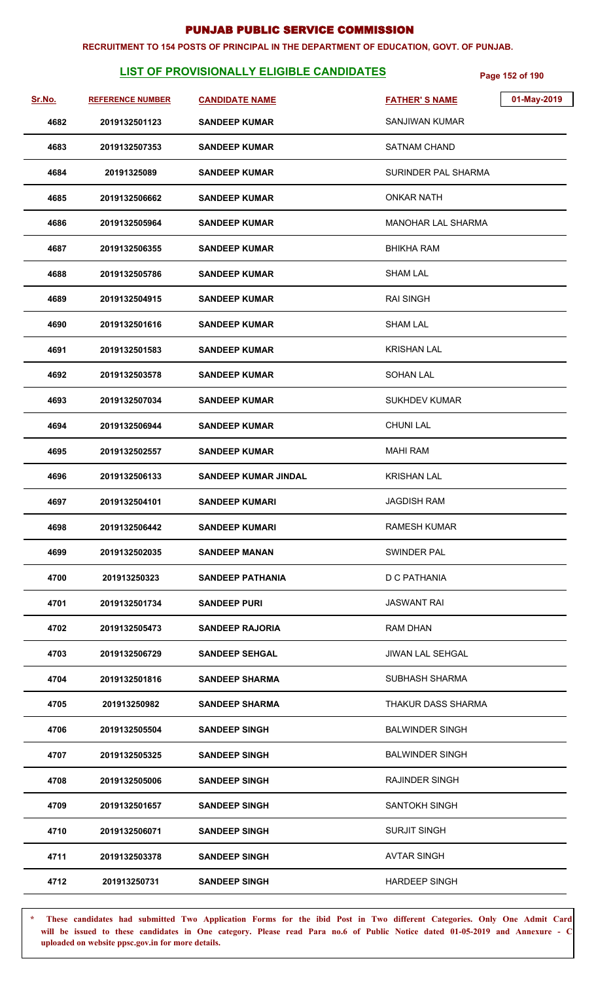#### **RECRUITMENT TO 154 POSTS OF PRINCIPAL IN THE DEPARTMENT OF EDUCATION, GOVT. OF PUNJAB.**

# **LIST OF PROVISIONALLY ELIGIBLE CANDIDATES** Page 152 of 190

| Sr.No. | <b>REFERENCE NUMBER</b> | <b>CANDIDATE NAME</b>       | 01-May-2019<br><b>FATHER'S NAME</b> |
|--------|-------------------------|-----------------------------|-------------------------------------|
| 4682   | 2019132501123           | <b>SANDEEP KUMAR</b>        | <b>SANJIWAN KUMAR</b>               |
| 4683   | 2019132507353           | <b>SANDEEP KUMAR</b>        | <b>SATNAM CHAND</b>                 |
| 4684   | 20191325089             | <b>SANDEEP KUMAR</b>        | SURINDER PAL SHARMA                 |
| 4685   | 2019132506662           | <b>SANDEEP KUMAR</b>        | ONKAR NATH                          |
| 4686   | 2019132505964           | <b>SANDEEP KUMAR</b>        | MANOHAR LAL SHARMA                  |
| 4687   | 2019132506355           | <b>SANDEEP KUMAR</b>        | <b>BHIKHA RAM</b>                   |
| 4688   | 2019132505786           | <b>SANDEEP KUMAR</b>        | <b>SHAM LAL</b>                     |
| 4689   | 2019132504915           | <b>SANDEEP KUMAR</b>        | <b>RAI SINGH</b>                    |
| 4690   | 2019132501616           | <b>SANDEEP KUMAR</b>        | <b>SHAM LAL</b>                     |
| 4691   | 2019132501583           | <b>SANDEEP KUMAR</b>        | <b>KRISHAN LAL</b>                  |
| 4692   | 2019132503578           | <b>SANDEEP KUMAR</b>        | SOHAN LAL                           |
| 4693   | 2019132507034           | <b>SANDEEP KUMAR</b>        | <b>SUKHDEV KUMAR</b>                |
| 4694   | 2019132506944           | <b>SANDEEP KUMAR</b>        | <b>CHUNI LAL</b>                    |
| 4695   | 2019132502557           | <b>SANDEEP KUMAR</b>        | MAHI RAM                            |
| 4696   | 2019132506133           | <b>SANDEEP KUMAR JINDAL</b> | <b>KRISHAN LAL</b>                  |
| 4697   | 2019132504101           | <b>SANDEEP KUMARI</b>       | <b>JAGDISH RAM</b>                  |
| 4698   | 2019132506442           | <b>SANDEEP KUMARI</b>       | <b>RAMESH KUMAR</b>                 |
| 4699   | 2019132502035           | <b>SANDEEP MANAN</b>        | SWINDER PAL                         |
| 4700   | 201913250323            | <b>SANDEEP PATHANIA</b>     | D C PATHANIA                        |
| 4701   | 2019132501734           | <b>SANDEEP PURI</b>         | <b>JASWANT RAI</b>                  |
| 4702   | 2019132505473           | <b>SANDEEP RAJORIA</b>      | <b>RAM DHAN</b>                     |
| 4703   | 2019132506729           | <b>SANDEEP SEHGAL</b>       | JIWAN LAL SEHGAL                    |
| 4704   | 2019132501816           | <b>SANDEEP SHARMA</b>       | <b>SUBHASH SHARMA</b>               |
| 4705   | 201913250982            | <b>SANDEEP SHARMA</b>       | THAKUR DASS SHARMA                  |
| 4706   | 2019132505504           | <b>SANDEEP SINGH</b>        | <b>BALWINDER SINGH</b>              |
| 4707   | 2019132505325           | <b>SANDEEP SINGH</b>        | <b>BALWINDER SINGH</b>              |
| 4708   | 2019132505006           | <b>SANDEEP SINGH</b>        | RAJINDER SINGH                      |
| 4709   | 2019132501657           | <b>SANDEEP SINGH</b>        | <b>SANTOKH SINGH</b>                |
| 4710   | 2019132506071           | <b>SANDEEP SINGH</b>        | <b>SURJIT SINGH</b>                 |
| 4711   | 2019132503378           | <b>SANDEEP SINGH</b>        | <b>AVTAR SINGH</b>                  |
| 4712   | 201913250731            | <b>SANDEEP SINGH</b>        | <b>HARDEEP SINGH</b>                |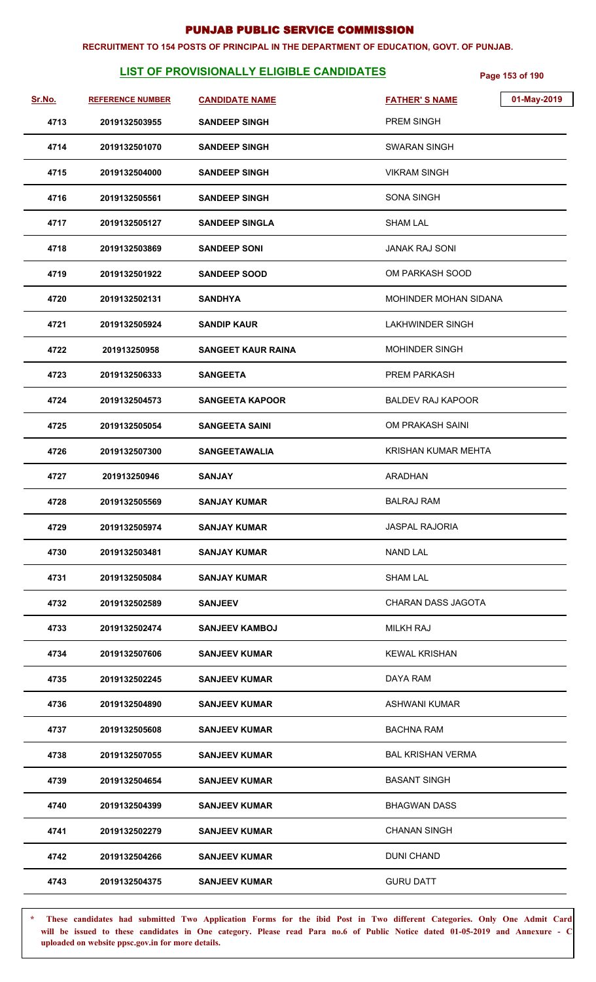#### **RECRUITMENT TO 154 POSTS OF PRINCIPAL IN THE DEPARTMENT OF EDUCATION, GOVT. OF PUNJAB.**

# **LIST OF PROVISIONALLY ELIGIBLE CANDIDATES** Page 153 of 190

| Sr.No. | <b>REFERENCE NUMBER</b> | <b>CANDIDATE NAME</b>     | 01-May-2019<br><b>FATHER'S NAME</b> |
|--------|-------------------------|---------------------------|-------------------------------------|
| 4713   | 2019132503955           | <b>SANDEEP SINGH</b>      | <b>PREM SINGH</b>                   |
| 4714   | 2019132501070           | <b>SANDEEP SINGH</b>      | SWARAN SINGH                        |
| 4715   | 2019132504000           | <b>SANDEEP SINGH</b>      | <b>VIKRAM SINGH</b>                 |
| 4716   | 2019132505561           | <b>SANDEEP SINGH</b>      | SONA SINGH                          |
| 4717   | 2019132505127           | <b>SANDEEP SINGLA</b>     | <b>SHAM LAL</b>                     |
| 4718   | 2019132503869           | <b>SANDEEP SONI</b>       | JANAK RAJ SONI                      |
| 4719   | 2019132501922           | <b>SANDEEP SOOD</b>       | OM PARKASH SOOD                     |
| 4720   | 2019132502131           | <b>SANDHYA</b>            | MOHINDER MOHAN SIDANA               |
| 4721   | 2019132505924           | <b>SANDIP KAUR</b>        | <b>LAKHWINDER SINGH</b>             |
| 4722   | 201913250958            | <b>SANGEET KAUR RAINA</b> | <b>MOHINDER SINGH</b>               |
| 4723   | 2019132506333           | <b>SANGEETA</b>           | <b>PREM PARKASH</b>                 |
| 4724   | 2019132504573           | <b>SANGEETA KAPOOR</b>    | <b>BALDEV RAJ KAPOOR</b>            |
| 4725   | 2019132505054           | <b>SANGEETA SAINI</b>     | OM PRAKASH SAINI                    |
| 4726   | 2019132507300           | <b>SANGEETAWALIA</b>      | KRISHAN KUMAR MEHTA                 |
| 4727   | 201913250946            | <b>SANJAY</b>             | <b>ARADHAN</b>                      |
| 4728   | 2019132505569           | <b>SANJAY KUMAR</b>       | <b>BALRAJ RAM</b>                   |
| 4729   | 2019132505974           | <b>SANJAY KUMAR</b>       | <b>JASPAL RAJORIA</b>               |
| 4730   | 2019132503481           | <b>SANJAY KUMAR</b>       | <b>NAND LAL</b>                     |
| 4731   | 2019132505084           | <b>SANJAY KUMAR</b>       | SHAM LAL                            |
| 4732   | 2019132502589           | <b>SANJEEV</b>            | CHARAN DASS JAGOTA                  |
| 4733   | 2019132502474           | <b>SANJEEV KAMBOJ</b>     | <b>MILKH RAJ</b>                    |
| 4734   | 2019132507606           | <b>SANJEEV KUMAR</b>      | <b>KEWAL KRISHAN</b>                |
| 4735   | 2019132502245           | <b>SANJEEV KUMAR</b>      | DAYA RAM                            |
| 4736   | 2019132504890           | <b>SANJEEV KUMAR</b>      | ASHWANI KUMAR                       |
| 4737   | 2019132505608           | <b>SANJEEV KUMAR</b>      | BACHNA RAM                          |
| 4738   | 2019132507055           | <b>SANJEEV KUMAR</b>      | <b>BAL KRISHAN VERMA</b>            |
| 4739   | 2019132504654           | <b>SANJEEV KUMAR</b>      | <b>BASANT SINGH</b>                 |
| 4740   | 2019132504399           | <b>SANJEEV KUMAR</b>      | <b>BHAGWAN DASS</b>                 |
| 4741   | 2019132502279           | <b>SANJEEV KUMAR</b>      | <b>CHANAN SINGH</b>                 |
| 4742   | 2019132504266           | <b>SANJEEV KUMAR</b>      | <b>DUNI CHAND</b>                   |
| 4743   | 2019132504375           | <b>SANJEEV KUMAR</b>      | <b>GURU DATT</b>                    |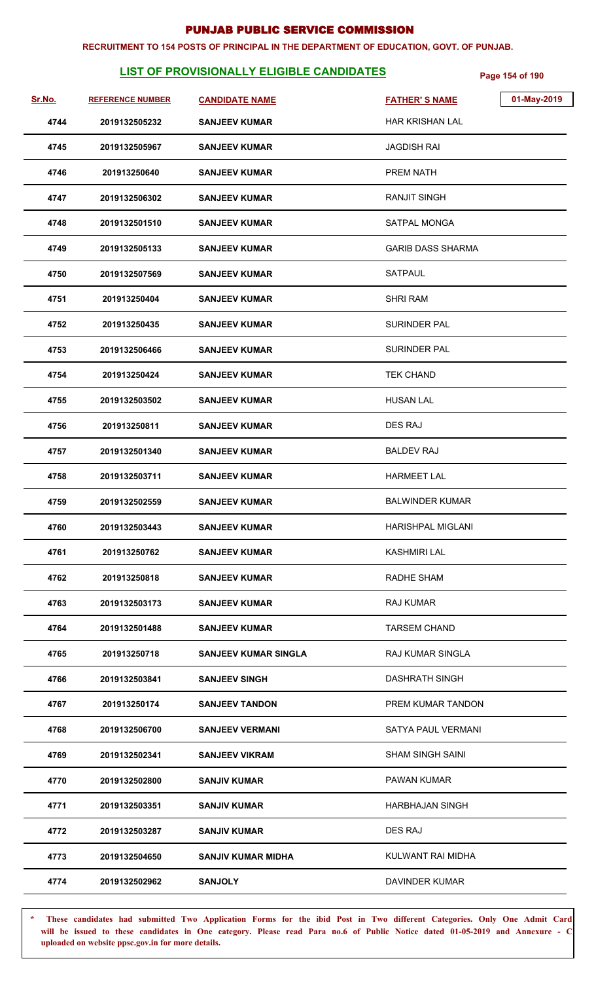#### **RECRUITMENT TO 154 POSTS OF PRINCIPAL IN THE DEPARTMENT OF EDUCATION, GOVT. OF PUNJAB.**

# **LIST OF PROVISIONALLY ELIGIBLE CANDIDATES** Page 154 of 190

| Sr.No. | <b>REFERENCE NUMBER</b> | <b>CANDIDATE NAME</b>       | 01-May-2019<br><b>FATHER'S NAME</b> |
|--------|-------------------------|-----------------------------|-------------------------------------|
| 4744   | 2019132505232           | <b>SANJEEV KUMAR</b>        | <b>HAR KRISHAN LAL</b>              |
| 4745   | 2019132505967           | <b>SANJEEV KUMAR</b>        | <b>JAGDISH RAI</b>                  |
| 4746   | 201913250640            | <b>SANJEEV KUMAR</b>        | PREM NATH                           |
| 4747   | 2019132506302           | <b>SANJEEV KUMAR</b>        | <b>RANJIT SINGH</b>                 |
| 4748   | 2019132501510           | <b>SANJEEV KUMAR</b>        | SATPAL MONGA                        |
| 4749   | 2019132505133           | <b>SANJEEV KUMAR</b>        | <b>GARIB DASS SHARMA</b>            |
| 4750   | 2019132507569           | <b>SANJEEV KUMAR</b>        | <b>SATPAUL</b>                      |
| 4751   | 201913250404            | <b>SANJEEV KUMAR</b>        | <b>SHRI RAM</b>                     |
| 4752   | 201913250435            | <b>SANJEEV KUMAR</b>        | <b>SURINDER PAL</b>                 |
| 4753   | 2019132506466           | <b>SANJEEV KUMAR</b>        | <b>SURINDER PAL</b>                 |
| 4754   | 201913250424            | <b>SANJEEV KUMAR</b>        | <b>TEK CHAND</b>                    |
| 4755   | 2019132503502           | <b>SANJEEV KUMAR</b>        | <b>HUSAN LAL</b>                    |
| 4756   | 201913250811            | <b>SANJEEV KUMAR</b>        | <b>DES RAJ</b>                      |
| 4757   | 2019132501340           | <b>SANJEEV KUMAR</b>        | <b>BALDEV RAJ</b>                   |
| 4758   | 2019132503711           | <b>SANJEEV KUMAR</b>        | <b>HARMEET LAL</b>                  |
| 4759   | 2019132502559           | <b>SANJEEV KUMAR</b>        | <b>BALWINDER KUMAR</b>              |
| 4760   | 2019132503443           | <b>SANJEEV KUMAR</b>        | <b>HARISHPAL MIGLANI</b>            |
| 4761   | 201913250762            | <b>SANJEEV KUMAR</b>        | <b>KASHMIRI LAL</b>                 |
| 4762   | 201913250818            | <b>SANJEEV KUMAR</b>        | <b>RADHE SHAM</b>                   |
| 4763   | 2019132503173           | <b>SANJEEV KUMAR</b>        | RAJ KUMAR                           |
| 4764   | 2019132501488           | <b>SANJEEV KUMAR</b>        | <b>TARSEM CHAND</b>                 |
| 4765   | 201913250718            | <b>SANJEEV KUMAR SINGLA</b> | <b>RAJ KUMAR SINGLA</b>             |
| 4766   | 2019132503841           | <b>SANJEEV SINGH</b>        | <b>DASHRATH SINGH</b>               |
| 4767   | 201913250174            | <b>SANJEEV TANDON</b>       | PREM KUMAR TANDON                   |
| 4768   | 2019132506700           | <b>SANJEEV VERMANI</b>      | SATYA PAUL VERMANI                  |
| 4769   | 2019132502341           | <b>SANJEEV VIKRAM</b>       | SHAM SINGH SAINI                    |
| 4770   | 2019132502800           | <b>SANJIV KUMAR</b>         | PAWAN KUMAR                         |
| 4771   | 2019132503351           | <b>SANJIV KUMAR</b>         | HARBHAJAN SINGH                     |
| 4772   | 2019132503287           | <b>SANJIV KUMAR</b>         | DES RAJ                             |
| 4773   | 2019132504650           | <b>SANJIV KUMAR MIDHA</b>   | KULWANT RAI MIDHA                   |
| 4774   | 2019132502962           | <b>SANJOLY</b>              | <b>DAVINDER KUMAR</b>               |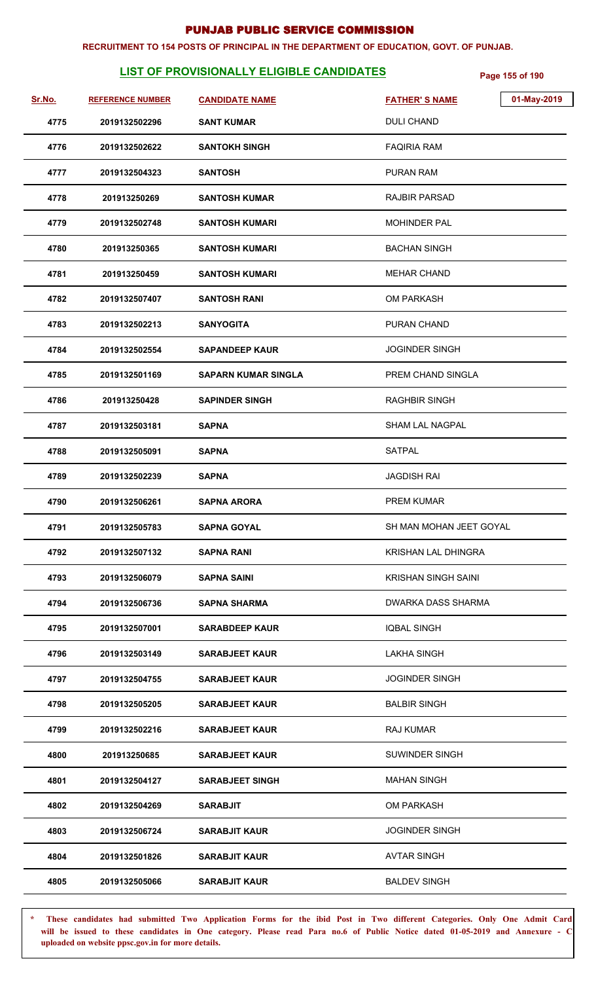#### **RECRUITMENT TO 154 POSTS OF PRINCIPAL IN THE DEPARTMENT OF EDUCATION, GOVT. OF PUNJAB.**

# **LIST OF PROVISIONALLY ELIGIBLE CANDIDATES Page 155 of 190**

| Sr.No. | <b>REFERENCE NUMBER</b> | <b>CANDIDATE NAME</b>      | 01-May-2019<br><b>FATHER'S NAME</b> |
|--------|-------------------------|----------------------------|-------------------------------------|
| 4775   | 2019132502296           | <b>SANT KUMAR</b>          | <b>DULI CHAND</b>                   |
| 4776   | 2019132502622           | <b>SANTOKH SINGH</b>       | <b>FAQIRIA RAM</b>                  |
| 4777   | 2019132504323           | <b>SANTOSH</b>             | <b>PURAN RAM</b>                    |
| 4778   | 201913250269            | <b>SANTOSH KUMAR</b>       | <b>RAJBIR PARSAD</b>                |
| 4779   | 2019132502748           | <b>SANTOSH KUMARI</b>      | <b>MOHINDER PAL</b>                 |
| 4780   | 201913250365            | <b>SANTOSH KUMARI</b>      | <b>BACHAN SINGH</b>                 |
| 4781   | 201913250459            | <b>SANTOSH KUMARI</b>      | <b>MEHAR CHAND</b>                  |
| 4782   | 2019132507407           | <b>SANTOSH RANI</b>        | <b>OM PARKASH</b>                   |
| 4783   | 2019132502213           | <b>SANYOGITA</b>           | PURAN CHAND                         |
| 4784   | 2019132502554           | <b>SAPANDEEP KAUR</b>      | <b>JOGINDER SINGH</b>               |
| 4785   | 2019132501169           | <b>SAPARN KUMAR SINGLA</b> | PREM CHAND SINGLA                   |
| 4786   | 201913250428            | <b>SAPINDER SINGH</b>      | <b>RAGHBIR SINGH</b>                |
| 4787   | 2019132503181           | <b>SAPNA</b>               | <b>SHAM LAL NAGPAL</b>              |
| 4788   | 2019132505091           | <b>SAPNA</b>               | SATPAL                              |
| 4789   | 2019132502239           | <b>SAPNA</b>               | JAGDISH RAI                         |
| 4790   | 2019132506261           | <b>SAPNA ARORA</b>         | <b>PREM KUMAR</b>                   |
| 4791   | 2019132505783           | <b>SAPNA GOYAL</b>         | SH MAN MOHAN JEET GOYAL             |
| 4792   | 2019132507132           | SAPNA RANI                 | <b>KRISHAN LAL DHINGRA</b>          |
| 4793   | 2019132506079           | <b>SAPNA SAINI</b>         | <b>KRISHAN SINGH SAINI</b>          |
| 4794   | 2019132506736           | <b>SAPNA SHARMA</b>        | DWARKA DASS SHARMA                  |
| 4795   | 2019132507001           | <b>SARABDEEP KAUR</b>      | <b>IQBAL SINGH</b>                  |
| 4796   | 2019132503149           | <b>SARABJEET KAUR</b>      | <b>LAKHA SINGH</b>                  |
| 4797   | 2019132504755           | <b>SARABJEET KAUR</b>      | <b>JOGINDER SINGH</b>               |
| 4798   | 2019132505205           | <b>SARABJEET KAUR</b>      | <b>BALBIR SINGH</b>                 |
| 4799   | 2019132502216           | <b>SARABJEET KAUR</b>      | <b>RAJ KUMAR</b>                    |
| 4800   | 201913250685            | <b>SARABJEET KAUR</b>      | <b>SUWINDER SINGH</b>               |
| 4801   | 2019132504127           | <b>SARABJEET SINGH</b>     | <b>MAHAN SINGH</b>                  |
| 4802   | 2019132504269           | <b>SARABJIT</b>            | <b>OM PARKASH</b>                   |
| 4803   | 2019132506724           | <b>SARABJIT KAUR</b>       | <b>JOGINDER SINGH</b>               |
| 4804   | 2019132501826           | <b>SARABJIT KAUR</b>       | <b>AVTAR SINGH</b>                  |
| 4805   | 2019132505066           | <b>SARABJIT KAUR</b>       | <b>BALDEV SINGH</b>                 |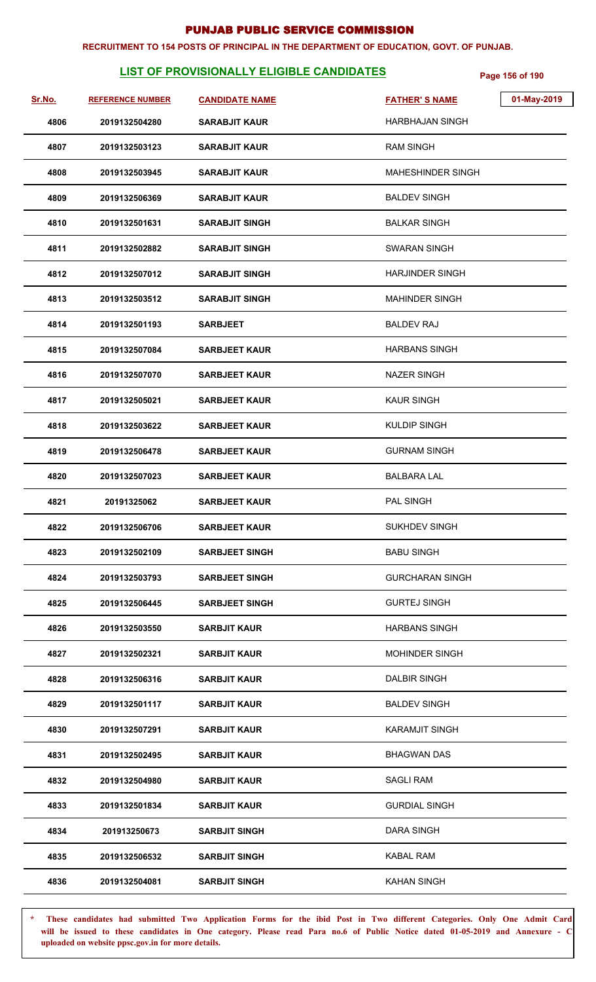#### **RECRUITMENT TO 154 POSTS OF PRINCIPAL IN THE DEPARTMENT OF EDUCATION, GOVT. OF PUNJAB.**

# **LIST OF PROVISIONALLY ELIGIBLE CANDIDATES** Page 156 of 190

| Sr.No. | <b>REFERENCE NUMBER</b> | <b>CANDIDATE NAME</b> | 01-May-2019<br><b>FATHER'S NAME</b> |
|--------|-------------------------|-----------------------|-------------------------------------|
| 4806   | 2019132504280           | <b>SARABJIT KAUR</b>  | <b>HARBHAJAN SINGH</b>              |
| 4807   | 2019132503123           | <b>SARABJIT KAUR</b>  | <b>RAM SINGH</b>                    |
| 4808   | 2019132503945           | <b>SARABJIT KAUR</b>  | <b>MAHESHINDER SINGH</b>            |
| 4809   | 2019132506369           | <b>SARABJIT KAUR</b>  | <b>BALDEV SINGH</b>                 |
| 4810   | 2019132501631           | <b>SARABJIT SINGH</b> | <b>BALKAR SINGH</b>                 |
| 4811   | 2019132502882           | <b>SARABJIT SINGH</b> | <b>SWARAN SINGH</b>                 |
| 4812   | 2019132507012           | <b>SARABJIT SINGH</b> | <b>HARJINDER SINGH</b>              |
| 4813   | 2019132503512           | <b>SARABJIT SINGH</b> | <b>MAHINDER SINGH</b>               |
| 4814   | 2019132501193           | <b>SARBJEET</b>       | <b>BALDEV RAJ</b>                   |
| 4815   | 2019132507084           | <b>SARBJEET KAUR</b>  | <b>HARBANS SINGH</b>                |
| 4816   | 2019132507070           | <b>SARBJEET KAUR</b>  | <b>NAZER SINGH</b>                  |
| 4817   | 2019132505021           | <b>SARBJEET KAUR</b>  | <b>KAUR SINGH</b>                   |
| 4818   | 2019132503622           | <b>SARBJEET KAUR</b>  | <b>KULDIP SINGH</b>                 |
| 4819   | 2019132506478           | <b>SARBJEET KAUR</b>  | <b>GURNAM SINGH</b>                 |
| 4820   | 2019132507023           | <b>SARBJEET KAUR</b>  | <b>BALBARA LAL</b>                  |
| 4821   | 20191325062             | <b>SARBJEET KAUR</b>  | PAL SINGH                           |
| 4822   | 2019132506706           | <b>SARBJEET KAUR</b>  | <b>SUKHDEV SINGH</b>                |
| 4823   | 2019132502109           | <b>SARBJEET SINGH</b> | <b>BABU SINGH</b>                   |
| 4824   | 2019132503793           | <b>SARBJEET SINGH</b> | <b>GURCHARAN SINGH</b>              |
| 4825   | 2019132506445           | <b>SARBJEET SINGH</b> | <b>GURTEJ SINGH</b>                 |
| 4826   | 2019132503550           | <b>SARBJIT KAUR</b>   | <b>HARBANS SINGH</b>                |
| 4827   | 2019132502321           | <b>SARBJIT KAUR</b>   | <b>MOHINDER SINGH</b>               |
| 4828   | 2019132506316           | <b>SARBJIT KAUR</b>   | <b>DALBIR SINGH</b>                 |
| 4829   | 2019132501117           | <b>SARBJIT KAUR</b>   | <b>BALDEV SINGH</b>                 |
| 4830   | 2019132507291           | SARBJIT KAUR          | <b>KARAMJIT SINGH</b>               |
| 4831   | 2019132502495           | <b>SARBJIT KAUR</b>   | BHAGWAN DAS                         |
| 4832   | 2019132504980           | <b>SARBJIT KAUR</b>   | <b>SAGLI RAM</b>                    |
| 4833   | 2019132501834           | <b>SARBJIT KAUR</b>   | <b>GURDIAL SINGH</b>                |
| 4834   | 201913250673            | <b>SARBJIT SINGH</b>  | DARA SINGH                          |
| 4835   | 2019132506532           | <b>SARBJIT SINGH</b>  | <b>KABAL RAM</b>                    |
| 4836   | 2019132504081           | <b>SARBJIT SINGH</b>  | <b>KAHAN SINGH</b>                  |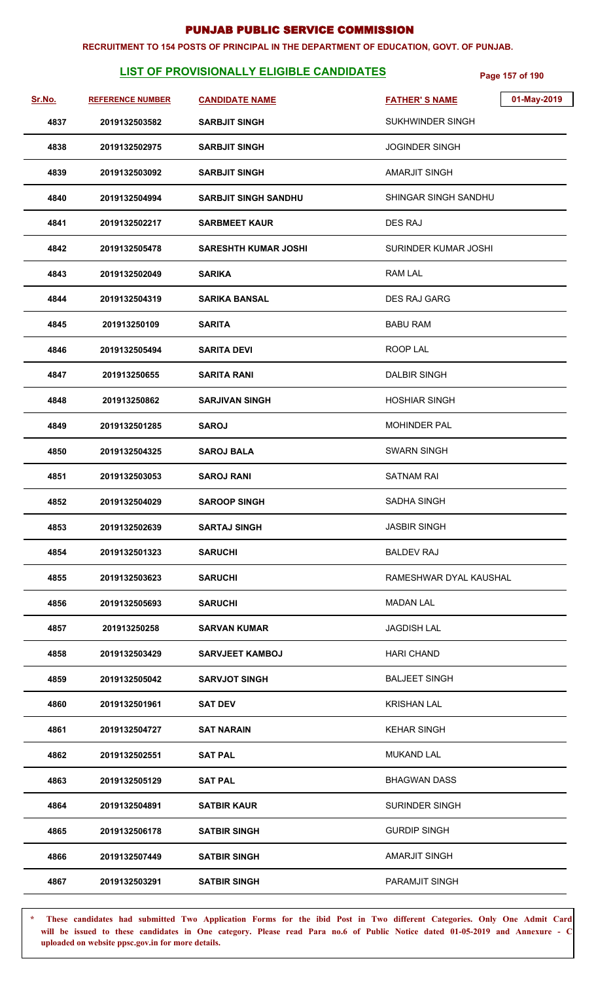#### **RECRUITMENT TO 154 POSTS OF PRINCIPAL IN THE DEPARTMENT OF EDUCATION, GOVT. OF PUNJAB.**

# **LIST OF PROVISIONALLY ELIGIBLE CANDIDATES Page 157 of 190**

| Sr.No. | <b>REFERENCE NUMBER</b> | <b>CANDIDATE NAME</b>       | 01-May-2019<br><b>FATHER'S NAME</b> |
|--------|-------------------------|-----------------------------|-------------------------------------|
| 4837   | 2019132503582           | <b>SARBJIT SINGH</b>        | <b>SUKHWINDER SINGH</b>             |
| 4838   | 2019132502975           | <b>SARBJIT SINGH</b>        | <b>JOGINDER SINGH</b>               |
| 4839   | 2019132503092           | <b>SARBJIT SINGH</b>        | <b>AMARJIT SINGH</b>                |
| 4840   | 2019132504994           | <b>SARBJIT SINGH SANDHU</b> | SHINGAR SINGH SANDHU                |
| 4841   | 2019132502217           | <b>SARBMEET KAUR</b>        | <b>DES RAJ</b>                      |
| 4842   | 2019132505478           | <b>SARESHTH KUMAR JOSHI</b> | SURINDER KUMAR JOSHI                |
| 4843   | 2019132502049           | <b>SARIKA</b>               | <b>RAM LAL</b>                      |
| 4844   | 2019132504319           | <b>SARIKA BANSAL</b>        | <b>DES RAJ GARG</b>                 |
| 4845   | 201913250109            | <b>SARITA</b>               | <b>BABU RAM</b>                     |
| 4846   | 2019132505494           | <b>SARITA DEVI</b>          | ROOP LAL                            |
| 4847   | 201913250655            | <b>SARITA RANI</b>          | <b>DALBIR SINGH</b>                 |
| 4848   | 201913250862            | <b>SARJIVAN SINGH</b>       | <b>HOSHIAR SINGH</b>                |
| 4849   | 2019132501285           | <b>SAROJ</b>                | <b>MOHINDER PAL</b>                 |
| 4850   | 2019132504325           | <b>SAROJ BALA</b>           | <b>SWARN SINGH</b>                  |
| 4851   | 2019132503053           | <b>SAROJ RANI</b>           | SATNAM RAI                          |
| 4852   | 2019132504029           | <b>SAROOP SINGH</b>         | SADHA SINGH                         |
| 4853   | 2019132502639           | <b>SARTAJ SINGH</b>         | <b>JASBIR SINGH</b>                 |
| 4854   | 2019132501323           | <b>SARUCHI</b>              | <b>BALDEV RAJ</b>                   |
| 4855   | 2019132503623           | <b>SARUCHI</b>              | RAMESHWAR DYAL KAUSHAL              |
| 4856   | 2019132505693           | <b>SARUCHI</b>              | MADAN LAL                           |
| 4857   | 201913250258            | <b>SARVAN KUMAR</b>         | <b>JAGDISH LAL</b>                  |
| 4858   | 2019132503429           | <b>SARVJEET KAMBOJ</b>      | <b>HARI CHAND</b>                   |
| 4859   | 2019132505042           | <b>SARVJOT SINGH</b>        | <b>BALJEET SINGH</b>                |
| 4860   | 2019132501961           | <b>SAT DEV</b>              | <b>KRISHAN LAL</b>                  |
| 4861   | 2019132504727           | <b>SAT NARAIN</b>           | <b>KEHAR SINGH</b>                  |
| 4862   | 2019132502551           | <b>SAT PAL</b>              | <b>MUKAND LAL</b>                   |
| 4863   | 2019132505129           | <b>SAT PAL</b>              | <b>BHAGWAN DASS</b>                 |
| 4864   | 2019132504891           | <b>SATBIR KAUR</b>          | <b>SURINDER SINGH</b>               |
| 4865   | 2019132506178           | <b>SATBIR SINGH</b>         | <b>GURDIP SINGH</b>                 |
| 4866   | 2019132507449           | <b>SATBIR SINGH</b>         | AMARJIT SINGH                       |
| 4867   | 2019132503291           | <b>SATBIR SINGH</b>         | PARAMJIT SINGH                      |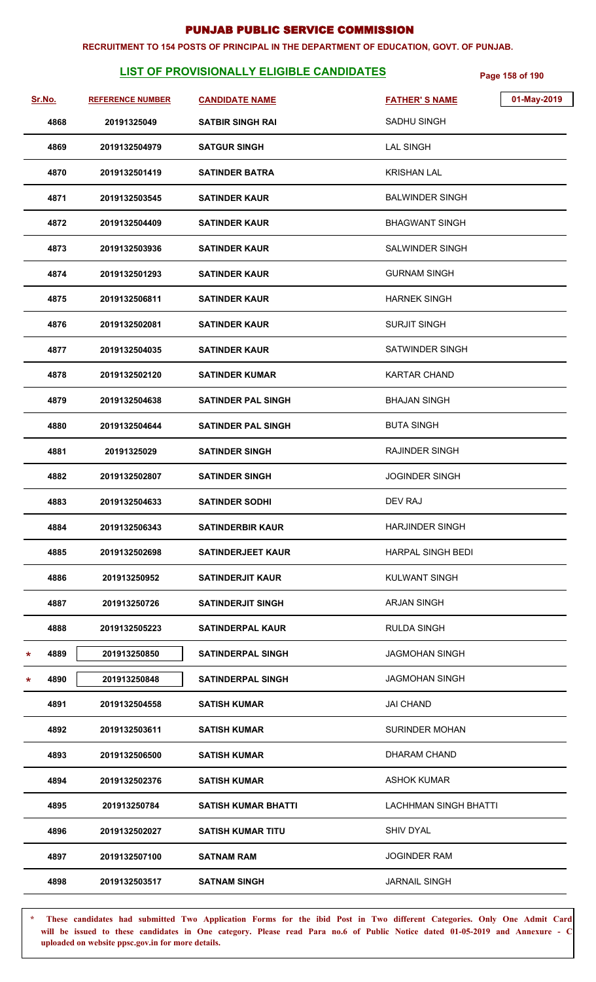#### **RECRUITMENT TO 154 POSTS OF PRINCIPAL IN THE DEPARTMENT OF EDUCATION, GOVT. OF PUNJAB.**

# **LIST OF PROVISIONALLY ELIGIBLE CANDIDATES** Page 158 of 190

| Sr.No.    | <b>REFERENCE NUMBER</b> | <b>CANDIDATE NAME</b>      | 01-May-2019<br><b>FATHER'S NAME</b> |  |
|-----------|-------------------------|----------------------------|-------------------------------------|--|
| 4868      | 20191325049             | SATBIR SINGH RAI           | SADHU SINGH                         |  |
| 4869      | 2019132504979           | <b>SATGUR SINGH</b>        | <b>LAL SINGH</b>                    |  |
| 4870      | 2019132501419           | <b>SATINDER BATRA</b>      | <b>KRISHAN LAL</b>                  |  |
| 4871      | 2019132503545           | <b>SATINDER KAUR</b>       | <b>BALWINDER SINGH</b>              |  |
| 4872      | 2019132504409           | <b>SATINDER KAUR</b>       | <b>BHAGWANT SINGH</b>               |  |
| 4873      | 2019132503936           | <b>SATINDER KAUR</b>       | SALWINDER SINGH                     |  |
| 4874      | 2019132501293           | <b>SATINDER KAUR</b>       | <b>GURNAM SINGH</b>                 |  |
| 4875      | 2019132506811           | <b>SATINDER KAUR</b>       | <b>HARNEK SINGH</b>                 |  |
| 4876      | 2019132502081           | <b>SATINDER KAUR</b>       | <b>SURJIT SINGH</b>                 |  |
| 4877      | 2019132504035           | <b>SATINDER KAUR</b>       | <b>SATWINDER SINGH</b>              |  |
| 4878      | 2019132502120           | <b>SATINDER KUMAR</b>      | KARTAR CHAND                        |  |
| 4879      | 2019132504638           | <b>SATINDER PAL SINGH</b>  | <b>BHAJAN SINGH</b>                 |  |
| 4880      | 2019132504644           | <b>SATINDER PAL SINGH</b>  | <b>BUTA SINGH</b>                   |  |
| 4881      | 20191325029             | <b>SATINDER SINGH</b>      | RAJINDER SINGH                      |  |
| 4882      | 2019132502807           | <b>SATINDER SINGH</b>      | <b>JOGINDER SINGH</b>               |  |
| 4883      | 2019132504633           | <b>SATINDER SODHI</b>      | DEV RAJ                             |  |
| 4884      | 2019132506343           | <b>SATINDERBIR KAUR</b>    | <b>HARJINDER SINGH</b>              |  |
| 4885      | 2019132502698           | <b>SATINDERJEET KAUR</b>   | <b>HARPAL SINGH BEDI</b>            |  |
| 4886      | 201913250952            | SATINDERJIT KAUR           | <b>KULWANT SINGH</b>                |  |
| 4887      | 201913250726            | <b>SATINDERJIT SINGH</b>   | <b>ARJAN SINGH</b>                  |  |
| 4888      | 2019132505223           | <b>SATINDERPAL KAUR</b>    | RULDA SINGH                         |  |
| 4889<br>* | 201913250850            | <b>SATINDERPAL SINGH</b>   | <b>JAGMOHAN SINGH</b>               |  |
| 4890<br>* | 201913250848            | <b>SATINDERPAL SINGH</b>   | <b>JAGMOHAN SINGH</b>               |  |
| 4891      | 2019132504558           | <b>SATISH KUMAR</b>        | <b>JAI CHAND</b>                    |  |
| 4892      | 2019132503611           | SATISH KUMAR               | <b>SURINDER MOHAN</b>               |  |
| 4893      | 2019132506500           | <b>SATISH KUMAR</b>        | DHARAM CHAND                        |  |
| 4894      | 2019132502376           | <b>SATISH KUMAR</b>        | ASHOK KUMAR                         |  |
| 4895      | 201913250784            | <b>SATISH KUMAR BHATTI</b> | <b>LACHHMAN SINGH BHATTI</b>        |  |
| 4896      | 2019132502027           | <b>SATISH KUMAR TITU</b>   | <b>SHIV DYAL</b>                    |  |
| 4897      | 2019132507100           | <b>SATNAM RAM</b>          | <b>JOGINDER RAM</b>                 |  |
| 4898      | 2019132503517           | <b>SATNAM SINGH</b>        | <b>JARNAIL SINGH</b>                |  |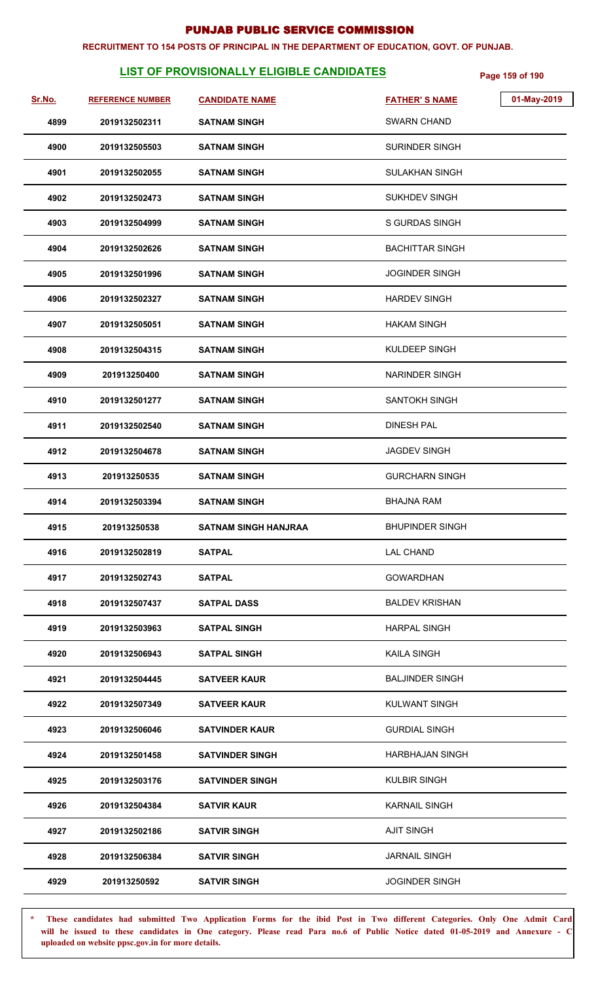#### **RECRUITMENT TO 154 POSTS OF PRINCIPAL IN THE DEPARTMENT OF EDUCATION, GOVT. OF PUNJAB.**

# **LIST OF PROVISIONALLY ELIGIBLE CANDIDATES** Page 159 of 190

| Sr.No. | <b>REFERENCE NUMBER</b> | <b>CANDIDATE NAME</b>       | 01-May-2019<br><b>FATHER'S NAME</b> |
|--------|-------------------------|-----------------------------|-------------------------------------|
| 4899   | 2019132502311           | <b>SATNAM SINGH</b>         | <b>SWARN CHAND</b>                  |
| 4900   | 2019132505503           | <b>SATNAM SINGH</b>         | <b>SURINDER SINGH</b>               |
| 4901   | 2019132502055           | <b>SATNAM SINGH</b>         | SULAKHAN SINGH                      |
| 4902   | 2019132502473           | <b>SATNAM SINGH</b>         | <b>SUKHDEV SINGH</b>                |
| 4903   | 2019132504999           | <b>SATNAM SINGH</b>         | <b>S GURDAS SINGH</b>               |
| 4904   | 2019132502626           | <b>SATNAM SINGH</b>         | <b>BACHITTAR SINGH</b>              |
| 4905   | 2019132501996           | <b>SATNAM SINGH</b>         | <b>JOGINDER SINGH</b>               |
| 4906   | 2019132502327           | <b>SATNAM SINGH</b>         | <b>HARDEV SINGH</b>                 |
| 4907   | 2019132505051           | <b>SATNAM SINGH</b>         | <b>HAKAM SINGH</b>                  |
| 4908   | 2019132504315           | <b>SATNAM SINGH</b>         | <b>KULDEEP SINGH</b>                |
| 4909   | 201913250400            | <b>SATNAM SINGH</b>         | <b>NARINDER SINGH</b>               |
| 4910   | 2019132501277           | <b>SATNAM SINGH</b>         | <b>SANTOKH SINGH</b>                |
| 4911   | 2019132502540           | <b>SATNAM SINGH</b>         | <b>DINESH PAL</b>                   |
| 4912   | 2019132504678           | <b>SATNAM SINGH</b>         | <b>JAGDEV SINGH</b>                 |
| 4913   | 201913250535            | <b>SATNAM SINGH</b>         | <b>GURCHARN SINGH</b>               |
| 4914   | 2019132503394           | <b>SATNAM SINGH</b>         | <b>BHAJNA RAM</b>                   |
| 4915   | 201913250538            | <b>SATNAM SINGH HANJRAA</b> | <b>BHUPINDER SINGH</b>              |
| 4916   | 2019132502819           | <b>SATPAL</b>               | <b>LAL CHAND</b>                    |
| 4917   | 2019132502743           | <b>SATPAL</b>               | <b>GOWARDHAN</b>                    |
| 4918   | 2019132507437           | <b>SATPAL DASS</b>          | <b>BALDEV KRISHAN</b>               |
| 4919   | 2019132503963           | <b>SATPAL SINGH</b>         | <b>HARPAL SINGH</b>                 |
| 4920   | 2019132506943           | <b>SATPAL SINGH</b>         | <b>KAILA SINGH</b>                  |
| 4921   | 2019132504445           | <b>SATVEER KAUR</b>         | <b>BALJINDER SINGH</b>              |
| 4922   | 2019132507349           | <b>SATVEER KAUR</b>         | <b>KULWANT SINGH</b>                |
| 4923   | 2019132506046           | <b>SATVINDER KAUR</b>       | <b>GURDIAL SINGH</b>                |
| 4924   | 2019132501458           | <b>SATVINDER SINGH</b>      | HARBHAJAN SINGH                     |
| 4925   | 2019132503176           | <b>SATVINDER SINGH</b>      | <b>KULBIR SINGH</b>                 |
| 4926   | 2019132504384           | <b>SATVIR KAUR</b>          | <b>KARNAIL SINGH</b>                |
| 4927   | 2019132502186           | <b>SATVIR SINGH</b>         | <b>AJIT SINGH</b>                   |
| 4928   | 2019132506384           | <b>SATVIR SINGH</b>         | <b>JARNAIL SINGH</b>                |
| 4929   | 201913250592            | <b>SATVIR SINGH</b>         | JOGINDER SINGH                      |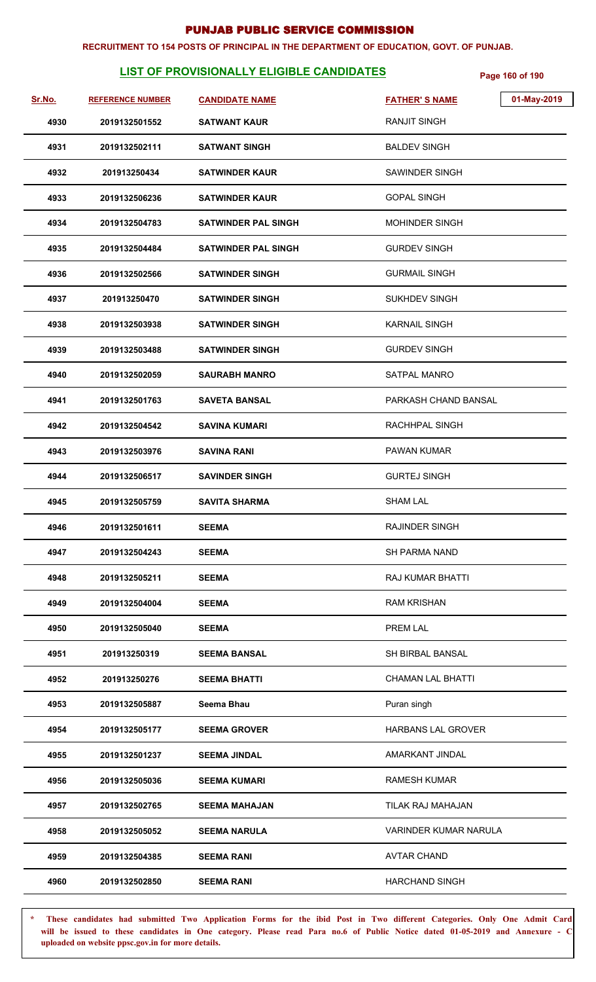#### **RECRUITMENT TO 154 POSTS OF PRINCIPAL IN THE DEPARTMENT OF EDUCATION, GOVT. OF PUNJAB.**

# **LIST OF PROVISIONALLY ELIGIBLE CANDIDATES** Page 160 of 190

| Sr.No. | <b>REFERENCE NUMBER</b> | <b>CANDIDATE NAME</b>      | <b>FATHER'S NAME</b>      | 01-May-2019 |
|--------|-------------------------|----------------------------|---------------------------|-------------|
| 4930   | 2019132501552           | <b>SATWANT KAUR</b>        | <b>RANJIT SINGH</b>       |             |
| 4931   | 2019132502111           | <b>SATWANT SINGH</b>       | <b>BALDEV SINGH</b>       |             |
| 4932   | 201913250434            | <b>SATWINDER KAUR</b>      | SAWINDER SINGH            |             |
| 4933   | 2019132506236           | <b>SATWINDER KAUR</b>      | <b>GOPAL SINGH</b>        |             |
| 4934   | 2019132504783           | <b>SATWINDER PAL SINGH</b> | <b>MOHINDER SINGH</b>     |             |
| 4935   | 2019132504484           | <b>SATWINDER PAL SINGH</b> | <b>GURDEV SINGH</b>       |             |
| 4936   | 2019132502566           | <b>SATWINDER SINGH</b>     | <b>GURMAIL SINGH</b>      |             |
| 4937   | 201913250470            | <b>SATWINDER SINGH</b>     | <b>SUKHDEV SINGH</b>      |             |
| 4938   | 2019132503938           | <b>SATWINDER SINGH</b>     | <b>KARNAIL SINGH</b>      |             |
| 4939   | 2019132503488           | <b>SATWINDER SINGH</b>     | <b>GURDEV SINGH</b>       |             |
| 4940   | 2019132502059           | SAURABH MANRO              | <b>SATPAL MANRO</b>       |             |
| 4941   | 2019132501763           | <b>SAVETA BANSAL</b>       | PARKASH CHAND BANSAL      |             |
| 4942   | 2019132504542           | <b>SAVINA KUMARI</b>       | RACHHPAL SINGH            |             |
| 4943   | 2019132503976           | <b>SAVINA RANI</b>         | PAWAN KUMAR               |             |
| 4944   | 2019132506517           | <b>SAVINDER SINGH</b>      | <b>GURTEJ SINGH</b>       |             |
| 4945   | 2019132505759           | <b>SAVITA SHARMA</b>       | <b>SHAM LAL</b>           |             |
| 4946   | 2019132501611           | <b>SEEMA</b>               | <b>RAJINDER SINGH</b>     |             |
| 4947   | 2019132504243           | <b>SEEMA</b>               | <b>SH PARMA NAND</b>      |             |
| 4948   | 2019132505211           | <b>SEEMA</b>               | <b>RAJ KUMAR BHATTI</b>   |             |
| 4949   | 2019132504004           | SEEMA                      | <b>RAM KRISHAN</b>        |             |
| 4950   | 2019132505040           | <b>SEEMA</b>               | PREM LAL                  |             |
| 4951   | 201913250319            | <b>SEEMA BANSAL</b>        | <b>SH BIRBAL BANSAL</b>   |             |
| 4952   | 201913250276            | <b>SEEMA BHATTI</b>        | <b>CHAMAN LAL BHATTI</b>  |             |
| 4953   | 2019132505887           | Seema Bhau                 | Puran singh               |             |
| 4954   | 2019132505177           | <b>SEEMA GROVER</b>        | <b>HARBANS LAL GROVER</b> |             |
| 4955   | 2019132501237           | <b>SEEMA JINDAL</b>        | AMARKANT JINDAL           |             |
| 4956   | 2019132505036           | <b>SEEMA KUMARI</b>        | <b>RAMESH KUMAR</b>       |             |
| 4957   | 2019132502765           | <b>SEEMA MAHAJAN</b>       | TILAK RAJ MAHAJAN         |             |
| 4958   | 2019132505052           | <b>SEEMA NARULA</b>        | VARINDER KUMAR NARULA     |             |
| 4959   | 2019132504385           | <b>SEEMA RANI</b>          | <b>AVTAR CHAND</b>        |             |
| 4960   | 2019132502850           | <b>SEEMA RANI</b>          | <b>HARCHAND SINGH</b>     |             |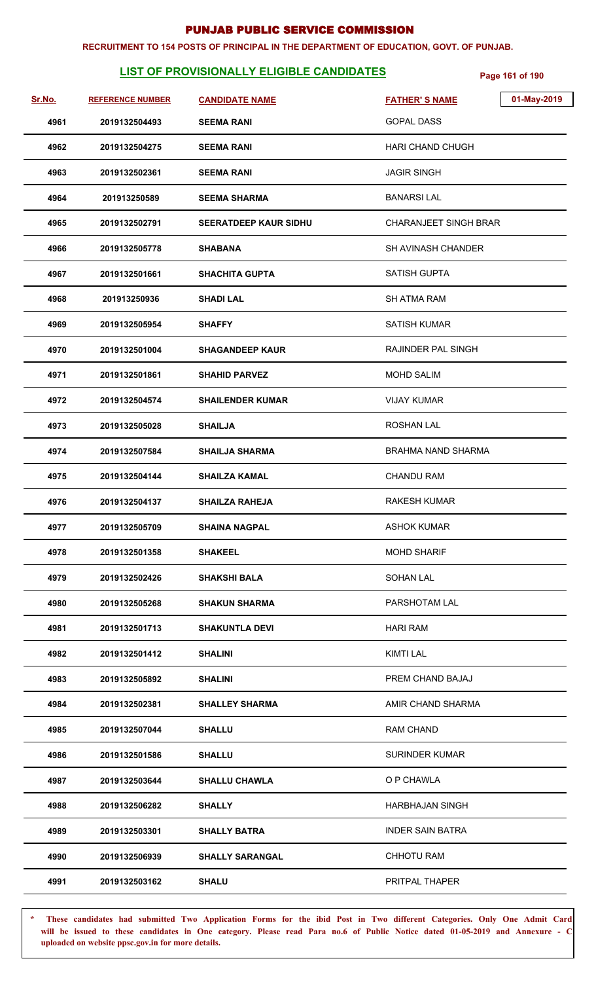#### **RECRUITMENT TO 154 POSTS OF PRINCIPAL IN THE DEPARTMENT OF EDUCATION, GOVT. OF PUNJAB.**

# **LIST OF PROVISIONALLY ELIGIBLE CANDIDATES** Page 161 of 190

| Sr.No. | <b>REFERENCE NUMBER</b> | <b>CANDIDATE NAME</b>        | 01-May-2019<br><b>FATHER'S NAME</b> |
|--------|-------------------------|------------------------------|-------------------------------------|
| 4961   | 2019132504493           | <b>SEEMA RANI</b>            | <b>GOPAL DASS</b>                   |
| 4962   | 2019132504275           | <b>SEEMA RANI</b>            | <b>HARI CHAND CHUGH</b>             |
| 4963   | 2019132502361           | <b>SEEMA RANI</b>            | <b>JAGIR SINGH</b>                  |
| 4964   | 201913250589            | <b>SEEMA SHARMA</b>          | <b>BANARSILAL</b>                   |
| 4965   | 2019132502791           | <b>SEERATDEEP KAUR SIDHU</b> | <b>CHARANJEET SINGH BRAR</b>        |
| 4966   | 2019132505778           | <b>SHABANA</b>               | <b>SH AVINASH CHANDER</b>           |
| 4967   | 2019132501661           | <b>SHACHITA GUPTA</b>        | <b>SATISH GUPTA</b>                 |
| 4968   | 201913250936            | <b>SHADI LAL</b>             | <b>SH ATMA RAM</b>                  |
| 4969   | 2019132505954           | <b>SHAFFY</b>                | <b>SATISH KUMAR</b>                 |
| 4970   | 2019132501004           | <b>SHAGANDEEP KAUR</b>       | RAJINDER PAL SINGH                  |
| 4971   | 2019132501861           | <b>SHAHID PARVEZ</b>         | <b>MOHD SALIM</b>                   |
| 4972   | 2019132504574           | <b>SHAILENDER KUMAR</b>      | <b>VIJAY KUMAR</b>                  |
| 4973   | 2019132505028           | <b>SHAILJA</b>               | <b>ROSHAN LAL</b>                   |
| 4974   | 2019132507584           | <b>SHAILJA SHARMA</b>        | <b>BRAHMA NAND SHARMA</b>           |
| 4975   | 2019132504144           | <b>SHAILZA KAMAL</b>         | <b>CHANDU RAM</b>                   |
| 4976   | 2019132504137           | <b>SHAILZA RAHEJA</b>        | <b>RAKESH KUMAR</b>                 |
| 4977   | 2019132505709           | <b>SHAINA NAGPAL</b>         | <b>ASHOK KUMAR</b>                  |
| 4978   | 2019132501358           | <b>SHAKEEL</b>               | <b>MOHD SHARIF</b>                  |
| 4979   | 2019132502426           | <b>SHAKSHI BALA</b>          | <b>SOHAN LAL</b>                    |
| 4980   | 2019132505268           | <b>SHAKUN SHARMA</b>         | PARSHOTAM LAL                       |
| 4981   | 2019132501713           | <b>SHAKUNTLA DEVI</b>        | <b>HARI RAM</b>                     |
| 4982   | 2019132501412           | <b>SHALINI</b>               | KIMTI LAL                           |
| 4983   | 2019132505892           | <b>SHALINI</b>               | PREM CHAND BAJAJ                    |
| 4984   | 2019132502381           | <b>SHALLEY SHARMA</b>        | AMIR CHAND SHARMA                   |
| 4985   | 2019132507044           | <b>SHALLU</b>                | <b>RAM CHAND</b>                    |
| 4986   | 2019132501586           | <b>SHALLU</b>                | <b>SURINDER KUMAR</b>               |
| 4987   | 2019132503644           | <b>SHALLU CHAWLA</b>         | O P CHAWLA                          |
| 4988   | 2019132506282           | <b>SHALLY</b>                | <b>HARBHAJAN SINGH</b>              |
| 4989   | 2019132503301           | <b>SHALLY BATRA</b>          | <b>INDER SAIN BATRA</b>             |
| 4990   | 2019132506939           | <b>SHALLY SARANGAL</b>       | <b>CHHOTU RAM</b>                   |
| 4991   | 2019132503162           | <b>SHALU</b>                 | PRITPAL THAPER                      |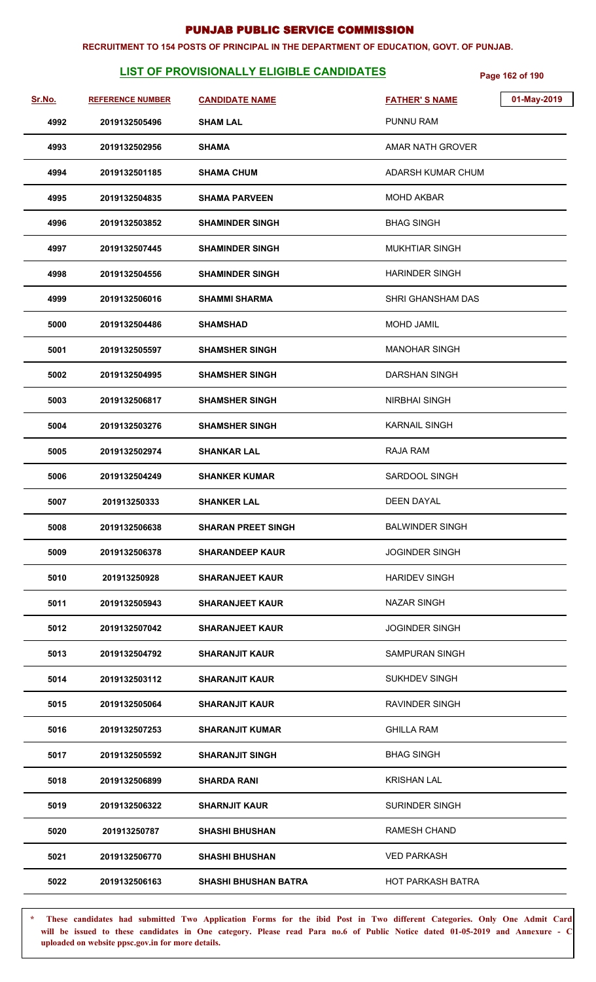#### **RECRUITMENT TO 154 POSTS OF PRINCIPAL IN THE DEPARTMENT OF EDUCATION, GOVT. OF PUNJAB.**

# **LIST OF PROVISIONALLY ELIGIBLE CANDIDATES** Page 162 of 190

| Sr.No. | <b>REFERENCE NUMBER</b> | <b>CANDIDATE NAME</b>       | <b>FATHER'S NAME</b>     | 01-May-2019 |
|--------|-------------------------|-----------------------------|--------------------------|-------------|
| 4992   | 2019132505496           | <b>SHAM LAL</b>             | PUNNU RAM                |             |
| 4993   | 2019132502956           | <b>SHAMA</b>                | AMAR NATH GROVER         |             |
| 4994   | 2019132501185           | <b>SHAMA CHUM</b>           | ADARSH KUMAR CHUM        |             |
| 4995   | 2019132504835           | <b>SHAMA PARVEEN</b>        | <b>MOHD AKBAR</b>        |             |
| 4996   | 2019132503852           | <b>SHAMINDER SINGH</b>      | <b>BHAG SINGH</b>        |             |
| 4997   | 2019132507445           | <b>SHAMINDER SINGH</b>      | <b>MUKHTIAR SINGH</b>    |             |
| 4998   | 2019132504556           | <b>SHAMINDER SINGH</b>      | <b>HARINDER SINGH</b>    |             |
| 4999   | 2019132506016           | <b>SHAMMI SHARMA</b>        | SHRI GHANSHAM DAS        |             |
| 5000   | 2019132504486           | <b>SHAMSHAD</b>             | <b>MOHD JAMIL</b>        |             |
| 5001   | 2019132505597           | <b>SHAMSHER SINGH</b>       | <b>MANOHAR SINGH</b>     |             |
| 5002   | 2019132504995           | <b>SHAMSHER SINGH</b>       | DARSHAN SINGH            |             |
| 5003   | 2019132506817           | <b>SHAMSHER SINGH</b>       | <b>NIRBHAI SINGH</b>     |             |
| 5004   | 2019132503276           | <b>SHAMSHER SINGH</b>       | <b>KARNAIL SINGH</b>     |             |
| 5005   | 2019132502974           | <b>SHANKAR LAL</b>          | <b>RAJA RAM</b>          |             |
| 5006   | 2019132504249           | <b>SHANKER KUMAR</b>        | SARDOOL SINGH            |             |
| 5007   | 201913250333            | <b>SHANKER LAL</b>          | <b>DEEN DAYAL</b>        |             |
| 5008   | 2019132506638           | <b>SHARAN PREET SINGH</b>   | <b>BALWINDER SINGH</b>   |             |
| 5009   | 2019132506378           | <b>SHARANDEEP KAUR</b>      | <b>JOGINDER SINGH</b>    |             |
| 5010   | 201913250928            | <b>SHARANJEET KAUR</b>      | <b>HARIDEV SINGH</b>     |             |
| 5011   | 2019132505943           | <b>SHARANJEET KAUR</b>      | <b>NAZAR SINGH</b>       |             |
| 5012   | 2019132507042           | <b>SHARANJEET KAUR</b>      | <b>JOGINDER SINGH</b>    |             |
| 5013   | 2019132504792           | <b>SHARANJIT KAUR</b>       | SAMPURAN SINGH           |             |
| 5014   | 2019132503112           | <b>SHARANJIT KAUR</b>       | <b>SUKHDEV SINGH</b>     |             |
| 5015   | 2019132505064           | <b>SHARANJIT KAUR</b>       | <b>RAVINDER SINGH</b>    |             |
| 5016   | 2019132507253           | <b>SHARANJIT KUMAR</b>      | <b>GHILLA RAM</b>        |             |
| 5017   | 2019132505592           | <b>SHARANJIT SINGH</b>      | <b>BHAG SINGH</b>        |             |
| 5018   | 2019132506899           | <b>SHARDA RANI</b>          | <b>KRISHAN LAL</b>       |             |
| 5019   | 2019132506322           | <b>SHARNJIT KAUR</b>        | <b>SURINDER SINGH</b>    |             |
| 5020   | 201913250787            | <b>SHASHI BHUSHAN</b>       | <b>RAMESH CHAND</b>      |             |
| 5021   | 2019132506770           | <b>SHASHI BHUSHAN</b>       | <b>VED PARKASH</b>       |             |
| 5022   | 2019132506163           | <b>SHASHI BHUSHAN BATRA</b> | <b>HOT PARKASH BATRA</b> |             |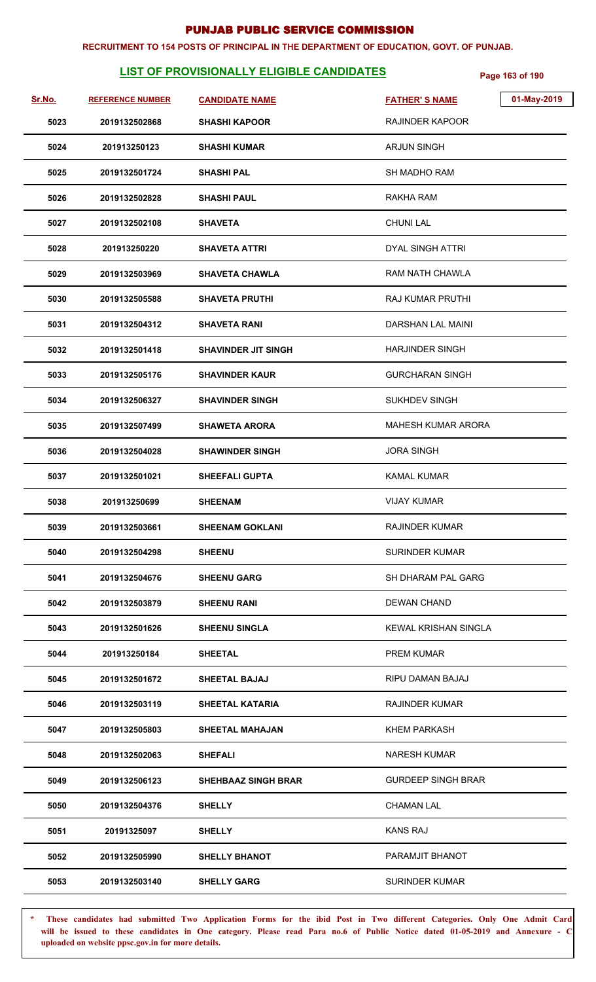#### **RECRUITMENT TO 154 POSTS OF PRINCIPAL IN THE DEPARTMENT OF EDUCATION, GOVT. OF PUNJAB.**

# **LIST OF PROVISIONALLY ELIGIBLE CANDIDATES** Page 163 of 190

| Sr.No. | <b>REFERENCE NUMBER</b> | <b>CANDIDATE NAME</b>      | 01-May-2019<br><b>FATHER'S NAME</b> |
|--------|-------------------------|----------------------------|-------------------------------------|
| 5023   | 2019132502868           | <b>SHASHI KAPOOR</b>       | <b>RAJINDER KAPOOR</b>              |
| 5024   | 201913250123            | <b>SHASHI KUMAR</b>        | <b>ARJUN SINGH</b>                  |
| 5025   | 2019132501724           | <b>SHASHI PAL</b>          | <b>SH MADHO RAM</b>                 |
| 5026   | 2019132502828           | <b>SHASHI PAUL</b>         | RAKHA RAM                           |
| 5027   | 2019132502108           | <b>SHAVETA</b>             | <b>CHUNI LAL</b>                    |
| 5028   | 201913250220            | <b>SHAVETA ATTRI</b>       | <b>DYAL SINGH ATTRI</b>             |
| 5029   | 2019132503969           | <b>SHAVETA CHAWLA</b>      | <b>RAM NATH CHAWLA</b>              |
| 5030   | 2019132505588           | <b>SHAVETA PRUTHI</b>      | RAJ KUMAR PRUTHI                    |
| 5031   | 2019132504312           | <b>SHAVETA RANI</b>        | DARSHAN LAL MAINI                   |
| 5032   | 2019132501418           | <b>SHAVINDER JIT SINGH</b> | <b>HARJINDER SINGH</b>              |
| 5033   | 2019132505176           | <b>SHAVINDER KAUR</b>      | <b>GURCHARAN SINGH</b>              |
| 5034   | 2019132506327           | <b>SHAVINDER SINGH</b>     | <b>SUKHDEV SINGH</b>                |
| 5035   | 2019132507499           | <b>SHAWETA ARORA</b>       | <b>MAHESH KUMAR ARORA</b>           |
| 5036   | 2019132504028           | <b>SHAWINDER SINGH</b>     | <b>JORA SINGH</b>                   |
| 5037   | 2019132501021           | <b>SHEEFALI GUPTA</b>      | <b>KAMAL KUMAR</b>                  |
| 5038   | 201913250699            | <b>SHEENAM</b>             | <b>VIJAY KUMAR</b>                  |
| 5039   | 2019132503661           | <b>SHEENAM GOKLANI</b>     | RAJINDER KUMAR                      |
| 5040   | 2019132504298           | <b>SHEENU</b>              | <b>SURINDER KUMAR</b>               |
| 5041   | 2019132504676           | <b>SHEENU GARG</b>         | SH DHARAM PAL GARG                  |
| 5042   | 2019132503879           | <b>SHEENU RANI</b>         | <b>DEWAN CHAND</b>                  |
| 5043   | 2019132501626           | <b>SHEENU SINGLA</b>       | KEWAL KRISHAN SINGLA                |
| 5044   | 201913250184            | <b>SHEETAL</b>             | <b>PREM KUMAR</b>                   |
| 5045   | 2019132501672           | <b>SHEETAL BAJAJ</b>       | RIPU DAMAN BAJAJ                    |
| 5046   | 2019132503119           | <b>SHEETAL KATARIA</b>     | <b>RAJINDER KUMAR</b>               |
| 5047   | 2019132505803           | <b>SHEETAL MAHAJAN</b>     | <b>KHEM PARKASH</b>                 |
| 5048   | 2019132502063           | <b>SHEFALI</b>             | <b>NARESH KUMAR</b>                 |
| 5049   | 2019132506123           | <b>SHEHBAAZ SINGH BRAR</b> | <b>GURDEEP SINGH BRAR</b>           |
| 5050   | 2019132504376           | <b>SHELLY</b>              | <b>CHAMAN LAL</b>                   |
| 5051   | 20191325097             | <b>SHELLY</b>              | <b>KANS RAJ</b>                     |
| 5052   | 2019132505990           | <b>SHELLY BHANOT</b>       | PARAMJIT BHANOT                     |
| 5053   | 2019132503140           | <b>SHELLY GARG</b>         | <b>SURINDER KUMAR</b>               |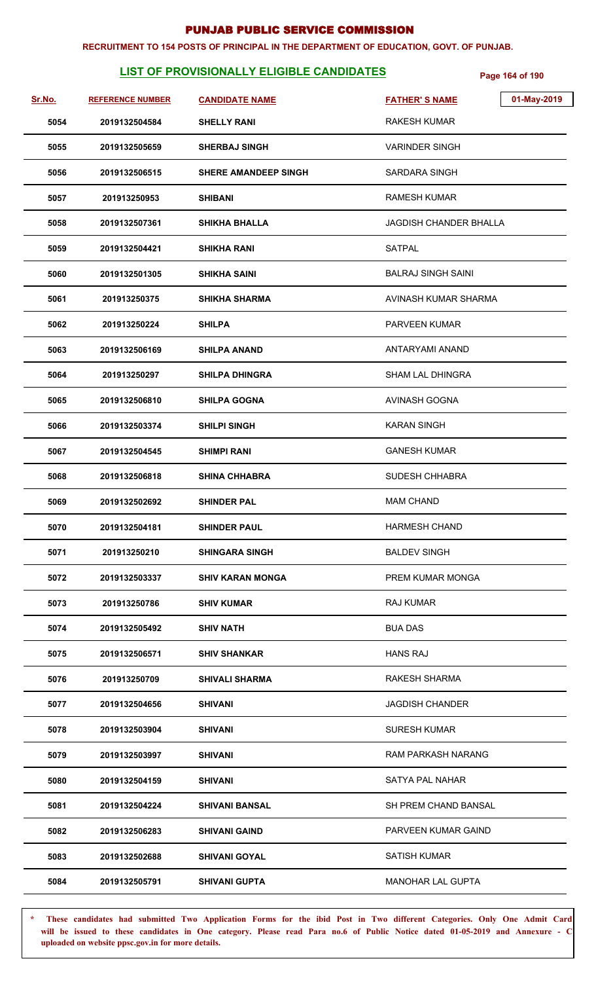#### **RECRUITMENT TO 154 POSTS OF PRINCIPAL IN THE DEPARTMENT OF EDUCATION, GOVT. OF PUNJAB.**

# **LIST OF PROVISIONALLY ELIGIBLE CANDIDATES** Page 164 of 190

| Sr.No. | <b>REFERENCE NUMBER</b> | <b>CANDIDATE NAME</b>       | 01-May-2019<br><b>FATHER'S NAME</b> |
|--------|-------------------------|-----------------------------|-------------------------------------|
| 5054   | 2019132504584           | <b>SHELLY RANI</b>          | <b>RAKESH KUMAR</b>                 |
| 5055   | 2019132505659           | <b>SHERBAJ SINGH</b>        | VARINDER SINGH                      |
| 5056   | 2019132506515           | <b>SHERE AMANDEEP SINGH</b> | SARDARA SINGH                       |
| 5057   | 201913250953            | <b>SHIBANI</b>              | <b>RAMESH KUMAR</b>                 |
| 5058   | 2019132507361           | <b>SHIKHA BHALLA</b>        | <b>JAGDISH CHANDER BHALLA</b>       |
| 5059   | 2019132504421           | <b>SHIKHA RANI</b>          | <b>SATPAL</b>                       |
| 5060   | 2019132501305           | SHIKHA SAINI                | <b>BALRAJ SINGH SAINI</b>           |
| 5061   | 201913250375            | <b>SHIKHA SHARMA</b>        | AVINASH KUMAR SHARMA                |
| 5062   | 201913250224            | <b>SHILPA</b>               | <b>PARVEEN KUMAR</b>                |
| 5063   | 2019132506169           | <b>SHILPA ANAND</b>         | ANTARYAMI ANAND                     |
| 5064   | 201913250297            | <b>SHILPA DHINGRA</b>       | SHAM LAL DHINGRA                    |
| 5065   | 2019132506810           | <b>SHILPA GOGNA</b>         | <b>AVINASH GOGNA</b>                |
| 5066   | 2019132503374           | <b>SHILPI SINGH</b>         | <b>KARAN SINGH</b>                  |
| 5067   | 2019132504545           | <b>SHIMPI RANI</b>          | <b>GANESH KUMAR</b>                 |
| 5068   | 2019132506818           | <b>SHINA CHHABRA</b>        | SUDESH CHHABRA                      |
| 5069   | 2019132502692           | <b>SHINDER PAL</b>          | <b>MAM CHAND</b>                    |
| 5070   | 2019132504181           | <b>SHINDER PAUL</b>         | <b>HARMESH CHAND</b>                |
| 5071   | 201913250210            | <b>SHINGARA SINGH</b>       | <b>BALDEV SINGH</b>                 |
| 5072   | 2019132503337           | <b>SHIV KARAN MONGA</b>     | PREM KUMAR MONGA                    |
| 5073   | 201913250786            | <b>SHIV KUMAR</b>           | <b>RAJ KUMAR</b>                    |
| 5074   | 2019132505492           | <b>SHIV NATH</b>            | <b>BUA DAS</b>                      |
| 5075   | 2019132506571           | <b>SHIV SHANKAR</b>         | <b>HANS RAJ</b>                     |
| 5076   | 201913250709            | <b>SHIVALI SHARMA</b>       | <b>RAKESH SHARMA</b>                |
| 5077   | 2019132504656           | <b>SHIVANI</b>              | <b>JAGDISH CHANDER</b>              |
| 5078   | 2019132503904           | SHIVANI                     | <b>SURESH KUMAR</b>                 |
| 5079   | 2019132503997           | <b>SHIVANI</b>              | RAM PARKASH NARANG                  |
| 5080   | 2019132504159           | <b>SHIVANI</b>              | SATYA PAL NAHAR                     |
| 5081   | 2019132504224           | <b>SHIVANI BANSAL</b>       | SH PREM CHAND BANSAL                |
| 5082   | 2019132506283           | <b>SHIVANI GAIND</b>        | PARVEEN KUMAR GAIND                 |
| 5083   | 2019132502688           | <b>SHIVANI GOYAL</b>        | <b>SATISH KUMAR</b>                 |
| 5084   | 2019132505791           | <b>SHIVANI GUPTA</b>        | <b>MANOHAR LAL GUPTA</b>            |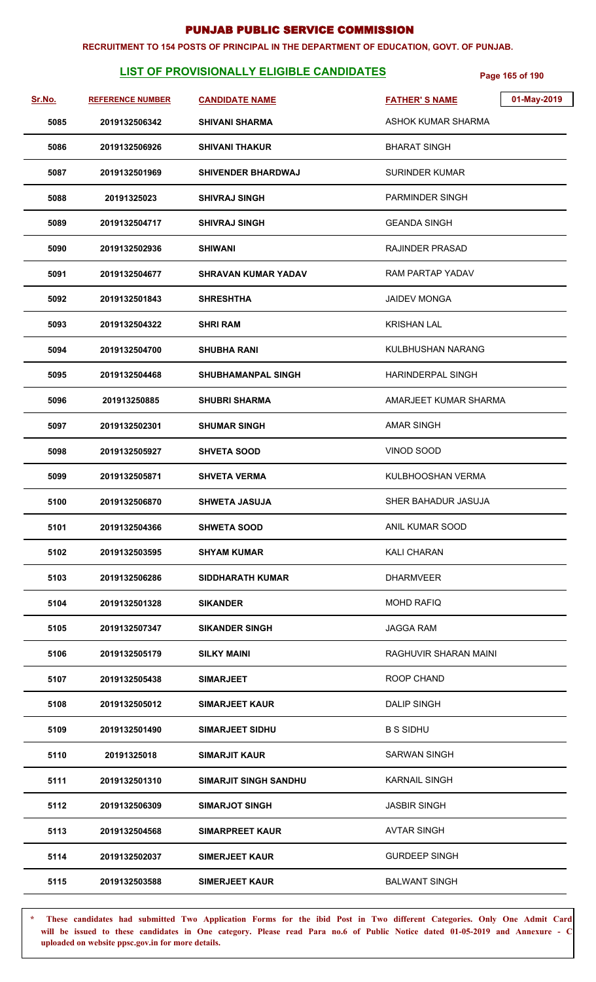#### **RECRUITMENT TO 154 POSTS OF PRINCIPAL IN THE DEPARTMENT OF EDUCATION, GOVT. OF PUNJAB.**

# **LIST OF PROVISIONALLY ELIGIBLE CANDIDATES** Page 165 of 190

| Sr.No. | <b>REFERENCE NUMBER</b> | <b>CANDIDATE NAME</b>        | 01-May-2019<br><b>FATHER'S NAME</b> |
|--------|-------------------------|------------------------------|-------------------------------------|
| 5085   | 2019132506342           | <b>SHIVANI SHARMA</b>        | ASHOK KUMAR SHARMA                  |
| 5086   | 2019132506926           | <b>SHIVANI THAKUR</b>        | <b>BHARAT SINGH</b>                 |
| 5087   | 2019132501969           | <b>SHIVENDER BHARDWAJ</b>    | <b>SURINDER KUMAR</b>               |
| 5088   | 20191325023             | <b>SHIVRAJ SINGH</b>         | <b>PARMINDER SINGH</b>              |
| 5089   | 2019132504717           | <b>SHIVRAJ SINGH</b>         | <b>GEANDA SINGH</b>                 |
| 5090   | 2019132502936           | <b>SHIWANI</b>               | <b>RAJINDER PRASAD</b>              |
| 5091   | 2019132504677           | <b>SHRAVAN KUMAR YADAV</b>   | RAM PARTAP YADAV                    |
| 5092   | 2019132501843           | <b>SHRESHTHA</b>             | <b>JAIDEV MONGA</b>                 |
| 5093   | 2019132504322           | <b>SHRI RAM</b>              | <b>KRISHAN LAL</b>                  |
| 5094   | 2019132504700           | <b>SHUBHA RANI</b>           | KULBHUSHAN NARANG                   |
| 5095   | 2019132504468           | <b>SHUBHAMANPAL SINGH</b>    | <b>HARINDERPAL SINGH</b>            |
| 5096   | 201913250885            | <b>SHUBRI SHARMA</b>         | AMARJEET KUMAR SHARMA               |
| 5097   | 2019132502301           | <b>SHUMAR SINGH</b>          | <b>AMAR SINGH</b>                   |
| 5098   | 2019132505927           | <b>SHVETA SOOD</b>           | VINOD SOOD                          |
| 5099   | 2019132505871           | <b>SHVETA VERMA</b>          | KULBHOOSHAN VERMA                   |
| 5100   | 2019132506870           | <b>SHWETA JASUJA</b>         | SHER BAHADUR JASUJA                 |
| 5101   | 2019132504366           | <b>SHWETA SOOD</b>           | ANIL KUMAR SOOD                     |
| 5102   | 2019132503595           | <b>SHYAM KUMAR</b>           | KALI CHARAN                         |
| 5103   | 2019132506286           | <b>SIDDHARATH KUMAR</b>      | <b>DHARMVEER</b>                    |
| 5104   | 2019132501328           | <b>SIKANDER</b>              | <b>MOHD RAFIQ</b>                   |
| 5105   | 2019132507347           | <b>SIKANDER SINGH</b>        | <b>JAGGA RAM</b>                    |
| 5106   | 2019132505179           | <b>SILKY MAINI</b>           | RAGHUVIR SHARAN MAINI               |
| 5107   | 2019132505438           | <b>SIMARJEET</b>             | ROOP CHAND                          |
| 5108   | 2019132505012           | <b>SIMARJEET KAUR</b>        | <b>DALIP SINGH</b>                  |
| 5109   | 2019132501490           | <b>SIMARJEET SIDHU</b>       | <b>B S SIDHU</b>                    |
| 5110   | 20191325018             | <b>SIMARJIT KAUR</b>         | <b>SARWAN SINGH</b>                 |
| 5111   | 2019132501310           | <b>SIMARJIT SINGH SANDHU</b> | <b>KARNAIL SINGH</b>                |
| 5112   | 2019132506309           | <b>SIMARJOT SINGH</b>        | <b>JASBIR SINGH</b>                 |
| 5113   | 2019132504568           | <b>SIMARPREET KAUR</b>       | <b>AVTAR SINGH</b>                  |
| 5114   | 2019132502037           | <b>SIMERJEET KAUR</b>        | <b>GURDEEP SINGH</b>                |
| 5115   | 2019132503588           | <b>SIMERJEET KAUR</b>        | <b>BALWANT SINGH</b>                |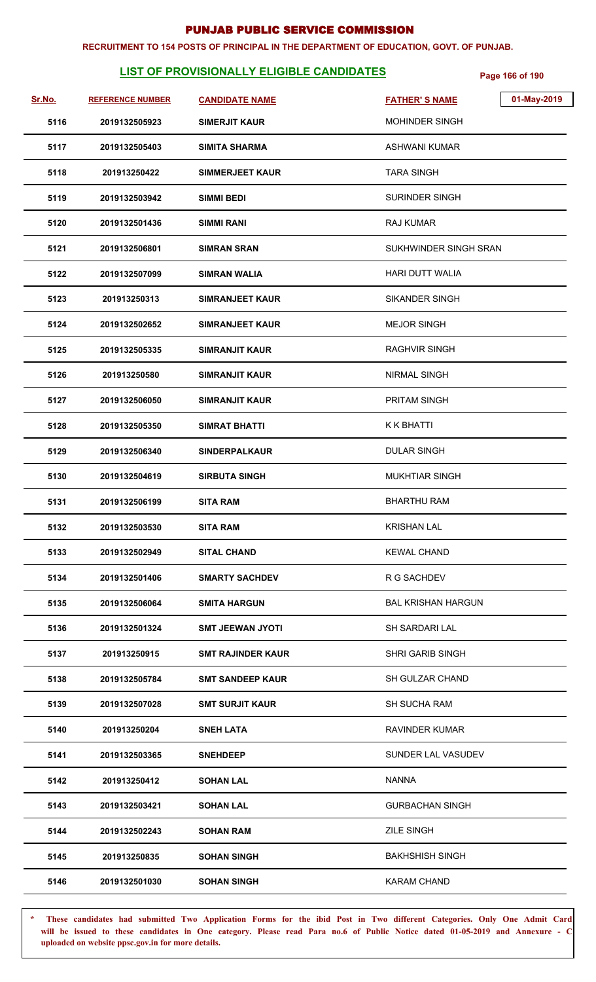#### **RECRUITMENT TO 154 POSTS OF PRINCIPAL IN THE DEPARTMENT OF EDUCATION, GOVT. OF PUNJAB.**

# **LIST OF PROVISIONALLY ELIGIBLE CANDIDATES** Page 166 of 190

| Sr.No. | <b>REFERENCE NUMBER</b> |                          | 01-May-2019               |
|--------|-------------------------|--------------------------|---------------------------|
|        |                         | <b>CANDIDATE NAME</b>    | <b>FATHER'S NAME</b>      |
| 5116   | 2019132505923           | <b>SIMERJIT KAUR</b>     | MOHINDER SINGH            |
| 5117   | 2019132505403           | <b>SIMITA SHARMA</b>     | <b>ASHWANI KUMAR</b>      |
| 5118   | 201913250422            | <b>SIMMERJEET KAUR</b>   | <b>TARA SINGH</b>         |
| 5119   | 2019132503942           | <b>SIMMI BEDI</b>        | <b>SURINDER SINGH</b>     |
| 5120   | 2019132501436           | <b>SIMMI RANI</b>        | RAJ KUMAR                 |
| 5121   | 2019132506801           | <b>SIMRAN SRAN</b>       | SUKHWINDER SINGH SRAN     |
| 5122   | 2019132507099           | <b>SIMRAN WALIA</b>      | <b>HARI DUTT WALIA</b>    |
| 5123   | 201913250313            | <b>SIMRANJEET KAUR</b>   | <b>SIKANDER SINGH</b>     |
| 5124   | 2019132502652           | <b>SIMRANJEET KAUR</b>   | <b>MEJOR SINGH</b>        |
| 5125   | 2019132505335           | <b>SIMRANJIT KAUR</b>    | <b>RAGHVIR SINGH</b>      |
| 5126   | 201913250580            | <b>SIMRANJIT KAUR</b>    | NIRMAL SINGH              |
| 5127   | 2019132506050           | <b>SIMRANJIT KAUR</b>    | <b>PRITAM SINGH</b>       |
| 5128   | 2019132505350           | <b>SIMRAT BHATTI</b>     | K K BHATTI                |
| 5129   | 2019132506340           | <b>SINDERPALKAUR</b>     | <b>DULAR SINGH</b>        |
| 5130   | 2019132504619           | <b>SIRBUTA SINGH</b>     | <b>MUKHTIAR SINGH</b>     |
| 5131   | 2019132506199           | <b>SITA RAM</b>          | <b>BHARTHU RAM</b>        |
| 5132   | 2019132503530           | <b>SITA RAM</b>          | <b>KRISHAN LAL</b>        |
| 5133   | 2019132502949           | <b>SITAL CHAND</b>       | <b>KEWAL CHAND</b>        |
| 5134   | 2019132501406           | <b>SMARTY SACHDEV</b>    | R G SACHDEV               |
| 5135   | 2019132506064           | <b>SMITA HARGUN</b>      | <b>BAL KRISHAN HARGUN</b> |
| 5136   | 2019132501324           | <b>SMT JEEWAN JYOTI</b>  | <b>SH SARDARI LAL</b>     |
| 5137   | 201913250915            | <b>SMT RAJINDER KAUR</b> | SHRI GARIB SINGH          |
| 5138   | 2019132505784           | <b>SMT SANDEEP KAUR</b>  | <b>SH GULZAR CHAND</b>    |
| 5139   | 2019132507028           | <b>SMT SURJIT KAUR</b>   | <b>SH SUCHA RAM</b>       |
| 5140   | 201913250204            | <b>SNEH LATA</b>         | <b>RAVINDER KUMAR</b>     |
| 5141   | 2019132503365           | <b>SNEHDEEP</b>          | SUNDER LAL VASUDEV        |
| 5142   | 201913250412            | <b>SOHAN LAL</b>         | <b>NANNA</b>              |
| 5143   | 2019132503421           | <b>SOHAN LAL</b>         | <b>GURBACHAN SINGH</b>    |
| 5144   | 2019132502243           | <b>SOHAN RAM</b>         | <b>ZILE SINGH</b>         |
| 5145   | 201913250835            | <b>SOHAN SINGH</b>       | <b>BAKHSHISH SINGH</b>    |
| 5146   | 2019132501030           | <b>SOHAN SINGH</b>       | <b>KARAM CHAND</b>        |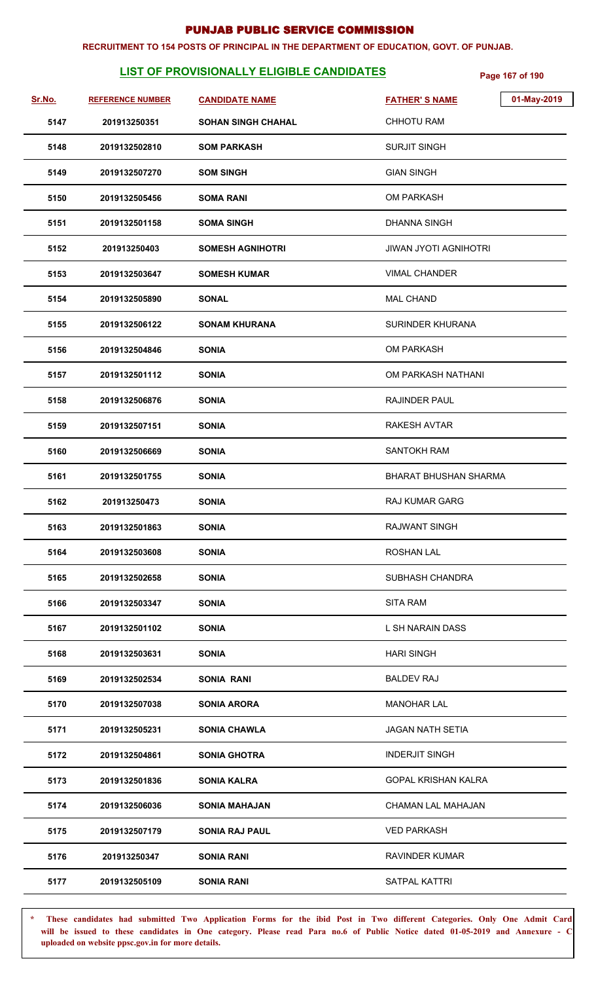#### **RECRUITMENT TO 154 POSTS OF PRINCIPAL IN THE DEPARTMENT OF EDUCATION, GOVT. OF PUNJAB.**

# **LIST OF PROVISIONALLY ELIGIBLE CANDIDATES** Page 167 of 190

| Sr.No. | <b>REFERENCE NUMBER</b> | <b>CANDIDATE NAME</b>     | 01-May-2019<br><b>FATHER'S NAME</b> |
|--------|-------------------------|---------------------------|-------------------------------------|
| 5147   | 201913250351            | <b>SOHAN SINGH CHAHAL</b> | <b>CHHOTU RAM</b>                   |
| 5148   | 2019132502810           | <b>SOM PARKASH</b>        | <b>SURJIT SINGH</b>                 |
| 5149   | 2019132507270           | <b>SOM SINGH</b>          | <b>GIAN SINGH</b>                   |
| 5150   | 2019132505456           | <b>SOMA RANI</b>          | <b>OM PARKASH</b>                   |
| 5151   | 2019132501158           | <b>SOMA SINGH</b>         | <b>DHANNA SINGH</b>                 |
| 5152   | 201913250403            | <b>SOMESH AGNIHOTRI</b>   | <b>JIWAN JYOTI AGNIHOTRI</b>        |
| 5153   | 2019132503647           | <b>SOMESH KUMAR</b>       | <b>VIMAL CHANDER</b>                |
| 5154   | 2019132505890           | <b>SONAL</b>              | <b>MAL CHAND</b>                    |
| 5155   | 2019132506122           | <b>SONAM KHURANA</b>      | SURINDER KHURANA                    |
| 5156   | 2019132504846           | <b>SONIA</b>              | <b>OM PARKASH</b>                   |
| 5157   | 2019132501112           | <b>SONIA</b>              | OM PARKASH NATHANI                  |
| 5158   | 2019132506876           | <b>SONIA</b>              | RAJINDER PAUL                       |
| 5159   | 2019132507151           | <b>SONIA</b>              | RAKESH AVTAR                        |
| 5160   | 2019132506669           | <b>SONIA</b>              | <b>SANTOKH RAM</b>                  |
| 5161   | 2019132501755           | <b>SONIA</b>              | <b>BHARAT BHUSHAN SHARMA</b>        |
| 5162   | 201913250473            | <b>SONIA</b>              | <b>RAJ KUMAR GARG</b>               |
| 5163   | 2019132501863           | <b>SONIA</b>              | <b>RAJWANT SINGH</b>                |
| 5164   | 2019132503608           | <b>SONIA</b>              | <b>ROSHAN LAL</b>                   |
| 5165   | 2019132502658           | <b>SONIA</b>              | SUBHASH CHANDRA                     |
| 5166   | 2019132503347           | <b>SONIA</b>              | <b>SITA RAM</b>                     |
| 5167   | 2019132501102           | <b>SONIA</b>              | L SH NARAIN DASS                    |
| 5168   | 2019132503631           | <b>SONIA</b>              | <b>HARI SINGH</b>                   |
| 5169   | 2019132502534           | <b>SONIA RANI</b>         | <b>BALDEV RAJ</b>                   |
| 5170   | 2019132507038           | <b>SONIA ARORA</b>        | <b>MANOHAR LAL</b>                  |
| 5171   | 2019132505231           | <b>SONIA CHAWLA</b>       | <b>JAGAN NATH SETIA</b>             |
| 5172   | 2019132504861           | <b>SONIA GHOTRA</b>       | <b>INDERJIT SINGH</b>               |
| 5173   | 2019132501836           | <b>SONIA KALRA</b>        | <b>GOPAL KRISHAN KALRA</b>          |
| 5174   | 2019132506036           | <b>SONIA MAHAJAN</b>      | CHAMAN LAL MAHAJAN                  |
| 5175   | 2019132507179           | <b>SONIA RAJ PAUL</b>     | <b>VED PARKASH</b>                  |
| 5176   | 201913250347            | <b>SONIA RANI</b>         | <b>RAVINDER KUMAR</b>               |
| 5177   | 2019132505109           | <b>SONIA RANI</b>         | SATPAL KATTRI                       |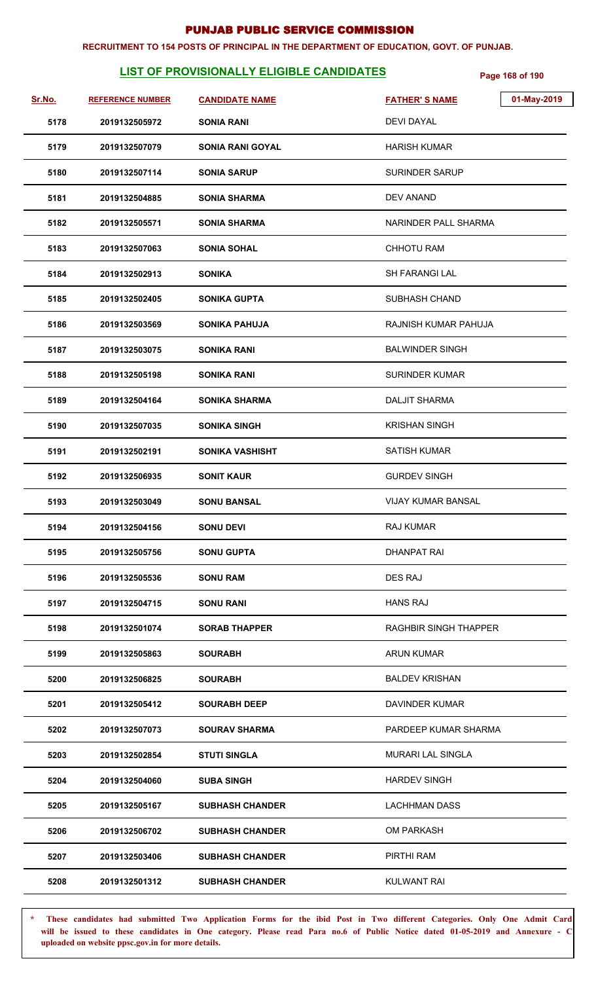#### **RECRUITMENT TO 154 POSTS OF PRINCIPAL IN THE DEPARTMENT OF EDUCATION, GOVT. OF PUNJAB.**

# **LIST OF PROVISIONALLY ELIGIBLE CANDIDATES** Page 168 of 190

| Sr.No. | <b>REFERENCE NUMBER</b> | <b>CANDIDATE NAME</b>   | 01-May-2019<br><b>FATHER'S NAME</b> |
|--------|-------------------------|-------------------------|-------------------------------------|
| 5178   | 2019132505972           | <b>SONIA RANI</b>       | <b>DEVI DAYAL</b>                   |
| 5179   | 2019132507079           | <b>SONIA RANI GOYAL</b> | <b>HARISH KUMAR</b>                 |
| 5180   | 2019132507114           | <b>SONIA SARUP</b>      | <b>SURINDER SARUP</b>               |
| 5181   | 2019132504885           | <b>SONIA SHARMA</b>     | DEV ANAND                           |
| 5182   | 2019132505571           | <b>SONIA SHARMA</b>     | NARINDER PALL SHARMA                |
| 5183   | 2019132507063           | <b>SONIA SOHAL</b>      | <b>CHHOTU RAM</b>                   |
| 5184   | 2019132502913           | <b>SONIKA</b>           | SH FARANGI LAL                      |
| 5185   | 2019132502405           | <b>SONIKA GUPTA</b>     | SUBHASH CHAND                       |
| 5186   | 2019132503569           | <b>SONIKA PAHUJA</b>    | RAJNISH KUMAR PAHUJA                |
| 5187   | 2019132503075           | <b>SONIKA RANI</b>      | <b>BALWINDER SINGH</b>              |
| 5188   | 2019132505198           | <b>SONIKA RANI</b>      | <b>SURINDER KUMAR</b>               |
| 5189   | 2019132504164           | <b>SONIKA SHARMA</b>    | <b>DALJIT SHARMA</b>                |
| 5190   | 2019132507035           | <b>SONIKA SINGH</b>     | <b>KRISHAN SINGH</b>                |
| 5191   | 2019132502191           | <b>SONIKA VASHISHT</b>  | <b>SATISH KUMAR</b>                 |
| 5192   | 2019132506935           | <b>SONIT KAUR</b>       | <b>GURDEV SINGH</b>                 |
| 5193   | 2019132503049           | <b>SONU BANSAL</b>      | <b>VIJAY KUMAR BANSAL</b>           |
| 5194   | 2019132504156           | <b>SONU DEVI</b>        | RAJ KUMAR                           |
| 5195   | 2019132505756           | <b>SONU GUPTA</b>       | <b>DHANPAT RAI</b>                  |
| 5196   | 2019132505536           | <b>SONU RAM</b>         | DES RAJ                             |
| 5197   | 2019132504715           | <b>SONU RANI</b>        | <b>HANS RAJ</b>                     |
| 5198   | 2019132501074           | <b>SORAB THAPPER</b>    | <b>RAGHBIR SINGH THAPPER</b>        |
| 5199   | 2019132505863           | <b>SOURABH</b>          | <b>ARUN KUMAR</b>                   |
| 5200   | 2019132506825           | <b>SOURABH</b>          | <b>BALDEV KRISHAN</b>               |
| 5201   | 2019132505412           | <b>SOURABH DEEP</b>     | DAVINDER KUMAR                      |
| 5202   | 2019132507073           | <b>SOURAV SHARMA</b>    | PARDEEP KUMAR SHARMA                |
| 5203   | 2019132502854           | <b>STUTI SINGLA</b>     | <b>MURARI LAL SINGLA</b>            |
| 5204   | 2019132504060           | <b>SUBA SINGH</b>       | <b>HARDEV SINGH</b>                 |
| 5205   | 2019132505167           | <b>SUBHASH CHANDER</b>  | <b>LACHHMAN DASS</b>                |
| 5206   | 2019132506702           | <b>SUBHASH CHANDER</b>  | <b>OM PARKASH</b>                   |
| 5207   | 2019132503406           | <b>SUBHASH CHANDER</b>  | PIRTHI RAM                          |
| 5208   | 2019132501312           | <b>SUBHASH CHANDER</b>  | <b>KULWANT RAI</b>                  |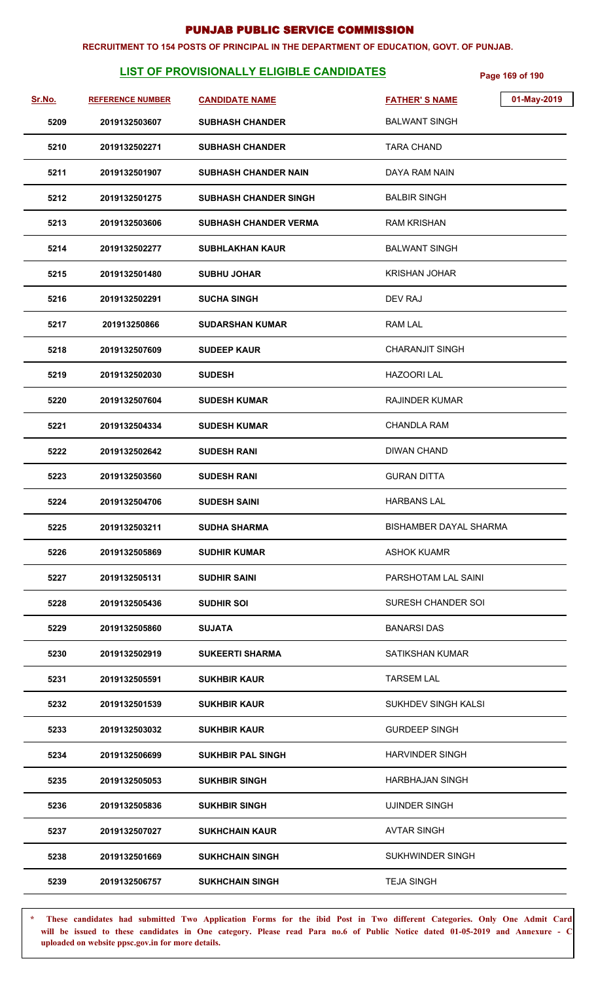#### **RECRUITMENT TO 154 POSTS OF PRINCIPAL IN THE DEPARTMENT OF EDUCATION, GOVT. OF PUNJAB.**

# **LIST OF PROVISIONALLY ELIGIBLE CANDIDATES** Page 169 of 190

| Sr.No. | <b>REFERENCE NUMBER</b> | <b>CANDIDATE NAME</b>        | <b>FATHER'S NAME</b>          | 01-May-2019 |
|--------|-------------------------|------------------------------|-------------------------------|-------------|
| 5209   | 2019132503607           | <b>SUBHASH CHANDER</b>       | <b>BALWANT SINGH</b>          |             |
| 5210   | 2019132502271           | <b>SUBHASH CHANDER</b>       | TARA CHAND                    |             |
| 5211   | 2019132501907           | <b>SUBHASH CHANDER NAIN</b>  | DAYA RAM NAIN                 |             |
| 5212   | 2019132501275           | <b>SUBHASH CHANDER SINGH</b> | <b>BALBIR SINGH</b>           |             |
| 5213   | 2019132503606           | <b>SUBHASH CHANDER VERMA</b> | <b>RAM KRISHAN</b>            |             |
| 5214   | 2019132502277           | <b>SUBHLAKHAN KAUR</b>       | <b>BALWANT SINGH</b>          |             |
| 5215   | 2019132501480           | <b>SUBHU JOHAR</b>           | <b>KRISHAN JOHAR</b>          |             |
| 5216   | 2019132502291           | <b>SUCHA SINGH</b>           | <b>DEV RAJ</b>                |             |
| 5217   | 201913250866            | <b>SUDARSHAN KUMAR</b>       | <b>RAM LAL</b>                |             |
| 5218   | 2019132507609           | <b>SUDEEP KAUR</b>           | <b>CHARANJIT SINGH</b>        |             |
| 5219   | 2019132502030           | <b>SUDESH</b>                | <b>HAZOORI LAL</b>            |             |
| 5220   | 2019132507604           | <b>SUDESH KUMAR</b>          | <b>RAJINDER KUMAR</b>         |             |
| 5221   | 2019132504334           | <b>SUDESH KUMAR</b>          | <b>CHANDLA RAM</b>            |             |
| 5222   | 2019132502642           | <b>SUDESH RANI</b>           | <b>DIWAN CHAND</b>            |             |
| 5223   | 2019132503560           | <b>SUDESH RANI</b>           | <b>GURAN DITTA</b>            |             |
| 5224   | 2019132504706           | <b>SUDESH SAINI</b>          | <b>HARBANS LAL</b>            |             |
| 5225   | 2019132503211           | <b>SUDHA SHARMA</b>          | <b>BISHAMBER DAYAL SHARMA</b> |             |
| 5226   | 2019132505869           | <b>SUDHIR KUMAR</b>          | <b>ASHOK KUAMR</b>            |             |
| 5227   | 2019132505131           | <b>SUDHIR SAINI</b>          | PARSHOTAM LAL SAINI           |             |
| 5228   | 2019132505436           | <b>SUDHIR SOI</b>            | SURESH CHANDER SOI            |             |
| 5229   | 2019132505860           | <b>SUJATA</b>                | <b>BANARSI DAS</b>            |             |
| 5230   | 2019132502919           | <b>SUKEERTI SHARMA</b>       | <b>SATIKSHAN KUMAR</b>        |             |
| 5231   | 2019132505591           | <b>SUKHBIR KAUR</b>          | <b>TARSEM LAL</b>             |             |
| 5232   | 2019132501539           | <b>SUKHBIR KAUR</b>          | SUKHDEV SINGH KALSI           |             |
| 5233   | 2019132503032           | <b>SUKHBIR KAUR</b>          | <b>GURDEEP SINGH</b>          |             |
| 5234   | 2019132506699           | <b>SUKHBIR PAL SINGH</b>     | <b>HARVINDER SINGH</b>        |             |
| 5235   | 2019132505053           | <b>SUKHBIR SINGH</b>         | HARBHAJAN SINGH               |             |
| 5236   | 2019132505836           | <b>SUKHBIR SINGH</b>         | <b>UJINDER SINGH</b>          |             |
| 5237   | 2019132507027           | <b>SUKHCHAIN KAUR</b>        | <b>AVTAR SINGH</b>            |             |
| 5238   | 2019132501669           | <b>SUKHCHAIN SINGH</b>       | <b>SUKHWINDER SINGH</b>       |             |
| 5239   | 2019132506757           | <b>SUKHCHAIN SINGH</b>       | <b>TEJA SINGH</b>             |             |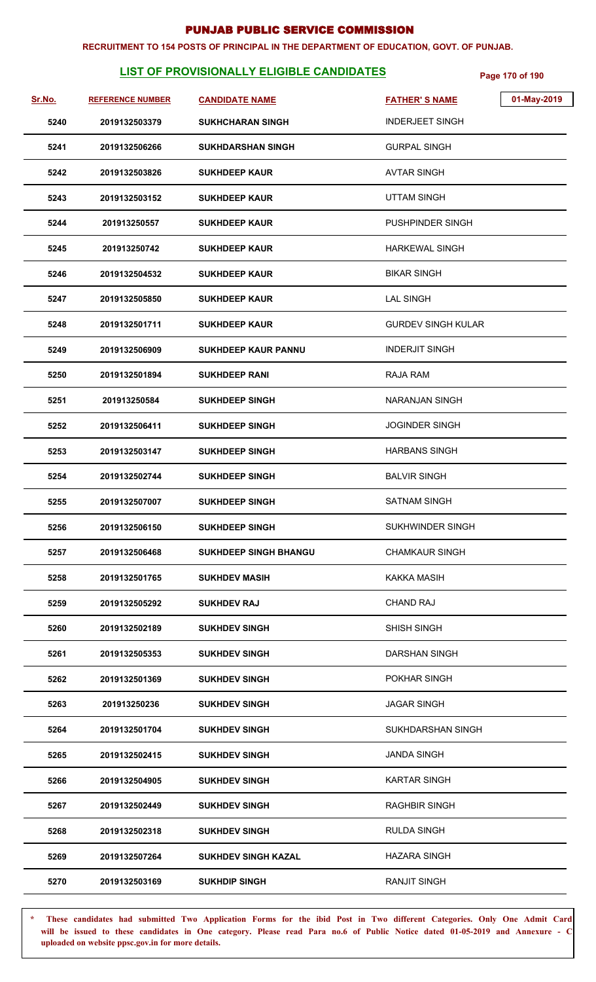#### **RECRUITMENT TO 154 POSTS OF PRINCIPAL IN THE DEPARTMENT OF EDUCATION, GOVT. OF PUNJAB.**

# **LIST OF PROVISIONALLY ELIGIBLE CANDIDATES** Page 170 of 190

| <u>Sr.No.</u> | <b>REFERENCE NUMBER</b> | <b>CANDIDATE NAME</b>        | <b>FATHER'S NAME</b>      | 01-May-2019 |
|---------------|-------------------------|------------------------------|---------------------------|-------------|
| 5240          | 2019132503379           | <b>SUKHCHARAN SINGH</b>      | <b>INDERJEET SINGH</b>    |             |
| 5241          | 2019132506266           | <b>SUKHDARSHAN SINGH</b>     | <b>GURPAL SINGH</b>       |             |
| 5242          | 2019132503826           | <b>SUKHDEEP KAUR</b>         | <b>AVTAR SINGH</b>        |             |
| 5243          | 2019132503152           | <b>SUKHDEEP KAUR</b>         | <b>UTTAM SINGH</b>        |             |
| 5244          | 201913250557            | <b>SUKHDEEP KAUR</b>         | PUSHPINDER SINGH          |             |
| 5245          | 201913250742            | <b>SUKHDEEP KAUR</b>         | <b>HARKEWAL SINGH</b>     |             |
| 5246          | 2019132504532           | <b>SUKHDEEP KAUR</b>         | <b>BIKAR SINGH</b>        |             |
| 5247          | 2019132505850           | <b>SUKHDEEP KAUR</b>         | <b>LAL SINGH</b>          |             |
| 5248          | 2019132501711           | <b>SUKHDEEP KAUR</b>         | <b>GURDEV SINGH KULAR</b> |             |
| 5249          | 2019132506909           | <b>SUKHDEEP KAUR PANNU</b>   | <b>INDERJIT SINGH</b>     |             |
| 5250          | 2019132501894           | <b>SUKHDEEP RANI</b>         | RAJA RAM                  |             |
| 5251          | 201913250584            | <b>SUKHDEEP SINGH</b>        | <b>NARANJAN SINGH</b>     |             |
| 5252          | 2019132506411           | <b>SUKHDEEP SINGH</b>        | <b>JOGINDER SINGH</b>     |             |
| 5253          | 2019132503147           | <b>SUKHDEEP SINGH</b>        | <b>HARBANS SINGH</b>      |             |
| 5254          | 2019132502744           | <b>SUKHDEEP SINGH</b>        | <b>BALVIR SINGH</b>       |             |
| 5255          | 2019132507007           | <b>SUKHDEEP SINGH</b>        | <b>SATNAM SINGH</b>       |             |
| 5256          | 2019132506150           | <b>SUKHDEEP SINGH</b>        | SUKHWINDER SINGH          |             |
| 5257          | 2019132506468           | <b>SUKHDEEP SINGH BHANGU</b> | <b>CHAMKAUR SINGH</b>     |             |
| 5258          | 2019132501765           | <b>SUKHDEV MASIH</b>         | <b>KAKKA MASIH</b>        |             |
| 5259          | 2019132505292           | <b>SUKHDEV RAJ</b>           | <b>CHAND RAJ</b>          |             |
| 5260          | 2019132502189           | <b>SUKHDEV SINGH</b>         | <b>SHISH SINGH</b>        |             |
| 5261          | 2019132505353           | <b>SUKHDEV SINGH</b>         | <b>DARSHAN SINGH</b>      |             |
| 5262          | 2019132501369           | <b>SUKHDEV SINGH</b>         | POKHAR SINGH              |             |
| 5263          | 201913250236            | <b>SUKHDEV SINGH</b>         | <b>JAGAR SINGH</b>        |             |
| 5264          | 2019132501704           | <b>SUKHDEV SINGH</b>         | SUKHDARSHAN SINGH         |             |
| 5265          | 2019132502415           | <b>SUKHDEV SINGH</b>         | <b>JANDA SINGH</b>        |             |
| 5266          | 2019132504905           | <b>SUKHDEV SINGH</b>         | <b>KARTAR SINGH</b>       |             |
| 5267          | 2019132502449           | <b>SUKHDEV SINGH</b>         | <b>RAGHBIR SINGH</b>      |             |
| 5268          | 2019132502318           | <b>SUKHDEV SINGH</b>         | <b>RULDA SINGH</b>        |             |
| 5269          | 2019132507264           | <b>SUKHDEV SINGH KAZAL</b>   | <b>HAZARA SINGH</b>       |             |
| 5270          | 2019132503169           | <b>SUKHDIP SINGH</b>         | <b>RANJIT SINGH</b>       |             |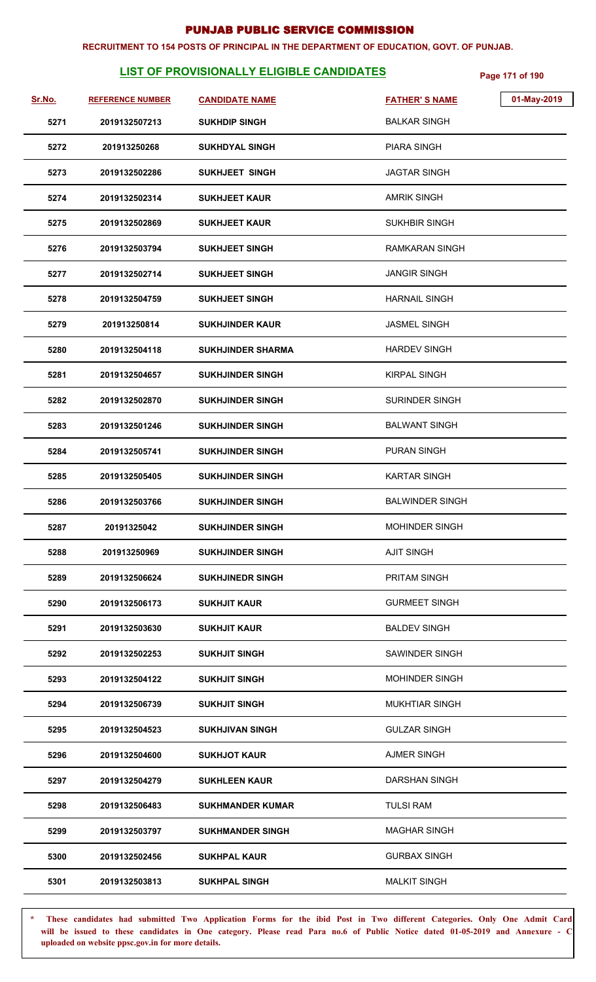#### **RECRUITMENT TO 154 POSTS OF PRINCIPAL IN THE DEPARTMENT OF EDUCATION, GOVT. OF PUNJAB.**

# **LIST OF PROVISIONALLY ELIGIBLE CANDIDATES** Page 171 of 190

| Sr.No. | <b>REFERENCE NUMBER</b> | <b>CANDIDATE NAME</b>    | <b>FATHER'S NAME</b>   | 01-May-2019 |
|--------|-------------------------|--------------------------|------------------------|-------------|
| 5271   | 2019132507213           | <b>SUKHDIP SINGH</b>     | <b>BALKAR SINGH</b>    |             |
| 5272   | 201913250268            | <b>SUKHDYAL SINGH</b>    | <b>PIARA SINGH</b>     |             |
| 5273   | 2019132502286           | <b>SUKHJEET SINGH</b>    | <b>JAGTAR SINGH</b>    |             |
| 5274   | 2019132502314           | <b>SUKHJEET KAUR</b>     | <b>AMRIK SINGH</b>     |             |
| 5275   | 2019132502869           | <b>SUKHJEET KAUR</b>     | <b>SUKHBIR SINGH</b>   |             |
| 5276   | 2019132503794           | <b>SUKHJEET SINGH</b>    | RAMKARAN SINGH         |             |
| 5277   | 2019132502714           | <b>SUKHJEET SINGH</b>    | <b>JANGIR SINGH</b>    |             |
| 5278   | 2019132504759           | <b>SUKHJEET SINGH</b>    | <b>HARNAIL SINGH</b>   |             |
| 5279   | 201913250814            | <b>SUKHJINDER KAUR</b>   | <b>JASMEL SINGH</b>    |             |
| 5280   | 2019132504118           | <b>SUKHJINDER SHARMA</b> | <b>HARDEV SINGH</b>    |             |
| 5281   | 2019132504657           | <b>SUKHJINDER SINGH</b>  | KIRPAL SINGH           |             |
| 5282   | 2019132502870           | <b>SUKHJINDER SINGH</b>  | SURINDER SINGH         |             |
| 5283   | 2019132501246           | <b>SUKHJINDER SINGH</b>  | <b>BALWANT SINGH</b>   |             |
| 5284   | 2019132505741           | <b>SUKHJINDER SINGH</b>  | <b>PURAN SINGH</b>     |             |
| 5285   | 2019132505405           | <b>SUKHJINDER SINGH</b>  | <b>KARTAR SINGH</b>    |             |
| 5286   | 2019132503766           | <b>SUKHJINDER SINGH</b>  | <b>BALWINDER SINGH</b> |             |
| 5287   | 20191325042             | <b>SUKHJINDER SINGH</b>  | <b>MOHINDER SINGH</b>  |             |
| 5288   | 201913250969            | <b>SUKHJINDER SINGH</b>  | <b>AJIT SINGH</b>      |             |
| 5289   | 2019132506624           | <b>SUKHJINEDR SINGH</b>  | <b>PRITAM SINGH</b>    |             |
| 5290   | 2019132506173           | <b>SUKHJIT KAUR</b>      | <b>GURMEET SINGH</b>   |             |
| 5291   | 2019132503630           | <b>SUKHJIT KAUR</b>      | <b>BALDEV SINGH</b>    |             |
| 5292   | 2019132502253           | <b>SUKHJIT SINGH</b>     | SAWINDER SINGH         |             |
| 5293   | 2019132504122           | <b>SUKHJIT SINGH</b>     | <b>MOHINDER SINGH</b>  |             |
| 5294   | 2019132506739           | <b>SUKHJIT SINGH</b>     | <b>MUKHTIAR SINGH</b>  |             |
| 5295   | 2019132504523           | <b>SUKHJIVAN SINGH</b>   | <b>GULZAR SINGH</b>    |             |
| 5296   | 2019132504600           | <b>SUKHJOT KAUR</b>      | <b>AJMER SINGH</b>     |             |
| 5297   | 2019132504279           | <b>SUKHLEEN KAUR</b>     | <b>DARSHAN SINGH</b>   |             |
| 5298   | 2019132506483           | <b>SUKHMANDER KUMAR</b>  | <b>TULSI RAM</b>       |             |
| 5299   | 2019132503797           | <b>SUKHMANDER SINGH</b>  | <b>MAGHAR SINGH</b>    |             |
| 5300   | 2019132502456           | <b>SUKHPAL KAUR</b>      | <b>GURBAX SINGH</b>    |             |
| 5301   | 2019132503813           | <b>SUKHPAL SINGH</b>     | <b>MALKIT SINGH</b>    |             |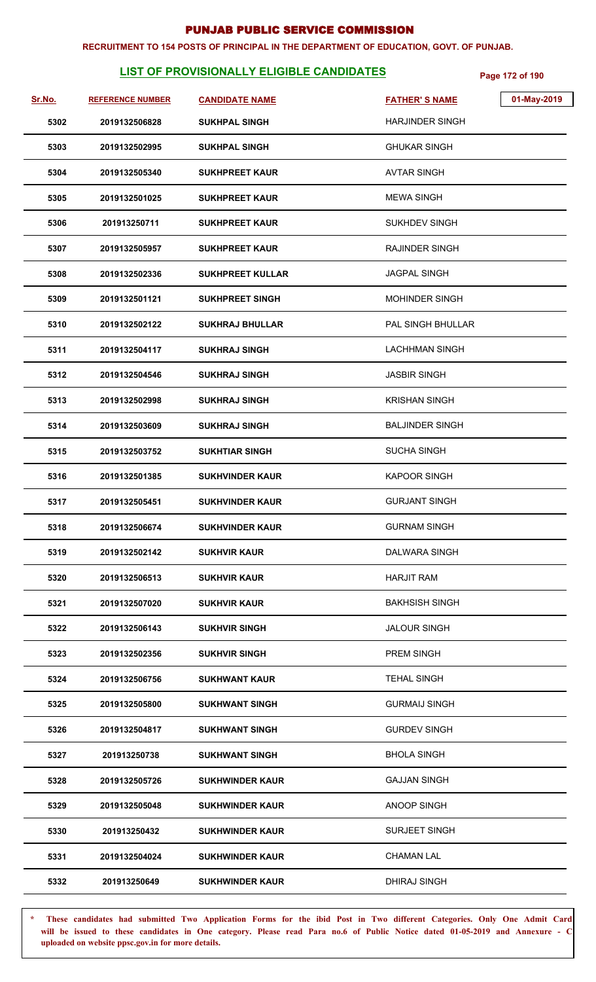#### **RECRUITMENT TO 154 POSTS OF PRINCIPAL IN THE DEPARTMENT OF EDUCATION, GOVT. OF PUNJAB.**

# **LIST OF PROVISIONALLY ELIGIBLE CANDIDATES** Page 172 of 190

| Sr.No. | <b>REFERENCE NUMBER</b> | <b>CANDIDATE NAME</b>   | <b>FATHER'S NAME</b>   | 01-May-2019 |
|--------|-------------------------|-------------------------|------------------------|-------------|
| 5302   | 2019132506828           | <b>SUKHPAL SINGH</b>    | <b>HARJINDER SINGH</b> |             |
| 5303   | 2019132502995           | <b>SUKHPAL SINGH</b>    | <b>GHUKAR SINGH</b>    |             |
| 5304   | 2019132505340           | <b>SUKHPREET KAUR</b>   | <b>AVTAR SINGH</b>     |             |
| 5305   | 2019132501025           | <b>SUKHPREET KAUR</b>   | <b>MEWA SINGH</b>      |             |
| 5306   | 201913250711            | <b>SUKHPREET KAUR</b>   | <b>SUKHDEV SINGH</b>   |             |
| 5307   | 2019132505957           | <b>SUKHPREET KAUR</b>   | RAJINDER SINGH         |             |
| 5308   | 2019132502336           | <b>SUKHPREET KULLAR</b> | <b>JAGPAL SINGH</b>    |             |
| 5309   | 2019132501121           | <b>SUKHPREET SINGH</b>  | MOHINDER SINGH         |             |
| 5310   | 2019132502122           | <b>SUKHRAJ BHULLAR</b>  | PAL SINGH BHULLAR      |             |
| 5311   | 2019132504117           | <b>SUKHRAJ SINGH</b>    | <b>LACHHMAN SINGH</b>  |             |
| 5312   | 2019132504546           | <b>SUKHRAJ SINGH</b>    | <b>JASBIR SINGH</b>    |             |
| 5313   | 2019132502998           | <b>SUKHRAJ SINGH</b>    | <b>KRISHAN SINGH</b>   |             |
| 5314   | 2019132503609           | <b>SUKHRAJ SINGH</b>    | <b>BALJINDER SINGH</b> |             |
| 5315   | 2019132503752           | <b>SUKHTIAR SINGH</b>   | <b>SUCHA SINGH</b>     |             |
| 5316   | 2019132501385           | <b>SUKHVINDER KAUR</b>  | <b>KAPOOR SINGH</b>    |             |
| 5317   | 2019132505451           | <b>SUKHVINDER KAUR</b>  | <b>GURJANT SINGH</b>   |             |
| 5318   | 2019132506674           | <b>SUKHVINDER KAUR</b>  | <b>GURNAM SINGH</b>    |             |
| 5319   | 2019132502142           | <b>SUKHVIR KAUR</b>     | DALWARA SINGH          |             |
| 5320   | 2019132506513           | <b>SUKHVIR KAUR</b>     | <b>HARJIT RAM</b>      |             |
| 5321   | 2019132507020           | <b>SUKHVIR KAUR</b>     | <b>BAKHSISH SINGH</b>  |             |
| 5322   | 2019132506143           | <b>SUKHVIR SINGH</b>    | <b>JALOUR SINGH</b>    |             |
| 5323   | 2019132502356           | <b>SUKHVIR SINGH</b>    | <b>PREM SINGH</b>      |             |
| 5324   | 2019132506756           | <b>SUKHWANT KAUR</b>    | <b>TEHAL SINGH</b>     |             |
| 5325   | 2019132505800           | <b>SUKHWANT SINGH</b>   | <b>GURMAIJ SINGH</b>   |             |
| 5326   | 2019132504817           | <b>SUKHWANT SINGH</b>   | <b>GURDEV SINGH</b>    |             |
| 5327   | 201913250738            | <b>SUKHWANT SINGH</b>   | <b>BHOLA SINGH</b>     |             |
| 5328   | 2019132505726           | <b>SUKHWINDER KAUR</b>  | <b>GAJJAN SINGH</b>    |             |
| 5329   | 2019132505048           | <b>SUKHWINDER KAUR</b>  | ANOOP SINGH            |             |
| 5330   | 201913250432            | <b>SUKHWINDER KAUR</b>  | <b>SURJEET SINGH</b>   |             |
| 5331   | 2019132504024           | <b>SUKHWINDER KAUR</b>  | <b>CHAMAN LAL</b>      |             |
| 5332   | 201913250649            | <b>SUKHWINDER KAUR</b>  | DHIRAJ SINGH           |             |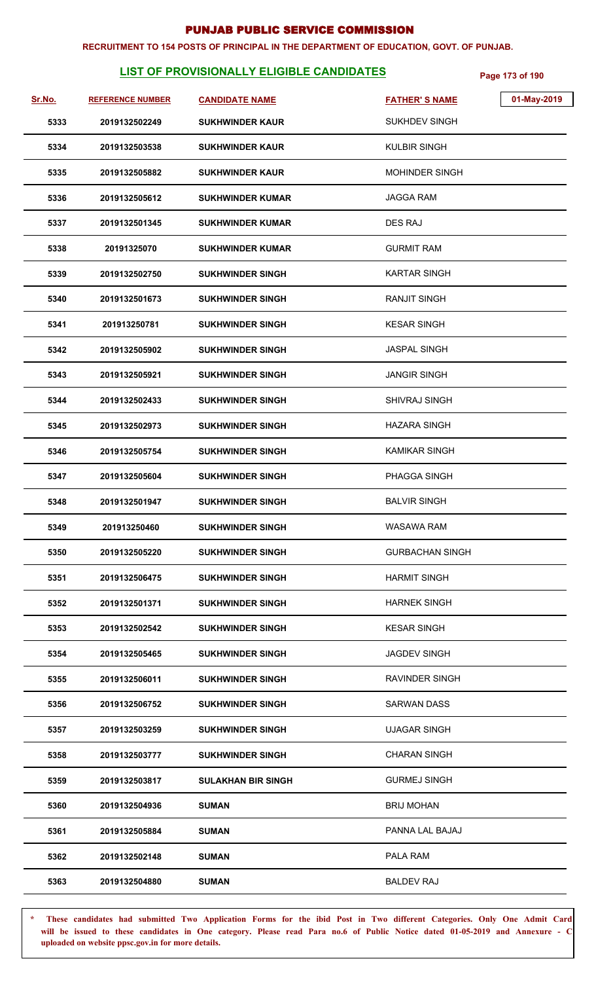#### **RECRUITMENT TO 154 POSTS OF PRINCIPAL IN THE DEPARTMENT OF EDUCATION, GOVT. OF PUNJAB.**

# **LIST OF PROVISIONALLY ELIGIBLE CANDIDATES** Page 173 of 190

| <u>Sr.No.</u> | <b>REFERENCE NUMBER</b> | <b>CANDIDATE NAME</b>     | 01-May-2019<br><b>FATHER'S NAME</b> |
|---------------|-------------------------|---------------------------|-------------------------------------|
| 5333          | 2019132502249           | <b>SUKHWINDER KAUR</b>    | <b>SUKHDEV SINGH</b>                |
| 5334          | 2019132503538           | <b>SUKHWINDER KAUR</b>    | <b>KULBIR SINGH</b>                 |
| 5335          | 2019132505882           | <b>SUKHWINDER KAUR</b>    | <b>MOHINDER SINGH</b>               |
| 5336          | 2019132505612           | <b>SUKHWINDER KUMAR</b>   | <b>JAGGA RAM</b>                    |
| 5337          | 2019132501345           | <b>SUKHWINDER KUMAR</b>   | DES RAJ                             |
| 5338          | 20191325070             | <b>SUKHWINDER KUMAR</b>   | <b>GURMIT RAM</b>                   |
| 5339          | 2019132502750           | <b>SUKHWINDER SINGH</b>   | <b>KARTAR SINGH</b>                 |
| 5340          | 2019132501673           | <b>SUKHWINDER SINGH</b>   | <b>RANJIT SINGH</b>                 |
| 5341          | 201913250781            | <b>SUKHWINDER SINGH</b>   | <b>KESAR SINGH</b>                  |
| 5342          | 2019132505902           | <b>SUKHWINDER SINGH</b>   | <b>JASPAL SINGH</b>                 |
| 5343          | 2019132505921           | <b>SUKHWINDER SINGH</b>   | <b>JANGIR SINGH</b>                 |
| 5344          | 2019132502433           | <b>SUKHWINDER SINGH</b>   | <b>SHIVRAJ SINGH</b>                |
| 5345          | 2019132502973           | <b>SUKHWINDER SINGH</b>   | <b>HAZARA SINGH</b>                 |
| 5346          | 2019132505754           | <b>SUKHWINDER SINGH</b>   | <b>KAMIKAR SINGH</b>                |
| 5347          | 2019132505604           | <b>SUKHWINDER SINGH</b>   | PHAGGA SINGH                        |
| 5348          | 2019132501947           | <b>SUKHWINDER SINGH</b>   | <b>BALVIR SINGH</b>                 |
| 5349          | 201913250460            | <b>SUKHWINDER SINGH</b>   | WASAWA RAM                          |
| 5350          | 2019132505220           | <b>SUKHWINDER SINGH</b>   | <b>GURBACHAN SINGH</b>              |
| 5351          | 2019132506475           | <b>SUKHWINDER SINGH</b>   | <b>HARMIT SINGH</b>                 |
| 5352          | 2019132501371           | <b>SUKHWINDER SINGH</b>   | <b>HARNEK SINGH</b>                 |
| 5353          | 2019132502542           | <b>SUKHWINDER SINGH</b>   | <b>KESAR SINGH</b>                  |
| 5354          | 2019132505465           | <b>SUKHWINDER SINGH</b>   | <b>JAGDEV SINGH</b>                 |
| 5355          | 2019132506011           | <b>SUKHWINDER SINGH</b>   | <b>RAVINDER SINGH</b>               |
| 5356          | 2019132506752           | <b>SUKHWINDER SINGH</b>   | <b>SARWAN DASS</b>                  |
| 5357          | 2019132503259           | <b>SUKHWINDER SINGH</b>   | <b>UJAGAR SINGH</b>                 |
| 5358          | 2019132503777           | <b>SUKHWINDER SINGH</b>   | <b>CHARAN SINGH</b>                 |
| 5359          | 2019132503817           | <b>SULAKHAN BIR SINGH</b> | <b>GURMEJ SINGH</b>                 |
| 5360          | 2019132504936           | <b>SUMAN</b>              | <b>BRIJ MOHAN</b>                   |
| 5361          | 2019132505884           | <b>SUMAN</b>              | PANNA LAL BAJAJ                     |
| 5362          | 2019132502148           | <b>SUMAN</b>              | PALA RAM                            |
| 5363          | 2019132504880           | <b>SUMAN</b>              | <b>BALDEV RAJ</b>                   |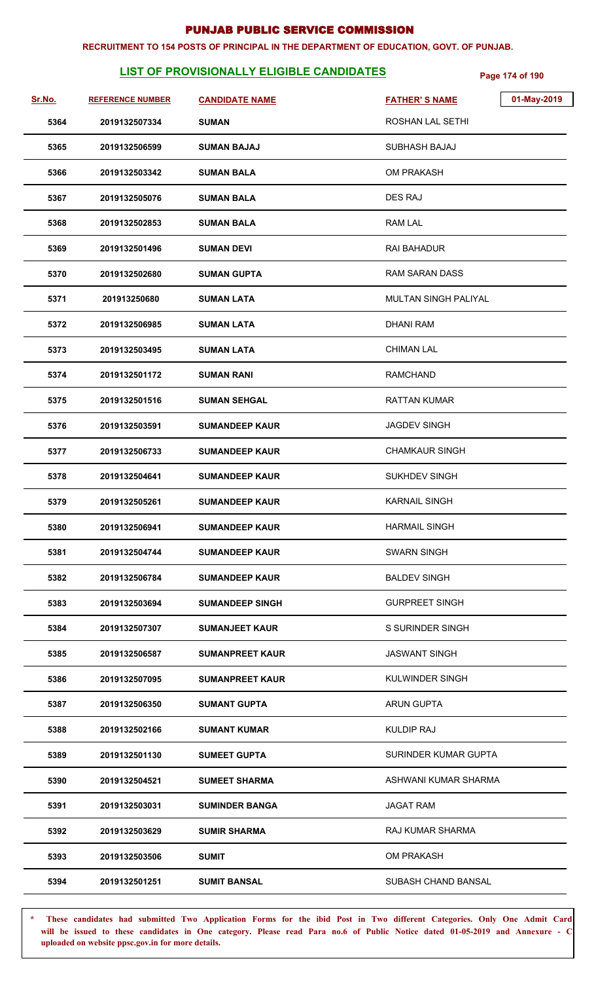#### **RECRUITMENT TO 154 POSTS OF PRINCIPAL IN THE DEPARTMENT OF EDUCATION, GOVT. OF PUNJAB.**

# **LIST OF PROVISIONALLY ELIGIBLE CANDIDATES** Page 174 of 190

| Sr.No. | <b>REFERENCE NUMBER</b> | <b>CANDIDATE NAME</b>  | 01-May-2019<br><b>FATHER'S NAME</b> |
|--------|-------------------------|------------------------|-------------------------------------|
| 5364   | 2019132507334           | <b>SUMAN</b>           | ROSHAN LAL SETHI                    |
| 5365   | 2019132506599           | <b>SUMAN BAJAJ</b>     | SUBHASH BAJAJ                       |
| 5366   | 2019132503342           | <b>SUMAN BALA</b>      | <b>OM PRAKASH</b>                   |
| 5367   | 2019132505076           | <b>SUMAN BALA</b>      | DES RAJ                             |
| 5368   | 2019132502853           | <b>SUMAN BALA</b>      | <b>RAM LAL</b>                      |
| 5369   | 2019132501496           | <b>SUMAN DEVI</b>      | RAI BAHADUR                         |
| 5370   | 2019132502680           | <b>SUMAN GUPTA</b>     | RAM SARAN DASS                      |
| 5371   | 201913250680            | <b>SUMAN LATA</b>      | <b>MULTAN SINGH PALIYAL</b>         |
| 5372   | 2019132506985           | <b>SUMAN LATA</b>      | <b>DHANI RAM</b>                    |
| 5373   | 2019132503495           | <b>SUMAN LATA</b>      | <b>CHIMAN LAL</b>                   |
| 5374   | 2019132501172           | <b>SUMAN RANI</b>      | <b>RAMCHAND</b>                     |
| 5375   | 2019132501516           | <b>SUMAN SEHGAL</b>    | <b>RATTAN KUMAR</b>                 |
| 5376   | 2019132503591           | <b>SUMANDEEP KAUR</b>  | <b>JAGDEV SINGH</b>                 |
| 5377   | 2019132506733           | <b>SUMANDEEP KAUR</b>  | <b>CHAMKAUR SINGH</b>               |
| 5378   | 2019132504641           | <b>SUMANDEEP KAUR</b>  | <b>SUKHDEV SINGH</b>                |
| 5379   | 2019132505261           | <b>SUMANDEEP KAUR</b>  | <b>KARNAIL SINGH</b>                |
| 5380   | 2019132506941           | <b>SUMANDEEP KAUR</b>  | <b>HARMAIL SINGH</b>                |
| 5381   | 2019132504744           | <b>SUMANDEEP KAUR</b>  | <b>SWARN SINGH</b>                  |
| 5382   | 2019132506784           | <b>SUMANDEEP KAUR</b>  | <b>BALDEV SINGH</b>                 |
| 5383   | 2019132503694           | <b>SUMANDEEP SINGH</b> | <b>GURPREET SINGH</b>               |
| 5384   | 2019132507307           | <b>SUMANJEET KAUR</b>  | S SURINDER SINGH                    |
| 5385   | 2019132506587           | <b>SUMANPREET KAUR</b> | <b>JASWANT SINGH</b>                |
| 5386   | 2019132507095           | <b>SUMANPREET KAUR</b> | KULWINDER SINGH                     |
| 5387   | 2019132506350           | <b>SUMANT GUPTA</b>    | <b>ARUN GUPTA</b>                   |
| 5388   | 2019132502166           | <b>SUMANT KUMAR</b>    | KULDIP RAJ                          |
| 5389   | 2019132501130           | <b>SUMEET GUPTA</b>    | SURINDER KUMAR GUPTA                |
| 5390   | 2019132504521           | <b>SUMEET SHARMA</b>   | ASHWANI KUMAR SHARMA                |
| 5391   | 2019132503031           | <b>SUMINDER BANGA</b>  | <b>JAGAT RAM</b>                    |
| 5392   | 2019132503629           | <b>SUMIR SHARMA</b>    | RAJ KUMAR SHARMA                    |
| 5393   | 2019132503506           | <b>SUMIT</b>           | <b>OM PRAKASH</b>                   |
| 5394   | 2019132501251           | <b>SUMIT BANSAL</b>    | SUBASH CHAND BANSAL                 |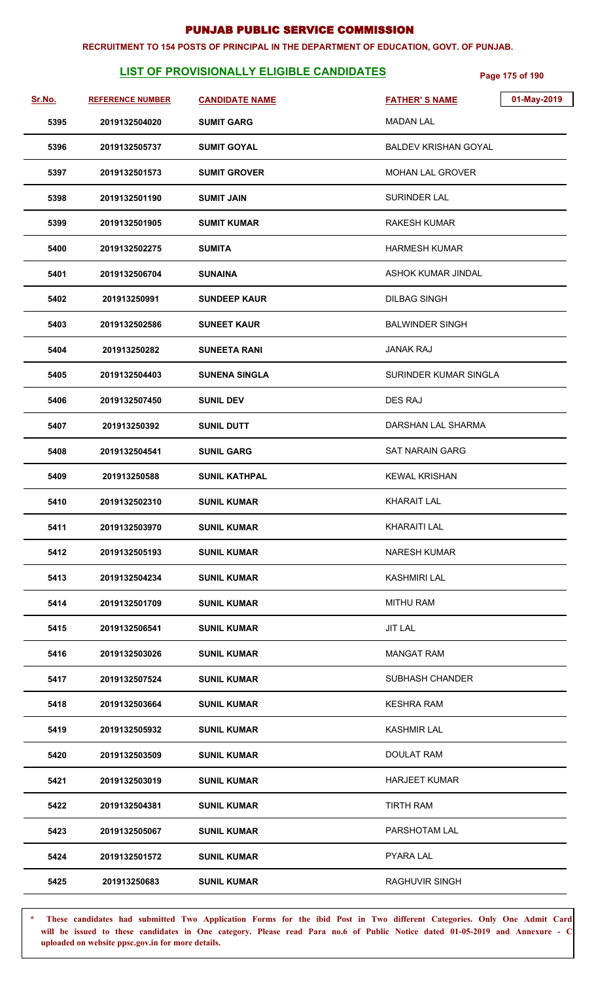#### **RECRUITMENT TO 154 POSTS OF PRINCIPAL IN THE DEPARTMENT OF EDUCATION, GOVT. OF PUNJAB.**

# **LIST OF PROVISIONALLY ELIGIBLE CANDIDATES** Page 175 of 190

| <u>Sr.No.</u> | <b>REFERENCE NUMBER</b> | <b>CANDIDATE NAME</b> | 01-May-2019<br><b>FATHER'S NAME</b> |
|---------------|-------------------------|-----------------------|-------------------------------------|
| 5395          | 2019132504020           | <b>SUMIT GARG</b>     | <b>MADAN LAL</b>                    |
| 5396          | 2019132505737           | <b>SUMIT GOYAL</b>    | <b>BALDEV KRISHAN GOYAL</b>         |
| 5397          | 2019132501573           | <b>SUMIT GROVER</b>   | <b>MOHAN LAL GROVER</b>             |
| 5398          | 2019132501190           | <b>SUMIT JAIN</b>     | <b>SURINDER LAL</b>                 |
| 5399          | 2019132501905           | <b>SUMIT KUMAR</b>    | <b>RAKESH KUMAR</b>                 |
| 5400          | 2019132502275           | <b>SUMITA</b>         | <b>HARMESH KUMAR</b>                |
| 5401          | 2019132506704           | <b>SUNAINA</b>        | ASHOK KUMAR JINDAL                  |
| 5402          | 201913250991            | <b>SUNDEEP KAUR</b>   | <b>DILBAG SINGH</b>                 |
| 5403          | 2019132502586           | <b>SUNEET KAUR</b>    | <b>BALWINDER SINGH</b>              |
| 5404          | 201913250282            | <b>SUNEETA RANI</b>   | <b>JANAK RAJ</b>                    |
| 5405          | 2019132504403           | <b>SUNENA SINGLA</b>  | SURINDER KUMAR SINGLA               |
| 5406          | 2019132507450           | <b>SUNIL DEV</b>      | DES RAJ                             |
| 5407          | 201913250392            | <b>SUNIL DUTT</b>     | DARSHAN LAL SHARMA                  |
| 5408          | 2019132504541           | <b>SUNIL GARG</b>     | <b>SAT NARAIN GARG</b>              |
| 5409          | 201913250588            | <b>SUNIL KATHPAL</b>  | <b>KEWAL KRISHAN</b>                |
| 5410          | 2019132502310           | <b>SUNIL KUMAR</b>    | <b>KHARAIT LAL</b>                  |
| 5411          | 2019132503970           | <b>SUNIL KUMAR</b>    | <b>KHARAITI LAL</b>                 |
| 5412          | 2019132505193           | <b>SUNIL KUMAR</b>    | <b>NARESH KUMAR</b>                 |
| 5413          | 2019132504234           | <b>SUNIL KUMAR</b>    | <b>KASHMIRI LAL</b>                 |
| 5414          | 2019132501709           | <b>SUNIL KUMAR</b>    | <b>MITHU RAM</b>                    |
| 5415          | 2019132506541           | <b>SUNIL KUMAR</b>    | <b>JIT LAL</b>                      |
| 5416          | 2019132503026           | <b>SUNIL KUMAR</b>    | <b>MANGAT RAM</b>                   |
| 5417          | 2019132507524           | <b>SUNIL KUMAR</b>    | <b>SUBHASH CHANDER</b>              |
| 5418          | 2019132503664           | <b>SUNIL KUMAR</b>    | <b>KESHRA RAM</b>                   |
| 5419          | 2019132505932           | <b>SUNIL KUMAR</b>    | <b>KASHMIR LAL</b>                  |
| 5420          | 2019132503509           | <b>SUNIL KUMAR</b>    | DOULAT RAM                          |
| 5421          | 2019132503019           | <b>SUNIL KUMAR</b>    | <b>HARJEET KUMAR</b>                |
| 5422          | 2019132504381           | <b>SUNIL KUMAR</b>    | <b>TIRTH RAM</b>                    |
| 5423          | 2019132505067           | <b>SUNIL KUMAR</b>    | PARSHOTAM LAL                       |
| 5424          | 2019132501572           | <b>SUNIL KUMAR</b>    | <b>PYARA LAL</b>                    |
| 5425          | 201913250683            | <b>SUNIL KUMAR</b>    | <b>RAGHUVIR SINGH</b>               |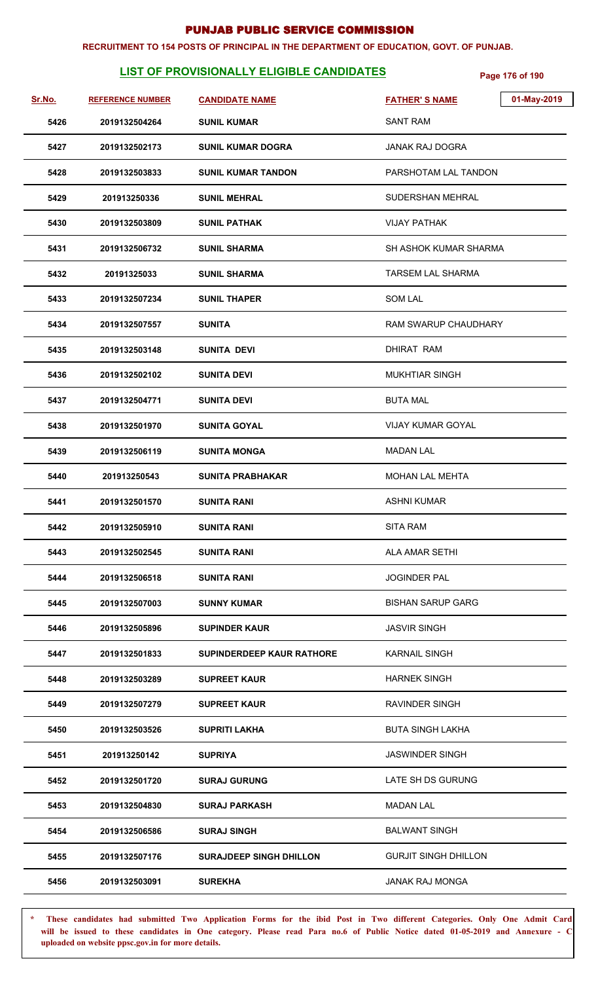#### **RECRUITMENT TO 154 POSTS OF PRINCIPAL IN THE DEPARTMENT OF EDUCATION, GOVT. OF PUNJAB.**

# **LIST OF PROVISIONALLY ELIGIBLE CANDIDATES** Page 176 of 190

| <u>Sr.No.</u> | <b>REFERENCE NUMBER</b> | <b>CANDIDATE NAME</b>            | 01-May-2019<br><b>FATHER'S NAME</b> |
|---------------|-------------------------|----------------------------------|-------------------------------------|
| 5426          | 2019132504264           | <b>SUNIL KUMAR</b>               | SANT RAM                            |
| 5427          | 2019132502173           | <b>SUNIL KUMAR DOGRA</b>         | <b>JANAK RAJ DOGRA</b>              |
| 5428          | 2019132503833           | <b>SUNIL KUMAR TANDON</b>        | PARSHOTAM LAL TANDON                |
| 5429          | 201913250336            | <b>SUNIL MEHRAL</b>              | <b>SUDERSHAN MEHRAL</b>             |
| 5430          | 2019132503809           | <b>SUNIL PATHAK</b>              | <b>VIJAY PATHAK</b>                 |
| 5431          | 2019132506732           | <b>SUNIL SHARMA</b>              | <b>SH ASHOK KUMAR SHARMA</b>        |
| 5432          | 20191325033             | <b>SUNIL SHARMA</b>              | TARSEM LAL SHARMA                   |
| 5433          | 2019132507234           | <b>SUNIL THAPER</b>              | <b>SOM LAL</b>                      |
| 5434          | 2019132507557           | <b>SUNITA</b>                    | <b>RAM SWARUP CHAUDHARY</b>         |
| 5435          | 2019132503148           | SUNITA DEVI                      | <b>DHIRAT RAM</b>                   |
| 5436          | 2019132502102           | <b>SUNITA DEVI</b>               | <b>MUKHTIAR SINGH</b>               |
| 5437          | 2019132504771           | <b>SUNITA DEVI</b>               | <b>BUTA MAL</b>                     |
| 5438          | 2019132501970           | <b>SUNITA GOYAL</b>              | <b>VIJAY KUMAR GOYAL</b>            |
| 5439          | 2019132506119           | <b>SUNITA MONGA</b>              | <b>MADAN LAL</b>                    |
| 5440          | 201913250543            | <b>SUNITA PRABHAKAR</b>          | MOHAN LAL MEHTA                     |
| 5441          | 2019132501570           | <b>SUNITA RANI</b>               | <b>ASHNI KUMAR</b>                  |
| 5442          | 2019132505910           | <b>SUNITA RANI</b>               | <b>SITA RAM</b>                     |
| 5443          | 2019132502545           | <b>SUNITA RANI</b>               | ALA AMAR SETHI                      |
| 5444          | 2019132506518           | <b>SUNITA RANI</b>               | <b>JOGINDER PAL</b>                 |
| 5445          | 2019132507003           | <b>SUNNY KUMAR</b>               | <b>BISHAN SARUP GARG</b>            |
| 5446          | 2019132505896           | <b>SUPINDER KAUR</b>             | <b>JASVIR SINGH</b>                 |
| 5447          | 2019132501833           | <b>SUPINDERDEEP KAUR RATHORE</b> | <b>KARNAIL SINGH</b>                |
| 5448          | 2019132503289           | <b>SUPREET KAUR</b>              | <b>HARNEK SINGH</b>                 |
| 5449          | 2019132507279           | <b>SUPREET KAUR</b>              | <b>RAVINDER SINGH</b>               |
| 5450          | 2019132503526           | <b>SUPRITI LAKHA</b>             | <b>BUTA SINGH LAKHA</b>             |
| 5451          | 201913250142            | <b>SUPRIYA</b>                   | <b>JASWINDER SINGH</b>              |
| 5452          | 2019132501720           | <b>SURAJ GURUNG</b>              | LATE SH DS GURUNG                   |
| 5453          | 2019132504830           | <b>SURAJ PARKASH</b>             | <b>MADAN LAL</b>                    |
| 5454          | 2019132506586           | <b>SURAJ SINGH</b>               | <b>BALWANT SINGH</b>                |
| 5455          | 2019132507176           | <b>SURAJDEEP SINGH DHILLON</b>   | <b>GURJIT SINGH DHILLON</b>         |
| 5456          | 2019132503091           | <b>SUREKHA</b>                   | JANAK RAJ MONGA                     |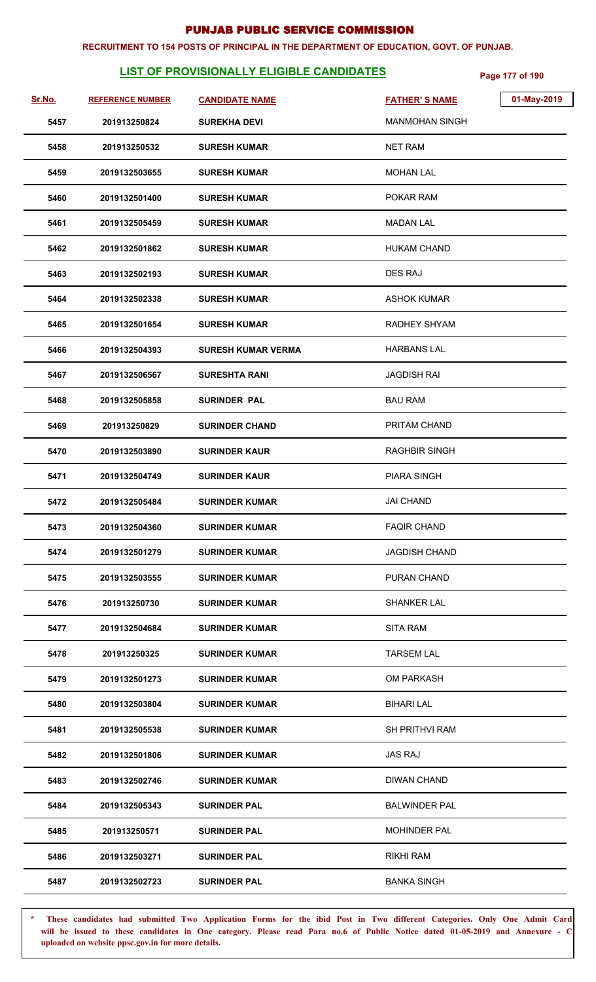#### **RECRUITMENT TO 154 POSTS OF PRINCIPAL IN THE DEPARTMENT OF EDUCATION, GOVT. OF PUNJAB.**

# **LIST OF PROVISIONALLY ELIGIBLE CANDIDATES** Page 177 of 190

| Sr.No. | <b>REFERENCE NUMBER</b> | <b>CANDIDATE NAME</b>     | <b>FATHER'S NAME</b>  | 01-May-2019 |
|--------|-------------------------|---------------------------|-----------------------|-------------|
| 5457   | 201913250824            | <b>SUREKHA DEVI</b>       | <b>MANMOHAN SINGH</b> |             |
| 5458   | 201913250532            | <b>SURESH KUMAR</b>       | <b>NET RAM</b>        |             |
| 5459   | 2019132503655           | <b>SURESH KUMAR</b>       | <b>MOHAN LAL</b>      |             |
| 5460   | 2019132501400           | <b>SURESH KUMAR</b>       | POKAR RAM             |             |
| 5461   | 2019132505459           | <b>SURESH KUMAR</b>       | <b>MADAN LAL</b>      |             |
| 5462   | 2019132501862           | <b>SURESH KUMAR</b>       | <b>HUKAM CHAND</b>    |             |
| 5463   | 2019132502193           | <b>SURESH KUMAR</b>       | <b>DES RAJ</b>        |             |
| 5464   | 2019132502338           | <b>SURESH KUMAR</b>       | <b>ASHOK KUMAR</b>    |             |
| 5465   | 2019132501654           | <b>SURESH KUMAR</b>       | RADHEY SHYAM          |             |
| 5466   | 2019132504393           | <b>SURESH KUMAR VERMA</b> | <b>HARBANS LAL</b>    |             |
| 5467   | 2019132506567           | <b>SURESHTA RANI</b>      | <b>JAGDISH RAI</b>    |             |
| 5468   | 2019132505858           | <b>SURINDER PAL</b>       | <b>BAU RAM</b>        |             |
| 5469   | 201913250829            | <b>SURINDER CHAND</b>     | PRITAM CHAND          |             |
| 5470   | 2019132503890           | <b>SURINDER KAUR</b>      | <b>RAGHBIR SINGH</b>  |             |
| 5471   | 2019132504749           | <b>SURINDER KAUR</b>      | <b>PIARA SINGH</b>    |             |
| 5472   | 2019132505484           | <b>SURINDER KUMAR</b>     | <b>JAI CHAND</b>      |             |
| 5473   | 2019132504360           | <b>SURINDER KUMAR</b>     | <b>FAQIR CHAND</b>    |             |
| 5474   | 2019132501279           | <b>SURINDER KUMAR</b>     | <b>JAGDISH CHAND</b>  |             |
| 5475   | 2019132503555           | <b>SURINDER KUMAR</b>     | PURAN CHAND           |             |
| 5476   | 201913250730            | <b>SURINDER KUMAR</b>     | <b>SHANKER LAL</b>    |             |
| 5477   | 2019132504684           | <b>SURINDER KUMAR</b>     | <b>SITA RAM</b>       |             |
| 5478   | 201913250325            | <b>SURINDER KUMAR</b>     | <b>TARSEM LAL</b>     |             |
| 5479   | 2019132501273           | <b>SURINDER KUMAR</b>     | <b>OM PARKASH</b>     |             |
| 5480   | 2019132503804           | <b>SURINDER KUMAR</b>     | <b>BIHARI LAL</b>     |             |
| 5481   | 2019132505538           | <b>SURINDER KUMAR</b>     | <b>SH PRITHVI RAM</b> |             |
| 5482   | 2019132501806           | SURINDER KUMAR            | <b>JAS RAJ</b>        |             |
| 5483   | 2019132502746           | <b>SURINDER KUMAR</b>     | <b>DIWAN CHAND</b>    |             |
| 5484   | 2019132505343           | <b>SURINDER PAL</b>       | <b>BALWINDER PAL</b>  |             |
| 5485   | 201913250571            | <b>SURINDER PAL</b>       | <b>MOHINDER PAL</b>   |             |
| 5486   | 2019132503271           | <b>SURINDER PAL</b>       | RIKHI RAM             |             |
| 5487   | 2019132502723           | <b>SURINDER PAL</b>       | <b>BANKA SINGH</b>    |             |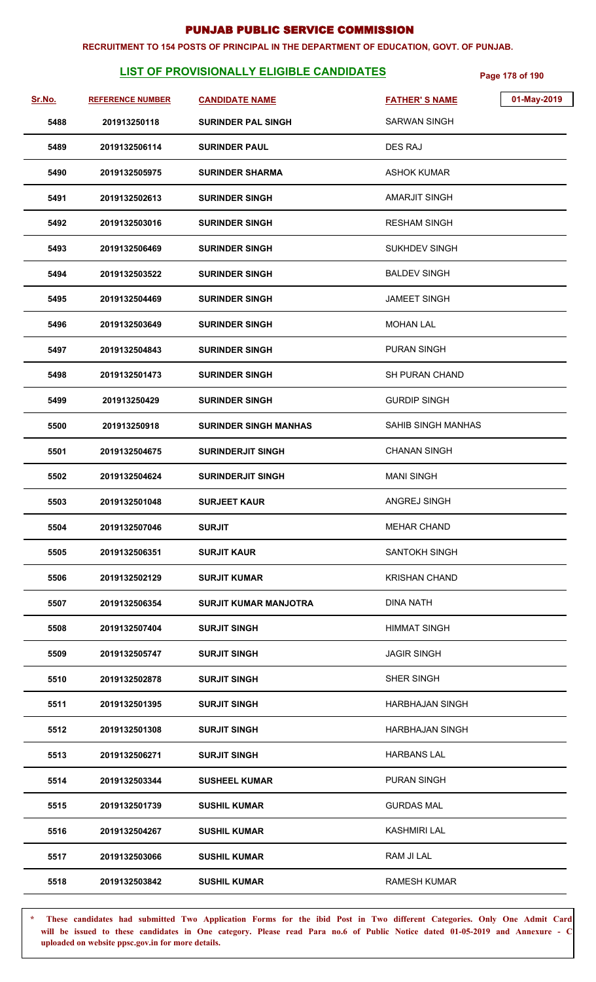#### **RECRUITMENT TO 154 POSTS OF PRINCIPAL IN THE DEPARTMENT OF EDUCATION, GOVT. OF PUNJAB.**

# **LIST OF PROVISIONALLY ELIGIBLE CANDIDATES** Page 178 of 190

| Sr.No. | <b>REFERENCE NUMBER</b> | <b>CANDIDATE NAME</b>        | <b>FATHER'S NAME</b>      | 01-May-2019 |
|--------|-------------------------|------------------------------|---------------------------|-------------|
| 5488   | 201913250118            | <b>SURINDER PAL SINGH</b>    | <b>SARWAN SINGH</b>       |             |
| 5489   | 2019132506114           | <b>SURINDER PAUL</b>         | DES RAJ                   |             |
| 5490   | 2019132505975           | <b>SURINDER SHARMA</b>       | ASHOK KUMAR               |             |
| 5491   | 2019132502613           | <b>SURINDER SINGH</b>        | AMARJIT SINGH             |             |
| 5492   | 2019132503016           | <b>SURINDER SINGH</b>        | <b>RESHAM SINGH</b>       |             |
| 5493   | 2019132506469           | <b>SURINDER SINGH</b>        | <b>SUKHDEV SINGH</b>      |             |
| 5494   | 2019132503522           | <b>SURINDER SINGH</b>        | <b>BALDEV SINGH</b>       |             |
| 5495   | 2019132504469           | <b>SURINDER SINGH</b>        | <b>JAMEET SINGH</b>       |             |
| 5496   | 2019132503649           | <b>SURINDER SINGH</b>        | <b>MOHAN LAL</b>          |             |
| 5497   | 2019132504843           | <b>SURINDER SINGH</b>        | <b>PURAN SINGH</b>        |             |
| 5498   | 2019132501473           | <b>SURINDER SINGH</b>        | SH PURAN CHAND            |             |
| 5499   | 201913250429            | <b>SURINDER SINGH</b>        | <b>GURDIP SINGH</b>       |             |
| 5500   | 201913250918            | <b>SURINDER SINGH MANHAS</b> | <b>SAHIB SINGH MANHAS</b> |             |
| 5501   | 2019132504675           | <b>SURINDERJIT SINGH</b>     | <b>CHANAN SINGH</b>       |             |
| 5502   | 2019132504624           | <b>SURINDERJIT SINGH</b>     | <b>MANI SINGH</b>         |             |
| 5503   | 2019132501048           | <b>SURJEET KAUR</b>          | ANGREJ SINGH              |             |
| 5504   | 2019132507046           | <b>SURJIT</b>                | <b>MEHAR CHAND</b>        |             |
| 5505   | 2019132506351           | <b>SURJIT KAUR</b>           | <b>SANTOKH SINGH</b>      |             |
| 5506   | 2019132502129           | <b>SURJIT KUMAR</b>          | <b>KRISHAN CHAND</b>      |             |
| 5507   | 2019132506354           | <b>SURJIT KUMAR MANJOTRA</b> | <b>DINA NATH</b>          |             |
| 5508   | 2019132507404           | <b>SURJIT SINGH</b>          | <b>HIMMAT SINGH</b>       |             |
| 5509   | 2019132505747           | <b>SURJIT SINGH</b>          | <b>JAGIR SINGH</b>        |             |
| 5510   | 2019132502878           | <b>SURJIT SINGH</b>          | SHER SINGH                |             |
| 5511   | 2019132501395           | <b>SURJIT SINGH</b>          | <b>HARBHAJAN SINGH</b>    |             |
| 5512   | 2019132501308           | <b>SURJIT SINGH</b>          | HARBHAJAN SINGH           |             |
| 5513   | 2019132506271           | <b>SURJIT SINGH</b>          | <b>HARBANS LAL</b>        |             |
| 5514   | 2019132503344           | <b>SUSHEEL KUMAR</b>         | <b>PURAN SINGH</b>        |             |
| 5515   | 2019132501739           | <b>SUSHIL KUMAR</b>          | <b>GURDAS MAL</b>         |             |
| 5516   | 2019132504267           | <b>SUSHIL KUMAR</b>          | <b>KASHMIRI LAL</b>       |             |
| 5517   | 2019132503066           | <b>SUSHIL KUMAR</b>          | RAM JI LAL                |             |
| 5518   | 2019132503842           | <b>SUSHIL KUMAR</b>          | <b>RAMESH KUMAR</b>       |             |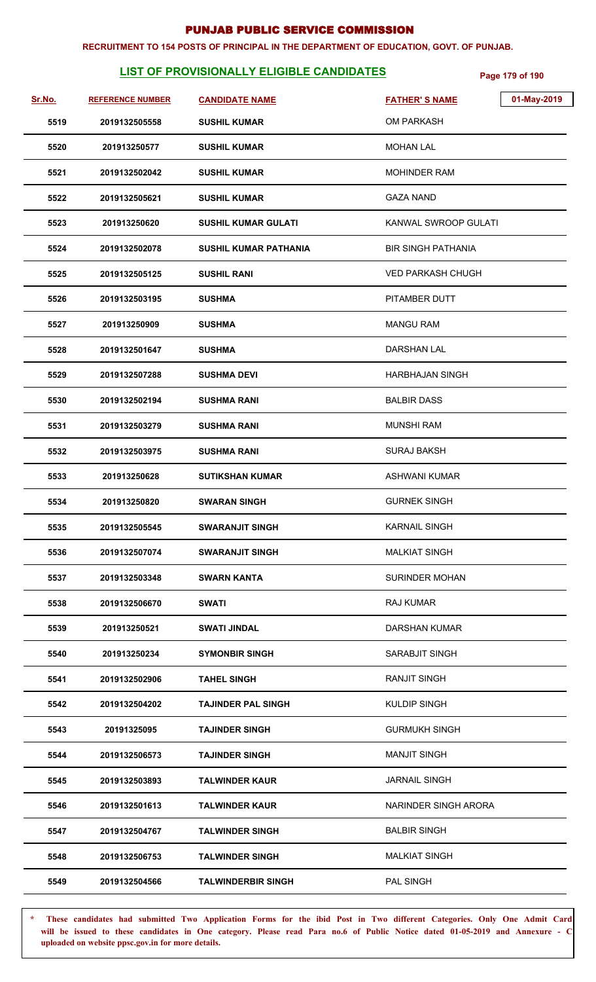#### **RECRUITMENT TO 154 POSTS OF PRINCIPAL IN THE DEPARTMENT OF EDUCATION, GOVT. OF PUNJAB.**

# **LIST OF PROVISIONALLY ELIGIBLE CANDIDATES** Page 179 of 190

| Sr.No. | <b>REFERENCE NUMBER</b> | <b>CANDIDATE NAME</b>        | 01-May-2019<br><b>FATHER'S NAME</b> |
|--------|-------------------------|------------------------------|-------------------------------------|
| 5519   | 2019132505558           | <b>SUSHIL KUMAR</b>          | <b>OM PARKASH</b>                   |
| 5520   | 201913250577            | <b>SUSHIL KUMAR</b>          | <b>MOHAN LAL</b>                    |
| 5521   | 2019132502042           | <b>SUSHIL KUMAR</b>          | <b>MOHINDER RAM</b>                 |
| 5522   | 2019132505621           | <b>SUSHIL KUMAR</b>          | <b>GAZA NAND</b>                    |
| 5523   | 201913250620            | <b>SUSHIL KUMAR GULATI</b>   | KANWAL SWROOP GULATI                |
| 5524   | 2019132502078           | <b>SUSHIL KUMAR PATHANIA</b> | <b>BIR SINGH PATHANIA</b>           |
| 5525   | 2019132505125           | <b>SUSHIL RANI</b>           | <b>VED PARKASH CHUGH</b>            |
| 5526   | 2019132503195           | <b>SUSHMA</b>                | PITAMBER DUTT                       |
| 5527   | 201913250909            | <b>SUSHMA</b>                | <b>MANGU RAM</b>                    |
| 5528   | 2019132501647           | <b>SUSHMA</b>                | DARSHAN LAL                         |
| 5529   | 2019132507288           | <b>SUSHMA DEVI</b>           | <b>HARBHAJAN SINGH</b>              |
| 5530   | 2019132502194           | <b>SUSHMA RANI</b>           | <b>BALBIR DASS</b>                  |
| 5531   | 2019132503279           | <b>SUSHMA RANI</b>           | <b>MUNSHI RAM</b>                   |
| 5532   | 2019132503975           | <b>SUSHMA RANI</b>           | <b>SURAJ BAKSH</b>                  |
| 5533   | 201913250628            | <b>SUTIKSHAN KUMAR</b>       | <b>ASHWANI KUMAR</b>                |
| 5534   | 201913250820            | <b>SWARAN SINGH</b>          | <b>GURNEK SINGH</b>                 |
| 5535   | 2019132505545           | <b>SWARANJIT SINGH</b>       | <b>KARNAIL SINGH</b>                |
| 5536   | 2019132507074           | <b>SWARANJIT SINGH</b>       | <b>MALKIAT SINGH</b>                |
| 5537   | 2019132503348           | <b>SWARN KANTA</b>           | <b>SURINDER MOHAN</b>               |
| 5538   | 2019132506670           | SWATI                        | <b>RAJ KUMAR</b>                    |
| 5539   | 201913250521            | <b>SWATI JINDAL</b>          | DARSHAN KUMAR                       |
| 5540   | 201913250234            | <b>SYMONBIR SINGH</b>        | SARABJIT SINGH                      |
| 5541   | 2019132502906           | <b>TAHEL SINGH</b>           | <b>RANJIT SINGH</b>                 |
| 5542   | 2019132504202           | <b>TAJINDER PAL SINGH</b>    | <b>KULDIP SINGH</b>                 |
| 5543   | 20191325095             | <b>TAJINDER SINGH</b>        | <b>GURMUKH SINGH</b>                |
| 5544   | 2019132506573           | <b>TAJINDER SINGH</b>        | <b>MANJIT SINGH</b>                 |
| 5545   | 2019132503893           | <b>TALWINDER KAUR</b>        | <b>JARNAIL SINGH</b>                |
| 5546   | 2019132501613           | <b>TALWINDER KAUR</b>        | NARINDER SINGH ARORA                |
| 5547   | 2019132504767           | <b>TALWINDER SINGH</b>       | <b>BALBIR SINGH</b>                 |
| 5548   | 2019132506753           | <b>TALWINDER SINGH</b>       | <b>MALKIAT SINGH</b>                |
| 5549   | 2019132504566           | <b>TALWINDERBIR SINGH</b>    | PAL SINGH                           |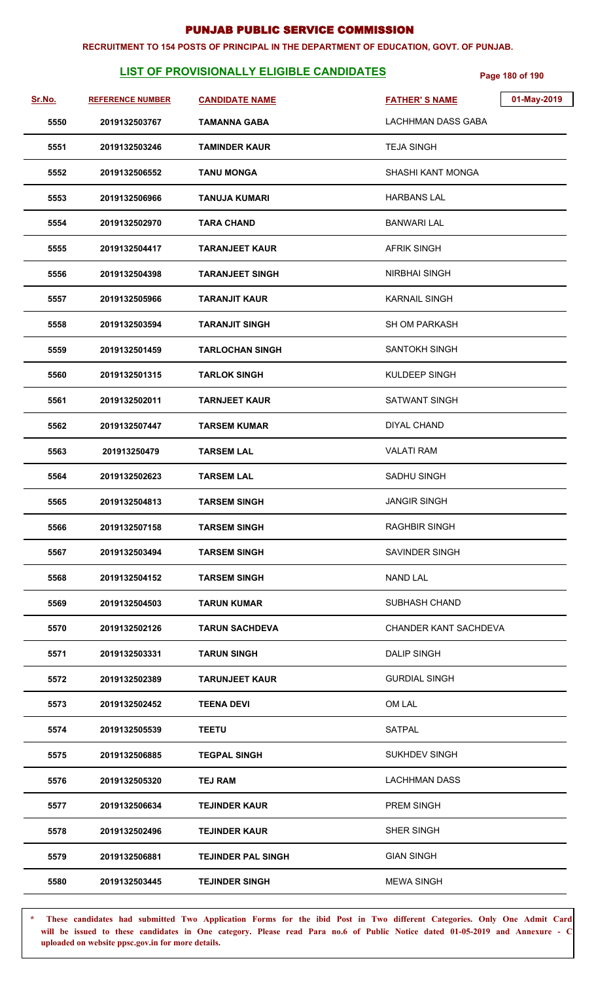#### **RECRUITMENT TO 154 POSTS OF PRINCIPAL IN THE DEPARTMENT OF EDUCATION, GOVT. OF PUNJAB.**

# **LIST OF PROVISIONALLY ELIGIBLE CANDIDATES** Page 180 of 190

| Sr.No. | <b>REFERENCE NUMBER</b> | <b>CANDIDATE NAME</b>     | 01-May-2019<br><b>FATHER'S NAME</b> |
|--------|-------------------------|---------------------------|-------------------------------------|
| 5550   | 2019132503767           | TAMANNA GABA              | <b>LACHHMAN DASS GABA</b>           |
| 5551   | 2019132503246           | <b>TAMINDER KAUR</b>      | <b>TEJA SINGH</b>                   |
| 5552   | 2019132506552           | <b>TANU MONGA</b>         | SHASHI KANT MONGA                   |
| 5553   | 2019132506966           | <b>TANUJA KUMARI</b>      | <b>HARBANS LAL</b>                  |
| 5554   | 2019132502970           | <b>TARA CHAND</b>         | <b>BANWARI LAL</b>                  |
| 5555   | 2019132504417           | <b>TARANJEET KAUR</b>     | <b>AFRIK SINGH</b>                  |
| 5556   | 2019132504398           | <b>TARANJEET SINGH</b>    | <b>NIRBHAI SINGH</b>                |
| 5557   | 2019132505966           | <b>TARANJIT KAUR</b>      | <b>KARNAIL SINGH</b>                |
| 5558   | 2019132503594           | <b>TARANJIT SINGH</b>     | <b>SH OM PARKASH</b>                |
| 5559   | 2019132501459           | <b>TARLOCHAN SINGH</b>    | <b>SANTOKH SINGH</b>                |
| 5560   | 2019132501315           | <b>TARLOK SINGH</b>       | KULDEEP SINGH                       |
| 5561   | 2019132502011           | <b>TARNJEET KAUR</b>      | <b>SATWANT SINGH</b>                |
| 5562   | 2019132507447           | <b>TARSEM KUMAR</b>       | <b>DIYAL CHAND</b>                  |
| 5563   | 201913250479            | <b>TARSEM LAL</b>         | <b>VALATI RAM</b>                   |
| 5564   | 2019132502623           | <b>TARSEM LAL</b>         | SADHU SINGH                         |
| 5565   | 2019132504813           | <b>TARSEM SINGH</b>       | <b>JANGIR SINGH</b>                 |
| 5566   | 2019132507158           | <b>TARSEM SINGH</b>       | <b>RAGHBIR SINGH</b>                |
| 5567   | 2019132503494           | <b>TARSEM SINGH</b>       | SAVINDER SINGH                      |
| 5568   | 2019132504152           | <b>TARSEM SINGH</b>       | <b>NAND LAL</b>                     |
| 5569   | 2019132504503           | <b>TARUN KUMAR</b>        | <b>SUBHASH CHAND</b>                |
| 5570   | 2019132502126           | <b>TARUN SACHDEVA</b>     | CHANDER KANT SACHDEVA               |
| 5571   | 2019132503331           | <b>TARUN SINGH</b>        | <b>DALIP SINGH</b>                  |
| 5572   | 2019132502389           | <b>TARUNJEET KAUR</b>     | <b>GURDIAL SINGH</b>                |
| 5573   | 2019132502452           | <b>TEENA DEVI</b>         | OM LAL                              |
| 5574   | 2019132505539           | <b>TEETU</b>              | <b>SATPAL</b>                       |
| 5575   | 2019132506885           | <b>TEGPAL SINGH</b>       | <b>SUKHDEV SINGH</b>                |
| 5576   | 2019132505320           | TEJ RAM                   | <b>LACHHMAN DASS</b>                |
| 5577   | 2019132506634           | <b>TEJINDER KAUR</b>      | PREM SINGH                          |
| 5578   | 2019132502496           | <b>TEJINDER KAUR</b>      | SHER SINGH                          |
| 5579   | 2019132506881           | <b>TEJINDER PAL SINGH</b> | <b>GIAN SINGH</b>                   |
| 5580   | 2019132503445           | <b>TEJINDER SINGH</b>     | <b>MEWA SINGH</b>                   |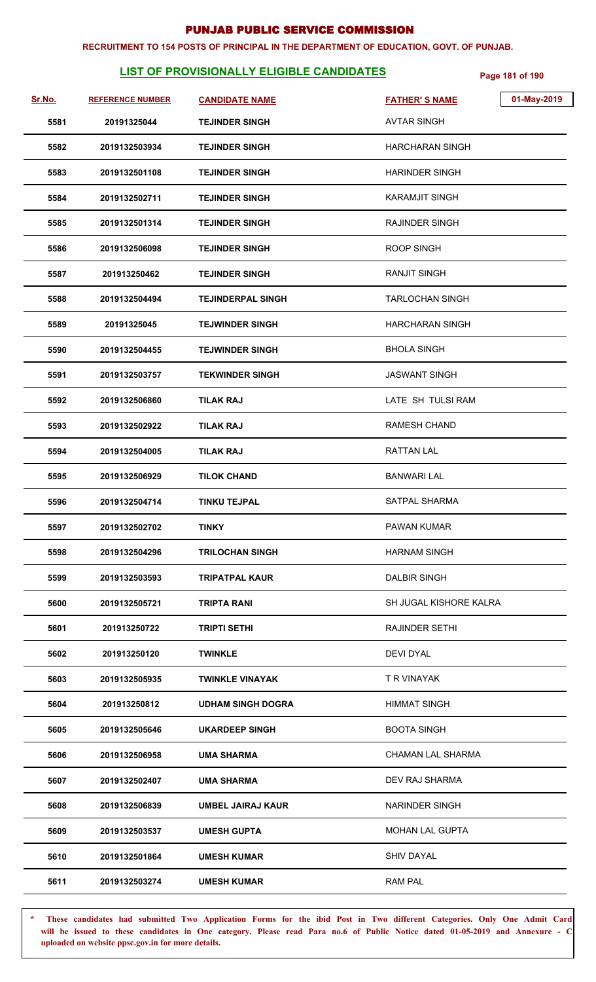#### **RECRUITMENT TO 154 POSTS OF PRINCIPAL IN THE DEPARTMENT OF EDUCATION, GOVT. OF PUNJAB.**

# **LIST OF PROVISIONALLY ELIGIBLE CANDIDATES** Page 181 of 190

| Sr.No. | <b>REFERENCE NUMBER</b> | <b>CANDIDATE NAME</b>    | 01-May-2019<br><b>FATHER'S NAME</b> |
|--------|-------------------------|--------------------------|-------------------------------------|
| 5581   | 20191325044             | <b>TEJINDER SINGH</b>    | <b>AVTAR SINGH</b>                  |
| 5582   | 2019132503934           | <b>TEJINDER SINGH</b>    | HARCHARAN SINGH                     |
| 5583   | 2019132501108           | <b>TEJINDER SINGH</b>    | <b>HARINDER SINGH</b>               |
| 5584   | 2019132502711           | <b>TEJINDER SINGH</b>    | KARAMJIT SINGH                      |
| 5585   | 2019132501314           | <b>TEJINDER SINGH</b>    | RAJINDER SINGH                      |
| 5586   | 2019132506098           | <b>TEJINDER SINGH</b>    | <b>ROOP SINGH</b>                   |
| 5587   | 201913250462            | <b>TEJINDER SINGH</b>    | <b>RANJIT SINGH</b>                 |
| 5588   | 2019132504494           | <b>TEJINDERPAL SINGH</b> | <b>TARLOCHAN SINGH</b>              |
| 5589   | 20191325045             | <b>TEJWINDER SINGH</b>   | <b>HARCHARAN SINGH</b>              |
| 5590   | 2019132504455           | <b>TEJWINDER SINGH</b>   | <b>BHOLA SINGH</b>                  |
| 5591   | 2019132503757           | <b>TEKWINDER SINGH</b>   | <b>JASWANT SINGH</b>                |
| 5592   | 2019132506860           | <b>TILAK RAJ</b>         | LATE SH TULSI RAM                   |
| 5593   | 2019132502922           | <b>TILAK RAJ</b>         | <b>RAMESH CHAND</b>                 |
| 5594   | 2019132504005           | <b>TILAK RAJ</b>         | <b>RATTAN LAL</b>                   |
| 5595   | 2019132506929           | <b>TILOK CHAND</b>       | <b>BANWARI LAL</b>                  |
| 5596   | 2019132504714           | <b>TINKU TEJPAL</b>      | <b>SATPAL SHARMA</b>                |
| 5597   | 2019132502702           | <b>TINKY</b>             | PAWAN KUMAR                         |
| 5598   | 2019132504296           | <b>TRILOCHAN SINGH</b>   | <b>HARNAM SINGH</b>                 |
| 5599   | 2019132503593           | <b>TRIPATPAL KAUR</b>    | <b>DALBIR SINGH</b>                 |
| 5600   | 2019132505721           | TRIPTA RANI              | SH JUGAL KISHORE KALRA              |
| 5601   | 201913250722            | <b>TRIPTI SETHI</b>      | <b>RAJINDER SETHI</b>               |
| 5602   | 201913250120            | <b>TWINKLE</b>           | <b>DEVI DYAL</b>                    |
| 5603   | 2019132505935           | <b>TWINKLE VINAYAK</b>   | T R VINAYAK                         |
| 5604   | 201913250812            | <b>UDHAM SINGH DOGRA</b> | <b>HIMMAT SINGH</b>                 |
| 5605   | 2019132505646           | UKARDEEP SINGH           | <b>BOOTA SINGH</b>                  |
| 5606   | 2019132506958           | <b>UMA SHARMA</b>        | <b>CHAMAN LAL SHARMA</b>            |
| 5607   | 2019132502407           | <b>UMA SHARMA</b>        | DEV RAJ SHARMA                      |
| 5608   | 2019132506839           | <b>UMBEL JAIRAJ KAUR</b> | <b>NARINDER SINGH</b>               |
| 5609   | 2019132503537           | <b>UMESH GUPTA</b>       | MOHAN LAL GUPTA                     |
| 5610   | 2019132501864           | <b>UMESH KUMAR</b>       | <b>SHIV DAYAL</b>                   |
| 5611   | 2019132503274           | <b>UMESH KUMAR</b>       | <b>RAM PAL</b>                      |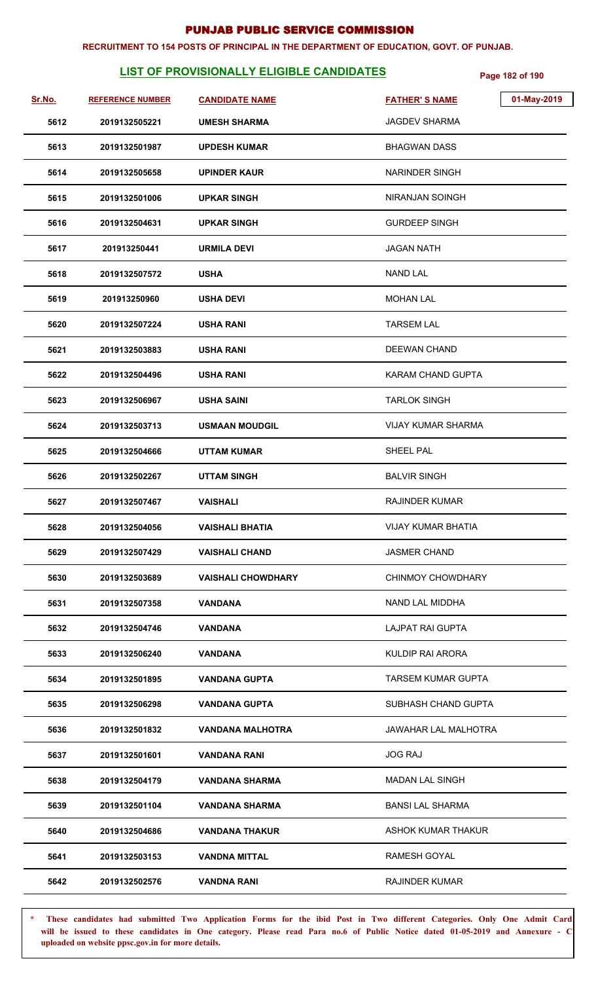#### **RECRUITMENT TO 154 POSTS OF PRINCIPAL IN THE DEPARTMENT OF EDUCATION, GOVT. OF PUNJAB.**

# **LIST OF PROVISIONALLY ELIGIBLE CANDIDATES** Page 182 of 190

| Sr.No. | <b>REFERENCE NUMBER</b> | <b>CANDIDATE NAME</b>     | 01-May-2019<br><b>FATHER'S NAME</b> |
|--------|-------------------------|---------------------------|-------------------------------------|
| 5612   | 2019132505221           | <b>UMESH SHARMA</b>       | <b>JAGDEV SHARMA</b>                |
| 5613   | 2019132501987           | <b>UPDESH KUMAR</b>       | <b>BHAGWAN DASS</b>                 |
| 5614   | 2019132505658           | <b>UPINDER KAUR</b>       | <b>NARINDER SINGH</b>               |
| 5615   | 2019132501006           | <b>UPKAR SINGH</b>        | NIRANJAN SOINGH                     |
| 5616   | 2019132504631           | <b>UPKAR SINGH</b>        | <b>GURDEEP SINGH</b>                |
| 5617   | 201913250441            | <b>URMILA DEVI</b>        | <b>JAGAN NATH</b>                   |
| 5618   | 2019132507572           | <b>USHA</b>               | <b>NAND LAL</b>                     |
| 5619   | 201913250960            | <b>USHA DEVI</b>          | <b>MOHAN LAL</b>                    |
| 5620   | 2019132507224           | <b>USHA RANI</b>          | <b>TARSEM LAL</b>                   |
| 5621   | 2019132503883           | <b>USHA RANI</b>          | <b>DEEWAN CHAND</b>                 |
| 5622   | 2019132504496           | <b>USHA RANI</b>          | <b>KARAM CHAND GUPTA</b>            |
| 5623   | 2019132506967           | <b>USHA SAINI</b>         | <b>TARLOK SINGH</b>                 |
| 5624   | 2019132503713           | <b>USMAAN MOUDGIL</b>     | <b>VIJAY KUMAR SHARMA</b>           |
| 5625   | 2019132504666           | <b>UTTAM KUMAR</b>        | <b>SHEEL PAL</b>                    |
| 5626   | 2019132502267           | <b>UTTAM SINGH</b>        | <b>BALVIR SINGH</b>                 |
| 5627   | 2019132507467           | <b>VAISHALI</b>           | <b>RAJINDER KUMAR</b>               |
| 5628   | 2019132504056           | <b>VAISHALI BHATIA</b>    | <b>VIJAY KUMAR BHATIA</b>           |
| 5629   | 2019132507429           | <b>VAISHALI CHAND</b>     | <b>JASMER CHAND</b>                 |
| 5630   | 2019132503689           | <b>VAISHALI CHOWDHARY</b> | <b>CHINMOY CHOWDHARY</b>            |
| 5631   | 2019132507358           | VANDANA                   | NAND LAL MIDDHA                     |
| 5632   | 2019132504746           | <b>VANDANA</b>            | <b>LAJPAT RAI GUPTA</b>             |
| 5633   | 2019132506240           | <b>VANDANA</b>            | KULDIP RAI ARORA                    |
| 5634   | 2019132501895           | <b>VANDANA GUPTA</b>      | <b>TARSEM KUMAR GUPTA</b>           |
| 5635   | 2019132506298           | <b>VANDANA GUPTA</b>      | SUBHASH CHAND GUPTA                 |
| 5636   | 2019132501832           | VANDANA MALHOTRA          | JAWAHAR LAL MALHOTRA                |
| 5637   | 2019132501601           | <b>VANDANA RANI</b>       | <b>JOG RAJ</b>                      |
| 5638   | 2019132504179           | <b>VANDANA SHARMA</b>     | <b>MADAN LAL SINGH</b>              |
| 5639   | 2019132501104           | <b>VANDANA SHARMA</b>     | <b>BANSI LAL SHARMA</b>             |
| 5640   | 2019132504686           | <b>VANDANA THAKUR</b>     | ASHOK KUMAR THAKUR                  |
| 5641   | 2019132503153           | <b>VANDNA MITTAL</b>      | RAMESH GOYAL                        |
| 5642   | 2019132502576           | VANDNA RANI               | <b>RAJINDER KUMAR</b>               |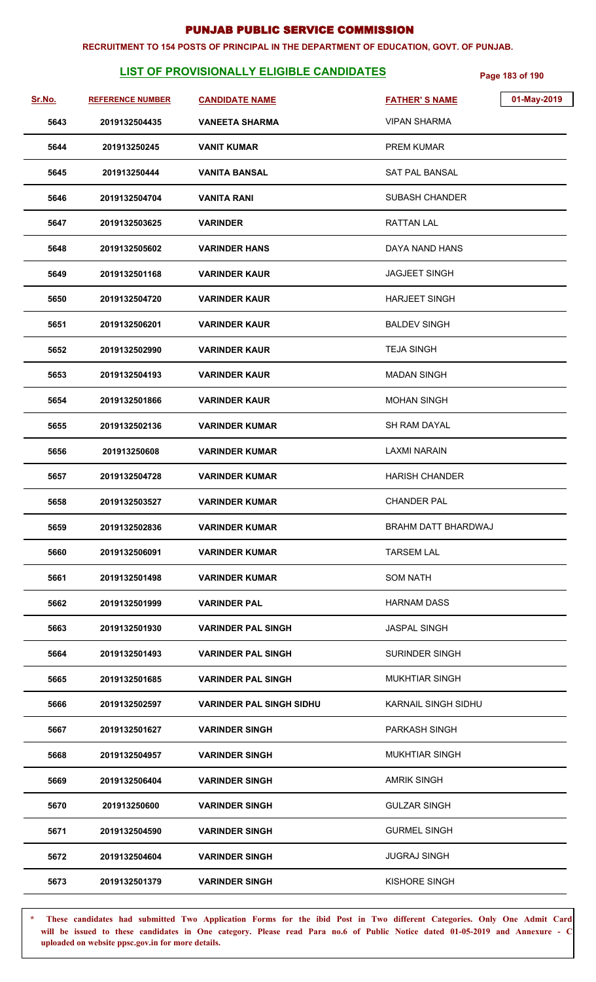#### **RECRUITMENT TO 154 POSTS OF PRINCIPAL IN THE DEPARTMENT OF EDUCATION, GOVT. OF PUNJAB.**

# **LIST OF PROVISIONALLY ELIGIBLE CANDIDATES** Page 183 of 190

| Sr.No. | <b>REFERENCE NUMBER</b> | <b>CANDIDATE NAME</b>           | <b>FATHER'S NAME</b>  | 01-May-2019 |
|--------|-------------------------|---------------------------------|-----------------------|-------------|
| 5643   | 2019132504435           | <b>VANEETA SHARMA</b>           | <b>VIPAN SHARMA</b>   |             |
| 5644   | 201913250245            | <b>VANIT KUMAR</b>              | PREM KUMAR            |             |
| 5645   | 201913250444            | <b>VANITA BANSAL</b>            | SAT PAL BANSAL        |             |
| 5646   | 2019132504704           | <b>VANITA RANI</b>              | <b>SUBASH CHANDER</b> |             |
| 5647   | 2019132503625           | <b>VARINDER</b>                 | <b>RATTAN LAL</b>     |             |
| 5648   | 2019132505602           | <b>VARINDER HANS</b>            | DAYA NAND HANS        |             |
| 5649   | 2019132501168           | <b>VARINDER KAUR</b>            | <b>JAGJEET SINGH</b>  |             |
| 5650   | 2019132504720           | <b>VARINDER KAUR</b>            | <b>HARJEET SINGH</b>  |             |
| 5651   | 2019132506201           | <b>VARINDER KAUR</b>            | <b>BALDEV SINGH</b>   |             |
| 5652   | 2019132502990           | <b>VARINDER KAUR</b>            | <b>TEJA SINGH</b>     |             |
| 5653   | 2019132504193           | <b>VARINDER KAUR</b>            | <b>MADAN SINGH</b>    |             |
| 5654   | 2019132501866           | <b>VARINDER KAUR</b>            | <b>MOHAN SINGH</b>    |             |
| 5655   | 2019132502136           | <b>VARINDER KUMAR</b>           | <b>SH RAM DAYAL</b>   |             |
| 5656   | 201913250608            | <b>VARINDER KUMAR</b>           | <b>LAXMI NARAIN</b>   |             |
| 5657   | 2019132504728           | <b>VARINDER KUMAR</b>           | <b>HARISH CHANDER</b> |             |
| 5658   | 2019132503527           | <b>VARINDER KUMAR</b>           | <b>CHANDER PAL</b>    |             |
| 5659   | 2019132502836           | <b>VARINDER KUMAR</b>           | BRAHM DATT BHARDWAJ   |             |
| 5660   | 2019132506091           | <b>VARINDER KUMAR</b>           | <b>TARSEM LAL</b>     |             |
| 5661   | 2019132501498           | <b>VARINDER KUMAR</b>           | <b>SOM NATH</b>       |             |
| 5662   | 2019132501999           | <b>VARINDER PAL</b>             | <b>HARNAM DASS</b>    |             |
| 5663   | 2019132501930           | <b>VARINDER PAL SINGH</b>       | <b>JASPAL SINGH</b>   |             |
| 5664   | 2019132501493           | <b>VARINDER PAL SINGH</b>       | <b>SURINDER SINGH</b> |             |
| 5665   | 2019132501685           | <b>VARINDER PAL SINGH</b>       | <b>MUKHTIAR SINGH</b> |             |
| 5666   | 2019132502597           | <b>VARINDER PAL SINGH SIDHU</b> | KARNAIL SINGH SIDHU   |             |
| 5667   | 2019132501627           | <b>VARINDER SINGH</b>           | <b>PARKASH SINGH</b>  |             |
| 5668   | 2019132504957           | <b>VARINDER SINGH</b>           | <b>MUKHTIAR SINGH</b> |             |
| 5669   | 2019132506404           | <b>VARINDER SINGH</b>           | <b>AMRIK SINGH</b>    |             |
| 5670   | 201913250600            | <b>VARINDER SINGH</b>           | <b>GULZAR SINGH</b>   |             |
| 5671   | 2019132504590           | <b>VARINDER SINGH</b>           | <b>GURMEL SINGH</b>   |             |
| 5672   | 2019132504604           | <b>VARINDER SINGH</b>           | <b>JUGRAJ SINGH</b>   |             |
| 5673   | 2019132501379           | <b>VARINDER SINGH</b>           | KISHORE SINGH         |             |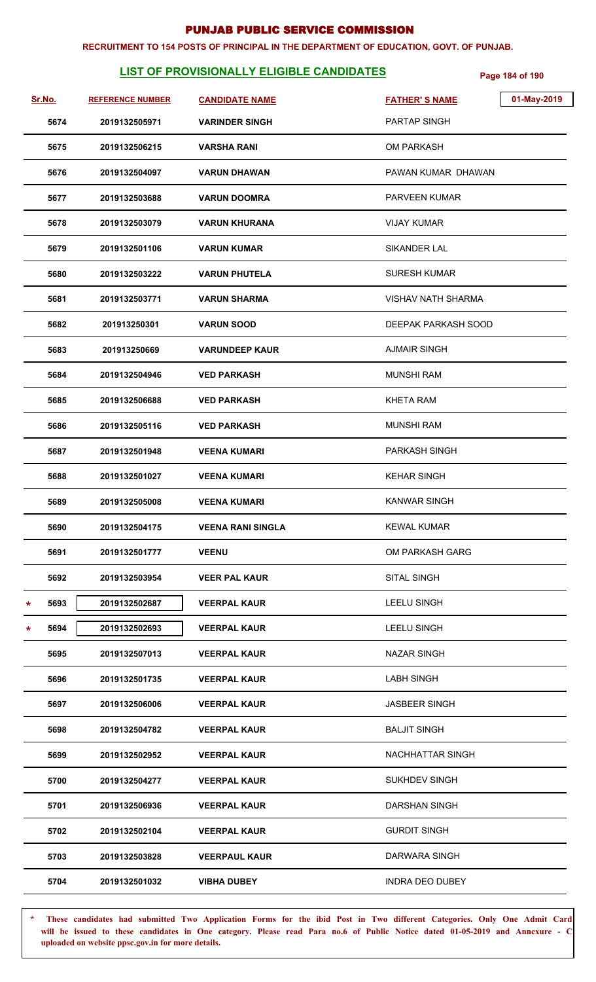#### **RECRUITMENT TO 154 POSTS OF PRINCIPAL IN THE DEPARTMENT OF EDUCATION, GOVT. OF PUNJAB.**

# **LIST OF PROVISIONALLY ELIGIBLE CANDIDATES** Page 184 of 190

| <u>Sr.No.</u> |      | <b>REFERENCE NUMBER</b> | <b>CANDIDATE NAME</b>    | <b>FATHER'S NAME</b>   | 01-May-2019 |
|---------------|------|-------------------------|--------------------------|------------------------|-------------|
|               | 5674 | 2019132505971           | <b>VARINDER SINGH</b>    | <b>PARTAP SINGH</b>    |             |
|               | 5675 | 2019132506215           | <b>VARSHA RANI</b>       | <b>OM PARKASH</b>      |             |
|               | 5676 | 2019132504097           | <b>VARUN DHAWAN</b>      | PAWAN KUMAR DHAWAN     |             |
|               | 5677 | 2019132503688           | <b>VARUN DOOMRA</b>      | <b>PARVEEN KUMAR</b>   |             |
|               | 5678 | 2019132503079           | <b>VARUN KHURANA</b>     | <b>VIJAY KUMAR</b>     |             |
|               | 5679 | 2019132501106           | <b>VARUN KUMAR</b>       | <b>SIKANDER LAL</b>    |             |
|               | 5680 | 2019132503222           | <b>VARUN PHUTELA</b>     | <b>SURESH KUMAR</b>    |             |
|               | 5681 | 2019132503771           | <b>VARUN SHARMA</b>      | VISHAV NATH SHARMA     |             |
|               | 5682 | 201913250301            | <b>VARUN SOOD</b>        | DEEPAK PARKASH SOOD    |             |
|               | 5683 | 201913250669            | <b>VARUNDEEP KAUR</b>    | <b>AJMAIR SINGH</b>    |             |
|               | 5684 | 2019132504946           | <b>VED PARKASH</b>       | <b>MUNSHI RAM</b>      |             |
|               | 5685 | 2019132506688           | <b>VED PARKASH</b>       | <b>KHETA RAM</b>       |             |
|               | 5686 | 2019132505116           | <b>VED PARKASH</b>       | <b>MUNSHI RAM</b>      |             |
|               | 5687 | 2019132501948           | <b>VEENA KUMARI</b>      | <b>PARKASH SINGH</b>   |             |
|               | 5688 | 2019132501027           | <b>VEENA KUMARI</b>      | <b>KEHAR SINGH</b>     |             |
|               | 5689 | 2019132505008           | <b>VEENA KUMARI</b>      | <b>KANWAR SINGH</b>    |             |
|               | 5690 | 2019132504175           | <b>VEENA RANI SINGLA</b> | <b>KEWAL KUMAR</b>     |             |
|               | 5691 | 2019132501777           | <b>VEENU</b>             | OM PARKASH GARG        |             |
|               | 5692 | 2019132503954           | <b>VEER PAL KAUR</b>     | <b>SITAL SINGH</b>     |             |
| *             | 5693 | 2019132502687           | <b>VEERPAL KAUR</b>      | <b>LEELU SINGH</b>     |             |
| *             | 5694 | 2019132502693           | <b>VEERPAL KAUR</b>      | <b>LEELU SINGH</b>     |             |
|               | 5695 | 2019132507013           | <b>VEERPAL KAUR</b>      | <b>NAZAR SINGH</b>     |             |
|               | 5696 | 2019132501735           | <b>VEERPAL KAUR</b>      | <b>LABH SINGH</b>      |             |
|               | 5697 | 2019132506006           | <b>VEERPAL KAUR</b>      | <b>JASBEER SINGH</b>   |             |
|               | 5698 | 2019132504782           | <b>VEERPAL KAUR</b>      | <b>BALJIT SINGH</b>    |             |
|               | 5699 | 2019132502952           | <b>VEERPAL KAUR</b>      | NACHHATTAR SINGH       |             |
|               | 5700 | 2019132504277           | <b>VEERPAL KAUR</b>      | <b>SUKHDEV SINGH</b>   |             |
|               | 5701 | 2019132506936           | <b>VEERPAL KAUR</b>      | <b>DARSHAN SINGH</b>   |             |
|               | 5702 | 2019132502104           | <b>VEERPAL KAUR</b>      | <b>GURDIT SINGH</b>    |             |
|               | 5703 | 2019132503828           | <b>VEERPAUL KAUR</b>     | DARWARA SINGH          |             |
|               | 5704 | 2019132501032           | <b>VIBHA DUBEY</b>       | <b>INDRA DEO DUBEY</b> |             |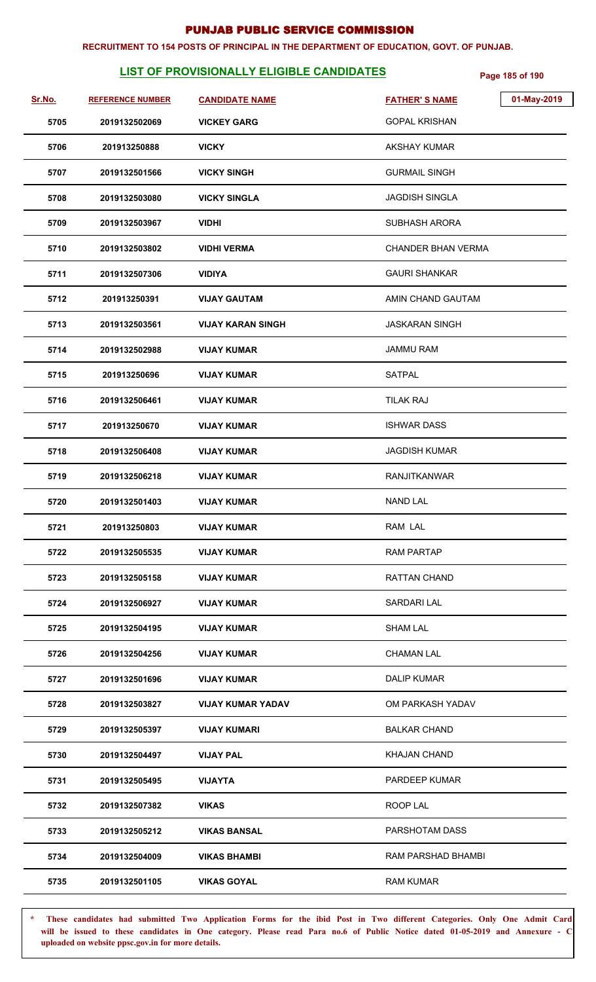#### **RECRUITMENT TO 154 POSTS OF PRINCIPAL IN THE DEPARTMENT OF EDUCATION, GOVT. OF PUNJAB.**

# **LIST OF PROVISIONALLY ELIGIBLE CANDIDATES** Page 185 of 190

| Sr.No. | <b>REFERENCE NUMBER</b> | <b>CANDIDATE NAME</b>    | <b>FATHER'S NAME</b>  | 01-May-2019 |
|--------|-------------------------|--------------------------|-----------------------|-------------|
| 5705   | 2019132502069           | <b>VICKEY GARG</b>       | <b>GOPAL KRISHAN</b>  |             |
| 5706   | 201913250888            | <b>VICKY</b>             | <b>AKSHAY KUMAR</b>   |             |
| 5707   | 2019132501566           | <b>VICKY SINGH</b>       | <b>GURMAIL SINGH</b>  |             |
| 5708   | 2019132503080           | <b>VICKY SINGLA</b>      | <b>JAGDISH SINGLA</b> |             |
| 5709   | 2019132503967           | <b>VIDHI</b>             | <b>SUBHASH ARORA</b>  |             |
| 5710   | 2019132503802           | <b>VIDHI VERMA</b>       | CHANDER BHAN VERMA    |             |
| 5711   | 2019132507306           | <b>VIDIYA</b>            | <b>GAURI SHANKAR</b>  |             |
| 5712   | 201913250391            | <b>VIJAY GAUTAM</b>      | AMIN CHAND GAUTAM     |             |
| 5713   | 2019132503561           | <b>VIJAY KARAN SINGH</b> | <b>JASKARAN SINGH</b> |             |
| 5714   | 2019132502988           | <b>VIJAY KUMAR</b>       | <b>JAMMU RAM</b>      |             |
| 5715   | 201913250696            | <b>VIJAY KUMAR</b>       | <b>SATPAL</b>         |             |
| 5716   | 2019132506461           | <b>VIJAY KUMAR</b>       | <b>TILAK RAJ</b>      |             |
| 5717   | 201913250670            | <b>VIJAY KUMAR</b>       | <b>ISHWAR DASS</b>    |             |
| 5718   | 2019132506408           | <b>VIJAY KUMAR</b>       | <b>JAGDISH KUMAR</b>  |             |
| 5719   | 2019132506218           | <b>VIJAY KUMAR</b>       | <b>RANJITKANWAR</b>   |             |
| 5720   | 2019132501403           | <b>VIJAY KUMAR</b>       | <b>NAND LAL</b>       |             |
| 5721   | 201913250803            | <b>VIJAY KUMAR</b>       | RAM LAL               |             |
| 5722   | 2019132505535           | <b>VIJAY KUMAR</b>       | <b>RAM PARTAP</b>     |             |
| 5723   | 2019132505158           | <b>VIJAY KUMAR</b>       | RATTAN CHAND          |             |
| 5724   | 2019132506927           | <b>VIJAY KUMAR</b>       | SARDARI LAL           |             |
| 5725   | 2019132504195           | <b>VIJAY KUMAR</b>       | <b>SHAM LAL</b>       |             |
| 5726   | 2019132504256           | <b>VIJAY KUMAR</b>       | <b>CHAMAN LAL</b>     |             |
| 5727   | 2019132501696           | <b>VIJAY KUMAR</b>       | <b>DALIP KUMAR</b>    |             |
| 5728   | 2019132503827           | <b>VIJAY KUMAR YADAV</b> | OM PARKASH YADAV      |             |
| 5729   | 2019132505397           | <b>VIJAY KUMARI</b>      | <b>BALKAR CHAND</b>   |             |
| 5730   | 2019132504497           | <b>VIJAY PAL</b>         | <b>KHAJAN CHAND</b>   |             |
| 5731   | 2019132505495           | <b>VIJAYTA</b>           | <b>PARDEEP KUMAR</b>  |             |
| 5732   | 2019132507382           | <b>VIKAS</b>             | ROOP LAL              |             |
| 5733   | 2019132505212           | <b>VIKAS BANSAL</b>      | PARSHOTAM DASS        |             |
| 5734   | 2019132504009           | <b>VIKAS BHAMBI</b>      | RAM PARSHAD BHAMBI    |             |
| 5735   | 2019132501105           | <b>VIKAS GOYAL</b>       | <b>RAM KUMAR</b>      |             |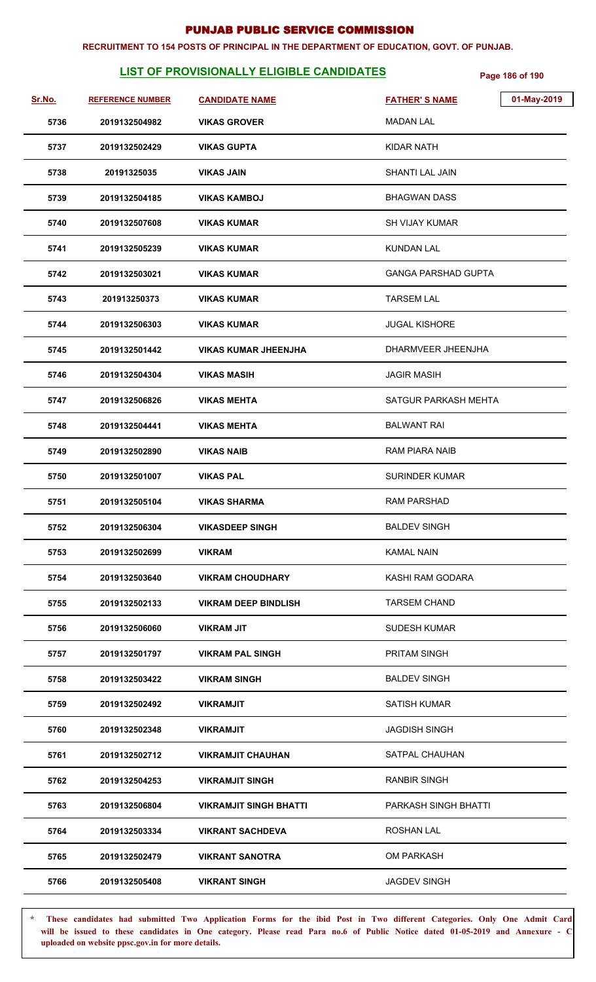#### **RECRUITMENT TO 154 POSTS OF PRINCIPAL IN THE DEPARTMENT OF EDUCATION, GOVT. OF PUNJAB.**

# **LIST OF PROVISIONALLY ELIGIBLE CANDIDATES** Page 186 of 190

| Sr.No. | <b>REFERENCE NUMBER</b> | <b>CANDIDATE NAME</b>         | 01-May-2019<br><b>FATHER'S NAME</b> |
|--------|-------------------------|-------------------------------|-------------------------------------|
| 5736   | 2019132504982           | <b>VIKAS GROVER</b>           | <b>MADAN LAL</b>                    |
| 5737   | 2019132502429           | <b>VIKAS GUPTA</b>            | KIDAR NATH                          |
| 5738   | 20191325035             | <b>VIKAS JAIN</b>             | SHANTI LAL JAIN                     |
| 5739   | 2019132504185           | <b>VIKAS KAMBOJ</b>           | <b>BHAGWAN DASS</b>                 |
| 5740   | 2019132507608           | <b>VIKAS KUMAR</b>            | SH VIJAY KUMAR                      |
| 5741   | 2019132505239           | <b>VIKAS KUMAR</b>            | KUNDAN LAL                          |
| 5742   | 2019132503021           | <b>VIKAS KUMAR</b>            | <b>GANGA PARSHAD GUPTA</b>          |
| 5743   | 201913250373            | <b>VIKAS KUMAR</b>            | TARSEM LAL                          |
| 5744   | 2019132506303           | <b>VIKAS KUMAR</b>            | <b>JUGAL KISHORE</b>                |
| 5745   | 2019132501442           | <b>VIKAS KUMAR JHEENJHA</b>   | DHARMVEER JHEENJHA                  |
| 5746   | 2019132504304           | <b>VIKAS MASIH</b>            | <b>JAGIR MASIH</b>                  |
| 5747   | 2019132506826           | <b>VIKAS MEHTA</b>            | SATGUR PARKASH MEHTA                |
| 5748   | 2019132504441           | <b>VIKAS MEHTA</b>            | <b>BALWANT RAI</b>                  |
| 5749   | 2019132502890           | <b>VIKAS NAIB</b>             | <b>RAM PIARA NAIB</b>               |
| 5750   | 2019132501007           | <b>VIKAS PAL</b>              | <b>SURINDER KUMAR</b>               |
| 5751   | 2019132505104           | <b>VIKAS SHARMA</b>           | <b>RAM PARSHAD</b>                  |
| 5752   | 2019132506304           | <b>VIKASDEEP SINGH</b>        | <b>BALDEV SINGH</b>                 |
| 5753   | 2019132502699           | <b>VIKRAM</b>                 | <b>KAMAL NAIN</b>                   |
| 5754   | 2019132503640           | <b>VIKRAM CHOUDHARY</b>       | KASHI RAM GODARA                    |
| 5755   | 2019132502133           | <b>VIKRAM DEEP BINDLISH</b>   | <b>TARSEM CHAND</b>                 |
| 5756   | 2019132506060           | <b>VIKRAM JIT</b>             | <b>SUDESH KUMAR</b>                 |
| 5757   | 2019132501797           | <b>VIKRAM PAL SINGH</b>       | PRITAM SINGH                        |
| 5758   | 2019132503422           | <b>VIKRAM SINGH</b>           | <b>BALDEV SINGH</b>                 |
| 5759   | 2019132502492           | <b>VIKRAMJIT</b>              | <b>SATISH KUMAR</b>                 |
| 5760   | 2019132502348           | <b>VIKRAMJIT</b>              | <b>JAGDISH SINGH</b>                |
| 5761   | 2019132502712           | <b>VIKRAMJIT CHAUHAN</b>      | SATPAL CHAUHAN                      |
| 5762   | 2019132504253           | <b>VIKRAMJIT SINGH</b>        | <b>RANBIR SINGH</b>                 |
| 5763   | 2019132506804           | <b>VIKRAMJIT SINGH BHATTI</b> | PARKASH SINGH BHATTI                |
| 5764   | 2019132503334           | <b>VIKRANT SACHDEVA</b>       | <b>ROSHAN LAL</b>                   |
| 5765   | 2019132502479           | <b>VIKRANT SANOTRA</b>        | <b>OM PARKASH</b>                   |
| 5766   | 2019132505408           | <b>VIKRANT SINGH</b>          | <b>JAGDEV SINGH</b>                 |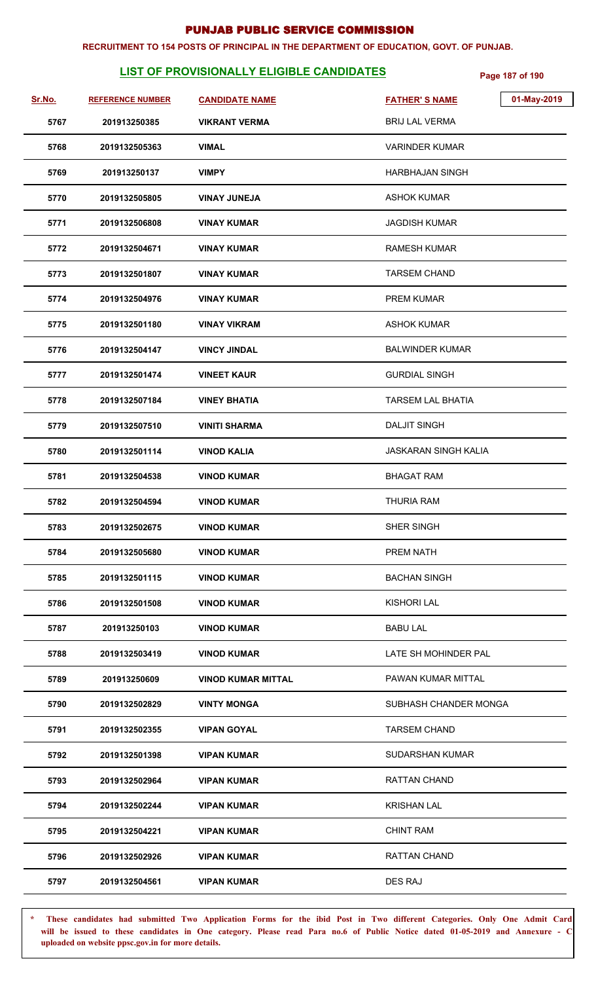#### **RECRUITMENT TO 154 POSTS OF PRINCIPAL IN THE DEPARTMENT OF EDUCATION, GOVT. OF PUNJAB.**

# **LIST OF PROVISIONALLY ELIGIBLE CANDIDATES** Page 187 of 190

| Sr.No. | <b>REFERENCE NUMBER</b> | <b>CANDIDATE NAME</b>     | 01-May-2019<br><b>FATHER'S NAME</b> |
|--------|-------------------------|---------------------------|-------------------------------------|
| 5767   | 201913250385            | <b>VIKRANT VERMA</b>      | <b>BRIJ LAL VERMA</b>               |
| 5768   | 2019132505363           | <b>VIMAL</b>              | <b>VARINDER KUMAR</b>               |
| 5769   | 201913250137            | <b>VIMPY</b>              | HARBHAJAN SINGH                     |
| 5770   | 2019132505805           | <b>VINAY JUNEJA</b>       | ASHOK KUMAR                         |
| 5771   | 2019132506808           | <b>VINAY KUMAR</b>        | JAGDISH KUMAR                       |
| 5772   | 2019132504671           | <b>VINAY KUMAR</b>        | RAMESH KUMAR                        |
| 5773   | 2019132501807           | <b>VINAY KUMAR</b>        | <b>TARSEM CHAND</b>                 |
| 5774   | 2019132504976           | <b>VINAY KUMAR</b>        | <b>PREM KUMAR</b>                   |
| 5775   | 2019132501180           | <b>VINAY VIKRAM</b>       | <b>ASHOK KUMAR</b>                  |
| 5776   | 2019132504147           | <b>VINCY JINDAL</b>       | <b>BALWINDER KUMAR</b>              |
| 5777   | 2019132501474           | <b>VINEET KAUR</b>        | <b>GURDIAL SINGH</b>                |
| 5778   | 2019132507184           | <b>VINEY BHATIA</b>       | <b>TARSEM LAL BHATIA</b>            |
| 5779   | 2019132507510           | <b>VINITI SHARMA</b>      | <b>DALJIT SINGH</b>                 |
| 5780   | 2019132501114           | <b>VINOD KALIA</b>        | <b>JASKARAN SINGH KALIA</b>         |
| 5781   | 2019132504538           | <b>VINOD KUMAR</b>        | <b>BHAGAT RAM</b>                   |
| 5782   | 2019132504594           | <b>VINOD KUMAR</b>        | <b>THURIA RAM</b>                   |
| 5783   | 2019132502675           | <b>VINOD KUMAR</b>        | SHER SINGH                          |
| 5784   | 2019132505680           | <b>VINOD KUMAR</b>        | PREM NATH                           |
| 5785   | 2019132501115           | <b>VINOD KUMAR</b>        | <b>BACHAN SINGH</b>                 |
| 5786   | 2019132501508           | <b>VINOD KUMAR</b>        | <b>KISHORI LAL</b>                  |
| 5787   | 201913250103            | <b>VINOD KUMAR</b>        | <b>BABU LAL</b>                     |
| 5788   | 2019132503419           | <b>VINOD KUMAR</b>        | LATE SH MOHINDER PAL                |
| 5789   | 201913250609            | <b>VINOD KUMAR MITTAL</b> | PAWAN KUMAR MITTAL                  |
| 5790   | 2019132502829           | <b>VINTY MONGA</b>        | SUBHASH CHANDER MONGA               |
| 5791   | 2019132502355           | <b>VIPAN GOYAL</b>        | <b>TARSEM CHAND</b>                 |
| 5792   | 2019132501398           | <b>VIPAN KUMAR</b>        | <b>SUDARSHAN KUMAR</b>              |
| 5793   | 2019132502964           | <b>VIPAN KUMAR</b>        | <b>RATTAN CHAND</b>                 |
| 5794   | 2019132502244           | <b>VIPAN KUMAR</b>        | <b>KRISHAN LAL</b>                  |
| 5795   | 2019132504221           | <b>VIPAN KUMAR</b>        | <b>CHINT RAM</b>                    |
| 5796   | 2019132502926           | <b>VIPAN KUMAR</b>        | <b>RATTAN CHAND</b>                 |
| 5797   | 2019132504561           | <b>VIPAN KUMAR</b>        | DES RAJ                             |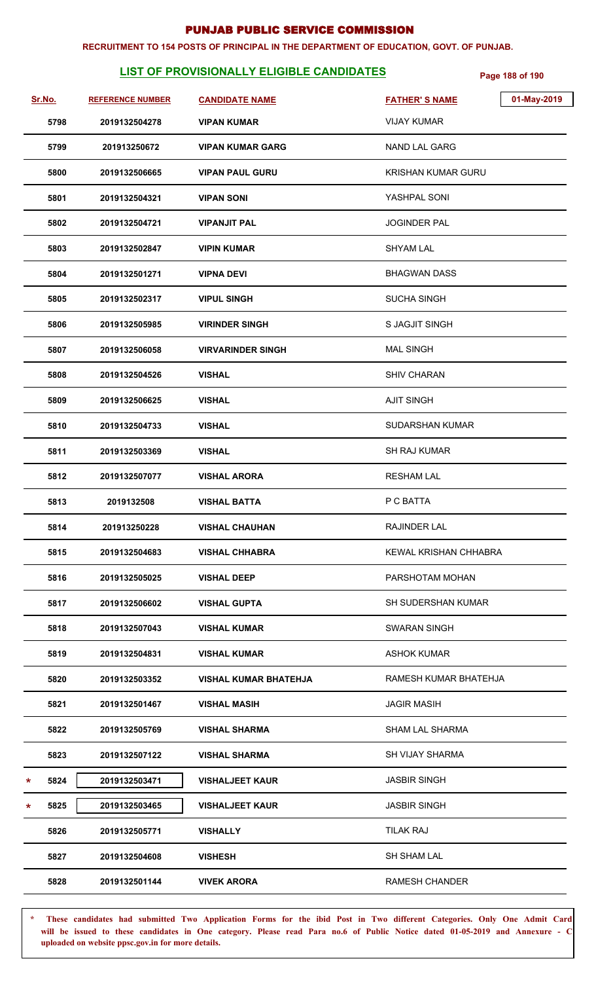#### **RECRUITMENT TO 154 POSTS OF PRINCIPAL IN THE DEPARTMENT OF EDUCATION, GOVT. OF PUNJAB.**

# **LIST OF PROVISIONALLY ELIGIBLE CANDIDATES** Page 188 of 190

| Sr.No. |      | <b>REFERENCE NUMBER</b> | <b>CANDIDATE NAME</b>        | 01-May-2019<br><b>FATHER'S NAME</b> |
|--------|------|-------------------------|------------------------------|-------------------------------------|
|        | 5798 | 2019132504278           | <b>VIPAN KUMAR</b>           | <b>VIJAY KUMAR</b>                  |
|        | 5799 | 201913250672            | <b>VIPAN KUMAR GARG</b>      | <b>NAND LAL GARG</b>                |
|        | 5800 | 2019132506665           | <b>VIPAN PAUL GURU</b>       | <b>KRISHAN KUMAR GURU</b>           |
|        | 5801 | 2019132504321           | <b>VIPAN SONI</b>            | YASHPAL SONI                        |
|        | 5802 | 2019132504721           | <b>VIPANJIT PAL</b>          | <b>JOGINDER PAL</b>                 |
|        | 5803 | 2019132502847           | <b>VIPIN KUMAR</b>           | <b>SHYAM LAL</b>                    |
|        | 5804 | 2019132501271           | <b>VIPNA DEVI</b>            | <b>BHAGWAN DASS</b>                 |
|        | 5805 | 2019132502317           | <b>VIPUL SINGH</b>           | <b>SUCHA SINGH</b>                  |
|        | 5806 | 2019132505985           | <b>VIRINDER SINGH</b>        | <b>SJAGJIT SINGH</b>                |
|        | 5807 | 2019132506058           | <b>VIRVARINDER SINGH</b>     | <b>MAL SINGH</b>                    |
|        | 5808 | 2019132504526           | <b>VISHAL</b>                | <b>SHIV CHARAN</b>                  |
|        | 5809 | 2019132506625           | <b>VISHAL</b>                | <b>AJIT SINGH</b>                   |
|        | 5810 | 2019132504733           | <b>VISHAL</b>                | SUDARSHAN KUMAR                     |
|        | 5811 | 2019132503369           | <b>VISHAL</b>                | <b>SH RAJ KUMAR</b>                 |
|        | 5812 | 2019132507077           | <b>VISHAL ARORA</b>          | <b>RESHAM LAL</b>                   |
|        | 5813 | 2019132508              | <b>VISHAL BATTA</b>          | P C BATTA                           |
|        | 5814 | 201913250228            | <b>VISHAL CHAUHAN</b>        | RAJINDER LAL                        |
|        | 5815 | 2019132504683           | <b>VISHAL CHHABRA</b>        | KEWAL KRISHAN CHHABRA               |
|        | 5816 | 2019132505025           | <b>VISHAL DEEP</b>           | PARSHOTAM MOHAN                     |
|        | 5817 | 2019132506602           | <b>VISHAL GUPTA</b>          | <b>SH SUDERSHAN KUMAR</b>           |
|        | 5818 | 2019132507043           | <b>VISHAL KUMAR</b>          | <b>SWARAN SINGH</b>                 |
|        | 5819 | 2019132504831           | <b>VISHAL KUMAR</b>          | <b>ASHOK KUMAR</b>                  |
|        | 5820 | 2019132503352           | <b>VISHAL KUMAR BHATEHJA</b> | RAMESH KUMAR BHATEHJA               |
|        | 5821 | 2019132501467           | <b>VISHAL MASIH</b>          | <b>JAGIR MASIH</b>                  |
|        | 5822 | 2019132505769           | <b>VISHAL SHARMA</b>         | <b>SHAM LAL SHARMA</b>              |
|        | 5823 | 2019132507122           | <b>VISHAL SHARMA</b>         | SH VIJAY SHARMA                     |
| *      | 5824 | 2019132503471           | <b>VISHALJEET KAUR</b>       | <b>JASBIR SINGH</b>                 |
| *      | 5825 | 2019132503465           | <b>VISHALJEET KAUR</b>       | <b>JASBIR SINGH</b>                 |
|        | 5826 | 2019132505771           | <b>VISHALLY</b>              | <b>TILAK RAJ</b>                    |
|        | 5827 | 2019132504608           | <b>VISHESH</b>               | <b>SH SHAM LAL</b>                  |
|        | 5828 | 2019132501144           | <b>VIVEK ARORA</b>           | <b>RAMESH CHANDER</b>               |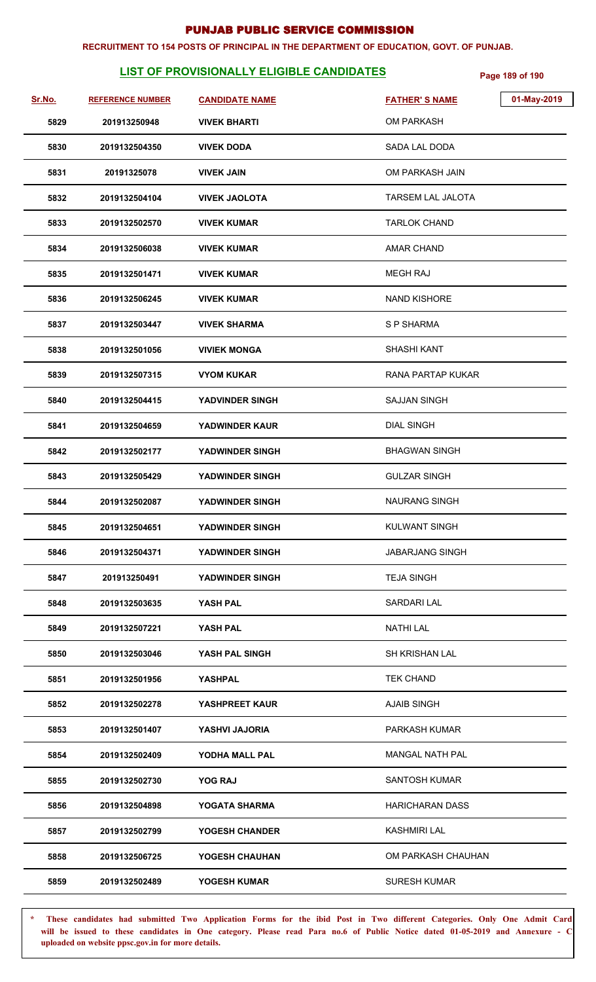#### **RECRUITMENT TO 154 POSTS OF PRINCIPAL IN THE DEPARTMENT OF EDUCATION, GOVT. OF PUNJAB.**

# **LIST OF PROVISIONALLY ELIGIBLE CANDIDATES** Page 189 of 190

| <u>Sr.No.</u> | <b>REFERENCE NUMBER</b> | <b>CANDIDATE NAME</b>  | 01-May-2019<br><b>FATHER'S NAME</b> |
|---------------|-------------------------|------------------------|-------------------------------------|
| 5829          | 201913250948            | <b>VIVEK BHARTI</b>    | <b>OM PARKASH</b>                   |
| 5830          | 2019132504350           | <b>VIVEK DODA</b>      | SADA LAL DODA                       |
| 5831          | 20191325078             | <b>VIVEK JAIN</b>      | OM PARKASH JAIN                     |
| 5832          | 2019132504104           | <b>VIVEK JAOLOTA</b>   | <b>TARSEM LAL JALOTA</b>            |
| 5833          | 2019132502570           | <b>VIVEK KUMAR</b>     | <b>TARLOK CHAND</b>                 |
| 5834          | 2019132506038           | <b>VIVEK KUMAR</b>     | AMAR CHAND                          |
| 5835          | 2019132501471           | <b>VIVEK KUMAR</b>     | <b>MEGH RAJ</b>                     |
| 5836          | 2019132506245           | <b>VIVEK KUMAR</b>     | <b>NAND KISHORE</b>                 |
| 5837          | 2019132503447           | <b>VIVEK SHARMA</b>    | S P SHARMA                          |
| 5838          | 2019132501056           | <b>VIVIEK MONGA</b>    | <b>SHASHI KANT</b>                  |
| 5839          | 2019132507315           | <b>VYOM KUKAR</b>      | RANA PARTAP KUKAR                   |
| 5840          | 2019132504415           | <b>YADVINDER SINGH</b> | <b>SAJJAN SINGH</b>                 |
| 5841          | 2019132504659           | <b>YADWINDER KAUR</b>  | <b>DIAL SINGH</b>                   |
| 5842          | 2019132502177           | YADWINDER SINGH        | <b>BHAGWAN SINGH</b>                |
| 5843          | 2019132505429           | YADWINDER SINGH        | <b>GULZAR SINGH</b>                 |
| 5844          | 2019132502087           | YADWINDER SINGH        | <b>NAURANG SINGH</b>                |
| 5845          | 2019132504651           | YADWINDER SINGH        | <b>KULWANT SINGH</b>                |
| 5846          | 2019132504371           | YADWINDER SINGH        | <b>JABARJANG SINGH</b>              |
| 5847          | 201913250491            | <b>YADWINDER SINGH</b> | <b>TEJA SINGH</b>                   |
| 5848          | 2019132503635           | YASH PAL               | <b>SARDARI LAL</b>                  |
| 5849          | 2019132507221           | YASH PAL               | <b>NATHI LAL</b>                    |
| 5850          | 2019132503046           | YASH PAL SINGH         | <b>SH KRISHAN LAL</b>               |
| 5851          | 2019132501956           | <b>YASHPAL</b>         | <b>TEK CHAND</b>                    |
| 5852          | 2019132502278           | YASHPREET KAUR         | <b>AJAIB SINGH</b>                  |
| 5853          | 2019132501407           | YASHVI JAJORIA         | <b>PARKASH KUMAR</b>                |
| 5854          | 2019132502409           | YODHA MALL PAL         | <b>MANGAL NATH PAL</b>              |
| 5855          | 2019132502730           | <b>YOG RAJ</b>         | <b>SANTOSH KUMAR</b>                |
| 5856          | 2019132504898           | YOGATA SHARMA          | <b>HARICHARAN DASS</b>              |
| 5857          | 2019132502799           | YOGESH CHANDER         | <b>KASHMIRI LAL</b>                 |
| 5858          | 2019132506725           | YOGESH CHAUHAN         | OM PARKASH CHAUHAN                  |
| 5859          | 2019132502489           | YOGESH KUMAR           | <b>SURESH KUMAR</b>                 |